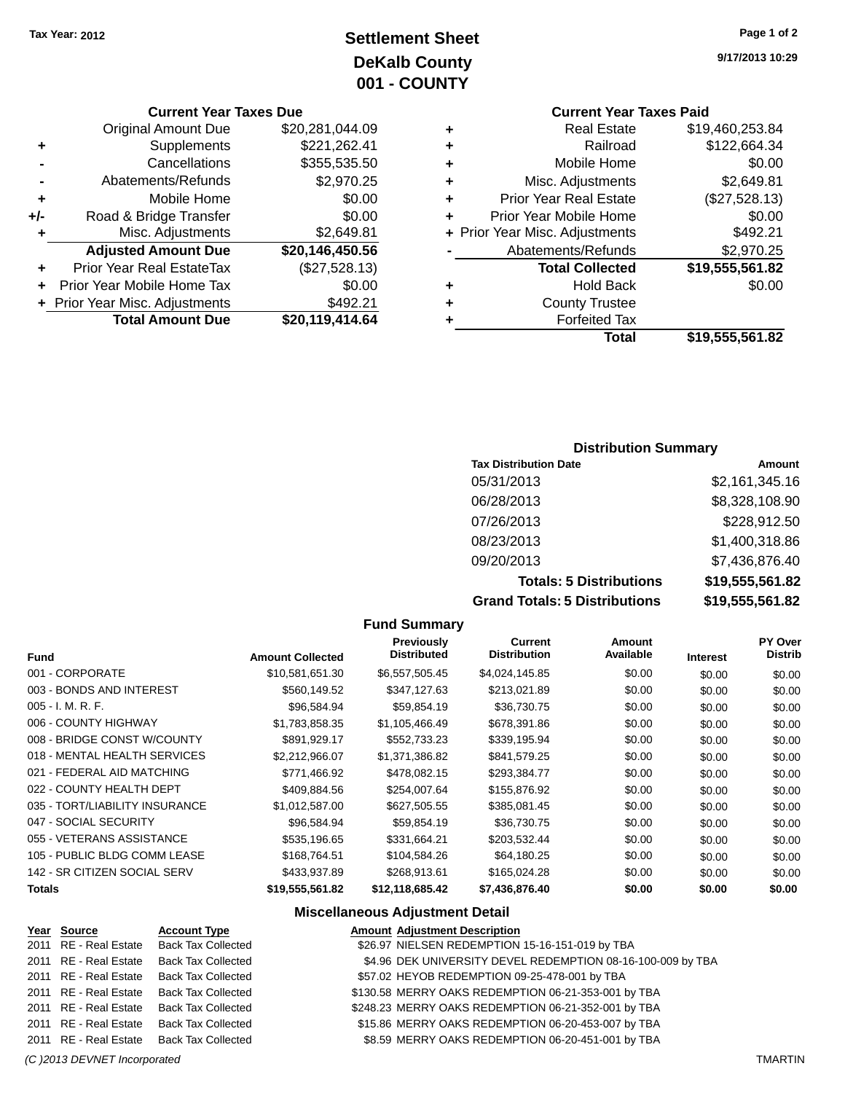## **Settlement Sheet Tax Year: 2012 Page 1 of 2 DeKalb County 001 - COUNTY**

#### **Current Year Taxes Due**

|     | <b>Original Amount Due</b>     | \$20,281,044.09 |
|-----|--------------------------------|-----------------|
| ٠   | Supplements                    | \$221,262.41    |
|     | Cancellations                  | \$355,535.50    |
|     | Abatements/Refunds             | \$2,970.25      |
| ٠   | Mobile Home                    | \$0.00          |
| +/- | Road & Bridge Transfer         | \$0.00          |
| ٠   | Misc. Adjustments              | \$2,649.81      |
|     | <b>Adjusted Amount Due</b>     | \$20,146,450.56 |
| ÷   | Prior Year Real EstateTax      | (\$27,528.13)   |
|     | Prior Year Mobile Home Tax     | \$0.00          |
|     | + Prior Year Misc. Adjustments | \$492.21        |
|     | <b>Total Amount Due</b>        | \$20,119,414.64 |
|     |                                |                 |

## **Current Year Taxes Paid**

| ٠ | <b>Real Estate</b>             | \$19,460,253.84 |
|---|--------------------------------|-----------------|
| ÷ | Railroad                       | \$122,664.34    |
| ٠ | Mobile Home                    | \$0.00          |
| ٠ | Misc. Adjustments              | \$2,649.81      |
| ٠ | <b>Prior Year Real Estate</b>  | (\$27,528.13)   |
| ٠ | Prior Year Mobile Home         | \$0.00          |
|   | + Prior Year Misc. Adjustments | \$492.21        |
|   | Abatements/Refunds             | \$2,970.25      |
|   | <b>Total Collected</b>         | \$19,555,561.82 |
| ٠ | <b>Hold Back</b>               | \$0.00          |
| ٠ | <b>County Trustee</b>          |                 |
| ٠ | <b>Forfeited Tax</b>           |                 |
|   | Total                          | \$19,555,561.82 |
|   |                                |                 |

#### **Distribution Summary**

| <b>Tax Distribution Date</b>         | Amount          |
|--------------------------------------|-----------------|
| 05/31/2013                           | \$2,161,345.16  |
| 06/28/2013                           | \$8,328,108.90  |
| 07/26/2013                           | \$228,912.50    |
| 08/23/2013                           | \$1,400,318.86  |
| 09/20/2013                           | \$7,436,876.40  |
| <b>Totals: 5 Distributions</b>       | \$19,555,561.82 |
| <b>Grand Totals: 5 Distributions</b> | \$19,555,561.82 |

#### **Fund Summary Fund Interest Amount Collected Distributed PY Over Distrib Amount Available Current Distribution Previously** 001 - CORPORATE \$10,581,651.30 \$6,557,505.45 \$4,024,145.85 \$0.00 \$0.00 \$0.00 \$0.00 003 - BONDS AND INTEREST  $$560,149.52$   $$347,127.63$   $$213,021.89$   $$0.00$   $$0.00$   $$0.00$ 005 - I. M. R. F. \$96,584.94 \$59,854.19 \$36,730.75 \$0.00 \$0.00 \$0.00 006 - COUNTY HIGHWAY **\$1,783,858.35** \$1,105,466.49 \$678,391.86 \$0.00 \$0.00 \$0.00 008 - BRIDGE CONST W/COUNTY  $$891,929.17$   $$552,733.23$   $$339,195.94$  \$0.00  $$0.00$  \$0.00 \$0.00 018 - MENTAL HEALTH SERVICES \$2,212,966.07 \$1,371,386.82 \$841,579.25 \$0.00 \$0.00 \$0.00 \$0.00 021 - FEDERAL AID MATCHING  $$771,466.92$   $$478,082.15$   $$293,384.77$   $$0.00$   $$0.00$   $$0.00$ 022 - COUNTY HEALTH DEPT  $$409,884.56$  \$254,007.64 \$155,876.92 \$0.00 \$0.00 \$0.00 \$0.00 035 - TORT/LIABILITY INSURANCE \$1,012,587.00 \$627,505.55 \$385,081.45 \$0.00 \$0.00 \$0.00 \$0.00 047 - SOCIAL SECURITY 60.00 \$96,584.94 \$59,854.19 \$36,730.75 \$0.00 \$0.00 \$0.00 \$0.00 055 - VETERANS ASSISTANCE  $$535,196.65$  \$331,664.21 \$203,532.44 \$0.00 \$0.00 \$0.00 \$0.00 105 - PUBLIC BLDG COMM LEASE \$168,764.51 \$104,584.26 \$64,180.25 \$0.00 \$0.00 \$0.00 142 - SR CITIZEN SOCIAL SERV \$433,937.89 \$268,913.61 \$165,024.28 \$0.00 \$0.00 \$0.00 \$0.00 **Totals \$19,555,561.82 \$12,118,685.42 \$7,436,876.40 \$0.00 \$0.00 \$0.00**

#### **Miscellaneous Adjustment Detail**

| Year Source           | <b>Account Type</b>                      | <b>Amount Adjustment Description</b>                        |
|-----------------------|------------------------------------------|-------------------------------------------------------------|
|                       | 2011 RE - Real Estate Back Tax Collected | \$26.97 NIELSEN REDEMPTION 15-16-151-019 by TBA             |
| 2011 RE - Real Estate | <b>Back Tax Collected</b>                | \$4.96 DEK UNIVERSITY DEVEL REDEMPTION 08-16-100-009 by TBA |
| 2011 RE - Real Estate | <b>Back Tax Collected</b>                | \$57.02 HEYOB REDEMPTION 09-25-478-001 by TBA               |
| 2011 RE - Real Estate | <b>Back Tax Collected</b>                | \$130.58 MERRY OAKS REDEMPTION 06-21-353-001 by TBA         |
| 2011 RE - Real Estate | <b>Back Tax Collected</b>                | \$248.23 MERRY OAKS REDEMPTION 06-21-352-001 by TBA         |
| 2011 RE - Real Estate | <b>Back Tax Collected</b>                | \$15.86 MERRY OAKS REDEMPTION 06-20-453-007 by TBA          |
|                       | 2011 RE - Real Estate Back Tax Collected | \$8.59 MERRY OAKS REDEMPTION 06-20-451-001 by TBA           |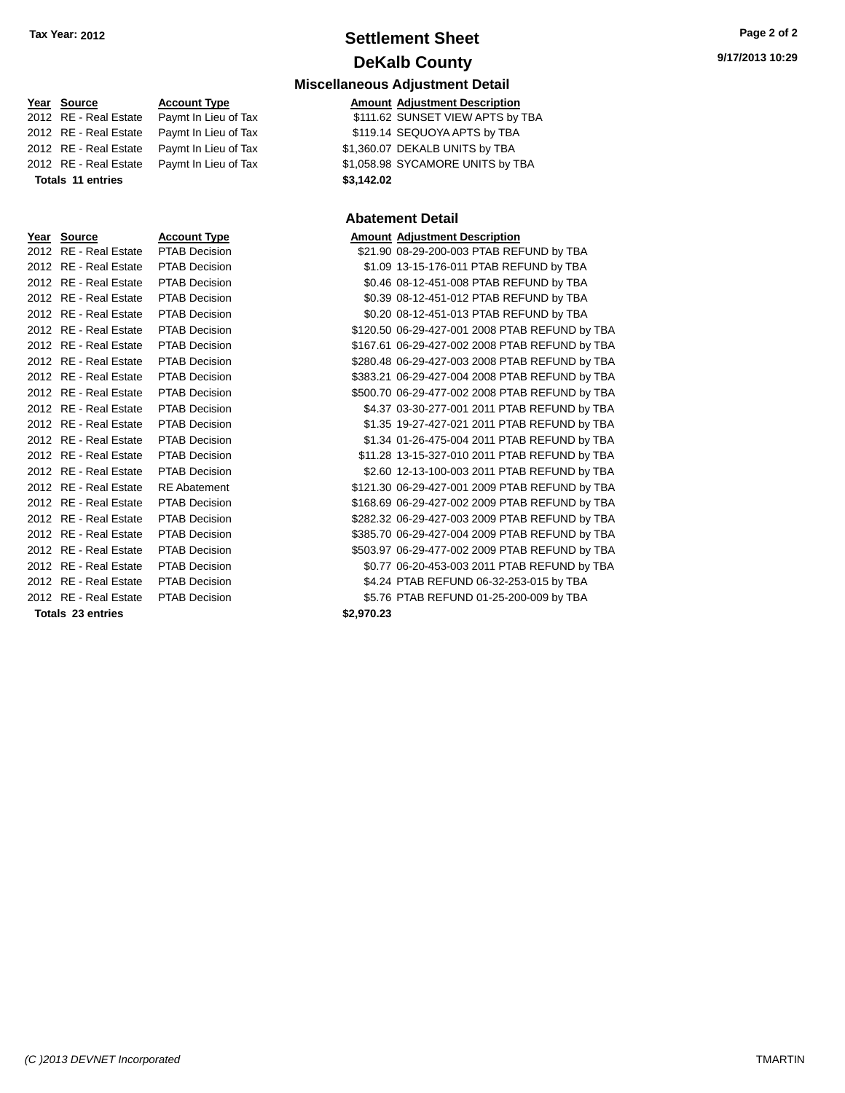## **Settlement Sheet Tax Year: 2012 Page 2 of 2 DeKalb County**

**Amount Adjustment Description** 

\$21.90 08-29-200-003 PTAB REFUND by TBA \$1.09 13-15-176-011 PTAB REFUND by TBA \$0.46 08-12-451-008 PTAB REFUND by TBA \$0.39 08-12-451-012 PTAB REFUND by TBA \$0.20 08-12-451-013 PTAB REFUND by TBA \$120.50 06-29-427-001 2008 PTAB REFUND by TBA \$167.61 06-29-427-002 2008 PTAB REFUND by TBA \$280.48 06-29-427-003 2008 PTAB REFUND by TBA \$383.21 06-29-427-004 2008 PTAB REFUND by TBA \$500.70 06-29-477-002 2008 PTAB REFUND by TBA \$4.37 03-30-277-001 2011 PTAB REFUND by TBA \$1.35 19-27-427-021 2011 PTAB REFUND by TBA \$1.34 01-26-475-004 2011 PTAB REFUND by TBA \$11.28 13-15-327-010 2011 PTAB REFUND by TBA \$2.60 12-13-100-003 2011 PTAB REFUND by TBA

**Miscellaneous Adjustment Detail**

| Year Source              | <b>Account Type</b>  |            | <b>Amount Adjustment Description</b>       |
|--------------------------|----------------------|------------|--------------------------------------------|
| 2012 RE - Real Estate    | Paymt In Lieu of Tax |            | \$111.62 SUNSET VIEW APTS by TBA           |
| 2012 RE - Real Estate    | Paymt In Lieu of Tax |            | \$119.14 SEQUOYA APTS by TBA               |
| 2012 RE - Real Estate    | Paymt In Lieu of Tax |            | \$1,360.07 DEKALB UNITS by TBA             |
| 2012 RE - Real Estate    | Paymt In Lieu of Tax |            | \$1,058.98 SYCAMORE UNITS by TBA           |
| <b>Totals 11 entries</b> |                      | \$3,142.02 |                                            |
|                          |                      |            |                                            |
|                          |                      |            | <b>Abatement Detail</b>                    |
| Year Source              | <b>Account Type</b>  |            | <b>Amount Adjustment Description</b>       |
| 2012 RE - Real Estate    | <b>PTAB Decision</b> |            | \$21.90 08-29-200-003 PTAB REFUND by TBA   |
| 2012 RE - Real Estate    | <b>PTAB Decision</b> |            | \$1.09 13-15-176-011 PTAB REFUND by TBA    |
| 2012 RE - Real Estate    | <b>PTAB Decision</b> |            | \$0.46 08-12-451-008 PTAB REFUND by TBA    |
| 2012 RE - Real Estate    | PTAB Decision        |            | \$0.39 08-12-451-012 PTAB REFUND by TBA    |
| 2012 RE - Real Estate    | <b>PTAB Decision</b> |            | \$0.20 08-12-451-013 PTAB REFUND by TBA    |
| 2012 RE - Real Estate    | PTAB Decision        |            | \$120.50 06-29-427-001 2008 PTAB REFUND by |
| 2012 RE - Real Estate    | PTAB Decision        |            | \$167.61 06-29-427-002 2008 PTAB REFUND by |
| 2012 RE - Real Estate    | <b>PTAB Decision</b> |            | \$280.48 06-29-427-003 2008 PTAB REFUND by |
| 2012 RE - Real Estate    | <b>PTAB Decision</b> |            | \$383.21 06-29-427-004 2008 PTAB REFUND by |
| 2012 RE - Real Estate    | PTAB Decision        |            | \$500.70 06-29-477-002 2008 PTAB REFUND by |
| 2012 RE - Real Estate    | <b>PTAB Decision</b> |            | \$4.37 03-30-277-001 2011 PTAB REFUND by   |
| 2012 RE - Real Estate    | <b>PTAB Decision</b> |            | \$1.35 19-27-427-021 2011 PTAB REFUND by   |
| 2012 RE - Real Estate    | <b>PTAB Decision</b> |            | \$1.34 01-26-475-004 2011 PTAB REFUND by   |
| 2012 RE - Real Estate    | <b>PTAB Decision</b> |            | \$11.28 13-15-327-010 2011 PTAB REFUND by  |
| 2012 RE - Real Estate    | PTAB Decision        |            | \$2.60 12-13-100-003 2011 PTAB REFUND by   |
| 2012 RE - Real Estate    | <b>RE</b> Abatement  |            | \$121.30 06-29-427-001 2009 PTAB REFUND by |
| 2012 RE - Real Estate    | <b>PTAB Decision</b> |            | \$168.69 06-29-427-002 2009 PTAB REFUND by |
| 2012 RE - Real Estate    | PTAB Decision        |            | \$282.32 06-29-427-003 2009 PTAB REFUND by |
| 2012 RE - Real Estate    | <b>PTAB Decision</b> |            | \$385.70 06-29-427-004 2009 PTAB REFUND by |
| 2012 RE - Real Estate    | <b>PTAB Decision</b> |            | \$503.97 06-29-477-002 2009 PTAB REFUND by |
| 2012 RE - Real Estate    | <b>PTAB Decision</b> |            | \$0.77 06-20-453-003 2011 PTAB REFUND by   |
| 2012 RE - Real Estate    | <b>PTAB Decision</b> |            | \$4.24 PTAB REFUND 06-32-253-015 by TBA    |
| 2012 RE - Real Estate    | <b>PTAB Decision</b> |            | \$5.76 PTAB REFUND 01-25-200-009 by TBA    |

\$121.30 06-29-427-001 2009 PTAB REFUND by TBA \$168.69 06-29-427-002 2009 PTAB REFUND by TBA \$282.32 06-29-427-003 2009 PTAB REFUND by TBA

|  | \$385.70 06-29-427-004 2009 PTAB REFUND by TBA |
|--|------------------------------------------------|
|  | \$503.97 06-29-477-002 2009 PTAB REFUND by TBA |
|  | \$0.77 06-20-453-003 2011 PTAB REFUND by TBA   |
|  | \$4.24 PTAB REFUND 06-32-253-015 by TBA        |
|  |                                                |

**Totals 23 entries \$2,970.23**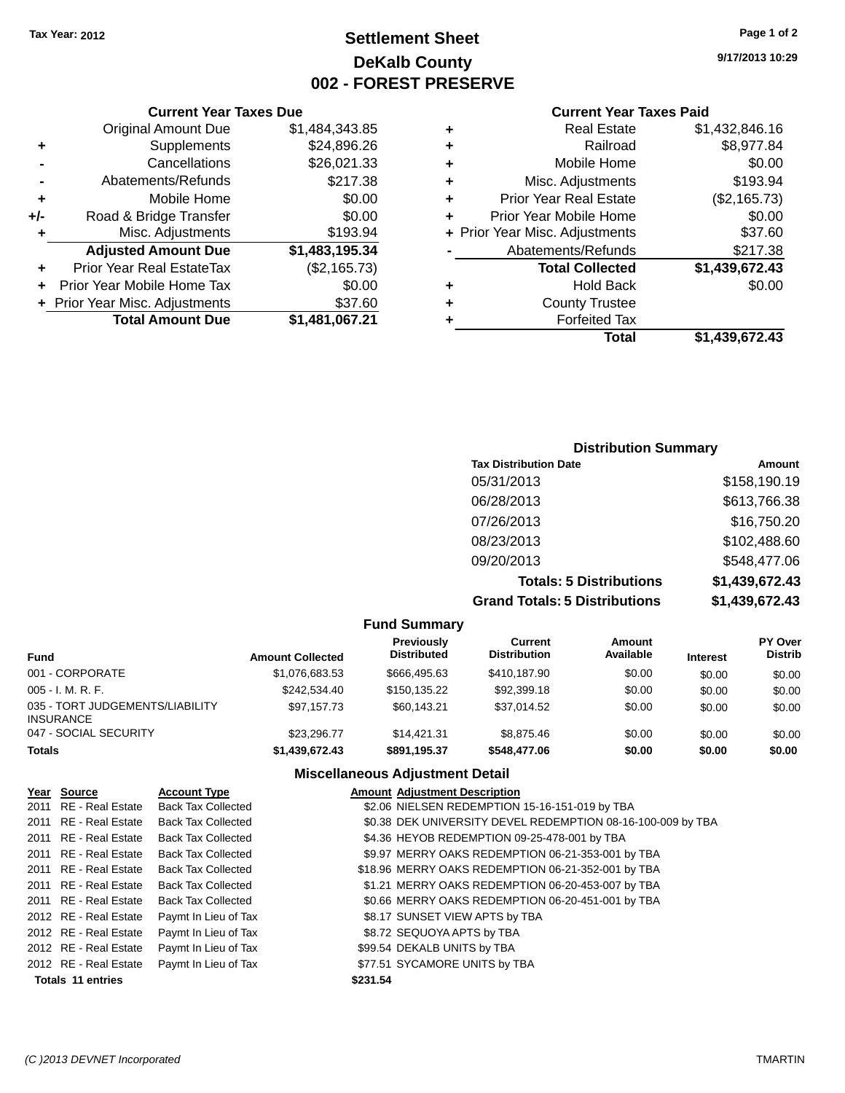### **Settlement Sheet Tax Year: 2012 Page 1 of 2 DeKalb County 002 - FOREST PRESERVE**

**9/17/2013 10:29**

#### **Current Year Taxes Paid**

| ٠ | <b>Real Estate</b>             | \$1,432,846.16 |
|---|--------------------------------|----------------|
| ٠ | Railroad                       | \$8,977.84     |
| ٠ | Mobile Home                    | \$0.00         |
| ٠ | Misc. Adjustments              | \$193.94       |
| ٠ | <b>Prior Year Real Estate</b>  | (\$2,165.73)   |
| ÷ | Prior Year Mobile Home         | \$0.00         |
|   | + Prior Year Misc. Adjustments | \$37.60        |
|   | Abatements/Refunds             | \$217.38       |
|   | <b>Total Collected</b>         | \$1,439,672.43 |
| ٠ | <b>Hold Back</b>               | \$0.00         |
| ٠ | <b>County Trustee</b>          |                |
|   | <b>Forfeited Tax</b>           |                |
|   | Total                          | \$1,439,672.43 |

|     | <b>Current Year Taxes Due</b>    |                |  |  |  |
|-----|----------------------------------|----------------|--|--|--|
|     | <b>Original Amount Due</b>       | \$1,484,343.85 |  |  |  |
| ٠   | Supplements                      | \$24,896.26    |  |  |  |
|     | Cancellations                    | \$26,021.33    |  |  |  |
|     | Abatements/Refunds               | \$217.38       |  |  |  |
| ٠   | Mobile Home                      | \$0.00         |  |  |  |
| +/- | Road & Bridge Transfer           | \$0.00         |  |  |  |
| ٠   | Misc. Adjustments                | \$193.94       |  |  |  |
|     | <b>Adjusted Amount Due</b>       | \$1,483,195.34 |  |  |  |
|     | <b>Prior Year Real EstateTax</b> | (\$2,165.73)   |  |  |  |
| ٠   | Prior Year Mobile Home Tax       | \$0.00         |  |  |  |
|     | + Prior Year Misc. Adjustments   | \$37.60        |  |  |  |
|     | <b>Total Amount Due</b>          | \$1,481,067.21 |  |  |  |

| <b>Distribution Summary</b>          |                |  |  |  |
|--------------------------------------|----------------|--|--|--|
| <b>Tax Distribution Date</b>         | Amount         |  |  |  |
| 05/31/2013                           | \$158,190.19   |  |  |  |
| 06/28/2013                           | \$613,766.38   |  |  |  |
| 07/26/2013                           | \$16,750.20    |  |  |  |
| 08/23/2013                           | \$102,488.60   |  |  |  |
| 09/20/2013                           | \$548,477.06   |  |  |  |
| <b>Totals: 5 Distributions</b>       | \$1,439,672.43 |  |  |  |
| <b>Grand Totals: 5 Distributions</b> | \$1,439,672.43 |  |  |  |

|                                                     |                         | <b>Fund Summary</b>                     |                                |                     |                 |                                  |
|-----------------------------------------------------|-------------------------|-----------------------------------------|--------------------------------|---------------------|-----------------|----------------------------------|
| <b>Fund</b>                                         | <b>Amount Collected</b> | <b>Previously</b><br><b>Distributed</b> | Current<br><b>Distribution</b> | Amount<br>Available | <b>Interest</b> | <b>PY Over</b><br><b>Distrib</b> |
| 001 - CORPORATE                                     | \$1,076,683.53          | \$666,495.63                            | \$410.187.90                   | \$0.00              | \$0.00          | \$0.00                           |
| $005 - I. M. R. F.$                                 | \$242,534.40            | \$150,135.22                            | \$92,399.18                    | \$0.00              | \$0.00          | \$0.00                           |
| 035 - TORT JUDGEMENTS/LIABILITY<br><b>INSURANCE</b> | \$97.157.73             | \$60.143.21                             | \$37.014.52                    | \$0.00              | \$0.00          | \$0.00                           |
| 047 - SOCIAL SECURITY                               | \$23,296,77             | \$14.421.31                             | \$8,875,46                     | \$0.00              | \$0.00          | \$0.00                           |
| <b>Totals</b>                                       | \$1,439,672.43          | \$891,195.37                            | \$548,477.06                   | \$0.00              | \$0.00          | \$0.00                           |

#### **Miscellaneous Adjustment Detail**

| Year Source           | <b>Account Type</b>       | <b>Amount Adjustment Description</b>                        |
|-----------------------|---------------------------|-------------------------------------------------------------|
| 2011 RE - Real Estate | <b>Back Tax Collected</b> | \$2.06 NIELSEN REDEMPTION 15-16-151-019 by TBA              |
| 2011 RE - Real Estate | <b>Back Tax Collected</b> | \$0.38 DEK UNIVERSITY DEVEL REDEMPTION 08-16-100-009 by TBA |
| 2011 RE - Real Estate | <b>Back Tax Collected</b> | \$4.36 HEYOB REDEMPTION 09-25-478-001 by TBA                |
| 2011 RE - Real Estate | <b>Back Tax Collected</b> | \$9.97 MERRY OAKS REDEMPTION 06-21-353-001 by TBA           |
| 2011 RE - Real Estate | Back Tax Collected        | \$18.96 MERRY OAKS REDEMPTION 06-21-352-001 by TBA          |
| 2011 RE - Real Estate | <b>Back Tax Collected</b> | \$1.21 MERRY OAKS REDEMPTION 06-20-453-007 by TBA           |
| 2011 RE - Real Estate | <b>Back Tax Collected</b> | \$0.66 MERRY OAKS REDEMPTION 06-20-451-001 by TBA           |
| 2012 RE - Real Estate | Paymt In Lieu of Tax      | \$8.17 SUNSET VIEW APTS by TBA                              |
| 2012 RE - Real Estate | Paymt In Lieu of Tax      | \$8.72 SEQUOYA APTS by TBA                                  |
| 2012 RE - Real Estate | Paymt In Lieu of Tax      | \$99.54 DEKALB UNITS by TBA                                 |
| 2012 RE - Real Estate | Paymt In Lieu of Tax      | \$77.51 SYCAMORE UNITS by TBA                               |
| Totals 11 entries     |                           | \$231.54                                                    |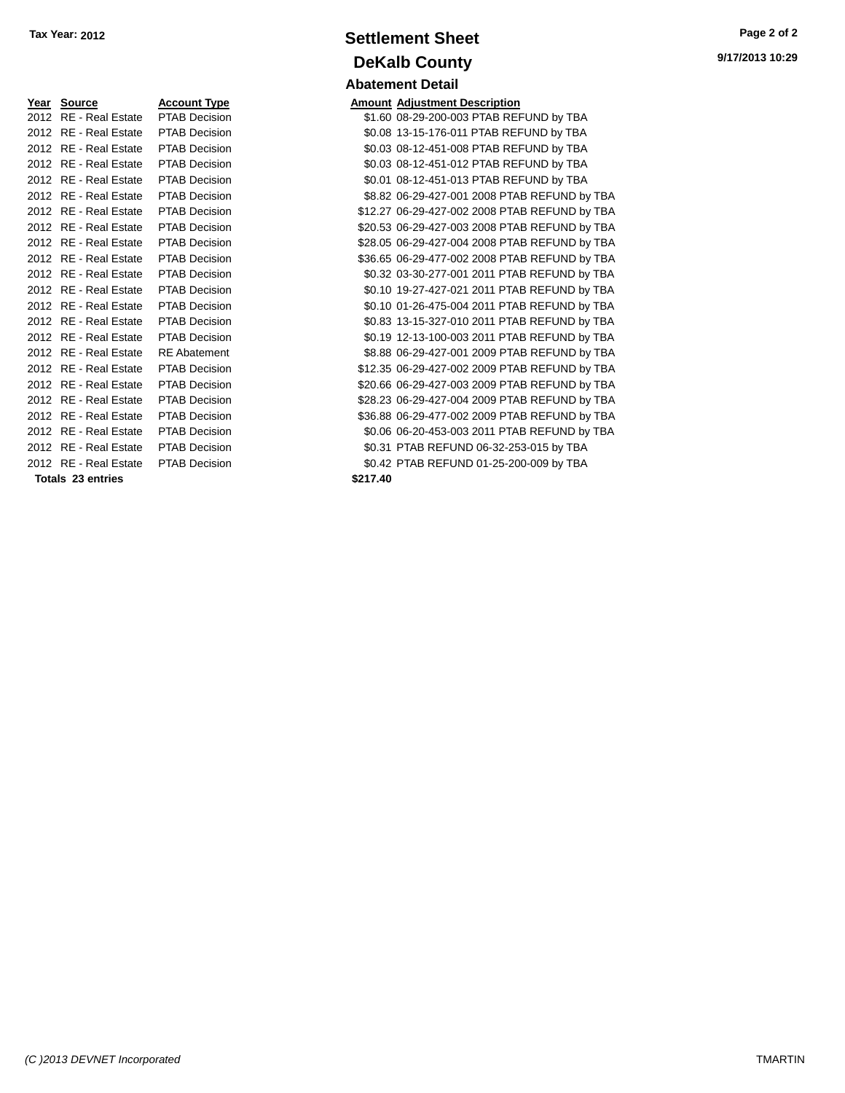| <u>Year</u> | <b>Source</b>            | <u>Account Type</u>  |
|-------------|--------------------------|----------------------|
| 2012        | <b>RE</b> - Real Estate  | <b>PTAB Decisior</b> |
| 2012        | <b>RE</b> - Real Estate  | PTAB Decisior        |
| 2012        | <b>RE</b> - Real Estate  | <b>PTAB Decisior</b> |
| 2012        | <b>RE</b> - Real Estate  | PTAB Decisior        |
| 2012        | <b>RE</b> - Real Estate  | PTAB Decisior        |
| 2012        | <b>RE</b> - Real Estate  | <b>PTAB Decisior</b> |
| 2012        | <b>RE</b> - Real Estate  | PTAB Decisior        |
| 2012        | <b>RE</b> - Real Estate  | <b>PTAB Decisior</b> |
| 2012        | <b>RE</b> - Real Estate  | PTAB Decisior        |
| 2012        | <b>RE</b> - Real Estate  | PTAB Decisior        |
| 2012        | <b>RE</b> - Real Estate  | <b>PTAB Decisior</b> |
| 2012        | <b>RE</b> - Real Estate  | PTAB Decisior        |
| 2012        | <b>RE</b> - Real Estate  | <b>PTAB Decisior</b> |
| 2012        | <b>RE</b> - Real Estate  | PTAB Decisior        |
| 2012        | <b>RE</b> - Real Estate  | PTAB Decisior        |
| 2012        | <b>RE</b> - Real Estate  | RE Abatement         |
| 2012        | <b>RE</b> - Real Estate  | PTAB Decisior        |
| 2012        | <b>RE</b> - Real Estate  | <b>PTAB Decisior</b> |
| 2012        | <b>RE</b> - Real Estate  | PTAB Decisior        |
| 2012        | <b>RE</b> - Real Estate  | <b>PTAB Decisior</b> |
| 2012        | <b>RE</b> - Real Estate  | PTAB Decisior        |
| 2012        | <b>RE</b> - Real Estate  | PTAB Decisior        |
| 2012        | <b>RE</b> - Real Estate  | PTAB Decisior        |
|             | <b>Totals 23 entries</b> |                      |

# **Settlement Sheet Tax Year: 2012 Page 2 of 2 DeKalb County Abatement Detail**

**Year Source Account Type Amount Adjustment Description** 21.60 08-29-200-003 PTAB REFUND by TBA 2012 80.08 13-15-176-011 PTAB REFUND by TBA 2012 80.03 08-12-451-008 PTAB REFUND by TBA 2012 80.03 08-12-451-012 PTAB REFUND by TBA 2010 8-12-451-013 PTAB REFUND by TBA 2012 88.82 106-29-427-001 2008 PTAB REFUND by TBA 212.27 06-29-427-002 2008 PTAB REFUND by TBA n 320.53 06-29-427-003 2008 PTAB REFUND by TBA 2012 RE - Real Estate PTAB Decision \$28.05 06-29-427-004 2008 PTAB REFUND by TBA 011 2012 836.65 06-29-477-002 2008 PTAB REFUND by TBA 2012 80.32 03-30-277-001 2011 PTAB REFUND by TBA 2010 80.10 19-27-427-021 2011 PTAB REFUND by TBA 2011 **CO2012 REAL ESTATE PTAB REFUND by TBA** 2012 80.83 13-15-327-010 2011 PTAB REFUND by TBA 2012 RE - Real Estate PTAB Decision \$0.19 12-13-100-003 2011 PTAB REFUND by TBA 2012 88.88 06-29-427-001 2009 PTAB REFUND by TBA 2012 812.35 06-29-427-002 2009 PTAB REFUND by TBA n 320.66 06-29-427-003 2009 PTAB REFUND by TBA n 328.23 06-29-427-004 2009 PTAB REFUND by TBA 2012 836.88 06-29-477-002 2009 PTAB REFUND by TBA 2012 80.06 06-20-453-003 2011 PTAB REFUND by TBA 1011 **2012 REAL ESTATE PTAB REFUND 06-32-253-015 by TBA** 20142 PTAB REFUND 01-25-200-009 by TBA **Totals 23 entries \$217.40**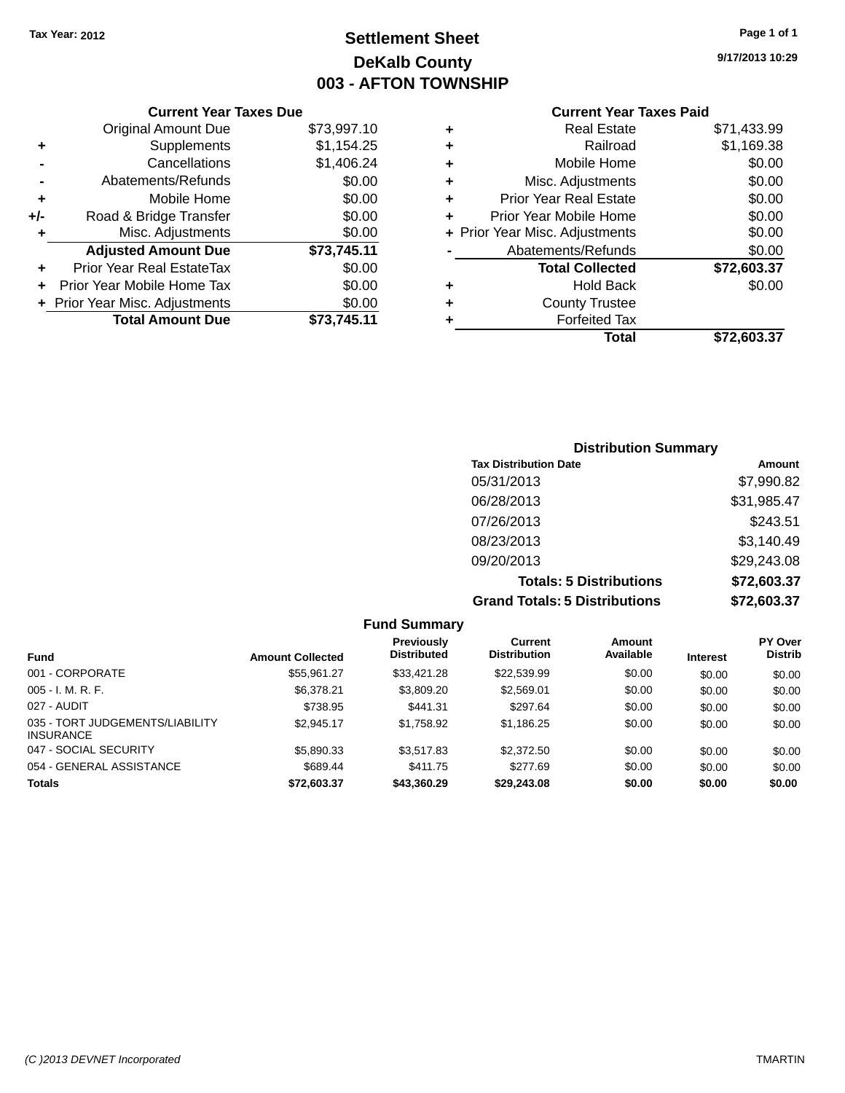## **Settlement Sheet Tax Year: 2012 Page 1 of 1 DeKalb County 003 - AFTON TOWNSHIP**

**9/17/2013 10:29**

|       | <b>Current Year Taxes Due</b>  |             |
|-------|--------------------------------|-------------|
|       | Original Amount Due            | \$73,997.10 |
| ٠     | Supplements                    | \$1,154.25  |
|       | Cancellations                  | \$1,406.24  |
|       | Abatements/Refunds             | \$0.00      |
| ٠     | Mobile Home                    | \$0.00      |
| $+/-$ | Road & Bridge Transfer         | \$0.00      |
| ٠     | Misc. Adjustments              | \$0.00      |
|       | <b>Adjusted Amount Due</b>     | \$73,745.11 |
| ٠     | Prior Year Real EstateTax      | \$0.00      |
|       | Prior Year Mobile Home Tax     | \$0.00      |
|       | + Prior Year Misc. Adjustments | \$0.00      |
|       | <b>Total Amount Due</b>        | \$73,745.11 |
|       |                                |             |

|   | <b>Real Estate</b>             | \$71,433.99 |
|---|--------------------------------|-------------|
| ٠ | Railroad                       | \$1,169.38  |
| ٠ | Mobile Home                    | \$0.00      |
| ٠ | Misc. Adjustments              | \$0.00      |
| ٠ | <b>Prior Year Real Estate</b>  | \$0.00      |
| ٠ | Prior Year Mobile Home         | \$0.00      |
|   | + Prior Year Misc. Adjustments | \$0.00      |
|   | Abatements/Refunds             | \$0.00      |
|   | <b>Total Collected</b>         | \$72,603.37 |
| ٠ | Hold Back                      | \$0.00      |
| ٠ | <b>County Trustee</b>          |             |
| ٠ | <b>Forfeited Tax</b>           |             |
|   | Total                          | \$72,603.37 |
|   |                                |             |

| <b>Distribution Summary</b>          |             |  |  |  |
|--------------------------------------|-------------|--|--|--|
| <b>Tax Distribution Date</b>         | Amount      |  |  |  |
| 05/31/2013                           | \$7,990.82  |  |  |  |
| 06/28/2013                           | \$31,985.47 |  |  |  |
| 07/26/2013                           | \$243.51    |  |  |  |
| 08/23/2013                           | \$3,140.49  |  |  |  |
| 09/20/2013                           | \$29,243.08 |  |  |  |
| <b>Totals: 5 Distributions</b>       | \$72,603.37 |  |  |  |
| <b>Grand Totals: 5 Distributions</b> | \$72,603.37 |  |  |  |

| <b>Fund Summary</b>                                 |                         |                                         |                                       |                     |                 |                                  |
|-----------------------------------------------------|-------------------------|-----------------------------------------|---------------------------------------|---------------------|-----------------|----------------------------------|
| <b>Fund</b>                                         | <b>Amount Collected</b> | <b>Previously</b><br><b>Distributed</b> | <b>Current</b><br><b>Distribution</b> | Amount<br>Available | <b>Interest</b> | <b>PY Over</b><br><b>Distrib</b> |
| 001 - CORPORATE                                     | \$55.961.27             | \$33.421.28                             | \$22,539.99                           | \$0.00              | \$0.00          | \$0.00                           |
| $005 - I. M. R. F.$                                 | \$6.378.21              | \$3,809.20                              | \$2,569.01                            | \$0.00              | \$0.00          | \$0.00                           |
| 027 - AUDIT                                         | \$738.95                | \$441.31                                | \$297.64                              | \$0.00              | \$0.00          | \$0.00                           |
| 035 - TORT JUDGEMENTS/LIABILITY<br><b>INSURANCE</b> | \$2.945.17              | \$1,758.92                              | \$1,186.25                            | \$0.00              | \$0.00          | \$0.00                           |
| 047 - SOCIAL SECURITY                               | \$5,890.33              | \$3.517.83                              | \$2,372.50                            | \$0.00              | \$0.00          | \$0.00                           |
| 054 - GENERAL ASSISTANCE                            | \$689.44                | \$411.75                                | \$277.69                              | \$0.00              | \$0.00          | \$0.00                           |
| <b>Totals</b>                                       | \$72,603.37             | \$43,360,29                             | \$29,243.08                           | \$0.00              | \$0.00          | \$0.00                           |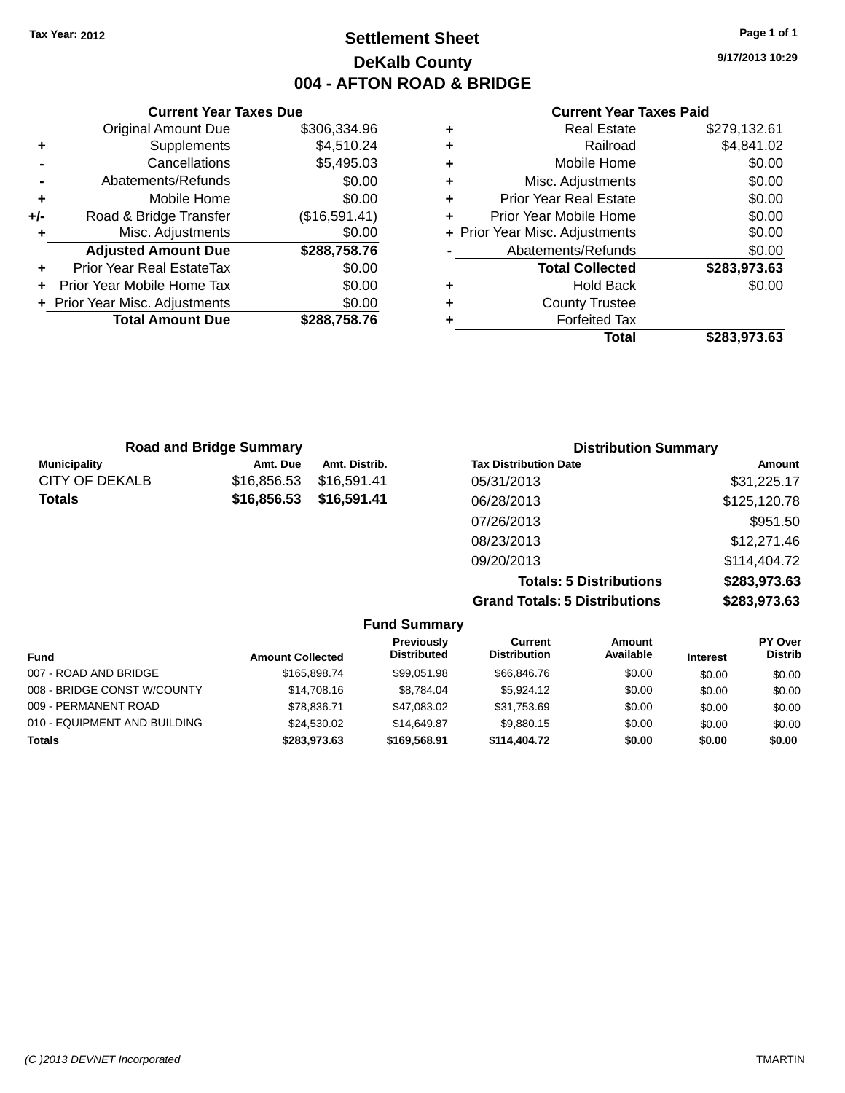### **Settlement Sheet Tax Year: 2012 Page 1 of 1 DeKalb County 004 - AFTON ROAD & BRIDGE**

**9/17/2013 10:29**

#### **Current Year Taxes Paid**

|     | <b>Current Year Taxes Due</b>  |               |
|-----|--------------------------------|---------------|
|     | <b>Original Amount Due</b>     | \$306,334.96  |
| ٠   | Supplements                    | \$4,510.24    |
|     | Cancellations                  | \$5,495.03    |
|     | Abatements/Refunds             | \$0.00        |
| ٠   | Mobile Home                    | \$0.00        |
| +/- | Road & Bridge Transfer         | (\$16,591.41) |
| ٠   | Misc. Adjustments              | \$0.00        |
|     | <b>Adjusted Amount Due</b>     | \$288,758.76  |
| ٠   | Prior Year Real EstateTax      | \$0.00        |
| ÷   | Prior Year Mobile Home Tax     | \$0.00        |
|     | + Prior Year Misc. Adjustments | \$0.00        |
|     | <b>Total Amount Due</b>        | \$288,758.76  |
|     |                                |               |

| ٠ | <b>Real Estate</b>             | \$279,132.61 |
|---|--------------------------------|--------------|
| ٠ | Railroad                       | \$4,841.02   |
| ٠ | Mobile Home                    | \$0.00       |
| ٠ | Misc. Adjustments              | \$0.00       |
| ٠ | <b>Prior Year Real Estate</b>  | \$0.00       |
| ٠ | Prior Year Mobile Home         | \$0.00       |
|   | + Prior Year Misc. Adjustments | \$0.00       |
|   | Abatements/Refunds             | \$0.00       |
|   | <b>Total Collected</b>         | \$283,973.63 |
| ٠ | <b>Hold Back</b>               | \$0.00       |
| ٠ | <b>County Trustee</b>          |              |
| ٠ | <b>Forfeited Tax</b>           |              |
|   | Total                          | \$283,973.63 |
|   |                                |              |

| <b>Road and Bridge Summary</b> |             |               | <b>Distribution Summary</b>    |              |  |
|--------------------------------|-------------|---------------|--------------------------------|--------------|--|
| <b>Municipality</b>            | Amt. Due    | Amt. Distrib. | <b>Tax Distribution Date</b>   | Amount       |  |
| <b>CITY OF DEKALB</b>          | \$16,856.53 | \$16,591.41   | 05/31/2013                     | \$31,225.17  |  |
| <b>Totals</b>                  | \$16,856.53 | \$16,591.41   | 06/28/2013                     | \$125,120.78 |  |
|                                |             |               | 07/26/2013                     | \$951.50     |  |
|                                |             |               | 08/23/2013                     | \$12,271.46  |  |
|                                |             |               | 09/20/2013                     | \$114,404.72 |  |
|                                |             |               | <b>Totals: 5 Distributions</b> | \$283,973.63 |  |

**Grand Totals: 5 Distributions \$283,973.63**

| <b>Fund Summary</b>          |                         |                                         |                                |                     |                 |                           |
|------------------------------|-------------------------|-----------------------------------------|--------------------------------|---------------------|-----------------|---------------------------|
| Fund                         | <b>Amount Collected</b> | <b>Previously</b><br><b>Distributed</b> | Current<br><b>Distribution</b> | Amount<br>Available | <b>Interest</b> | PY Over<br><b>Distrib</b> |
| 007 - ROAD AND BRIDGE        | \$165,898,74            | \$99.051.98                             | \$66,846,76                    | \$0.00              | \$0.00          | \$0.00                    |
| 008 - BRIDGE CONST W/COUNTY  | \$14,708.16             | \$8.784.04                              | \$5.924.12                     | \$0.00              | \$0.00          | \$0.00                    |
| 009 - PERMANENT ROAD         | \$78,836,71             | \$47,083.02                             | \$31,753.69                    | \$0.00              | \$0.00          | \$0.00                    |
| 010 - EQUIPMENT AND BUILDING | \$24,530.02             | \$14,649.87                             | \$9.880.15                     | \$0.00              | \$0.00          | \$0.00                    |
| <b>Totals</b>                | \$283,973,63            | \$169,568.91                            | \$114,404.72                   | \$0.00              | \$0.00          | \$0.00                    |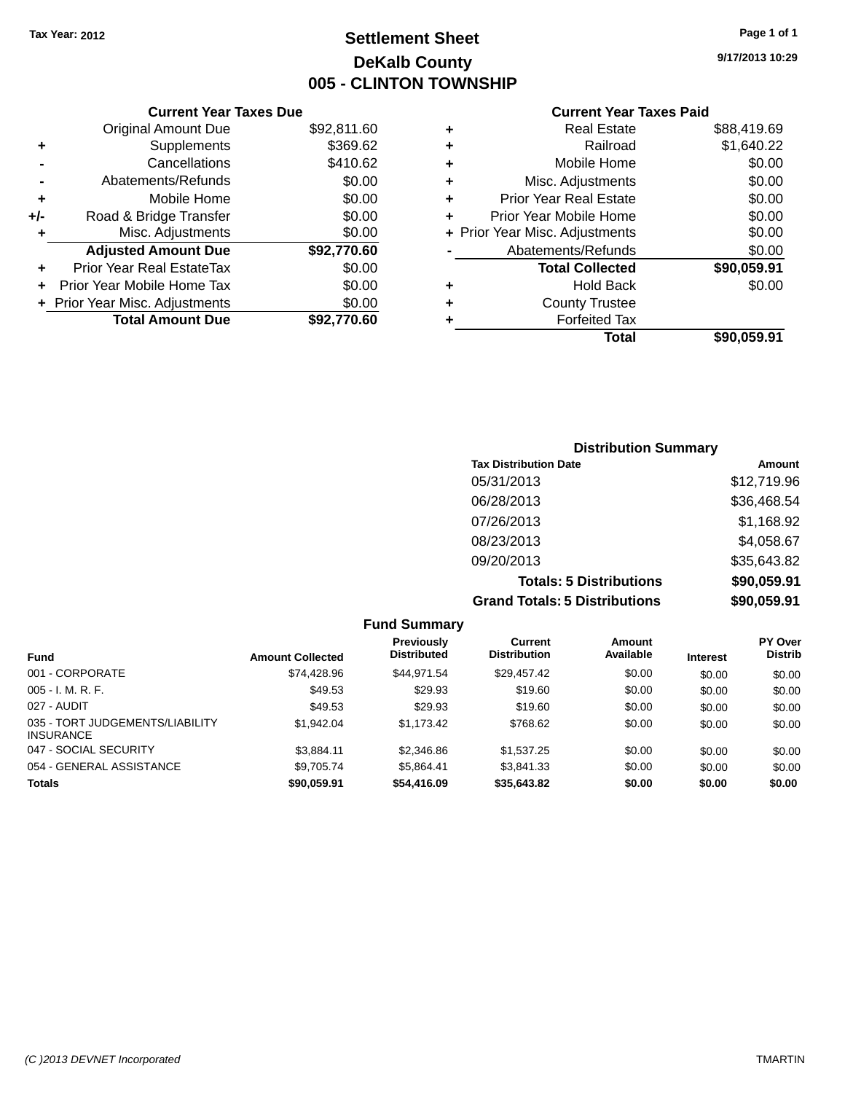### **Settlement Sheet Tax Year: 2012 Page 1 of 1 DeKalb County 005 - CLINTON TOWNSHIP**

**9/17/2013 10:29**

#### **Current Year Taxes Paid**

|     | <b>Current Year Taxes Due</b>  |             |
|-----|--------------------------------|-------------|
|     | <b>Original Amount Due</b>     | \$92,811.60 |
| ٠   | Supplements                    | \$369.62    |
|     | Cancellations                  | \$410.62    |
|     | Abatements/Refunds             | \$0.00      |
| ٠   | Mobile Home                    | \$0.00      |
| +/- | Road & Bridge Transfer         | \$0.00      |
|     | Misc. Adjustments              | \$0.00      |
|     | <b>Adjusted Amount Due</b>     | \$92,770.60 |
| ÷   | Prior Year Real EstateTax      | \$0.00      |
|     | Prior Year Mobile Home Tax     | \$0.00      |
|     | + Prior Year Misc. Adjustments | \$0.00      |
|     | <b>Total Amount Due</b>        | \$92.770.60 |
|     |                                |             |

| ٠ | <b>Real Estate</b>             | \$88,419.69 |
|---|--------------------------------|-------------|
| ٠ | Railroad                       | \$1,640.22  |
| ٠ | Mobile Home                    | \$0.00      |
| ٠ | Misc. Adjustments              | \$0.00      |
| ٠ | Prior Year Real Estate         | \$0.00      |
| ٠ | Prior Year Mobile Home         | \$0.00      |
|   | + Prior Year Misc. Adjustments | \$0.00      |
|   | Abatements/Refunds             | \$0.00      |
|   | <b>Total Collected</b>         | \$90,059.91 |
| ٠ | Hold Back                      | \$0.00      |
| ٠ | <b>County Trustee</b>          |             |
| ٠ | <b>Forfeited Tax</b>           |             |
|   | Total                          | \$90,059.91 |
|   |                                |             |

### **Distribution Summary Tax Distribution Date Amount** 05/31/2013 \$12,719.96 06/28/2013 \$36,468.54 07/26/2013 \$1,168.92 08/23/2013 \$4,058.67 09/20/2013 \$35,643.82 **Totals: 5 Distributions \$90,059.91 Grand Totals: 5 Distributions \$90,059.91**

| <b>Fund Summary</b>                                 |                         |                                  |                                |                     |                 |                                  |
|-----------------------------------------------------|-------------------------|----------------------------------|--------------------------------|---------------------|-----------------|----------------------------------|
| <b>Fund</b>                                         | <b>Amount Collected</b> | Previously<br><b>Distributed</b> | Current<br><b>Distribution</b> | Amount<br>Available | <b>Interest</b> | <b>PY Over</b><br><b>Distrib</b> |
| 001 - CORPORATE                                     | \$74.428.96             | \$44.971.54                      | \$29,457.42                    | \$0.00              | \$0.00          | \$0.00                           |
| $005 - I. M. R. F.$                                 | \$49.53                 | \$29.93                          | \$19.60                        | \$0.00              | \$0.00          | \$0.00                           |
| 027 - AUDIT                                         | \$49.53                 | \$29.93                          | \$19.60                        | \$0.00              | \$0.00          | \$0.00                           |
| 035 - TORT JUDGEMENTS/LIABILITY<br><b>INSURANCE</b> | \$1,942.04              | \$1,173.42                       | \$768.62                       | \$0.00              | \$0.00          | \$0.00                           |
| 047 - SOCIAL SECURITY                               | \$3,884.11              | \$2,346.86                       | \$1,537.25                     | \$0.00              | \$0.00          | \$0.00                           |
| 054 - GENERAL ASSISTANCE                            | \$9.705.74              | \$5.864.41                       | \$3,841.33                     | \$0.00              | \$0.00          | \$0.00                           |
| <b>Totals</b>                                       | \$90,059.91             | \$54,416.09                      | \$35,643.82                    | \$0.00              | \$0.00          | \$0.00                           |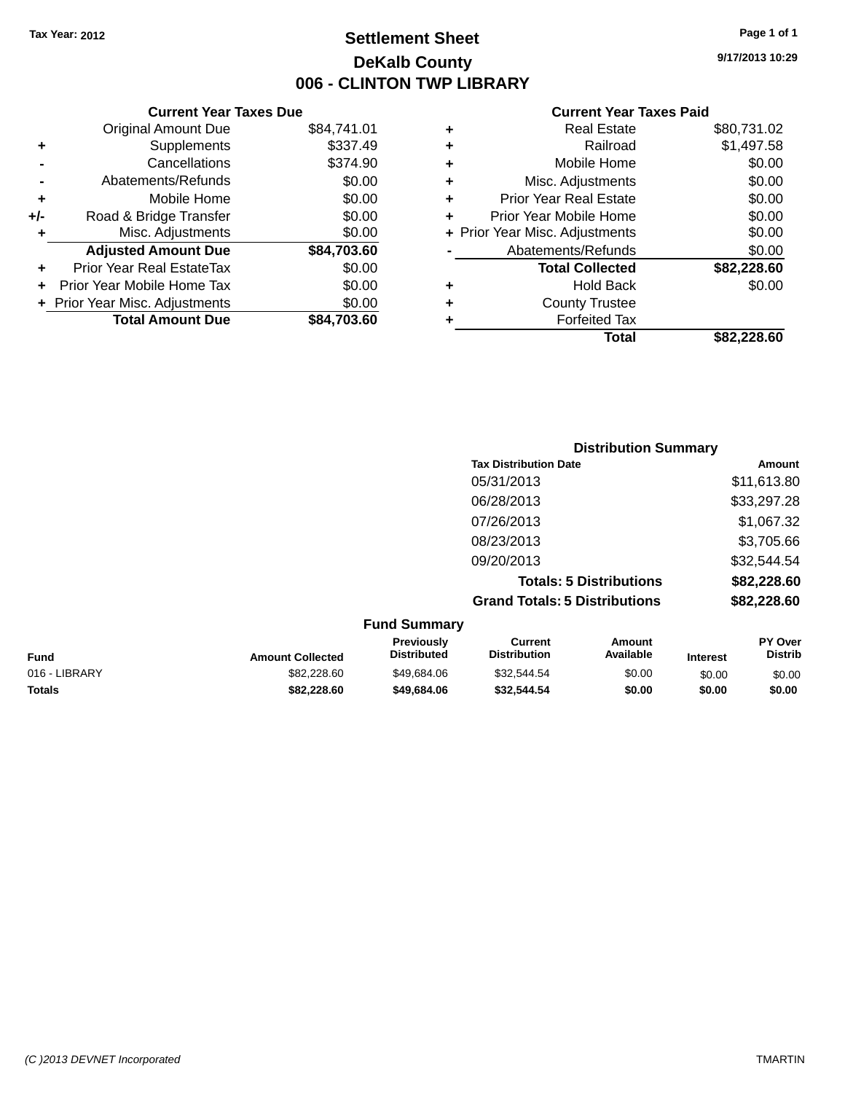### **Settlement Sheet Tax Year: 2012 Page 1 of 1 DeKalb County 006 - CLINTON TWP LIBRARY**

**9/17/2013 10:29**

|     | <b>Current Year Taxes Due</b>  |             |
|-----|--------------------------------|-------------|
|     | <b>Original Amount Due</b>     | \$84,741.01 |
| ٠   | Supplements                    | \$337.49    |
|     | Cancellations                  | \$374.90    |
|     | Abatements/Refunds             | \$0.00      |
| ٠   | Mobile Home                    | \$0.00      |
| +/- | Road & Bridge Transfer         | \$0.00      |
| ٠   | Misc. Adjustments              | \$0.00      |
|     | <b>Adjusted Amount Due</b>     | \$84,703.60 |
| ÷   | Prior Year Real EstateTax      | \$0.00      |
|     | Prior Year Mobile Home Tax     | \$0.00      |
|     | + Prior Year Misc. Adjustments | \$0.00      |
|     | <b>Total Amount Due</b>        | \$84.703.60 |
|     |                                |             |

| ٠ | <b>Real Estate</b>             | \$80,731.02 |
|---|--------------------------------|-------------|
| ٠ | Railroad                       | \$1,497.58  |
| ٠ | Mobile Home                    | \$0.00      |
| ٠ | Misc. Adjustments              | \$0.00      |
| ٠ | <b>Prior Year Real Estate</b>  | \$0.00      |
| ÷ | Prior Year Mobile Home         | \$0.00      |
|   | + Prior Year Misc. Adjustments | \$0.00      |
|   | Abatements/Refunds             | \$0.00      |
|   | <b>Total Collected</b>         | \$82,228.60 |
| ÷ | Hold Back                      | \$0.00      |
| ÷ | <b>County Trustee</b>          |             |
| ٠ | <b>Forfeited Tax</b>           |             |
|   | Total                          | \$82,228.60 |
|   |                                |             |

|                     | <b>Distribution Summary</b>          |             |
|---------------------|--------------------------------------|-------------|
|                     | <b>Tax Distribution Date</b>         | Amount      |
|                     | 05/31/2013                           | \$11,613.80 |
|                     | 06/28/2013                           | \$33,297.28 |
|                     | 07/26/2013                           | \$1,067.32  |
|                     | 08/23/2013                           | \$3,705.66  |
|                     | 09/20/2013                           | \$32,544.54 |
|                     | <b>Totals: 5 Distributions</b>       | \$82,228.60 |
|                     | <b>Grand Totals: 5 Distributions</b> | \$82,228.60 |
| <b>Fund Summary</b> |                                      |             |

|               |                         | <b>URIU VURINIU Y</b>                   |                                |                     |                 |                                  |
|---------------|-------------------------|-----------------------------------------|--------------------------------|---------------------|-----------------|----------------------------------|
| Fund          | <b>Amount Collected</b> | <b>Previously</b><br><b>Distributed</b> | Current<br><b>Distribution</b> | Amount<br>Available | <b>Interest</b> | <b>PY Over</b><br><b>Distrib</b> |
| 016 - LIBRARY | \$82,228.60             | \$49.684.06                             | \$32,544.54                    | \$0.00              | \$0.00          | \$0.00                           |
| Totals        | \$82,228.60             | \$49,684,06                             | \$32.544.54                    | \$0.00              | \$0.00          | \$0.00                           |
|               |                         |                                         |                                |                     |                 |                                  |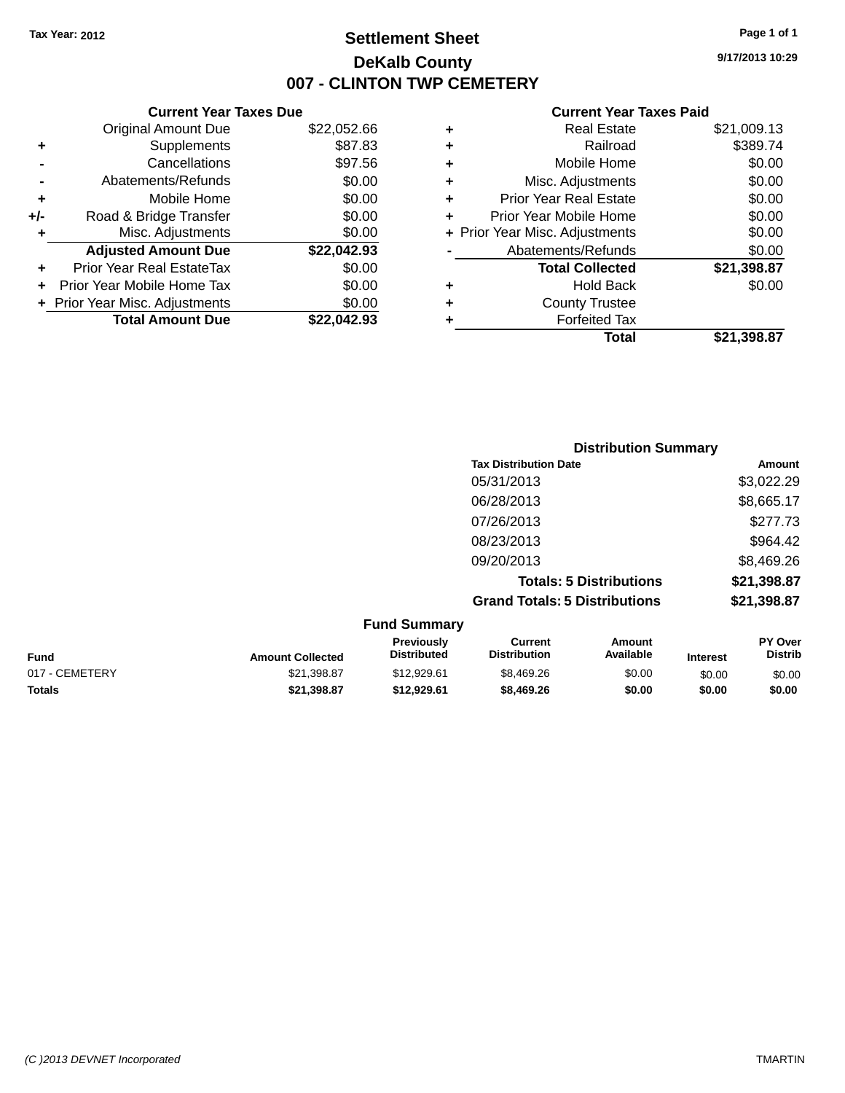### **Settlement Sheet Tax Year: 2012 Page 1 of 1 DeKalb County 007 - CLINTON TWP CEMETERY**

**9/17/2013 10:29**

|     | <b>Current Year Taxes Due</b>  |             |  |  |
|-----|--------------------------------|-------------|--|--|
|     | <b>Original Amount Due</b>     | \$22,052.66 |  |  |
| ٠   | Supplements                    | \$87.83     |  |  |
|     | Cancellations                  | \$97.56     |  |  |
|     | Abatements/Refunds             | \$0.00      |  |  |
| ٠   | Mobile Home                    | \$0.00      |  |  |
| +/- | Road & Bridge Transfer         | \$0.00      |  |  |
| ٠   | Misc. Adjustments              | \$0.00      |  |  |
|     | <b>Adjusted Amount Due</b>     | \$22,042.93 |  |  |
|     | Prior Year Real EstateTax      | \$0.00      |  |  |
|     | Prior Year Mobile Home Tax     | \$0.00      |  |  |
|     | + Prior Year Misc. Adjustments | \$0.00      |  |  |
|     | <b>Total Amount Due</b>        | \$22.042.93 |  |  |
|     |                                |             |  |  |

| ٠ | <b>Real Estate</b>             | \$21,009.13 |
|---|--------------------------------|-------------|
| ٠ | Railroad                       | \$389.74    |
| ٠ | Mobile Home                    | \$0.00      |
| ٠ | Misc. Adjustments              | \$0.00      |
| ٠ | <b>Prior Year Real Estate</b>  | \$0.00      |
| ٠ | Prior Year Mobile Home         | \$0.00      |
|   | + Prior Year Misc. Adjustments | \$0.00      |
|   | Abatements/Refunds             | \$0.00      |
|   | <b>Total Collected</b>         | \$21,398.87 |
| ٠ | Hold Back                      | \$0.00      |
| ٠ | <b>County Trustee</b>          |             |
| ٠ | <b>Forfeited Tax</b>           |             |
|   | Total                          | \$21,398.87 |
|   |                                |             |

|         | <b>Distribution Summary</b>          |             |
|---------|--------------------------------------|-------------|
|         | <b>Tax Distribution Date</b>         | Amount      |
|         | 05/31/2013                           | \$3,022.29  |
|         | 06/28/2013                           | \$8,665.17  |
|         | 07/26/2013                           | \$277.73    |
|         | 08/23/2013                           | \$964.42    |
|         | 09/20/2013                           | \$8,469.26  |
|         | <b>Totals: 5 Distributions</b>       | \$21,398.87 |
|         | <b>Grand Totals: 5 Distributions</b> | \$21,398.87 |
| $E_{t}$ |                                      |             |

| <b>Amount Collected</b> | <b>Previously</b><br><b>Distributed</b> | Current<br><b>Distribution</b> | Amount<br>Available | <b>Interest</b> | <b>PY Over</b><br><b>Distrib</b> |
|-------------------------|-----------------------------------------|--------------------------------|---------------------|-----------------|----------------------------------|
| \$21,398.87             | \$12,929.61                             | \$8.469.26                     | \$0.00              | \$0.00          | \$0.00                           |
| \$21.398.87             | \$12,929.61                             | \$8,469.26                     | \$0.00              | \$0.00          | \$0.00                           |
|                         |                                         | <b>Fund Summary</b>            |                     |                 |                                  |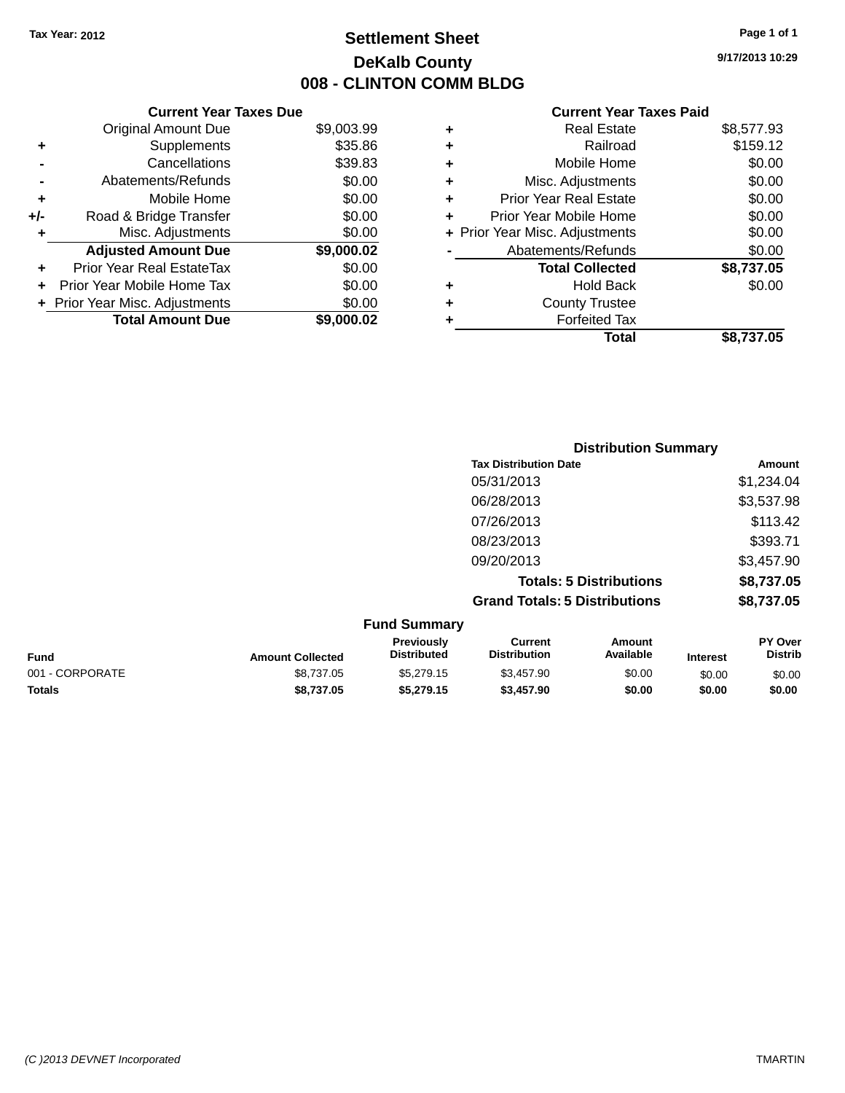### **Settlement Sheet Tax Year: 2012 Page 1 of 1 DeKalb County 008 - CLINTON COMM BLDG**

**9/17/2013 10:29**

|     | <b>Current Year Taxes Due</b>  |            |  |  |
|-----|--------------------------------|------------|--|--|
|     | <b>Original Amount Due</b>     | \$9,003.99 |  |  |
| ٠   | Supplements                    | \$35.86    |  |  |
|     | Cancellations                  | \$39.83    |  |  |
|     | Abatements/Refunds             | \$0.00     |  |  |
| ٠   | Mobile Home                    | \$0.00     |  |  |
| +/- | Road & Bridge Transfer         | \$0.00     |  |  |
| ٠   | Misc. Adjustments              | \$0.00     |  |  |
|     | <b>Adjusted Amount Due</b>     | \$9,000.02 |  |  |
| ٠   | Prior Year Real EstateTax      | \$0.00     |  |  |
| ÷   | Prior Year Mobile Home Tax     | \$0.00     |  |  |
|     | + Prior Year Misc. Adjustments | \$0.00     |  |  |
|     | <b>Total Amount Due</b>        | \$9,000.02 |  |  |

|   | <b>Real Estate</b>             | \$8,577.93 |
|---|--------------------------------|------------|
| ٠ | Railroad                       | \$159.12   |
| ٠ | Mobile Home                    | \$0.00     |
| ٠ | Misc. Adjustments              | \$0.00     |
| ٠ | Prior Year Real Estate         | \$0.00     |
| ٠ | Prior Year Mobile Home         | \$0.00     |
|   | + Prior Year Misc. Adjustments | \$0.00     |
|   | Abatements/Refunds             | \$0.00     |
|   | <b>Total Collected</b>         | \$8,737.05 |
| ٠ | Hold Back                      | \$0.00     |
| ٠ | <b>County Trustee</b>          |            |
| ٠ | <b>Forfeited Tax</b>           |            |
|   | Total                          | \$8,737.05 |
|   |                                |            |

|                     | <b>Distribution Summary</b>          |            |  |
|---------------------|--------------------------------------|------------|--|
|                     | <b>Tax Distribution Date</b>         | Amount     |  |
|                     | 05/31/2013                           | \$1,234.04 |  |
|                     | 06/28/2013                           | \$3,537.98 |  |
|                     | 07/26/2013                           | \$113.42   |  |
|                     | 08/23/2013                           | \$393.71   |  |
|                     | 09/20/2013                           | \$3,457.90 |  |
|                     | <b>Totals: 5 Distributions</b>       | \$8,737.05 |  |
|                     | <b>Grand Totals: 5 Distributions</b> | \$8,737.05 |  |
| <b>Fund Summary</b> |                                      |            |  |

|                 |                         | י שווש טשוויושו ו                       |                                |                     |                 |                                  |
|-----------------|-------------------------|-----------------------------------------|--------------------------------|---------------------|-----------------|----------------------------------|
| <b>Fund</b>     | <b>Amount Collected</b> | <b>Previously</b><br><b>Distributed</b> | Current<br><b>Distribution</b> | Amount<br>Available | <b>Interest</b> | <b>PY Over</b><br><b>Distrib</b> |
| 001 - CORPORATE | \$8,737,05              | \$5,279.15                              | \$3,457.90                     | \$0.00              | \$0.00          | \$0.00                           |
| <b>Totals</b>   | \$8,737,05              | \$5.279.15                              | \$3,457.90                     | \$0.00              | \$0.00          | \$0.00                           |
|                 |                         |                                         |                                |                     |                 |                                  |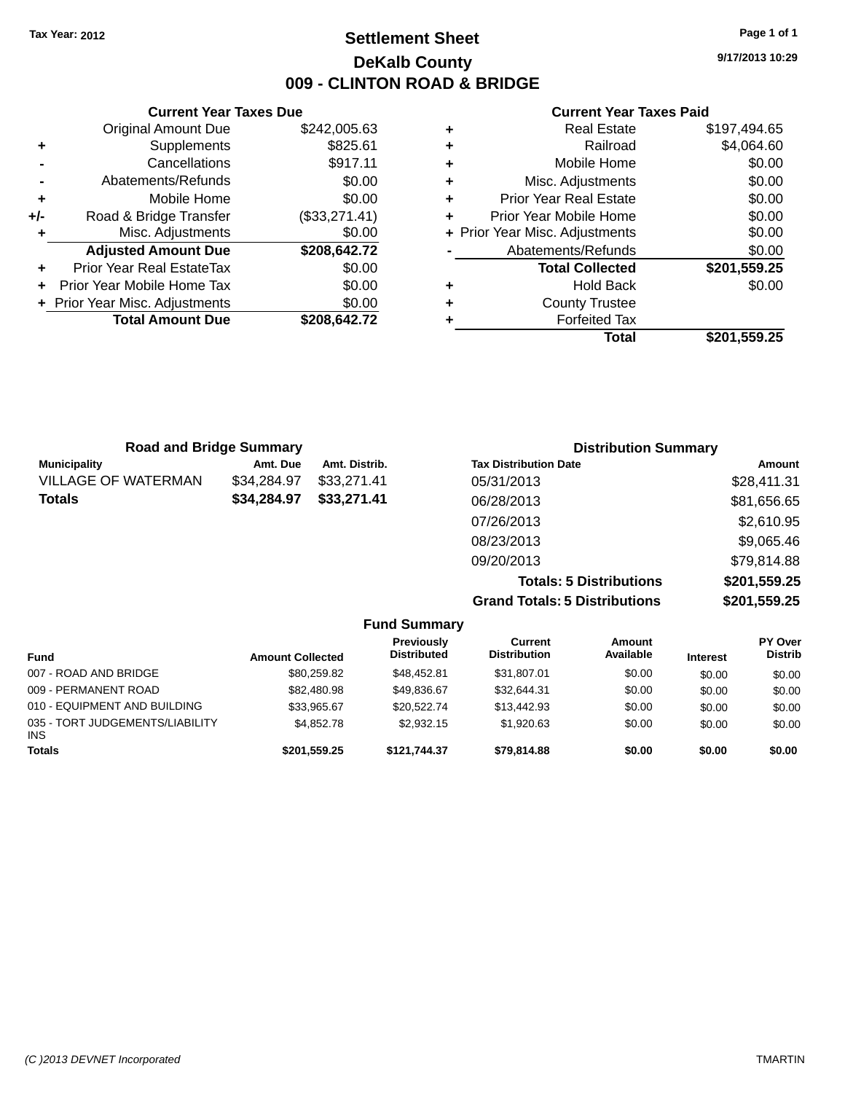### **Settlement Sheet Tax Year: 2012 Page 1 of 1 DeKalb County 009 - CLINTON ROAD & BRIDGE**

**9/17/2013 10:29**

#### **Current Year Taxes Paid**

|     | <b>Current Year Taxes Due</b>  |               |
|-----|--------------------------------|---------------|
|     | <b>Original Amount Due</b>     | \$242,005.63  |
| ٠   | Supplements                    | \$825.61      |
|     | Cancellations                  | \$917.11      |
|     | Abatements/Refunds             | \$0.00        |
| ٠   | Mobile Home                    | \$0.00        |
| +/- | Road & Bridge Transfer         | (\$33,271.41) |
|     | Misc. Adjustments              | \$0.00        |
|     | <b>Adjusted Amount Due</b>     | \$208,642.72  |
|     | Prior Year Real EstateTax      | \$0.00        |
|     | Prior Year Mobile Home Tax     | \$0.00        |
|     | + Prior Year Misc. Adjustments | \$0.00        |
|     | <b>Total Amount Due</b>        | \$208.642.72  |
|     |                                |               |

|   | Total                          | \$201,559.25 |
|---|--------------------------------|--------------|
| ٠ | <b>Forfeited Tax</b>           |              |
| ٠ | <b>County Trustee</b>          |              |
| ٠ | <b>Hold Back</b>               | \$0.00       |
|   | <b>Total Collected</b>         | \$201,559.25 |
|   | Abatements/Refunds             | \$0.00       |
|   | + Prior Year Misc. Adjustments | \$0.00       |
| ٠ | Prior Year Mobile Home         | \$0.00       |
| ٠ | <b>Prior Year Real Estate</b>  | \$0.00       |
| ٠ | Misc. Adjustments              | \$0.00       |
| ٠ | Mobile Home                    | \$0.00       |
| ٠ | Railroad                       | \$4,064.60   |
|   | <b>Real Estate</b>             | \$197,494.65 |

| <b>Road and Bridge Summary</b> |             |               | <b>Distribution Summary</b>    |              |
|--------------------------------|-------------|---------------|--------------------------------|--------------|
| <b>Municipality</b>            | Amt. Due    | Amt. Distrib. | <b>Tax Distribution Date</b>   | Amount       |
| VILLAGE OF WATERMAN            | \$34.284.97 | \$33.271.41   | 05/31/2013                     | \$28,411.31  |
| Totals                         | \$34,284.97 | \$33,271.41   | 06/28/2013                     | \$81,656.65  |
|                                |             |               | 07/26/2013                     | \$2,610.95   |
|                                |             |               | 08/23/2013                     | \$9,065.46   |
|                                |             |               | 09/20/2013                     | \$79,814.88  |
|                                |             |               | <b>Totals: 5 Distributions</b> | \$201,559.25 |

**Grand Totals: 5 Distributions \$201,559.25**

| <b>Fund Summary</b>                           |                         |                                  |                                |                     |                 |                                  |  |
|-----------------------------------------------|-------------------------|----------------------------------|--------------------------------|---------------------|-----------------|----------------------------------|--|
| Fund                                          | <b>Amount Collected</b> | Previously<br><b>Distributed</b> | Current<br><b>Distribution</b> | Amount<br>Available | <b>Interest</b> | <b>PY Over</b><br><b>Distrib</b> |  |
| 007 - ROAD AND BRIDGE                         | \$80,259.82             | \$48,452.81                      | \$31,807.01                    | \$0.00              | \$0.00          | \$0.00                           |  |
| 009 - PERMANENT ROAD                          | \$82,480.98             | \$49.836.67                      | \$32,644.31                    | \$0.00              | \$0.00          | \$0.00                           |  |
| 010 - EQUIPMENT AND BUILDING                  | \$33,965.67             | \$20,522,74                      | \$13,442.93                    | \$0.00              | \$0.00          | \$0.00                           |  |
| 035 - TORT JUDGEMENTS/LIABILITY<br><b>INS</b> | \$4.852.78              | \$2.932.15                       | \$1,920.63                     | \$0.00              | \$0.00          | \$0.00                           |  |
| <b>Totals</b>                                 | \$201,559.25            | \$121.744.37                     | \$79,814.88                    | \$0.00              | \$0.00          | \$0.00                           |  |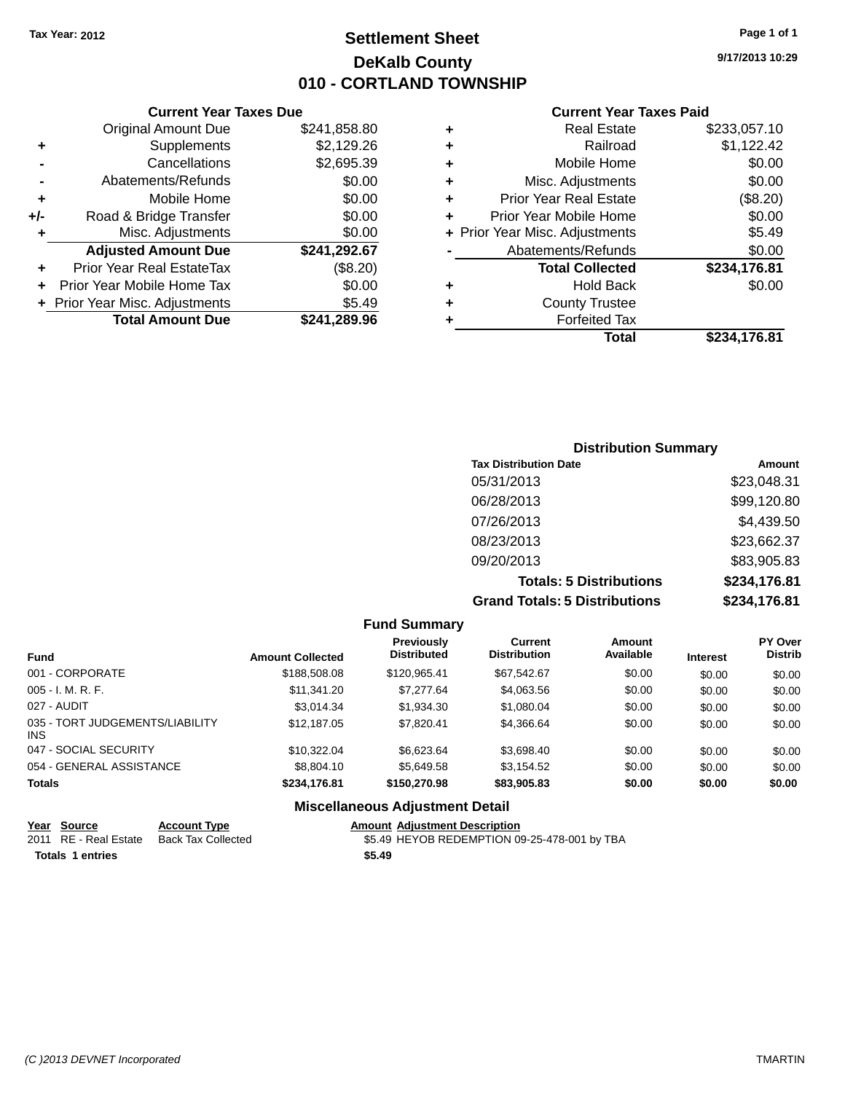### **Settlement Sheet Tax Year: 2012 Page 1 of 1 DeKalb County 010 - CORTLAND TOWNSHIP**

**9/17/2013 10:29**

#### **Current Year Taxes Paid**

|       | <b>Current Year Taxes Due</b>  |              |
|-------|--------------------------------|--------------|
|       | <b>Original Amount Due</b>     | \$241,858.80 |
| ٠     | Supplements                    | \$2,129.26   |
|       | Cancellations                  | \$2,695.39   |
|       | Abatements/Refunds             | \$0.00       |
| ÷     | Mobile Home                    | \$0.00       |
| $+/-$ | Road & Bridge Transfer         | \$0.00       |
|       | Misc. Adjustments              | \$0.00       |
|       | <b>Adjusted Amount Due</b>     | \$241,292.67 |
|       | Prior Year Real EstateTax      | (\$8.20)     |
|       | Prior Year Mobile Home Tax     | \$0.00       |
|       | + Prior Year Misc. Adjustments | \$5.49       |
|       | <b>Total Amount Due</b>        | \$241,289.96 |
|       |                                |              |

| ٠ | <b>Real Estate</b>             | \$233,057.10 |
|---|--------------------------------|--------------|
| ٠ | Railroad                       | \$1,122.42   |
| ٠ | Mobile Home                    | \$0.00       |
| ٠ | Misc. Adjustments              | \$0.00       |
| ٠ | <b>Prior Year Real Estate</b>  | (\$8.20)     |
| ٠ | Prior Year Mobile Home         | \$0.00       |
|   | + Prior Year Misc. Adjustments | \$5.49       |
|   | Abatements/Refunds             | \$0.00       |
|   | <b>Total Collected</b>         | \$234,176.81 |
| ٠ | <b>Hold Back</b>               | \$0.00       |
| ٠ | <b>County Trustee</b>          |              |
| ٠ | <b>Forfeited Tax</b>           |              |
|   | Total                          | \$234,176.81 |
|   |                                |              |

| <b>Distribution Summary</b>          |              |
|--------------------------------------|--------------|
| <b>Tax Distribution Date</b>         | Amount       |
| 05/31/2013                           | \$23,048.31  |
| 06/28/2013                           | \$99,120.80  |
| 07/26/2013                           | \$4,439.50   |
| 08/23/2013                           | \$23,662.37  |
| 09/20/2013                           | \$83,905.83  |
| <b>Totals: 5 Distributions</b>       | \$234,176.81 |
| <b>Grand Totals: 5 Distributions</b> | \$234,176.81 |

|                                         |                         | <b>Fund Summary</b>                     |                                       |                     |                 |                           |
|-----------------------------------------|-------------------------|-----------------------------------------|---------------------------------------|---------------------|-----------------|---------------------------|
| <b>Fund</b>                             | <b>Amount Collected</b> | <b>Previously</b><br><b>Distributed</b> | <b>Current</b><br><b>Distribution</b> | Amount<br>Available | <b>Interest</b> | PY Over<br><b>Distrib</b> |
| 001 - CORPORATE                         | \$188,508.08            | \$120.965.41                            | \$67,542.67                           | \$0.00              | \$0.00          | \$0.00                    |
| $005 - I. M. R. F.$                     | \$11.341.20             | \$7,277.64                              | \$4,063.56                            | \$0.00              | \$0.00          | \$0.00                    |
| 027 - AUDIT                             | \$3.014.34              | \$1,934.30                              | \$1,080.04                            | \$0.00              | \$0.00          | \$0.00                    |
| 035 - TORT JUDGEMENTS/LIABILITY<br>INS. | \$12.187.05             | \$7.820.41                              | \$4,366.64                            | \$0.00              | \$0.00          | \$0.00                    |
| 047 - SOCIAL SECURITY                   | \$10.322.04             | \$6,623.64                              | \$3,698.40                            | \$0.00              | \$0.00          | \$0.00                    |
| 054 - GENERAL ASSISTANCE                | \$8,804.10              | \$5.649.58                              | \$3,154.52                            | \$0.00              | \$0.00          | \$0.00                    |
| <b>Totals</b>                           | \$234,176.81            | \$150,270.98                            | \$83,905.83                           | \$0.00              | \$0.00          | \$0.00                    |
|                                         |                         | <b>Miscellaneous Adjustment Detail</b>  |                                       |                     |                 |                           |

# **Year** Source **Account Type Account Adjustment Description**

|                         | 2011 RE - Real Estate Back Tax Collected | \$5.49 HEYOB REDEMPTION 09-25-478-001 by TBA |
|-------------------------|------------------------------------------|----------------------------------------------|
| <b>Totals 1 entries</b> |                                          | \$5.49                                       |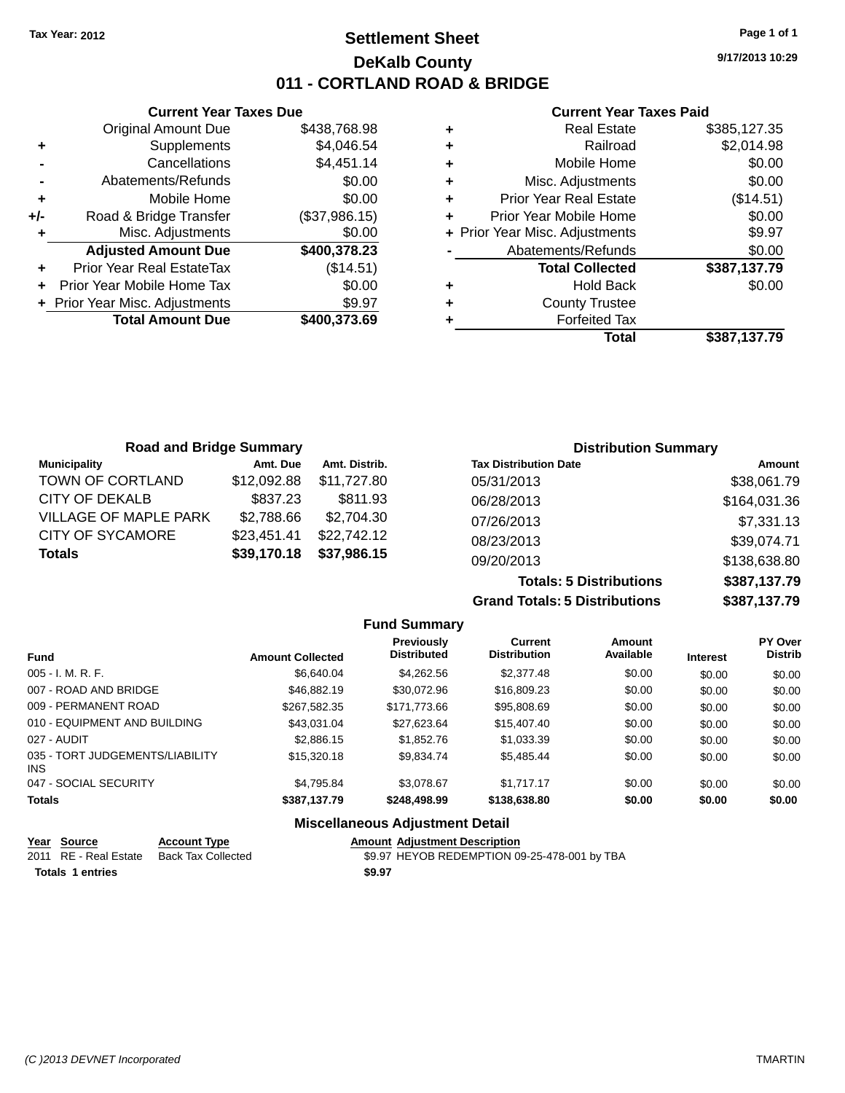### **Settlement Sheet Tax Year: 2012 Page 1 of 1 DeKalb County 011 - CORTLAND ROAD & BRIDGE**

**9/17/2013 10:29**

#### **Current Year Taxes Paid**

|     | <b>Current Year Taxes Due</b>  |               |  |  |  |
|-----|--------------------------------|---------------|--|--|--|
|     | <b>Original Amount Due</b>     | \$438,768.98  |  |  |  |
| ٠   | Supplements                    | \$4,046.54    |  |  |  |
|     | Cancellations                  | \$4,451.14    |  |  |  |
|     | Abatements/Refunds             | \$0.00        |  |  |  |
| ٠   | Mobile Home                    | \$0.00        |  |  |  |
| +/- | Road & Bridge Transfer         | (\$37,986.15) |  |  |  |
|     | Misc. Adjustments              | \$0.00        |  |  |  |
|     | <b>Adjusted Amount Due</b>     | \$400,378.23  |  |  |  |
| ٠   | Prior Year Real EstateTax      | (\$14.51)     |  |  |  |
|     | Prior Year Mobile Home Tax     | \$0.00        |  |  |  |
|     | + Prior Year Misc. Adjustments | \$9.97        |  |  |  |
|     | <b>Total Amount Due</b>        | \$400,373.69  |  |  |  |
|     |                                |               |  |  |  |

| <b>Real Estate</b>            | \$385,127.35                   |
|-------------------------------|--------------------------------|
| Railroad                      | \$2,014.98                     |
| Mobile Home                   | \$0.00                         |
| Misc. Adjustments             | \$0.00                         |
| <b>Prior Year Real Estate</b> | (\$14.51)                      |
| Prior Year Mobile Home        | \$0.00                         |
|                               | \$9.97                         |
| Abatements/Refunds            | \$0.00                         |
| <b>Total Collected</b>        | \$387,137.79                   |
| <b>Hold Back</b>              | \$0.00                         |
| <b>County Trustee</b>         |                                |
| <b>Forfeited Tax</b>          |                                |
| Total                         | \$387,137.79                   |
|                               | + Prior Year Misc. Adjustments |

| <b>Road and Bridge Summary</b> |             |               | <b>Distribution Summary</b>  |              |
|--------------------------------|-------------|---------------|------------------------------|--------------|
| <b>Municipality</b>            | Amt. Due    | Amt. Distrib. | <b>Tax Distribution Date</b> | Amount       |
| TOWN OF CORTLAND               | \$12,092.88 | \$11,727.80   | 05/31/2013                   | \$38,061.79  |
| <b>CITY OF DEKALB</b>          | \$837.23    | \$811.93      | 06/28/2013                   | \$164,031.36 |
| <b>VILLAGE OF MAPLE PARK</b>   | \$2,788.66  | \$2,704.30    | 07/26/2013                   | \$7,331.13   |
| <b>CITY OF SYCAMORE</b>        | \$23,451.41 | \$22,742.12   | 08/23/2013                   | \$39,074.71  |
| <b>Totals</b>                  | \$39,170.18 | \$37,986.15   | 09/20/2013                   | \$138,638.80 |
|                                |             |               |                              |              |

**Totals: 5 Distributions \$387,137.79 Grand Totals: 5 Distributions \$387,137.79**

|                                         |                         | <b>Fund Summary</b>              |                                       |                     |                 |                           |
|-----------------------------------------|-------------------------|----------------------------------|---------------------------------------|---------------------|-----------------|---------------------------|
| <b>Fund</b>                             | <b>Amount Collected</b> | Previously<br><b>Distributed</b> | <b>Current</b><br><b>Distribution</b> | Amount<br>Available | <b>Interest</b> | PY Over<br><b>Distrib</b> |
| $005 - I. M. R. F.$                     | \$6.640.04              | \$4.262.56                       | \$2,377.48                            | \$0.00              | \$0.00          | \$0.00                    |
| 007 - ROAD AND BRIDGE                   | \$46,882.19             | \$30.072.96                      | \$16,809.23                           | \$0.00              | \$0.00          | \$0.00                    |
| 009 - PERMANENT ROAD                    | \$267.582.35            | \$171.773.66                     | \$95,808.69                           | \$0.00              | \$0.00          | \$0.00                    |
| 010 - EQUIPMENT AND BUILDING            | \$43.031.04             | \$27.623.64                      | \$15,407.40                           | \$0.00              | \$0.00          | \$0.00                    |
| 027 - AUDIT                             | \$2,886.15              | \$1,852.76                       | \$1.033.39                            | \$0.00              | \$0.00          | \$0.00                    |
| 035 - TORT JUDGEMENTS/LIABILITY<br>INS. | \$15,320.18             | \$9.834.74                       | \$5.485.44                            | \$0.00              | \$0.00          | \$0.00                    |
| 047 - SOCIAL SECURITY                   | \$4.795.84              | \$3.078.67                       | \$1.717.17                            | \$0.00              | \$0.00          | \$0.00                    |
| <b>Totals</b>                           | \$387,137.79            | \$248,498.99                     | \$138,638.80                          | \$0.00              | \$0.00          | \$0.00                    |

### **Miscellaneous Adjustment Detail**

| <u>Year Source</u>      | <b>Account Type</b>                      | <b>Amount Adiustment Description</b>         |
|-------------------------|------------------------------------------|----------------------------------------------|
|                         | 2011 RE - Real Estate Back Tax Collected | \$9.97 HEYOB REDEMPTION 09-25-478-001 by TBA |
| <b>Totals 1 entries</b> |                                          | \$9.97                                       |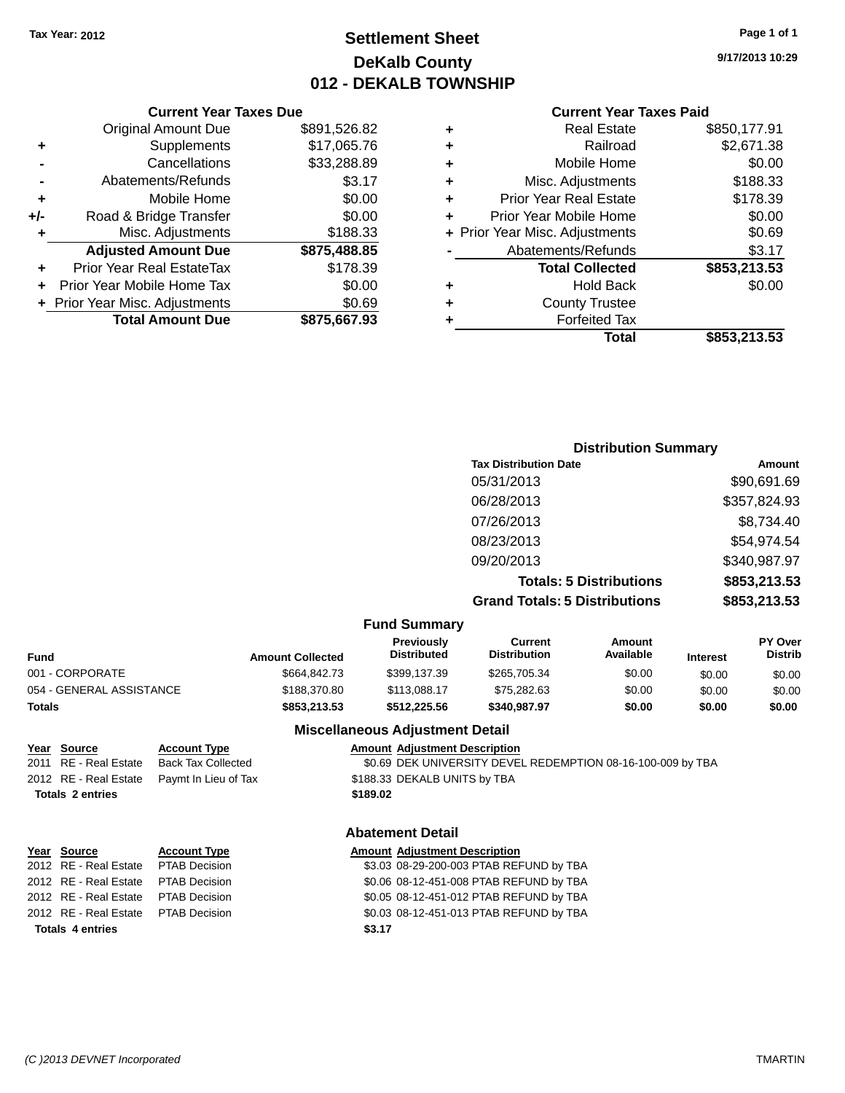### **Settlement Sheet Tax Year: 2012 Page 1 of 1 DeKalb County 012 - DEKALB TOWNSHIP**

**9/17/2013 10:29**

#### **Current Year Taxes Paid**

|     | <b>Current Year Taxes Due</b>    |              |
|-----|----------------------------------|--------------|
|     | <b>Original Amount Due</b>       | \$891,526.82 |
| ٠   | Supplements                      | \$17,065.76  |
|     | Cancellations                    | \$33,288.89  |
|     | Abatements/Refunds               | \$3.17       |
| ٠   | Mobile Home                      | \$0.00       |
| +/- | Road & Bridge Transfer           | \$0.00       |
| ٠   | Misc. Adjustments                | \$188.33     |
|     | <b>Adjusted Amount Due</b>       | \$875,488.85 |
|     | <b>Prior Year Real EstateTax</b> | \$178.39     |
|     | Prior Year Mobile Home Tax       | \$0.00       |
|     | + Prior Year Misc. Adjustments   | \$0.69       |
|     | <b>Total Amount Due</b>          | \$875,667.93 |
|     |                                  |              |

| <b>Real Estate</b>             | \$850,177.91 |
|--------------------------------|--------------|
| Railroad                       | \$2,671.38   |
| Mobile Home                    | \$0.00       |
| Misc. Adjustments              | \$188.33     |
| <b>Prior Year Real Estate</b>  | \$178.39     |
| Prior Year Mobile Home         | \$0.00       |
| + Prior Year Misc. Adjustments | \$0.69       |
| Abatements/Refunds             | \$3.17       |
| <b>Total Collected</b>         | \$853,213.53 |
| <b>Hold Back</b>               | \$0.00       |
| <b>County Trustee</b>          |              |
| <b>Forfeited Tax</b>           |              |
| Total                          | \$853,213.53 |
|                                |              |

| <b>Distribution Summary</b>          |              |
|--------------------------------------|--------------|
| <b>Tax Distribution Date</b>         | Amount       |
| 05/31/2013                           | \$90,691.69  |
| 06/28/2013                           | \$357,824.93 |
| 07/26/2013                           | \$8,734.40   |
| 08/23/2013                           | \$54,974.54  |
| 09/20/2013                           | \$340,987.97 |
| <b>Totals: 5 Distributions</b>       | \$853,213.53 |
| <b>Grand Totals: 5 Distributions</b> | \$853,213.53 |

| <b>Fund Summary</b> |  |
|---------------------|--|
|---------------------|--|

| <b>Amount Collected</b> | <b>Previously</b><br><b>Distributed</b> | Current<br><b>Distribution</b> | Amount<br>Available | <b>Interest</b> | <b>PY Over</b><br><b>Distrib</b> |
|-------------------------|-----------------------------------------|--------------------------------|---------------------|-----------------|----------------------------------|
| \$664.842.73            | \$399.137.39                            | \$265,705.34                   | \$0.00              | \$0.00          | \$0.00                           |
| \$188,370.80            | \$113,088.17                            | \$75,282.63                    | \$0.00              | \$0.00          | \$0.00                           |
| \$853,213,53            | \$512.225.56                            | \$340,987.97                   | \$0.00              | \$0.00          | \$0.00                           |
|                         |                                         |                                |                     |                 |                                  |

# **Year Source Account Type Amount Adjustment Description Totals 2 entries \$189.02**

| <b>Account Type</b>       |
|---------------------------|
| <b>Back Tax Collected</b> |
| Paymt In Lieu of Tax      |

#### **Miscellaneous Adjustment Detail**

 $$0.69$  DEK UNIVERSITY DEVEL REDEMPTION 08-16-100-009 by TBA 2012 RE - Real Estate Paymt In Lieu of Tax \$188.33 DEKALB UNITS by TBA

#### **Abatement Detail**

| Year Source                         | <b>Account Type</b> |        | <b>Amount Adjustment Description</b>    |
|-------------------------------------|---------------------|--------|-----------------------------------------|
| 2012 RE - Real Estate PTAB Decision |                     |        | \$3.03 08-29-200-003 PTAB REFUND by TBA |
| 2012 RE - Real Estate               | PTAB Decision       |        | \$0.06 08-12-451-008 PTAB REFUND by TBA |
| 2012 RE - Real Estate PTAB Decision |                     |        | \$0.05 08-12-451-012 PTAB REFUND by TBA |
| 2012 RE - Real Estate PTAB Decision |                     |        | \$0.03 08-12-451-013 PTAB REFUND by TBA |
| <b>Totals 4 entries</b>             |                     | \$3.17 |                                         |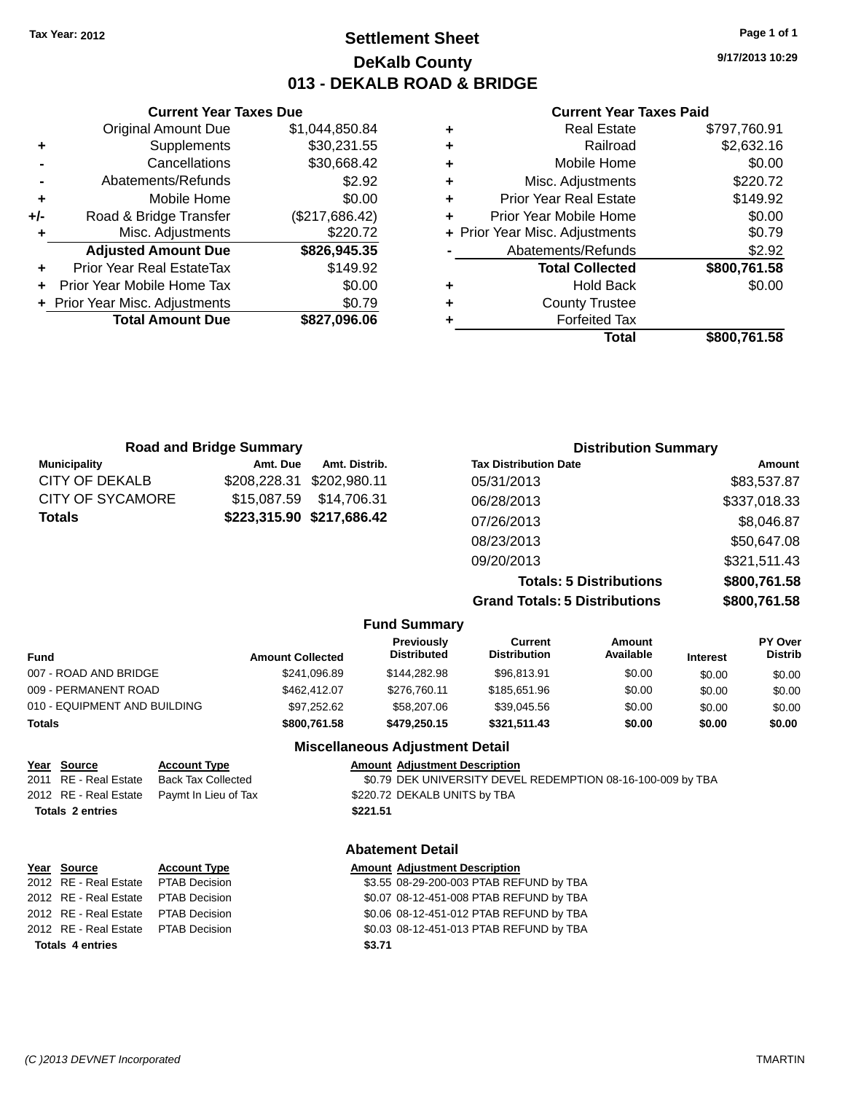### **Settlement Sheet Tax Year: 2012 Page 1 of 1 DeKalb County 013 - DEKALB ROAD & BRIDGE**

**9/17/2013 10:29**

#### **Current Year Taxes Paid**

| ٠ | <b>Real Estate</b>             | \$797,760.91 |
|---|--------------------------------|--------------|
| ٠ | Railroad                       | \$2,632.16   |
| ٠ | Mobile Home                    | \$0.00       |
| ٠ | Misc. Adjustments              | \$220.72     |
| ٠ | <b>Prior Year Real Estate</b>  | \$149.92     |
| ٠ | Prior Year Mobile Home         | \$0.00       |
|   | + Prior Year Misc. Adjustments | \$0.79       |
|   | Abatements/Refunds             | \$2.92       |
|   | <b>Total Collected</b>         | \$800,761.58 |
| ٠ | <b>Hold Back</b>               | \$0.00       |
| ٠ | <b>County Trustee</b>          |              |
|   | <b>Forfeited Tax</b>           |              |
|   | Total                          | \$800.761.58 |

|     | <b>Current Year Taxes Due</b>    |                |
|-----|----------------------------------|----------------|
|     | <b>Original Amount Due</b>       | \$1,044,850.84 |
| ٠   | Supplements                      | \$30,231.55    |
|     | Cancellations                    | \$30,668.42    |
|     | Abatements/Refunds               | \$2.92         |
| ٠   | Mobile Home                      | \$0.00         |
| +/- | Road & Bridge Transfer           | (\$217,686.42) |
|     | Misc. Adjustments                | \$220.72       |
|     | <b>Adjusted Amount Due</b>       | \$826,945.35   |
|     | <b>Prior Year Real EstateTax</b> | \$149.92       |
|     | Prior Year Mobile Home Tax       | \$0.00         |
|     | + Prior Year Misc. Adjustments   | \$0.79         |
|     | <b>Total Amount Due</b>          | \$827,096.06   |
|     |                                  |                |

| <b>Road and Bridge Summary</b> |              |                           | <b>Distribution Summary</b>          |              |  |
|--------------------------------|--------------|---------------------------|--------------------------------------|--------------|--|
| <b>Municipality</b>            | Amt. Due     | Amt. Distrib.             | <b>Tax Distribution Date</b>         | Amount       |  |
| <b>CITY OF DEKALB</b>          | \$208,228.31 | \$202.980.11              | 05/31/2013                           | \$83,537.87  |  |
| CITY OF SYCAMORE               | \$15,087.59  | \$14,706.31               | 06/28/2013                           | \$337,018.33 |  |
| <b>Totals</b>                  |              | \$223,315.90 \$217,686.42 | 07/26/2013                           | \$8,046.87   |  |
|                                |              |                           | 08/23/2013                           | \$50,647.08  |  |
|                                |              |                           | 09/20/2013                           | \$321,511.43 |  |
|                                |              |                           | <b>Totals: 5 Distributions</b>       | \$800,761.58 |  |
|                                |              |                           | <b>Grand Totals: 5 Distributions</b> | \$800,761.58 |  |

|                              |                         | <b>Fund Summary</b>                    |                                |                     |                 |                           |
|------------------------------|-------------------------|----------------------------------------|--------------------------------|---------------------|-----------------|---------------------------|
| <b>Fund</b>                  | <b>Amount Collected</b> | Previously<br><b>Distributed</b>       | Current<br><b>Distribution</b> | Amount<br>Available | <b>Interest</b> | PY Over<br><b>Distrib</b> |
| 007 - ROAD AND BRIDGE        | \$241.096.89            | \$144.282.98                           | \$96.813.91                    | \$0.00              | \$0.00          | \$0.00                    |
| 009 - PERMANENT ROAD         | \$462,412.07            | \$276.760.11                           | \$185,651.96                   | \$0.00              | \$0.00          | \$0.00                    |
| 010 - EQUIPMENT AND BUILDING | \$97.252.62             | \$58,207.06                            | \$39.045.56                    | \$0.00              | \$0.00          | \$0.00                    |
| <b>Totals</b>                | \$800,761,58            | \$479,250.15                           | \$321.511.43                   | \$0.00              | \$0.00          | \$0.00                    |
|                              |                         | <b>Miscellaneous Adjustment Detail</b> |                                |                     |                 |                           |

| <u>Year Source</u>      | <b>Account Type</b>                        | <b>Amount Adjustment Description</b>                        |
|-------------------------|--------------------------------------------|-------------------------------------------------------------|
| 2011 RE - Real Estate   | Back Tax Collected                         | \$0.79 DEK UNIVERSITY DEVEL REDEMPTION 08-16-100-009 by TBA |
|                         | 2012 RE - Real Estate Paymt In Lieu of Tax | \$220.72 DEKALB UNITS by TBA                                |
| <b>Totals 2 entries</b> |                                            | \$221.51                                                    |
|                         |                                            |                                                             |

#### **Abatement Detail**

|                         | Year Source                         | <b>Account Type</b> |        | <b>Amount Adjustment Description</b>    |
|-------------------------|-------------------------------------|---------------------|--------|-----------------------------------------|
|                         | 2012 RE - Real Estate PTAB Decision |                     |        | \$3.55 08-29-200-003 PTAB REFUND by TBA |
|                         | 2012 RE - Real Estate PTAB Decision |                     |        | \$0.07 08-12-451-008 PTAB REFUND by TBA |
|                         | 2012 RE - Real Estate PTAB Decision |                     |        | \$0.06 08-12-451-012 PTAB REFUND by TBA |
|                         | 2012 RE - Real Estate PTAB Decision |                     |        | \$0.03 08-12-451-013 PTAB REFUND by TBA |
| <b>Totals 4 entries</b> |                                     |                     | \$3.71 |                                         |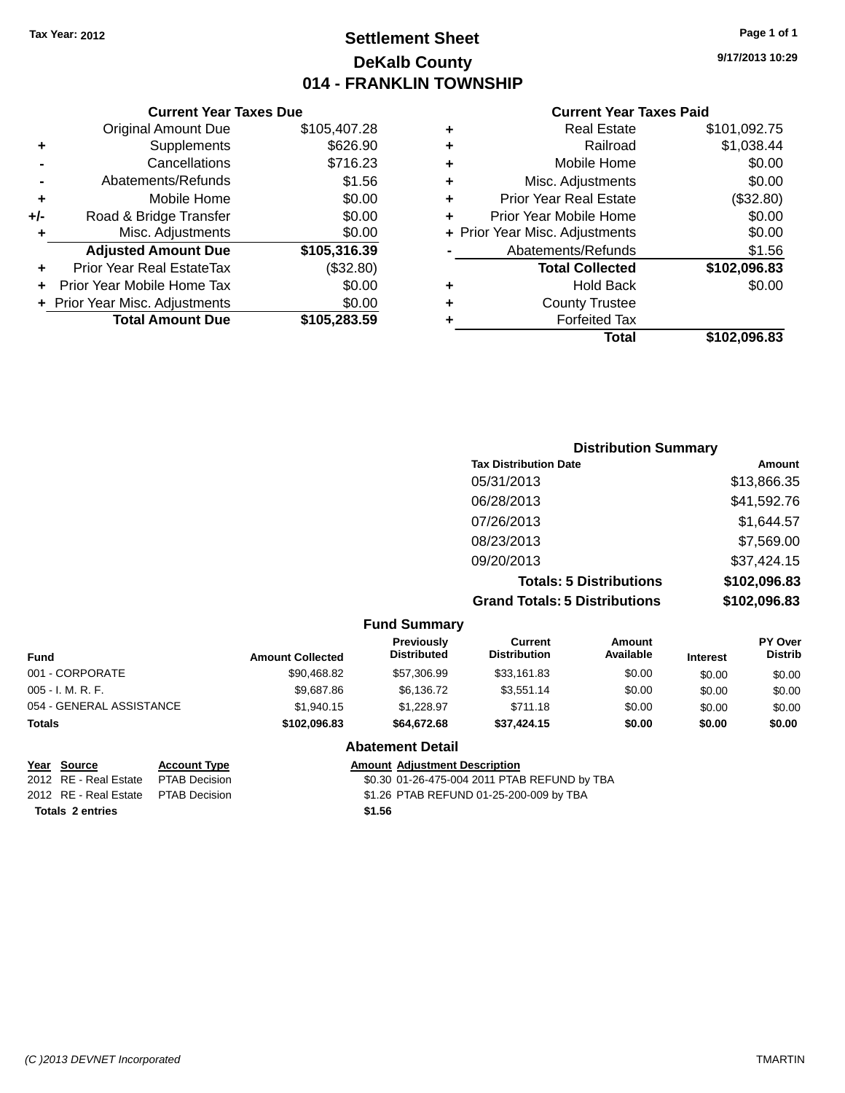### **Settlement Sheet Tax Year: 2012 Page 1 of 1 DeKalb County 014 - FRANKLIN TOWNSHIP**

**9/17/2013 10:29**

#### **Current Year Taxes Paid**

|     | <b>Current Year Taxes Due</b>    |              |  |  |  |
|-----|----------------------------------|--------------|--|--|--|
|     | <b>Original Amount Due</b>       | \$105,407.28 |  |  |  |
| ٠   | Supplements                      | \$626.90     |  |  |  |
|     | Cancellations                    | \$716.23     |  |  |  |
|     | Abatements/Refunds               | \$1.56       |  |  |  |
| ٠   | Mobile Home                      | \$0.00       |  |  |  |
| +/- | Road & Bridge Transfer           | \$0.00       |  |  |  |
| ٠   | Misc. Adjustments                | \$0.00       |  |  |  |
|     | <b>Adjusted Amount Due</b>       | \$105,316.39 |  |  |  |
| ٠   | <b>Prior Year Real EstateTax</b> | (\$32.80)    |  |  |  |
|     | Prior Year Mobile Home Tax       | \$0.00       |  |  |  |
|     | + Prior Year Misc. Adjustments   | \$0.00       |  |  |  |
|     | <b>Total Amount Due</b>          | \$105,283.59 |  |  |  |
|     |                                  |              |  |  |  |

| ٠ | <b>Real Estate</b>             | \$101,092.75 |
|---|--------------------------------|--------------|
| ٠ | Railroad                       | \$1,038.44   |
| ٠ | Mobile Home                    | \$0.00       |
| ٠ | Misc. Adjustments              | \$0.00       |
| ٠ | <b>Prior Year Real Estate</b>  | (\$32.80)    |
| ٠ | Prior Year Mobile Home         | \$0.00       |
|   | + Prior Year Misc. Adjustments | \$0.00       |
|   | Abatements/Refunds             | \$1.56       |
|   | <b>Total Collected</b>         | \$102,096.83 |
| ٠ | <b>Hold Back</b>               | \$0.00       |
| ٠ | <b>County Trustee</b>          |              |
| ٠ | <b>Forfeited Tax</b>           |              |
|   | Total                          | \$102,096.83 |
|   |                                |              |

| <b>Distribution Summary</b>          |              |
|--------------------------------------|--------------|
| <b>Tax Distribution Date</b>         | Amount       |
| 05/31/2013                           | \$13,866.35  |
| 06/28/2013                           | \$41,592.76  |
| 07/26/2013                           | \$1,644.57   |
| 08/23/2013                           | \$7,569.00   |
| 09/20/2013                           | \$37,424.15  |
| <b>Totals: 5 Distributions</b>       | \$102,096.83 |
| <b>Grand Totals: 5 Distributions</b> | \$102,096.83 |

|                          |                         | <b>Fund Summary</b>              |                                |                     |                 |                                  |
|--------------------------|-------------------------|----------------------------------|--------------------------------|---------------------|-----------------|----------------------------------|
| <b>Fund</b>              | <b>Amount Collected</b> | Previously<br><b>Distributed</b> | Current<br><b>Distribution</b> | Amount<br>Available | <b>Interest</b> | <b>PY Over</b><br><b>Distrib</b> |
| 001 - CORPORATE          | \$90,468.82             | \$57,306.99                      | \$33,161.83                    | \$0.00              | \$0.00          | \$0.00                           |
| $005 - I. M. R. F.$      | \$9,687.86              | \$6,136.72                       | \$3.551.14                     | \$0.00              | \$0.00          | \$0.00                           |
| 054 - GENERAL ASSISTANCE | \$1.940.15              | \$1.228.97                       | \$711.18                       | \$0.00              | \$0.00          | \$0.00                           |
| <b>Totals</b>            | \$102.096.83            | \$64,672,68                      | \$37.424.15                    | \$0.00              | \$0.00          | \$0.00                           |

#### **Abatement Detail**

|                         | Year Source                          | <b>Account Type</b> |        | <b>Amount Adjustment Description</b>         |
|-------------------------|--------------------------------------|---------------------|--------|----------------------------------------------|
|                         | 2012 RE - Real Estate                | PTAB Decision       |        | \$0.30 01-26-475-004 2011 PTAB REFUND by TBA |
|                         | 2012 RE - Real Estate  PTAB Decision |                     |        | \$1.26 PTAB REFUND 01-25-200-009 by TBA      |
| <b>Totals 2 entries</b> |                                      |                     | \$1.56 |                                              |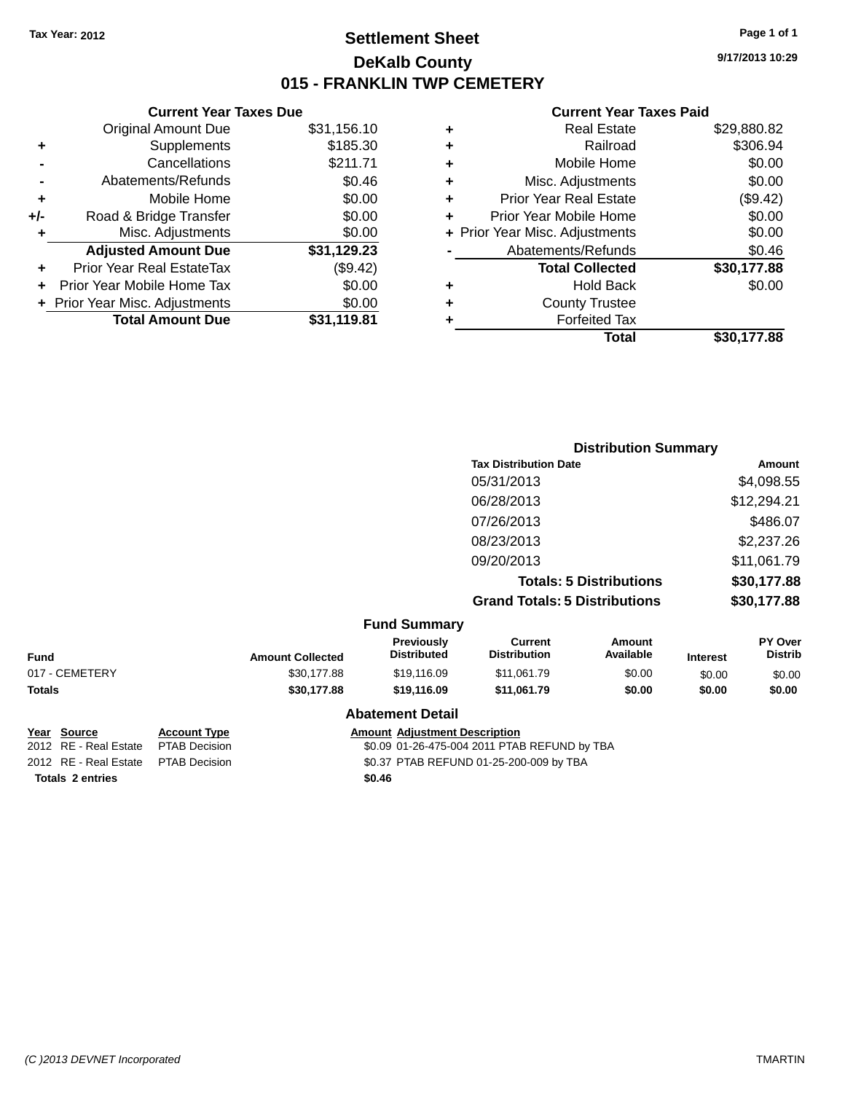### **Settlement Sheet Tax Year: 2012 Page 1 of 1 DeKalb County 015 - FRANKLIN TWP CEMETERY**

**9/17/2013 10:29**

#### **Current Year Taxes Paid**

| \$31,156.10 |
|-------------|
| \$185.30    |
| \$211.71    |
| \$0.46      |
| \$0.00      |
| \$0.00      |
| \$0.00      |
| \$31,129.23 |
| (\$9.42)    |
| \$0.00      |
| \$0.00      |
| \$31.119.81 |
|             |

|   | <b>Real Estate</b>             | \$29,880.82 |
|---|--------------------------------|-------------|
| ٠ | Railroad                       | \$306.94    |
| ٠ | Mobile Home                    | \$0.00      |
| ٠ | Misc. Adjustments              | \$0.00      |
| ٠ | <b>Prior Year Real Estate</b>  | (\$9.42)    |
| ٠ | Prior Year Mobile Home         | \$0.00      |
|   | + Prior Year Misc. Adjustments | \$0.00      |
|   | Abatements/Refunds             | \$0.46      |
|   | <b>Total Collected</b>         | \$30,177.88 |
| ٠ | Hold Back                      | \$0.00      |
| ٠ | <b>County Trustee</b>          |             |
| ٠ | <b>Forfeited Tax</b>           |             |
|   | Total                          | \$30,177.88 |
|   |                                |             |

|                     | <b>Distribution Summary</b>          |             |
|---------------------|--------------------------------------|-------------|
|                     | <b>Tax Distribution Date</b>         | Amount      |
|                     | 05/31/2013                           | \$4,098.55  |
|                     | 06/28/2013                           | \$12,294.21 |
|                     | 07/26/2013                           | \$486.07    |
|                     | 08/23/2013                           | \$2,237.26  |
|                     | 09/20/2013                           | \$11,061.79 |
|                     | <b>Totals: 5 Distributions</b>       | \$30,177.88 |
|                     | <b>Grand Totals: 5 Distributions</b> | \$30,177.88 |
| <b>Fund Summary</b> |                                      |             |

|                |                         | Funu Junniary                    |                                |                            |                 |                                  |
|----------------|-------------------------|----------------------------------|--------------------------------|----------------------------|-----------------|----------------------------------|
| <b>Fund</b>    | <b>Amount Collected</b> | <b>Previously</b><br>Distributed | Current<br><b>Distribution</b> | <b>Amount</b><br>Available | <b>Interest</b> | <b>PY Over</b><br><b>Distrib</b> |
| 017 - CEMETERY | \$30,177.88             | \$19,116.09                      | \$11,061.79                    | \$0.00                     | \$0.00          | \$0.00                           |
| Totals         | \$30,177.88             | \$19,116.09                      | \$11,061.79                    | \$0.00                     | \$0.00          | \$0.00                           |
|                |                         | <b>Abatement Detail</b>          |                                |                            |                 |                                  |

**Totals 2 entries \$0.46**

**Year Source Account Type Amount Adjustment Description**<br>2012 RE - Real Estate PTAB Decision **Amount 1998** 11-26-475-004 2011 PTAE \$0.09 01-26-475-004 2011 PTAB REFUND by TBA 2012 RE - Real Estate PTAB Decision \$0.37 PTAB REFUND 01-25-200-009 by TBA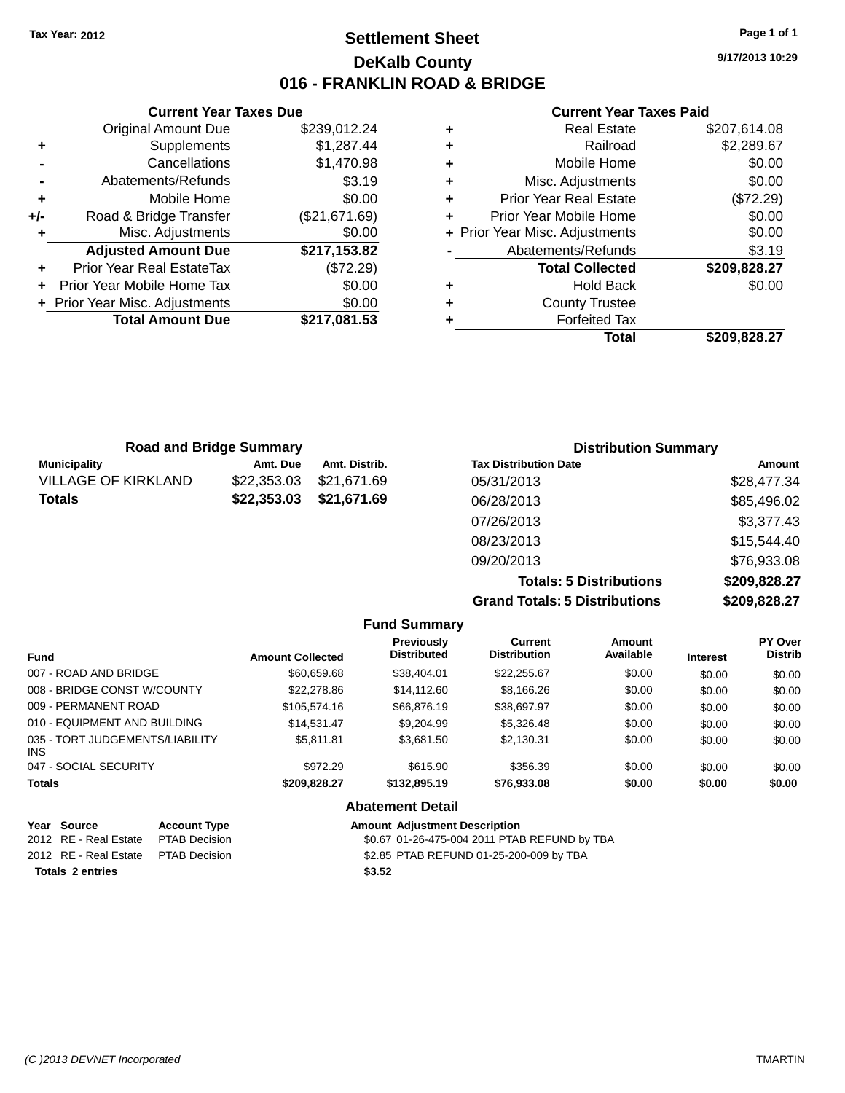### **Settlement Sheet Tax Year: 2012 Page 1 of 1 DeKalb County 016 - FRANKLIN ROAD & BRIDGE**

**9/17/2013 10:29**

#### **Current Year Taxes Paid**

|     | <b>Current Year Taxes Due</b>  |               |  |  |  |
|-----|--------------------------------|---------------|--|--|--|
|     | <b>Original Amount Due</b>     | \$239,012.24  |  |  |  |
| ٠   | Supplements                    | \$1,287.44    |  |  |  |
|     | Cancellations                  | \$1,470.98    |  |  |  |
|     | Abatements/Refunds             | \$3.19        |  |  |  |
| ٠   | Mobile Home                    | \$0.00        |  |  |  |
| +/- | Road & Bridge Transfer         | (\$21,671.69) |  |  |  |
| ٠   | Misc. Adjustments              | \$0.00        |  |  |  |
|     | <b>Adjusted Amount Due</b>     | \$217,153.82  |  |  |  |
| ٠   | Prior Year Real EstateTax      | (\$72.29)     |  |  |  |
|     | Prior Year Mobile Home Tax     | \$0.00        |  |  |  |
|     | + Prior Year Misc. Adjustments | \$0.00        |  |  |  |
|     | <b>Total Amount Due</b>        | \$217,081.53  |  |  |  |
|     |                                |               |  |  |  |

|   | Total                          | \$209,828.27 |
|---|--------------------------------|--------------|
| ٠ | <b>Forfeited Tax</b>           |              |
| ٠ | <b>County Trustee</b>          |              |
| ٠ | <b>Hold Back</b>               | \$0.00       |
|   | <b>Total Collected</b>         | \$209,828.27 |
|   | Abatements/Refunds             | \$3.19       |
|   | + Prior Year Misc. Adjustments | \$0.00       |
| ٠ | Prior Year Mobile Home         | \$0.00       |
| ٠ | <b>Prior Year Real Estate</b>  | (\$72.29)    |
| ٠ | Misc. Adjustments              | \$0.00       |
| ٠ | Mobile Home                    | \$0.00       |
| ٠ | Railroad                       | \$2,289.67   |
| ٠ | <b>Real Estate</b>             | \$207,614.08 |

| <b>Road and Bridge Summary</b> |             |               | <b>Distribution Summary</b>  |             |
|--------------------------------|-------------|---------------|------------------------------|-------------|
| <b>Municipality</b>            | Amt. Due    | Amt. Distrib. | <b>Tax Distribution Date</b> | Amount      |
| <b>VILLAGE OF KIRKLAND</b>     | \$22,353.03 | \$21,671.69   | 05/31/2013                   | \$28,477.34 |
| <b>Totals</b>                  | \$22,353.03 | \$21,671.69   | 06/28/2013                   | \$85,496.02 |
|                                |             |               | 07/26/2013                   | \$3,377.43  |
|                                |             |               | 08/23/2013                   | \$15,544.40 |
|                                |             |               | 09/20/2013                   | \$76,933.08 |

**Totals: 5 Distributions \$209,828.27 Grand Totals: 5 Distributions \$209,828.27**

|                                         |                         | <b>Fund Summary</b>                     |                                       |                     |                 |                                  |
|-----------------------------------------|-------------------------|-----------------------------------------|---------------------------------------|---------------------|-----------------|----------------------------------|
| Fund                                    | <b>Amount Collected</b> | <b>Previously</b><br><b>Distributed</b> | <b>Current</b><br><b>Distribution</b> | Amount<br>Available | <b>Interest</b> | <b>PY Over</b><br><b>Distrib</b> |
| 007 - ROAD AND BRIDGE                   | \$60,659.68             | \$38,404.01                             | \$22,255.67                           | \$0.00              | \$0.00          | \$0.00                           |
| 008 - BRIDGE CONST W/COUNTY             | \$22,278.86             | \$14,112,60                             | \$8.166.26                            | \$0.00              | \$0.00          | \$0.00                           |
| 009 - PERMANENT ROAD                    | \$105,574.16            | \$66,876.19                             | \$38,697.97                           | \$0.00              | \$0.00          | \$0.00                           |
| 010 - EQUIPMENT AND BUILDING            | \$14.531.47             | \$9,204.99                              | \$5,326,48                            | \$0.00              | \$0.00          | \$0.00                           |
| 035 - TORT JUDGEMENTS/LIABILITY<br>INS. | \$5.811.81              | \$3.681.50                              | \$2.130.31                            | \$0.00              | \$0.00          | \$0.00                           |
| 047 - SOCIAL SECURITY                   | \$972.29                | \$615.90                                | \$356.39                              | \$0.00              | \$0.00          | \$0.00                           |
| <b>Totals</b>                           | \$209,828.27            | \$132,895.19                            | \$76,933.08                           | \$0.00              | \$0.00          | \$0.00                           |
|                                         |                         | <b>Abatement Detail</b>                 |                                       |                     |                 |                                  |

| Year Source                         | <b>Account Type</b> | <b>Amount Adjustment Description</b>         |
|-------------------------------------|---------------------|----------------------------------------------|
| 2012 RE - Real Estate               | PTAB Decision       | \$0.67 01-26-475-004 2011 PTAB REFUND by TBA |
| 2012 RE - Real Estate PTAB Decision |                     | \$2.85 PTAB REFUND 01-25-200-009 by TBA      |
| Totals 2 entries                    |                     | \$3.52                                       |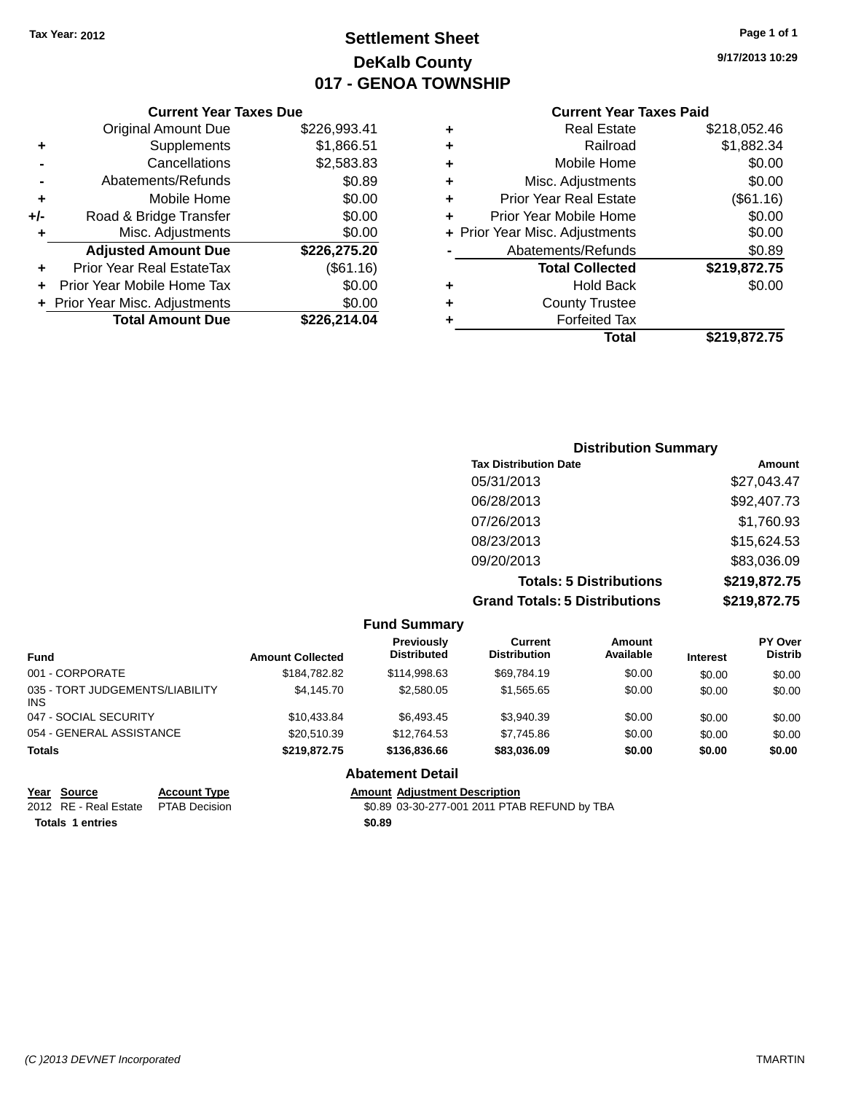## **Settlement Sheet Tax Year: 2012 Page 1 of 1 DeKalb County 017 - GENOA TOWNSHIP**

**9/17/2013 10:29**

#### **Current Year Taxes Paid**

|       | <b>Current Year Taxes Due</b>  |              |  |  |  |  |
|-------|--------------------------------|--------------|--|--|--|--|
|       | <b>Original Amount Due</b>     | \$226,993.41 |  |  |  |  |
| ٠     | Supplements                    | \$1,866.51   |  |  |  |  |
|       | Cancellations                  | \$2,583.83   |  |  |  |  |
|       | Abatements/Refunds             | \$0.89       |  |  |  |  |
| ٠     | Mobile Home                    | \$0.00       |  |  |  |  |
| $+/-$ | Road & Bridge Transfer         | \$0.00       |  |  |  |  |
|       | Misc. Adjustments              | \$0.00       |  |  |  |  |
|       | <b>Adjusted Amount Due</b>     | \$226,275.20 |  |  |  |  |
| ÷     | Prior Year Real EstateTax      | (\$61.16)    |  |  |  |  |
|       | Prior Year Mobile Home Tax     | \$0.00       |  |  |  |  |
|       | + Prior Year Misc. Adjustments | \$0.00       |  |  |  |  |
|       | <b>Total Amount Due</b>        | \$226,214.04 |  |  |  |  |
|       |                                |              |  |  |  |  |

| ٠ | <b>Real Estate</b>             | \$218,052.46 |
|---|--------------------------------|--------------|
| ٠ | Railroad                       | \$1,882.34   |
| ٠ | Mobile Home                    | \$0.00       |
| ٠ | Misc. Adjustments              | \$0.00       |
| ٠ | <b>Prior Year Real Estate</b>  | (\$61.16)    |
| ٠ | Prior Year Mobile Home         | \$0.00       |
|   | + Prior Year Misc. Adjustments | \$0.00       |
|   | Abatements/Refunds             | \$0.89       |
|   | <b>Total Collected</b>         | \$219,872.75 |
| ٠ | <b>Hold Back</b>               | \$0.00       |
| ٠ | <b>County Trustee</b>          |              |
| ٠ | <b>Forfeited Tax</b>           |              |
|   | Total                          | \$219.872.75 |
|   |                                |              |

| <b>Distribution Summary</b>          |              |
|--------------------------------------|--------------|
| <b>Tax Distribution Date</b>         | Amount       |
| 05/31/2013                           | \$27,043.47  |
| 06/28/2013                           | \$92,407.73  |
| 07/26/2013                           | \$1,760.93   |
| 08/23/2013                           | \$15,624.53  |
| 09/20/2013                           | \$83,036.09  |
| <b>Totals: 5 Distributions</b>       | \$219,872.75 |
| <b>Grand Totals: 5 Distributions</b> | \$219,872.75 |

|                                        |                         | <b>Fund Summary</b>              |                                |                     |                 |                                  |
|----------------------------------------|-------------------------|----------------------------------|--------------------------------|---------------------|-----------------|----------------------------------|
| <b>Fund</b>                            | <b>Amount Collected</b> | Previously<br><b>Distributed</b> | Current<br><b>Distribution</b> | Amount<br>Available | <b>Interest</b> | <b>PY Over</b><br><b>Distrib</b> |
| 001 - CORPORATE                        | \$184,782.82            | \$114,998.63                     | \$69,784.19                    | \$0.00              | \$0.00          | \$0.00                           |
| 035 - TORT JUDGEMENTS/LIABILITY<br>INS | \$4,145,70              | \$2,580.05                       | \$1,565.65                     | \$0.00              | \$0.00          | \$0.00                           |
| 047 - SOCIAL SECURITY                  | \$10.433.84             | \$6,493.45                       | \$3,940.39                     | \$0.00              | \$0.00          | \$0.00                           |
| 054 - GENERAL ASSISTANCE               | \$20,510.39             | \$12,764.53                      | \$7,745.86                     | \$0.00              | \$0.00          | \$0.00                           |
| <b>Totals</b>                          | \$219,872.75            | \$136,836.66                     | \$83,036.09                    | \$0.00              | \$0.00          | \$0.00                           |
|                                        |                         | <b>Abatement Detail</b>          |                                |                     |                 |                                  |

**Year Source Account Type Amount Adjustment Description**<br>2012 RE - Real Estate PTAB Decision **Amount 1990** 40-89 03-30-277-001 2011 PTAE

**Totals 1 entries \$0.89**

\$0.89 03-30-277-001 2011 PTAB REFUND by TBA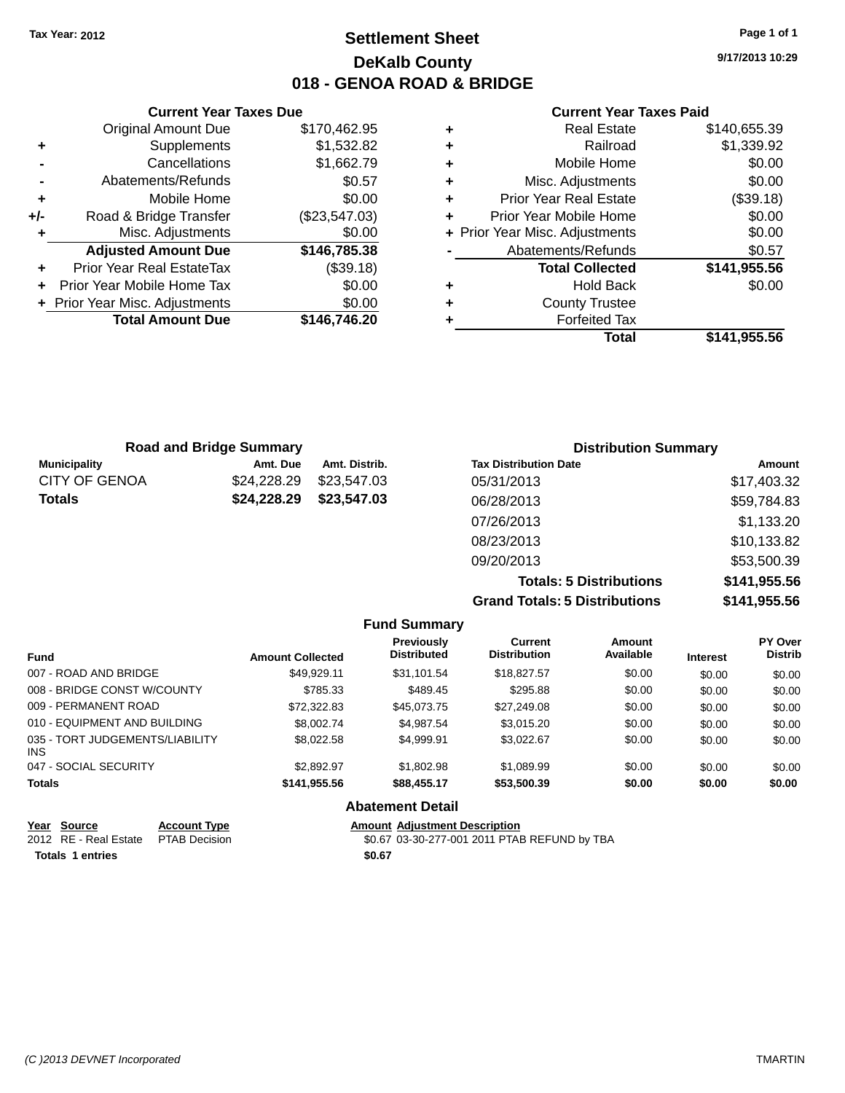### **Settlement Sheet Tax Year: 2012 Page 1 of 1 DeKalb County 018 - GENOA ROAD & BRIDGE**

**9/17/2013 10:29**

#### **Current Year Taxes Paid**

|     | <b>Current Year Taxes Due</b>  |               |
|-----|--------------------------------|---------------|
|     | <b>Original Amount Due</b>     | \$170,462.95  |
| ٠   | Supplements                    | \$1,532.82    |
|     | Cancellations                  | \$1,662.79    |
|     | Abatements/Refunds             | \$0.57        |
| ٠   | Mobile Home                    | \$0.00        |
| +/- | Road & Bridge Transfer         | (\$23,547.03) |
| ۰   | Misc. Adjustments              | \$0.00        |
|     | <b>Adjusted Amount Due</b>     | \$146,785.38  |
| ٠   | Prior Year Real EstateTax      | (\$39.18)     |
|     | Prior Year Mobile Home Tax     | \$0.00        |
|     | + Prior Year Misc. Adjustments | \$0.00        |
|     | <b>Total Amount Due</b>        | \$146,746.20  |
|     |                                |               |

| <b>Real Estate</b>             | \$140,655.39 |
|--------------------------------|--------------|
| Railroad                       | \$1,339.92   |
| Mobile Home                    | \$0.00       |
| Misc. Adjustments              | \$0.00       |
| <b>Prior Year Real Estate</b>  | (\$39.18)    |
| Prior Year Mobile Home         | \$0.00       |
| + Prior Year Misc. Adjustments | \$0.00       |
| Abatements/Refunds             | \$0.57       |
| <b>Total Collected</b>         | \$141,955.56 |
| <b>Hold Back</b>               | \$0.00       |
| <b>County Trustee</b>          |              |
| <b>Forfeited Tax</b>           |              |
| Total                          | \$141,955.56 |
|                                |              |

|                      | <b>Road and Bridge Summary</b> |               | <b>Distribution Summary</b>  |             |
|----------------------|--------------------------------|---------------|------------------------------|-------------|
| <b>Municipality</b>  | Amt. Due                       | Amt. Distrib. | <b>Tax Distribution Date</b> | Amount      |
| <b>CITY OF GENOA</b> | \$24,228.29                    | \$23,547.03   | 05/31/2013                   | \$17,403.32 |
| Totals               | \$24,228.29                    | \$23,547.03   | 06/28/2013                   | \$59,784.83 |
|                      |                                |               | 07/26/2013                   | \$1,133.20  |
|                      |                                |               | 08/23/2013                   | \$10,133.82 |
|                      |                                |               | 09/20/2013                   | \$53,500.39 |
|                      |                                |               |                              |             |

**Totals: 5 Distributions \$141,955.56 Grand Totals: 5 Distributions \$141,955.56**

|                                         |                         | <b>Fund Summary</b>                     |                                       |                     |                 |                                  |
|-----------------------------------------|-------------------------|-----------------------------------------|---------------------------------------|---------------------|-----------------|----------------------------------|
| <b>Fund</b>                             | <b>Amount Collected</b> | <b>Previously</b><br><b>Distributed</b> | <b>Current</b><br><b>Distribution</b> | Amount<br>Available | <b>Interest</b> | <b>PY Over</b><br><b>Distrib</b> |
| 007 - ROAD AND BRIDGE                   | \$49.929.11             | \$31.101.54                             | \$18,827.57                           | \$0.00              | \$0.00          | \$0.00                           |
| 008 - BRIDGE CONST W/COUNTY             | \$785.33                | \$489.45                                | \$295.88                              | \$0.00              | \$0.00          | \$0.00                           |
| 009 - PERMANENT ROAD                    | \$72,322.83             | \$45.073.75                             | \$27,249.08                           | \$0.00              | \$0.00          | \$0.00                           |
| 010 - EQUIPMENT AND BUILDING            | \$8,002.74              | \$4,987.54                              | \$3.015.20                            | \$0.00              | \$0.00          | \$0.00                           |
| 035 - TORT JUDGEMENTS/LIABILITY<br>INS. | \$8,022.58              | \$4.999.91                              | \$3.022.67                            | \$0.00              | \$0.00          | \$0.00                           |
| 047 - SOCIAL SECURITY                   | \$2.892.97              | \$1,802.98                              | \$1.089.99                            | \$0.00              | \$0.00          | \$0.00                           |
| <b>Totals</b>                           | \$141,955.56            | \$88,455.17                             | \$53,500.39                           | \$0.00              | \$0.00          | \$0.00                           |
|                                         |                         | <b>Abatement Detail</b>                 |                                       |                     |                 |                                  |

|                         | Year Source           | <b>Account Type</b> | <b>Amount Adiustment Description</b>         |
|-------------------------|-----------------------|---------------------|----------------------------------------------|
|                         | 2012 RE - Real Estate | PTAB Decision       | \$0.67 03-30-277-001 2011 PTAB REFUND by TBA |
| <b>Totals 1 entries</b> |                       |                     | \$0.67                                       |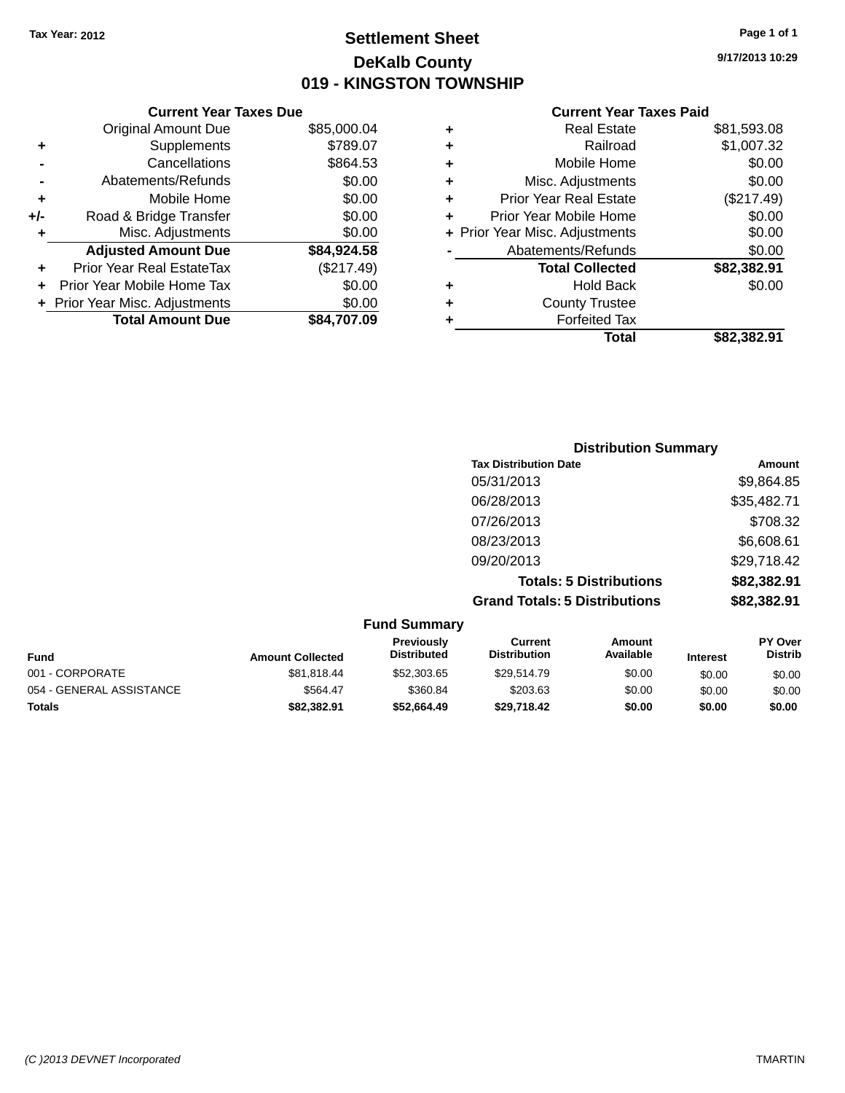### **Settlement Sheet Tax Year: 2012 Page 1 of 1 DeKalb County 019 - KINGSTON TOWNSHIP**

**9/17/2013 10:29**

|       | <b>Current Year Taxes Due</b>  |             |  |  |  |  |
|-------|--------------------------------|-------------|--|--|--|--|
|       | <b>Original Amount Due</b>     | \$85,000.04 |  |  |  |  |
| ٠     | Supplements                    | \$789.07    |  |  |  |  |
|       | Cancellations                  | \$864.53    |  |  |  |  |
|       | Abatements/Refunds             | \$0.00      |  |  |  |  |
| ٠     | Mobile Home                    | \$0.00      |  |  |  |  |
| $+/-$ | Road & Bridge Transfer         | \$0.00      |  |  |  |  |
| ۰     | Misc. Adjustments              | \$0.00      |  |  |  |  |
|       | <b>Adjusted Amount Due</b>     | \$84,924.58 |  |  |  |  |
| ÷     | Prior Year Real EstateTax      | (\$217.49)  |  |  |  |  |
|       | Prior Year Mobile Home Tax     | \$0.00      |  |  |  |  |
|       | + Prior Year Misc. Adjustments | \$0.00      |  |  |  |  |
|       | <b>Total Amount Due</b>        | \$84.707.09 |  |  |  |  |
|       |                                |             |  |  |  |  |

| ٠ | <b>Real Estate</b>             | \$81,593.08 |
|---|--------------------------------|-------------|
| ٠ | Railroad                       | \$1,007.32  |
| ٠ | Mobile Home                    | \$0.00      |
| ٠ | Misc. Adjustments              | \$0.00      |
| ٠ | <b>Prior Year Real Estate</b>  | (\$217.49)  |
| ÷ | Prior Year Mobile Home         | \$0.00      |
|   | + Prior Year Misc. Adjustments | \$0.00      |
|   | Abatements/Refunds             | \$0.00      |
|   | <b>Total Collected</b>         | \$82,382.91 |
| ٠ | <b>Hold Back</b>               | \$0.00      |
| ٠ | <b>County Trustee</b>          |             |
| ٠ | <b>Forfeited Tax</b>           |             |
|   | Total                          | \$82.382.91 |
|   |                                |             |

| <b>Distribution Summary</b>          |             |
|--------------------------------------|-------------|
| <b>Tax Distribution Date</b>         | Amount      |
| 05/31/2013                           | \$9,864.85  |
| 06/28/2013                           | \$35,482.71 |
| 07/26/2013                           | \$708.32    |
| 08/23/2013                           | \$6,608.61  |
| 09/20/2013                           | \$29,718.42 |
| <b>Totals: 5 Distributions</b>       | \$82,382.91 |
| <b>Grand Totals: 5 Distributions</b> | \$82,382.91 |

| <b>Fund Summary</b>      |                         |                                  |                                |                            |                 |                           |
|--------------------------|-------------------------|----------------------------------|--------------------------------|----------------------------|-----------------|---------------------------|
| <b>Fund</b>              | <b>Amount Collected</b> | Previously<br><b>Distributed</b> | Current<br><b>Distribution</b> | <b>Amount</b><br>Available | <b>Interest</b> | PY Over<br><b>Distrib</b> |
| 001 - CORPORATE          | \$81,818.44             | \$52,303.65                      | \$29,514.79                    | \$0.00                     | \$0.00          | \$0.00                    |
| 054 - GENERAL ASSISTANCE | \$564.47                | \$360.84                         | \$203.63                       | \$0.00                     | \$0.00          | \$0.00                    |
| <b>Totals</b>            | \$82,382.91             | \$52.664.49                      | \$29,718.42                    | \$0.00                     | \$0.00          | \$0.00                    |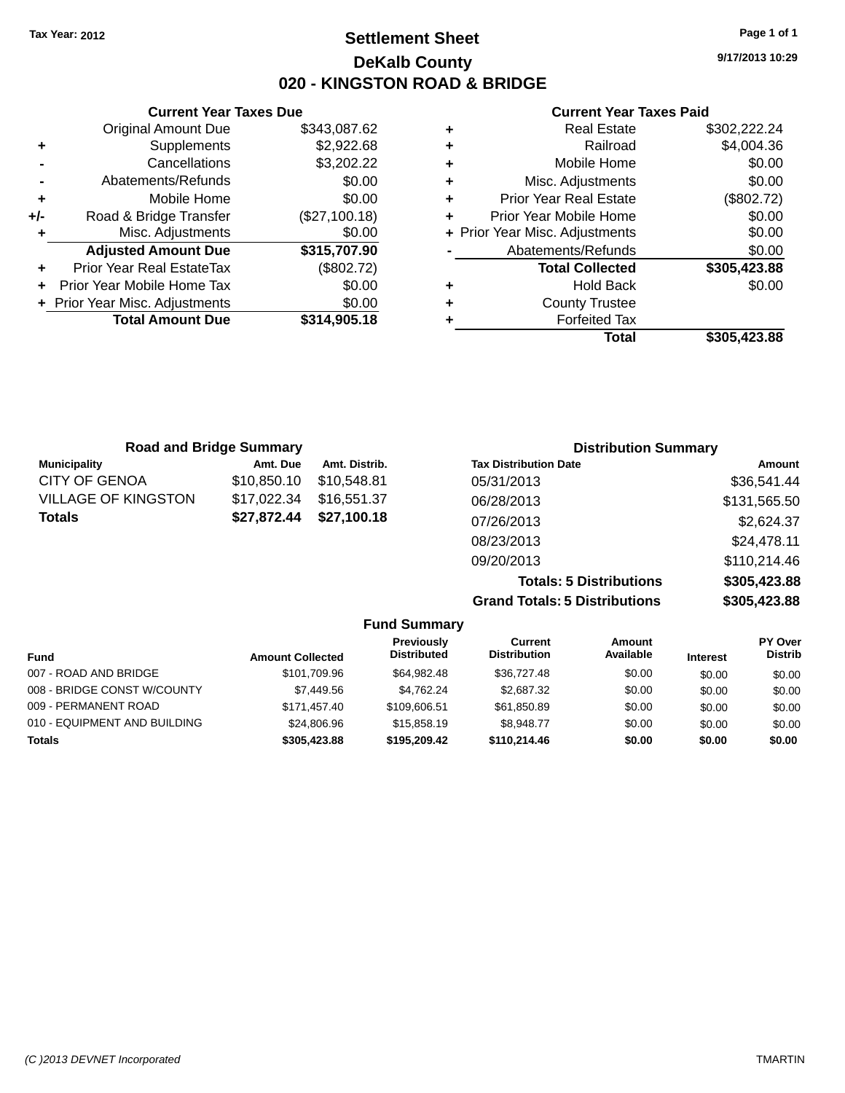### **Settlement Sheet Tax Year: 2012 Page 1 of 1 DeKalb County 020 - KINGSTON ROAD & BRIDGE**

**9/17/2013 10:29**

#### **Current Year Taxes Paid**

|                   |   |               | <b>Current Year Taxes Due</b>    |       |
|-------------------|---|---------------|----------------------------------|-------|
|                   | ÷ | \$343,087.62  | <b>Original Amount Due</b>       |       |
|                   | ٠ | \$2,922.68    | <b>Supplements</b>               | ٠     |
|                   | ٠ | \$3,202.22    | Cancellations                    |       |
| Mis               | ٠ | \$0.00        | Abatements/Refunds               |       |
| Prior Ye          | ٠ | \$0.00        | Mobile Home                      | ٠     |
| Prior Year        |   | (\$27,100.18) | Road & Bridge Transfer           | $+/-$ |
| + Prior Year Mise |   | \$0.00        | Misc. Adjustments                | ٠     |
| Abaten            |   | \$315,707.90  | <b>Adjusted Amount Due</b>       |       |
| Τ                 |   | (\$802.72)    | <b>Prior Year Real EstateTax</b> |       |
|                   | ٠ | \$0.00        | Prior Year Mobile Home Tax       |       |
|                   | ÷ | \$0.00        | + Prior Year Misc. Adjustments   |       |
|                   |   | \$314,905.18  | <b>Total Amount Due</b>          |       |
|                   |   |               |                                  |       |

|   | <b>Real Estate</b>             | \$302,222.24 |
|---|--------------------------------|--------------|
| ٠ | Railroad                       | \$4,004.36   |
| ٠ | Mobile Home                    | \$0.00       |
| ٠ | Misc. Adjustments              | \$0.00       |
| ٠ | <b>Prior Year Real Estate</b>  | (\$802.72)   |
|   | Prior Year Mobile Home         | \$0.00       |
|   | + Prior Year Misc. Adjustments | \$0.00       |
|   | Abatements/Refunds             | \$0.00       |
|   | <b>Total Collected</b>         | \$305,423.88 |
| ٠ | Hold Back                      | \$0.00       |
| ٠ | <b>County Trustee</b>          |              |
|   | <b>Forfeited Tax</b>           |              |
|   | Total                          | \$305,423.88 |
|   |                                |              |

| <b>Road and Bridge Summary</b> |             |               | <b>Distribution Summary</b>    |              |  |
|--------------------------------|-------------|---------------|--------------------------------|--------------|--|
| <b>Municipality</b>            | Amt. Due    | Amt. Distrib. | <b>Tax Distribution Date</b>   | Amount       |  |
| <b>CITY OF GENOA</b>           | \$10,850.10 | \$10,548.81   | 05/31/2013                     | \$36,541.44  |  |
| <b>VILLAGE OF KINGSTON</b>     | \$17,022.34 | \$16,551.37   | 06/28/2013                     | \$131,565.50 |  |
| <b>Totals</b><br>\$27,872.44   | \$27,100.18 | 07/26/2013    | \$2,624.37                     |              |  |
|                                |             |               | 08/23/2013                     | \$24,478.11  |  |
|                                |             |               | 09/20/2013                     | \$110,214.46 |  |
|                                |             |               | <b>Totals: 5 Distributions</b> | \$305,423.88 |  |

**Grand Totals: 5 Distributions \$305,423.88**

|    | v           |
|----|-------------|
| ١S | \$305,423.8 |
|    |             |

|                              |                         | <b>Fund Summary</b>                     |                                |                     |                 |                           |
|------------------------------|-------------------------|-----------------------------------------|--------------------------------|---------------------|-----------------|---------------------------|
| <b>Fund</b>                  | <b>Amount Collected</b> | <b>Previously</b><br><b>Distributed</b> | Current<br><b>Distribution</b> | Amount<br>Available | <b>Interest</b> | PY Over<br><b>Distrib</b> |
| 007 - ROAD AND BRIDGE        | \$101.709.96            | \$64.982.48                             | \$36,727.48                    | \$0.00              | \$0.00          | \$0.00                    |
| 008 - BRIDGE CONST W/COUNTY  | \$7,449.56              | \$4.762.24                              | \$2,687.32                     | \$0.00              | \$0.00          | \$0.00                    |
| 009 - PERMANENT ROAD         | \$171.457.40            | \$109,606.51                            | \$61,850.89                    | \$0.00              | \$0.00          | \$0.00                    |
| 010 - EQUIPMENT AND BUILDING | \$24,806.96             | \$15,858,19                             | \$8.948.77                     | \$0.00              | \$0.00          | \$0.00                    |
| <b>Totals</b>                | \$305,423.88            | \$195,209.42                            | \$110,214,46                   | \$0.00              | \$0.00          | \$0.00                    |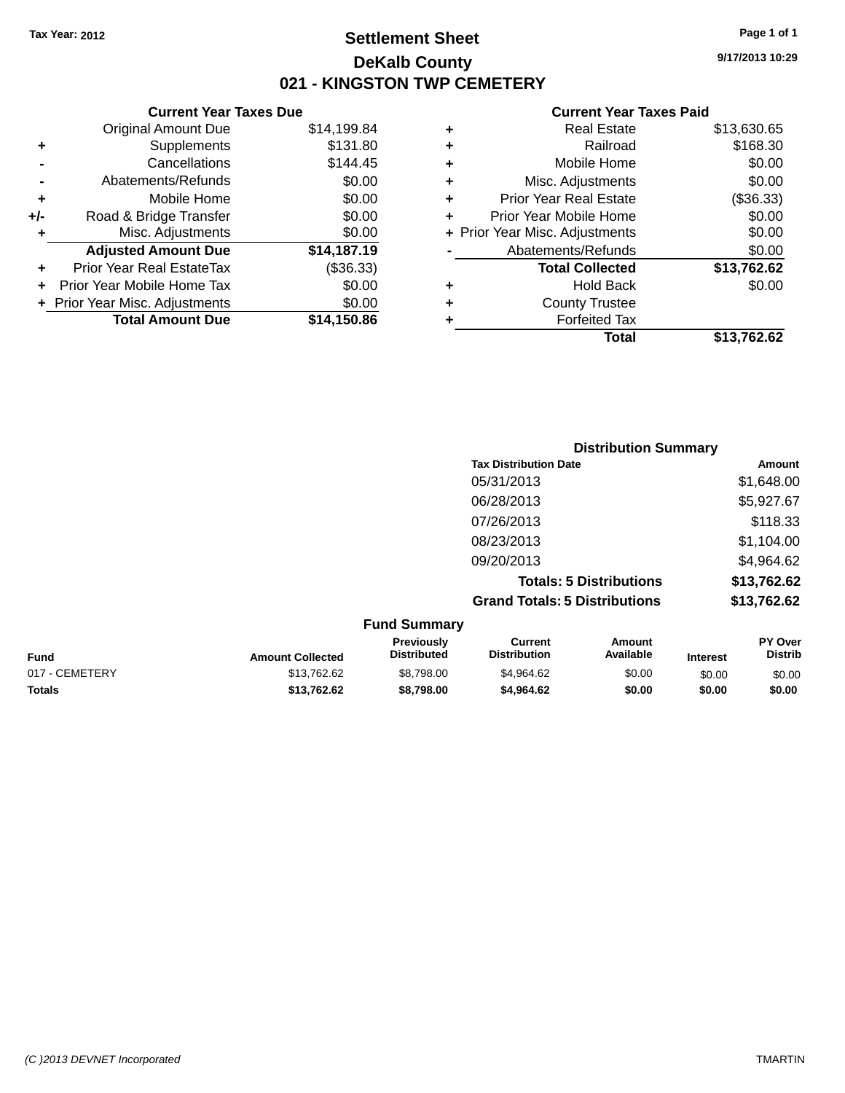### **Settlement Sheet Tax Year: 2012 Page 1 of 1 DeKalb County 021 - KINGSTON TWP CEMETERY**

**9/17/2013 10:29**

|     | <b>Current Year Taxes Due</b>  |             |  |  |  |  |
|-----|--------------------------------|-------------|--|--|--|--|
|     | <b>Original Amount Due</b>     | \$14,199.84 |  |  |  |  |
| ٠   | Supplements                    | \$131.80    |  |  |  |  |
|     | Cancellations                  | \$144.45    |  |  |  |  |
|     | Abatements/Refunds             | \$0.00      |  |  |  |  |
| ٠   | Mobile Home                    | \$0.00      |  |  |  |  |
| +/- | Road & Bridge Transfer         | \$0.00      |  |  |  |  |
| ٠   | Misc. Adjustments              | \$0.00      |  |  |  |  |
|     | <b>Adjusted Amount Due</b>     | \$14,187.19 |  |  |  |  |
|     | Prior Year Real EstateTax      | (\$36.33)   |  |  |  |  |
|     | Prior Year Mobile Home Tax     | \$0.00      |  |  |  |  |
|     | + Prior Year Misc. Adjustments | \$0.00      |  |  |  |  |
|     | <b>Total Amount Due</b>        | \$14.150.86 |  |  |  |  |
|     |                                |             |  |  |  |  |

|   | <b>Real Estate</b>             | \$13,630.65 |
|---|--------------------------------|-------------|
| ٠ | Railroad                       | \$168.30    |
| ٠ | Mobile Home                    | \$0.00      |
| ٠ | Misc. Adjustments              | \$0.00      |
| ٠ | <b>Prior Year Real Estate</b>  | (\$36.33)   |
| ٠ | Prior Year Mobile Home         | \$0.00      |
|   | + Prior Year Misc. Adjustments | \$0.00      |
|   | Abatements/Refunds             | \$0.00      |
|   | <b>Total Collected</b>         | \$13,762.62 |
| ٠ | Hold Back                      | \$0.00      |
| ٠ | <b>County Trustee</b>          |             |
| ٠ | <b>Forfeited Tax</b>           |             |
|   | Total                          | \$13,762.62 |
|   |                                |             |

| <b>Distribution Summary</b>          |             |
|--------------------------------------|-------------|
| <b>Tax Distribution Date</b>         | Amount      |
| 05/31/2013                           | \$1,648.00  |
| 06/28/2013                           | \$5,927.67  |
| 07/26/2013                           | \$118.33    |
| 08/23/2013                           | \$1,104.00  |
| 09/20/2013                           | \$4,964.62  |
| <b>Totals: 5 Distributions</b>       | \$13,762.62 |
| <b>Grand Totals: 5 Distributions</b> | \$13,762.62 |

|                |                         | <b>Fund Summary</b>                     |                                |                     |                 |                           |
|----------------|-------------------------|-----------------------------------------|--------------------------------|---------------------|-----------------|---------------------------|
| <b>Fund</b>    | <b>Amount Collected</b> | <b>Previously</b><br><b>Distributed</b> | Current<br><b>Distribution</b> | Amount<br>Available | <b>Interest</b> | PY Over<br><b>Distrib</b> |
| 017 - CEMETERY | \$13,762.62             | \$8,798,00                              | \$4,964.62                     | \$0.00              | \$0.00          | \$0.00                    |
| <b>Totals</b>  | \$13.762.62             | \$8,798,00                              | \$4,964.62                     | \$0.00              | \$0.00          | \$0.00                    |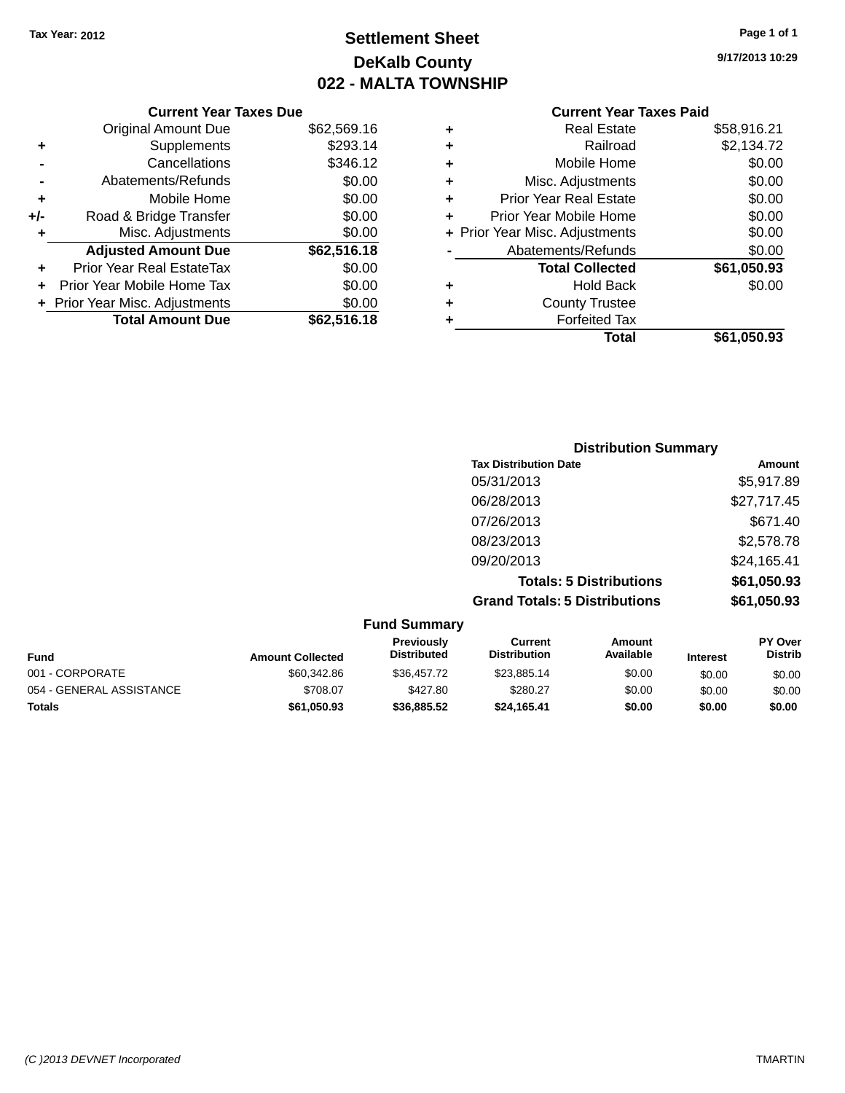**Current Year Taxes Due** Original Amount Due \$62,569.16

**Adjusted Amount Due \$62,516.18**

**Total Amount Due \$62,516.18**

**+** Supplements \$293.14 **-** Cancellations \$346.12 **-** Abatements/Refunds \$0.00 **+** Mobile Home \$0.00 **+/-** Road & Bridge Transfer \$0.00 **+** Misc. Adjustments \$0.00

**+** Prior Year Real EstateTax \$0.00 **+** Prior Year Mobile Home Tax \$0.00 **+ Prior Year Misc. Adjustments**  $$0.00$ 

## **Settlement Sheet Tax Year: 2012 Page 1 of 1 DeKalb County 022 - MALTA TOWNSHIP**

**9/17/2013 10:29**

|   | Total                          | \$61.050.93 |
|---|--------------------------------|-------------|
| ٠ | <b>Forfeited Tax</b>           |             |
| ٠ | <b>County Trustee</b>          |             |
| ٠ | <b>Hold Back</b>               | \$0.00      |
|   | <b>Total Collected</b>         | \$61,050.93 |
|   | Abatements/Refunds             | \$0.00      |
|   | + Prior Year Misc. Adjustments | \$0.00      |
| ٠ | Prior Year Mobile Home         | \$0.00      |
| ٠ | <b>Prior Year Real Estate</b>  | \$0.00      |
| ٠ | Misc. Adjustments              | \$0.00      |
| ÷ | Mobile Home                    | \$0.00      |
| ٠ | Railroad                       | \$2,134.72  |
| ٠ | <b>Real Estate</b>             | \$58,916.21 |

| <b>Distribution Summary</b>          |             |
|--------------------------------------|-------------|
| <b>Tax Distribution Date</b>         | Amount      |
| 05/31/2013                           | \$5,917.89  |
| 06/28/2013                           | \$27,717.45 |
| 07/26/2013                           | \$671.40    |
| 08/23/2013                           | \$2,578.78  |
| 09/20/2013                           | \$24,165.41 |
| <b>Totals: 5 Distributions</b>       | \$61,050.93 |
| <b>Grand Totals: 5 Distributions</b> | \$61,050.93 |

| <b>Fund Summary</b>      |                         |                                  |                                |                     |                 |                                  |
|--------------------------|-------------------------|----------------------------------|--------------------------------|---------------------|-----------------|----------------------------------|
| <b>Fund</b>              | <b>Amount Collected</b> | Previously<br><b>Distributed</b> | Current<br><b>Distribution</b> | Amount<br>Available | <b>Interest</b> | <b>PY Over</b><br><b>Distrib</b> |
| 001 - CORPORATE          | \$60,342.86             | \$36.457.72                      | \$23,885,14                    | \$0.00              | \$0.00          | \$0.00                           |
| 054 - GENERAL ASSISTANCE | \$708.07                | \$427.80                         | \$280.27                       | \$0.00              | \$0.00          | \$0.00                           |
| <b>Totals</b>            | \$61,050.93             | \$36,885,52                      | \$24.165.41                    | \$0.00              | \$0.00          | \$0.00                           |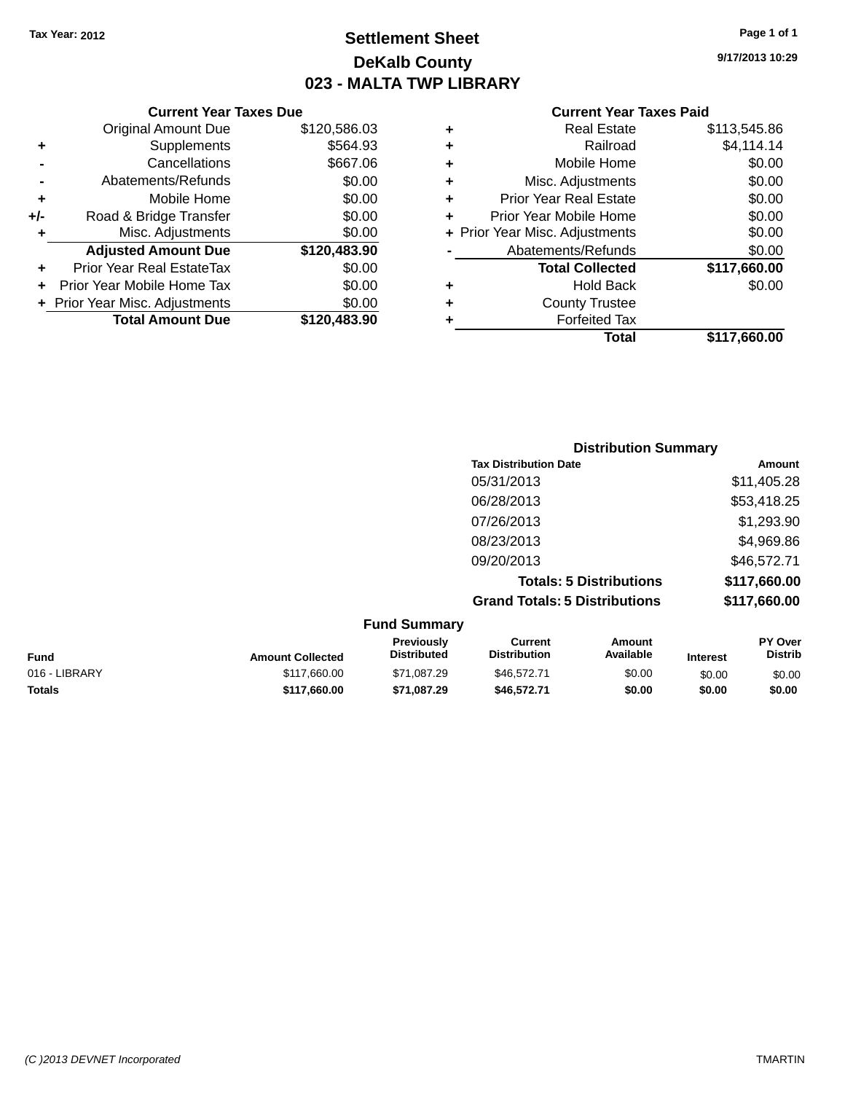**Current Year Taxes Due** Original Amount Due \$120,586.03

**Adjusted Amount Due \$120,483.90**

**Total Amount Due \$120,483.90**

**+** Supplements \$564.93 **-** Cancellations \$667.06 **-** Abatements/Refunds \$0.00 **+** Mobile Home \$0.00 **+/-** Road & Bridge Transfer \$0.00 **+** Misc. Adjustments \$0.00

**+** Prior Year Real EstateTax \$0.00 **+** Prior Year Mobile Home Tax \$0.00 **+ Prior Year Misc. Adjustments**  $$0.00$ 

### **Settlement Sheet Tax Year: 2012 Page 1 of 1 DeKalb County 023 - MALTA TWP LIBRARY**

**9/17/2013 10:29**

#### **Current Year Taxes Paid**

### **Distribution Summary Tax Distribution Date Amount** 05/31/2013 \$11,405.28 06/28/2013 \$53,418.25 07/26/2013 \$1,293.90 08/23/2013 \$4,969.86 09/20/2013 \$46,572.71 **Totals: 5 Distributions \$117,660.00 Grand Totals: 5 Distributions \$117,660.00**

|               |                         | <b>Fund Summary</b>              |                                |                     |                 |                                  |
|---------------|-------------------------|----------------------------------|--------------------------------|---------------------|-----------------|----------------------------------|
| <b>Fund</b>   | <b>Amount Collected</b> | Previously<br><b>Distributed</b> | Current<br><b>Distribution</b> | Amount<br>Available | <b>Interest</b> | <b>PY Over</b><br><b>Distrib</b> |
| 016 - LIBRARY | \$117,660.00            | \$71,087.29                      | \$46,572,71                    | \$0.00              | \$0.00          | \$0.00                           |
| <b>Totals</b> | \$117,660.00            | \$71,087.29                      | \$46,572.71                    | \$0.00              | \$0.00          | \$0.00                           |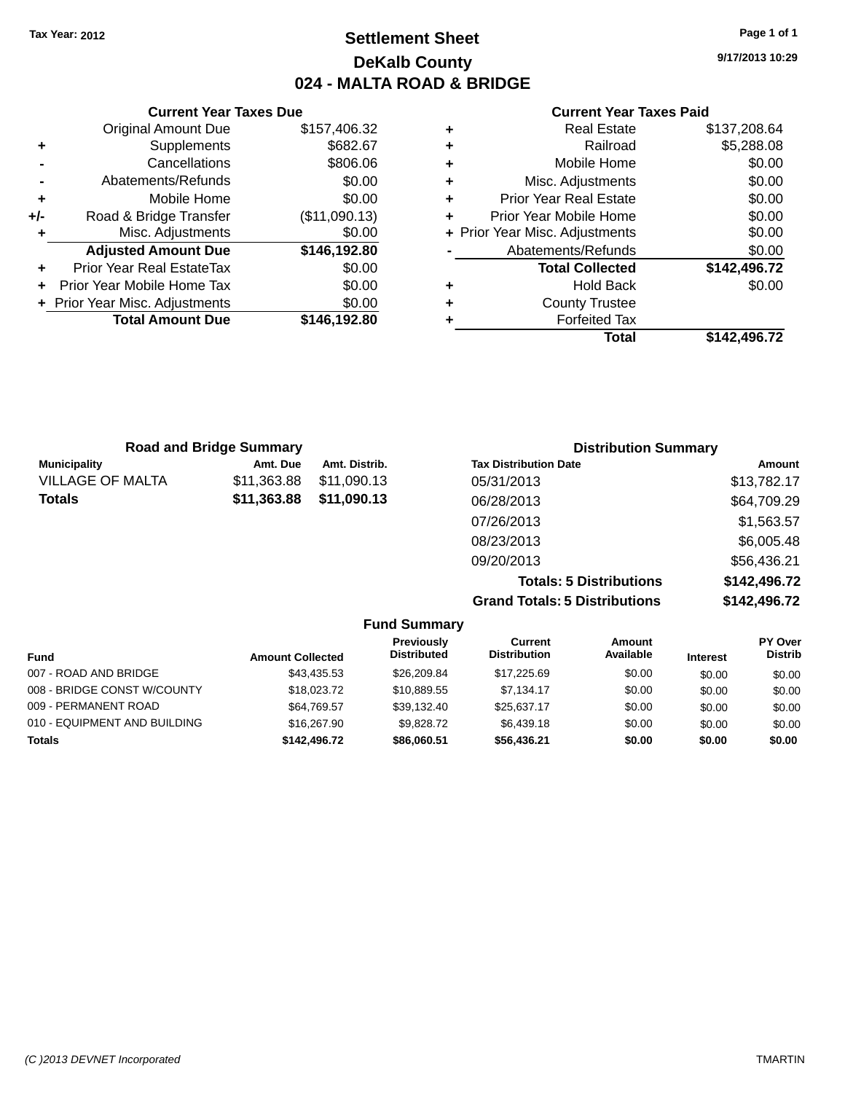### **Settlement Sheet Tax Year: 2012 Page 1 of 1 DeKalb County 024 - MALTA ROAD & BRIDGE**

**9/17/2013 10:29**

#### **Current Year Taxes Paid**

| Curr                   |   |               | <b>Current Year Taxes Due</b>    |       |
|------------------------|---|---------------|----------------------------------|-------|
| Re                     | ٠ | \$157,406.32  | <b>Original Amount Due</b>       |       |
|                        | ٠ | \$682.67      | Supplements                      |       |
| Mob                    | ٠ | \$806.06      | Cancellations                    |       |
| Misc. Adj              | ٠ | \$0.00        | Abatements/Refunds               |       |
| Prior Year Re          | ٠ | \$0.00        | Mobile Home                      | ٠     |
| Prior Year Mob         |   | (\$11,090.13) | Road & Bridge Transfer           | $+/-$ |
| + Prior Year Misc. Adj |   | \$0.00        | Misc. Adjustments                |       |
| Abatements             |   | \$146,192.80  | <b>Adjusted Amount Due</b>       |       |
| <b>Total C</b>         |   | \$0.00        | <b>Prior Year Real EstateTax</b> |       |
| h                      | ٠ | \$0.00        | Prior Year Mobile Home Tax       |       |
| Count                  | ÷ | \$0.00        | + Prior Year Misc. Adjustments   |       |
| For                    |   | \$146,192.80  | <b>Total Amount Due</b>          |       |
|                        |   |               |                                  |       |

| <b>Real Estate</b>            | \$137,208.64                   |
|-------------------------------|--------------------------------|
| Railroad                      | \$5,288.08                     |
| Mobile Home                   | \$0.00                         |
| Misc. Adjustments             | \$0.00                         |
| <b>Prior Year Real Estate</b> | \$0.00                         |
| Prior Year Mobile Home        | \$0.00                         |
|                               | \$0.00                         |
| Abatements/Refunds            | \$0.00                         |
| <b>Total Collected</b>        | \$142,496.72                   |
| <b>Hold Back</b>              | \$0.00                         |
| <b>County Trustee</b>         |                                |
| <b>Forfeited Tax</b>          |                                |
| Total                         | \$142.496.72                   |
|                               | + Prior Year Misc. Adjustments |

| <b>Road and Bridge Summary</b> |             |               | <b>Distribution Summary</b>    |              |  |
|--------------------------------|-------------|---------------|--------------------------------|--------------|--|
| <b>Municipality</b>            | Amt. Due    | Amt. Distrib. | <b>Tax Distribution Date</b>   | Amount       |  |
| <b>VILLAGE OF MALTA</b>        | \$11,363.88 | \$11,090.13   | 05/31/2013                     | \$13,782.17  |  |
| <b>Totals</b>                  | \$11,363.88 | \$11,090.13   | 06/28/2013                     | \$64,709.29  |  |
|                                |             |               | 07/26/2013                     | \$1,563.57   |  |
|                                |             |               | 08/23/2013                     | \$6,005.48   |  |
|                                |             |               | 09/20/2013                     | \$56,436.21  |  |
|                                |             |               | <b>Totals: 5 Distributions</b> | \$142,496.72 |  |

**Grand Totals: 5 Distributions \$142,496.72**

| <b>Fund Summary</b>          |                         |                                  |                                |                     |                 |                                  |
|------------------------------|-------------------------|----------------------------------|--------------------------------|---------------------|-----------------|----------------------------------|
| <b>Fund</b>                  | <b>Amount Collected</b> | Previously<br><b>Distributed</b> | Current<br><b>Distribution</b> | Amount<br>Available | <b>Interest</b> | <b>PY Over</b><br><b>Distrib</b> |
| 007 - ROAD AND BRIDGE        | \$43.435.53             | \$26,209.84                      | \$17,225.69                    | \$0.00              | \$0.00          | \$0.00                           |
| 008 - BRIDGE CONST W/COUNTY  | \$18,023,72             | \$10,889.55                      | \$7.134.17                     | \$0.00              | \$0.00          | \$0.00                           |
| 009 - PERMANENT ROAD         | \$64,769.57             | \$39,132.40                      | \$25,637.17                    | \$0.00              | \$0.00          | \$0.00                           |
| 010 - EQUIPMENT AND BUILDING | \$16,267.90             | \$9,828,72                       | \$6,439.18                     | \$0.00              | \$0.00          | \$0.00                           |
| <b>Totals</b>                | \$142,496.72            | \$86,060,51                      | \$56.436.21                    | \$0.00              | \$0.00          | \$0.00                           |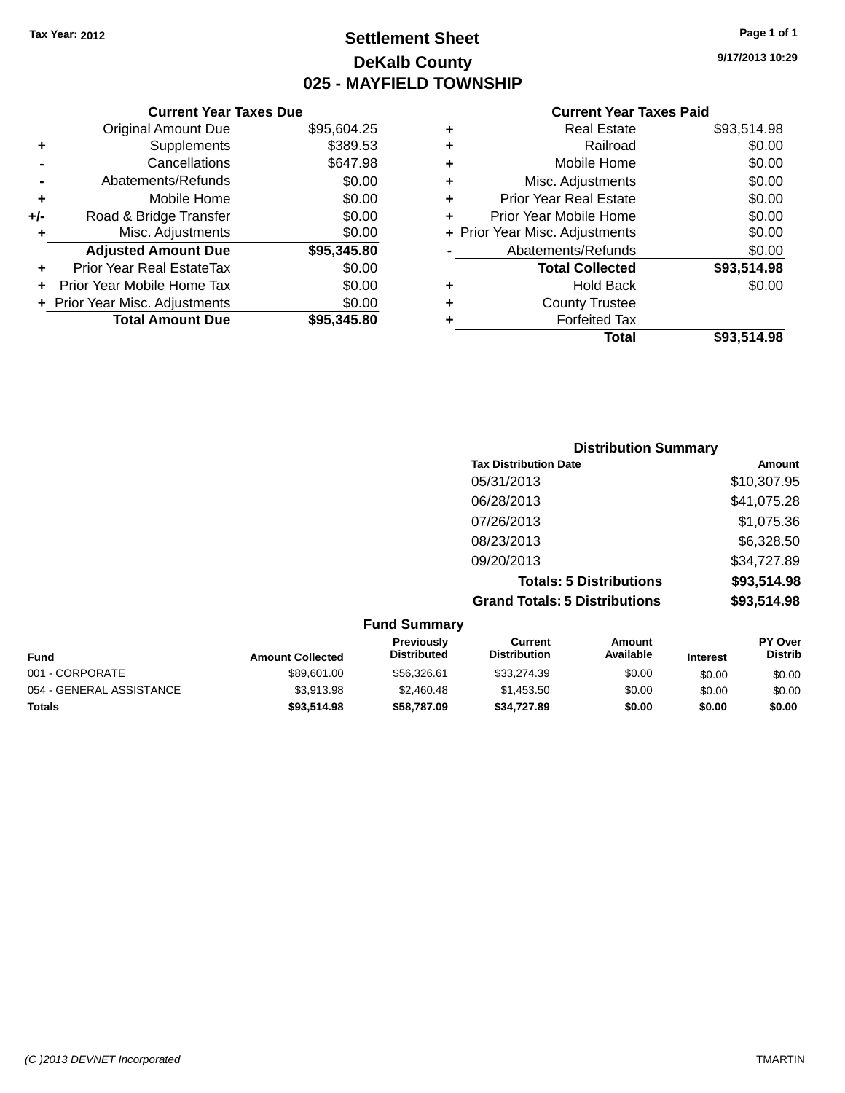**Original Amount Due** 

**Adjusted Amount Due** 

**Total Amount Due** 

**+** Supplements **-** Cancellations **-** Abatements/Refunds  $+$  Mobile Home **+/-** Road & Bridge Transfer **+** Misc. Adjustments

**+** Prior Year Real EstateTax \$0.00 **+** Prior Year Mobile Home Tax **+** Prior Year Misc. Adjustments

### **Settlement Sheet Tax Year: 2012 Page 1 of 1 DeKalb County 025 - MAYFIELD TOWNSHIP**

**9/17/2013 10:29**

#### **Current Year Taxes Paid**

| <b>Current Year Taxes Due</b> |             |   | <b>Current Year Taxes Paid</b> |             |  |
|-------------------------------|-------------|---|--------------------------------|-------------|--|
| ıl Amount Due                 | \$95,604.25 | ٠ | <b>Real Estate</b>             | \$93,514.98 |  |
| Supplements                   | \$389.53    | ٠ | Railroad                       | \$0.00      |  |
| Cancellations                 | \$647.98    | ٠ | Mobile Home                    | \$0.00      |  |
| ents/Refunds                  | \$0.00      | ÷ | Misc. Adjustments              | \$0.00      |  |
| Mobile Home                   | \$0.00      | ÷ | <b>Prior Year Real Estate</b>  | \$0.00      |  |
| ridge Transfer                | \$0.00      | ÷ | Prior Year Mobile Home         | \$0.00      |  |
| Adjustments                   | \$0.00      |   | + Prior Year Misc. Adjustments | \$0.00      |  |
| <b>Amount Due</b>             | \$95,345.80 |   | Abatements/Refunds             | \$0.00      |  |
| eal EstateTax:                | \$0.00      |   | <b>Total Collected</b>         | \$93,514.98 |  |
| pile Home Tax                 | \$0.00      | ÷ | <b>Hold Back</b>               | \$0.00      |  |
| . Adjustments                 | \$0.00      | ÷ | <b>County Trustee</b>          |             |  |
| <b>Amount Due</b>             | \$95,345.80 |   | <b>Forfeited Tax</b>           |             |  |
|                               |             |   | <b>Total</b>                   | \$93,514.98 |  |

### **Distribution Summary Tax Distribution Date Amount** 05/31/2013 \$10,307.95 06/28/2013 \$41,075.28 07/26/2013 \$1,075.36 08/23/2013 \$6,328.50 09/20/2013 \$34,727.89 **Totals: 5 Distributions \$93,514.98 Grand Totals: 5 Distributions \$93,514.98**

| <b>Fund Summary</b>      |                         |                                  |                                       |                     |                 |                                  |
|--------------------------|-------------------------|----------------------------------|---------------------------------------|---------------------|-----------------|----------------------------------|
| Fund                     | <b>Amount Collected</b> | Previously<br><b>Distributed</b> | <b>Current</b><br><b>Distribution</b> | Amount<br>Available | <b>Interest</b> | <b>PY Over</b><br><b>Distrib</b> |
| 001 - CORPORATE          | \$89,601.00             | \$56,326.61                      | \$33,274.39                           | \$0.00              | \$0.00          | \$0.00                           |
| 054 - GENERAL ASSISTANCE | \$3.913.98              | \$2,460.48                       | \$1,453.50                            | \$0.00              | \$0.00          | \$0.00                           |
| <b>Totals</b>            | \$93,514.98             | \$58,787.09                      | \$34.727.89                           | \$0.00              | \$0.00          | \$0.00                           |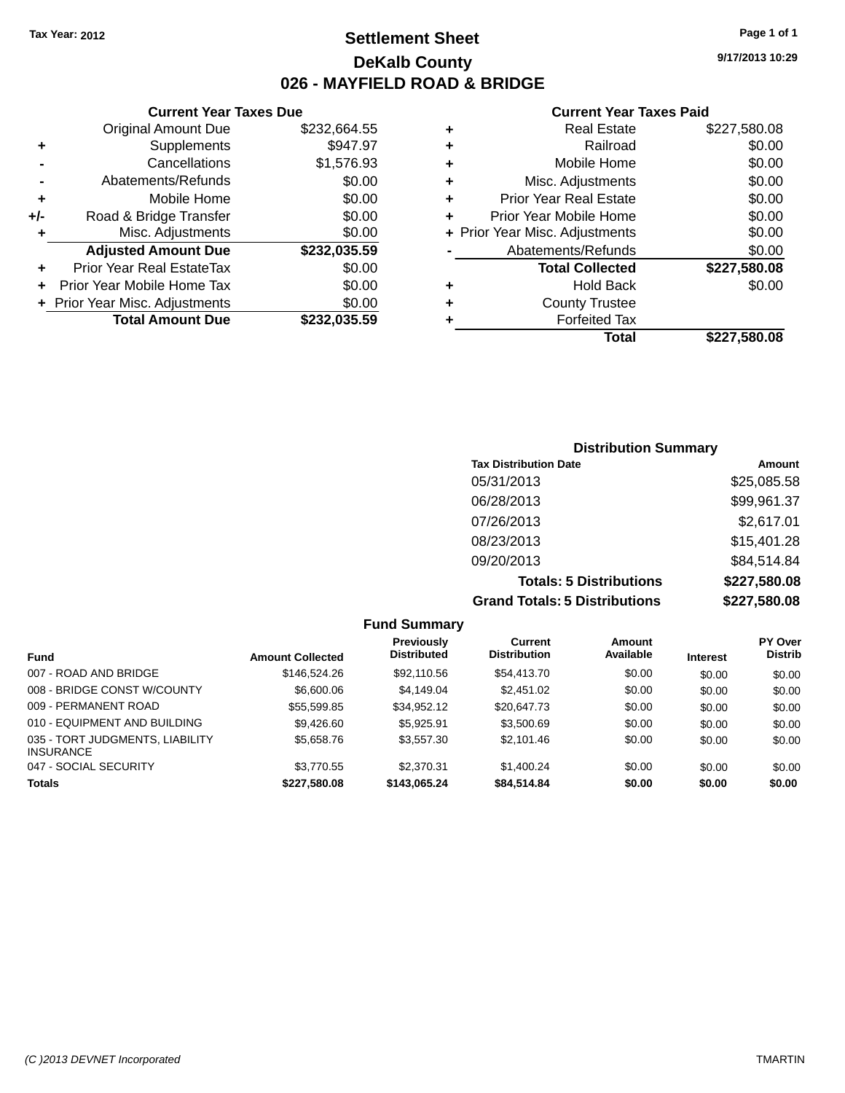### **Settlement Sheet Tax Year: 2012 Page 1 of 1 DeKalb County 026 - MAYFIELD ROAD & BRIDGE**

#### **Current Year Taxes Due**

|     | <b>Original Amount Due</b>     | \$232,664.55 |
|-----|--------------------------------|--------------|
| ٠   | Supplements                    | \$947.97     |
|     | Cancellations                  | \$1,576.93   |
|     | Abatements/Refunds             | \$0.00       |
| ٠   | Mobile Home                    | \$0.00       |
| +/- | Road & Bridge Transfer         | \$0.00       |
| ٠   | Misc. Adjustments              | \$0.00       |
|     | <b>Adjusted Amount Due</b>     | \$232,035.59 |
| ÷   | Prior Year Real EstateTax      | \$0.00       |
|     | Prior Year Mobile Home Tax     | \$0.00       |
|     | + Prior Year Misc. Adjustments | \$0.00       |
|     | <b>Total Amount Due</b>        | \$232,035.59 |

#### **Current Year Taxes Paid**

|   | <b>Real Estate</b>             | \$227,580.08 |
|---|--------------------------------|--------------|
| ٠ | Railroad                       | \$0.00       |
| ٠ | Mobile Home                    | \$0.00       |
| ٠ | Misc. Adjustments              | \$0.00       |
| ٠ | <b>Prior Year Real Estate</b>  | \$0.00       |
| ٠ | Prior Year Mobile Home         | \$0.00       |
|   | + Prior Year Misc. Adjustments | \$0.00       |
|   | Abatements/Refunds             | \$0.00       |
|   | <b>Total Collected</b>         | \$227,580.08 |
| ٠ | <b>Hold Back</b>               | \$0.00       |
| ٠ | <b>County Trustee</b>          |              |
| ٠ | <b>Forfeited Tax</b>           |              |
|   | <b>Total</b>                   | \$227,580.08 |
|   |                                |              |

### **Distribution Summary Tax Distribution Date Amount** 05/31/2013 \$25,085.58 06/28/2013 \$99,961.37 07/26/2013 \$2,617.01 08/23/2013 \$15,401.28 09/20/2013 \$84,514.84 **Totals: 5 Distributions \$227,580.08 Grand Totals: 5 Distributions \$227,580.08**

|                                                     |                         | <b>Fund Summary</b>              |                                |                     |                 |                                  |
|-----------------------------------------------------|-------------------------|----------------------------------|--------------------------------|---------------------|-----------------|----------------------------------|
| <b>Fund</b>                                         | <b>Amount Collected</b> | Previously<br><b>Distributed</b> | Current<br><b>Distribution</b> | Amount<br>Available | <b>Interest</b> | <b>PY Over</b><br><b>Distrib</b> |
| 007 - ROAD AND BRIDGE                               | \$146,524.26            | \$92,110.56                      | \$54,413.70                    | \$0.00              | \$0.00          | \$0.00                           |
| 008 - BRIDGE CONST W/COUNTY                         | \$6,600.06              | \$4.149.04                       | \$2,451.02                     | \$0.00              | \$0.00          | \$0.00                           |
| 009 - PERMANENT ROAD                                | \$55,599.85             | \$34.952.12                      | \$20,647.73                    | \$0.00              | \$0.00          | \$0.00                           |
| 010 - EQUIPMENT AND BUILDING                        | \$9,426.60              | \$5.925.91                       | \$3,500.69                     | \$0.00              | \$0.00          | \$0.00                           |
| 035 - TORT JUDGMENTS, LIABILITY<br><b>INSURANCE</b> | \$5,658.76              | \$3,557,30                       | \$2.101.46                     | \$0.00              | \$0.00          | \$0.00                           |
| 047 - SOCIAL SECURITY                               | \$3,770.55              | \$2.370.31                       | \$1.400.24                     | \$0.00              | \$0.00          | \$0.00                           |
| <b>Totals</b>                                       | \$227.580.08            | \$143.065.24                     | \$84,514.84                    | \$0.00              | \$0.00          | \$0.00                           |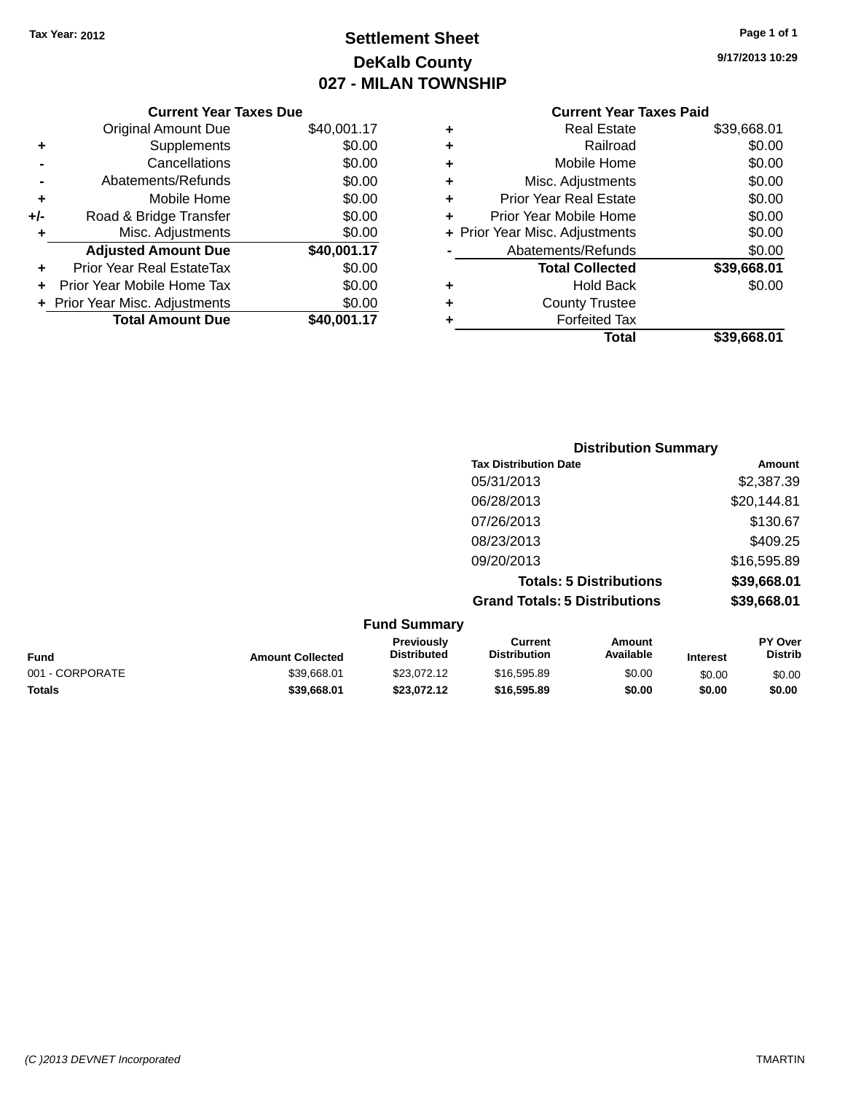## **Settlement Sheet Tax Year: 2012 Page 1 of 1 DeKalb County 027 - MILAN TOWNSHIP**

|     | <b>Current Year Taxes Due</b>    |             |
|-----|----------------------------------|-------------|
|     | <b>Original Amount Due</b>       | \$40,001.17 |
| ٠   | Supplements                      | \$0.00      |
|     | Cancellations                    | \$0.00      |
|     | Abatements/Refunds               | \$0.00      |
| ٠   | Mobile Home                      | \$0.00      |
| +/- | Road & Bridge Transfer           | \$0.00      |
|     | Misc. Adjustments                | \$0.00      |
|     | <b>Adjusted Amount Due</b>       | \$40,001.17 |
|     | <b>Prior Year Real EstateTax</b> | \$0.00      |
|     | Prior Year Mobile Home Tax       | \$0.00      |
|     | + Prior Year Misc. Adjustments   | \$0.00      |
|     | <b>Total Amount Due</b>          | \$40,001.17 |

**9/17/2013 10:29**

| ٠ | <b>Real Estate</b>             | \$39,668.01 |
|---|--------------------------------|-------------|
| ٠ | Railroad                       | \$0.00      |
| ٠ | Mobile Home                    | \$0.00      |
| ٠ | Misc. Adjustments              | \$0.00      |
| ٠ | <b>Prior Year Real Estate</b>  | \$0.00      |
| ٠ | Prior Year Mobile Home         | \$0.00      |
|   | + Prior Year Misc. Adjustments | \$0.00      |
|   | Abatements/Refunds             | \$0.00      |
|   | <b>Total Collected</b>         | \$39,668.01 |
| ٠ | <b>Hold Back</b>               | \$0.00      |
| ٠ | <b>County Trustee</b>          |             |
| ٠ | <b>Forfeited Tax</b>           |             |
|   | Total                          | \$39,668.01 |
|   |                                |             |

| <b>Distribution Summary</b>          |             |
|--------------------------------------|-------------|
| <b>Tax Distribution Date</b>         | Amount      |
| 05/31/2013                           | \$2,387.39  |
| 06/28/2013                           | \$20,144.81 |
| 07/26/2013                           | \$130.67    |
| 08/23/2013                           | \$409.25    |
| 09/20/2013                           | \$16,595.89 |
| <b>Totals: 5 Distributions</b>       | \$39,668.01 |
| <b>Grand Totals: 5 Distributions</b> | \$39,668.01 |

| <b>Fund Summary</b> |                         |                                  |                                |                     |                 |                                  |
|---------------------|-------------------------|----------------------------------|--------------------------------|---------------------|-----------------|----------------------------------|
| <b>Fund</b>         | <b>Amount Collected</b> | Previously<br><b>Distributed</b> | Current<br><b>Distribution</b> | Amount<br>Available | <b>Interest</b> | <b>PY Over</b><br><b>Distrib</b> |
| 001 - CORPORATE     | \$39,668.01             | \$23,072.12                      | \$16,595.89                    | \$0.00              | \$0.00          | \$0.00                           |
| <b>Totals</b>       | \$39,668.01             | \$23,072.12                      | \$16,595.89                    | \$0.00              | \$0.00          | \$0.00                           |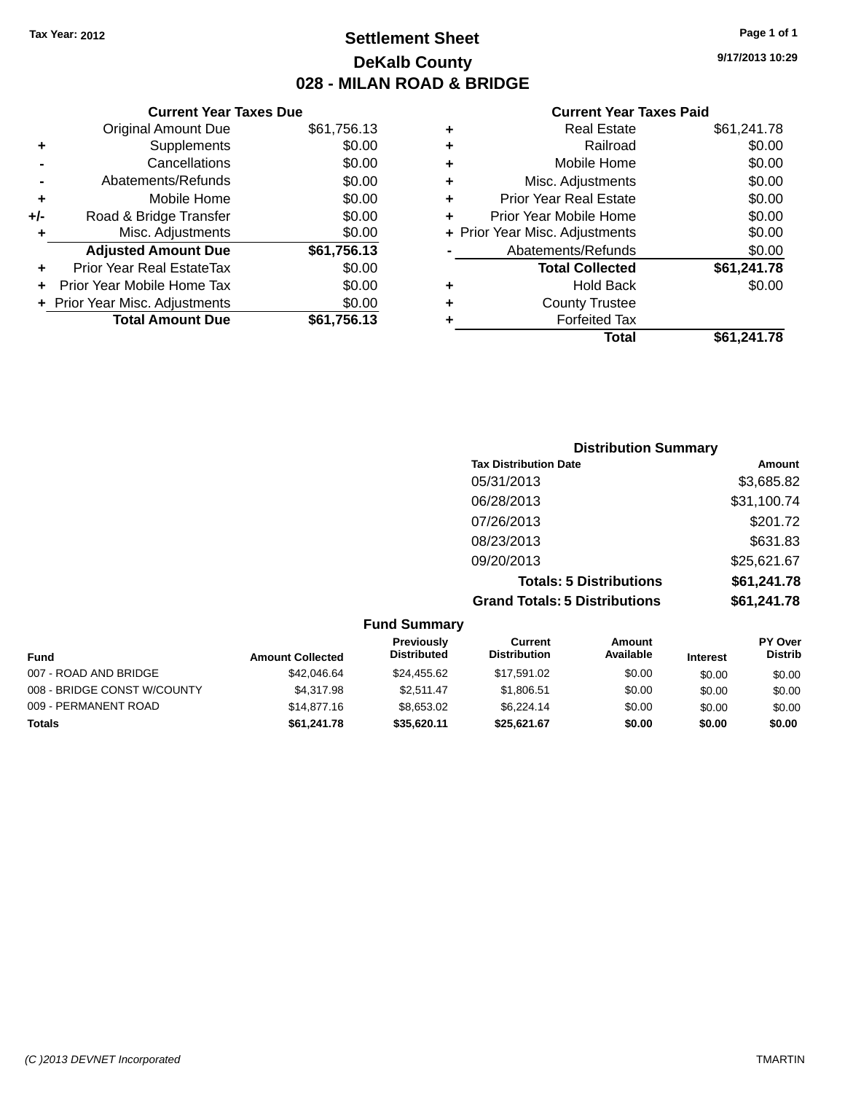### **Settlement Sheet Tax Year: 2012 Page 1 of 1 DeKalb County 028 - MILAN ROAD & BRIDGE**

|     | <b>Current Year Taxes Due</b>  |             |
|-----|--------------------------------|-------------|
|     | <b>Original Amount Due</b>     | \$61,756.13 |
| ٠   | Supplements                    | \$0.00      |
|     | Cancellations                  | \$0.00      |
|     | Abatements/Refunds             | \$0.00      |
| ٠   | Mobile Home                    | \$0.00      |
| +/- | Road & Bridge Transfer         | \$0.00      |
| ٠   | Misc. Adjustments              | \$0.00      |
|     | <b>Adjusted Amount Due</b>     | \$61,756.13 |
| ٠   | Prior Year Real EstateTax      | \$0.00      |
|     | Prior Year Mobile Home Tax     | \$0.00      |
|     | + Prior Year Misc. Adjustments | \$0.00      |
|     | <b>Total Amount Due</b>        | \$61,756.13 |
|     |                                |             |

|   | <b>Real Estate</b>             | \$61,241.78 |
|---|--------------------------------|-------------|
| ٠ | Railroad                       | \$0.00      |
| ٠ | Mobile Home                    | \$0.00      |
| ٠ | Misc. Adjustments              | \$0.00      |
| ٠ | <b>Prior Year Real Estate</b>  | \$0.00      |
| ٠ | Prior Year Mobile Home         | \$0.00      |
|   | + Prior Year Misc. Adjustments | \$0.00      |
|   | Abatements/Refunds             | \$0.00      |
|   | <b>Total Collected</b>         | \$61,241.78 |
| ٠ | <b>Hold Back</b>               | \$0.00      |
| ٠ | <b>County Trustee</b>          |             |
| ٠ | <b>Forfeited Tax</b>           |             |
|   | Total                          | \$61,241.78 |
|   |                                |             |

| <b>Distribution Summary</b>          |             |
|--------------------------------------|-------------|
| <b>Tax Distribution Date</b>         | Amount      |
| 05/31/2013                           | \$3,685.82  |
| 06/28/2013                           | \$31,100.74 |
| 07/26/2013                           | \$201.72    |
| 08/23/2013                           | \$631.83    |
| 09/20/2013                           | \$25,621.67 |
| <b>Totals: 5 Distributions</b>       | \$61,241.78 |
| <b>Grand Totals: 5 Distributions</b> | \$61,241.78 |

| <b>Fund Summary</b>         |                         |                                         |                                |                            |                 |                                  |
|-----------------------------|-------------------------|-----------------------------------------|--------------------------------|----------------------------|-----------------|----------------------------------|
| Fund                        | <b>Amount Collected</b> | <b>Previously</b><br><b>Distributed</b> | Current<br><b>Distribution</b> | <b>Amount</b><br>Available | <b>Interest</b> | <b>PY Over</b><br><b>Distrib</b> |
| 007 - ROAD AND BRIDGE       | \$42,046.64             | \$24,455.62                             | \$17,591.02                    | \$0.00                     | \$0.00          | \$0.00                           |
| 008 - BRIDGE CONST W/COUNTY | \$4.317.98              | \$2.511.47                              | \$1,806.51                     | \$0.00                     | \$0.00          | \$0.00                           |
| 009 - PERMANENT ROAD        | \$14,877.16             | \$8,653,02                              | \$6,224.14                     | \$0.00                     | \$0.00          | \$0.00                           |
| <b>Totals</b>               | \$61,241.78             | \$35.620.11                             | \$25.621.67                    | \$0.00                     | \$0.00          | \$0.00                           |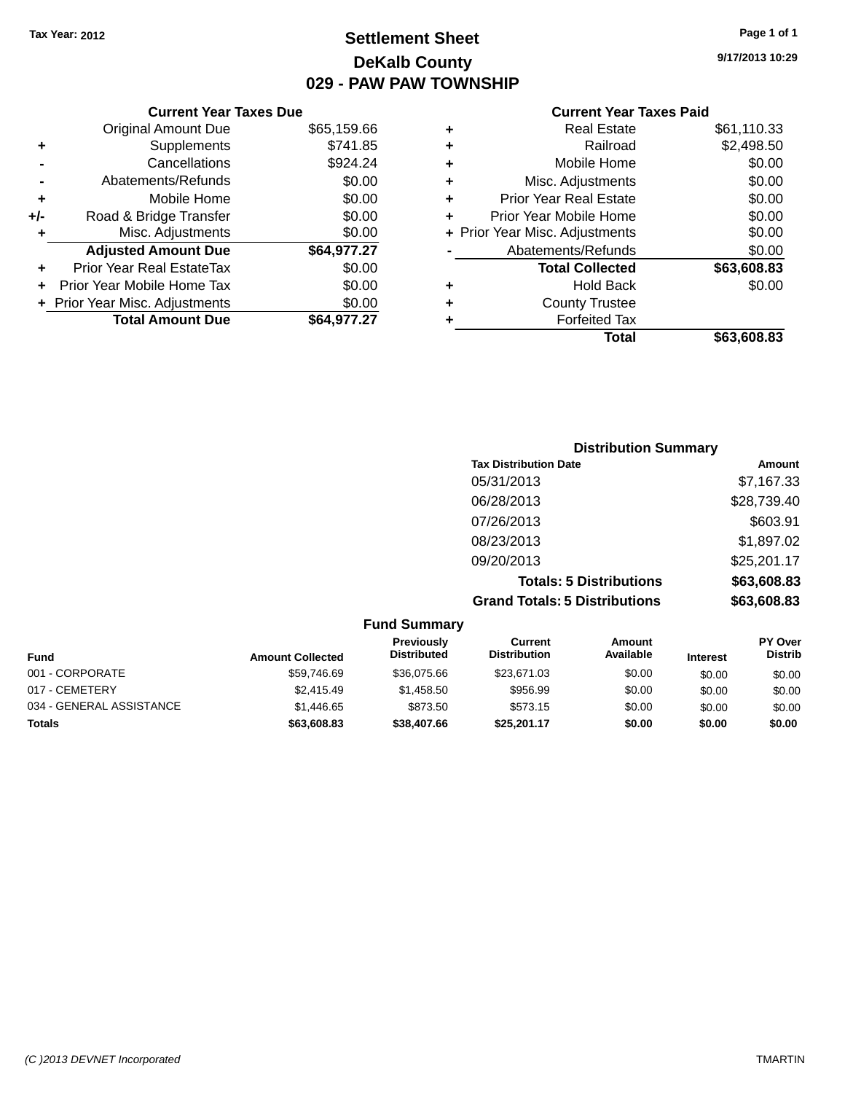### **Settlement Sheet Tax Year: 2012 Page 1 of 1 DeKalb County 029 - PAW PAW TOWNSHIP**

#### **Current Year Taxes Due**

|       | <b>Original Amount Due</b>     | \$65,159.66 |
|-------|--------------------------------|-------------|
|       | Supplements                    | \$741.85    |
|       | Cancellations                  | \$924.24    |
|       | Abatements/Refunds             | \$0.00      |
| ٠     | Mobile Home                    | \$0.00      |
| $+/-$ | Road & Bridge Transfer         | \$0.00      |
| ٠     | Misc. Adjustments              | \$0.00      |
|       | <b>Adjusted Amount Due</b>     | \$64,977.27 |
|       | Prior Year Real EstateTax      | \$0.00      |
|       | Prior Year Mobile Home Tax     | \$0.00      |
|       | + Prior Year Misc. Adjustments | \$0.00      |
|       | <b>Total Amount Due</b>        | \$64.977.27 |

#### **Current Year Taxes Paid**

|   | <b>Real Estate</b>             | \$61,110.33 |
|---|--------------------------------|-------------|
| ٠ | Railroad                       | \$2,498.50  |
| ٠ | Mobile Home                    | \$0.00      |
| ٠ | Misc. Adjustments              | \$0.00      |
| ٠ | <b>Prior Year Real Estate</b>  | \$0.00      |
| ٠ | Prior Year Mobile Home         | \$0.00      |
|   | + Prior Year Misc. Adjustments | \$0.00      |
|   | Abatements/Refunds             | \$0.00      |
|   | <b>Total Collected</b>         | \$63,608.83 |
| ٠ | <b>Hold Back</b>               | \$0.00      |
| ٠ | <b>County Trustee</b>          |             |
|   | <b>Forfeited Tax</b>           |             |
|   | Total                          | \$63,608.83 |
|   |                                |             |

### **Distribution Summary Tax Distribution Date Amount** 05/31/2013 \$7,167.33 06/28/2013 \$28,739.40 07/26/2013 \$603.91 08/23/2013 \$1,897.02 09/20/2013 \$25,201.17 **Totals: 5 Distributions \$63,608.83 Grand Totals: 5 Distributions \$63,608.83**

|                          |                         | <b>Fund Summary</b>              |                                |                     |                 |                                  |
|--------------------------|-------------------------|----------------------------------|--------------------------------|---------------------|-----------------|----------------------------------|
| <b>Fund</b>              | <b>Amount Collected</b> | Previously<br><b>Distributed</b> | Current<br><b>Distribution</b> | Amount<br>Available | <b>Interest</b> | <b>PY Over</b><br><b>Distrib</b> |
| 001 - CORPORATE          | \$59,746.69             | \$36,075.66                      | \$23,671,03                    | \$0.00              | \$0.00          | \$0.00                           |
| 017 - CEMETERY           | \$2.415.49              | \$1.458.50                       | \$956.99                       | \$0.00              | \$0.00          | \$0.00                           |
| 034 - GENERAL ASSISTANCE | \$1,446.65              | \$873.50                         | \$573.15                       | \$0.00              | \$0.00          | \$0.00                           |
| <b>Totals</b>            | \$63,608.83             | \$38,407.66                      | \$25.201.17                    | \$0.00              | \$0.00          | \$0.00                           |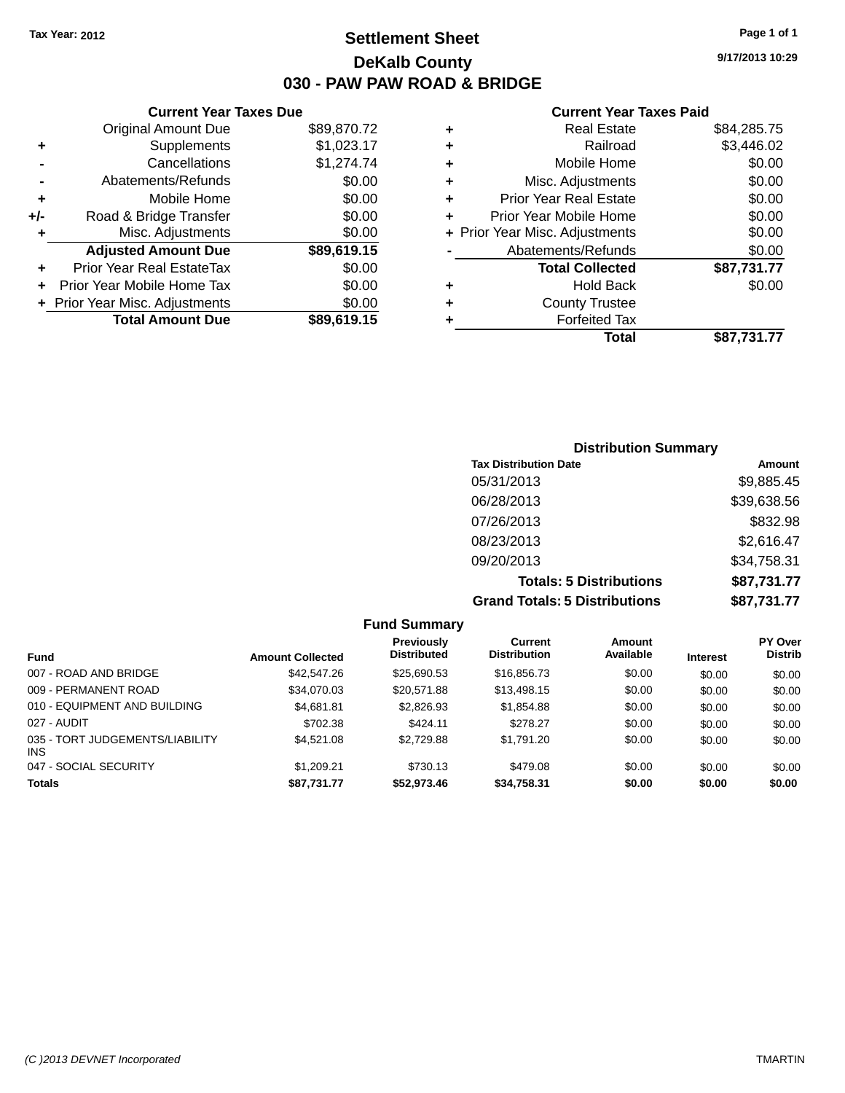### **Settlement Sheet Tax Year: 2012 Page 1 of 1 DeKalb County 030 - PAW PAW ROAD & BRIDGE**

**9/17/2013 10:29**

|     | <b>Current Year Taxes Due</b>  |             |  |  |  |  |
|-----|--------------------------------|-------------|--|--|--|--|
|     | <b>Original Amount Due</b>     | \$89,870.72 |  |  |  |  |
| ٠   | Supplements                    | \$1,023.17  |  |  |  |  |
|     | Cancellations                  | \$1,274.74  |  |  |  |  |
|     | Abatements/Refunds             | \$0.00      |  |  |  |  |
| ٠   | Mobile Home                    | \$0.00      |  |  |  |  |
| +/- | Road & Bridge Transfer         | \$0.00      |  |  |  |  |
| ٠   | Misc. Adjustments              | \$0.00      |  |  |  |  |
|     | <b>Adjusted Amount Due</b>     | \$89,619.15 |  |  |  |  |
| ٠   | Prior Year Real EstateTax      | \$0.00      |  |  |  |  |
| ÷   | Prior Year Mobile Home Tax     | \$0.00      |  |  |  |  |
|     | + Prior Year Misc. Adjustments | \$0.00      |  |  |  |  |
|     | <b>Total Amount Due</b>        | \$89,619.15 |  |  |  |  |
|     |                                |             |  |  |  |  |

|   | <b>Real Estate</b>             | \$84,285.75 |
|---|--------------------------------|-------------|
| ٠ | Railroad                       | \$3,446.02  |
| ٠ | Mobile Home                    | \$0.00      |
| ٠ | Misc. Adjustments              | \$0.00      |
| ٠ | <b>Prior Year Real Estate</b>  | \$0.00      |
|   | Prior Year Mobile Home         | \$0.00      |
|   | + Prior Year Misc. Adjustments | \$0.00      |
|   | Abatements/Refunds             | \$0.00      |
|   | <b>Total Collected</b>         | \$87,731.77 |
| ٠ | Hold Back                      | \$0.00      |
| ٠ | <b>County Trustee</b>          |             |
| ٠ | <b>Forfeited Tax</b>           |             |
|   | Total                          | \$87,731.77 |
|   |                                |             |

| <b>Distribution Summary</b>          |             |
|--------------------------------------|-------------|
| <b>Tax Distribution Date</b>         | Amount      |
| 05/31/2013                           | \$9,885.45  |
| 06/28/2013                           | \$39,638.56 |
| 07/26/2013                           | \$832.98    |
| 08/23/2013                           | \$2,616.47  |
| 09/20/2013                           | \$34,758.31 |
| <b>Totals: 5 Distributions</b>       | \$87,731.77 |
| <b>Grand Totals: 5 Distributions</b> | \$87,731.77 |

|                                         |                         | <b>Fund Summary</b>                     |                                |                     |                 |                           |
|-----------------------------------------|-------------------------|-----------------------------------------|--------------------------------|---------------------|-----------------|---------------------------|
| <b>Fund</b>                             | <b>Amount Collected</b> | <b>Previously</b><br><b>Distributed</b> | Current<br><b>Distribution</b> | Amount<br>Available | <b>Interest</b> | PY Over<br><b>Distrib</b> |
| 007 - ROAD AND BRIDGE                   | \$42,547.26             | \$25.690.53                             | \$16,856.73                    | \$0.00              | \$0.00          | \$0.00                    |
| 009 - PERMANENT ROAD                    | \$34.070.03             | \$20.571.88                             | \$13,498.15                    | \$0.00              | \$0.00          | \$0.00                    |
| 010 - EQUIPMENT AND BUILDING            | \$4,681.81              | \$2,826.93                              | \$1,854.88                     | \$0.00              | \$0.00          | \$0.00                    |
| 027 - AUDIT                             | \$702.38                | \$424.11                                | \$278.27                       | \$0.00              | \$0.00          | \$0.00                    |
| 035 - TORT JUDGEMENTS/LIABILITY<br>INS. | \$4.521.08              | \$2,729.88                              | \$1,791.20                     | \$0.00              | \$0.00          | \$0.00                    |
| 047 - SOCIAL SECURITY                   | \$1,209.21              | \$730.13                                | \$479.08                       | \$0.00              | \$0.00          | \$0.00                    |
| <b>Totals</b>                           | \$87,731.77             | \$52,973.46                             | \$34,758.31                    | \$0.00              | \$0.00          | \$0.00                    |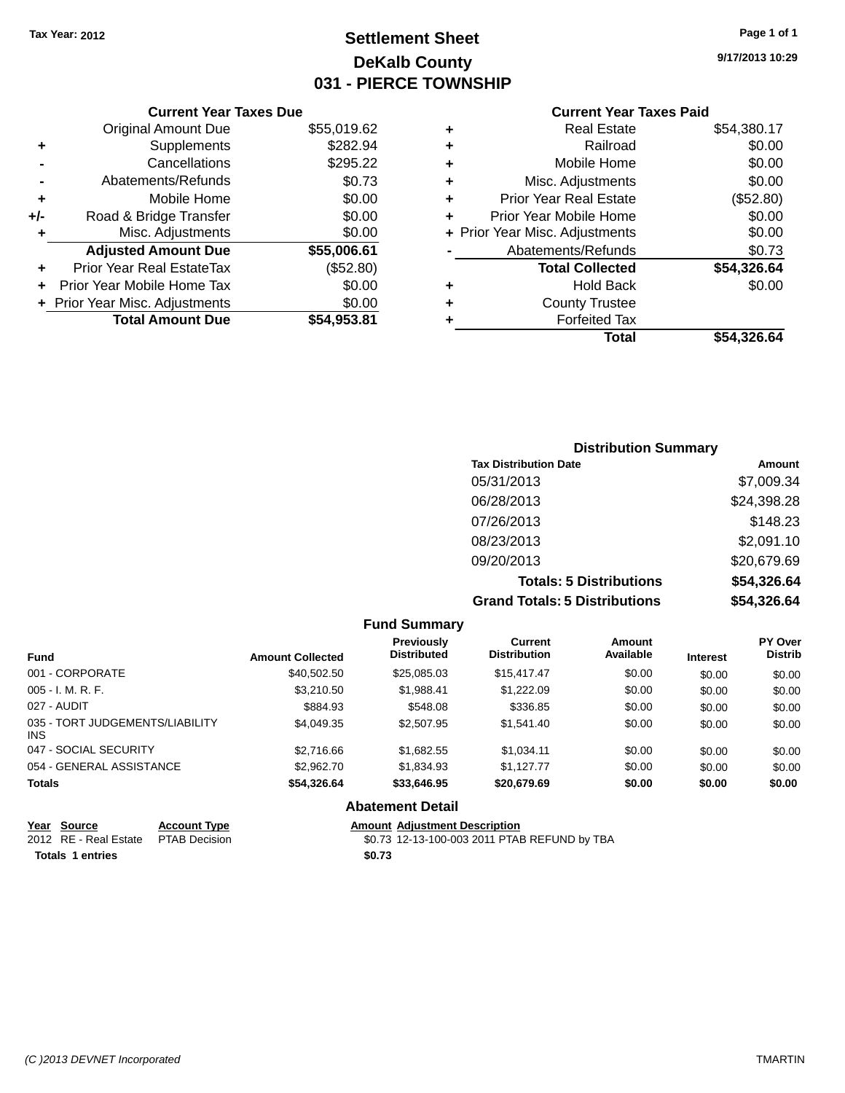## **Settlement Sheet Tax Year: 2012 Page 1 of 1 DeKalb County 031 - PIERCE TOWNSHIP**

**9/17/2013 10:29**

|       | <b>Current Year Taxes Due</b>  |             |  |  |  |
|-------|--------------------------------|-------------|--|--|--|
|       | <b>Original Amount Due</b>     | \$55,019.62 |  |  |  |
| ٠     | Supplements                    | \$282.94    |  |  |  |
|       | Cancellations                  | \$295.22    |  |  |  |
|       | Abatements/Refunds             | \$0.73      |  |  |  |
| ٠     | Mobile Home                    | \$0.00      |  |  |  |
| $+/-$ | Road & Bridge Transfer         | \$0.00      |  |  |  |
| ٠     | Misc. Adjustments              | \$0.00      |  |  |  |
|       | <b>Adjusted Amount Due</b>     | \$55,006.61 |  |  |  |
| ÷     | Prior Year Real EstateTax      | (\$52.80)   |  |  |  |
|       | Prior Year Mobile Home Tax     | \$0.00      |  |  |  |
|       | + Prior Year Misc. Adjustments | \$0.00      |  |  |  |
|       | <b>Total Amount Due</b>        | \$54,953.81 |  |  |  |
|       |                                |             |  |  |  |

| ٠ | <b>Real Estate</b>             | \$54,380.17 |
|---|--------------------------------|-------------|
| ٠ | Railroad                       | \$0.00      |
| ٠ | Mobile Home                    | \$0.00      |
| ٠ | Misc. Adjustments              | \$0.00      |
| ٠ | <b>Prior Year Real Estate</b>  | (\$52.80)   |
| ÷ | Prior Year Mobile Home         | \$0.00      |
|   | + Prior Year Misc. Adjustments | \$0.00      |
|   | Abatements/Refunds             | \$0.73      |
|   | <b>Total Collected</b>         | \$54,326.64 |
| ÷ | Hold Back                      | \$0.00      |
| ÷ | <b>County Trustee</b>          |             |
| ٠ | <b>Forfeited Tax</b>           |             |
|   | Total                          | \$54,326.64 |
|   |                                |             |

| <b>Distribution Summary</b>          |             |
|--------------------------------------|-------------|
| <b>Tax Distribution Date</b>         | Amount      |
| 05/31/2013                           | \$7,009.34  |
| 06/28/2013                           | \$24,398.28 |
| 07/26/2013                           | \$148.23    |
| 08/23/2013                           | \$2,091.10  |
| 09/20/2013                           | \$20,679.69 |
| <b>Totals: 5 Distributions</b>       | \$54,326.64 |
| <b>Grand Totals: 5 Distributions</b> | \$54,326.64 |

|                                         |                         | <b>Fund Summary</b>              |                                       |                     |                 |                           |
|-----------------------------------------|-------------------------|----------------------------------|---------------------------------------|---------------------|-----------------|---------------------------|
| <b>Fund</b>                             | <b>Amount Collected</b> | Previously<br><b>Distributed</b> | <b>Current</b><br><b>Distribution</b> | Amount<br>Available | <b>Interest</b> | PY Over<br><b>Distrib</b> |
| 001 - CORPORATE                         | \$40,502.50             | \$25,085.03                      | \$15,417,47                           | \$0.00              | \$0.00          | \$0.00                    |
| $005 - I. M. R. F.$                     | \$3,210.50              | \$1.988.41                       | \$1,222.09                            | \$0.00              | \$0.00          | \$0.00                    |
| 027 - AUDIT                             | \$884.93                | \$548.08                         | \$336.85                              | \$0.00              | \$0.00          | \$0.00                    |
| 035 - TORT JUDGEMENTS/LIABILITY<br>INS. | \$4.049.35              | \$2,507.95                       | \$1,541.40                            | \$0.00              | \$0.00          | \$0.00                    |
| 047 - SOCIAL SECURITY                   | \$2,716.66              | \$1,682.55                       | \$1,034.11                            | \$0.00              | \$0.00          | \$0.00                    |
| 054 - GENERAL ASSISTANCE                | \$2,962.70              | \$1.834.93                       | \$1.127.77                            | \$0.00              | \$0.00          | \$0.00                    |
| <b>Totals</b>                           | \$54,326.64             | \$33,646.95                      | \$20,679.69                           | \$0.00              | \$0.00          | \$0.00                    |
|                                         |                         | <b>Abatement Detail</b>          |                                       |                     |                 |                           |

| <u>Year Source</u>      | <b>Account Type</b>  |        | <b>Amount Adiustment Description</b>         |
|-------------------------|----------------------|--------|----------------------------------------------|
| 2012 RE - Real Estate   | <b>PTAB Decision</b> |        | \$0.73 12-13-100-003 2011 PTAB REFUND by TBA |
| <b>Totals 1 entries</b> |                      | \$0.73 |                                              |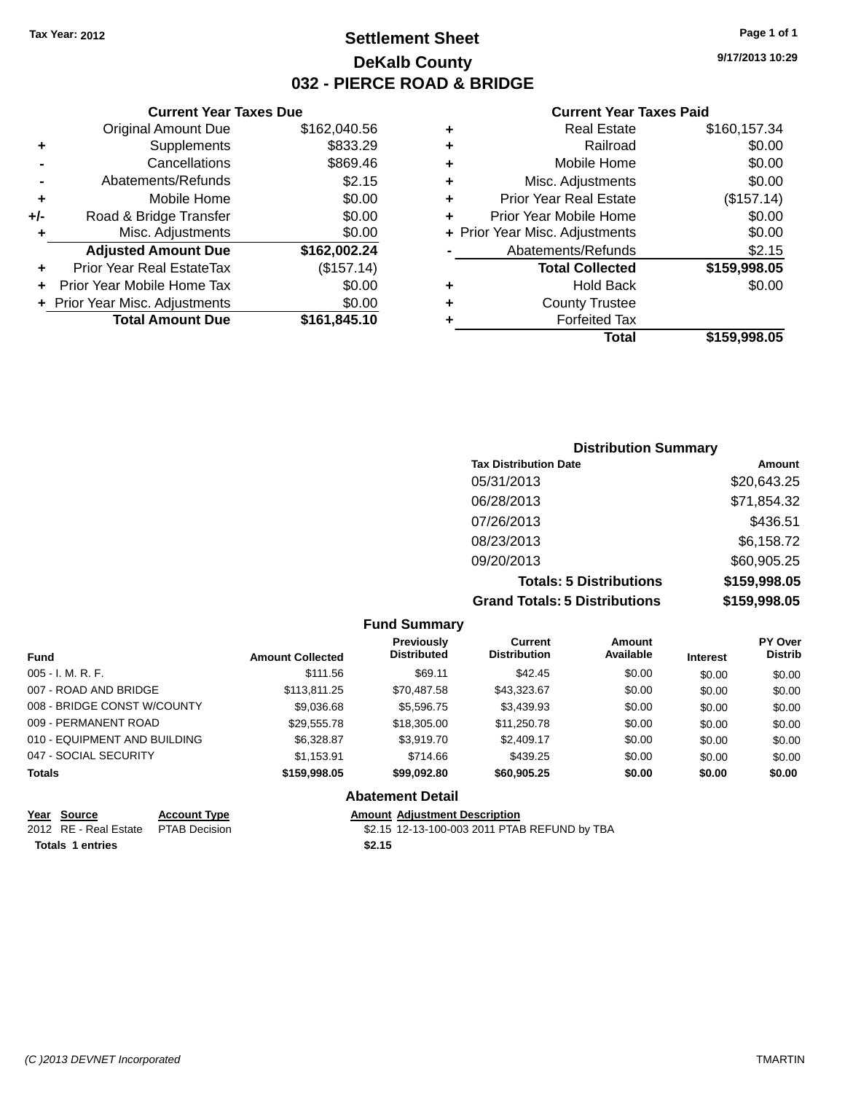### **Settlement Sheet Tax Year: 2012 Page 1 of 1 DeKalb County 032 - PIERCE ROAD & BRIDGE**

**9/17/2013 10:29**

|     | <b>Current Year Taxes Due</b>    |              |  |  |  |
|-----|----------------------------------|--------------|--|--|--|
|     | <b>Original Amount Due</b>       | \$162,040.56 |  |  |  |
| ٠   | Supplements                      | \$833.29     |  |  |  |
|     | Cancellations                    | \$869.46     |  |  |  |
|     | Abatements/Refunds               | \$2.15       |  |  |  |
| ٠   | Mobile Home                      | \$0.00       |  |  |  |
| +/- | Road & Bridge Transfer           | \$0.00       |  |  |  |
| ٠   | Misc. Adjustments                | \$0.00       |  |  |  |
|     | <b>Adjusted Amount Due</b>       | \$162,002.24 |  |  |  |
| ٠   | <b>Prior Year Real EstateTax</b> | (\$157.14)   |  |  |  |
|     | Prior Year Mobile Home Tax       | \$0.00       |  |  |  |
|     | + Prior Year Misc. Adjustments   | \$0.00       |  |  |  |
|     | <b>Total Amount Due</b>          | \$161,845.10 |  |  |  |
|     |                                  |              |  |  |  |

| ٠ | <b>Real Estate</b>             | \$160,157.34 |
|---|--------------------------------|--------------|
| ٠ | Railroad                       | \$0.00       |
| ٠ | Mobile Home                    | \$0.00       |
| ٠ | Misc. Adjustments              | \$0.00       |
| ٠ | <b>Prior Year Real Estate</b>  | (\$157.14)   |
| ٠ | Prior Year Mobile Home         | \$0.00       |
|   | + Prior Year Misc. Adjustments | \$0.00       |
|   | Abatements/Refunds             | \$2.15       |
|   | <b>Total Collected</b>         | \$159,998.05 |
| ٠ | <b>Hold Back</b>               | \$0.00       |
| ٠ | <b>County Trustee</b>          |              |
| ٠ | <b>Forfeited Tax</b>           |              |
|   | Total                          | \$159,998.05 |
|   |                                |              |

| <b>Distribution Summary</b>          |              |
|--------------------------------------|--------------|
| <b>Tax Distribution Date</b>         | Amount       |
| 05/31/2013                           | \$20,643.25  |
| 06/28/2013                           | \$71,854.32  |
| 07/26/2013                           | \$436.51     |
| 08/23/2013                           | \$6,158.72   |
| 09/20/2013                           | \$60,905.25  |
| <b>Totals: 5 Distributions</b>       | \$159,998.05 |
| <b>Grand Totals: 5 Distributions</b> | \$159,998.05 |

|                              |                         | <b>Fund Summary</b>                     |                                       |                     |                 |                                  |
|------------------------------|-------------------------|-----------------------------------------|---------------------------------------|---------------------|-----------------|----------------------------------|
| <b>Fund</b>                  | <b>Amount Collected</b> | <b>Previously</b><br><b>Distributed</b> | <b>Current</b><br><b>Distribution</b> | Amount<br>Available | <b>Interest</b> | <b>PY Over</b><br><b>Distrib</b> |
| $005 - I. M. R. F.$          | \$111.56                | \$69.11                                 | \$42.45                               | \$0.00              | \$0.00          | \$0.00                           |
| 007 - ROAD AND BRIDGE        | \$113,811.25            | \$70,487.58                             | \$43.323.67                           | \$0.00              | \$0.00          | \$0.00                           |
| 008 - BRIDGE CONST W/COUNTY  | \$9,036.68              | \$5,596.75                              | \$3,439.93                            | \$0.00              | \$0.00          | \$0.00                           |
| 009 - PERMANENT ROAD         | \$29,555.78             | \$18,305.00                             | \$11,250.78                           | \$0.00              | \$0.00          | \$0.00                           |
| 010 - EQUIPMENT AND BUILDING | \$6,328.87              | \$3,919.70                              | \$2,409.17                            | \$0.00              | \$0.00          | \$0.00                           |
| 047 - SOCIAL SECURITY        | \$1.153.91              | \$714.66                                | \$439.25                              | \$0.00              | \$0.00          | \$0.00                           |
| <b>Totals</b>                | \$159,998.05            | \$99,092.80                             | \$60,905.25                           | \$0.00              | \$0.00          | \$0.00                           |
|                              |                         | <b>Abatement Detail</b>                 |                                       |                     |                 |                                  |

|                         | Year Source                         | <b>Account Type</b> |        | <b>Amount Adiustment Description</b>         |
|-------------------------|-------------------------------------|---------------------|--------|----------------------------------------------|
|                         | 2012 RE - Real Estate PTAB Decision |                     |        | \$2.15 12-13-100-003 2011 PTAB REFUND by TBA |
| <b>Totals 1 entries</b> |                                     |                     | \$2.15 |                                              |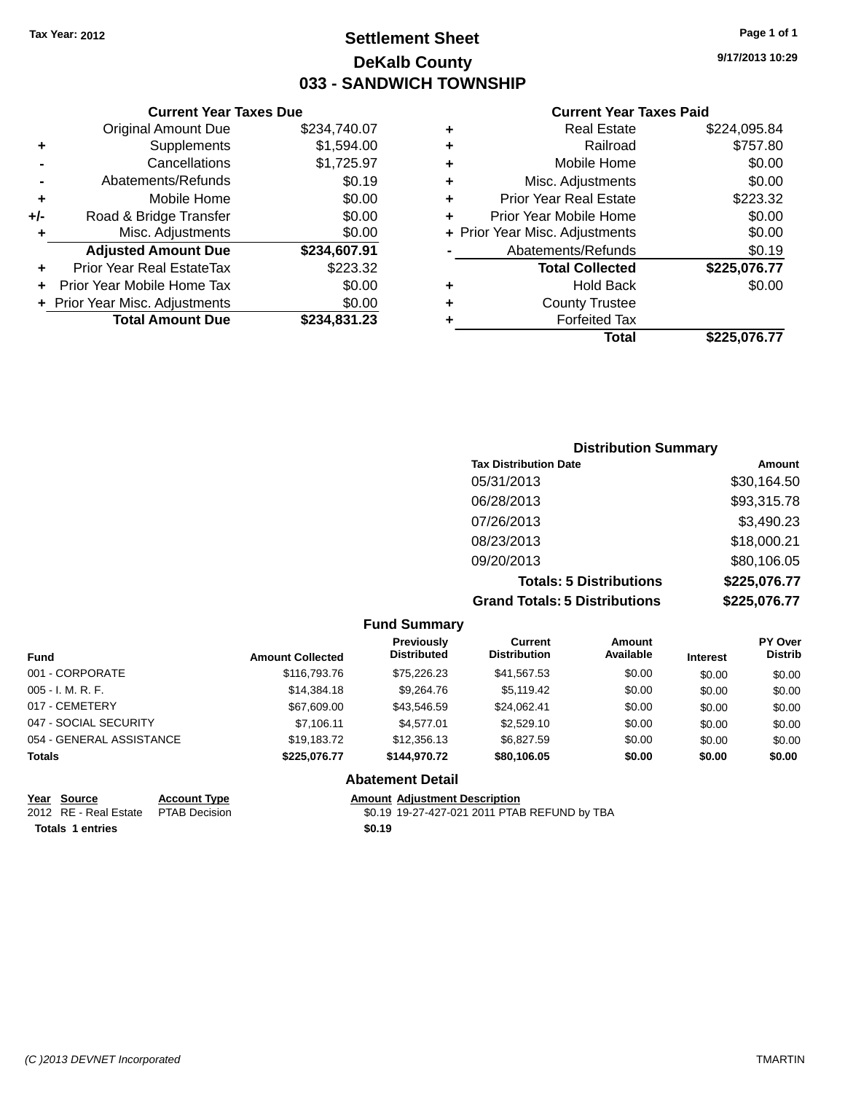### **Settlement Sheet Tax Year: 2012 Page 1 of 1 DeKalb County 033 - SANDWICH TOWNSHIP**

**9/17/2013 10:29**

| <b>Current Year Taxes Paid</b> |  |  |
|--------------------------------|--|--|
|                                |  |  |

|     | <b>Current Year Taxes Due</b>  |              |  |  |
|-----|--------------------------------|--------------|--|--|
|     | <b>Original Amount Due</b>     | \$234,740.07 |  |  |
| ٠   | Supplements                    | \$1,594.00   |  |  |
|     | Cancellations                  | \$1,725.97   |  |  |
|     | Abatements/Refunds             | \$0.19       |  |  |
| ٠   | Mobile Home                    | \$0.00       |  |  |
| +/- | Road & Bridge Transfer         | \$0.00       |  |  |
| ٠   | Misc. Adjustments              | \$0.00       |  |  |
|     | <b>Adjusted Amount Due</b>     | \$234,607.91 |  |  |
| ٠   | Prior Year Real EstateTax      | \$223.32     |  |  |
|     | Prior Year Mobile Home Tax     | \$0.00       |  |  |
|     | + Prior Year Misc. Adjustments | \$0.00       |  |  |
|     | <b>Total Amount Due</b>        | \$234.831.23 |  |  |
|     |                                |              |  |  |

| ٠ | <b>Real Estate</b>             | \$224,095.84 |
|---|--------------------------------|--------------|
| ٠ | Railroad                       | \$757.80     |
| ٠ | Mobile Home                    | \$0.00       |
| ٠ | Misc. Adjustments              | \$0.00       |
| ٠ | <b>Prior Year Real Estate</b>  | \$223.32     |
| ٠ | Prior Year Mobile Home         | \$0.00       |
|   | + Prior Year Misc. Adjustments | \$0.00       |
|   | Abatements/Refunds             | \$0.19       |
|   | <b>Total Collected</b>         | \$225,076.77 |
| ٠ | <b>Hold Back</b>               | \$0.00       |
| ٠ | <b>County Trustee</b>          |              |
| ٠ | <b>Forfeited Tax</b>           |              |
|   | Total                          | \$225,076.77 |
|   |                                |              |

| <b>Distribution Summary</b>          |              |
|--------------------------------------|--------------|
| <b>Tax Distribution Date</b>         | Amount       |
| 05/31/2013                           | \$30,164.50  |
| 06/28/2013                           | \$93,315.78  |
| 07/26/2013                           | \$3,490.23   |
| 08/23/2013                           | \$18,000.21  |
| 09/20/2013                           | \$80,106.05  |
| <b>Totals: 5 Distributions</b>       | \$225,076.77 |
| <b>Grand Totals: 5 Distributions</b> | \$225,076.77 |

| <b>Amount Collected</b> | <b>Previously</b><br><b>Distributed</b> | Current<br><b>Distribution</b>                 | Amount<br>Available | <b>Interest</b> | <b>PY Over</b><br><b>Distrib</b> |
|-------------------------|-----------------------------------------|------------------------------------------------|---------------------|-----------------|----------------------------------|
| \$116,793.76            | \$75,226.23                             | \$41,567.53                                    | \$0.00              | \$0.00          | \$0.00                           |
| \$14,384.18             | \$9,264.76                              | \$5,119.42                                     | \$0.00              | \$0.00          | \$0.00                           |
| \$67,609.00             | \$43,546.59                             | \$24,062.41                                    | \$0.00              | \$0.00          | \$0.00                           |
| \$7,106.11              | \$4.577.01                              | \$2,529.10                                     | \$0.00              | \$0.00          | \$0.00                           |
| \$19,183.72             | \$12,356.13                             | \$6,827.59                                     | \$0.00              | \$0.00          | \$0.00                           |
| \$225,076.77            | \$144.970.72                            | \$80,106.05                                    | \$0.00              | \$0.00          | \$0.00                           |
|                         |                                         |                                                |                     |                 |                                  |
|                         |                                         | <b>Fund Summary</b><br><b>Abatement Detail</b> |                     |                 |                                  |

| Year Source                         | <b>Account Type</b> | <b>Amount Adiustment Description</b> |
|-------------------------------------|---------------------|--------------------------------------|
| 2012 RE - Real Estate PTAB Decision |                     | \$0.19 19-27-427-021 2011 PTAE       |

**Totals 1 entries \$0.19**

\$0.19 19-27-427-021 2011 PTAB REFUND by TBA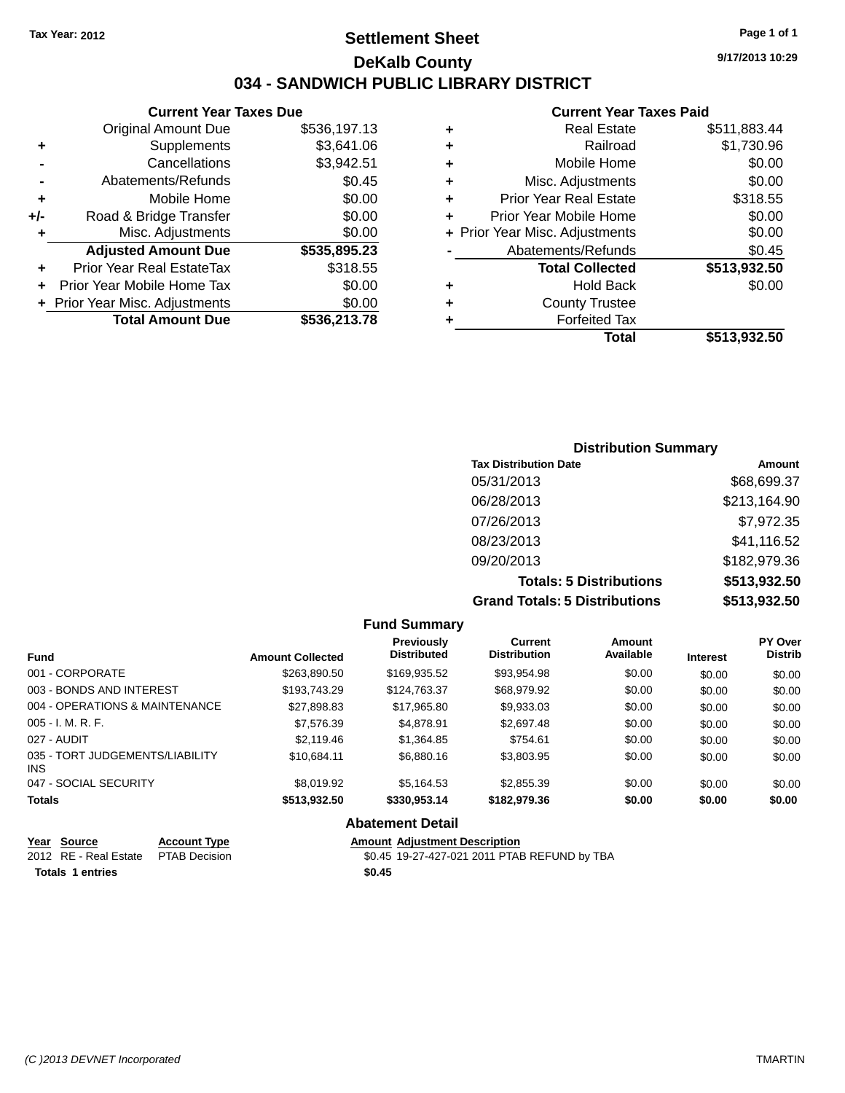### **Settlement Sheet Tax Year: 2012 Page 1 of 1 DeKalb County 034 - SANDWICH PUBLIC LIBRARY DISTRICT**

#### **Current Year Taxes Due** Original Amount Due \$536,197.13

|       | <b>Total Amount Due</b>          | \$536,213.78       |
|-------|----------------------------------|--------------------|
|       | + Prior Year Misc. Adjustments   | \$0.00             |
|       | Prior Year Mobile Home Tax       | \$0.00             |
| ٠     | <b>Prior Year Real EstateTax</b> | \$318.55           |
|       | <b>Adjusted Amount Due</b>       | \$535,895.23       |
| ÷     | Misc. Adjustments                | \$0.00             |
| $+/-$ | Road & Bridge Transfer           | \$0.00             |
| ٠     | Mobile Home                      | \$0.00             |
|       | Abatements/Refunds               | \$0.45             |
|       | Cancellations                    | \$3,942.51         |
| ٠     | Supplements                      | \$3,641.06         |
|       | Oliginal Alliount Due            | <b>JUU. 197.10</b> |

#### **Current Year Taxes Paid**

| ٠ | <b>Real Estate</b>             | \$511,883.44 |
|---|--------------------------------|--------------|
| ٠ | Railroad                       | \$1,730.96   |
| ٠ | Mobile Home                    | \$0.00       |
| ٠ | Misc. Adjustments              | \$0.00       |
| ٠ | <b>Prior Year Real Estate</b>  | \$318.55     |
| ٠ | Prior Year Mobile Home         | \$0.00       |
|   | + Prior Year Misc. Adjustments | \$0.00       |
|   | Abatements/Refunds             | \$0.45       |
|   | <b>Total Collected</b>         | \$513,932.50 |
| ٠ | Hold Back                      | \$0.00       |
| ٠ | <b>County Trustee</b>          |              |
| ٠ | <b>Forfeited Tax</b>           |              |
|   | Total                          | \$513,932.50 |
|   |                                |              |

### **Distribution Summary Tax Distribution Date Amount** 05/31/2013 \$68,699.37 06/28/2013 \$213,164.90 07/26/2013 \$7,972.35 08/23/2013 \$41,116.52 09/20/2013 \$182,979.36 **Totals: 5 Distributions \$513,932.50 Grand Totals: 5 Distributions \$513,932.50**

|                                         |                         | <b>Fund Summary</b>              |                                |                     |                 |                           |
|-----------------------------------------|-------------------------|----------------------------------|--------------------------------|---------------------|-----------------|---------------------------|
| <b>Fund</b>                             | <b>Amount Collected</b> | Previously<br><b>Distributed</b> | Current<br><b>Distribution</b> | Amount<br>Available | <b>Interest</b> | PY Over<br><b>Distrib</b> |
| 001 - CORPORATE                         | \$263,890.50            | \$169,935.52                     | \$93,954.98                    | \$0.00              | \$0.00          | \$0.00                    |
| 003 - BONDS AND INTEREST                | \$193.743.29            | \$124.763.37                     | \$68,979.92                    | \$0.00              | \$0.00          | \$0.00                    |
| 004 - OPERATIONS & MAINTENANCE          | \$27.898.83             | \$17.965.80                      | \$9,933.03                     | \$0.00              | \$0.00          | \$0.00                    |
| $005 - I. M. R. F.$                     | \$7,576.39              | \$4.878.91                       | \$2,697.48                     | \$0.00              | \$0.00          | \$0.00                    |
| 027 - AUDIT                             | \$2,119.46              | \$1,364.85                       | \$754.61                       | \$0.00              | \$0.00          | \$0.00                    |
| 035 - TORT JUDGEMENTS/LIABILITY<br>INS. | \$10.684.11             | \$6,880.16                       | \$3,803.95                     | \$0.00              | \$0.00          | \$0.00                    |
| 047 - SOCIAL SECURITY                   | \$8,019.92              | \$5,164.53                       | \$2,855.39                     | \$0.00              | \$0.00          | \$0.00                    |
| <b>Totals</b>                           | \$513.932.50            | \$330,953.14                     | \$182,979,36                   | \$0.00              | \$0.00          | \$0.00                    |
|                                         |                         | <b>Abatement Detail</b>          |                                |                     |                 |                           |

| Year Source                         | <b>Account Type</b> | <b>Amount Adiustment Description</b>         |
|-------------------------------------|---------------------|----------------------------------------------|
| 2012 RE - Real Estate PTAB Decision |                     | \$0.45 19-27-427-021 2011 PTAB REFUND by TBA |
| Totals 1 entries                    |                     | \$0.45                                       |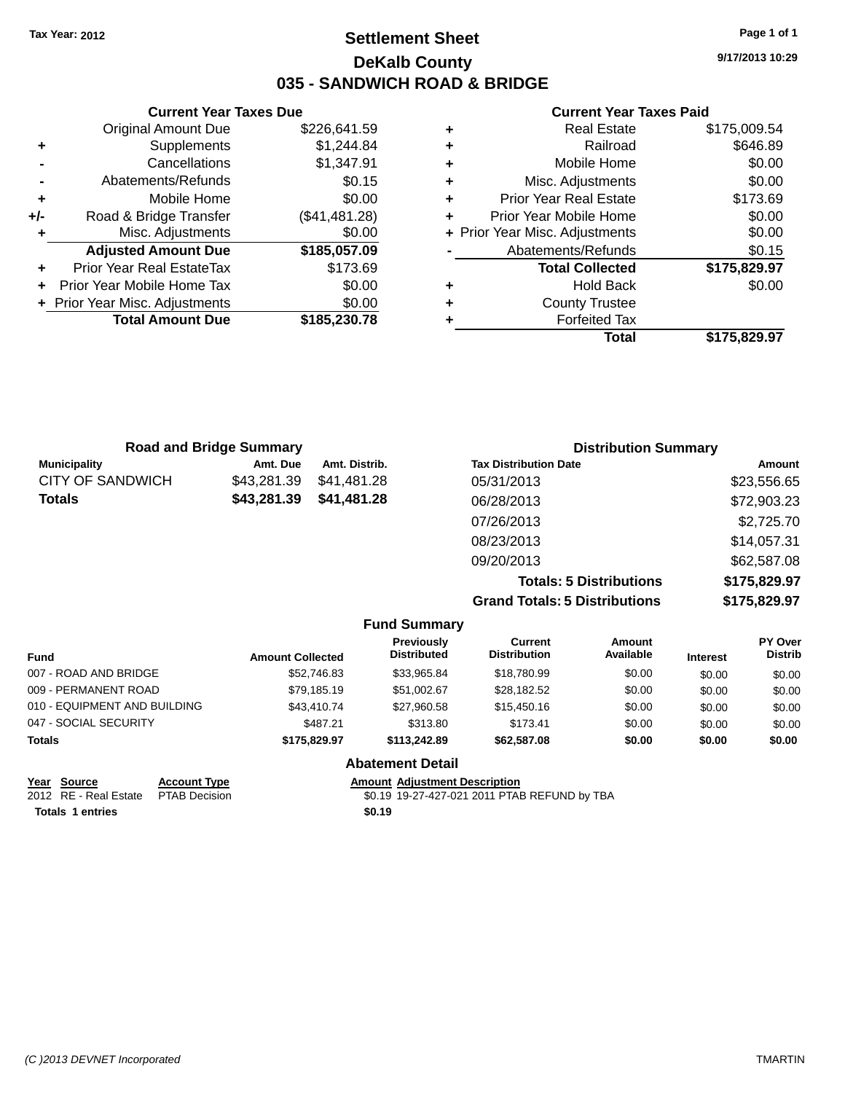### **Settlement Sheet Tax Year: 2012 Page 1 of 1 DeKalb County 035 - SANDWICH ROAD & BRIDGE**

**Current Year Taxes Due** Original Amount Due \$226,641.59 **+** Supplements \$1,244.84 **-** Cancellations \$1,347.91 **-** Abatements/Refunds \$0.15 **+** Mobile Home \$0.00 **+/-** Road & Bridge Transfer (\$41,481.28) **+** Misc. Adjustments \$0.00 **Adjusted Amount Due \$185,057.09 +** Prior Year Real EstateTax \$173.69 **+** Prior Year Mobile Home Tax \$0.00 **+ Prior Year Misc. Adjustments**  $$0.00$ **Total Amount Due \$185,230.78**

#### **Current Year Taxes Paid**

|   | <b>Real Estate</b>             | \$175,009.54 |
|---|--------------------------------|--------------|
| ٠ | Railroad                       | \$646.89     |
| ٠ | Mobile Home                    | \$0.00       |
| ٠ | Misc. Adjustments              | \$0.00       |
| ٠ | <b>Prior Year Real Estate</b>  | \$173.69     |
| ÷ | Prior Year Mobile Home         | \$0.00       |
|   | + Prior Year Misc. Adjustments | \$0.00       |
|   | Abatements/Refunds             | \$0.15       |
|   | <b>Total Collected</b>         | \$175,829.97 |
| ٠ | <b>Hold Back</b>               | \$0.00       |
| ٠ | <b>County Trustee</b>          |              |
| ٠ | <b>Forfeited Tax</b>           |              |
|   | Total                          | \$175,829.97 |
|   |                                |              |

| <b>Road and Bridge Summary</b> |             |               | <b>Distribution Summary</b>    |              |  |
|--------------------------------|-------------|---------------|--------------------------------|--------------|--|
| <b>Municipality</b>            | Amt. Due    | Amt. Distrib. | <b>Tax Distribution Date</b>   | Amount       |  |
| CITY OF SANDWICH               | \$43,281.39 | \$41,481.28   | 05/31/2013                     | \$23,556.65  |  |
| Totals                         | \$43,281.39 | \$41,481.28   | 06/28/2013                     | \$72,903.23  |  |
|                                |             |               | 07/26/2013                     | \$2,725.70   |  |
|                                |             |               | 08/23/2013                     | \$14,057.31  |  |
|                                |             |               | 09/20/2013                     | \$62,587.08  |  |
|                                |             |               | <b>Totals: 5 Distributions</b> | \$175,829.97 |  |

**Grand Totals: 5 Distributions** 

| ıtıons | \$175,829.97 |
|--------|--------------|
| tions  | \$175,829.97 |
|        |              |

|                              |                         | <b>Fund Summary</b>                     |                                |                     |                 |                           |
|------------------------------|-------------------------|-----------------------------------------|--------------------------------|---------------------|-----------------|---------------------------|
| <b>Fund</b>                  | <b>Amount Collected</b> | <b>Previously</b><br><b>Distributed</b> | Current<br><b>Distribution</b> | Amount<br>Available | <b>Interest</b> | PY Over<br><b>Distrib</b> |
| 007 - ROAD AND BRIDGE        | \$52,746.83             | \$33,965.84                             | \$18,780.99                    | \$0.00              | \$0.00          | \$0.00                    |
| 009 - PERMANENT ROAD         | \$79,185.19             | \$51.002.67                             | \$28,182.52                    | \$0.00              | \$0.00          | \$0.00                    |
| 010 - EQUIPMENT AND BUILDING | \$43,410.74             | \$27,960.58                             | \$15,450.16                    | \$0.00              | \$0.00          | \$0.00                    |
| 047 - SOCIAL SECURITY        | \$487.21                | \$313.80                                | \$173.41                       | \$0.00              | \$0.00          | \$0.00                    |
| <b>Totals</b>                | \$175.829.97            | \$113,242.89                            | \$62,587.08                    | \$0.00              | \$0.00          | \$0.00                    |
|                              |                         | <b>Abatement Detail</b>                 |                                |                     |                 |                           |

|                  | Year Source                         | <b>Account Type</b> | <b>Amount Adiustment Description</b>         |
|------------------|-------------------------------------|---------------------|----------------------------------------------|
|                  | 2012 RE - Real Estate PTAB Decision |                     | \$0.19 19-27-427-021 2011 PTAB REFUND by TBA |
| Totals 1 entries |                                     |                     | \$0.19                                       |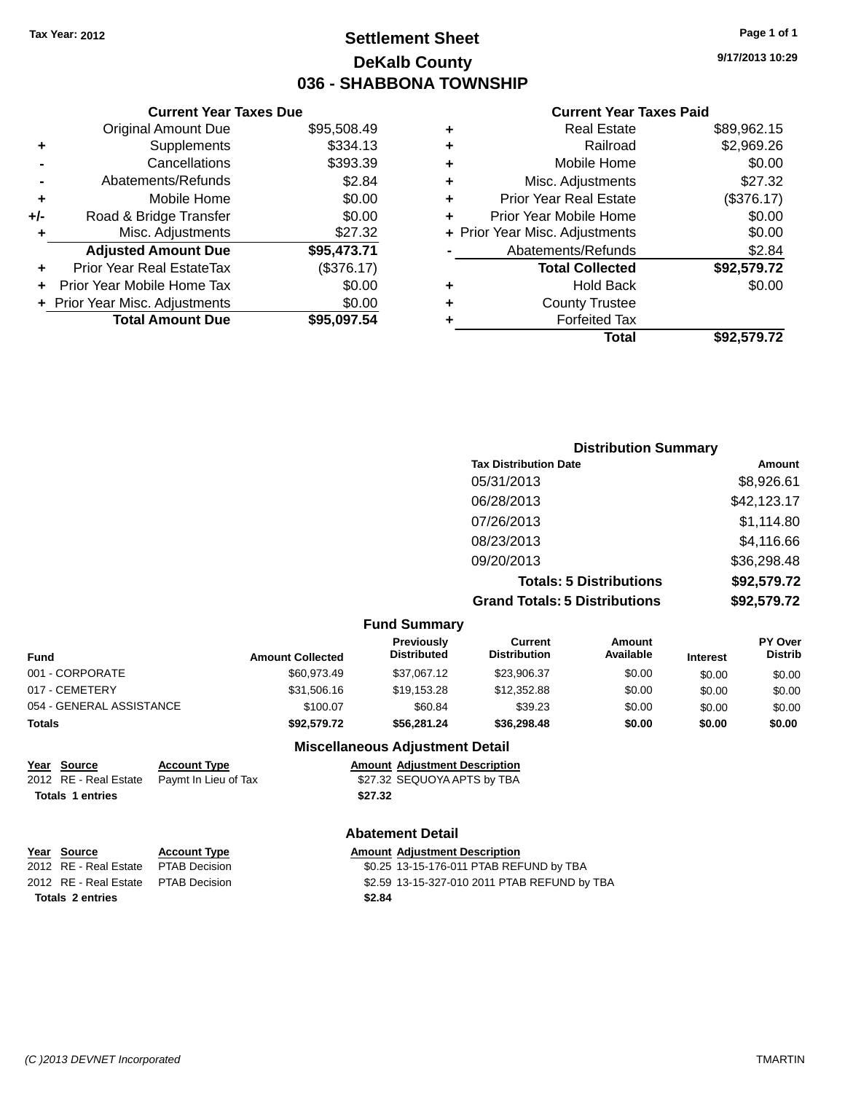# **Settlement Sheet Tax Year: 2012 Page 1 of 1 DeKalb County 036 - SHABBONA TOWNSHIP**

**9/17/2013 10:29**

#### **Current Year Taxes Paid**

|     | <b>Current Year Taxes Due</b>  |             |  |  |  |  |
|-----|--------------------------------|-------------|--|--|--|--|
|     | <b>Original Amount Due</b>     | \$95,508.49 |  |  |  |  |
| ٠   | Supplements                    | \$334.13    |  |  |  |  |
|     | Cancellations                  | \$393.39    |  |  |  |  |
|     | Abatements/Refunds             | \$2.84      |  |  |  |  |
| ٠   | Mobile Home                    | \$0.00      |  |  |  |  |
| +/- | Road & Bridge Transfer         | \$0.00      |  |  |  |  |
| ٠   | Misc. Adjustments              | \$27.32     |  |  |  |  |
|     | <b>Adjusted Amount Due</b>     | \$95,473.71 |  |  |  |  |
|     | Prior Year Real EstateTax      | (\$376.17)  |  |  |  |  |
|     | Prior Year Mobile Home Tax     | \$0.00      |  |  |  |  |
|     | + Prior Year Misc. Adjustments | \$0.00      |  |  |  |  |
|     | <b>Total Amount Due</b>        | \$95,097.54 |  |  |  |  |
|     |                                |             |  |  |  |  |

|   | <b>Total</b>                   | \$92,579.72 |
|---|--------------------------------|-------------|
|   | <b>Forfeited Tax</b>           |             |
| ٠ | <b>County Trustee</b>          |             |
| ٠ | <b>Hold Back</b>               | \$0.00      |
|   | <b>Total Collected</b>         | \$92,579.72 |
|   | Abatements/Refunds             | \$2.84      |
|   | + Prior Year Misc. Adjustments | \$0.00      |
| ٠ | Prior Year Mobile Home         | \$0.00      |
| ٠ | <b>Prior Year Real Estate</b>  | (\$376.17)  |
| ٠ | Misc. Adjustments              | \$27.32     |
| ٠ | Mobile Home                    | \$0.00      |
| ٠ | Railroad                       | \$2,969.26  |
| ٠ | <b>Real Estate</b>             | \$89,962.15 |
|   |                                |             |

| <b>Distribution Summary</b>          |             |
|--------------------------------------|-------------|
| <b>Tax Distribution Date</b>         | Amount      |
| 05/31/2013                           | \$8,926.61  |
| 06/28/2013                           | \$42,123.17 |
| 07/26/2013                           | \$1,114.80  |
| 08/23/2013                           | \$4,116.66  |
| 09/20/2013                           | \$36,298.48 |
| <b>Totals: 5 Distributions</b>       | \$92,579.72 |
| <b>Grand Totals: 5 Distributions</b> | \$92,579.72 |

|                          |                         | <b>Fund Summary</b>                    |                                       |                            |                 |                                  |
|--------------------------|-------------------------|----------------------------------------|---------------------------------------|----------------------------|-----------------|----------------------------------|
| <b>Fund</b>              | <b>Amount Collected</b> | Previously<br><b>Distributed</b>       | <b>Current</b><br><b>Distribution</b> | <b>Amount</b><br>Available | <b>Interest</b> | <b>PY Over</b><br><b>Distrib</b> |
| 001 - CORPORATE          | \$60.973.49             | \$37.067.12                            | \$23,906.37                           | \$0.00                     | \$0.00          | \$0.00                           |
| 017 - CEMETERY           | \$31,506.16             | \$19.153.28                            | \$12,352.88                           | \$0.00                     | \$0.00          | \$0.00                           |
| 054 - GENERAL ASSISTANCE | \$100.07                | \$60.84                                | \$39.23                               | \$0.00                     | \$0.00          | \$0.00                           |
| <b>Totals</b>            | \$92.579.72             | \$56,281,24                            | \$36,298,48                           | \$0.00                     | \$0.00          | \$0.00                           |
|                          |                         | <b>Miscellaneous Adiustment Detail</b> |                                       |                            |                 |                                  |

#### **Miscellaneous Adjustment Detail**

| Year Source             | <b>Account Type</b>                        | <b>Amount Adiustment Description</b> |
|-------------------------|--------------------------------------------|--------------------------------------|
|                         | 2012 RE - Real Estate Paymt In Lieu of Tax | \$27.32 SEQUOYA APTS by TBA          |
| <b>Totals 1 entries</b> |                                            | \$27.32                              |

#### **Abatement Detail**

| Year Source                         | <b>Account Type</b> |        | <b>Amount Adjustment Description</b>         |
|-------------------------------------|---------------------|--------|----------------------------------------------|
| 2012 RE - Real Estate PTAB Decision |                     |        | \$0.25 13-15-176-011 PTAB REFUND by TBA      |
| 2012 RE - Real Estate PTAB Decision |                     |        | \$2.59 13-15-327-010 2011 PTAB REFUND by TBA |
| <b>Totals 2 entries</b>             |                     | \$2.84 |                                              |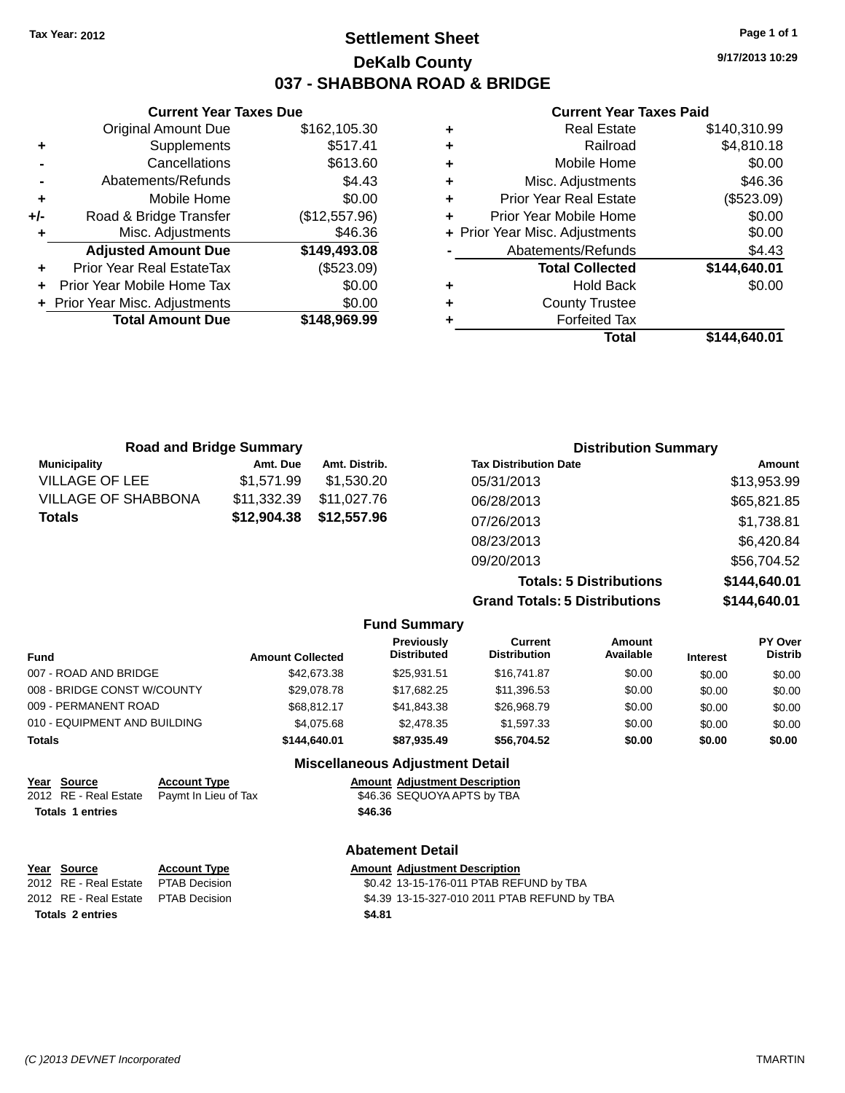### **Settlement Sheet Tax Year: 2012 Page 1 of 1 DeKalb County 037 - SHABBONA ROAD & BRIDGE**

**9/17/2013 10:29**

### **Current Year Taxes Paid**

| ٠ | <b>Real Estate</b>             | \$140,310.99 |
|---|--------------------------------|--------------|
| ٠ | Railroad                       | \$4,810.18   |
| ÷ | Mobile Home                    | \$0.00       |
| ÷ | Misc. Adjustments              | \$46.36      |
| ٠ | Prior Year Real Estate         | (\$523.09)   |
| ÷ | Prior Year Mobile Home         | \$0.00       |
|   | + Prior Year Misc. Adjustments | \$0.00       |
|   | Abatements/Refunds             | \$4.43       |
|   | <b>Total Collected</b>         | \$144,640.01 |
| ٠ | <b>Hold Back</b>               | \$0.00       |
| ٠ | <b>County Trustee</b>          |              |
|   | <b>Forfeited Tax</b>           |              |
|   | Total                          | \$144.640.01 |
|   |                                |              |

|     | <b>Current Year Taxes Due</b>    |               |
|-----|----------------------------------|---------------|
|     | <b>Original Amount Due</b>       | \$162,105.30  |
| ٠   | Supplements                      | \$517.41      |
|     | Cancellations                    | \$613.60      |
|     | Abatements/Refunds               | \$4.43        |
| ٠   | Mobile Home                      | \$0.00        |
| +/- | Road & Bridge Transfer           | (\$12,557.96) |
| ٠   | Misc. Adjustments                | \$46.36       |
|     | <b>Adjusted Amount Due</b>       | \$149,493.08  |
| ٠   | <b>Prior Year Real EstateTax</b> | (\$523.09)    |
|     | Prior Year Mobile Home Tax       | \$0.00        |
|     | Prior Year Misc. Adjustments     | \$0.00        |
|     | <b>Total Amount Due</b>          | \$148,969.99  |
|     |                                  |               |

| <b>Road and Bridge Summary</b> |               | <b>Distribution Summary</b>    |               |  |  |
|--------------------------------|---------------|--------------------------------|---------------|--|--|
| Amt. Due                       | Amt. Distrib. | <b>Tax Distribution Date</b>   | <b>Amount</b> |  |  |
| \$1,571.99                     | \$1,530.20    | 05/31/2013                     | \$13,953.99   |  |  |
| \$11,332.39                    | \$11.027.76   | 06/28/2013                     | \$65,821.85   |  |  |
| \$12,904.38                    | \$12,557.96   | 07/26/2013                     | \$1,738.81    |  |  |
|                                |               | 08/23/2013                     | \$6,420.84    |  |  |
|                                |               | 09/20/2013                     | \$56,704.52   |  |  |
|                                |               | <b>Totals: 5 Distributions</b> | \$144,640.01  |  |  |
|                                |               |                                |               |  |  |

**Grand Totals: 5 Distributions \$144,640.01**

| ıs | \$144,040.0  |
|----|--------------|
| s  | \$144,640.01 |
|    |              |

|                              |                      |                         | <b>Fund Summary</b>                     |                                |                     |                 |                           |
|------------------------------|----------------------|-------------------------|-----------------------------------------|--------------------------------|---------------------|-----------------|---------------------------|
| <b>Fund</b>                  |                      | <b>Amount Collected</b> | <b>Previously</b><br><b>Distributed</b> | Current<br><b>Distribution</b> | Amount<br>Available | <b>Interest</b> | PY Over<br><b>Distrib</b> |
| 007 - ROAD AND BRIDGE        |                      | \$42,673.38             | \$25.931.51                             | \$16,741.87                    | \$0.00              | \$0.00          | \$0.00                    |
| 008 - BRIDGE CONST W/COUNTY  |                      | \$29,078.78             | \$17,682.25                             | \$11,396.53                    | \$0.00              | \$0.00          | \$0.00                    |
| 009 - PERMANENT ROAD         |                      | \$68.812.17             | \$41.843.38                             | \$26,968.79                    | \$0.00              | \$0.00          | \$0.00                    |
| 010 - EQUIPMENT AND BUILDING |                      | \$4,075,68              | \$2,478.35                              | \$1,597.33                     | \$0.00              | \$0.00          | \$0.00                    |
| <b>Totals</b>                |                      | \$144,640.01            | \$87.935.49                             | \$56.704.52                    | \$0.00              | \$0.00          | \$0.00                    |
|                              |                      |                         | <b>Miscellaneous Adjustment Detail</b>  |                                |                     |                 |                           |
| Year Source                  | <b>Account Type</b>  |                         | <b>Amount Adiustment Description</b>    |                                |                     |                 |                           |
| 2012 RE - Real Estate        | Paymt In Lieu of Tax |                         | \$46.36 SEQUOYA APTS by TBA             |                                |                     |                 |                           |
| <b>Totals 1 entries</b>      |                      |                         | \$46.36                                 |                                |                     |                 |                           |
|                              |                      |                         |                                         |                                |                     |                 |                           |

**Abatement Detail**

| Year Source                         | <b>Account Type</b> |        | <b>Amount Adjustment Description</b>         |
|-------------------------------------|---------------------|--------|----------------------------------------------|
| 2012 RE - Real Estate               | PTAB Decision       |        | \$0.42 13-15-176-011 PTAB REFUND by TBA      |
| 2012 RE - Real Estate PTAB Decision |                     |        | \$4.39 13-15-327-010 2011 PTAB REFUND by TBA |
| <b>Totals 2 entries</b>             |                     | \$4.81 |                                              |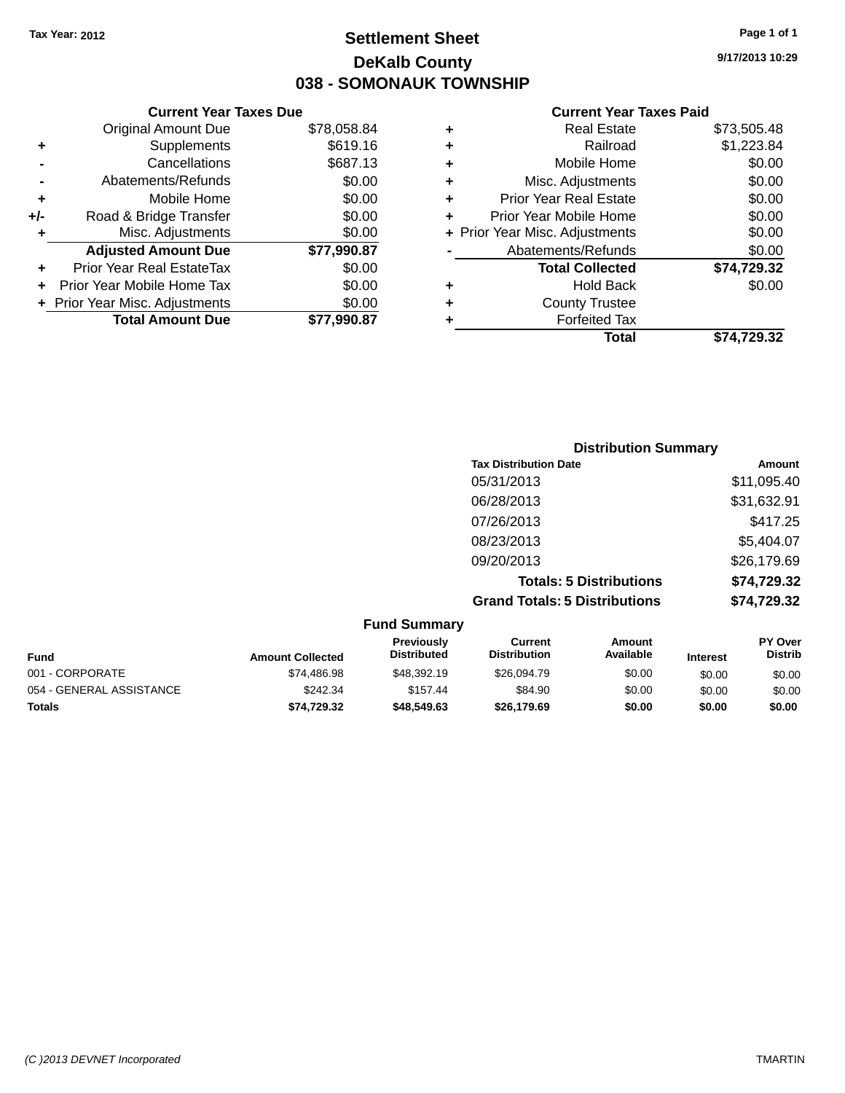# **Settlement Sheet Tax Year: 2012 Page 1 of 1 DeKalb County 038 - SOMONAUK TOWNSHIP**

**9/17/2013 10:29**

#### **Current Year Taxes Paid**

| <b>Current Year Taxes Due</b>  |             |
|--------------------------------|-------------|
| <b>Original Amount Due</b>     | \$78,058.84 |
| Supplements                    | \$619.16    |
| Cancellations                  | \$687.13    |
| Abatements/Refunds             | \$0.00      |
| Mobile Home                    | \$0.00      |
| Road & Bridge Transfer         | \$0.00      |
| Misc. Adjustments              | \$0.00      |
| <b>Adjusted Amount Due</b>     | \$77,990.87 |
| Prior Year Real EstateTax      | \$0.00      |
| Prior Year Mobile Home Tax     | \$0.00      |
| + Prior Year Misc. Adjustments | \$0.00      |
| <b>Total Amount Due</b>        | \$77.990.87 |
|                                |             |

| \$73,505.48 |
|-------------|
| \$1,223.84  |
| \$0.00      |
| \$0.00      |
| \$0.00      |
| \$0.00      |
| \$0.00      |
| \$0.00      |
| \$74,729.32 |
| \$0.00      |
|             |
|             |
| \$74,729.32 |
|             |

| <b>Distribution Summary</b>          |             |
|--------------------------------------|-------------|
| <b>Tax Distribution Date</b>         | Amount      |
| 05/31/2013                           | \$11,095.40 |
| 06/28/2013                           | \$31,632.91 |
| 07/26/2013                           | \$417.25    |
| 08/23/2013                           | \$5,404.07  |
| 09/20/2013                           | \$26,179.69 |
| <b>Totals: 5 Distributions</b>       | \$74,729.32 |
| <b>Grand Totals: 5 Distributions</b> | \$74,729.32 |

| <b>Fund Summary</b>      |                         |                                  |                                |                     |                 |                                  |
|--------------------------|-------------------------|----------------------------------|--------------------------------|---------------------|-----------------|----------------------------------|
| <b>Fund</b>              | <b>Amount Collected</b> | Previously<br><b>Distributed</b> | Current<br><b>Distribution</b> | Amount<br>Available | <b>Interest</b> | <b>PY Over</b><br><b>Distrib</b> |
| 001 - CORPORATE          | \$74,486.98             | \$48,392.19                      | \$26,094.79                    | \$0.00              | \$0.00          | \$0.00                           |
| 054 - GENERAL ASSISTANCE | \$242.34                | \$157.44                         | \$84.90                        | \$0.00              | \$0.00          | \$0.00                           |
| <b>Totals</b>            | \$74.729.32             | \$48,549.63                      | \$26,179.69                    | \$0.00              | \$0.00          | \$0.00                           |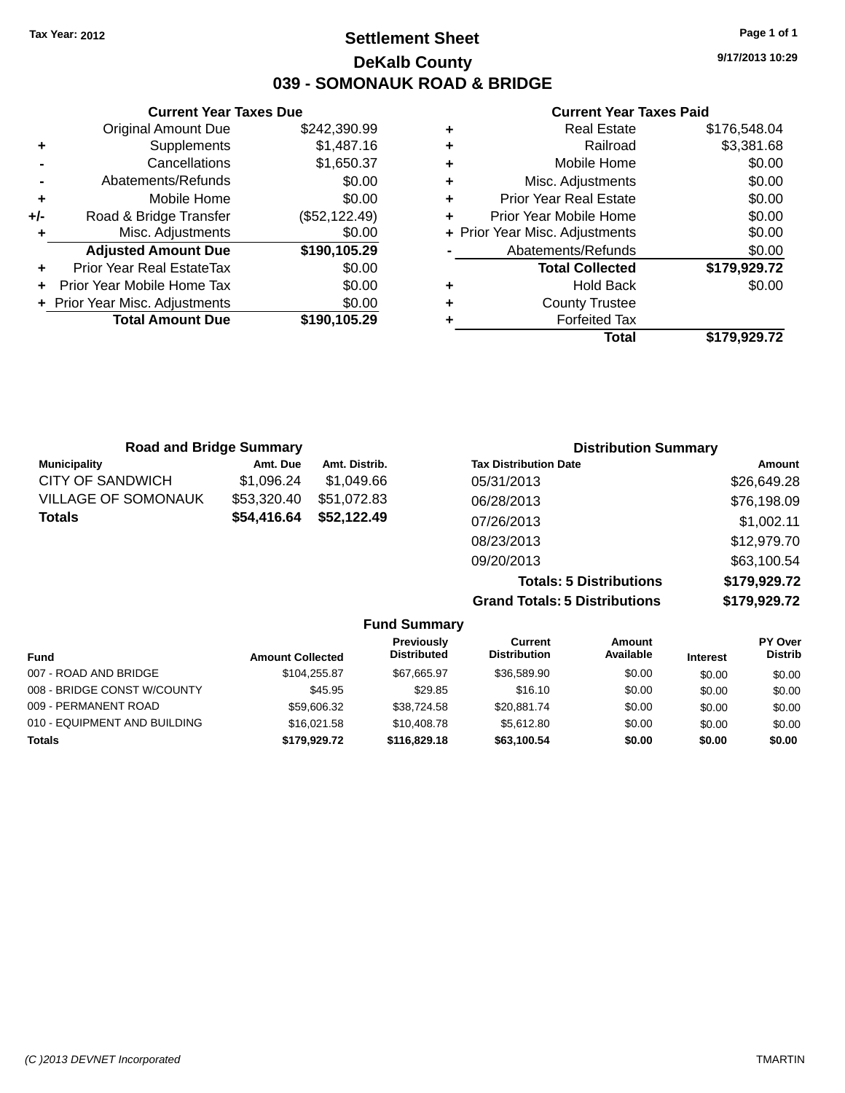# **Settlement Sheet Tax Year: 2012 Page 1 of 1 DeKalb County 039 - SOMONAUK ROAD & BRIDGE**

**9/17/2013 10:29**

#### **Current Year Taxes Paid**

|     | <b>Current Year Taxes Due</b>  |               |
|-----|--------------------------------|---------------|
|     | <b>Original Amount Due</b>     | \$242,390.99  |
| ٠   | Supplements                    | \$1,487.16    |
|     | Cancellations                  | \$1,650.37    |
|     | Abatements/Refunds             | \$0.00        |
| ٠   | Mobile Home                    | \$0.00        |
| +/- | Road & Bridge Transfer         | (\$52,122.49) |
| ٠   | Misc. Adjustments              | \$0.00        |
|     | <b>Adjusted Amount Due</b>     | \$190,105.29  |
| ٠   | Prior Year Real EstateTax      | \$0.00        |
| ÷   | Prior Year Mobile Home Tax     | \$0.00        |
|     | + Prior Year Misc. Adjustments | \$0.00        |
|     | <b>Total Amount Due</b>        | \$190,105.29  |
|     |                                |               |

|   | Total                          | \$179,929.72 |
|---|--------------------------------|--------------|
| ٠ | <b>Forfeited Tax</b>           |              |
| ٠ | <b>County Trustee</b>          |              |
| ٠ | <b>Hold Back</b>               | \$0.00       |
|   | <b>Total Collected</b>         | \$179,929.72 |
|   | Abatements/Refunds             | \$0.00       |
|   | + Prior Year Misc. Adjustments | \$0.00       |
| ٠ | Prior Year Mobile Home         | \$0.00       |
| ٠ | <b>Prior Year Real Estate</b>  | \$0.00       |
| ٠ | Misc. Adjustments              | \$0.00       |
| ٠ | Mobile Home                    | \$0.00       |
| ٠ | Railroad                       | \$3,381.68   |
|   | <b>Real Estate</b>             | \$176,548.04 |

| <b>Road and Bridge Summary</b> |             |               | <b>Distribution Summary</b>  |             |
|--------------------------------|-------------|---------------|------------------------------|-------------|
| <b>Municipality</b>            | Amt. Due    | Amt. Distrib. | <b>Tax Distribution Date</b> | Amount      |
| <b>CITY OF SANDWICH</b>        | \$1,096.24  | \$1.049.66    | 05/31/2013                   | \$26,649.28 |
| <b>VILLAGE OF SOMONAUK</b>     | \$53,320.40 | \$51,072.83   | 06/28/2013                   | \$76,198.09 |
| <b>Totals</b>                  | \$54,416.64 | \$52,122.49   | 07/26/2013                   | \$1,002.11  |
|                                |             |               | 08/23/2013                   | \$12,979.70 |
|                                |             |               | 09/20/2013                   | \$63,100.54 |

**Totals: 5 Distributions \$179,929.72 Grand Totals: 5 Distributions \$179,929.72**

| <b>Fund Summary</b>          |                         |                                  |                                |                     |                 |                                  |
|------------------------------|-------------------------|----------------------------------|--------------------------------|---------------------|-----------------|----------------------------------|
| Fund                         | <b>Amount Collected</b> | Previously<br><b>Distributed</b> | Current<br><b>Distribution</b> | Amount<br>Available | <b>Interest</b> | <b>PY Over</b><br><b>Distrib</b> |
| 007 - ROAD AND BRIDGE        | \$104.255.87            | \$67.665.97                      | \$36,589.90                    | \$0.00              | \$0.00          | \$0.00                           |
| 008 - BRIDGE CONST W/COUNTY  | \$45.95                 | \$29.85                          | \$16.10                        | \$0.00              | \$0.00          | \$0.00                           |
| 009 - PERMANENT ROAD         | \$59,606.32             | \$38,724.58                      | \$20.881.74                    | \$0.00              | \$0.00          | \$0.00                           |
| 010 - EQUIPMENT AND BUILDING | \$16,021.58             | \$10,408.78                      | \$5.612.80                     | \$0.00              | \$0.00          | \$0.00                           |
| <b>Totals</b>                | \$179.929.72            | \$116,829,18                     | \$63.100.54                    | \$0.00              | \$0.00          | \$0.00                           |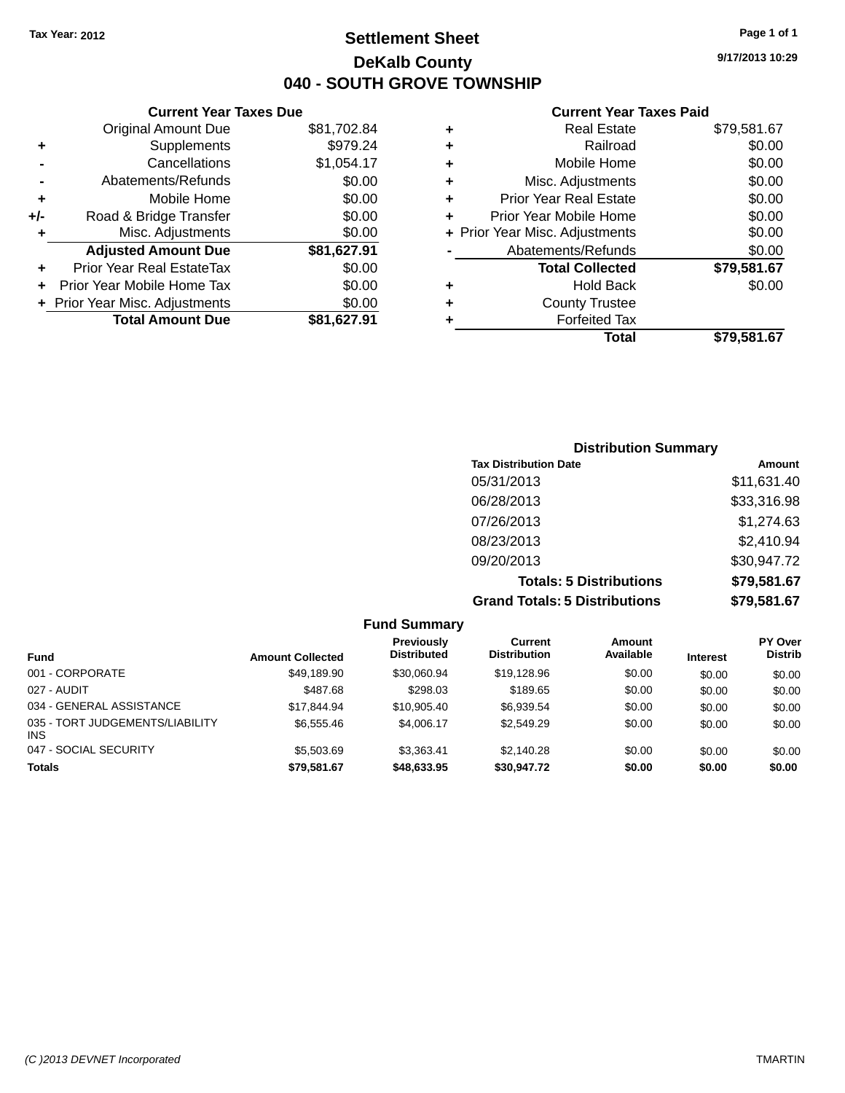### **Settlement Sheet Tax Year: 2012 Page 1 of 1 DeKalb County 040 - SOUTH GROVE TOWNSHIP**

**9/17/2013 10:29**

#### **Current Year Taxes Paid**

|     | <b>Current Year Taxes Due</b>  |             |       |
|-----|--------------------------------|-------------|-------|
|     | <b>Original Amount Due</b>     | \$81,702.84 | ٠     |
|     | Supplements                    | \$979.24    | ٠     |
|     | Cancellations                  | \$1,054.17  | ٠     |
|     | Abatements/Refunds             | \$0.00      | ٠     |
|     | Mobile Home                    | \$0.00      | ٠     |
| +/- | Road & Bridge Transfer         | \$0.00      | ٠     |
|     | Misc. Adjustments              | \$0.00      | + Pri |
|     | <b>Adjusted Amount Due</b>     | \$81,627.91 |       |
|     | Prior Year Real EstateTax      | \$0.00      |       |
|     | Prior Year Mobile Home Tax     | \$0.00      | ٠     |
|     | + Prior Year Misc. Adjustments | \$0.00      | ٠     |
|     | <b>Total Amount Due</b>        | \$81,627.91 |       |
|     |                                |             |       |

|   | <b>Real Estate</b>             | \$79,581.67 |
|---|--------------------------------|-------------|
| ٠ | Railroad                       | \$0.00      |
| ٠ | Mobile Home                    | \$0.00      |
| ٠ | Misc. Adjustments              | \$0.00      |
| ٠ | <b>Prior Year Real Estate</b>  | \$0.00      |
| ÷ | Prior Year Mobile Home         | \$0.00      |
|   | + Prior Year Misc. Adjustments | \$0.00      |
|   | Abatements/Refunds             | \$0.00      |
|   | <b>Total Collected</b>         | \$79,581.67 |
| ٠ | <b>Hold Back</b>               | \$0.00      |
| ٠ | <b>County Trustee</b>          |             |
| ٠ | <b>Forfeited Tax</b>           |             |
|   | Total                          | \$79,581.67 |
|   |                                |             |

| <b>Distribution Summary</b>          |             |
|--------------------------------------|-------------|
| <b>Tax Distribution Date</b>         | Amount      |
| 05/31/2013                           | \$11,631.40 |
| 06/28/2013                           | \$33,316.98 |
| 07/26/2013                           | \$1,274.63  |
| 08/23/2013                           | \$2,410.94  |
| 09/20/2013                           | \$30,947.72 |
| <b>Totals: 5 Distributions</b>       | \$79,581.67 |
| <b>Grand Totals: 5 Distributions</b> | \$79,581.67 |

| <b>Fund Summary</b>                           |                         |                                         |                                |                     |                 |                                  |
|-----------------------------------------------|-------------------------|-----------------------------------------|--------------------------------|---------------------|-----------------|----------------------------------|
| <b>Fund</b>                                   | <b>Amount Collected</b> | <b>Previously</b><br><b>Distributed</b> | Current<br><b>Distribution</b> | Amount<br>Available | <b>Interest</b> | <b>PY Over</b><br><b>Distrib</b> |
| 001 - CORPORATE                               | \$49,189.90             | \$30,060.94                             | \$19,128.96                    | \$0.00              | \$0.00          | \$0.00                           |
| 027 - AUDIT                                   | \$487.68                | \$298.03                                | \$189.65                       | \$0.00              | \$0.00          | \$0.00                           |
| 034 - GENERAL ASSISTANCE                      | \$17.844.94             | \$10,905.40                             | \$6,939.54                     | \$0.00              | \$0.00          | \$0.00                           |
| 035 - TORT JUDGEMENTS/LIABILITY<br><b>INS</b> | \$6,555.46              | \$4,006.17                              | \$2,549.29                     | \$0.00              | \$0.00          | \$0.00                           |
| 047 - SOCIAL SECURITY                         | \$5,503.69              | \$3.363.41                              | \$2,140.28                     | \$0.00              | \$0.00          | \$0.00                           |
| <b>Totals</b>                                 | \$79,581.67             | \$48,633.95                             | \$30,947.72                    | \$0.00              | \$0.00          | \$0.00                           |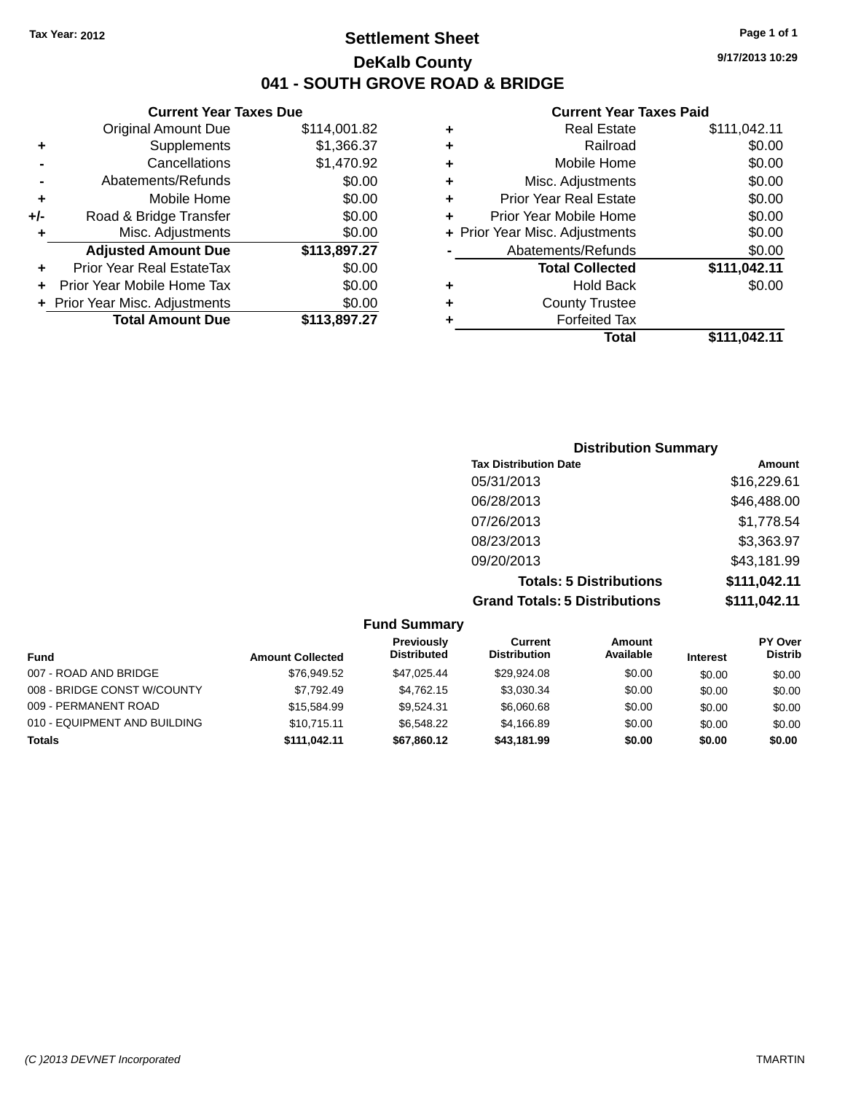### **Settlement Sheet Tax Year: 2012 Page 1 of 1 DeKalb County 041 - SOUTH GROVE ROAD & BRIDGE**

**Current Year Taxes Due**

|     | <b>Original Amount Due</b>     | \$114,001.82 |
|-----|--------------------------------|--------------|
| ٠   | Supplements                    | \$1,366.37   |
|     | Cancellations                  | \$1,470.92   |
|     | Abatements/Refunds             | \$0.00       |
| ÷   | Mobile Home                    | \$0.00       |
| +/- | Road & Bridge Transfer         | \$0.00       |
| ÷   | Misc. Adjustments              | \$0.00       |
|     | <b>Adjusted Amount Due</b>     | \$113,897.27 |
|     | Prior Year Real EstateTax      | \$0.00       |
|     | Prior Year Mobile Home Tax     | \$0.00       |
|     | + Prior Year Misc. Adjustments | \$0.00       |
|     | <b>Total Amount Due</b>        | \$113,897.27 |
|     |                                |              |

#### **Current Year Taxes Paid**

| ٠ | <b>Real Estate</b>             | \$111,042.11 |
|---|--------------------------------|--------------|
| ٠ | Railroad                       | \$0.00       |
| ٠ | Mobile Home                    | \$0.00       |
| ٠ | Misc. Adjustments              | \$0.00       |
| ٠ | <b>Prior Year Real Estate</b>  | \$0.00       |
| ٠ | Prior Year Mobile Home         | \$0.00       |
|   | + Prior Year Misc. Adjustments | \$0.00       |
|   | Abatements/Refunds             | \$0.00       |
|   | <b>Total Collected</b>         | \$111,042.11 |
| ٠ | <b>Hold Back</b>               | \$0.00       |
| ٠ | <b>County Trustee</b>          |              |
| ٠ | <b>Forfeited Tax</b>           |              |
|   | Total                          | \$111,042.11 |
|   |                                |              |

| <b>Distribution Summary</b>          |              |
|--------------------------------------|--------------|
| <b>Tax Distribution Date</b>         | Amount       |
| 05/31/2013                           | \$16,229.61  |
| 06/28/2013                           | \$46,488.00  |
| 07/26/2013                           | \$1,778.54   |
| 08/23/2013                           | \$3,363.97   |
| 09/20/2013                           | \$43,181.99  |
| <b>Totals: 5 Distributions</b>       | \$111,042.11 |
| <b>Grand Totals: 5 Distributions</b> | \$111,042.11 |

#### **Fund Summary Fund Interest Amount Collected Distributed PY Over Distrib Amount Available Current Distribution Previously** 007 - ROAD AND BRIDGE  $$76,949.52$   $$47,025.44$   $$29,924.08$   $$0.00$   $$0.00$   $$0.00$ 008 - BRIDGE CONST W/COUNTY  $$7,792.49$   $$4,762.15$   $$3,030.34$   $$0.00$   $$0.00$   $$0.00$ 009 - PERMANENT ROAD \$15,584.99 \$15,584.99 \$9,524.31 \$6,060.68 \$0.00 \$0.00 \$0.00 010 - EQUIPMENT AND BUILDING \$10,715.11 \$6,548.22 \$4,166.89 \$0.00 \$0.00 \$0.00 **Totals \$111,042.11 \$67,860.12 \$43,181.99 \$0.00 \$0.00 \$0.00**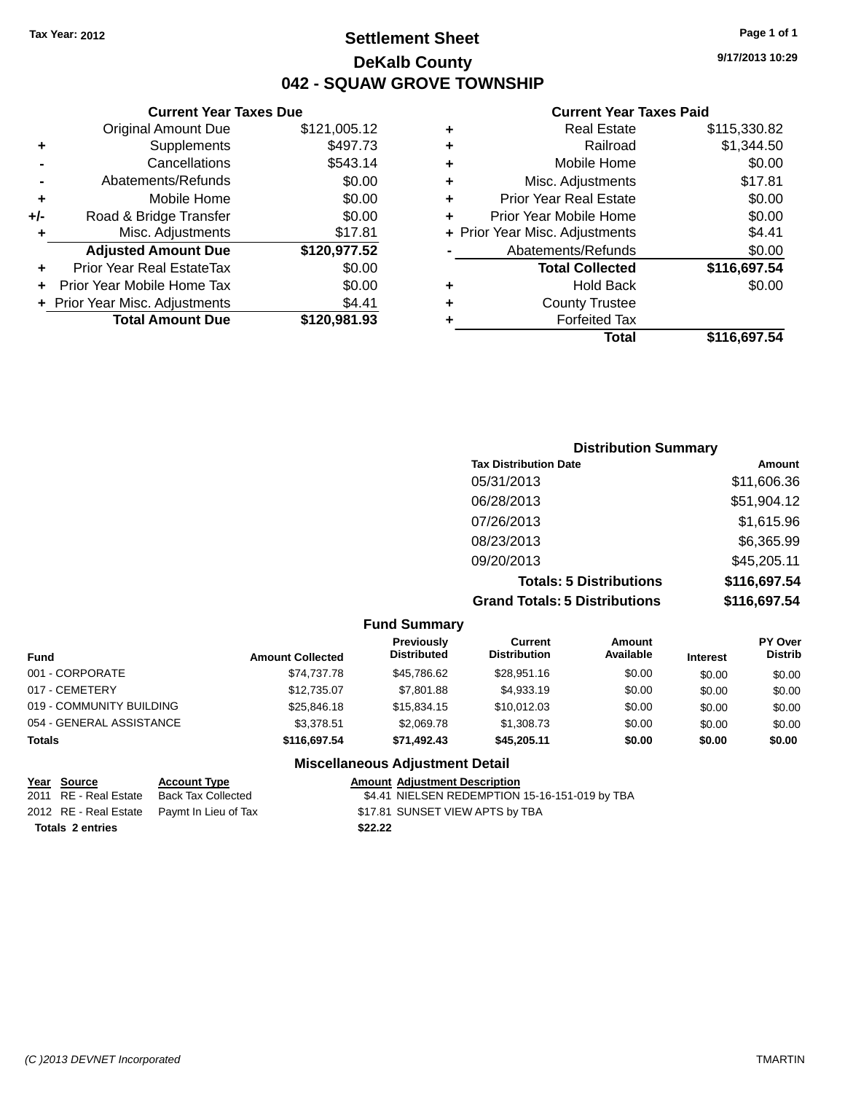# **Settlement Sheet Tax Year: 2012 Page 1 of 1 DeKalb County 042 - SQUAW GROVE TOWNSHIP**

**9/17/2013 10:29**

#### **Current Year Taxes Paid**

|     | <b>Current Year Taxes Due</b>  |              |
|-----|--------------------------------|--------------|
|     | <b>Original Amount Due</b>     | \$121,005.12 |
| ٠   | Supplements                    | \$497.73     |
|     | Cancellations                  | \$543.14     |
|     | Abatements/Refunds             | \$0.00       |
| ٠   | Mobile Home                    | \$0.00       |
| +/- | Road & Bridge Transfer         | \$0.00       |
| ٠   | Misc. Adjustments              | \$17.81      |
|     | <b>Adjusted Amount Due</b>     | \$120,977.52 |
| ٠   | Prior Year Real EstateTax      | \$0.00       |
| ÷   | Prior Year Mobile Home Tax     | \$0.00       |
|     | + Prior Year Misc. Adjustments | \$4.41       |
|     | <b>Total Amount Due</b>        | \$120,981.93 |
|     |                                |              |

| ٠ | <b>Real Estate</b>             | \$115,330.82 |
|---|--------------------------------|--------------|
| ٠ | Railroad                       | \$1,344.50   |
| ٠ | Mobile Home                    | \$0.00       |
| ٠ | Misc. Adjustments              | \$17.81      |
| ٠ | <b>Prior Year Real Estate</b>  | \$0.00       |
| ٠ | Prior Year Mobile Home         | \$0.00       |
|   | + Prior Year Misc. Adjustments | \$4.41       |
|   | Abatements/Refunds             | \$0.00       |
|   | <b>Total Collected</b>         | \$116,697.54 |
| ٠ | <b>Hold Back</b>               | \$0.00       |
| ٠ | <b>County Trustee</b>          |              |
| ٠ | <b>Forfeited Tax</b>           |              |
|   | <b>Total</b>                   | \$116,697.54 |
|   |                                |              |

| <b>Distribution Summary</b>          |              |
|--------------------------------------|--------------|
| <b>Tax Distribution Date</b>         | Amount       |
| 05/31/2013                           | \$11,606.36  |
| 06/28/2013                           | \$51,904.12  |
| 07/26/2013                           | \$1,615.96   |
| 08/23/2013                           | \$6,365.99   |
| 09/20/2013                           | \$45,205.11  |
| <b>Totals: 5 Distributions</b>       | \$116,697.54 |
| <b>Grand Totals: 5 Distributions</b> | \$116,697.54 |

| <b>Fund Summary</b>      |                         |                                        |                                |                     |                 |                                  |
|--------------------------|-------------------------|----------------------------------------|--------------------------------|---------------------|-----------------|----------------------------------|
| <b>Fund</b>              | <b>Amount Collected</b> | Previously<br><b>Distributed</b>       | Current<br><b>Distribution</b> | Amount<br>Available | <b>Interest</b> | <b>PY Over</b><br><b>Distrib</b> |
| 001 - CORPORATE          | \$74,737.78             | \$45,786.62                            | \$28,951.16                    | \$0.00              | \$0.00          | \$0.00                           |
| 017 - CEMETERY           | \$12,735.07             | \$7,801.88                             | \$4,933.19                     | \$0.00              | \$0.00          | \$0.00                           |
| 019 - COMMUNITY BUILDING | \$25,846.18             | \$15,834.15                            | \$10,012.03                    | \$0.00              | \$0.00          | \$0.00                           |
| 054 - GENERAL ASSISTANCE | \$3,378.51              | \$2,069.78                             | \$1,308.73                     | \$0.00              | \$0.00          | \$0.00                           |
| <b>Totals</b>            | \$116,697.54            | \$71.492.43                            | \$45,205.11                    | \$0.00              | \$0.00          | \$0.00                           |
|                          |                         | <b>Miscellaneous Adjustment Detail</b> |                                |                     |                 |                                  |

|                         | Year Source           | <b>Account Type</b>                        | <b>Amount Adjustment Description</b>           |  |
|-------------------------|-----------------------|--------------------------------------------|------------------------------------------------|--|
|                         | 2011 RE - Real Estate | <b>Back Tax Collected</b>                  | \$4.41 NIELSEN REDEMPTION 15-16-151-019 by TBA |  |
|                         |                       | 2012 RE - Real Estate Paymt In Lieu of Tax | \$17.81 SUNSET VIEW APTS by TBA                |  |
| <b>Totals 2 entries</b> |                       |                                            | \$22.22                                        |  |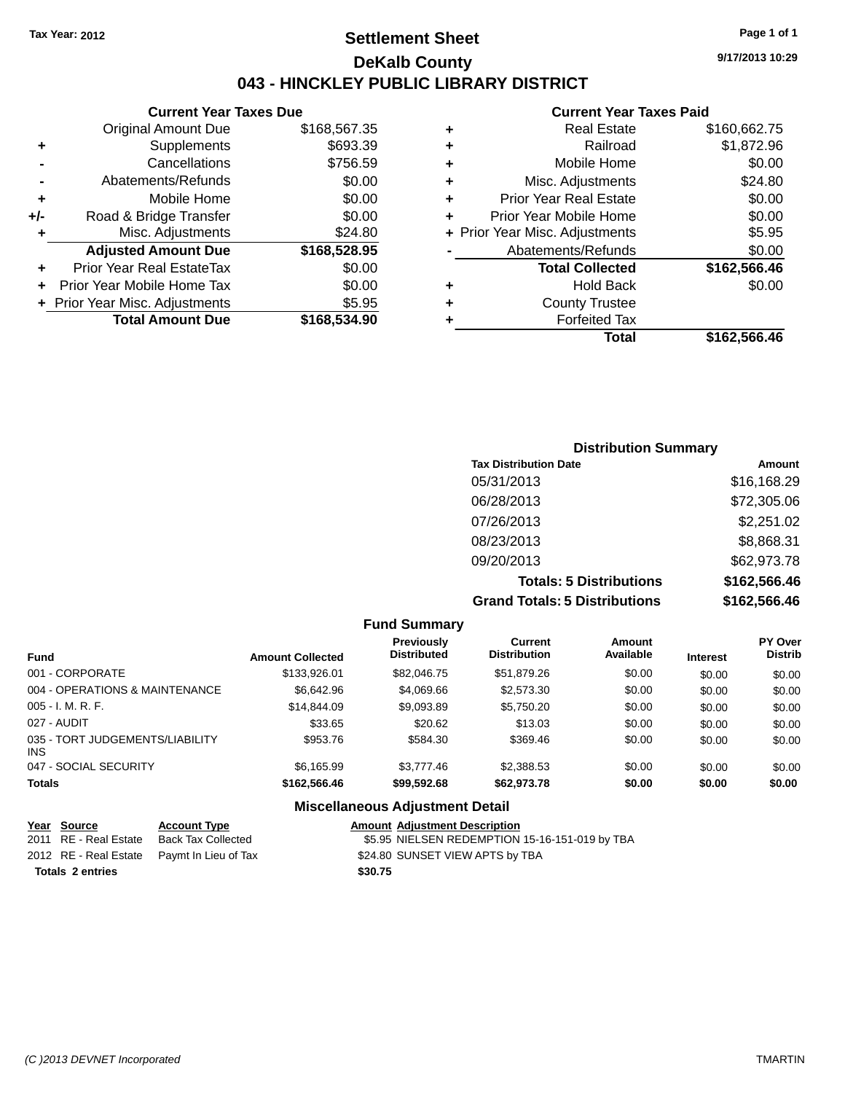### **Settlement Sheet Tax Year: 2012 Page 1 of 1 DeKalb County 043 - HINCKLEY PUBLIC LIBRARY DISTRICT**

**9/17/2013 10:29**

### **Current Year Taxes Paid**

| <b>Current Year Taxes Due</b>  |                         |  |  |  |  |  |
|--------------------------------|-------------------------|--|--|--|--|--|
| <b>Original Amount Due</b>     | \$168,567.35            |  |  |  |  |  |
| Supplements                    | \$693.39                |  |  |  |  |  |
| Cancellations                  | \$756.59                |  |  |  |  |  |
| Abatements/Refunds             | \$0.00                  |  |  |  |  |  |
| Mobile Home                    | \$0.00                  |  |  |  |  |  |
| Road & Bridge Transfer         | \$0.00                  |  |  |  |  |  |
| Misc. Adjustments              | \$24.80                 |  |  |  |  |  |
| <b>Adjusted Amount Due</b>     | \$168,528.95            |  |  |  |  |  |
| Prior Year Real EstateTax      | \$0.00                  |  |  |  |  |  |
| Prior Year Mobile Home Tax     | \$0.00                  |  |  |  |  |  |
| + Prior Year Misc. Adjustments | \$5.95                  |  |  |  |  |  |
|                                | \$168,534.90            |  |  |  |  |  |
|                                | <b>Total Amount Due</b> |  |  |  |  |  |

| ٠ | Real Estate                    | \$160,662.75 |
|---|--------------------------------|--------------|
| ٠ | Railroad                       | \$1,872.96   |
| ٠ | Mobile Home                    | \$0.00       |
| ٠ | Misc. Adjustments              | \$24.80      |
| ٠ | <b>Prior Year Real Estate</b>  | \$0.00       |
| ٠ | Prior Year Mobile Home         | \$0.00       |
|   | + Prior Year Misc. Adjustments | \$5.95       |
|   | Abatements/Refunds             | \$0.00       |
|   | <b>Total Collected</b>         | \$162,566.46 |
| ٠ | <b>Hold Back</b>               | \$0.00       |
| ٠ | <b>County Trustee</b>          |              |
| ٠ | <b>Forfeited Tax</b>           |              |
|   | Total                          | \$162,566.46 |
|   |                                |              |

| <b>Distribution Summary</b>          |              |
|--------------------------------------|--------------|
| <b>Tax Distribution Date</b>         | Amount       |
| 05/31/2013                           | \$16,168.29  |
| 06/28/2013                           | \$72,305.06  |
| 07/26/2013                           | \$2,251.02   |
| 08/23/2013                           | \$8,868.31   |
| 09/20/2013                           | \$62,973.78  |
| <b>Totals: 5 Distributions</b>       | \$162,566.46 |
| <b>Grand Totals: 5 Distributions</b> | \$162,566.46 |

|                                         |                         | <b>Fund Summary</b>              |                                |                     |                 |                                  |
|-----------------------------------------|-------------------------|----------------------------------|--------------------------------|---------------------|-----------------|----------------------------------|
| <b>Fund</b>                             | <b>Amount Collected</b> | Previously<br><b>Distributed</b> | Current<br><b>Distribution</b> | Amount<br>Available | <b>Interest</b> | <b>PY Over</b><br><b>Distrib</b> |
| 001 - CORPORATE                         | \$133,926.01            | \$82,046.75                      | \$51,879.26                    | \$0.00              | \$0.00          | \$0.00                           |
| 004 - OPERATIONS & MAINTENANCE          | \$6,642.96              | \$4,069.66                       | \$2,573.30                     | \$0.00              | \$0.00          | \$0.00                           |
| $005 - I. M. R. F.$                     | \$14,844.09             | \$9,093.89                       | \$5,750.20                     | \$0.00              | \$0.00          | \$0.00                           |
| 027 - AUDIT                             | \$33.65                 | \$20.62                          | \$13.03                        | \$0.00              | \$0.00          | \$0.00                           |
| 035 - TORT JUDGEMENTS/LIABILITY<br>INS. | \$953.76                | \$584.30                         | \$369.46                       | \$0.00              | \$0.00          | \$0.00                           |
| 047 - SOCIAL SECURITY                   | \$6,165.99              | \$3,777.46                       | \$2,388.53                     | \$0.00              | \$0.00          | \$0.00                           |
| <b>Totals</b>                           | \$162,566.46            | \$99,592.68                      | \$62,973.78                    | \$0.00              | \$0.00          | \$0.00                           |
|                                         | ---<br>.                |                                  |                                |                     |                 |                                  |

#### **Miscellaneous Adjustment Detail**

| Year Source             | <b>Account Type</b>                        |         | <b>Amount Adjustment Description</b>           |
|-------------------------|--------------------------------------------|---------|------------------------------------------------|
| 2011 RE - Real Estate   | Back Tax Collected                         |         | \$5.95 NIELSEN REDEMPTION 15-16-151-019 by TBA |
|                         | 2012 RE - Real Estate Paymt In Lieu of Tax |         | \$24.80 SUNSET VIEW APTS by TBA                |
| <b>Totals 2 entries</b> |                                            | \$30.75 |                                                |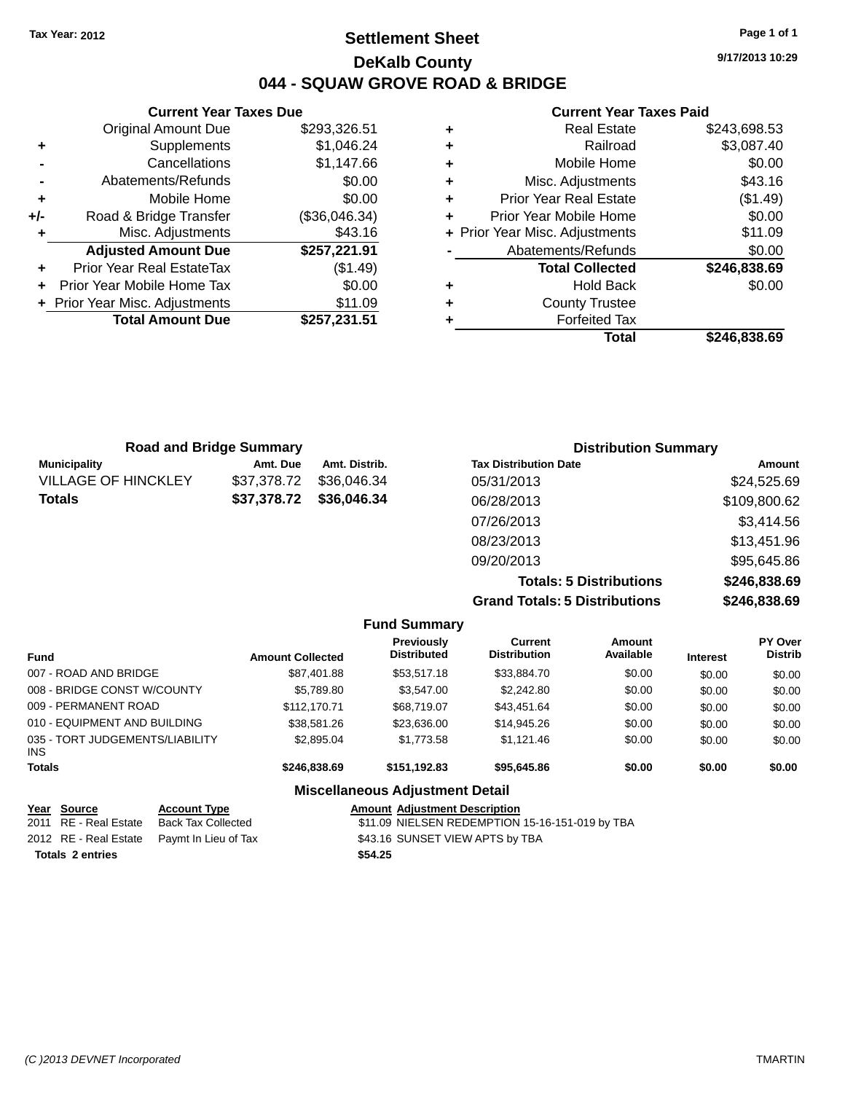### **Settlement Sheet Tax Year: 2012 Page 1 of 1 DeKalb County 044 - SQUAW GROVE ROAD & BRIDGE**

**9/17/2013 10:29**

#### **Current Year Taxes Paid**

|       | <b>Current Year Taxes Due</b>  |               |  |  |  |  |
|-------|--------------------------------|---------------|--|--|--|--|
|       | <b>Original Amount Due</b>     | \$293,326.51  |  |  |  |  |
| ٠     | Supplements                    | \$1,046.24    |  |  |  |  |
|       | Cancellations                  | \$1,147.66    |  |  |  |  |
|       | Abatements/Refunds             | \$0.00        |  |  |  |  |
| ٠     | Mobile Home                    | \$0.00        |  |  |  |  |
| $+/-$ | Road & Bridge Transfer         | (\$36,046.34) |  |  |  |  |
| ٠     | Misc. Adjustments              | \$43.16       |  |  |  |  |
|       | <b>Adjusted Amount Due</b>     | \$257,221.91  |  |  |  |  |
| ٠     | Prior Year Real EstateTax      | (\$1.49)      |  |  |  |  |
|       | Prior Year Mobile Home Tax     | \$0.00        |  |  |  |  |
|       | + Prior Year Misc. Adjustments | \$11.09       |  |  |  |  |
|       | <b>Total Amount Due</b>        | \$257,231.51  |  |  |  |  |
|       |                                |               |  |  |  |  |

| ٠ | <b>Real Estate</b>             | \$243,698.53 |
|---|--------------------------------|--------------|
| ٠ | Railroad                       | \$3,087.40   |
| ٠ | Mobile Home                    | \$0.00       |
| ٠ | Misc. Adjustments              | \$43.16      |
| ٠ | <b>Prior Year Real Estate</b>  | (\$1.49)     |
| ٠ | Prior Year Mobile Home         | \$0.00       |
|   | + Prior Year Misc. Adjustments | \$11.09      |
|   | Abatements/Refunds             | \$0.00       |
|   | <b>Total Collected</b>         | \$246,838.69 |
| ٠ | <b>Hold Back</b>               | \$0.00       |
| ٠ | <b>County Trustee</b>          |              |
|   | <b>Forfeited Tax</b>           |              |
|   | Total                          | \$246.838.69 |

|                            | <b>Road and Bridge Summary</b> |               | <b>Distribution Summary</b>    |              |  |
|----------------------------|--------------------------------|---------------|--------------------------------|--------------|--|
| <b>Municipality</b>        | Amt. Due                       | Amt. Distrib. | <b>Tax Distribution Date</b>   | Amount       |  |
| <b>VILLAGE OF HINCKLEY</b> | \$37,378.72                    | \$36,046,34   | 05/31/2013                     | \$24,525.69  |  |
| <b>Totals</b>              | \$37,378.72                    | \$36,046.34   | 06/28/2013                     | \$109,800.62 |  |
|                            |                                |               | 07/26/2013                     | \$3,414.56   |  |
|                            |                                |               | 08/23/2013                     | \$13,451.96  |  |
|                            |                                |               | 09/20/2013                     | \$95,645.86  |  |
|                            |                                |               | <b>Totals: 5 Distributions</b> | \$246,838.69 |  |

**Grand Totals: 5 Distributions \$246,838.69**

|                                         |                         | <b>Fund Summary</b>                     |                                       |                     |                 |                                  |
|-----------------------------------------|-------------------------|-----------------------------------------|---------------------------------------|---------------------|-----------------|----------------------------------|
| <b>Fund</b>                             | <b>Amount Collected</b> | <b>Previously</b><br><b>Distributed</b> | <b>Current</b><br><b>Distribution</b> | Amount<br>Available | <b>Interest</b> | <b>PY Over</b><br><b>Distrib</b> |
| 007 - ROAD AND BRIDGE                   | \$87,401.88             | \$53,517.18                             | \$33,884.70                           | \$0.00              | \$0.00          | \$0.00                           |
| 008 - BRIDGE CONST W/COUNTY             | \$5,789.80              | \$3,547.00                              | \$2,242.80                            | \$0.00              | \$0.00          | \$0.00                           |
| 009 - PERMANENT ROAD                    | \$112,170.71            | \$68,719.07                             | \$43,451.64                           | \$0.00              | \$0.00          | \$0.00                           |
| 010 - EQUIPMENT AND BUILDING            | \$38,581.26             | \$23,636.00                             | \$14,945.26                           | \$0.00              | \$0.00          | \$0.00                           |
| 035 - TORT JUDGEMENTS/LIABILITY<br>INS. | \$2,895.04              | \$1,773.58                              | \$1.121.46                            | \$0.00              | \$0.00          | \$0.00                           |
| Totals                                  | \$246,838,69            | \$151.192.83                            | \$95,645.86                           | \$0.00              | \$0.00          | \$0.00                           |
|                                         |                         | <b>Miscellaneous Adjustment Detail</b>  |                                       |                     |                 |                                  |

| Year Source             | <b>Account Type</b>                        | <b>Amount Adjustment Description</b>            |
|-------------------------|--------------------------------------------|-------------------------------------------------|
| 2011 RE - Real Estate   | Back Tax Collected                         | \$11.09 NIELSEN REDEMPTION 15-16-151-019 by TBA |
|                         | 2012 RE - Real Estate Paymt In Lieu of Tax | \$43.16 SUNSET VIEW APTS by TBA                 |
| <b>Totals 2 entries</b> |                                            | \$54.25                                         |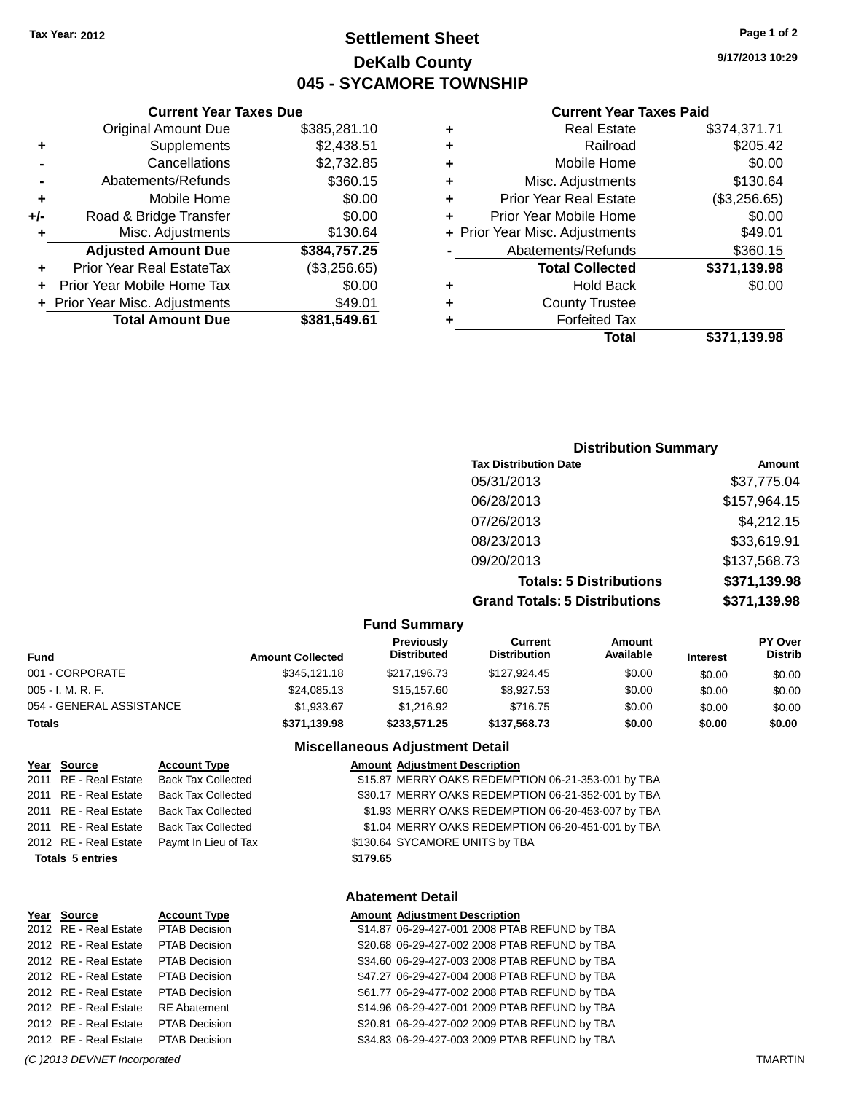**Current Year Taxes Due**

# **Settlement Sheet Tax Year: 2012 Page 1 of 2 DeKalb County 045 - SYCAMORE TOWNSHIP**

**9/17/2013 10:29**

#### **Current Year Taxes Paid**

|     |                                  |              |   | <b>Total</b>                   | \$371,139.98 |
|-----|----------------------------------|--------------|---|--------------------------------|--------------|
|     | <b>Total Amount Due</b>          | \$381,549.61 |   | <b>Forfeited Tax</b>           |              |
|     | + Prior Year Misc. Adjustments   | \$49.01      | ٠ | <b>County Trustee</b>          |              |
| ÷.  | Prior Year Mobile Home Tax       | \$0.00       | ٠ | <b>Hold Back</b>               | \$0.00       |
| ٠   | <b>Prior Year Real EstateTax</b> | (\$3,256.65) |   | <b>Total Collected</b>         | \$371,139.98 |
|     | <b>Adjusted Amount Due</b>       | \$384,757.25 |   | Abatements/Refunds             | \$360.15     |
|     | Misc. Adjustments                | \$130.64     |   | + Prior Year Misc. Adjustments | \$49.01      |
| +/- | Road & Bridge Transfer           | \$0.00       |   | Prior Year Mobile Home         | \$0.00       |
| ٠   | Mobile Home                      | \$0.00       | ٠ | <b>Prior Year Real Estate</b>  | (\$3,256.65) |
|     | Abatements/Refunds               | \$360.15     |   | Misc. Adjustments              | \$130.64     |
|     | Cancellations                    | \$2,732.85   |   | Mobile Home                    | \$0.00       |
| ٠   | Supplements                      | \$2,438.51   | ٠ | Railroad                       | \$205.42     |
|     | <b>Original Amount Due</b>       | \$385,281.10 | ٠ | <b>Real Estate</b>             | \$374,371.71 |
|     |                                  |              |   |                                |              |

### **Distribution Summary Tax Distribution Date Amount** 05/31/2013 \$37,775.04 06/28/2013 \$157,964.15 07/26/2013 \$4,212.15 08/23/2013 \$33,619.91 09/20/2013 \$137,568.73 **Totals: 5 Distributions \$371,139.98 Grand Totals: 5 Distributions \$371,139.98**

| <b>Fund Summary</b>      |                         |                                  |                                |                            |                 |                                  |
|--------------------------|-------------------------|----------------------------------|--------------------------------|----------------------------|-----------------|----------------------------------|
| <b>Fund</b>              | <b>Amount Collected</b> | Previously<br><b>Distributed</b> | Current<br><b>Distribution</b> | <b>Amount</b><br>Available | <b>Interest</b> | <b>PY Over</b><br><b>Distrib</b> |
| 001 - CORPORATE          | \$345,121.18            | \$217,196.73                     | \$127.924.45                   | \$0.00                     | \$0.00          | \$0.00                           |
| $005 - I. M. R. F.$      | \$24,085.13             | \$15,157.60                      | \$8.927.53                     | \$0.00                     | \$0.00          | \$0.00                           |
| 054 - GENERAL ASSISTANCE | \$1,933.67              | \$1.216.92                       | \$716.75                       | \$0.00                     | \$0.00          | \$0.00                           |
| <b>Totals</b>            | \$371,139.98            | \$233,571.25                     | \$137,568,73                   | \$0.00                     | \$0.00          | \$0.00                           |

#### **Miscellaneous Adjustment Detail**

| Year Source             | <b>Account Type</b>       |          | <b>Amount Adjustment Description</b>               |
|-------------------------|---------------------------|----------|----------------------------------------------------|
| 2011 RE - Real Estate   | <b>Back Tax Collected</b> |          | \$15.87 MERRY OAKS REDEMPTION 06-21-353-001 by TBA |
| 2011 RE - Real Estate   | <b>Back Tax Collected</b> |          | \$30.17 MERRY OAKS REDEMPTION 06-21-352-001 by TBA |
| 2011 RE - Real Estate   | <b>Back Tax Collected</b> |          | \$1.93 MERRY OAKS REDEMPTION 06-20-453-007 by TBA  |
| 2011 RE - Real Estate   | <b>Back Tax Collected</b> |          | \$1.04 MERRY OAKS REDEMPTION 06-20-451-001 by TBA  |
| 2012 RE - Real Estate   | Paymt In Lieu of Tax      |          | \$130.64 SYCAMORE UNITS by TBA                     |
| <b>Totals 5 entries</b> |                           | \$179.65 |                                                    |
|                         |                           |          |                                                    |

#### **Abatement Detail**

| Year Source           | <b>Account Type</b>  | <b>Amount Adjustment Description</b>          |
|-----------------------|----------------------|-----------------------------------------------|
| 2012 RE - Real Estate | PTAB Decision        | \$14.87 06-29-427-001 2008 PTAB REFUND by TBA |
| 2012 RE - Real Estate | PTAB Decision        | \$20.68 06-29-427-002 2008 PTAB REFUND by TBA |
| 2012 RE - Real Estate | PTAB Decision        | \$34.60 06-29-427-003 2008 PTAB REFUND by TBA |
| 2012 RE - Real Estate | PTAB Decision        | \$47.27 06-29-427-004 2008 PTAB REFUND by TBA |
| 2012 RE - Real Estate | <b>PTAB Decision</b> | \$61.77 06-29-477-002 2008 PTAB REFUND by TBA |
| 2012 RE - Real Estate | <b>RE</b> Abatement  | \$14.96 06-29-427-001 2009 PTAB REFUND by TBA |
| 2012 RE - Real Estate | PTAB Decision        | \$20.81 06-29-427-002 2009 PTAB REFUND by TBA |
| 2012 RE - Real Estate | PTAB Decision        | \$34.83 06-29-427-003 2009 PTAB REFUND by TBA |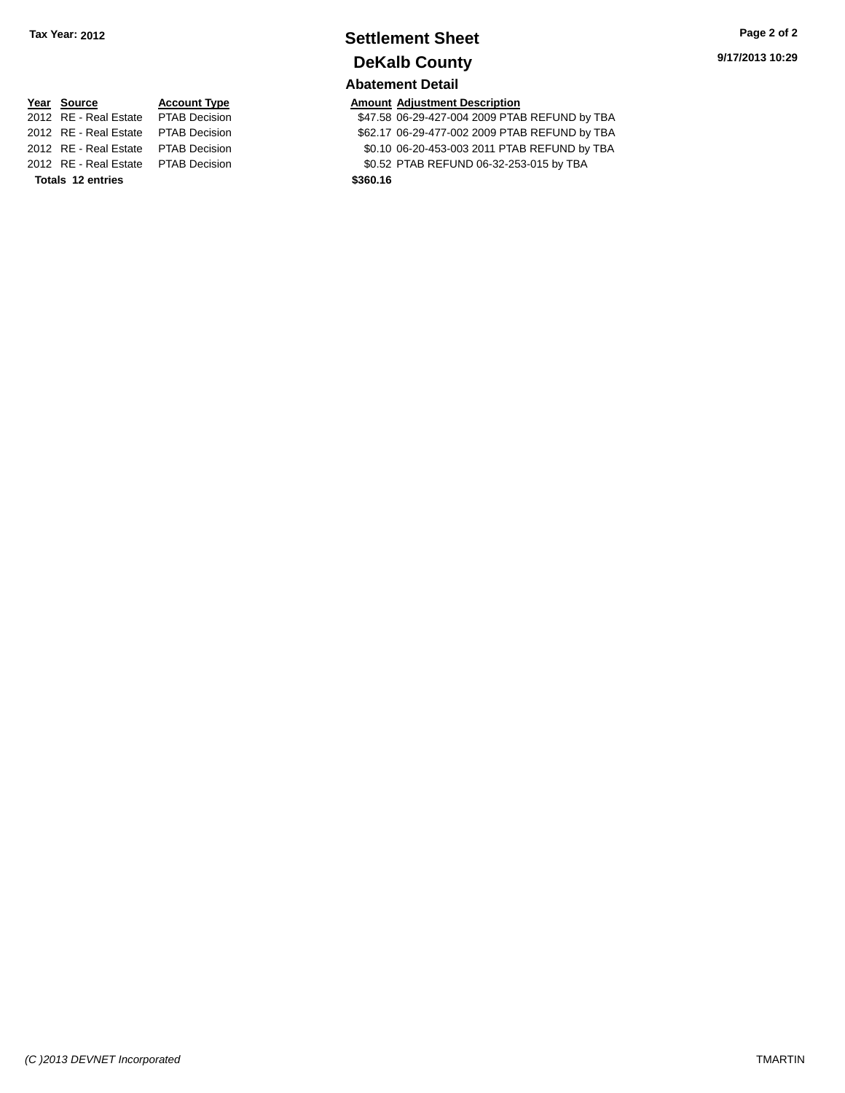# **Settlement Sheet Tax Year: 2012 Page 2 of 2 DeKalb County**

### **Abatement Detail**

**Year Source Account Type Account Type Amount Adjustment Description**<br>2012 RE - Real Estate PTAB Decision **Amount 347.58 06-29-427-004 2009 PTA** 

\$47.58 06-29-427-004 2009 PTAB REFUND by TBA 2012 RE - Real Estate PTAB Decision \$62.17 06-29-477-002 2009 PTAB REFUND by TBA 2012 RE - Real Estate PTAB Decision \$0.10 06-20-453-003 2011 PTAB REFUND by TBA 2012 RE - Real Estate PTAB Decision \$0.52 PTAB REFUND 06-32-253-015 by TBA

**Totals 12 entries \$360.16**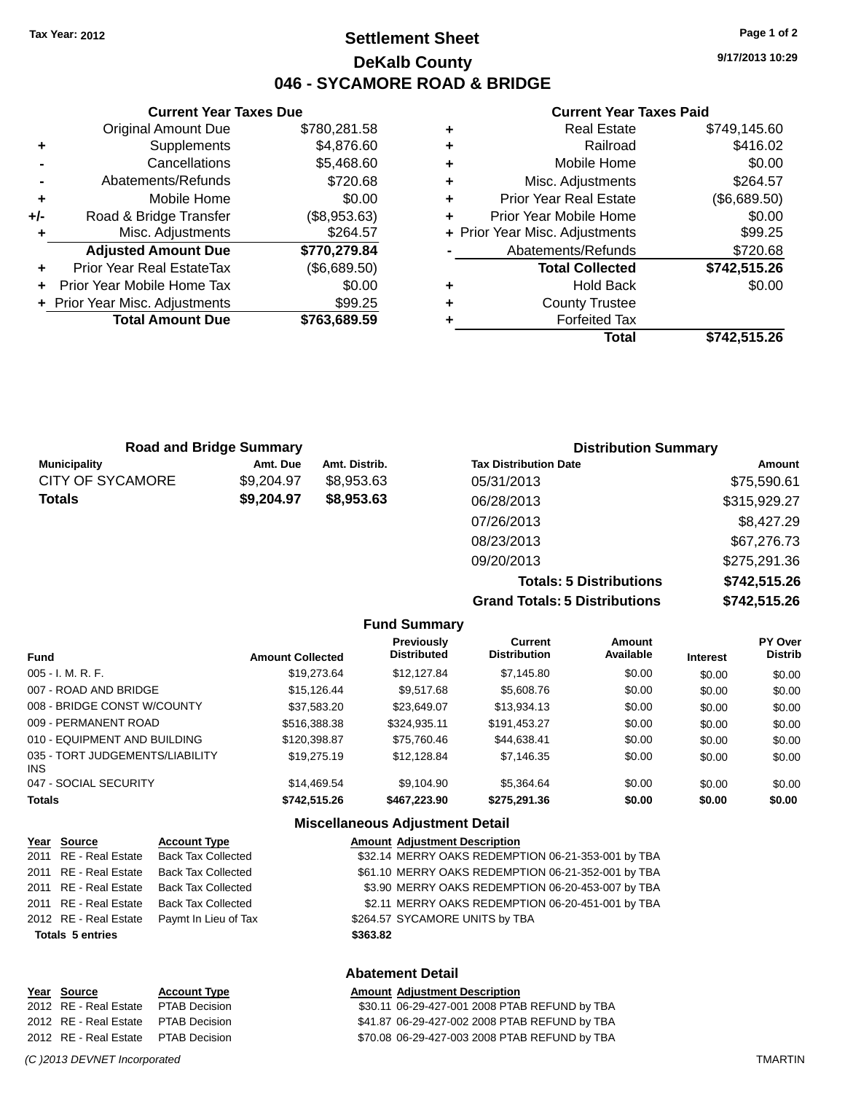**Current Year Taxes Due** Original Amount Due \$780,281.58

**Adjusted Amount Due \$770,279.84**

**Total Amount Due \$763,689.59**

**+** Supplements \$4,876.60 **-** Cancellations \$5,468.60 **-** Abatements/Refunds \$720.68 **+** Mobile Home \$0.00 **+/-** Road & Bridge Transfer (\$8,953.63) **+** Misc. Adjustments \$264.57

**+** Prior Year Real EstateTax (\$6,689.50) **+** Prior Year Mobile Home Tax \$0.00 **+** Prior Year Misc. Adjustments \$99.25

# **Settlement Sheet Tax Year: 2012 Page 1 of 2 DeKalb County 046 - SYCAMORE ROAD & BRIDGE**

**9/17/2013 10:29**

#### **Current Year Taxes Paid**

| ٠ | <b>Real Estate</b>             | \$749,145.60 |
|---|--------------------------------|--------------|
| ٠ | Railroad                       | \$416.02     |
| ٠ | Mobile Home                    | \$0.00       |
| ٠ | Misc. Adjustments              | \$264.57     |
| ٠ | <b>Prior Year Real Estate</b>  | (\$6,689.50) |
| ٠ | Prior Year Mobile Home         | \$0.00       |
|   | + Prior Year Misc. Adjustments | \$99.25      |
|   | Abatements/Refunds             | \$720.68     |
|   | <b>Total Collected</b>         | \$742,515.26 |
| ٠ | <b>Hold Back</b>               | \$0.00       |
| ٠ | <b>County Trustee</b>          |              |
|   | <b>Forfeited Tax</b>           |              |
|   | Total                          | \$742,515.26 |
|   |                                |              |

| <b>Road and Bridge Summary</b> |            |               | <b>Distribution Summary</b>  |              |  |
|--------------------------------|------------|---------------|------------------------------|--------------|--|
| <b>Municipality</b>            | Amt. Due   | Amt. Distrib. | <b>Tax Distribution Date</b> | Amount       |  |
| <b>CITY OF SYCAMORE</b>        | \$9,204.97 | \$8.953.63    | 05/31/2013                   | \$75,590.61  |  |
| <b>Totals</b>                  | \$9,204.97 | \$8,953.63    | 06/28/2013                   | \$315,929.27 |  |
|                                |            |               | 07/26/2013                   | \$8,427.29   |  |
|                                |            |               | 08/23/2013                   | \$67,276.73  |  |

**Grand Totals: 5 Distributions \$742,515.26**

09/20/2013 \$275,291.36

**Totals: 5 Distributions \$742,515.26**

|                                         |                         | <b>Fund Summary</b>                     |                                       |                     |                 |                           |
|-----------------------------------------|-------------------------|-----------------------------------------|---------------------------------------|---------------------|-----------------|---------------------------|
| <b>Fund</b>                             | <b>Amount Collected</b> | <b>Previously</b><br><b>Distributed</b> | <b>Current</b><br><b>Distribution</b> | Amount<br>Available | <b>Interest</b> | PY Over<br><b>Distrib</b> |
| $005 - I. M. R. F.$                     | \$19,273.64             | \$12.127.84                             | \$7,145.80                            | \$0.00              | \$0.00          | \$0.00                    |
| 007 - ROAD AND BRIDGE                   | \$15.126.44             | \$9.517.68                              | \$5,608.76                            | \$0.00              | \$0.00          | \$0.00                    |
| 008 - BRIDGE CONST W/COUNTY             | \$37.583.20             | \$23.649.07                             | \$13.934.13                           | \$0.00              | \$0.00          | \$0.00                    |
| 009 - PERMANENT ROAD                    | \$516,388,38            | \$324.935.11                            | \$191,453.27                          | \$0.00              | \$0.00          | \$0.00                    |
| 010 - EQUIPMENT AND BUILDING            | \$120,398.87            | \$75,760.46                             | \$44.638.41                           | \$0.00              | \$0.00          | \$0.00                    |
| 035 - TORT JUDGEMENTS/LIABILITY<br>INS. | \$19,275.19             | \$12,128.84                             | \$7.146.35                            | \$0.00              | \$0.00          | \$0.00                    |
| 047 - SOCIAL SECURITY                   | \$14,469.54             | \$9.104.90                              | \$5,364,64                            | \$0.00              | \$0.00          | \$0.00                    |
| <b>Totals</b>                           | \$742,515.26            | \$467,223,90                            | \$275,291.36                          | \$0.00              | \$0.00          | \$0.00                    |

#### **Miscellaneous Adjustment Detail**

| Year Source             | <b>Account Type</b>       | <b>Amount Adjustment Description</b>               |
|-------------------------|---------------------------|----------------------------------------------------|
| 2011 RE - Real Estate   | <b>Back Tax Collected</b> | \$32.14 MERRY OAKS REDEMPTION 06-21-353-001 by TBA |
| 2011 RE - Real Estate   | <b>Back Tax Collected</b> | \$61.10 MERRY OAKS REDEMPTION 06-21-352-001 by TBA |
| 2011 RE - Real Estate   | <b>Back Tax Collected</b> | \$3.90 MERRY OAKS REDEMPTION 06-20-453-007 by TBA  |
| 2011 RE - Real Estate   | <b>Back Tax Collected</b> | \$2.11 MERRY OAKS REDEMPTION 06-20-451-001 by TBA  |
| 2012 RE - Real Estate   | Paymt In Lieu of Tax      | \$264.57 SYCAMORE UNITS by TBA                     |
| <b>Totals 5 entries</b> |                           | \$363.82                                           |
|                         |                           |                                                    |

#### **Abatement Detail**

| <b>Amount Adjustment Description</b>          |
|-----------------------------------------------|
| \$30.11 06-29-427-001 2008 PTAB REFUND by TBA |
| \$41.87 06-29-427-002 2008 PTAB REFUND by TBA |
| \$70.08 06-29-427-003 2008 PTAB REFUND by TBA |

#### *(C )2013 DEVNET Incorporated* TMARTIN

**Year Source <b>Account Type** 2012 RE - Real Estate PTAB Decision 2012 RE - Real Estate PTAB Decision 2012 RE - Real Estate PTAB Decision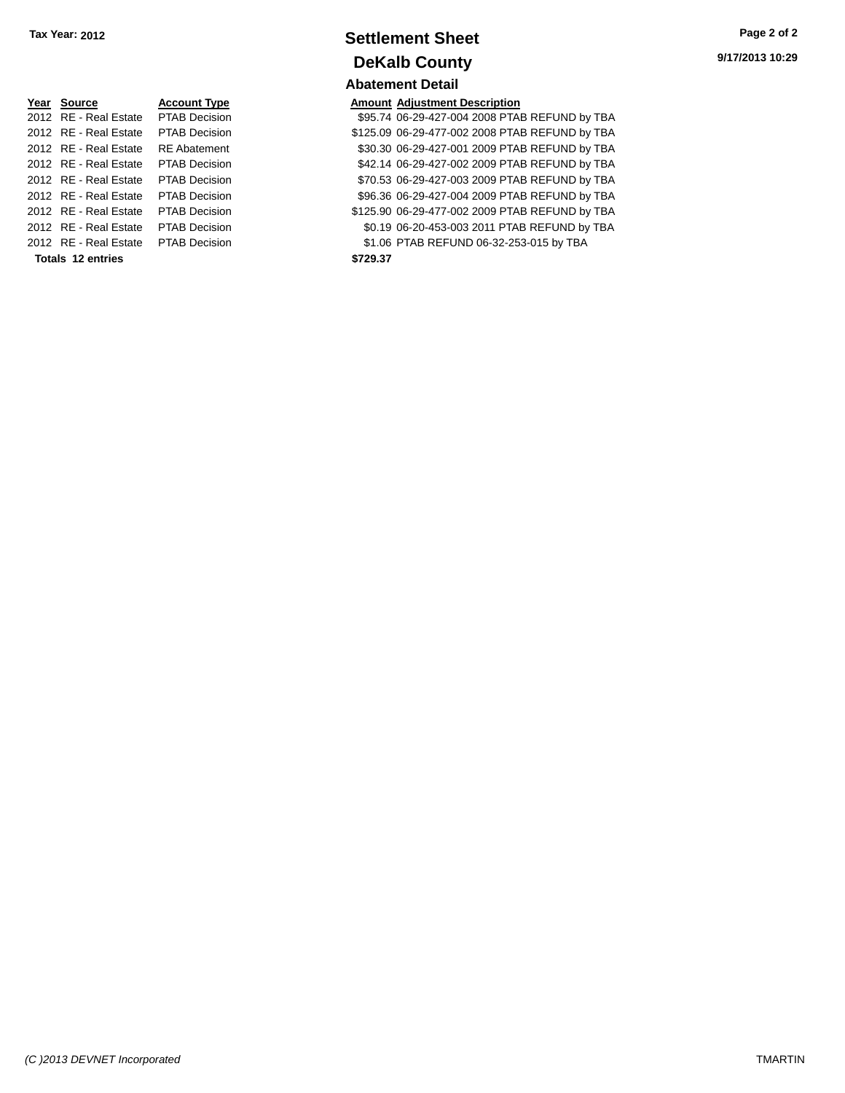| Year Source              | <b>Account Type</b>  |  |  |  |  |
|--------------------------|----------------------|--|--|--|--|
| 2012 RE - Real Estate    | PTAB Decision        |  |  |  |  |
| 2012 RF - Real Estate    | <b>PTAB Decision</b> |  |  |  |  |
| 2012 RE - Real Estate    | RF Abatement         |  |  |  |  |
| 2012 RE - Real Estate    | PTAB Decision        |  |  |  |  |
| 2012 RF - Real Estate    | <b>PTAB Decision</b> |  |  |  |  |
| 2012 RF - Real Estate    | <b>PTAB Decision</b> |  |  |  |  |
| 2012 RF - Real Estate    | <b>PTAB Decision</b> |  |  |  |  |
| 2012 RE - Real Estate    | <b>PTAB Decision</b> |  |  |  |  |
| 2012 RF - Real Estate    | <b>PTAB Decision</b> |  |  |  |  |
| <b>Totals 12 entries</b> |                      |  |  |  |  |

### **Settlement Sheet Tax Year: 2012 Page 2 of 2 DeKalb County Abatement Detail**

#### **Amount Adjustment Description**

\$95.74 06-29-427-004 2008 PTAB REFUND by TBA \$125.09 06-29-477-002 2008 PTAB REFUND by TBA \$30.30 06-29-427-001 2009 PTAB REFUND by TBA \$42.14 06-29-427-002 2009 PTAB REFUND by TBA \$70.53 06-29-427-003 2009 PTAB REFUND by TBA \$96.36 06-29-427-004 2009 PTAB REFUND by TBA \$125.90 06-29-477-002 2009 PTAB REFUND by TBA \$0.19 06-20-453-003 2011 PTAB REFUND by TBA \$1.06 PTAB REFUND 06-32-253-015 by TBA **Totals 12 entries \$729.37**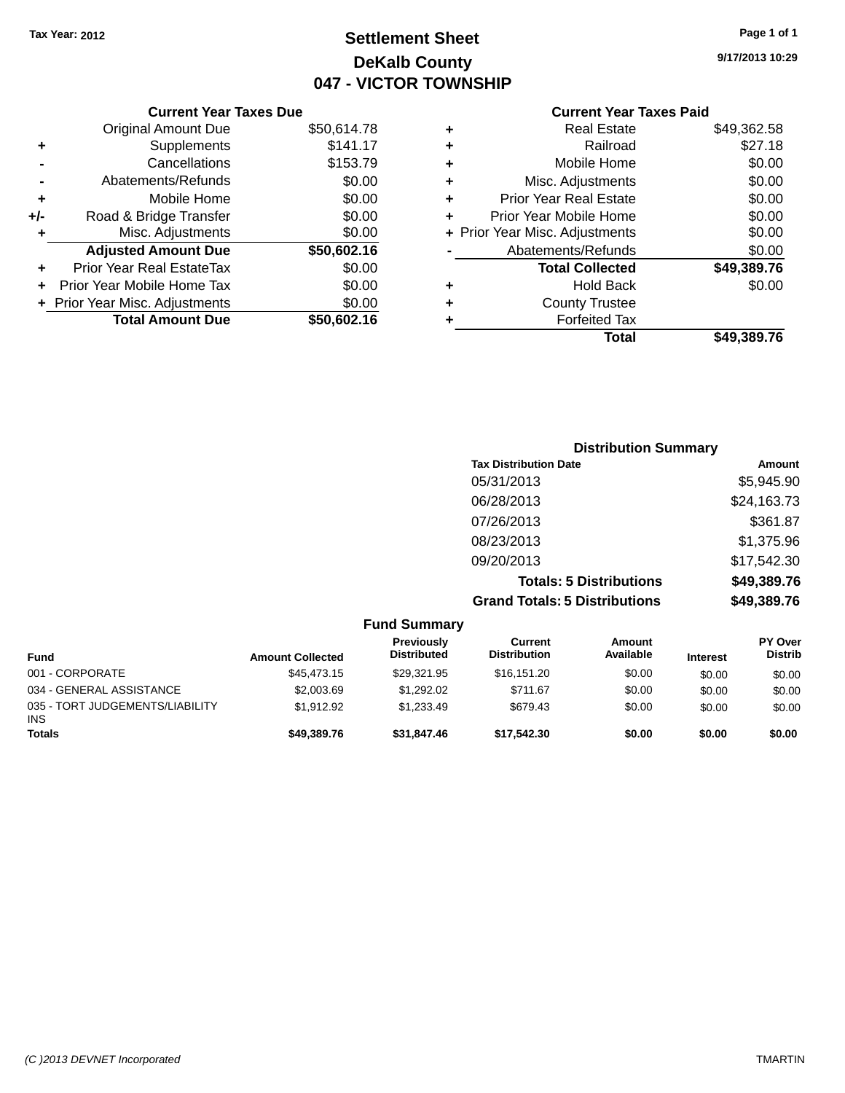# **Settlement Sheet Tax Year: 2012 Page 1 of 1 DeKalb County 047 - VICTOR TOWNSHIP**

### **Current Year Taxes Due** Original Amount Due \$50,614.78 **+** Supplements \$141.17 **-** Cancellations \$153.79 **-** Abatements/Refunds \$0.00 **+** Mobile Home \$0.00 **+/-** Road & Bridge Transfer \$0.00 **+** Misc. Adjustments \$0.00 **Adjusted Amount Due \$50,602.16 +** Prior Year Real EstateTax \$0.00 **+** Prior Year Mobile Home Tax \$0.00 **+ Prior Year Misc. Adjustments**  $$0.00$ **Total Amount Due \$50,602.16**

### **Current Year Taxes Paid +** Real Estate \$49,362.58

| Ŧ | NGAI CSIAIG                    | סט.∠טט,פ+ט  |
|---|--------------------------------|-------------|
| ÷ | Railroad                       | \$27.18     |
| ٠ | Mobile Home                    | \$0.00      |
| ٠ | Misc. Adjustments              | \$0.00      |
| ٠ | <b>Prior Year Real Estate</b>  | \$0.00      |
| ٠ | Prior Year Mobile Home         | \$0.00      |
|   | + Prior Year Misc. Adjustments | \$0.00      |
|   | Abatements/Refunds             | \$0.00      |
|   | <b>Total Collected</b>         | \$49,389.76 |
| ٠ | <b>Hold Back</b>               | \$0.00      |
| ٠ | <b>County Trustee</b>          |             |
| ٠ | <b>Forfeited Tax</b>           |             |
|   | Total                          | \$49,389.76 |
|   |                                |             |

| <b>Distribution Summary</b>          |             |
|--------------------------------------|-------------|
| <b>Tax Distribution Date</b>         | Amount      |
| 05/31/2013                           | \$5,945.90  |
| 06/28/2013                           | \$24,163.73 |
| 07/26/2013                           | \$361.87    |
| 08/23/2013                           | \$1,375.96  |
| 09/20/2013                           | \$17,542.30 |
| <b>Totals: 5 Distributions</b>       | \$49,389.76 |
| <b>Grand Totals: 5 Distributions</b> | \$49,389.76 |

|                                               |                         | <b>Fund Summary</b>              |                                |                     |                 |                                  |
|-----------------------------------------------|-------------------------|----------------------------------|--------------------------------|---------------------|-----------------|----------------------------------|
| <b>Fund</b>                                   | <b>Amount Collected</b> | Previously<br><b>Distributed</b> | Current<br><b>Distribution</b> | Amount<br>Available | <b>Interest</b> | <b>PY Over</b><br><b>Distrib</b> |
| 001 - CORPORATE                               | \$45,473.15             | \$29.321.95                      | \$16.151.20                    | \$0.00              | \$0.00          | \$0.00                           |
| 034 - GENERAL ASSISTANCE                      | \$2,003.69              | \$1,292.02                       | \$711.67                       | \$0.00              | \$0.00          | \$0.00                           |
| 035 - TORT JUDGEMENTS/LIABILITY<br><b>INS</b> | \$1.912.92              | \$1.233.49                       | \$679.43                       | \$0.00              | \$0.00          | \$0.00                           |
| <b>Totals</b>                                 | \$49,389,76             | \$31,847.46                      | \$17.542.30                    | \$0.00              | \$0.00          | \$0.00                           |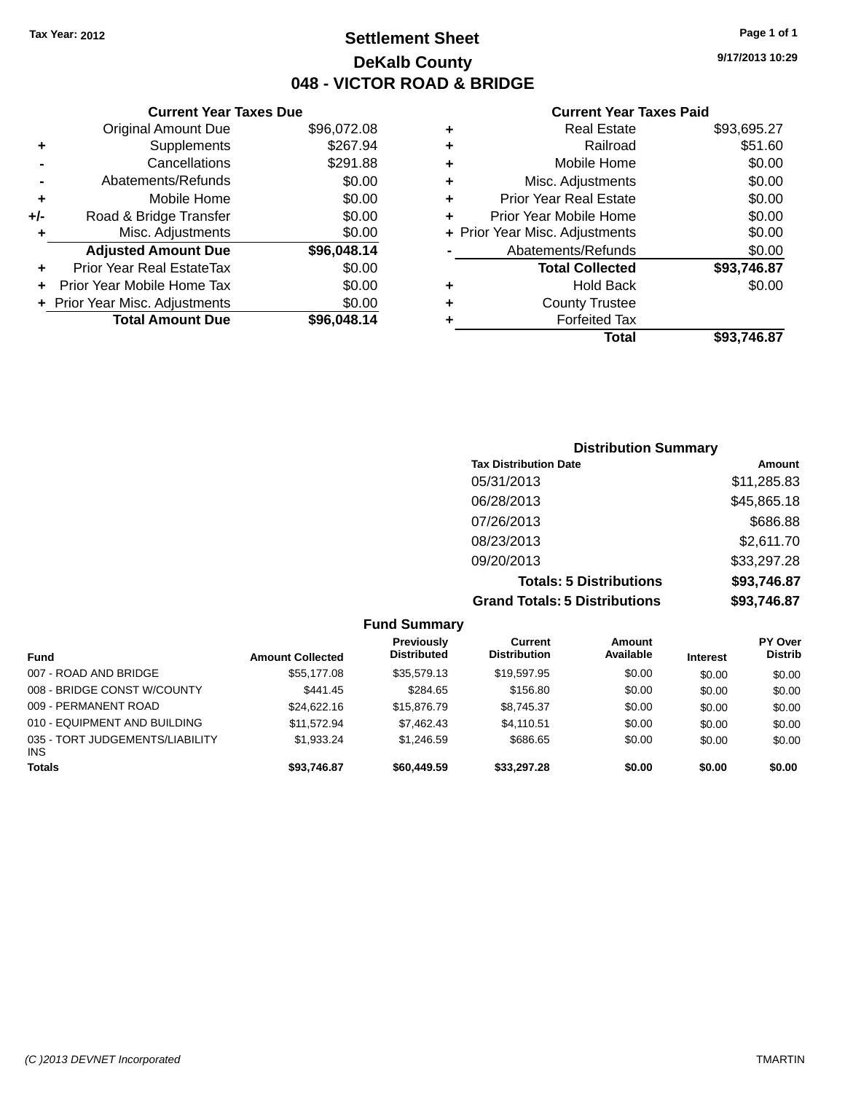**Current Year Taxes Due** Original Amount Due \$96,072.08

**Adjusted Amount Due \$96,048.14**

**Total Amount Due \$96,048.14**

**+** Supplements \$267.94 **-** Cancellations \$291.88 **-** Abatements/Refunds \$0.00 **+** Mobile Home \$0.00 **+/-** Road & Bridge Transfer \$0.00 **+** Misc. Adjustments \$0.00

**+** Prior Year Real EstateTax \$0.00 **+** Prior Year Mobile Home Tax \$0.00 **+ Prior Year Misc. Adjustments**  $$0.00$ 

### **Settlement Sheet Tax Year: 2012 Page 1 of 1 DeKalb County 048 - VICTOR ROAD & BRIDGE**

**9/17/2013 10:29**

#### **Current Year Taxes Paid**

|   | Total                          | \$93.746.87 |
|---|--------------------------------|-------------|
| ٠ | <b>Forfeited Tax</b>           |             |
| ٠ | <b>County Trustee</b>          |             |
| ٠ | <b>Hold Back</b>               | \$0.00      |
|   | <b>Total Collected</b>         | \$93,746.87 |
|   | Abatements/Refunds             | \$0.00      |
|   | + Prior Year Misc. Adjustments | \$0.00      |
| ٠ | Prior Year Mobile Home         | \$0.00      |
| ٠ | <b>Prior Year Real Estate</b>  | \$0.00      |
| ٠ | Misc. Adjustments              | \$0.00      |
| ٠ | Mobile Home                    | \$0.00      |
| ٠ | Railroad                       | \$51.60     |
| ٠ | <b>Real Estate</b>             | \$93,695.27 |

### **Distribution Summary Tax Distribution Date Amount** 05/31/2013 \$11,285.83 06/28/2013 \$45,865.18 07/26/2013 \$686.88 08/23/2013 \$2,611.70 09/20/2013 \$33,297.28 **Totals: 5 Distributions \$93,746.87 Grand Totals: 5 Distributions \$93,746.87**

| <b>Fund Summary</b>                           |                         |                                  |                                |                            |                 |                                  |
|-----------------------------------------------|-------------------------|----------------------------------|--------------------------------|----------------------------|-----------------|----------------------------------|
| <b>Fund</b>                                   | <b>Amount Collected</b> | Previously<br><b>Distributed</b> | Current<br><b>Distribution</b> | <b>Amount</b><br>Available | <b>Interest</b> | <b>PY Over</b><br><b>Distrib</b> |
| 007 - ROAD AND BRIDGE                         | \$55,177.08             | \$35.579.13                      | \$19.597.95                    | \$0.00                     | \$0.00          | \$0.00                           |
| 008 - BRIDGE CONST W/COUNTY                   | \$441.45                | \$284.65                         | \$156.80                       | \$0.00                     | \$0.00          | \$0.00                           |
| 009 - PERMANENT ROAD                          | \$24,622.16             | \$15,876.79                      | \$8,745.37                     | \$0.00                     | \$0.00          | \$0.00                           |
| 010 - EQUIPMENT AND BUILDING                  | \$11.572.94             | \$7,462.43                       | \$4.110.51                     | \$0.00                     | \$0.00          | \$0.00                           |
| 035 - TORT JUDGEMENTS/LIABILITY<br><b>INS</b> | \$1,933.24              | \$1,246.59                       | \$686.65                       | \$0.00                     | \$0.00          | \$0.00                           |
| <b>Totals</b>                                 | \$93,746.87             | \$60,449.59                      | \$33,297.28                    | \$0.00                     | \$0.00          | \$0.00                           |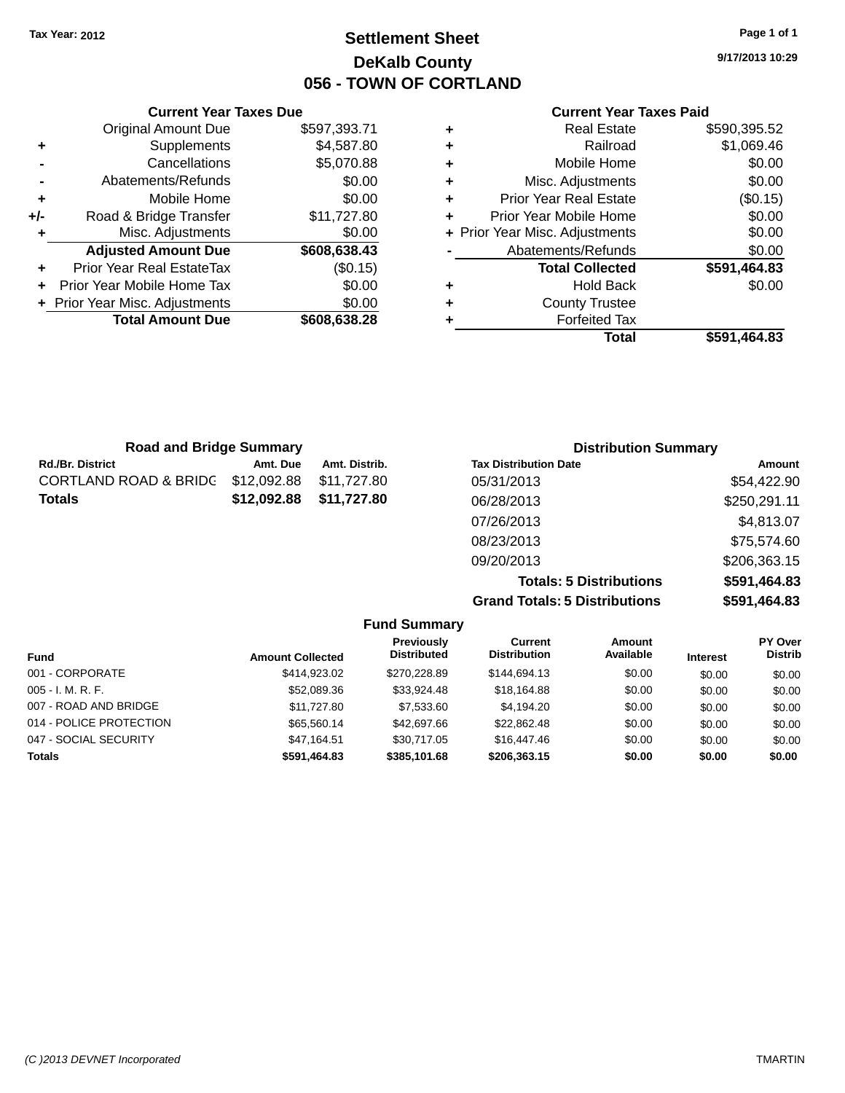# **Settlement Sheet Tax Year: 2012 Page 1 of 1 DeKalb County 056 - TOWN OF CORTLAND**

**9/17/2013 10:29**

#### **Current Year Taxes Paid**

| Total                          | \$591,464.83 |
|--------------------------------|--------------|
| <b>Forfeited Tax</b>           |              |
| <b>County Trustee</b>          |              |
| <b>Hold Back</b>               | \$0.00       |
| <b>Total Collected</b>         | \$591,464.83 |
| Abatements/Refunds             | \$0.00       |
| + Prior Year Misc. Adjustments | \$0.00       |
| Prior Year Mobile Home         | \$0.00       |
| Prior Year Real Estate         | (\$0.15)     |
| Misc. Adjustments              | \$0.00       |
| Mobile Home                    | \$0.00       |
| Railroad                       | \$1,069.46   |
| <b>Real Estate</b>             | \$590,395.52 |
|                                |              |

| <b>Road and Bridge Summary</b>   |             | <b>Distribution Summary</b> |                              |              |
|----------------------------------|-------------|-----------------------------|------------------------------|--------------|
| <b>Rd./Br. District</b>          | Amt. Due    | Amt. Distrib.               | <b>Tax Distribution Date</b> | Amount       |
| <b>CORTLAND ROAD &amp; BRIDG</b> | \$12,092.88 | \$11.727.80                 | 05/31/2013                   | \$54,422.90  |
| <b>Totals</b>                    | \$12,092.88 | \$11,727.80                 | 06/28/2013                   | \$250,291.11 |
|                                  |             |                             | 07/26/2013                   | \$4,813.07   |
|                                  |             |                             | 08/23/2013                   | \$75,574.60  |
|                                  |             |                             | 09/20/2013                   | \$206,363.15 |

**Totals: 5 Distributions \$591,464.83 Grand Totals: 5 Distributions \$591,464.83**

|                         |                         | <b>Fund Summary</b>                     |                                |                     |                 |                           |
|-------------------------|-------------------------|-----------------------------------------|--------------------------------|---------------------|-----------------|---------------------------|
| <b>Fund</b>             | <b>Amount Collected</b> | <b>Previously</b><br><b>Distributed</b> | Current<br><b>Distribution</b> | Amount<br>Available | <b>Interest</b> | PY Over<br><b>Distrib</b> |
| 001 - CORPORATE         | \$414.923.02            | \$270,228.89                            | \$144,694.13                   | \$0.00              | \$0.00          | \$0.00                    |
| $005 - I. M. R. F.$     | \$52,089.36             | \$33.924.48                             | \$18,164.88                    | \$0.00              | \$0.00          | \$0.00                    |
| 007 - ROAD AND BRIDGE   | \$11,727.80             | \$7,533.60                              | \$4,194.20                     | \$0.00              | \$0.00          | \$0.00                    |
| 014 - POLICE PROTECTION | \$65,560.14             | \$42,697.66                             | \$22,862.48                    | \$0.00              | \$0.00          | \$0.00                    |
| 047 - SOCIAL SECURITY   | \$47.164.51             | \$30.717.05                             | \$16,447.46                    | \$0.00              | \$0.00          | \$0.00                    |
| <b>Totals</b>           | \$591,464.83            | \$385,101.68                            | \$206,363.15                   | \$0.00              | \$0.00          | \$0.00                    |

# **Current Year Taxes Due**

|     | <b>Original Amount Due</b>     | \$597,393.71 |
|-----|--------------------------------|--------------|
| ٠   | Supplements                    | \$4,587.80   |
|     | Cancellations                  | \$5,070.88   |
|     | Abatements/Refunds             | \$0.00       |
| ٠   | Mobile Home                    | \$0.00       |
| +/- | Road & Bridge Transfer         | \$11,727.80  |
| ٠   | Misc. Adjustments              | \$0.00       |
|     | <b>Adjusted Amount Due</b>     | \$608,638.43 |
| ÷   | Prior Year Real EstateTax      | (\$0.15)     |
|     | Prior Year Mobile Home Tax     | \$0.00       |
|     | + Prior Year Misc. Adjustments | \$0.00       |
|     | <b>Total Amount Due</b>        | \$608,638.28 |
|     |                                |              |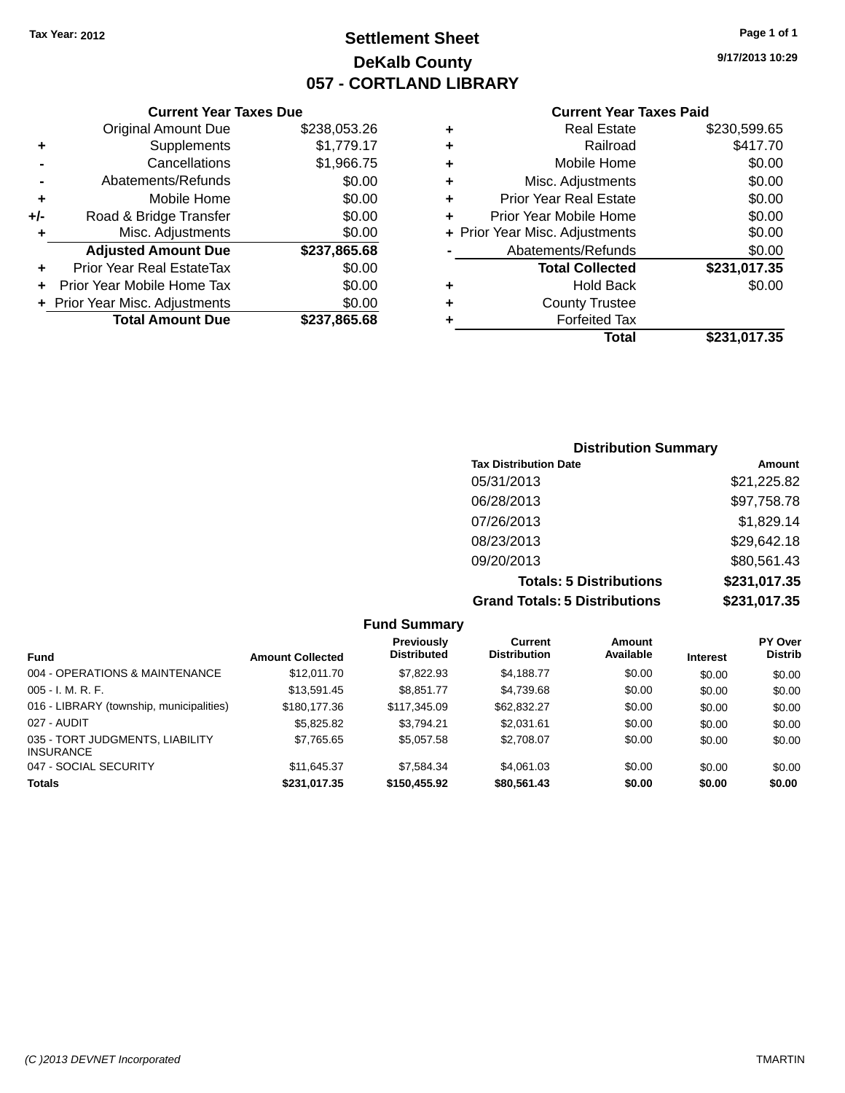# **Settlement Sheet Tax Year: 2012 Page 1 of 1 DeKalb County 057 - CORTLAND LIBRARY**

**9/17/2013 10:29**

#### **Current Year Taxes Paid**

|     | <b>Current Year Taxes Due</b>  |              |
|-----|--------------------------------|--------------|
|     | <b>Original Amount Due</b>     | \$238,053.26 |
| ٠   | Supplements                    | \$1,779.17   |
|     | Cancellations                  | \$1,966.75   |
|     | Abatements/Refunds             | \$0.00       |
| ٠   | Mobile Home                    | \$0.00       |
| +/- | Road & Bridge Transfer         | \$0.00       |
| ٠   | Misc. Adjustments              | \$0.00       |
|     | <b>Adjusted Amount Due</b>     | \$237,865.68 |
|     | Prior Year Real EstateTax      | \$0.00       |
|     | Prior Year Mobile Home Tax     | \$0.00       |
|     | + Prior Year Misc. Adjustments | \$0.00       |
|     | <b>Total Amount Due</b>        | \$237,865.68 |
|     |                                |              |

|   | <b>Real Estate</b>             | \$230,599.65 |
|---|--------------------------------|--------------|
| ٠ | Railroad                       | \$417.70     |
| ٠ | Mobile Home                    | \$0.00       |
| ٠ | Misc. Adjustments              | \$0.00       |
| ٠ | <b>Prior Year Real Estate</b>  | \$0.00       |
| ÷ | Prior Year Mobile Home         | \$0.00       |
|   | + Prior Year Misc. Adjustments | \$0.00       |
|   | Abatements/Refunds             | \$0.00       |
|   | <b>Total Collected</b>         | \$231,017.35 |
| ٠ | <b>Hold Back</b>               | \$0.00       |
| ٠ | <b>County Trustee</b>          |              |
| ٠ | <b>Forfeited Tax</b>           |              |
|   | <b>Total</b>                   | \$231,017.35 |
|   |                                |              |

### **Distribution Summary Tax Distribution Date Amount** 05/31/2013 \$21,225.82 06/28/2013 \$97,758.78 07/26/2013 \$1,829.14 08/23/2013 \$29,642.18 09/20/2013 \$80,561.43 **Totals: 5 Distributions \$231,017.35 Grand Totals: 5 Distributions \$231,017.35**

|                                                     |                         | <b>Fund Summary</b>              |                                |                     |                 |                                  |
|-----------------------------------------------------|-------------------------|----------------------------------|--------------------------------|---------------------|-----------------|----------------------------------|
| <b>Fund</b>                                         | <b>Amount Collected</b> | Previously<br><b>Distributed</b> | Current<br><b>Distribution</b> | Amount<br>Available | <b>Interest</b> | <b>PY Over</b><br><b>Distrib</b> |
| 004 - OPERATIONS & MAINTENANCE                      | \$12,011.70             | \$7,822.93                       | \$4,188.77                     | \$0.00              | \$0.00          | \$0.00                           |
| $005 - I. M. R. F.$                                 | \$13.591.45             | \$8.851.77                       | \$4,739.68                     | \$0.00              | \$0.00          | \$0.00                           |
| 016 - LIBRARY (township, municipalities)            | \$180,177.36            | \$117,345.09                     | \$62,832.27                    | \$0.00              | \$0.00          | \$0.00                           |
| 027 - AUDIT                                         | \$5,825.82              | \$3.794.21                       | \$2,031.61                     | \$0.00              | \$0.00          | \$0.00                           |
| 035 - TORT JUDGMENTS, LIABILITY<br><b>INSURANCE</b> | \$7,765.65              | \$5,057.58                       | \$2,708.07                     | \$0.00              | \$0.00          | \$0.00                           |
| 047 - SOCIAL SECURITY                               | \$11.645.37             | \$7.584.34                       | \$4.061.03                     | \$0.00              | \$0.00          | \$0.00                           |
| <b>Totals</b>                                       | \$231,017.35            | \$150,455.92                     | \$80,561.43                    | \$0.00              | \$0.00          | \$0.00                           |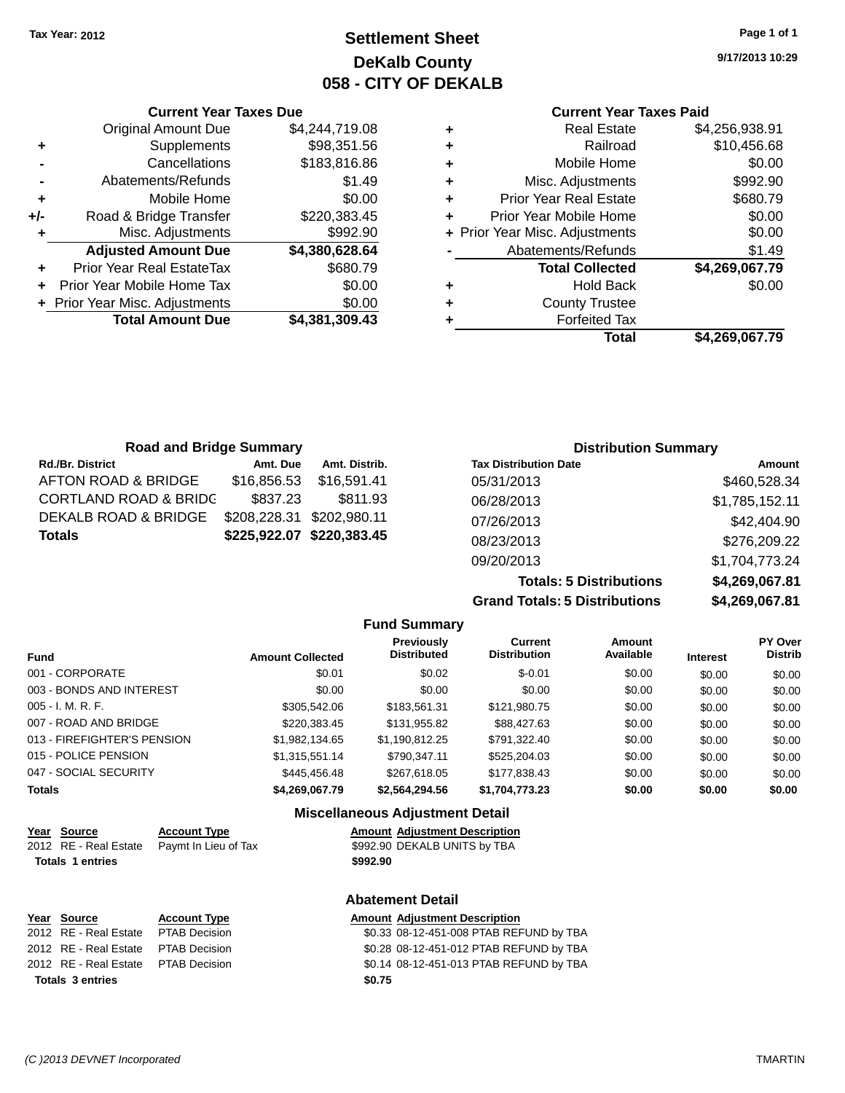# **Settlement Sheet Tax Year: 2012 Page 1 of 1 DeKalb County 058 - CITY OF DEKALB**

**9/17/2013 10:29**

#### **Current Year Taxes Paid**

| <b>Real Estate</b>                 | \$4,256,938.91 |
|------------------------------------|----------------|
| Railroad<br>٠                      | \$10,456.68    |
| Mobile Home<br>٠                   | \$0.00         |
| Misc. Adjustments<br>٠             | \$992.90       |
| <b>Prior Year Real Estate</b><br>٠ | \$680.79       |
| Prior Year Mobile Home             | \$0.00         |
| + Prior Year Misc. Adjustments     | \$0.00         |
| Abatements/Refunds                 | \$1.49         |
| <b>Total Collected</b>             | \$4,269,067.79 |
| Hold Back                          | \$0.00         |
| <b>County Trustee</b>              |                |
| <b>Forfeited Tax</b>               |                |
| Total                              | \$4,269,067.79 |

|     | <b>Current Year Taxes Due</b>  |                |  |  |  |
|-----|--------------------------------|----------------|--|--|--|
|     | <b>Original Amount Due</b>     | \$4,244,719.08 |  |  |  |
| ٠   | Supplements                    | \$98,351.56    |  |  |  |
|     | Cancellations                  | \$183,816.86   |  |  |  |
|     | Abatements/Refunds             | \$1.49         |  |  |  |
| ٠   | Mobile Home                    | \$0.00         |  |  |  |
| +/- | Road & Bridge Transfer         | \$220,383.45   |  |  |  |
| ٠   | Misc. Adjustments              | \$992.90       |  |  |  |
|     | <b>Adjusted Amount Due</b>     | \$4,380,628.64 |  |  |  |
| ٠   | Prior Year Real EstateTax      | \$680.79       |  |  |  |
|     | Prior Year Mobile Home Tax     | \$0.00         |  |  |  |
|     | + Prior Year Misc. Adjustments | \$0.00         |  |  |  |
|     | <b>Total Amount Due</b>        | \$4,381,309.43 |  |  |  |
|     |                                |                |  |  |  |

| <b>Road and Bridge Summary</b> |               |                                                        | <b>Distribution Summary</b> |  |  |
|--------------------------------|---------------|--------------------------------------------------------|-----------------------------|--|--|
| Amt. Due                       | Amt. Distrib. | <b>Tax Distribution Date</b>                           | Amount                      |  |  |
| \$16,856,53                    | \$16.591.41   | 05/31/2013                                             | \$460,528.34                |  |  |
| \$837.23                       | \$811.93      | 06/28/2013                                             | \$1,785,152.11              |  |  |
|                                |               | 07/26/2013                                             | \$42,404.90                 |  |  |
|                                |               | 08/23/2013                                             | \$276,209.22                |  |  |
|                                |               | 09/20/2013                                             | \$1,704,773.24              |  |  |
|                                |               | \$208,228.31 \$202,980.11<br>\$225,922.07 \$220,383.45 |                             |  |  |

**Totals: 5 Distributions \$4,269,067.81 Grand Totals: 5 Distributions** 

| 18.109,007,81  |
|----------------|
| \$4,269,067.81 |
|                |

| <b>Fund Summary</b>         |                         |                                  |                                |                     |                 |                                  |
|-----------------------------|-------------------------|----------------------------------|--------------------------------|---------------------|-----------------|----------------------------------|
| <b>Fund</b>                 | <b>Amount Collected</b> | Previously<br><b>Distributed</b> | Current<br><b>Distribution</b> | Amount<br>Available | <b>Interest</b> | <b>PY Over</b><br><b>Distrib</b> |
| 001 - CORPORATE             | \$0.01                  | \$0.02                           | $$-0.01$                       | \$0.00              | \$0.00          | \$0.00                           |
| 003 - BONDS AND INTEREST    | \$0.00                  | \$0.00                           | \$0.00                         | \$0.00              | \$0.00          | \$0.00                           |
| 005 - I. M. R. F.           | \$305.542.06            | \$183,561.31                     | \$121,980.75                   | \$0.00              | \$0.00          | \$0.00                           |
| 007 - ROAD AND BRIDGE       | \$220.383.45            | \$131.955.82                     | \$88,427.63                    | \$0.00              | \$0.00          | \$0.00                           |
| 013 - FIREFIGHTER'S PENSION | \$1,982,134.65          | \$1,190,812.25                   | \$791,322.40                   | \$0.00              | \$0.00          | \$0.00                           |
| 015 - POLICE PENSION        | \$1,315,551.14          | \$790.347.11                     | \$525,204.03                   | \$0.00              | \$0.00          | \$0.00                           |
| 047 - SOCIAL SECURITY       | \$445,456,48            | \$267.618.05                     | \$177,838.43                   | \$0.00              | \$0.00          | \$0.00                           |
| Totals                      | \$4,269,067.79          | \$2,564,294.56                   | \$1,704,773.23                 | \$0.00              | \$0.00          | \$0.00                           |

#### **Miscellaneous Adjustment Detail**

| Year Source             | <b>Account Type</b>                        |          | <b>Amount Adiustment Description</b> |
|-------------------------|--------------------------------------------|----------|--------------------------------------|
|                         | 2012 RE - Real Estate Pavmt In Lieu of Tax |          | \$992.90 DEKALB UNITS by TBA         |
| <b>Totals 1 entries</b> |                                            | \$992.90 |                                      |

| Year Source             | <b>Account Type</b>                 | <b>Amount Adjustment Description</b> |  |
|-------------------------|-------------------------------------|--------------------------------------|--|
|                         | 2012 RE - Real Estate PTAB Decision | \$0.33 08-12-451-008 PTAB REF        |  |
|                         | 2012 RE - Real Estate PTAB Decision | \$0.28 08-12-451-012 PTAB REF        |  |
|                         | 2012 RE - Real Estate PTAB Decision | \$0.14 08-12-451-013 PTAB REF        |  |
| <b>Totals 3 entries</b> |                                     | \$0.75                               |  |

**Abatement Detail**

\$0.33 08-12-451-008 PTAB REFUND by TBA 2012 RE - Real Estate PTAB Decision \$0.28 08-12-451-012 PTAB REFUND by TBA 2012 RE - Real Estate PTAB Decision \$0.14 08-12-451-013 PTAB REFUND by TBA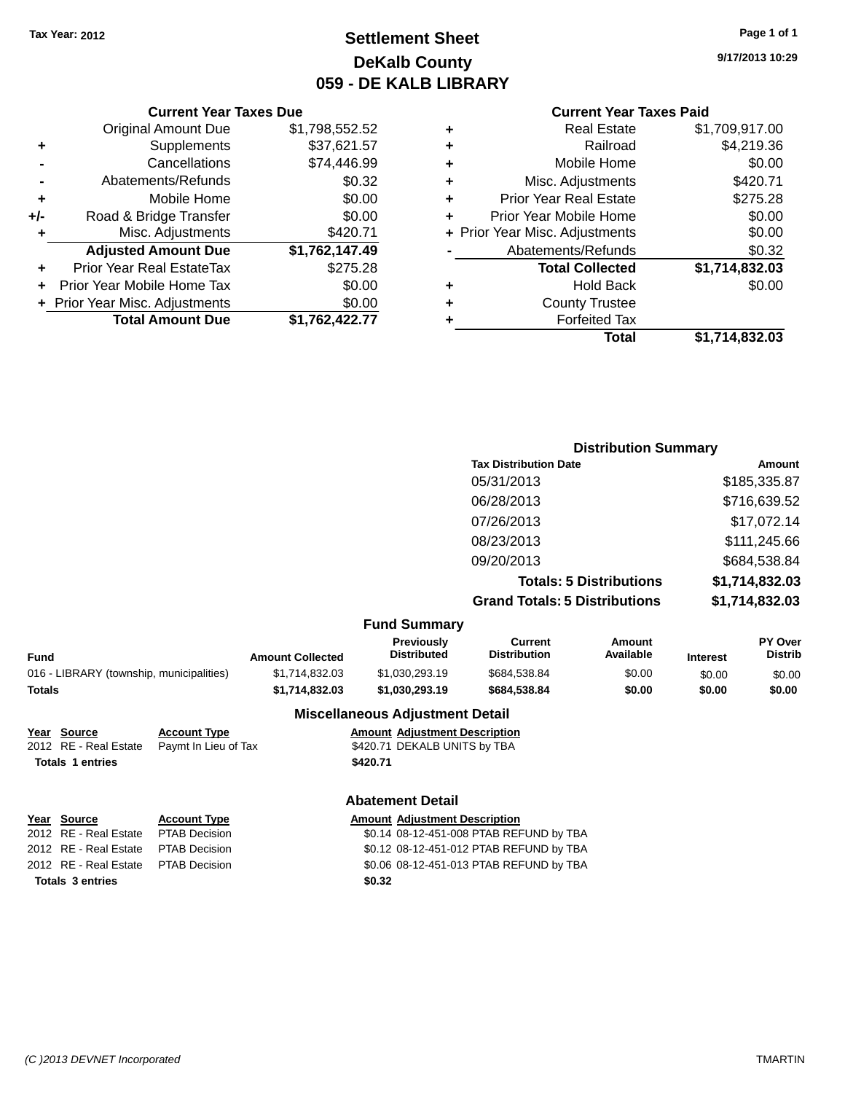# **Settlement Sheet Tax Year: 2012 Page 1 of 1 DeKalb County 059 - DE KALB LIBRARY**

**9/17/2013 10:29**

#### **Current Year Taxes Paid**

|       | <b>Original Amount Due</b>     | \$1,798,552.52 |
|-------|--------------------------------|----------------|
| ٠     | Supplements                    | \$37,621.57    |
|       | Cancellations                  | \$74,446.99    |
|       | Abatements/Refunds             | \$0.32         |
| ÷     | Mobile Home                    | \$0.00         |
| $+/-$ | Road & Bridge Transfer         | \$0.00         |
| ٠     | Misc. Adjustments              | \$420.71       |
|       | <b>Adjusted Amount Due</b>     | \$1,762,147.49 |
| ٠     | Prior Year Real EstateTax      | \$275.28       |
| ٠     | Prior Year Mobile Home Tax     | \$0.00         |
|       | + Prior Year Misc. Adjustments | \$0.00         |
|       | <b>Total Amount Due</b>        | \$1,762,422.77 |
|       |                                |                |

**Current Year Taxes Due**

| ٠ | <b>Real Estate</b>             | \$1,709,917.00 |
|---|--------------------------------|----------------|
| ٠ | Railroad                       | \$4,219.36     |
| ٠ | Mobile Home                    | \$0.00         |
| ٠ | Misc. Adjustments              | \$420.71       |
| ٠ | <b>Prior Year Real Estate</b>  | \$275.28       |
| ÷ | Prior Year Mobile Home         | \$0.00         |
|   | + Prior Year Misc. Adjustments | \$0.00         |
|   | Abatements/Refunds             | \$0.32         |
|   | <b>Total Collected</b>         | \$1,714,832.03 |
| ٠ | <b>Hold Back</b>               | \$0.00         |
| ٠ | <b>County Trustee</b>          |                |
| ٠ | <b>Forfeited Tax</b>           |                |
|   | Total                          | \$1,714,832.03 |

### **Distribution Summary Tax Distribution Date Amount** 05/31/2013 \$185,335.87 06/28/2013 \$716,639.52 07/26/2013 \$17,072.14 08/23/2013 \$111,245.66 09/20/2013 \$684,538.84 **Totals: 5 Distributions \$1,714,832.03 Grand Totals: 5 Distributions \$1,714,832.03**

#### **Fund Summary**

| .                                        |                         |                                  |                                |                     |                 |                                  |
|------------------------------------------|-------------------------|----------------------------------|--------------------------------|---------------------|-----------------|----------------------------------|
| Fund                                     | <b>Amount Collected</b> | Previously<br><b>Distributed</b> | Current<br><b>Distribution</b> | Amount<br>Available | <b>Interest</b> | <b>PY Over</b><br><b>Distrib</b> |
| 016 - LIBRARY (township, municipalities) | \$1.714.832.03          | \$1,030,293,19                   | \$684.538.84                   | \$0.00              | \$0.00          | \$0.00                           |
| Totals                                   | \$1.714.832.03          | \$1.030.293.19                   | \$684.538.84                   | \$0.00              | \$0.00          | \$0.00                           |
|                                          |                         |                                  |                                |                     |                 |                                  |

### **Miscellaneous Adjustment Detail**

| <u>Year Source</u>      | <b>Account Type</b> |                      | <b>Amount Adjustment Description</b> |
|-------------------------|---------------------|----------------------|--------------------------------------|
| 2012 RE - Real Estate   |                     |                      | \$420.71 DEKALB UNITS by TBA         |
| <b>Totals 1 entries</b> |                     | \$420.71             |                                      |
|                         |                     | Pavmt In Lieu of Tax |                                      |

### **Abatement Detail**

| Year Source                         | <b>Account Type</b> |        | <b>Amount Adjustment Description</b>    |
|-------------------------------------|---------------------|--------|-----------------------------------------|
| 2012 RE - Real Estate PTAB Decision |                     |        | \$0.14 08-12-451-008 PTAB REFUND by TBA |
| 2012 RE - Real Estate PTAB Decision |                     |        | \$0.12 08-12-451-012 PTAB REFUND by TBA |
| 2012 RE - Real Estate PTAB Decision |                     |        | \$0.06 08-12-451-013 PTAB REFUND by TBA |
| <b>Totals 3 entries</b>             |                     | \$0.32 |                                         |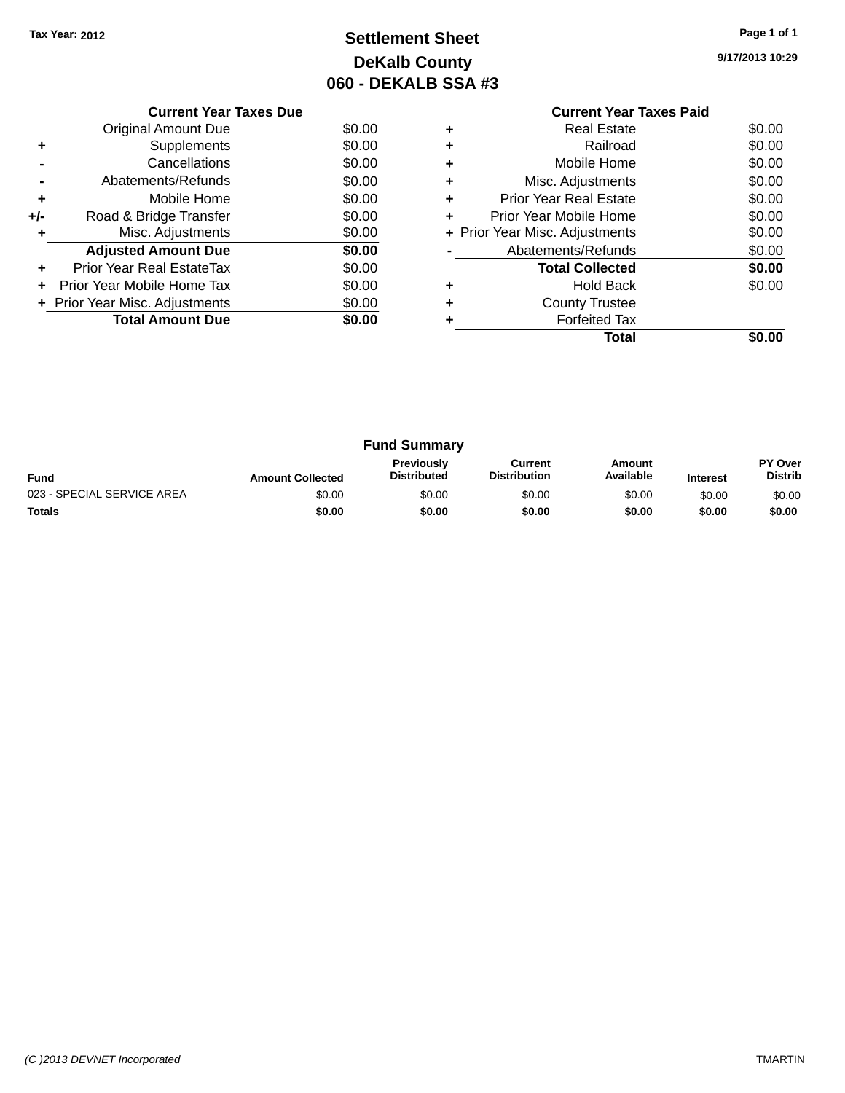# **Settlement Sheet Tax Year: 2012 Page 1 of 1 DeKalb County 060 - DEKALB SSA #3**

**9/17/2013 10:29**

|     | <b>Current Year Taxes Due</b>  |        |
|-----|--------------------------------|--------|
|     | <b>Original Amount Due</b>     | \$0.00 |
|     | Supplements                    | \$0.00 |
|     | Cancellations                  | \$0.00 |
|     | Abatements/Refunds             | \$0.00 |
| ٠   | Mobile Home                    | \$0.00 |
| +/- | Road & Bridge Transfer         | \$0.00 |
|     | Misc. Adjustments              | \$0.00 |
|     | <b>Adjusted Amount Due</b>     | \$0.00 |
|     | Prior Year Real EstateTax      | \$0.00 |
|     | Prior Year Mobile Home Tax     | \$0.00 |
|     | + Prior Year Misc. Adjustments | \$0.00 |
|     | <b>Total Amount Due</b>        | \$0.00 |
|     |                                |        |

### **Current Year Taxes Paid +** Real Estate \$0.00 **+** Railroad \$0.00 **+** Mobile Home \$0.00 **+** Misc. Adjustments \$0.00 **+** Prior Year Real Estate \$0.00 **+** Prior Year Mobile Home \$0.00<br> **+** Prior Year Misc. Adjustments \$0.00 **+ Prior Year Misc. Adjustments -** Abatements/Refunds \$0.00 **Total Collected \$0.00 +** Hold Back \$0.00 **+** County Trustee **+** Forfeited Tax **Total \$0.00**

| <b>Fund Summary</b>        |                         |                                  |                                |                     |                 |                           |
|----------------------------|-------------------------|----------------------------------|--------------------------------|---------------------|-----------------|---------------------------|
| <b>Fund</b>                | <b>Amount Collected</b> | <b>Previously</b><br>Distributed | Current<br><b>Distribution</b> | Amount<br>Available | <b>Interest</b> | PY Over<br><b>Distrib</b> |
| 023 - SPECIAL SERVICE AREA | \$0.00                  | \$0.00                           | \$0.00                         | \$0.00              | \$0.00          | \$0.00                    |
| <b>Totals</b>              | \$0.00                  | \$0.00                           | \$0.00                         | \$0.00              | \$0.00          | \$0.00                    |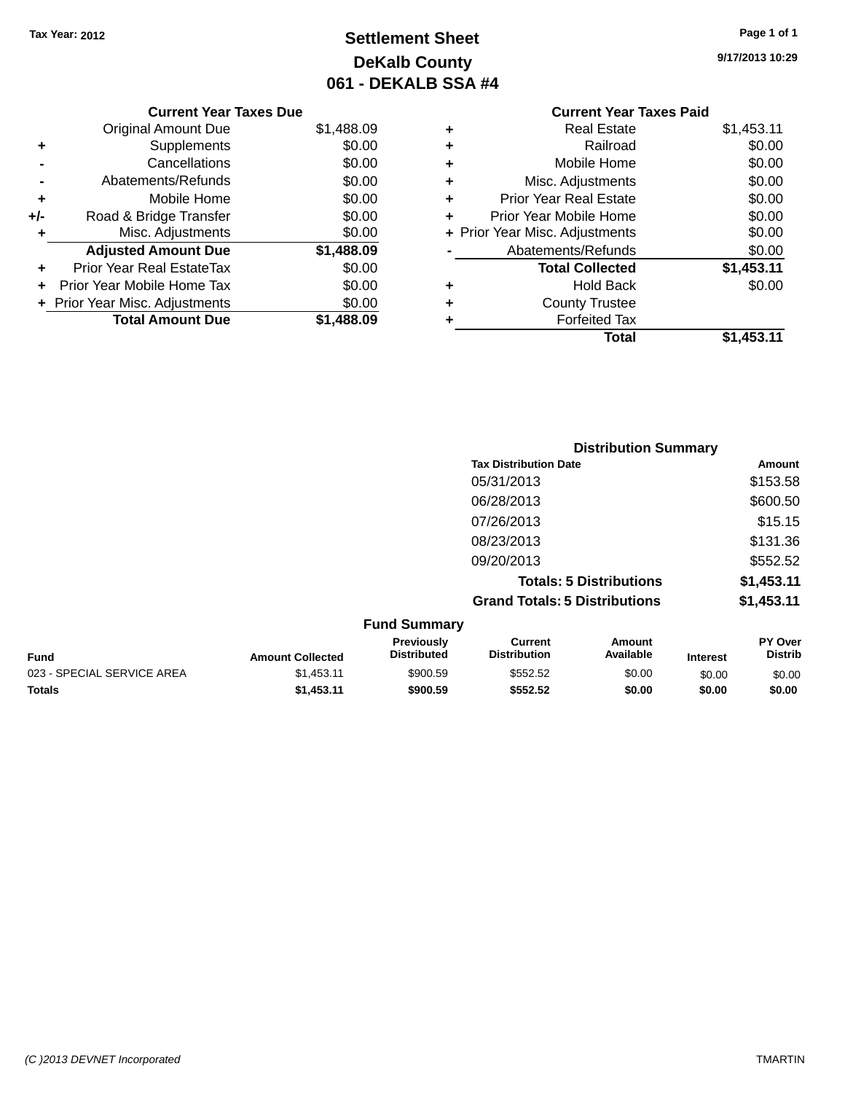# **Settlement Sheet Tax Year: 2012 Page 1 of 1 DeKalb County 061 - DEKALB SSA #4**

**9/17/2013 10:29**

|   | <b>Current Year Taxes Paid</b> |            |
|---|--------------------------------|------------|
| ٠ | <b>Real Estate</b>             | \$1,453.11 |
| ٠ | Railroad                       | \$0.00     |
| ٠ | Mobile Home                    | \$0.00     |
| ٠ | Misc. Adjustments              | \$0.00     |
| ٠ | <b>Prior Year Real Estate</b>  | \$0.00     |
| ٠ | Prior Year Mobile Home         | \$0.00     |
|   | + Prior Year Misc. Adjustments | \$0.00     |
|   | Abatements/Refunds             | \$0.00     |
|   | <b>Total Collected</b>         | \$1,453.11 |
| ٠ | <b>Hold Back</b>               | \$0.00     |
|   | <b>County Trustee</b>          |            |
|   | <b>Forfeited Tax</b>           |            |
|   | Total                          | \$1,453.11 |

|     | <b>Current Year Taxes Due</b>  |            |
|-----|--------------------------------|------------|
|     | <b>Original Amount Due</b>     | \$1,488.09 |
| ٠   | Supplements                    | \$0.00     |
|     | Cancellations                  | \$0.00     |
|     | Abatements/Refunds             | \$0.00     |
| ٠   | Mobile Home                    | \$0.00     |
| +/- | Road & Bridge Transfer         | \$0.00     |
| ٠   | Misc. Adjustments              | \$0.00     |
|     | <b>Adjusted Amount Due</b>     | \$1,488.09 |
|     | Prior Year Real EstateTax      | \$0.00     |
|     | Prior Year Mobile Home Tax     | \$0.00     |
|     | + Prior Year Misc. Adjustments | \$0.00     |
|     | <b>Total Amount Due</b>        | \$1,488.09 |
|     |                                |            |

|                     | <b>Distribution Summary</b>          |            |
|---------------------|--------------------------------------|------------|
|                     | <b>Tax Distribution Date</b>         | Amount     |
|                     | 05/31/2013                           | \$153.58   |
|                     | 06/28/2013                           | \$600.50   |
|                     | 07/26/2013                           | \$15.15    |
|                     | 08/23/2013                           | \$131.36   |
|                     | 09/20/2013                           | \$552.52   |
|                     | <b>Totals: 5 Distributions</b>       | \$1,453.11 |
|                     | <b>Grand Totals: 5 Distributions</b> | \$1,453.11 |
| <b>Fund Summary</b> |                                      |            |

| <b>Fund</b>                | <b>Amount Collected</b> | <b>Previously</b><br><b>Distributed</b> | Current<br><b>Distribution</b> | Amount<br>Available | <b>Interest</b> | <b>PY Over</b><br><b>Distrib</b> |
|----------------------------|-------------------------|-----------------------------------------|--------------------------------|---------------------|-----------------|----------------------------------|
| 023 - SPECIAL SERVICE AREA | \$1.453.11              | \$900.59                                | \$552.52                       | \$0.00              | \$0.00          | \$0.00                           |
| <b>Totals</b>              | \$1.453.11              | \$900.59                                | \$552.52                       | \$0.00              | \$0.00          | \$0.00                           |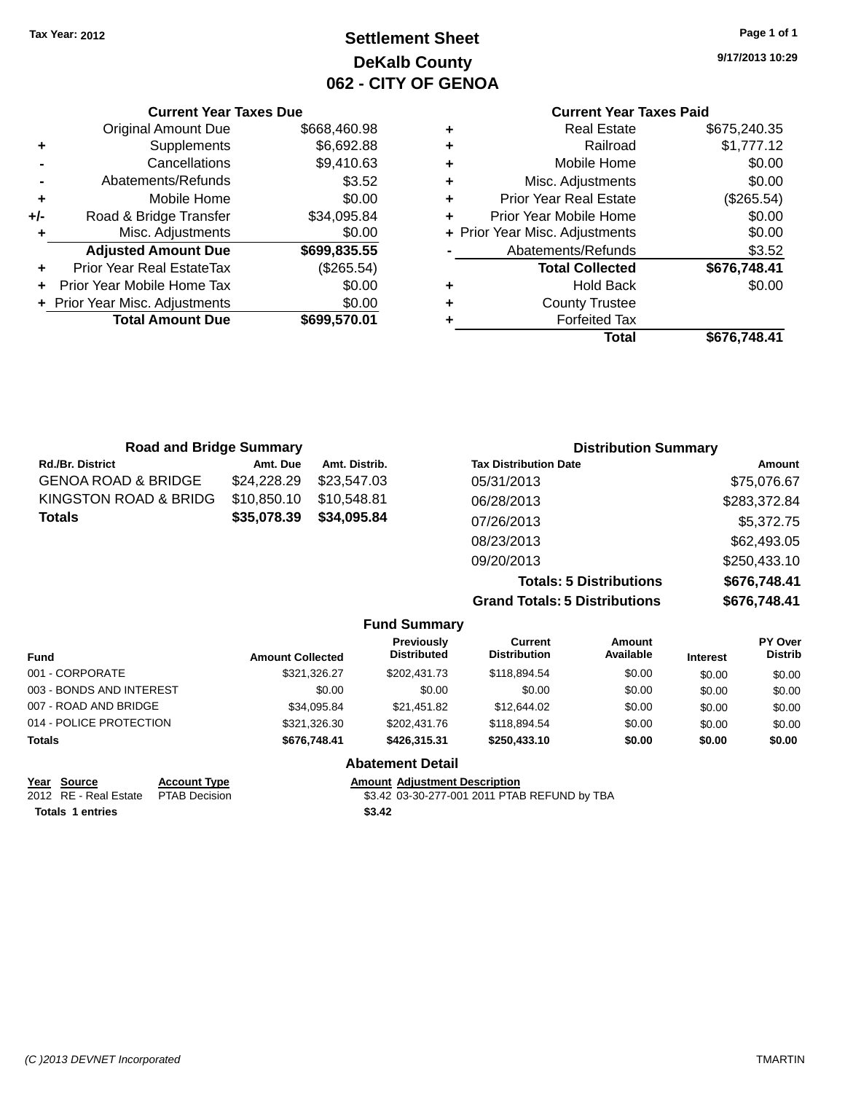# **Settlement Sheet Tax Year: 2012 Page 1 of 1 DeKalb County 062 - CITY OF GENOA**

**9/17/2013 10:29**

### **Current Year Taxes Paid**

|   | <b>Real Estate</b>             | \$675,240.35 |
|---|--------------------------------|--------------|
| ٠ | Railroad                       | \$1,777.12   |
| ٠ | Mobile Home                    | \$0.00       |
| ٠ | Misc. Adjustments              | \$0.00       |
| ٠ | Prior Year Real Estate         | (\$265.54)   |
| ٠ | Prior Year Mobile Home         | \$0.00       |
|   | + Prior Year Misc. Adjustments | \$0.00       |
|   | Abatements/Refunds             | \$3.52       |
|   | <b>Total Collected</b>         | \$676,748.41 |
| ٠ | <b>Hold Back</b>               | \$0.00       |
| ٠ | <b>County Trustee</b>          |              |
|   | <b>Forfeited Tax</b>           |              |
|   | Total                          | \$676,748.41 |

|     | <b>Current Year Taxes Due</b>    |              |  |  |
|-----|----------------------------------|--------------|--|--|
|     | <b>Original Amount Due</b>       | \$668,460.98 |  |  |
| ٠   | Supplements                      | \$6,692.88   |  |  |
|     | Cancellations                    | \$9,410.63   |  |  |
|     | Abatements/Refunds               | \$3.52       |  |  |
| ٠   | Mobile Home                      | \$0.00       |  |  |
| +/- | Road & Bridge Transfer           | \$34,095.84  |  |  |
| ٠   | \$0.00<br>Misc. Adjustments      |              |  |  |
|     | <b>Adjusted Amount Due</b>       | \$699,835.55 |  |  |
|     | <b>Prior Year Real EstateTax</b> | (\$265.54)   |  |  |
|     | Prior Year Mobile Home Tax       | \$0.00       |  |  |
|     | + Prior Year Misc. Adjustments   | \$0.00       |  |  |
|     | <b>Total Amount Due</b>          | \$699,570.01 |  |  |

| <b>Road and Bridge Summary</b> |             |               | <b>Distribution Summary</b>    |              |  |
|--------------------------------|-------------|---------------|--------------------------------|--------------|--|
| Rd./Br. District               | Amt. Due    | Amt. Distrib. | <b>Tax Distribution Date</b>   | Amount       |  |
| GENOA ROAD & BRIDGE            | \$24,228,29 | \$23,547.03   | 05/31/2013                     | \$75,076.67  |  |
| KINGSTON ROAD & BRIDG          | \$10,850.10 | \$10.548.81   | 06/28/2013                     | \$283,372.84 |  |
| Totals                         | \$35,078.39 | \$34,095.84   | 07/26/2013                     | \$5,372.75   |  |
|                                |             |               | 08/23/2013                     | \$62,493.05  |  |
|                                |             |               | 09/20/2013                     | \$250,433.10 |  |
|                                |             |               | <b>Totals: 5 Distributions</b> | \$676,748.41 |  |

**Grand Totals: 5 Distributions** 

| ŝ | \$676,748.41 |  |  |
|---|--------------|--|--|
|   |              |  |  |

|                          |                         | <b>Fund Summary</b>              |                                |                     |                 |                           |
|--------------------------|-------------------------|----------------------------------|--------------------------------|---------------------|-----------------|---------------------------|
| <b>Fund</b>              | <b>Amount Collected</b> | Previously<br><b>Distributed</b> | Current<br><b>Distribution</b> | Amount<br>Available | <b>Interest</b> | PY Over<br><b>Distrib</b> |
| 001 - CORPORATE          | \$321,326.27            | \$202.431.73                     | \$118,894.54                   | \$0.00              | \$0.00          | \$0.00                    |
| 003 - BONDS AND INTEREST | \$0.00                  | \$0.00                           | \$0.00                         | \$0.00              | \$0.00          | \$0.00                    |
| 007 - ROAD AND BRIDGE    | \$34,095.84             | \$21,451.82                      | \$12,644.02                    | \$0.00              | \$0.00          | \$0.00                    |
| 014 - POLICE PROTECTION  | \$321,326.30            | \$202,431.76                     | \$118,894.54                   | \$0.00              | \$0.00          | \$0.00                    |
| <b>Totals</b>            | \$676,748.41            | \$426,315,31                     | \$250,433.10                   | \$0.00              | \$0.00          | \$0.00                    |
|                          |                         | <b>Abatement Detail</b>          |                                |                     |                 |                           |

| Year Source                         | <b>Account Type</b> | Amount |
|-------------------------------------|---------------------|--------|
| 2012 RE - Real Estate PTAB Decision |                     | \$3.42 |
| <b>Totals 1 entries</b>             |                     | \$3.42 |

**Amount Adjustment Description** 

\$3.42 03-30-277-001 2011 PTAB REFUND by TBA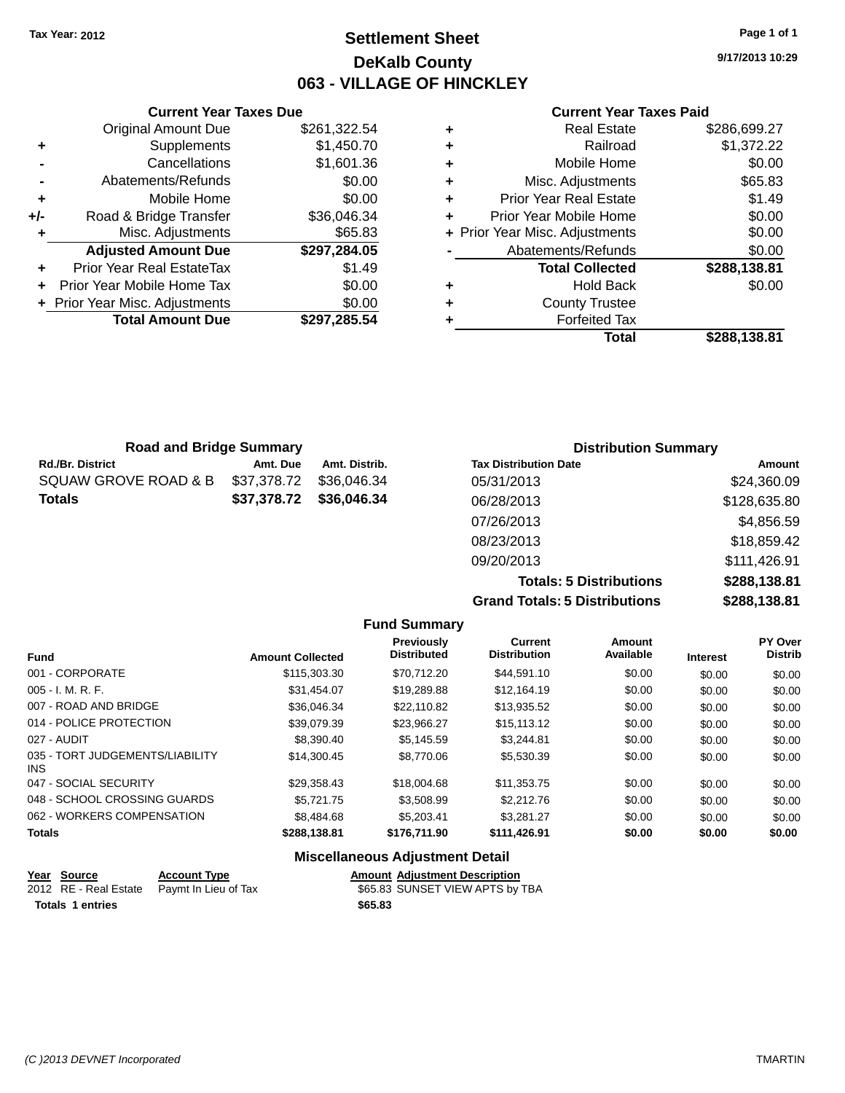# **Settlement Sheet Tax Year: 2012 Page 1 of 1 DeKalb County 063 - VILLAGE OF HINCKLEY**

**9/17/2013 10:29**

#### **Current Year Taxes Paid**

|     | <b>Current Year Taxes Due</b>  |              |
|-----|--------------------------------|--------------|
|     | <b>Original Amount Due</b>     | \$261,322.54 |
| ٠   | Supplements                    | \$1,450.70   |
|     | Cancellations                  | \$1,601.36   |
|     | Abatements/Refunds             | \$0.00       |
| ٠   | Mobile Home                    | \$0.00       |
| +/- | Road & Bridge Transfer         | \$36,046.34  |
| ٠   | Misc. Adjustments              | \$65.83      |
|     | <b>Adjusted Amount Due</b>     | \$297,284.05 |
|     | Prior Year Real EstateTax      | \$1.49       |
|     | Prior Year Mobile Home Tax     | \$0.00       |
|     | + Prior Year Misc. Adjustments | \$0.00       |
|     | <b>Total Amount Due</b>        | \$297.285.54 |
|     |                                |              |

| ٠ | <b>Real Estate</b>             | \$286,699.27 |
|---|--------------------------------|--------------|
| ٠ | Railroad                       | \$1,372.22   |
| ٠ | Mobile Home                    | \$0.00       |
| ٠ | Misc. Adjustments              | \$65.83      |
| ٠ | <b>Prior Year Real Estate</b>  | \$1.49       |
| ÷ | Prior Year Mobile Home         | \$0.00       |
|   | + Prior Year Misc. Adjustments | \$0.00       |
|   | Abatements/Refunds             | \$0.00       |
|   | <b>Total Collected</b>         | \$288,138.81 |
| ٠ | <b>Hold Back</b>               | \$0.00       |
| ٠ | <b>County Trustee</b>          |              |
|   | <b>Forfeited Tax</b>           |              |
|   | Total                          | \$288,138.81 |
|   |                                |              |

| <b>Road and Bridge Summary</b> |             |               | <b>Distribution Summary</b>  |              |  |
|--------------------------------|-------------|---------------|------------------------------|--------------|--|
| Rd./Br. District               | Amt. Due    | Amt. Distrib. | <b>Tax Distribution Date</b> | Amount       |  |
| SQUAW GROVE ROAD & B           | \$37,378.72 | \$36,046,34   | 05/31/2013                   | \$24,360.09  |  |
| Totals                         | \$37,378.72 | \$36,046.34   | 06/28/2013                   | \$128,635.80 |  |
|                                |             |               | 07/26/2013                   | \$4,856.59   |  |
|                                |             |               | 08/23/2013                   | \$18,859.42  |  |
|                                |             |               | 09/20/2013                   | \$111,426.91 |  |

**Totals: 5 Distributions \$288,138.81 Grand Totals: 5 Distributions \$288,138.81**

|                                         |                         | <b>Fund Summary</b>                     |                                |                     |                 |                           |
|-----------------------------------------|-------------------------|-----------------------------------------|--------------------------------|---------------------|-----------------|---------------------------|
| <b>Fund</b>                             | <b>Amount Collected</b> | <b>Previously</b><br><b>Distributed</b> | Current<br><b>Distribution</b> | Amount<br>Available | <b>Interest</b> | PY Over<br><b>Distrib</b> |
| 001 - CORPORATE                         | \$115,303,30            | \$70.712.20                             | \$44.591.10                    | \$0.00              | \$0.00          | \$0.00                    |
| $005 - I. M. R. F.$                     | \$31.454.07             | \$19,289.88                             | \$12,164.19                    | \$0.00              | \$0.00          | \$0.00                    |
| 007 - ROAD AND BRIDGE                   | \$36,046.34             | \$22,110.82                             | \$13,935.52                    | \$0.00              | \$0.00          | \$0.00                    |
| 014 - POLICE PROTECTION                 | \$39.079.39             | \$23.966.27                             | \$15,113,12                    | \$0.00              | \$0.00          | \$0.00                    |
| 027 - AUDIT                             | \$8,390.40              | \$5.145.59                              | \$3.244.81                     | \$0.00              | \$0.00          | \$0.00                    |
| 035 - TORT JUDGEMENTS/LIABILITY<br>INS. | \$14,300.45             | \$8,770.06                              | \$5,530.39                     | \$0.00              | \$0.00          | \$0.00                    |
| 047 - SOCIAL SECURITY                   | \$29,358.43             | \$18,004.68                             | \$11,353.75                    | \$0.00              | \$0.00          | \$0.00                    |
| 048 - SCHOOL CROSSING GUARDS            | \$5.721.75              | \$3.508.99                              | \$2,212.76                     | \$0.00              | \$0.00          | \$0.00                    |
| 062 - WORKERS COMPENSATION              | \$8,484.68              | \$5,203,41                              | \$3.281.27                     | \$0.00              | \$0.00          | \$0.00                    |
| <b>Totals</b>                           | \$288,138.81            | \$176,711.90                            | \$111,426.91                   | \$0.00              | \$0.00          | \$0.00                    |

### **Miscellaneous Adjustment Detail**

| Year Source             | <b>Account Type</b>                        |         | <b>Amount Adiustment Description</b> |
|-------------------------|--------------------------------------------|---------|--------------------------------------|
|                         | 2012 RE - Real Estate Paymt In Lieu of Tax |         | \$65.83 SUNSET VIEW APTS by TBA      |
| <b>Totals 1 entries</b> |                                            | \$65.83 |                                      |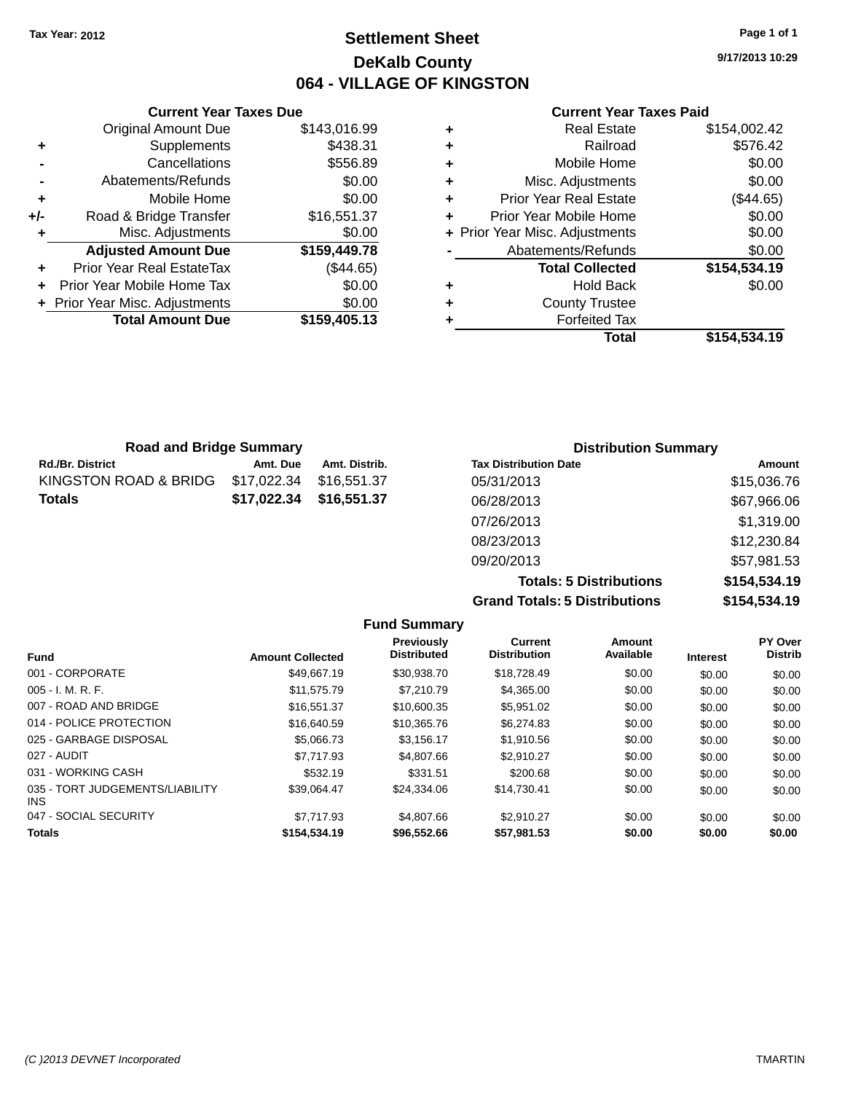### **Settlement Sheet Tax Year: 2012 Page 1 of 1 DeKalb County 064 - VILLAGE OF KINGSTON**

**9/17/2013 10:29**

#### **Current Year Taxes Paid**

|     | <b>Current Year Taxes Due</b>  |              |  |
|-----|--------------------------------|--------------|--|
|     | <b>Original Amount Due</b>     | \$143,016.99 |  |
| ٠   | Supplements                    | \$438.31     |  |
|     | Cancellations                  | \$556.89     |  |
|     | Abatements/Refunds             | \$0.00       |  |
| ٠   | Mobile Home                    | \$0.00       |  |
| +/- | Road & Bridge Transfer         | \$16,551.37  |  |
| ٠   | Misc. Adjustments              | \$0.00       |  |
|     | <b>Adjusted Amount Due</b>     | \$159,449.78 |  |
| ٠   | Prior Year Real EstateTax      | (\$44.65)    |  |
|     | Prior Year Mobile Home Tax     | \$0.00       |  |
|     | + Prior Year Misc. Adjustments | \$0.00       |  |
|     | <b>Total Amount Due</b>        | \$159,405.13 |  |
|     |                                |              |  |

| <b>Real Estate</b>             | \$154,002.42 |
|--------------------------------|--------------|
| Railroad                       | \$576.42     |
| Mobile Home                    | \$0.00       |
| Misc. Adjustments              | \$0.00       |
| <b>Prior Year Real Estate</b>  | (\$44.65)    |
| Prior Year Mobile Home         | \$0.00       |
| + Prior Year Misc. Adjustments | \$0.00       |
| Abatements/Refunds             | \$0.00       |
| <b>Total Collected</b>         | \$154,534.19 |
| <b>Hold Back</b>               | \$0.00       |
| <b>County Trustee</b>          |              |
| <b>Forfeited Tax</b>           |              |
| Total                          | \$154,534.19 |
|                                |              |

| <b>Road and Bridge Summary</b> |             |               | <b>Distribution Summary</b>  |             |  |
|--------------------------------|-------------|---------------|------------------------------|-------------|--|
| Rd./Br. District               | Amt. Due    | Amt. Distrib. | <b>Tax Distribution Date</b> | Amount      |  |
| KINGSTON ROAD & BRIDG          | \$17,022.34 | \$16.551.37   | 05/31/2013                   | \$15,036.76 |  |
| Totals                         | \$17,022.34 | \$16,551.37   | 06/28/2013                   | \$67,966.06 |  |
|                                |             |               | 07/26/2013                   | \$1,319.00  |  |
|                                |             |               | 08/23/2013                   | \$12,230.84 |  |
|                                |             |               | 09/20/2013                   | \$57,981.53 |  |

**Totals: 5 Distributions \$154,534.19 Grand Totals: 5 Distributions \$154,534.19**

|                                         |                         | <b>Fund Summary</b>              |                                |                     |                 |                           |
|-----------------------------------------|-------------------------|----------------------------------|--------------------------------|---------------------|-----------------|---------------------------|
| <b>Fund</b>                             | <b>Amount Collected</b> | Previously<br><b>Distributed</b> | Current<br><b>Distribution</b> | Amount<br>Available | <b>Interest</b> | PY Over<br><b>Distrib</b> |
| 001 - CORPORATE                         | \$49.667.19             | \$30,938.70                      | \$18,728.49                    | \$0.00              | \$0.00          | \$0.00                    |
| $005 - I. M. R. F.$                     | \$11,575.79             | \$7,210.79                       | \$4,365.00                     | \$0.00              | \$0.00          | \$0.00                    |
| 007 - ROAD AND BRIDGE                   | \$16,551,37             | \$10,600.35                      | \$5,951.02                     | \$0.00              | \$0.00          | \$0.00                    |
| 014 - POLICE PROTECTION                 | \$16,640.59             | \$10,365.76                      | \$6,274.83                     | \$0.00              | \$0.00          | \$0.00                    |
| 025 - GARBAGE DISPOSAL                  | \$5,066,73              | \$3,156.17                       | \$1,910.56                     | \$0.00              | \$0.00          | \$0.00                    |
| 027 - AUDIT                             | \$7.717.93              | \$4,807.66                       | \$2.910.27                     | \$0.00              | \$0.00          | \$0.00                    |
| 031 - WORKING CASH                      | \$532.19                | \$331.51                         | \$200.68                       | \$0.00              | \$0.00          | \$0.00                    |
| 035 - TORT JUDGEMENTS/LIABILITY<br>INS. | \$39.064.47             | \$24,334.06                      | \$14,730.41                    | \$0.00              | \$0.00          | \$0.00                    |
| 047 - SOCIAL SECURITY                   | \$7.717.93              | \$4,807.66                       | \$2.910.27                     | \$0.00              | \$0.00          | \$0.00                    |
| <b>Totals</b>                           | \$154,534.19            | \$96,552.66                      | \$57,981.53                    | \$0.00              | \$0.00          | \$0.00                    |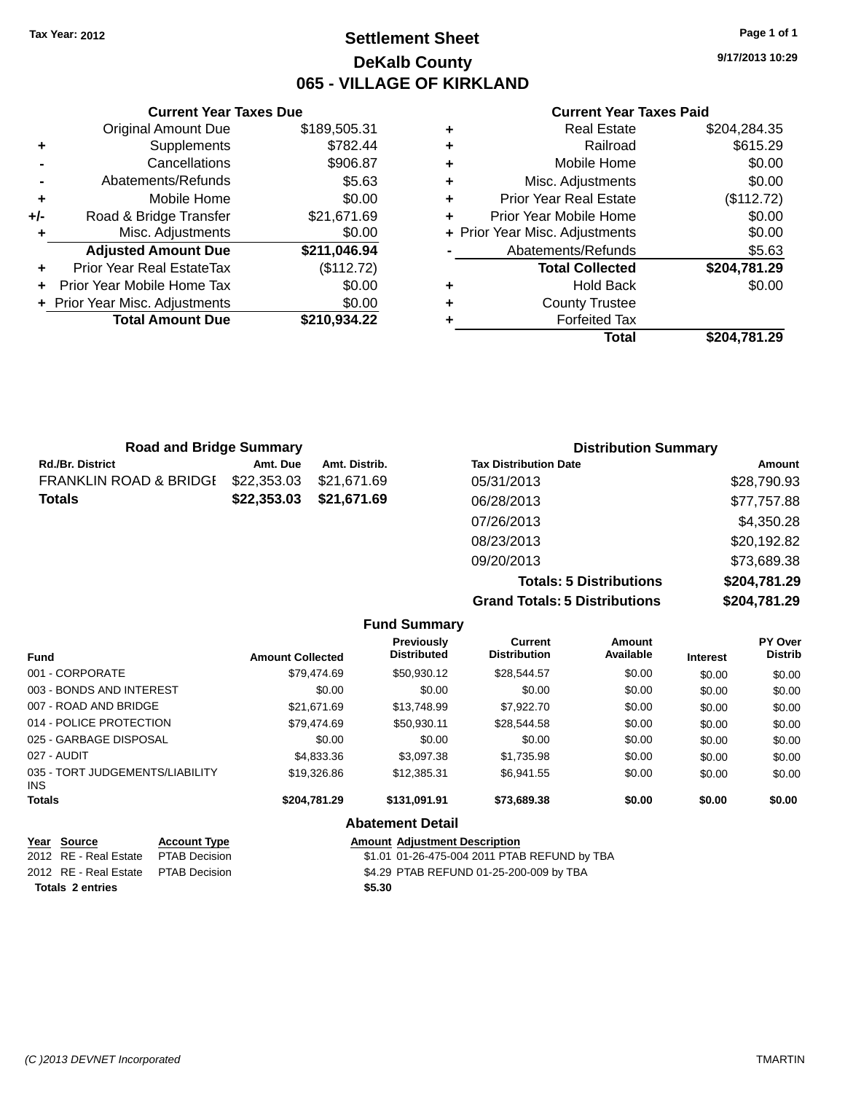### **Settlement Sheet Tax Year: 2012 Page 1 of 1 DeKalb County 065 - VILLAGE OF KIRKLAND**

**9/17/2013 10:29**

#### **Current Year Taxes Paid**

|     | <b>Current Year Taxes Due</b>    |              |  |
|-----|----------------------------------|--------------|--|
|     | <b>Original Amount Due</b>       | \$189,505.31 |  |
| ٠   | Supplements                      | \$782.44     |  |
|     | Cancellations                    | \$906.87     |  |
|     | Abatements/Refunds               | \$5.63       |  |
| ٠   | Mobile Home                      | \$0.00       |  |
| +/- | Road & Bridge Transfer           | \$21,671.69  |  |
| ٠   | Misc. Adjustments                | \$0.00       |  |
|     | <b>Adjusted Amount Due</b>       | \$211,046.94 |  |
| ٠   | <b>Prior Year Real EstateTax</b> | (\$112.72)   |  |
|     | Prior Year Mobile Home Tax       | \$0.00       |  |
|     | + Prior Year Misc. Adjustments   | \$0.00       |  |
|     | <b>Total Amount Due</b>          | \$210,934.22 |  |
|     |                                  |              |  |

|   | Total                          | \$204,781.29 |
|---|--------------------------------|--------------|
| ٠ | <b>Forfeited Tax</b>           |              |
| ٠ | <b>County Trustee</b>          |              |
| ٠ | <b>Hold Back</b>               | \$0.00       |
|   | <b>Total Collected</b>         | \$204,781.29 |
|   | Abatements/Refunds             | \$5.63       |
|   | + Prior Year Misc. Adjustments | \$0.00       |
| ٠ | Prior Year Mobile Home         | \$0.00       |
| ٠ | Prior Year Real Estate         | (\$112.72)   |
| ٠ | Misc. Adjustments              | \$0.00       |
| ٠ | Mobile Home                    | \$0.00       |
| ٠ | Railroad                       | \$615.29     |
| ٠ | <b>Real Estate</b>             | \$204,284.35 |

| <b>Road and Bridge Summary</b> |             |               | <b>Distribution Summary</b>  |             |  |
|--------------------------------|-------------|---------------|------------------------------|-------------|--|
| Rd./Br. District               | Amt. Due    | Amt. Distrib. | <b>Tax Distribution Date</b> | Amount      |  |
| FRANKLIN ROAD & BRIDGI         | \$22,353.03 | \$21.671.69   | 05/31/2013                   | \$28,790.93 |  |
| Totals                         | \$22,353.03 | \$21,671.69   | 06/28/2013                   | \$77,757.88 |  |
|                                |             |               | 07/26/2013                   | \$4,350.28  |  |
|                                |             |               | 08/23/2013                   | \$20,192.82 |  |
|                                |             |               | 09/20/2013                   | \$73,689.38 |  |
|                                |             |               |                              | .           |  |

**Totals: 5 Distributions \$204,781.29 Grand Totals: 5 Distributions \$204,781.29**

|               |                                 |                      |                         | <b>Fund Summary</b>                          |                                       |                            |                 |                           |  |
|---------------|---------------------------------|----------------------|-------------------------|----------------------------------------------|---------------------------------------|----------------------------|-----------------|---------------------------|--|
| <b>Fund</b>   |                                 |                      | <b>Amount Collected</b> | <b>Previously</b><br><b>Distributed</b>      | <b>Current</b><br><b>Distribution</b> | <b>Amount</b><br>Available | <b>Interest</b> | PY Over<br><b>Distrib</b> |  |
|               | 001 - CORPORATE                 |                      | \$79,474.69             | \$50,930.12                                  | \$28,544.57                           | \$0.00                     | \$0.00          | \$0.00                    |  |
|               | 003 - BONDS AND INTEREST        |                      | \$0.00                  | \$0.00                                       | \$0.00                                | \$0.00                     | \$0.00          | \$0.00                    |  |
|               | 007 - ROAD AND BRIDGE           |                      | \$21,671.69             | \$13,748.99                                  | \$7,922.70                            | \$0.00                     | \$0.00          | \$0.00                    |  |
|               | 014 - POLICE PROTECTION         |                      | \$79,474.69             | \$50,930.11                                  | \$28,544.58                           | \$0.00                     | \$0.00          | \$0.00                    |  |
|               | 025 - GARBAGE DISPOSAL          |                      | \$0.00                  | \$0.00                                       | \$0.00                                | \$0.00                     | \$0.00          | \$0.00                    |  |
|               | 027 - AUDIT                     |                      | \$4,833.36              | \$3,097.38                                   | \$1,735.98                            | \$0.00                     | \$0.00          | \$0.00                    |  |
| INS.          | 035 - TORT JUDGEMENTS/LIABILITY |                      | \$19,326.86             | \$12,385.31                                  | \$6.941.55                            | \$0.00                     | \$0.00          | \$0.00                    |  |
| <b>Totals</b> |                                 |                      | \$204,781.29            | \$131,091.91                                 | \$73,689.38                           | \$0.00                     | \$0.00          | \$0.00                    |  |
|               |                                 |                      |                         | <b>Abatement Detail</b>                      |                                       |                            |                 |                           |  |
|               | Year Source                     | <b>Account Type</b>  |                         | <b>Amount Adjustment Description</b>         |                                       |                            |                 |                           |  |
| 2012          | <b>RE</b> - Real Estate         | <b>PTAB Decision</b> |                         | \$1.01 01-26-475-004 2011 PTAB REFUND by TBA |                                       |                            |                 |                           |  |
|               | 2012 RE - Real Estate           | <b>PTAB Decision</b> |                         | \$4.29 PTAB REFUND 01-25-200-009 by TBA      |                                       |                            |                 |                           |  |

**Totals 2 entries \$5.30**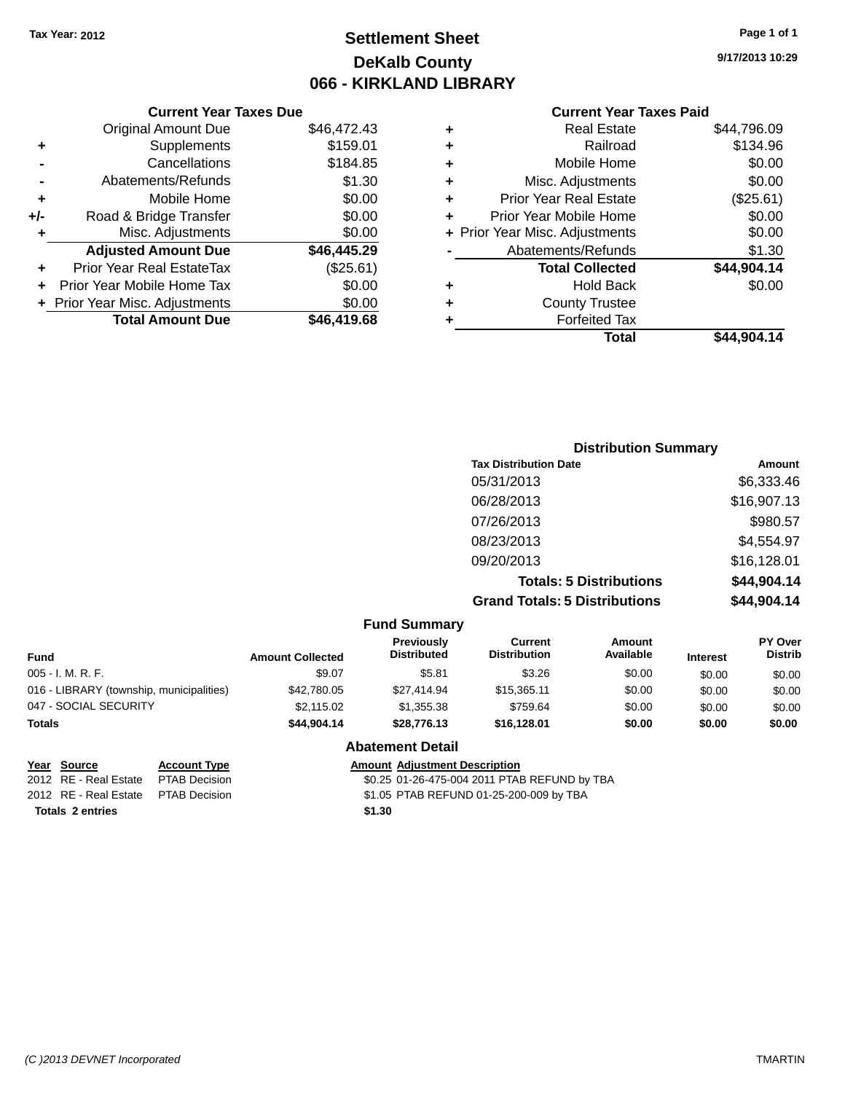# **Settlement Sheet Tax Year: 2012 Page 1 of 1 DeKalb County 066 - KIRKLAND LIBRARY**

**9/17/2013 10:29**

### **Current Year Taxes Paid**

|     | <b>Current Year Taxes Due</b>  |             |
|-----|--------------------------------|-------------|
|     | <b>Original Amount Due</b>     | \$46,472.43 |
| ٠   | Supplements                    | \$159.01    |
|     | Cancellations                  | \$184.85    |
|     | Abatements/Refunds             | \$1.30      |
| ٠   | Mobile Home                    | \$0.00      |
| +/- | Road & Bridge Transfer         | \$0.00      |
| ٠   | Misc. Adjustments              | \$0.00      |
|     | <b>Adjusted Amount Due</b>     | \$46,445.29 |
| ٠   | Prior Year Real EstateTax      | (\$25.61)   |
|     | Prior Year Mobile Home Tax     | \$0.00      |
|     | + Prior Year Misc. Adjustments | \$0.00      |
|     | <b>Total Amount Due</b>        | \$46,419.68 |
|     |                                |             |

| ٠ | <b>Real Estate</b>             | \$44,796.09 |
|---|--------------------------------|-------------|
| ٠ | Railroad                       | \$134.96    |
| ٠ | Mobile Home                    | \$0.00      |
| ٠ | Misc. Adjustments              | \$0.00      |
| ٠ | <b>Prior Year Real Estate</b>  | (\$25.61)   |
| ÷ | Prior Year Mobile Home         | \$0.00      |
|   | + Prior Year Misc. Adjustments | \$0.00      |
|   | Abatements/Refunds             | \$1.30      |
|   | <b>Total Collected</b>         | \$44,904.14 |
| ٠ | Hold Back                      | \$0.00      |
| ٠ | <b>County Trustee</b>          |             |
| ٠ | <b>Forfeited Tax</b>           |             |
|   | Total                          | \$44,904.14 |
|   |                                |             |

| <b>Distribution Summary</b>          |             |
|--------------------------------------|-------------|
| <b>Tax Distribution Date</b>         | Amount      |
| 05/31/2013                           | \$6,333.46  |
| 06/28/2013                           | \$16,907.13 |
| 07/26/2013                           | \$980.57    |
| 08/23/2013                           | \$4,554.97  |
| 09/20/2013                           | \$16,128.01 |
| <b>Totals: 5 Distributions</b>       | \$44,904.14 |
| <b>Grand Totals: 5 Distributions</b> | \$44,904.14 |

|                                          | <b>Fund Summary</b>     |                                         |                                |                            |                 |                                  |
|------------------------------------------|-------------------------|-----------------------------------------|--------------------------------|----------------------------|-----------------|----------------------------------|
| <b>Fund</b>                              | <b>Amount Collected</b> | <b>Previously</b><br><b>Distributed</b> | Current<br><b>Distribution</b> | <b>Amount</b><br>Available | <b>Interest</b> | <b>PY Over</b><br><b>Distrib</b> |
| $005 - I. M. R. F.$                      | \$9.07                  | \$5.81                                  | \$3.26                         | \$0.00                     | \$0.00          | \$0.00                           |
| 016 - LIBRARY (township, municipalities) | \$42,780.05             | \$27.414.94                             | \$15,365.11                    | \$0.00                     | \$0.00          | \$0.00                           |
| 047 - SOCIAL SECURITY                    | \$2.115.02              | \$1,355.38                              | \$759.64                       | \$0.00                     | \$0.00          | \$0.00                           |
| <b>Totals</b>                            | \$44,904,14             | \$28,776.13                             | \$16,128,01                    | \$0.00                     | \$0.00          | \$0.00                           |

#### **Abatement Detail**

| Year Source                         | <b>Account Type</b> |        | <b>Amount Adjustment Description</b>         |
|-------------------------------------|---------------------|--------|----------------------------------------------|
| 2012 RE - Real Estate               | PTAB Decision       |        | \$0.25 01-26-475-004 2011 PTAB REFUND by TBA |
| 2012 RE - Real Estate PTAB Decision |                     |        | \$1.05 PTAB REFUND 01-25-200-009 by TBA      |
| <b>Totals 2 entries</b>             |                     | \$1.30 |                                              |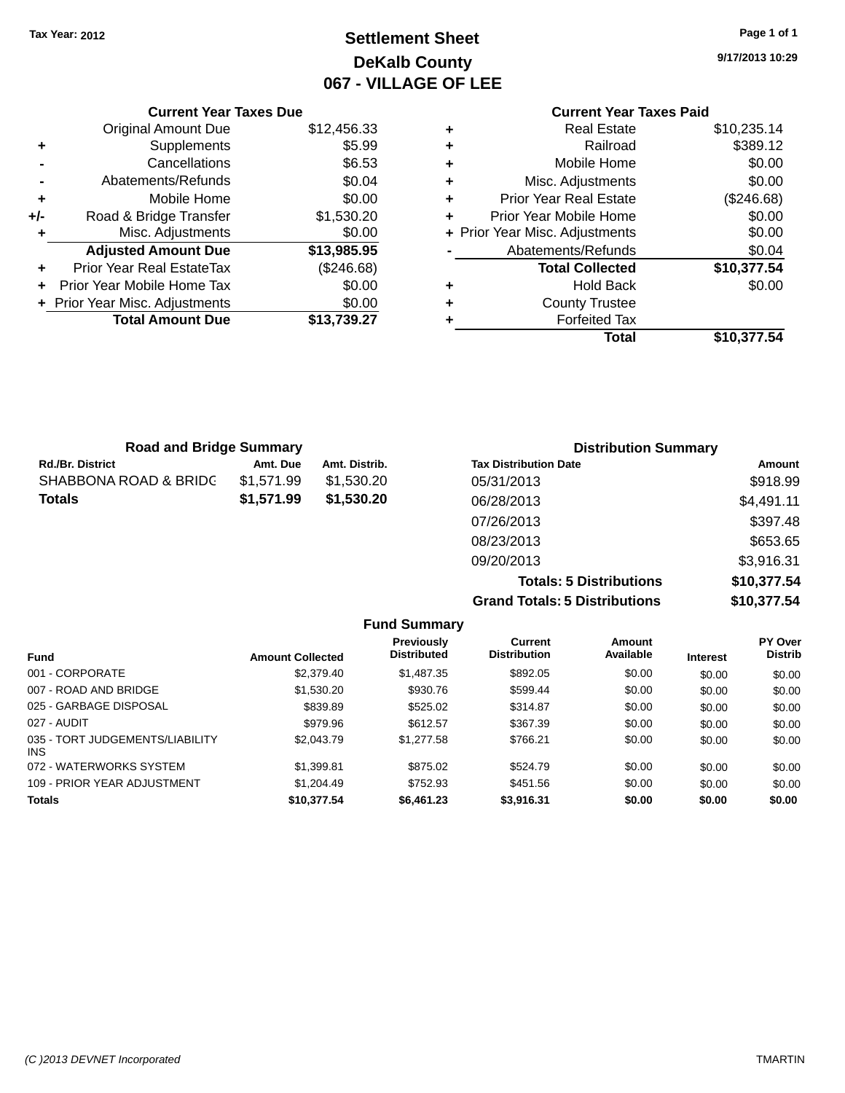# **Settlement Sheet Tax Year: 2012 Page 1 of 1 DeKalb County 067 - VILLAGE OF LEE**

**9/17/2013 10:29**

### **Current Year Taxes Paid +** Real Estate \$10,235.14 **+** Railroad \$389.12 **+** Mobile Home \$0.00 **+** Misc. Adjustments \$0.00 **+** Prior Year Real Estate (\$246.68) **+** Prior Year Mobile Home \$0.00<br> **+** Prior Year Misc. Adjustments \$0.00 **+ Prior Year Misc. Adjustments -** Abatements/Refunds \$0.04 **Total Collected \$10,377.54 +** Hold Back \$0.00 **+** County Trustee **+** Forfeited Tax **Total \$10,377.54**

|     | <b>Current Year Taxes Due</b>  |             |
|-----|--------------------------------|-------------|
|     | <b>Original Amount Due</b>     | \$12,456.33 |
| ٠   | Supplements                    | \$5.99      |
|     | Cancellations                  | \$6.53      |
|     | Abatements/Refunds             | \$0.04      |
| ٠   | Mobile Home                    | \$0.00      |
| +/- | Road & Bridge Transfer         | \$1,530.20  |
| ٠   | Misc. Adjustments              | \$0.00      |
|     | <b>Adjusted Amount Due</b>     | \$13,985.95 |
| ٠   | Prior Year Real EstateTax      | (\$246.68)  |
|     | Prior Year Mobile Home Tax     | \$0.00      |
|     | + Prior Year Misc. Adjustments | \$0.00      |
|     | <b>Total Amount Due</b>        | \$13,739.27 |
|     |                                |             |

| <b>Road and Bridge Summary</b> |            |               | <b>Distribution Summary</b>          |             |  |
|--------------------------------|------------|---------------|--------------------------------------|-------------|--|
| <b>Rd./Br. District</b>        | Amt. Due   | Amt. Distrib. | <b>Tax Distribution Date</b>         | Amount      |  |
| SHABBONA ROAD & BRIDC          | \$1,571.99 | \$1,530.20    | 05/31/2013                           | \$918.99    |  |
| <b>Totals</b>                  | \$1,571.99 | \$1,530.20    | 06/28/2013                           | \$4,491.11  |  |
|                                |            |               | 07/26/2013                           | \$397.48    |  |
|                                |            |               | 08/23/2013                           | \$653.65    |  |
|                                |            |               | 09/20/2013                           | \$3,916.31  |  |
|                                |            |               | <b>Totals: 5 Distributions</b>       | \$10,377.54 |  |
|                                |            |               | <b>Grand Totals: 5 Distributions</b> | \$10,377.54 |  |

|                                               |                         | <b>Fund Summary</b>                     |                                |                     |                 |                                  |
|-----------------------------------------------|-------------------------|-----------------------------------------|--------------------------------|---------------------|-----------------|----------------------------------|
| <b>Fund</b>                                   | <b>Amount Collected</b> | <b>Previously</b><br><b>Distributed</b> | Current<br><b>Distribution</b> | Amount<br>Available | <b>Interest</b> | <b>PY Over</b><br><b>Distrib</b> |
| 001 - CORPORATE                               | \$2,379.40              | \$1,487.35                              | \$892.05                       | \$0.00              | \$0.00          | \$0.00                           |
| 007 - ROAD AND BRIDGE                         | \$1,530.20              | \$930.76                                | \$599.44                       | \$0.00              | \$0.00          | \$0.00                           |
| 025 - GARBAGE DISPOSAL                        | \$839.89                | \$525.02                                | \$314.87                       | \$0.00              | \$0.00          | \$0.00                           |
| 027 - AUDIT                                   | \$979.96                | \$612.57                                | \$367.39                       | \$0.00              | \$0.00          | \$0.00                           |
| 035 - TORT JUDGEMENTS/LIABILITY<br><b>INS</b> | \$2,043.79              | \$1,277.58                              | \$766.21                       | \$0.00              | \$0.00          | \$0.00                           |
| 072 - WATERWORKS SYSTEM                       | \$1.399.81              | \$875.02                                | \$524.79                       | \$0.00              | \$0.00          | \$0.00                           |
| 109 - PRIOR YEAR ADJUSTMENT                   | \$1.204.49              | \$752.93                                | \$451.56                       | \$0.00              | \$0.00          | \$0.00                           |
| <b>Totals</b>                                 | \$10,377.54             | \$6,461.23                              | \$3,916.31                     | \$0.00              | \$0.00          | \$0.00                           |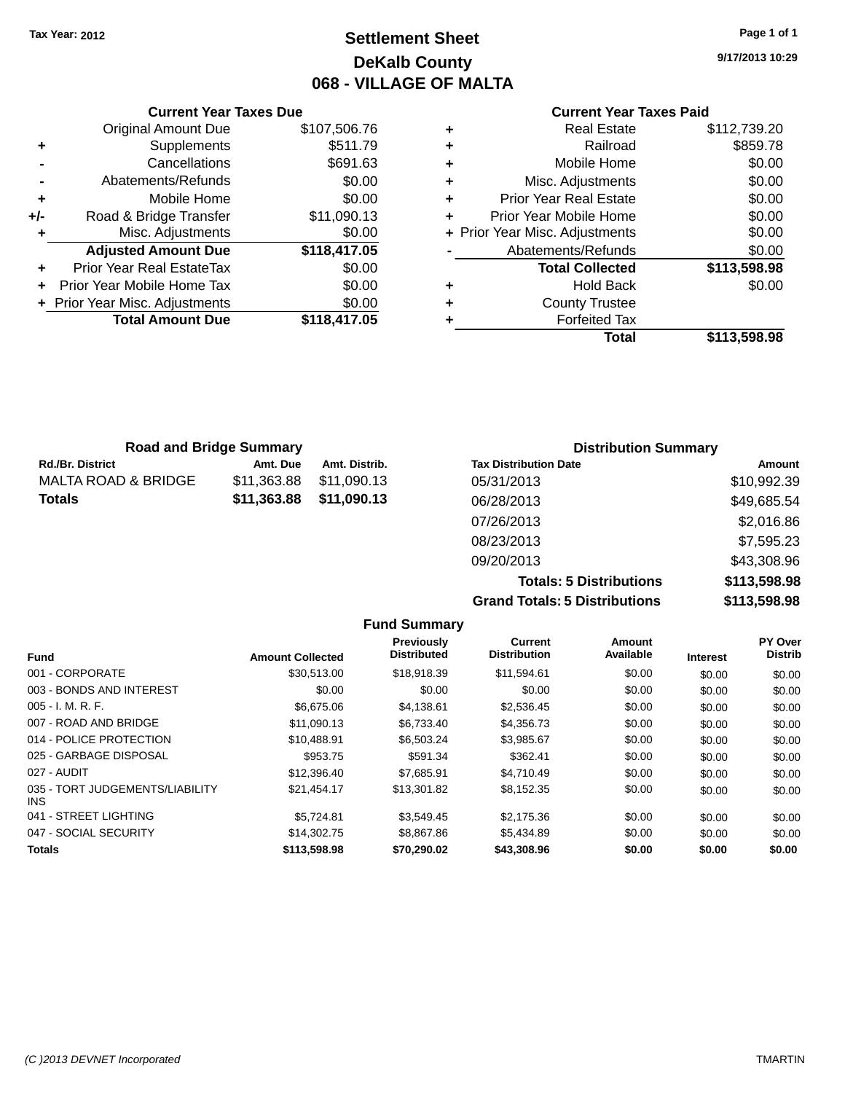# **Settlement Sheet Tax Year: 2012 Page 1 of 1 DeKalb County 068 - VILLAGE OF MALTA**

**9/17/2013 10:29**

#### **Current Year Taxes Paid**

|     | <b>Current Year Taxes Due</b>  |              |  |  |  |  |
|-----|--------------------------------|--------------|--|--|--|--|
|     | <b>Original Amount Due</b>     | \$107,506.76 |  |  |  |  |
| ٠   | Supplements                    | \$511.79     |  |  |  |  |
|     | Cancellations                  | \$691.63     |  |  |  |  |
|     | Abatements/Refunds             | \$0.00       |  |  |  |  |
| ٠   | Mobile Home                    | \$0.00       |  |  |  |  |
| +/- | Road & Bridge Transfer         | \$11,090.13  |  |  |  |  |
| ٠   | Misc. Adjustments              | \$0.00       |  |  |  |  |
|     | <b>Adjusted Amount Due</b>     | \$118,417.05 |  |  |  |  |
|     | Prior Year Real EstateTax      | \$0.00       |  |  |  |  |
| ÷   | Prior Year Mobile Home Tax     | \$0.00       |  |  |  |  |
|     | + Prior Year Misc. Adjustments | \$0.00       |  |  |  |  |
|     | <b>Total Amount Due</b>        | \$118,417.05 |  |  |  |  |
|     |                                |              |  |  |  |  |

|   | <b>Real Estate</b>             | \$112,739.20 |
|---|--------------------------------|--------------|
| ٠ | Railroad                       | \$859.78     |
| ٠ | Mobile Home                    | \$0.00       |
| ٠ | Misc. Adjustments              | \$0.00       |
| ٠ | <b>Prior Year Real Estate</b>  | \$0.00       |
| ÷ | Prior Year Mobile Home         | \$0.00       |
|   | + Prior Year Misc. Adjustments | \$0.00       |
|   | Abatements/Refunds             | \$0.00       |
|   | <b>Total Collected</b>         | \$113,598.98 |
| ٠ | <b>Hold Back</b>               | \$0.00       |
| ٠ | <b>County Trustee</b>          |              |
| ٠ | <b>Forfeited Tax</b>           |              |
|   | Total                          | \$113,598.98 |
|   |                                |              |

|                     | <b>Road and Bridge Summary</b> |               | <b>Distribution Summary</b>  |             |
|---------------------|--------------------------------|---------------|------------------------------|-------------|
| Rd./Br. District    | Amt. Due                       | Amt. Distrib. | <b>Tax Distribution Date</b> | Amount      |
| MALTA ROAD & BRIDGE | \$11,363.88                    | \$11,090.13   | 05/31/2013                   | \$10,992.39 |
| Totals              | \$11,363.88                    | \$11,090.13   | 06/28/2013                   | \$49,685.54 |
|                     |                                |               | 07/26/2013                   | \$2,016.86  |
|                     |                                |               | 08/23/2013                   | \$7,595.23  |
|                     |                                |               | 09/20/2013                   | \$43,308.96 |

**Totals: 5 Distributions \$113,598.98 Grand Totals: 5 Distributions \$113,598.98**

|                                         |                         | <b>Fund Summary</b>                     |                                |                     |                 |                           |
|-----------------------------------------|-------------------------|-----------------------------------------|--------------------------------|---------------------|-----------------|---------------------------|
| <b>Fund</b>                             | <b>Amount Collected</b> | <b>Previously</b><br><b>Distributed</b> | Current<br><b>Distribution</b> | Amount<br>Available | <b>Interest</b> | PY Over<br><b>Distrib</b> |
| 001 - CORPORATE                         | \$30,513.00             | \$18,918.39                             | \$11,594.61                    | \$0.00              | \$0.00          | \$0.00                    |
| 003 - BONDS AND INTEREST                | \$0.00                  | \$0.00                                  | \$0.00                         | \$0.00              | \$0.00          | \$0.00                    |
| 005 - I. M. R. F.                       | \$6,675.06              | \$4,138.61                              | \$2,536.45                     | \$0.00              | \$0.00          | \$0.00                    |
| 007 - ROAD AND BRIDGE                   | \$11,090.13             | \$6,733.40                              | \$4,356.73                     | \$0.00              | \$0.00          | \$0.00                    |
| 014 - POLICE PROTECTION                 | \$10,488.91             | \$6,503.24                              | \$3,985.67                     | \$0.00              | \$0.00          | \$0.00                    |
| 025 - GARBAGE DISPOSAL                  | \$953.75                | \$591.34                                | \$362.41                       | \$0.00              | \$0.00          | \$0.00                    |
| 027 - AUDIT                             | \$12,396.40             | \$7,685.91                              | \$4,710.49                     | \$0.00              | \$0.00          | \$0.00                    |
| 035 - TORT JUDGEMENTS/LIABILITY<br>INS. | \$21,454.17             | \$13,301.82                             | \$8,152.35                     | \$0.00              | \$0.00          | \$0.00                    |
| 041 - STREET LIGHTING                   | \$5,724.81              | \$3,549.45                              | \$2,175.36                     | \$0.00              | \$0.00          | \$0.00                    |
| 047 - SOCIAL SECURITY                   | \$14,302.75             | \$8,867.86                              | \$5,434.89                     | \$0.00              | \$0.00          | \$0.00                    |
| <b>Totals</b>                           | \$113,598.98            | \$70.290.02                             | \$43,308.96                    | \$0.00              | \$0.00          | \$0.00                    |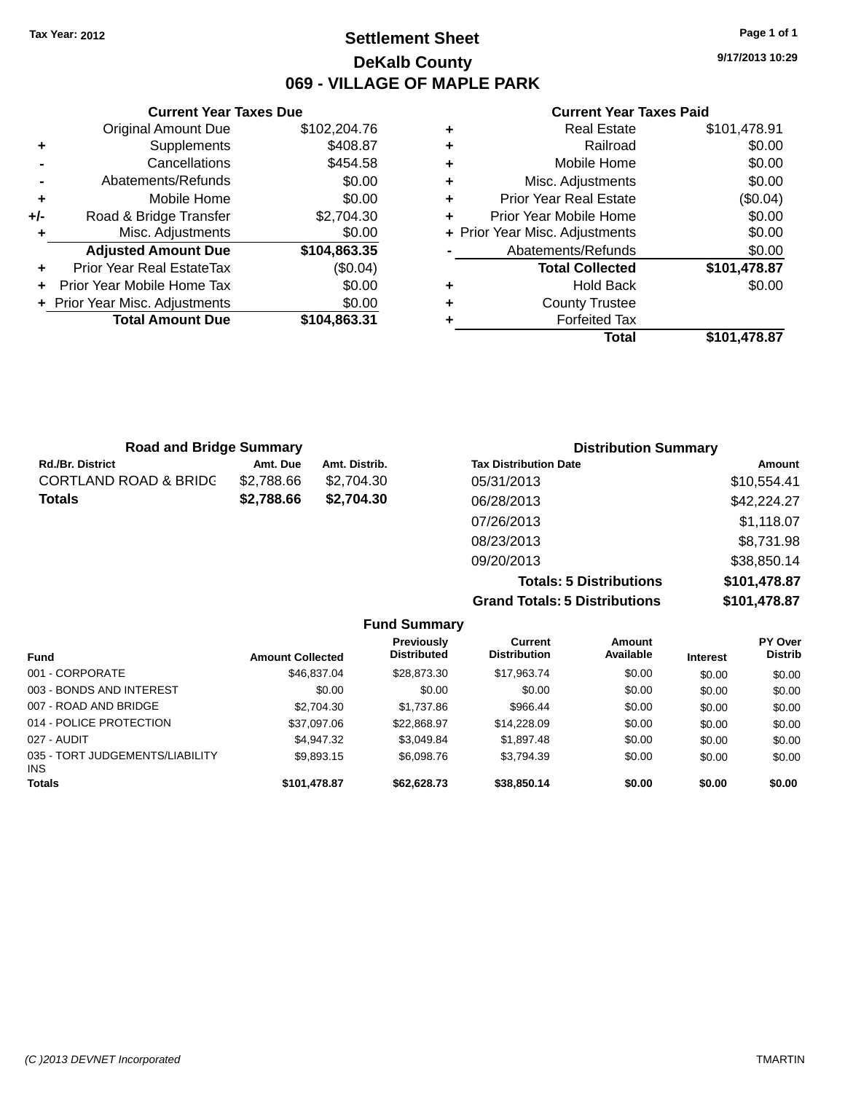### **Settlement Sheet Tax Year: 2012 Page 1 of 1 DeKalb County 069 - VILLAGE OF MAPLE PARK**

**9/17/2013 10:29**

#### **Current Year Taxes Paid**

|       | <b>Current Year Taxes Due</b>  |              |
|-------|--------------------------------|--------------|
|       | <b>Original Amount Due</b>     | \$102,204.76 |
| ٠     | Supplements                    | \$408.87     |
|       | Cancellations                  | \$454.58     |
|       | Abatements/Refunds             | \$0.00       |
| ٠     | Mobile Home                    | \$0.00       |
| $+/-$ | Road & Bridge Transfer         | \$2,704.30   |
| ٠     | Misc. Adjustments              | \$0.00       |
|       | <b>Adjusted Amount Due</b>     | \$104,863.35 |
| ٠     | Prior Year Real EstateTax      | (\$0.04)     |
|       | Prior Year Mobile Home Tax     | \$0.00       |
|       | + Prior Year Misc. Adjustments | \$0.00       |
|       | <b>Total Amount Due</b>        | \$104,863.31 |
|       |                                |              |

| \$101,478.91<br><b>Real Estate</b>        |
|-------------------------------------------|
| \$0.00<br>Railroad                        |
| \$0.00<br>Mobile Home                     |
| \$0.00<br>Misc. Adjustments               |
| (\$0.04)<br><b>Prior Year Real Estate</b> |
| \$0.00<br>Prior Year Mobile Home          |
| \$0.00<br>+ Prior Year Misc. Adjustments  |
| \$0.00<br>Abatements/Refunds              |
| \$101,478.87<br><b>Total Collected</b>    |
| \$0.00<br><b>Hold Back</b>                |
| <b>County Trustee</b>                     |
| <b>Forfeited Tax</b>                      |
| Total<br>\$101,478.87                     |
|                                           |

| <b>Road and Bridge Summary</b>   |            |               | <b>Distribution Summary</b>  |             |
|----------------------------------|------------|---------------|------------------------------|-------------|
| <b>Rd./Br. District</b>          | Amt. Due   | Amt. Distrib. | <b>Tax Distribution Date</b> | Amount      |
| <b>CORTLAND ROAD &amp; BRIDG</b> | \$2,788.66 | \$2,704.30    | 05/31/2013                   | \$10,554.41 |
| <b>Totals</b>                    | \$2,788.66 | \$2,704.30    | 06/28/2013                   | \$42,224.27 |
|                                  |            |               | 07/26/2013                   | \$1,118.07  |
|                                  |            |               | 08/23/2013                   | \$8,731.98  |
|                                  |            |               | 09/20/2013                   | \$38,850.14 |

**Totals: 5 Distributions \$101,478.87 Grand Totals: 5 Distributions \$101,478.87**

|                                         |                         | <b>Fund Summary</b>                     |                                |                     |                 |                                  |
|-----------------------------------------|-------------------------|-----------------------------------------|--------------------------------|---------------------|-----------------|----------------------------------|
| <b>Fund</b>                             | <b>Amount Collected</b> | <b>Previously</b><br><b>Distributed</b> | Current<br><b>Distribution</b> | Amount<br>Available | <b>Interest</b> | <b>PY Over</b><br><b>Distrib</b> |
| 001 - CORPORATE                         | \$46,837,04             | \$28,873.30                             | \$17.963.74                    | \$0.00              | \$0.00          | \$0.00                           |
| 003 - BONDS AND INTEREST                | \$0.00                  | \$0.00                                  | \$0.00                         | \$0.00              | \$0.00          | \$0.00                           |
| 007 - ROAD AND BRIDGE                   | \$2.704.30              | \$1,737.86                              | \$966.44                       | \$0.00              | \$0.00          | \$0.00                           |
| 014 - POLICE PROTECTION                 | \$37,097.06             | \$22,868.97                             | \$14,228.09                    | \$0.00              | \$0.00          | \$0.00                           |
| 027 - AUDIT                             | \$4.947.32              | \$3.049.84                              | \$1,897.48                     | \$0.00              | \$0.00          | \$0.00                           |
| 035 - TORT JUDGEMENTS/LIABILITY<br>INS. | \$9,893.15              | \$6,098.76                              | \$3.794.39                     | \$0.00              | \$0.00          | \$0.00                           |
| <b>Totals</b>                           | \$101,478.87            | \$62,628,73                             | \$38,850.14                    | \$0.00              | \$0.00          | \$0.00                           |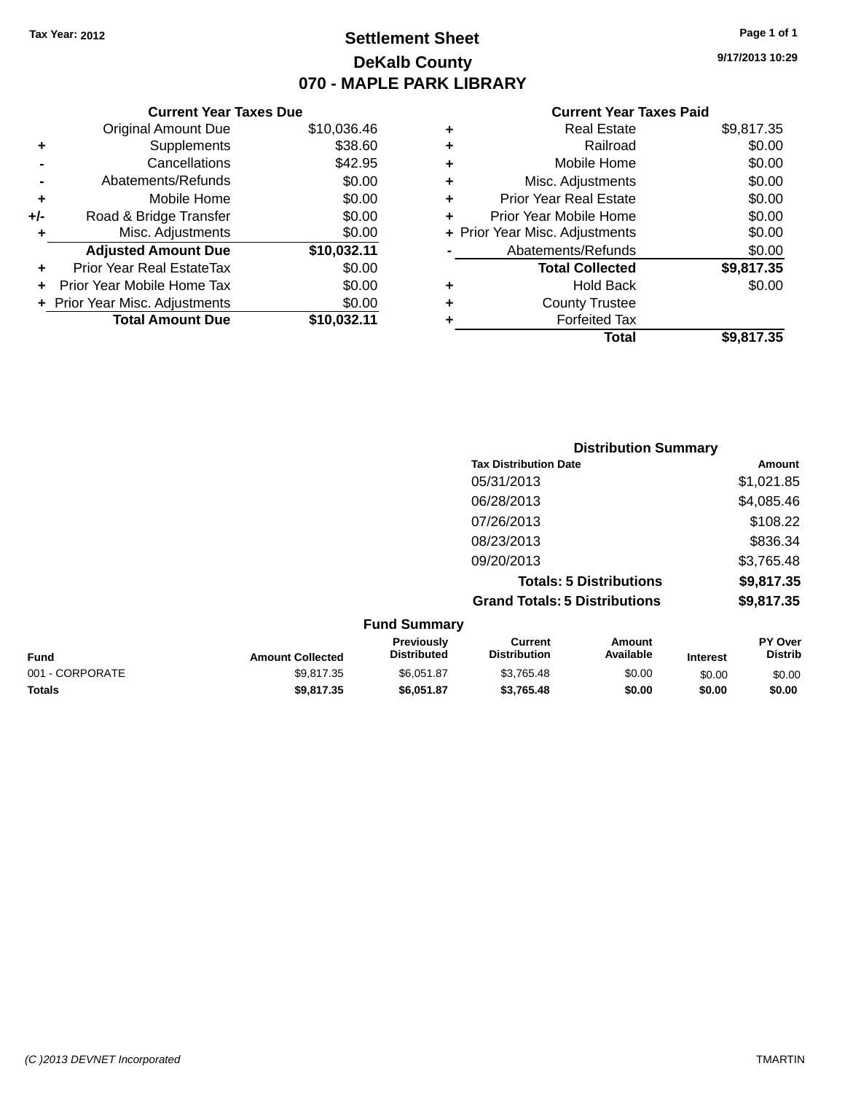# **Settlement Sheet Tax Year: 2012 Page 1 of 1 DeKalb County 070 - MAPLE PARK LIBRARY**

**9/17/2013 10:29**

#### **Current Year Taxes Paid**

|     | <b>Current Year Taxes Due</b>  |             |
|-----|--------------------------------|-------------|
|     | <b>Original Amount Due</b>     | \$10,036.46 |
| ٠   | Supplements                    | \$38.60     |
|     | Cancellations                  | \$42.95     |
|     | Abatements/Refunds             | \$0.00      |
| ٠   | Mobile Home                    | \$0.00      |
| +/- | Road & Bridge Transfer         | \$0.00      |
|     | Misc. Adjustments              | \$0.00      |
|     | <b>Adjusted Amount Due</b>     | \$10,032.11 |
| ٠   | Prior Year Real EstateTax      | \$0.00      |
|     | Prior Year Mobile Home Tax     | \$0.00      |
|     | + Prior Year Misc. Adjustments | \$0.00      |
|     | <b>Total Amount Due</b>        | \$10,032.11 |
|     |                                |             |

| ٠ | <b>Real Estate</b>             | \$9,817.35 |
|---|--------------------------------|------------|
| ÷ | Railroad                       | \$0.00     |
| ٠ | Mobile Home                    | \$0.00     |
| ٠ | Misc. Adjustments              | \$0.00     |
| ٠ | <b>Prior Year Real Estate</b>  | \$0.00     |
| ٠ | Prior Year Mobile Home         | \$0.00     |
|   | + Prior Year Misc. Adjustments | \$0.00     |
|   | Abatements/Refunds             | \$0.00     |
|   | <b>Total Collected</b>         | \$9,817.35 |
| ٠ | <b>Hold Back</b>               | \$0.00     |
| ٠ | <b>County Trustee</b>          |            |
|   | <b>Forfeited Tax</b>           |            |
|   | Total                          | \$9.817.35 |
|   |                                |            |

| <b>Distribution Summary</b>          |            |
|--------------------------------------|------------|
| <b>Tax Distribution Date</b>         | Amount     |
| 05/31/2013                           | \$1,021.85 |
| 06/28/2013                           | \$4,085.46 |
| 07/26/2013                           | \$108.22   |
| 08/23/2013                           | \$836.34   |
| 09/20/2013                           | \$3,765.48 |
| <b>Totals: 5 Distributions</b>       | \$9,817.35 |
| <b>Grand Totals: 5 Distributions</b> | \$9,817.35 |
|                                      |            |

|                 |                         | <b>Fund Summary</b>                     |                                |                     |                 |                           |
|-----------------|-------------------------|-----------------------------------------|--------------------------------|---------------------|-----------------|---------------------------|
| <b>Fund</b>     | <b>Amount Collected</b> | <b>Previously</b><br><b>Distributed</b> | Current<br><b>Distribution</b> | Amount<br>Available | <b>Interest</b> | PY Over<br><b>Distrib</b> |
| 001 - CORPORATE | \$9.817.35              | \$6.051.87                              | \$3.765.48                     | \$0.00              | \$0.00          | \$0.00                    |
| <b>Totals</b>   | \$9,817,35              | \$6.051.87                              | \$3.765.48                     | \$0.00              | \$0.00          | \$0.00                    |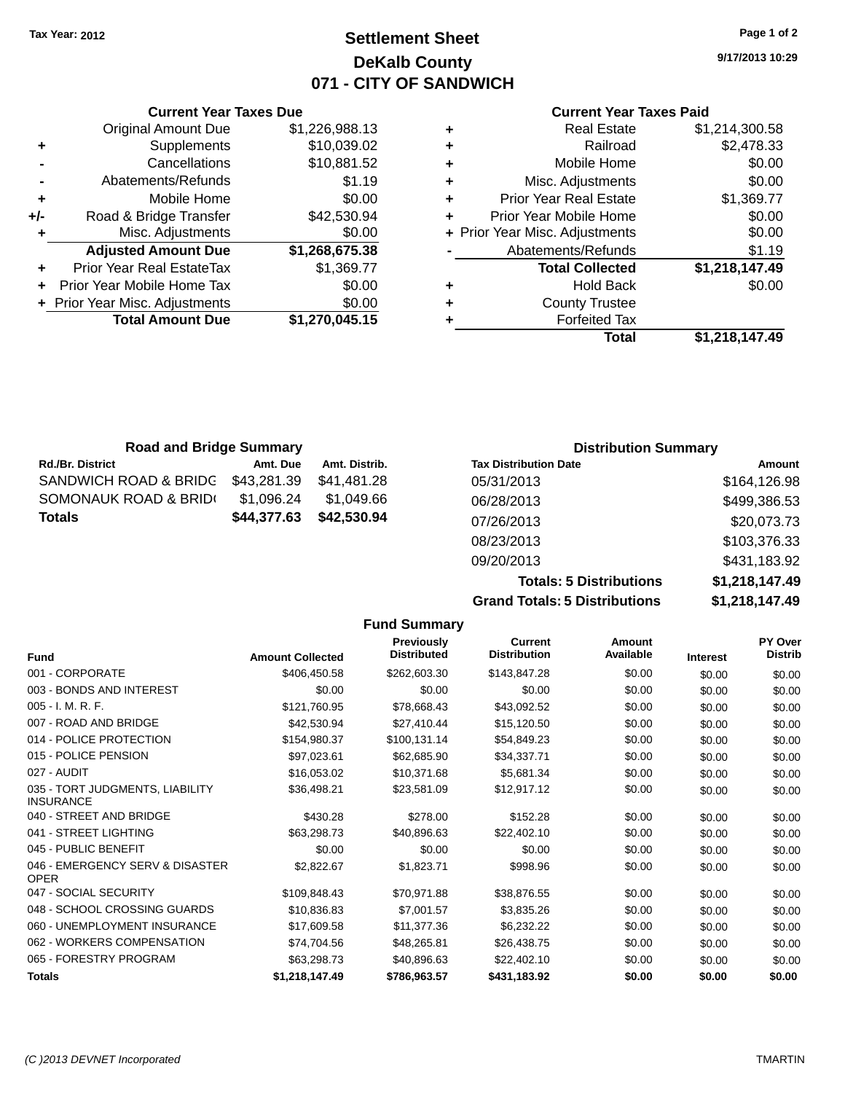# **Settlement Sheet Tax Year: 2012 Page 1 of 2 DeKalb County 071 - CITY OF SANDWICH**

**9/17/2013 10:29**

#### **Current Year Taxes Paid**

|     | <b>Current Year Taxes Due</b>  |                |  |
|-----|--------------------------------|----------------|--|
|     | <b>Original Amount Due</b>     | \$1,226,988.13 |  |
| ٠   | Supplements                    | \$10,039.02    |  |
|     | Cancellations                  | \$10,881.52    |  |
|     | Abatements/Refunds             | \$1.19         |  |
| ٠   | Mobile Home                    | \$0.00         |  |
| +/- | Road & Bridge Transfer         | \$42,530.94    |  |
| ٠   | Misc. Adjustments              | \$0.00         |  |
|     | <b>Adjusted Amount Due</b>     | \$1,268,675.38 |  |
| ٠   | Prior Year Real EstateTax      | \$1,369.77     |  |
|     | Prior Year Mobile Home Tax     | \$0.00         |  |
|     | + Prior Year Misc. Adjustments | \$0.00         |  |
|     | <b>Total Amount Due</b>        | \$1,270,045.15 |  |
|     |                                |                |  |

|   | <b>Real Estate</b>             | \$1,214,300.58 |
|---|--------------------------------|----------------|
| ٠ | Railroad                       | \$2,478.33     |
| ÷ | Mobile Home                    | \$0.00         |
| ٠ | Misc. Adjustments              | \$0.00         |
| ٠ | <b>Prior Year Real Estate</b>  | \$1,369.77     |
| ٠ | Prior Year Mobile Home         | \$0.00         |
|   | + Prior Year Misc. Adjustments | \$0.00         |
|   | Abatements/Refunds             | \$1.19         |
|   | <b>Total Collected</b>         | \$1,218,147.49 |
| ٠ | Hold Back                      | \$0.00         |
| ٠ | <b>County Trustee</b>          |                |
| ٠ | <b>Forfeited Tax</b>           |                |
|   | Total                          | \$1,218,147.49 |
|   |                                |                |

| <b>Road and Bridge Summary</b> |             |               | <b>Distribution Summary</b>  |              |
|--------------------------------|-------------|---------------|------------------------------|--------------|
| <b>Rd./Br. District</b>        | Amt. Due    | Amt. Distrib. | <b>Tax Distribution Date</b> | Amount       |
| SANDWICH ROAD & BRIDG          | \$43,281.39 | \$41.481.28   | 05/31/2013                   | \$164,126.98 |
| SOMONAUK ROAD & BRIDI          | \$1,096.24  | \$1.049.66    | 06/28/2013                   | \$499,386.53 |
| <b>Totals</b>                  | \$44,377.63 | \$42,530.94   | 07/26/2013                   | \$20,073.73  |
|                                |             |               | 08/23/2013                   | \$103,376.33 |

**Grand Totals: 5 Distributions** 

09/20/2013 \$431,183.92

| <b>Totals: 5 Distributions</b> | \$1,218,147.49 |
|--------------------------------|----------------|
| <b>Totals: 5 Distributions</b> | \$1,218,147.49 |

|                                                     |                         | <b>Fund Summary</b>                     |                                       |                            |                 |                           |
|-----------------------------------------------------|-------------------------|-----------------------------------------|---------------------------------------|----------------------------|-----------------|---------------------------|
| Fund                                                | <b>Amount Collected</b> | <b>Previously</b><br><b>Distributed</b> | <b>Current</b><br><b>Distribution</b> | <b>Amount</b><br>Available | <b>Interest</b> | PY Over<br><b>Distrib</b> |
| 001 - CORPORATE                                     | \$406,450.58            | \$262,603.30                            | \$143,847.28                          | \$0.00                     | \$0.00          | \$0.00                    |
| 003 - BONDS AND INTEREST                            | \$0.00                  | \$0.00                                  | \$0.00                                | \$0.00                     | \$0.00          | \$0.00                    |
| 005 - I. M. R. F.                                   | \$121,760.95            | \$78,668.43                             | \$43,092.52                           | \$0.00                     | \$0.00          | \$0.00                    |
| 007 - ROAD AND BRIDGE                               | \$42,530.94             | \$27,410.44                             | \$15,120.50                           | \$0.00                     | \$0.00          | \$0.00                    |
| 014 - POLICE PROTECTION                             | \$154,980.37            | \$100,131.14                            | \$54,849.23                           | \$0.00                     | \$0.00          | \$0.00                    |
| 015 - POLICE PENSION                                | \$97,023.61             | \$62,685.90                             | \$34,337.71                           | \$0.00                     | \$0.00          | \$0.00                    |
| 027 - AUDIT                                         | \$16,053.02             | \$10,371.68                             | \$5,681.34                            | \$0.00                     | \$0.00          | \$0.00                    |
| 035 - TORT JUDGMENTS, LIABILITY<br><b>INSURANCE</b> | \$36,498.21             | \$23,581.09                             | \$12,917.12                           | \$0.00                     | \$0.00          | \$0.00                    |
| 040 - STREET AND BRIDGE                             | \$430.28                | \$278.00                                | \$152.28                              | \$0.00                     | \$0.00          | \$0.00                    |
| 041 - STREET LIGHTING                               | \$63,298.73             | \$40,896.63                             | \$22,402.10                           | \$0.00                     | \$0.00          | \$0.00                    |
| 045 - PUBLIC BENEFIT                                | \$0.00                  | \$0.00                                  | \$0.00                                | \$0.00                     | \$0.00          | \$0.00                    |
| 046 - EMERGENCY SERV & DISASTER<br><b>OPER</b>      | \$2,822.67              | \$1,823.71                              | \$998.96                              | \$0.00                     | \$0.00          | \$0.00                    |
| 047 - SOCIAL SECURITY                               | \$109,848.43            | \$70,971.88                             | \$38,876.55                           | \$0.00                     | \$0.00          | \$0.00                    |
| 048 - SCHOOL CROSSING GUARDS                        | \$10,836.83             | \$7,001.57                              | \$3,835.26                            | \$0.00                     | \$0.00          | \$0.00                    |
| 060 - UNEMPLOYMENT INSURANCE                        | \$17,609.58             | \$11,377.36                             | \$6,232.22                            | \$0.00                     | \$0.00          | \$0.00                    |
| 062 - WORKERS COMPENSATION                          | \$74.704.56             | \$48,265.81                             | \$26,438.75                           | \$0.00                     | \$0.00          | \$0.00                    |
| 065 - FORESTRY PROGRAM                              | \$63,298.73             | \$40,896.63                             | \$22,402.10                           | \$0.00                     | \$0.00          | \$0.00                    |
| <b>Totals</b>                                       | \$1,218,147.49          | \$786,963.57                            | \$431,183.92                          | \$0.00                     | \$0.00          | \$0.00                    |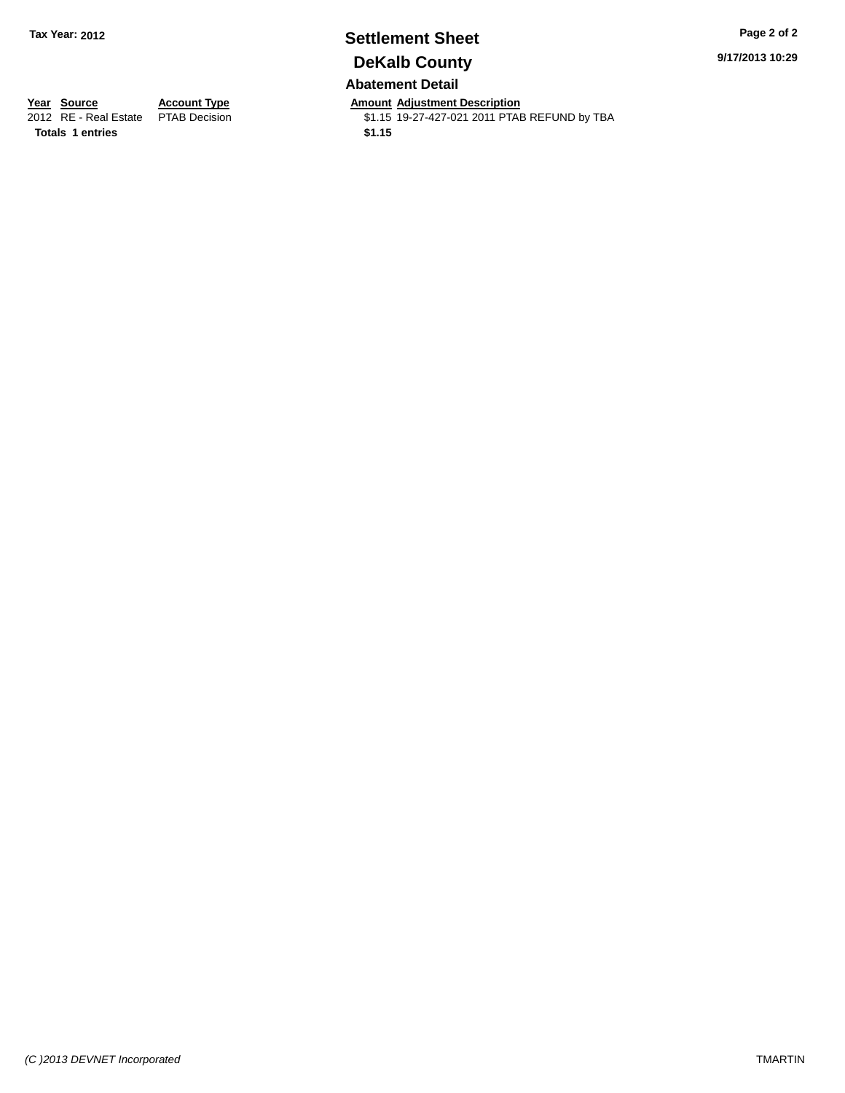### **Settlement Sheet Tax Year: 2012 Page 2 of 2 DeKalb County Abatement Detail**

**9/17/2013 10:29**

**Totals 1 entries \$1.15**

**Year Source Account Type Amount Adjustment Description**<br>2012 RE - Real Estate PTAB Decision **Amount Adjustment Description** \$1.15 19-27-427-021 2011 PTAB REFUND by TBA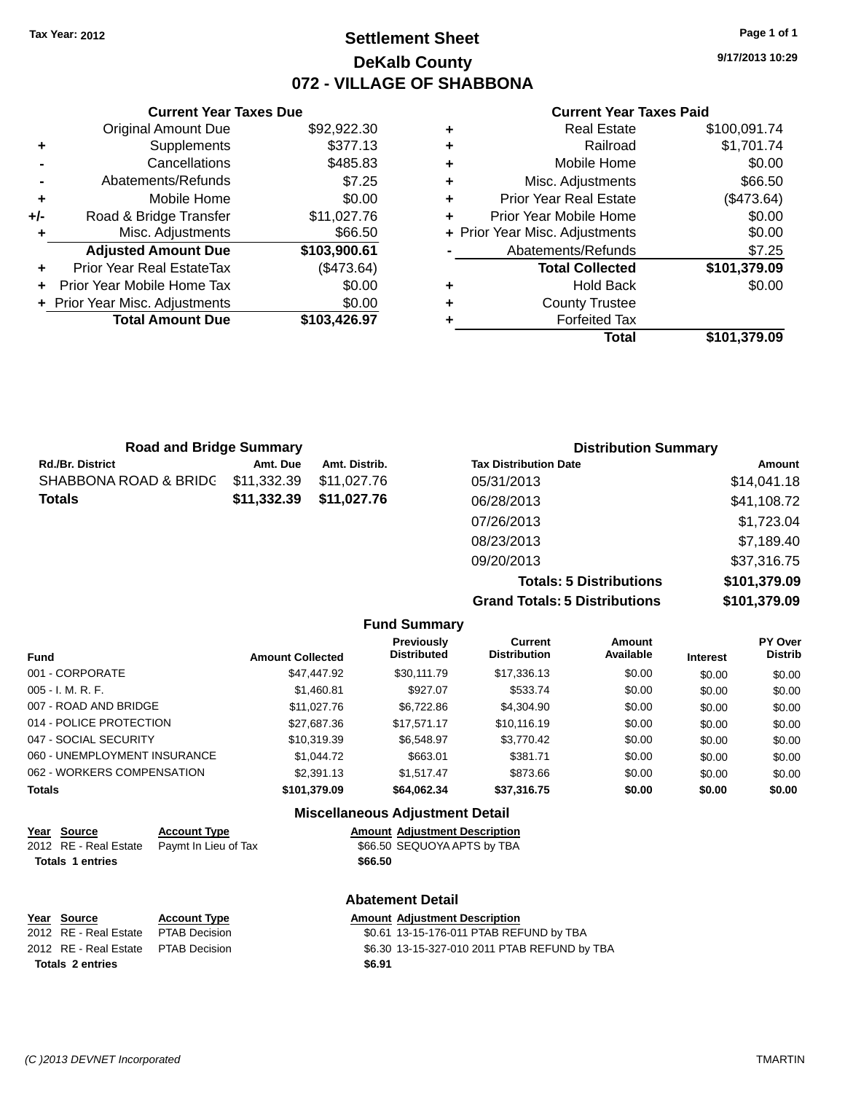### **Settlement Sheet Tax Year: 2012 Page 1 of 1 DeKalb County 072 - VILLAGE OF SHABBONA**

**9/17/2013 10:29**

#### **Current Year Taxes Paid**

|     | <b>Current Year Taxes Due</b>    |              |
|-----|----------------------------------|--------------|
|     | <b>Original Amount Due</b>       | \$92,922.30  |
| ٠   | Supplements                      | \$377.13     |
|     | Cancellations                    | \$485.83     |
|     | Abatements/Refunds               | \$7.25       |
| ٠   | Mobile Home                      | \$0.00       |
| +/- | Road & Bridge Transfer           | \$11,027.76  |
|     | Misc. Adjustments                | \$66.50      |
|     | <b>Adjusted Amount Due</b>       | \$103,900.61 |
|     | <b>Prior Year Real EstateTax</b> | (\$473.64)   |
|     | Prior Year Mobile Home Tax       | \$0.00       |
|     | + Prior Year Misc. Adjustments   | \$0.00       |
|     | <b>Total Amount Due</b>          | \$103,426.97 |
|     |                                  |              |

| <b>Real Estate</b>             | \$100,091.74 |
|--------------------------------|--------------|
| Railroad                       | \$1,701.74   |
| Mobile Home                    | \$0.00       |
| Misc. Adjustments              | \$66.50      |
| <b>Prior Year Real Estate</b>  | (\$473.64)   |
| Prior Year Mobile Home         | \$0.00       |
| + Prior Year Misc. Adjustments | \$0.00       |
| Abatements/Refunds             | \$7.25       |
| <b>Total Collected</b>         | \$101,379.09 |
| <b>Hold Back</b>               | \$0.00       |
| <b>County Trustee</b>          |              |
| <b>Forfeited Tax</b>           |              |
| Total                          | \$101,379.09 |
|                                |              |

| <b>Road and Bridge Summary</b> |             |               | <b>Distribution Summary</b>  |             |
|--------------------------------|-------------|---------------|------------------------------|-------------|
| <b>Rd./Br. District</b>        | Amt. Due    | Amt. Distrib. | <b>Tax Distribution Date</b> | Amount      |
| SHABBONA ROAD & BRIDC          | \$11,332.39 | \$11,027.76   | 05/31/2013                   | \$14,041.18 |
| <b>Totals</b>                  | \$11,332.39 | \$11,027.76   | 06/28/2013                   | \$41,108.72 |
|                                |             |               | 07/26/2013                   | \$1,723.04  |
|                                |             |               | 08/23/2013                   | \$7,189.40  |
|                                |             |               | 09/20/2013                   | \$37,316.75 |

**Totals: 5 Distributions \$101,379.09 Grand Totals: 5 Distributions \$101,379.09**

|                                        |                         | <b>Fund Summary</b>                     |                                |                     |                 |                           |
|----------------------------------------|-------------------------|-----------------------------------------|--------------------------------|---------------------|-----------------|---------------------------|
| <b>Fund</b>                            | <b>Amount Collected</b> | <b>Previously</b><br><b>Distributed</b> | Current<br><b>Distribution</b> | Amount<br>Available | <b>Interest</b> | PY Over<br><b>Distrib</b> |
| 001 - CORPORATE                        | \$47,447.92             | \$30.111.79                             | \$17,336.13                    | \$0.00              | \$0.00          | \$0.00                    |
| $005 - I. M. R. F.$                    | \$1.460.81              | \$927.07                                | \$533.74                       | \$0.00              | \$0.00          | \$0.00                    |
| 007 - ROAD AND BRIDGE                  | \$11,027.76             | \$6,722.86                              | \$4,304.90                     | \$0.00              | \$0.00          | \$0.00                    |
| 014 - POLICE PROTECTION                | \$27.687.36             | \$17.571.17                             | \$10.116.19                    | \$0.00              | \$0.00          | \$0.00                    |
| 047 - SOCIAL SECURITY                  | \$10.319.39             | \$6.548.97                              | \$3,770.42                     | \$0.00              | \$0.00          | \$0.00                    |
| 060 - UNEMPLOYMENT INSURANCE           | \$1,044.72              | \$663.01                                | \$381.71                       | \$0.00              | \$0.00          | \$0.00                    |
| 062 - WORKERS COMPENSATION             | \$2,391.13              | \$1.517.47                              | \$873.66                       | \$0.00              | \$0.00          | \$0.00                    |
| <b>Totals</b>                          | \$101.379.09            | \$64.062.34                             | \$37.316.75                    | \$0.00              | \$0.00          | \$0.00                    |
| <b>Miscellaneous Adjustment Detail</b> |                         |                                         |                                |                     |                 |                           |

| Year | Source                  | <b>Account Type</b>  |         | <b>Amount Adjustment Description</b> |
|------|-------------------------|----------------------|---------|--------------------------------------|
|      | 2012 RE - Real Estate   | Paymt In Lieu of Tax |         | \$66.50 SEQUOYA APTS by TBA          |
|      | <b>Totals 1 entries</b> |                      | \$66.50 |                                      |
|      |                         |                      |         | <b>Abatement Detail</b>              |
|      | Vass Causes             |                      |         | Americal Adjustment Decembrian       |

| \$0.61 13-15-176-011 PTAB REFUND by TBA<br>2012 RE - Real Estate PTAB Decision<br>2012 RE - Real Estate PTAB Decision<br>\$6.91<br>Totals 2 entries | <u>Year Source</u> | <b>Account Type</b> | Amount Adjustment Description                |
|-----------------------------------------------------------------------------------------------------------------------------------------------------|--------------------|---------------------|----------------------------------------------|
|                                                                                                                                                     |                    |                     |                                              |
|                                                                                                                                                     |                    |                     | \$6.30 13-15-327-010 2011 PTAB REFUND by TBA |
|                                                                                                                                                     |                    |                     |                                              |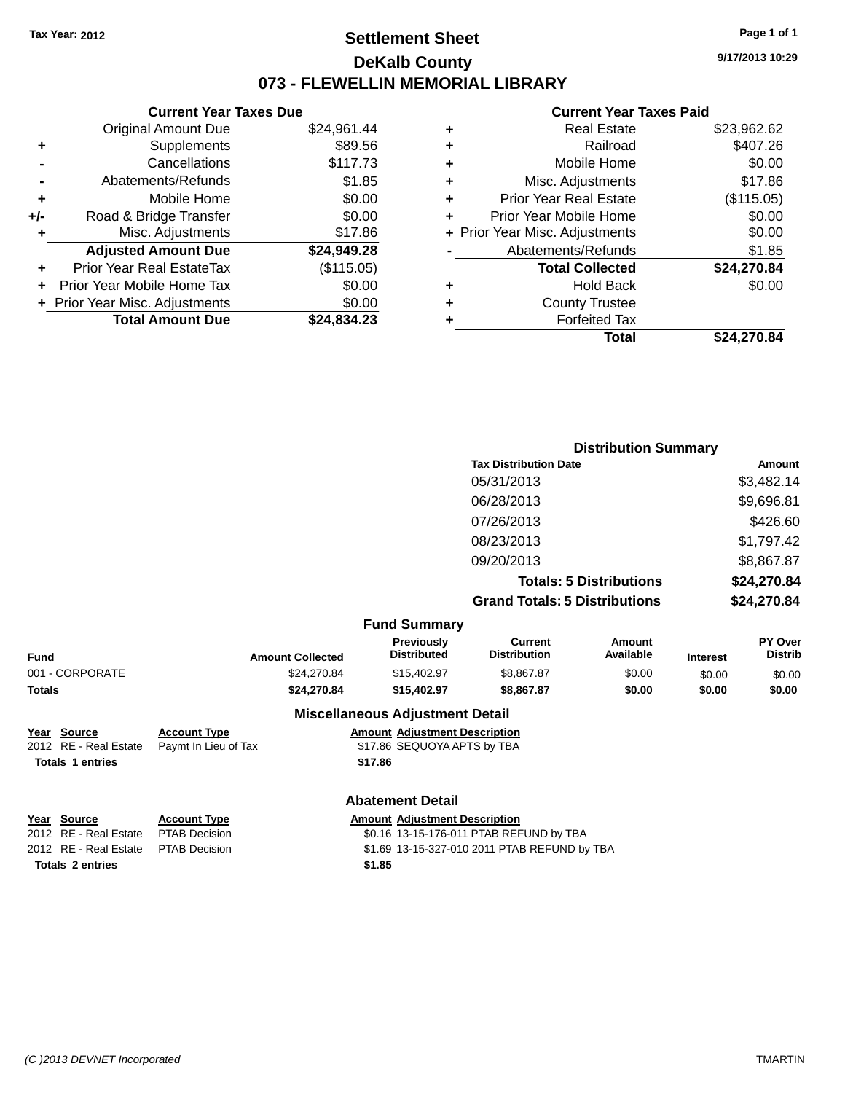### **Settlement Sheet Tax Year: 2012 Page 1 of 1 DeKalb County 073 - FLEWELLIN MEMORIAL LIBRARY**

**9/17/2013 10:29**

#### **Current Year Taxes Paid**

|     | <b>Current Year Taxes Due</b>  |             |
|-----|--------------------------------|-------------|
|     | <b>Original Amount Due</b>     | \$24,961.44 |
| ٠   | Supplements                    | \$89.56     |
|     | Cancellations                  | \$117.73    |
|     | Abatements/Refunds             | \$1.85      |
| ٠   | Mobile Home                    | \$0.00      |
| +/- | Road & Bridge Transfer         | \$0.00      |
| ٠   | Misc. Adjustments              | \$17.86     |
|     | <b>Adjusted Amount Due</b>     | \$24,949.28 |
| ٠   | Prior Year Real EstateTax      | (\$115.05)  |
| ÷   | Prior Year Mobile Home Tax     | \$0.00      |
|     | + Prior Year Misc. Adjustments | \$0.00      |
|     | <b>Total Amount Due</b>        | \$24.834.23 |
|     |                                |             |

| ٠ | <b>Real Estate</b>             | \$23,962.62 |
|---|--------------------------------|-------------|
| ٠ | Railroad                       | \$407.26    |
| ٠ | Mobile Home                    | \$0.00      |
| ٠ | Misc. Adjustments              | \$17.86     |
| ٠ | Prior Year Real Estate         | (\$115.05)  |
|   | Prior Year Mobile Home         | \$0.00      |
|   | + Prior Year Misc. Adjustments | \$0.00      |
|   | Abatements/Refunds             | \$1.85      |
|   | <b>Total Collected</b>         | \$24,270.84 |
| ٠ | Hold Back                      | \$0.00      |
| ٠ | <b>County Trustee</b>          |             |
| ٠ | <b>Forfeited Tax</b>           |             |
|   | Total                          | \$24,270.84 |
|   |                                |             |

| <b>Distribution Summary</b>          |             |
|--------------------------------------|-------------|
| <b>Tax Distribution Date</b>         | Amount      |
| 05/31/2013                           | \$3,482.14  |
| 06/28/2013                           | \$9,696.81  |
| 07/26/2013                           | \$426.60    |
| 08/23/2013                           | \$1,797.42  |
| 09/20/2013                           | \$8,867.87  |
| <b>Totals: 5 Distributions</b>       | \$24,270.84 |
| <b>Grand Totals: 5 Distributions</b> | \$24,270.84 |

| <b>Amount Collected</b>                     | <b>Previously</b><br><b>Distributed</b>                             | <b>Current</b><br><b>Distribution</b> | Amount<br>Available                               | <b>Interest</b> | PY Over<br><b>Distrib</b> |
|---------------------------------------------|---------------------------------------------------------------------|---------------------------------------|---------------------------------------------------|-----------------|---------------------------|
| \$24.270.84                                 | \$15,402.97                                                         | \$8,867.87                            | \$0.00                                            | \$0.00          | \$0.00                    |
| \$24.270.84                                 | \$15,402.97                                                         | \$8,867.87                            | \$0.00                                            | \$0.00          | \$0.00                    |
|                                             |                                                                     |                                       |                                                   |                 |                           |
| <b>Account Type</b><br>Paymt In Lieu of Tax | <b>Amount Adiustment Description</b><br>\$17.86 SEQUOYA APTS by TBA |                                       |                                                   |                 |                           |
|                                             |                                                                     | <b>Fund Summary</b>                   | <b>Miscellaneous Adjustment Detail</b><br>\$17.86 |                 |                           |

|  | <b>Abatement Detail</b> |  |
|--|-------------------------|--|
|--|-------------------------|--|

| Year Source                         | <b>Account Type</b> |        | <b>Amount Adjustment Description</b>         |
|-------------------------------------|---------------------|--------|----------------------------------------------|
| 2012 RE - Real Estate               | PTAB Decision       |        | \$0.16 13-15-176-011 PTAB REFUND by TBA      |
| 2012 RE - Real Estate PTAB Decision |                     |        | \$1.69 13-15-327-010 2011 PTAB REFUND by TBA |
| <b>Totals 2 entries</b>             |                     | \$1.85 |                                              |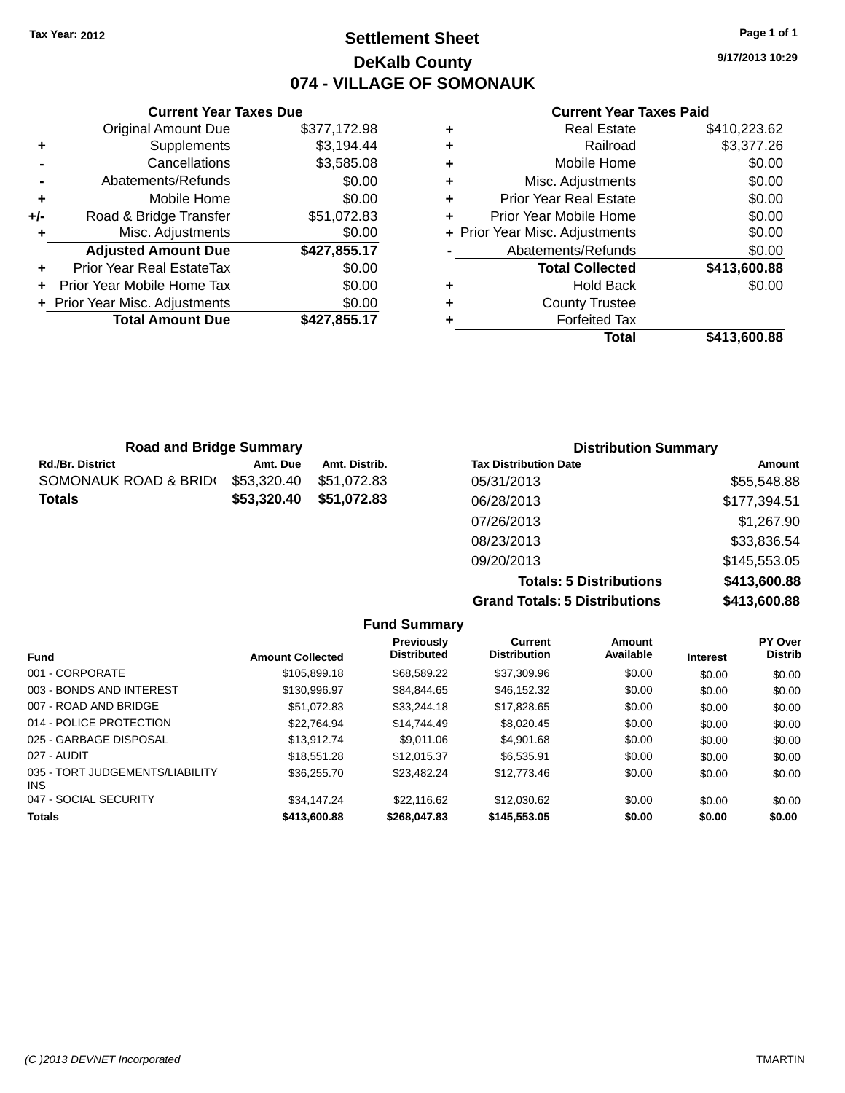### **Settlement Sheet Tax Year: 2012 Page 1 of 1 DeKalb County 074 - VILLAGE OF SOMONAUK**

**Current Year Taxes Due** Original Amount Due \$377,172.98 **+** Supplements \$3,194.44 **-** Cancellations \$3,585.08 **-** Abatements/Refunds \$0.00 **+** Mobile Home \$0.00 **+/-** Road & Bridge Transfer \$51,072.83 **+** Misc. Adjustments \$0.00 **Adjusted Amount Due \$427,855.17 +** Prior Year Real EstateTax \$0.00 **+** Prior Year Mobile Home Tax \$0.00 **+ Prior Year Misc. Adjustments**  $$0.00$ **Total Amount Due \$427,855.17**

#### **Current Year Taxes Paid**

|   | <b>Real Estate</b>             | \$410,223.62 |
|---|--------------------------------|--------------|
| ٠ | Railroad                       | \$3,377.26   |
| ÷ | Mobile Home                    | \$0.00       |
| ٠ | Misc. Adjustments              | \$0.00       |
| ٠ | <b>Prior Year Real Estate</b>  | \$0.00       |
|   | Prior Year Mobile Home         | \$0.00       |
|   | + Prior Year Misc. Adjustments | \$0.00       |
|   | Abatements/Refunds             | \$0.00       |
|   | <b>Total Collected</b>         | \$413,600.88 |
| ٠ | Hold Back                      | \$0.00       |
| ٠ | <b>County Trustee</b>          |              |
|   | <b>Forfeited Tax</b>           |              |
|   | Total                          | \$413,600.88 |
|   |                                |              |

| <b>Road and Bridge Summary</b> |             |               | <b>Distribution Summary</b>  |              |  |
|--------------------------------|-------------|---------------|------------------------------|--------------|--|
| Rd./Br. District               | Amt. Due    | Amt. Distrib. | <b>Tax Distribution Date</b> | Amount       |  |
| SOMONAUK ROAD & BRID(          | \$53,320.40 | \$51.072.83   | 05/31/2013                   | \$55,548.88  |  |
| Totals                         | \$53,320.40 | \$51,072.83   | 06/28/2013                   | \$177,394.51 |  |
|                                |             |               | 07/26/2013                   | \$1,267.90   |  |
|                                |             |               | 08/23/2013                   | \$33,836.54  |  |
|                                |             |               | 09/20/2013                   | \$145,553.05 |  |

**Totals: 5 Distributions \$413,600.88 Grand Totals: 5 Distributions \$413,600.88 Fund Summary**

| <b>Fund</b>                             | <b>Amount Collected</b> | <b>Previously</b><br><b>Distributed</b> | <b>Current</b><br><b>Distribution</b> | Amount<br>Available | <b>Interest</b> | <b>PY Over</b><br><b>Distrib</b> |
|-----------------------------------------|-------------------------|-----------------------------------------|---------------------------------------|---------------------|-----------------|----------------------------------|
| 001 - CORPORATE                         | \$105,899.18            | \$68,589.22                             | \$37,309.96                           | \$0.00              | \$0.00          | \$0.00                           |
| 003 - BONDS AND INTEREST                | \$130,996.97            | \$84.844.65                             | \$46.152.32                           | \$0.00              | \$0.00          | \$0.00                           |
| 007 - ROAD AND BRIDGE                   | \$51.072.83             | \$33,244.18                             | \$17,828.65                           | \$0.00              | \$0.00          | \$0.00                           |
| 014 - POLICE PROTECTION                 | \$22.764.94             | \$14,744.49                             | \$8,020.45                            | \$0.00              | \$0.00          | \$0.00                           |
| 025 - GARBAGE DISPOSAL                  | \$13,912.74             | \$9.011.06                              | \$4,901.68                            | \$0.00              | \$0.00          | \$0.00                           |
| 027 - AUDIT                             | \$18,551.28             | \$12,015.37                             | \$6.535.91                            | \$0.00              | \$0.00          | \$0.00                           |
| 035 - TORT JUDGEMENTS/LIABILITY<br>INS. | \$36,255,70             | \$23,482.24                             | \$12,773.46                           | \$0.00              | \$0.00          | \$0.00                           |
| 047 - SOCIAL SECURITY                   | \$34,147.24             | \$22,116.62                             | \$12,030.62                           | \$0.00              | \$0.00          | \$0.00                           |
| <b>Totals</b>                           | \$413,600.88            | \$268,047.83                            | \$145,553,05                          | \$0.00              | \$0.00          | \$0.00                           |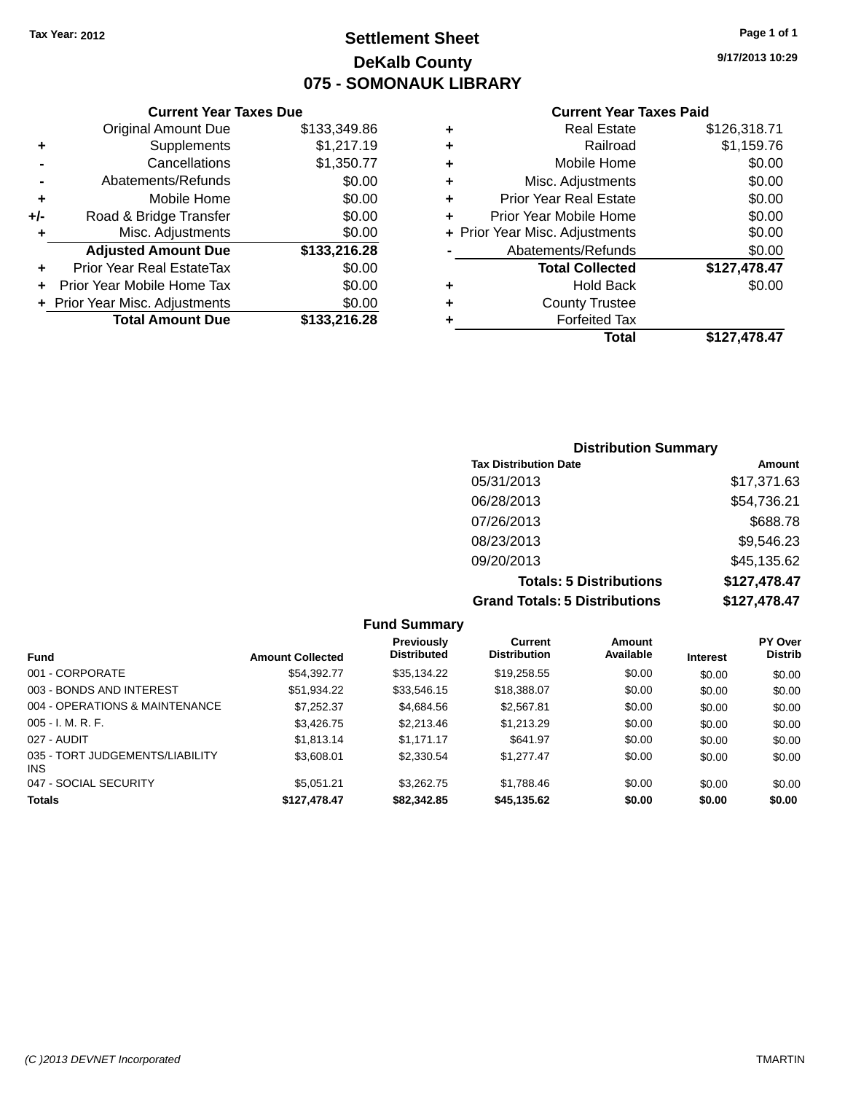### **Settlement Sheet Tax Year: 2012 Page 1 of 1 DeKalb County 075 - SOMONAUK LIBRARY**

**9/17/2013 10:29**

|  | <b>Current Year Taxes Paid</b> |  |  |  |
|--|--------------------------------|--|--|--|
|--|--------------------------------|--|--|--|

|     | <b>Current Year Taxes Due</b>  |              |
|-----|--------------------------------|--------------|
|     | <b>Original Amount Due</b>     | \$133,349.86 |
| ٠   | Supplements                    | \$1,217.19   |
|     | Cancellations                  | \$1,350.77   |
|     | Abatements/Refunds             | \$0.00       |
| ٠   | Mobile Home                    | \$0.00       |
| +/- | Road & Bridge Transfer         | \$0.00       |
| ٠   | Misc. Adjustments              | \$0.00       |
|     | <b>Adjusted Amount Due</b>     | \$133,216.28 |
| ٠   | Prior Year Real EstateTax      | \$0.00       |
|     | Prior Year Mobile Home Tax     | \$0.00       |
|     | + Prior Year Misc. Adjustments | \$0.00       |
|     | <b>Total Amount Due</b>        | \$133,216.28 |
|     |                                |              |

|   | <b>Real Estate</b>             | \$126,318.71 |
|---|--------------------------------|--------------|
| ٠ | Railroad                       | \$1,159.76   |
| ٠ | Mobile Home                    | \$0.00       |
| ٠ | Misc. Adjustments              | \$0.00       |
| ٠ | <b>Prior Year Real Estate</b>  | \$0.00       |
| ÷ | Prior Year Mobile Home         | \$0.00       |
|   | + Prior Year Misc. Adjustments | \$0.00       |
|   | Abatements/Refunds             | \$0.00       |
|   | <b>Total Collected</b>         | \$127,478.47 |
| ٠ | Hold Back                      | \$0.00       |
| ٠ | <b>County Trustee</b>          |              |
| ٠ | <b>Forfeited Tax</b>           |              |
|   | Total                          | \$127.478.47 |
|   |                                |              |

| <b>Distribution Summary</b>          |              |  |  |  |  |
|--------------------------------------|--------------|--|--|--|--|
| <b>Tax Distribution Date</b>         | Amount       |  |  |  |  |
| 05/31/2013                           | \$17,371.63  |  |  |  |  |
| 06/28/2013                           | \$54,736.21  |  |  |  |  |
| 07/26/2013                           | \$688.78     |  |  |  |  |
| 08/23/2013                           | \$9,546.23   |  |  |  |  |
| 09/20/2013                           | \$45,135.62  |  |  |  |  |
| <b>Totals: 5 Distributions</b>       | \$127,478.47 |  |  |  |  |
| <b>Grand Totals: 5 Distributions</b> | \$127,478.47 |  |  |  |  |

|                                         |                         | <b>Fund Summary</b>                     |                                       |                     |                 |                           |
|-----------------------------------------|-------------------------|-----------------------------------------|---------------------------------------|---------------------|-----------------|---------------------------|
| <b>Fund</b>                             | <b>Amount Collected</b> | <b>Previously</b><br><b>Distributed</b> | <b>Current</b><br><b>Distribution</b> | Amount<br>Available | <b>Interest</b> | PY Over<br><b>Distrib</b> |
| 001 - CORPORATE                         | \$54.392.77             | \$35.134.22                             | \$19,258.55                           | \$0.00              | \$0.00          | \$0.00                    |
| 003 - BONDS AND INTEREST                | \$51,934.22             | \$33,546.15                             | \$18,388.07                           | \$0.00              | \$0.00          | \$0.00                    |
| 004 - OPERATIONS & MAINTENANCE          | \$7.252.37              | \$4.684.56                              | \$2,567.81                            | \$0.00              | \$0.00          | \$0.00                    |
| $005 - I. M. R. F.$                     | \$3,426,75              | \$2,213.46                              | \$1.213.29                            | \$0.00              | \$0.00          | \$0.00                    |
| 027 - AUDIT                             | \$1.813.14              | \$1.171.17                              | \$641.97                              | \$0.00              | \$0.00          | \$0.00                    |
| 035 - TORT JUDGEMENTS/LIABILITY<br>INS. | \$3,608.01              | \$2,330.54                              | \$1.277.47                            | \$0.00              | \$0.00          | \$0.00                    |
| 047 - SOCIAL SECURITY                   | \$5.051.21              | \$3.262.75                              | \$1.788.46                            | \$0.00              | \$0.00          | \$0.00                    |
| <b>Totals</b>                           | \$127,478.47            | \$82,342.85                             | \$45,135.62                           | \$0.00              | \$0.00          | \$0.00                    |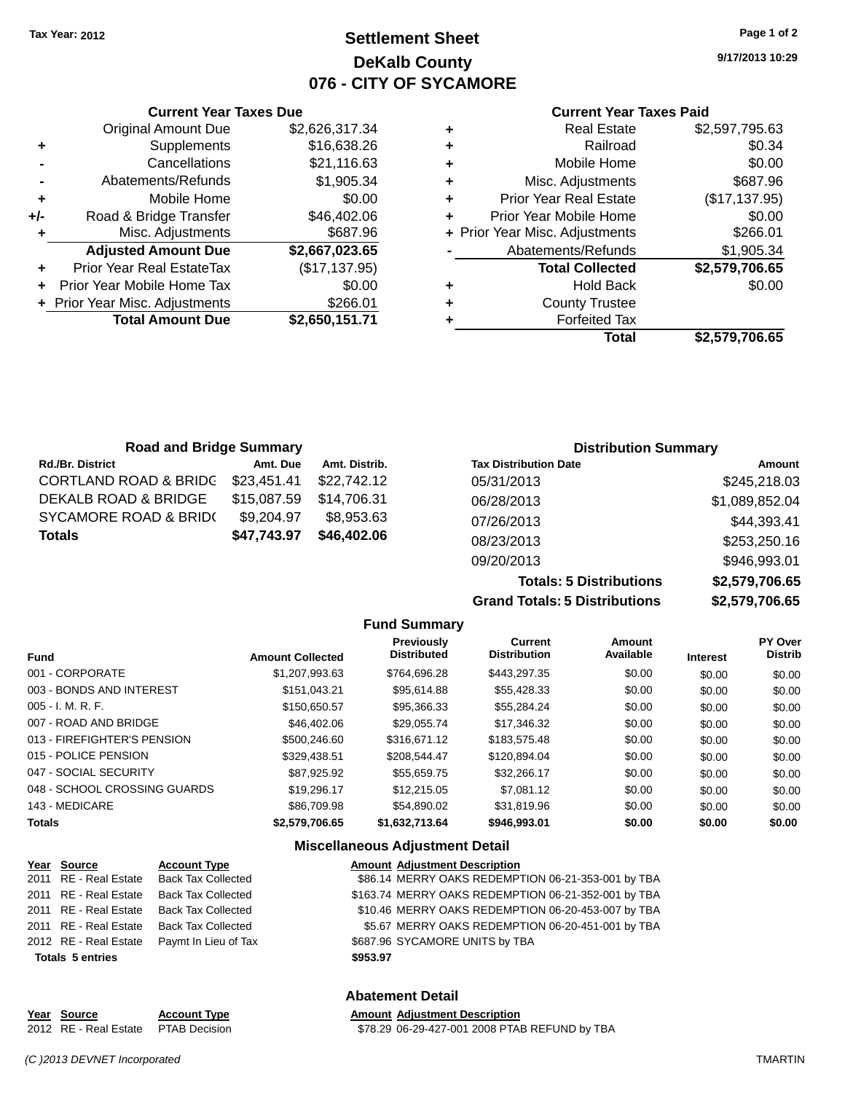**Current Year Taxes Due** Original Amount Due \$2,626,317.34

**Adjusted Amount Due \$2,667,023.65**

**Total Amount Due \$2,650,151.71**

**+** Supplements \$16,638.26 **-** Cancellations \$21,116.63 **-** Abatements/Refunds \$1,905.34 **+** Mobile Home \$0.00 **+/-** Road & Bridge Transfer \$46,402.06 **+** Misc. Adjustments \$687.96

**+** Prior Year Real EstateTax (\$17,137.95) **+** Prior Year Mobile Home Tax \$0.00 **+** Prior Year Misc. Adjustments \$266.01

### **Settlement Sheet Tax Year: 2012 Page 1 of 2 DeKalb County 076 - CITY OF SYCAMORE**

**9/17/2013 10:29**

#### **Current Year Taxes Paid**

| <b>Road and Bridge Summary</b>   |             |               |                              | <b>Distribution Summary</b> |
|----------------------------------|-------------|---------------|------------------------------|-----------------------------|
| <b>Rd./Br. District</b>          | Amt. Due    | Amt. Distrib. | <b>Tax Distribution Date</b> | Amount                      |
| <b>CORTLAND ROAD &amp; BRIDG</b> | \$23,451.41 | \$22,742.12   | 05/31/2013                   | \$245,218.03                |
| DEKALB ROAD & BRIDGE             | \$15,087.59 | \$14.706.31   | 06/28/2013                   | \$1,089,852.04              |
| SYCAMORE ROAD & BRID(            | \$9,204.97  | \$8.953.63    | 07/26/2013                   | \$44,393.41                 |
| <b>Totals</b>                    | \$47,743.97 | \$46,402.06   | 08/23/2013                   | \$253,250.16                |

**Grand Totals: 5 Distributions \$2,579,706.65**

09/20/2013 \$946,993.01

**Totals: 5 Distributions \$2,579,706.65**

|                              |                         | <b>Fund Summary</b>              |                                       |                     |                 |                           |
|------------------------------|-------------------------|----------------------------------|---------------------------------------|---------------------|-----------------|---------------------------|
| <b>Fund</b>                  | <b>Amount Collected</b> | Previously<br><b>Distributed</b> | <b>Current</b><br><b>Distribution</b> | Amount<br>Available | <b>Interest</b> | PY Over<br><b>Distrib</b> |
| 001 - CORPORATE              | \$1.207.993.63          | \$764.696.28                     | \$443.297.35                          | \$0.00              | \$0.00          | \$0.00                    |
| 003 - BONDS AND INTEREST     | \$151,043.21            | \$95.614.88                      | \$55,428.33                           | \$0.00              | \$0.00          | \$0.00                    |
| $005 - I. M. R. F.$          | \$150,650.57            | \$95,366.33                      | \$55.284.24                           | \$0.00              | \$0.00          | \$0.00                    |
| 007 - ROAD AND BRIDGE        | \$46,402.06             | \$29.055.74                      | \$17,346,32                           | \$0.00              | \$0.00          | \$0.00                    |
| 013 - FIREFIGHTER'S PENSION  | \$500,246.60            | \$316,671.12                     | \$183,575.48                          | \$0.00              | \$0.00          | \$0.00                    |
| 015 - POLICE PENSION         | \$329.438.51            | \$208.544.47                     | \$120,894.04                          | \$0.00              | \$0.00          | \$0.00                    |
| 047 - SOCIAL SECURITY        | \$87.925.92             | \$55.659.75                      | \$32,266.17                           | \$0.00              | \$0.00          | \$0.00                    |
| 048 - SCHOOL CROSSING GUARDS | \$19,296.17             | \$12,215,05                      | \$7.081.12                            | \$0.00              | \$0.00          | \$0.00                    |
| 143 - MEDICARE               | \$86,709.98             | \$54.890.02                      | \$31.819.96                           | \$0.00              | \$0.00          | \$0.00                    |
| <b>Totals</b>                | \$2,579,706.65          | \$1,632,713.64                   | \$946,993.01                          | \$0.00              | \$0.00          | \$0.00                    |

#### **Miscellaneous Adjustment Detail**

| Year Source             | <b>Account Type</b>       | <b>Amount Adjustment Description</b>                |
|-------------------------|---------------------------|-----------------------------------------------------|
| 2011 RE - Real Estate   | <b>Back Tax Collected</b> | \$86.14 MERRY OAKS REDEMPTION 06-21-353-001 by TBA  |
| 2011 RE - Real Estate   | <b>Back Tax Collected</b> | \$163.74 MERRY OAKS REDEMPTION 06-21-352-001 by TBA |
| 2011 RE - Real Estate   | <b>Back Tax Collected</b> | \$10.46 MERRY OAKS REDEMPTION 06-20-453-007 by TBA  |
| 2011 RE - Real Estate   | Back Tax Collected        | \$5.67 MERRY OAKS REDEMPTION 06-20-451-001 by TBA   |
| 2012 RE - Real Estate   | Paymt In Lieu of Tax      | \$687.96 SYCAMORE UNITS by TBA                      |
| <b>Totals 5 entries</b> |                           | \$953.97                                            |

#### **Abatement Detail**

| Year Source                         | <b>Account Type</b> | <b>Amount Adiustment Description</b>          |
|-------------------------------------|---------------------|-----------------------------------------------|
| 2012 RE - Real Estate PTAB Decision |                     | \$78.29 06-29-427-001 2008 PTAB REFUND by TBA |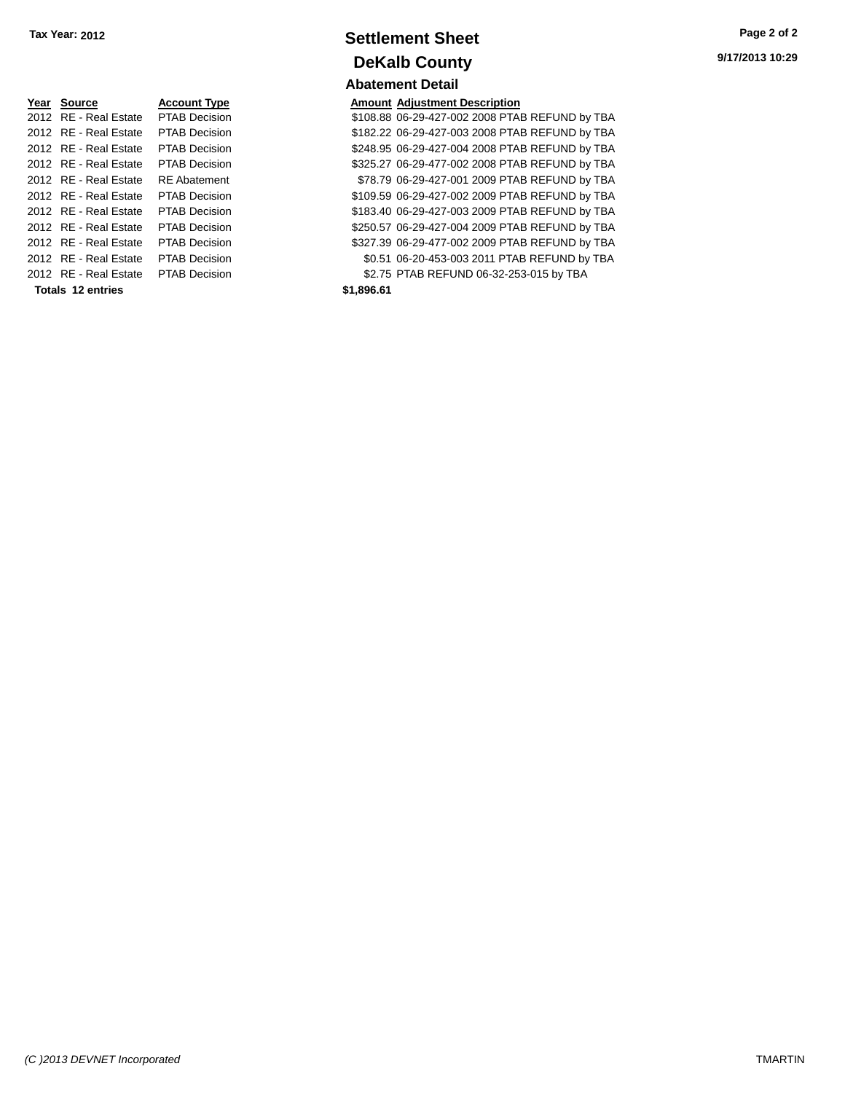| Year Source           | <b>Account Type</b>  | Amount     |
|-----------------------|----------------------|------------|
| 2012 RE - Real Estate | <b>PTAB Decision</b> | \$108.88   |
| 2012 RE - Real Estate | <b>PTAB Decision</b> | \$182.22   |
| 2012 RE - Real Estate | <b>PTAB Decision</b> | \$248.95   |
| 2012 RE - Real Estate | <b>PTAB Decision</b> | \$325.27   |
| 2012 RE - Real Estate | <b>RE</b> Abatement  | \$78.79    |
| 2012 RE - Real Estate | <b>PTAB Decision</b> | \$109.59   |
| 2012 RE - Real Estate | <b>PTAB Decision</b> | \$183.40   |
| 2012 RF - Real Estate | <b>PTAB Decision</b> | \$250.57   |
| 2012 RE - Real Estate | <b>PTAB Decision</b> | \$327.39   |
| 2012 RE - Real Estate | <b>PTAB Decision</b> | \$0.51     |
| 2012 RE - Real Estate | <b>PTAB Decision</b> | \$2.75     |
| Totals 12 entries     |                      | \$1,896.61 |

### **Settlement Sheet Tax Year: 2012 Page 2 of 2 DeKalb County Abatement Detail**

**Amount Adjustment Description** 

\$108.88 06-29-427-002 2008 PTAB REFUND by TBA \$182.22 06-29-427-003 2008 PTAB REFUND by TBA \$248.95 06-29-427-004 2008 PTAB REFUND by TBA \$325.27 06-29-477-002 2008 PTAB REFUND by TBA \$78.79 06-29-427-001 2009 PTAB REFUND by TBA \$109.59 06-29-427-002 2009 PTAB REFUND by TBA \$183.40 06-29-427-003 2009 PTAB REFUND by TBA \$250.57 06-29-427-004 2009 PTAB REFUND by TBA \$327.39 06-29-477-002 2009 PTAB REFUND by TBA \$0.51 06-20-453-003 2011 PTAB REFUND by TBA \$2.75 PTAB REFUND 06-32-253-015 by TBA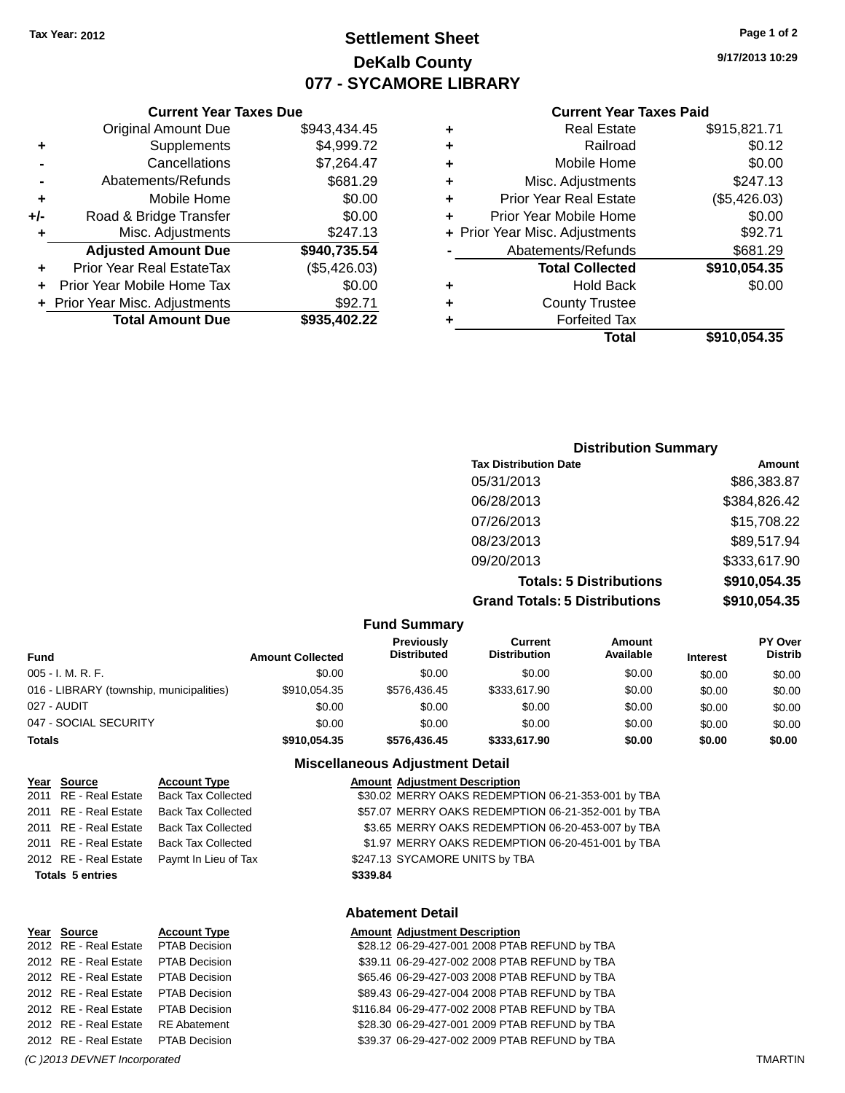### **Settlement Sheet Tax Year: 2012 Page 1 of 2 DeKalb County 077 - SYCAMORE LIBRARY**

**9/17/2013 10:29**

#### **Current Year Taxes Paid**

| ٠ | <b>Real Estate</b>             | \$915,821.71 |
|---|--------------------------------|--------------|
| ٠ | Railroad                       | \$0.12       |
| ٠ | Mobile Home                    | \$0.00       |
| ٠ | Misc. Adjustments              | \$247.13     |
| ٠ | <b>Prior Year Real Estate</b>  | (\$5,426.03) |
| ÷ | Prior Year Mobile Home         | \$0.00       |
|   | + Prior Year Misc. Adjustments | \$92.71      |
|   | Abatements/Refunds             | \$681.29     |
|   | <b>Total Collected</b>         | \$910,054.35 |
| ٠ | <b>Hold Back</b>               | \$0.00       |
| ٠ | <b>County Trustee</b>          |              |
|   | <b>Forfeited Tax</b>           |              |
|   | <b>Total</b>                   | \$910,054.35 |

#### **Current Year Taxes Due** Original Amount Due \$943,434.45 **+** Supplements \$4,999.72 **-** Cancellations \$7,264.47 **-** Abatements/Refunds \$681.29 **+** Mobile Home \$0.00 **+/-** Road & Bridge Transfer \$0.00 **+** Misc. Adjustments \$247.13 **Adjusted Amount Due \$940,735.54 +** Prior Year Real EstateTax (\$5,426.03) **+** Prior Year Mobile Home Tax \$0.00 **+** Prior Year Misc. Adjustments \$92.71 **Total Amount Due \$935,402.22**

### **Distribution Summary Tax Distribution Date Amount** 05/31/2013 \$86,383.87 06/28/2013 \$384,826.42 07/26/2013 \$15,708.22 08/23/2013 \$89,517.94 09/20/2013 \$333,617.90 **Totals: 5 Distributions \$910,054.35 Grand Totals: 5 Distributions \$910,054.35**

| <b>Fund Summary</b>                      |                         |                                  |                                |                     |                 |                                  |
|------------------------------------------|-------------------------|----------------------------------|--------------------------------|---------------------|-----------------|----------------------------------|
| Fund                                     | <b>Amount Collected</b> | Previously<br><b>Distributed</b> | Current<br><b>Distribution</b> | Amount<br>Available | <b>Interest</b> | <b>PY Over</b><br><b>Distrib</b> |
| $005 - I. M. R. F.$                      | \$0.00                  | \$0.00                           | \$0.00                         | \$0.00              | \$0.00          | \$0.00                           |
| 016 - LIBRARY (township, municipalities) | \$910.054.35            | \$576.436.45                     | \$333.617.90                   | \$0.00              | \$0.00          | \$0.00                           |
| 027 - AUDIT                              | \$0.00                  | \$0.00                           | \$0.00                         | \$0.00              | \$0.00          | \$0.00                           |
| 047 - SOCIAL SECURITY                    | \$0.00                  | \$0.00                           | \$0.00                         | \$0.00              | \$0.00          | \$0.00                           |
| <b>Totals</b>                            | \$910.054.35            | \$576,436.45                     | \$333,617.90                   | \$0.00              | \$0.00          | \$0.00                           |

#### **Miscellaneous Adjustment Detail**

| Year Source             | <b>Account Type</b>       |          | <b>Amount Adjustment Description</b>               |
|-------------------------|---------------------------|----------|----------------------------------------------------|
| 2011 RE - Real Estate   | Back Tax Collected        |          | \$30.02 MERRY OAKS REDEMPTION 06-21-353-001 by TBA |
| 2011 RE - Real Estate   | <b>Back Tax Collected</b> |          | \$57.07 MERRY OAKS REDEMPTION 06-21-352-001 by TBA |
| 2011 RE - Real Estate   | Back Tax Collected        |          | \$3.65 MERRY OAKS REDEMPTION 06-20-453-007 by TBA  |
| 2011 RE - Real Estate   | <b>Back Tax Collected</b> |          | \$1.97 MERRY OAKS REDEMPTION 06-20-451-001 by TBA  |
| 2012 RE - Real Estate   | Paymt In Lieu of Tax      |          | \$247.13 SYCAMORE UNITS by TBA                     |
| <b>Totals 5 entries</b> |                           | \$339.84 |                                                    |
|                         |                           |          |                                                    |

| Year Source           | <b>Account Type</b>  |
|-----------------------|----------------------|
| 2012 RE - Real Estate | <b>PTAB Decision</b> |
| 2012 RE - Real Estate | <b>PTAB Decision</b> |
| 2012 RE - Real Estate | <b>PTAB Decision</b> |
| 2012 RE - Real Estate | <b>PTAB Decision</b> |
| 2012 RE - Real Estate | <b>PTAB Decision</b> |
| 2012 RE - Real Estate | <b>RE</b> Abatement  |
| 2012 RE - Real Estate | <b>PTAB Decision</b> |
|                       |                      |

#### **Abatement Detail**

| Year Source           | <b>Account Type</b>  | <b>Amount Adjustment Description</b>           |
|-----------------------|----------------------|------------------------------------------------|
| 2012 RE - Real Estate | PTAB Decision        | \$28.12 06-29-427-001 2008 PTAB REFUND by TBA  |
| 2012 RE - Real Estate | PTAB Decision        | \$39.11 06-29-427-002 2008 PTAB REFUND by TBA  |
| 2012 RE - Real Estate | PTAB Decision        | \$65.46 06-29-427-003 2008 PTAB REFUND by TBA  |
| 2012 RE - Real Estate | PTAB Decision        | \$89.43 06-29-427-004 2008 PTAB REFUND by TBA  |
| 2012 RE - Real Estate | <b>PTAB Decision</b> | \$116.84 06-29-477-002 2008 PTAB REFUND by TBA |
| 2012 RE - Real Estate | RE Abatement         | \$28.30 06-29-427-001 2009 PTAB REFUND by TBA  |
| 2012 RE - Real Estate | <b>PTAB Decision</b> | \$39.37 06-29-427-002 2009 PTAB REFUND by TBA  |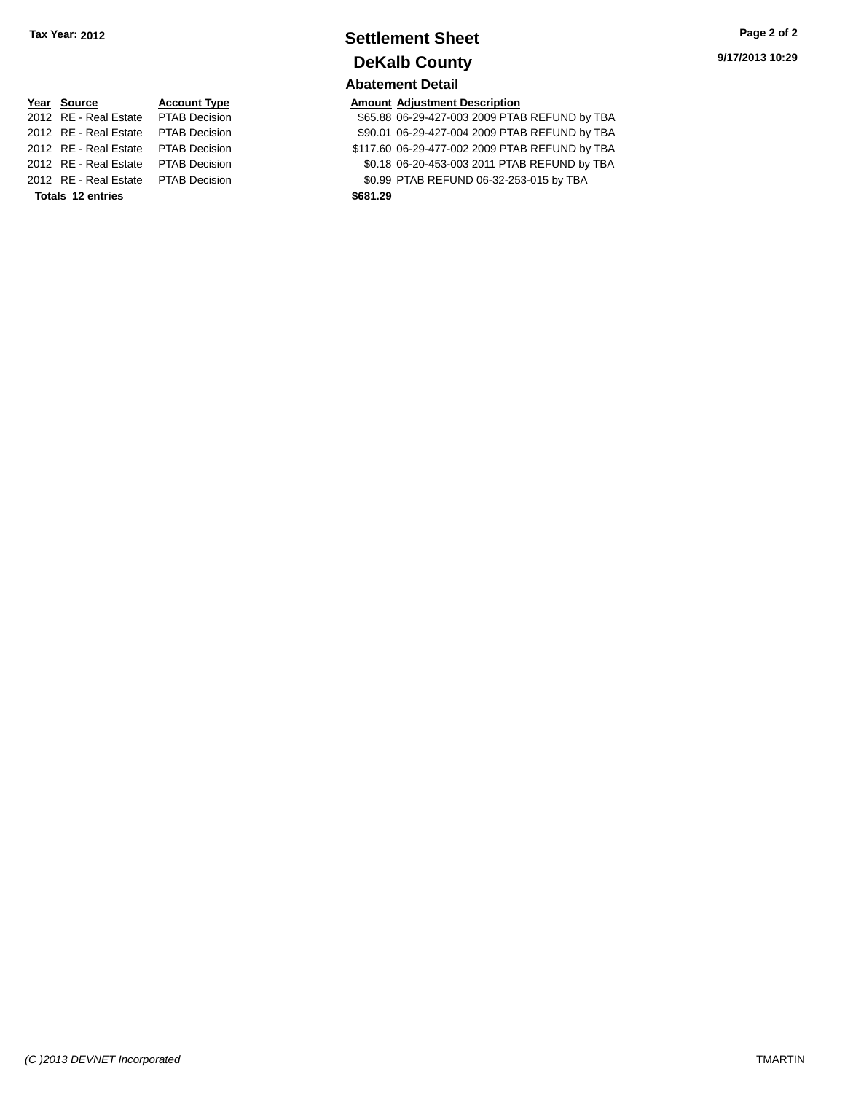## **Settlement Sheet Tax Year: 2012 Page 2 of 2 DeKalb County**

### **Abatement Detail**

\$65.88 06-29-427-003 2009 PTAB REFUND by TBA 2012 RE - Real Estate PTAB Decision \$90.01 06-29-427-004 2009 PTAB REFUND by TBA 2012 RE - Real Estate PTAB Decision \$117.60 06-29-477-002 2009 PTAB REFUND by TBA 2012 RE - Real Estate PTAB Decision \$0.18 06-20-453-003 2011 PTAB REFUND by TBA 2012 RE - Real Estate PTAB Decision \$0.99 PTAB REFUND 06-32-253-015 by TBA

# **<u>Year Source</u> <b>Account Type Amount Adjustment Description**<br>2012 RE - Real Estate PTAB Decision **Amount 1998** 865.88 06-29-427-003 2009 PTAI **Totals 12 entries \$681.29**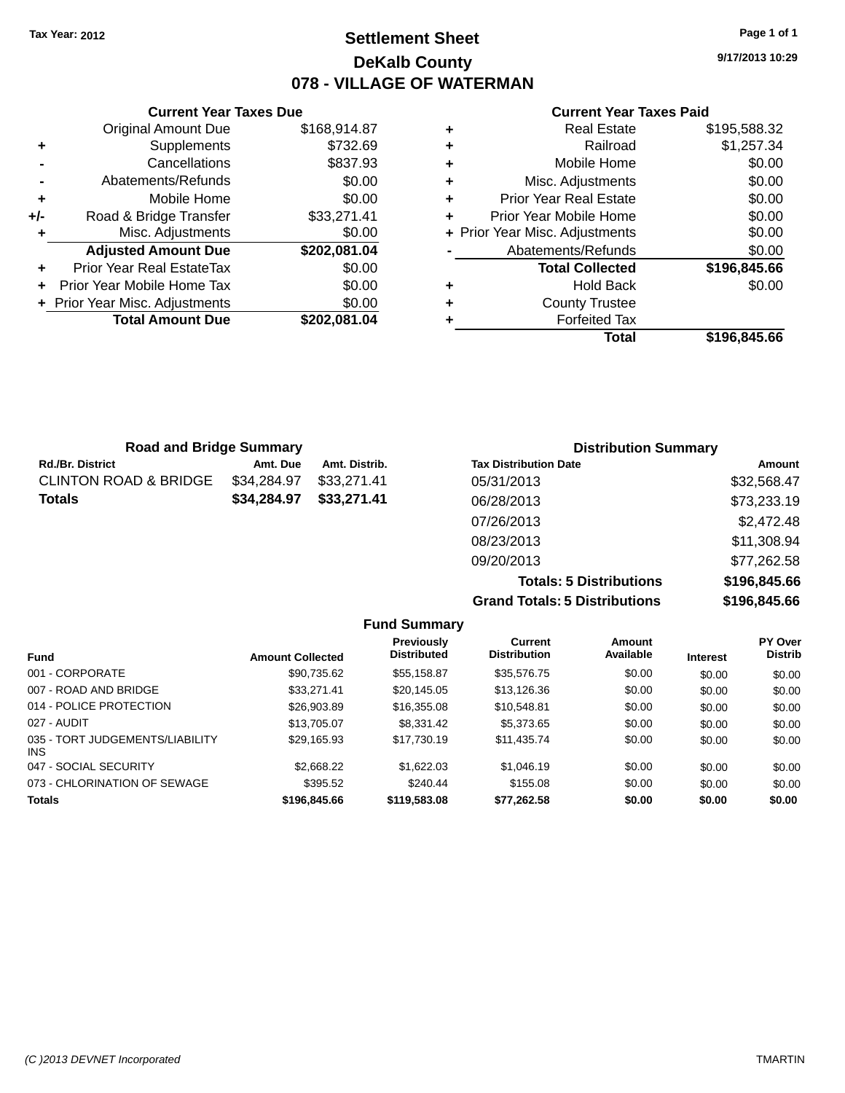### **Settlement Sheet Tax Year: 2012 Page 1 of 1 DeKalb County 078 - VILLAGE OF WATERMAN**

**9/17/2013 10:29**

#### **Current Year Taxes Paid**

|     | <b>Current Year Taxes Due</b>    |              |
|-----|----------------------------------|--------------|
|     | <b>Original Amount Due</b>       | \$168,914.87 |
| ٠   | Supplements                      | \$732.69     |
|     | Cancellations                    | \$837.93     |
|     | Abatements/Refunds               | \$0.00       |
| ٠   | Mobile Home                      | \$0.00       |
| +/- | Road & Bridge Transfer           | \$33,271.41  |
| ٠   | Misc. Adjustments                | \$0.00       |
|     | <b>Adjusted Amount Due</b>       | \$202,081.04 |
| ٠   | <b>Prior Year Real EstateTax</b> | \$0.00       |
| ÷   | Prior Year Mobile Home Tax       | \$0.00       |
|     | + Prior Year Misc. Adjustments   | \$0.00       |
|     | <b>Total Amount Due</b>          | \$202.081.04 |
|     |                                  |              |

|   | <b>Real Estate</b>             | \$195,588.32 |
|---|--------------------------------|--------------|
| ٠ | Railroad                       | \$1,257.34   |
| ٠ | Mobile Home                    | \$0.00       |
| ٠ | Misc. Adjustments              | \$0.00       |
| ٠ | Prior Year Real Estate         | \$0.00       |
| ٠ | Prior Year Mobile Home         | \$0.00       |
|   | + Prior Year Misc. Adjustments | \$0.00       |
|   | Abatements/Refunds             | \$0.00       |
|   | <b>Total Collected</b>         | \$196,845.66 |
| ٠ | Hold Back                      | \$0.00       |
| ٠ | <b>County Trustee</b>          |              |
|   | <b>Forfeited Tax</b>           |              |
|   | Total                          | \$196.845.66 |

| <b>Road and Bridge Summary</b> |             |               | <b>Distribution Summary</b>  |             |
|--------------------------------|-------------|---------------|------------------------------|-------------|
| Rd./Br. District               | Amt. Due    | Amt. Distrib. | <b>Tax Distribution Date</b> | Amount      |
| CLINTON ROAD & BRIDGE          | \$34.284.97 | \$33,271.41   | 05/31/2013                   | \$32,568.47 |
| Totals                         | \$34,284.97 | \$33,271.41   | 06/28/2013                   | \$73,233.19 |
|                                |             |               | 07/26/2013                   | \$2,472.48  |
|                                |             |               | 08/23/2013                   | \$11,308.94 |
|                                |             |               | 09/20/2013                   | \$77,262.58 |

**Totals: 5 Distributions \$196,845.66 Grand Totals: 5 Distributions \$196,845.66**

|                                         |                         | <b>Fund Summary</b>                     |                                       |                     |                 |                                  |
|-----------------------------------------|-------------------------|-----------------------------------------|---------------------------------------|---------------------|-----------------|----------------------------------|
| <b>Fund</b>                             | <b>Amount Collected</b> | <b>Previously</b><br><b>Distributed</b> | <b>Current</b><br><b>Distribution</b> | Amount<br>Available | <b>Interest</b> | <b>PY Over</b><br><b>Distrib</b> |
| 001 - CORPORATE                         | \$90,735.62             | \$55.158.87                             | \$35,576.75                           | \$0.00              | \$0.00          | \$0.00                           |
| 007 - ROAD AND BRIDGE                   | \$33,271.41             | \$20.145.05                             | \$13,126.36                           | \$0.00              | \$0.00          | \$0.00                           |
| 014 - POLICE PROTECTION                 | \$26,903.89             | \$16,355,08                             | \$10.548.81                           | \$0.00              | \$0.00          | \$0.00                           |
| 027 - AUDIT                             | \$13,705.07             | \$8,331.42                              | \$5,373,65                            | \$0.00              | \$0.00          | \$0.00                           |
| 035 - TORT JUDGEMENTS/LIABILITY<br>INS. | \$29,165.93             | \$17.730.19                             | \$11,435.74                           | \$0.00              | \$0.00          | \$0.00                           |
| 047 - SOCIAL SECURITY                   | \$2,668,22              | \$1.622.03                              | \$1.046.19                            | \$0.00              | \$0.00          | \$0.00                           |
| 073 - CHLORINATION OF SEWAGE            | \$395.52                | \$240.44                                | \$155.08                              | \$0.00              | \$0.00          | \$0.00                           |
| <b>Totals</b>                           | \$196,845,66            | \$119,583,08                            | \$77.262.58                           | \$0.00              | \$0.00          | \$0.00                           |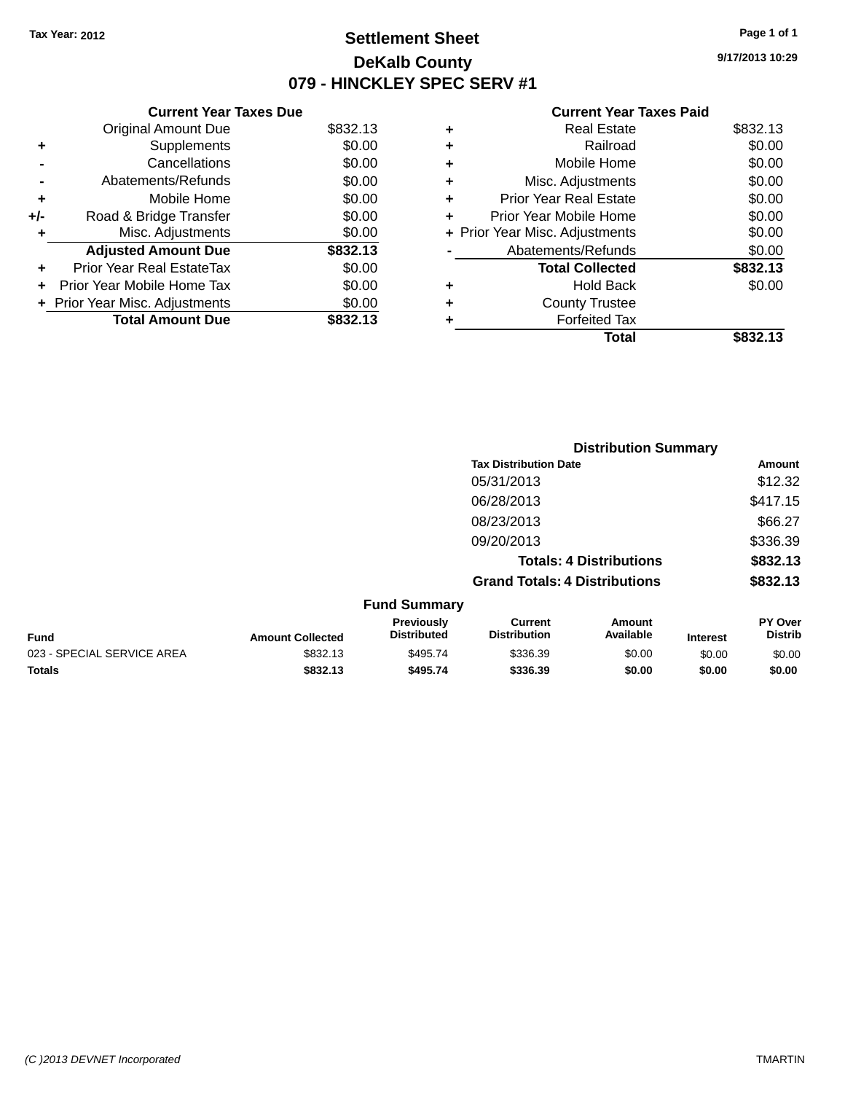### **Settlement Sheet Tax Year: 2012 Page 1 of 1 DeKalb County 079 - HINCKLEY SPEC SERV #1**

**9/17/2013 10:29**

| <b>Current Year Taxes Due</b> |                                |          |  |  |  |  |
|-------------------------------|--------------------------------|----------|--|--|--|--|
|                               | <b>Original Amount Due</b>     | \$832.13 |  |  |  |  |
| ٠                             | Supplements                    | \$0.00   |  |  |  |  |
|                               | Cancellations                  | \$0.00   |  |  |  |  |
|                               | Abatements/Refunds             | \$0.00   |  |  |  |  |
| ٠                             | Mobile Home                    | \$0.00   |  |  |  |  |
| +/-                           | Road & Bridge Transfer         | \$0.00   |  |  |  |  |
| ٠                             | Misc. Adjustments              | \$0.00   |  |  |  |  |
|                               | <b>Adjusted Amount Due</b>     | \$832.13 |  |  |  |  |
|                               | Prior Year Real EstateTax      | \$0.00   |  |  |  |  |
| ÷                             | Prior Year Mobile Home Tax     | \$0.00   |  |  |  |  |
|                               | + Prior Year Misc. Adjustments | \$0.00   |  |  |  |  |
|                               | <b>Total Amount Due</b>        | \$832.13 |  |  |  |  |

| ٠ | <b>Real Estate</b>             | \$832.13 |
|---|--------------------------------|----------|
| ٠ | Railroad                       | \$0.00   |
| ٠ | Mobile Home                    | \$0.00   |
| ٠ | Misc. Adjustments              | \$0.00   |
| ٠ | <b>Prior Year Real Estate</b>  | \$0.00   |
| ÷ | Prior Year Mobile Home         | \$0.00   |
|   | + Prior Year Misc. Adjustments | \$0.00   |
|   | Abatements/Refunds             | \$0.00   |
|   | <b>Total Collected</b>         | \$832.13 |
| ٠ | Hold Back                      | \$0.00   |
| ٠ | <b>County Trustee</b>          |          |
| ٠ | <b>Forfeited Tax</b>           |          |
|   | Total                          | \$832.13 |
|   |                                |          |

|                            |                         |                                         | <b>Distribution Summary</b>           |                                |                 |                           |
|----------------------------|-------------------------|-----------------------------------------|---------------------------------------|--------------------------------|-----------------|---------------------------|
|                            |                         |                                         | <b>Tax Distribution Date</b>          |                                |                 | Amount                    |
|                            |                         |                                         | 05/31/2013                            |                                |                 | \$12.32                   |
|                            |                         |                                         | 06/28/2013                            |                                |                 | \$417.15                  |
|                            |                         |                                         | 08/23/2013                            |                                |                 | \$66.27                   |
|                            |                         |                                         | 09/20/2013                            |                                |                 | \$336.39                  |
|                            |                         |                                         |                                       | <b>Totals: 4 Distributions</b> |                 | \$832.13                  |
|                            |                         |                                         | <b>Grand Totals: 4 Distributions</b>  |                                |                 | \$832.13                  |
|                            |                         | <b>Fund Summary</b>                     |                                       |                                |                 |                           |
| <b>Fund</b>                | <b>Amount Collected</b> | <b>Previously</b><br><b>Distributed</b> | <b>Current</b><br><b>Distribution</b> | Amount<br>Available            | <b>Interest</b> | PY Over<br><b>Distrib</b> |
| 023 - SPECIAL SERVICE AREA | \$832.13                | \$495.74                                | \$336.39                              | \$0.00                         | \$0.00          | \$0.00                    |
| <b>Totals</b>              | \$832.13                | \$495.74                                | \$336.39                              | \$0.00                         | \$0.00          | \$0.00                    |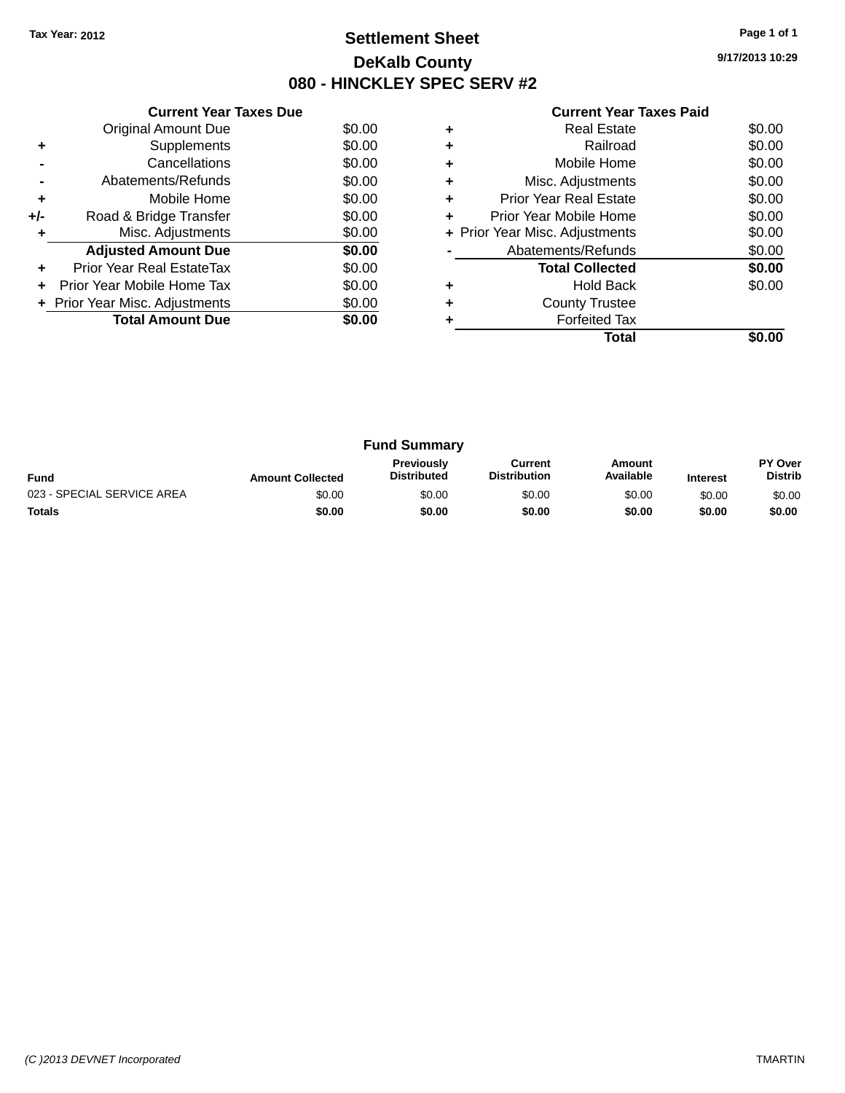### **Settlement Sheet Tax Year: 2012 Page 1 of 1 DeKalb County 080 - HINCKLEY SPEC SERV #2**

**9/17/2013 10:29**

|     | <b>Current Year Taxes Due</b>  |        |
|-----|--------------------------------|--------|
|     | <b>Original Amount Due</b>     | \$0.00 |
| ٠   | Supplements                    | \$0.00 |
|     | Cancellations                  | \$0.00 |
|     | Abatements/Refunds             | \$0.00 |
| ٠   | Mobile Home                    | \$0.00 |
| +/- | Road & Bridge Transfer         | \$0.00 |
| ٠   | Misc. Adjustments              | \$0.00 |
|     | <b>Adjusted Amount Due</b>     | \$0.00 |
| ٠   | Prior Year Real EstateTax      | \$0.00 |
| ÷   | Prior Year Mobile Home Tax     | \$0.00 |
|     | + Prior Year Misc. Adjustments | \$0.00 |
|     | <b>Total Amount Due</b>        | \$0.00 |
|     |                                |        |

|   | <b>Real Estate</b>             | \$0.00 |
|---|--------------------------------|--------|
| ٠ | Railroad                       | \$0.00 |
| ٠ | Mobile Home                    | \$0.00 |
| ٠ | Misc. Adjustments              | \$0.00 |
| ٠ | <b>Prior Year Real Estate</b>  | \$0.00 |
| ÷ | Prior Year Mobile Home         | \$0.00 |
|   | + Prior Year Misc. Adjustments | \$0.00 |
|   | Abatements/Refunds             | \$0.00 |
|   | <b>Total Collected</b>         | \$0.00 |
| ٠ | <b>Hold Back</b>               | \$0.00 |
| ٠ | <b>County Trustee</b>          |        |
|   | <b>Forfeited Tax</b>           |        |
|   | Total                          |        |

| <b>Fund Summary</b>        |                         |                                         |                                |                     |                 |                           |
|----------------------------|-------------------------|-----------------------------------------|--------------------------------|---------------------|-----------------|---------------------------|
| <b>Fund</b>                | <b>Amount Collected</b> | <b>Previously</b><br><b>Distributed</b> | Current<br><b>Distribution</b> | Amount<br>Available | <b>Interest</b> | PY Over<br><b>Distrib</b> |
| 023 - SPECIAL SERVICE AREA | \$0.00                  | \$0.00                                  | \$0.00                         | \$0.00              | \$0.00          | \$0.00                    |
| <b>Totals</b>              | \$0.00                  | \$0.00                                  | \$0.00                         | \$0.00              | \$0.00          | \$0.00                    |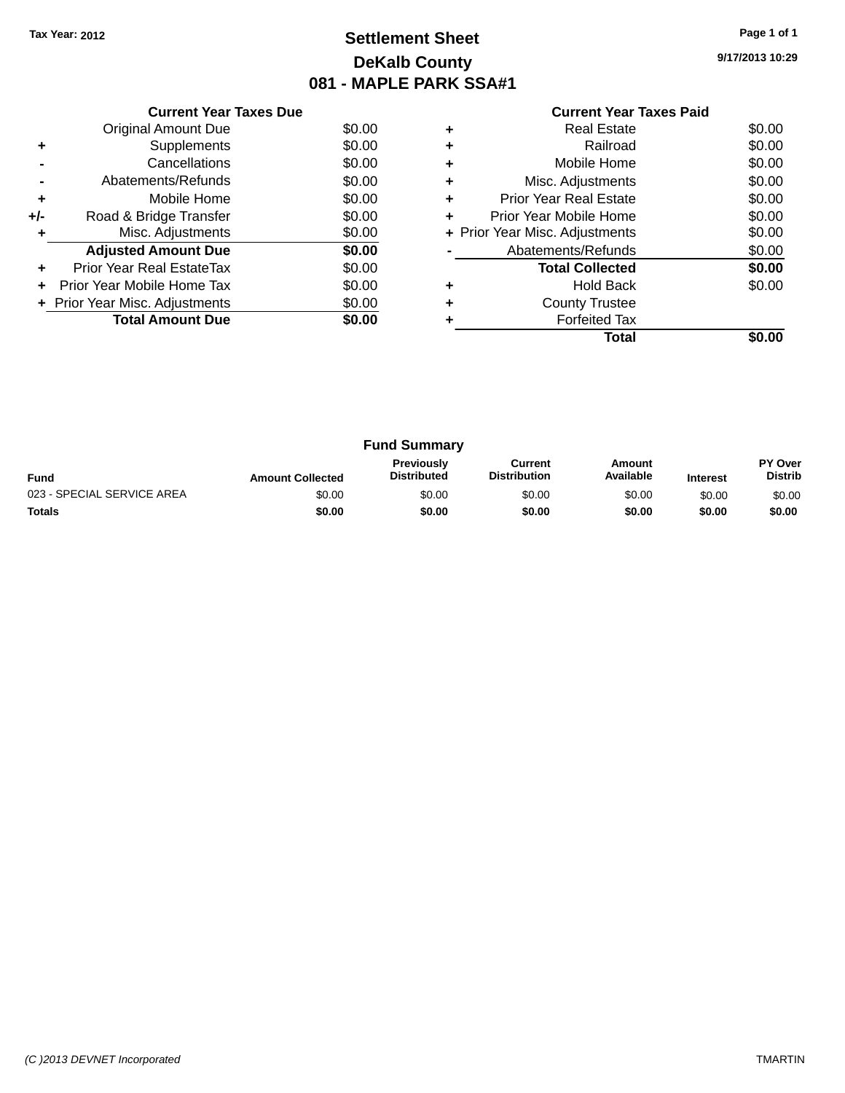### **Settlement Sheet Tax Year: 2012 Page 1 of 1 DeKalb County 081 - MAPLE PARK SSA#1**

**9/17/2013 10:29**

|     | <b>Current Year Taxes Due</b>        |        |  |  |  |  |  |
|-----|--------------------------------------|--------|--|--|--|--|--|
|     | <b>Original Amount Due</b><br>\$0.00 |        |  |  |  |  |  |
| ٠   | Supplements                          | \$0.00 |  |  |  |  |  |
|     | Cancellations                        | \$0.00 |  |  |  |  |  |
|     | Abatements/Refunds                   |        |  |  |  |  |  |
| ٠   | Mobile Home                          | \$0.00 |  |  |  |  |  |
| +/- | Road & Bridge Transfer               | \$0.00 |  |  |  |  |  |
|     | Misc. Adjustments                    | \$0.00 |  |  |  |  |  |
|     | <b>Adjusted Amount Due</b>           | \$0.00 |  |  |  |  |  |
|     | Prior Year Real EstateTax            | \$0.00 |  |  |  |  |  |
|     | Prior Year Mobile Home Tax           | \$0.00 |  |  |  |  |  |
|     | + Prior Year Misc. Adjustments       | \$0.00 |  |  |  |  |  |
|     | <b>Total Amount Due</b>              | \$0.00 |  |  |  |  |  |
|     |                                      |        |  |  |  |  |  |

|   | Total                          |        |
|---|--------------------------------|--------|
|   | <b>Forfeited Tax</b>           |        |
| ٠ | <b>County Trustee</b>          |        |
| ٠ | <b>Hold Back</b>               | \$0.00 |
|   | <b>Total Collected</b>         | \$0.00 |
|   | Abatements/Refunds             | \$0.00 |
|   | + Prior Year Misc. Adjustments | \$0.00 |
| ٠ | Prior Year Mobile Home         | \$0.00 |
| ٠ | Prior Year Real Estate         | \$0.00 |
| ٠ | Misc. Adjustments              | \$0.00 |
| ٠ | Mobile Home                    | \$0.00 |
| ÷ | Railroad                       | \$0.00 |
| ٠ | <b>Real Estate</b>             | \$0.00 |

| <b>Fund Summary</b>        |                         |                                         |                                |                     |                 |                           |
|----------------------------|-------------------------|-----------------------------------------|--------------------------------|---------------------|-----------------|---------------------------|
| <b>Fund</b>                | <b>Amount Collected</b> | <b>Previously</b><br><b>Distributed</b> | Current<br><b>Distribution</b> | Amount<br>Available | <b>Interest</b> | PY Over<br><b>Distrib</b> |
| 023 - SPECIAL SERVICE AREA | \$0.00                  | \$0.00                                  | \$0.00                         | \$0.00              | \$0.00          | \$0.00                    |
| <b>Totals</b>              | \$0.00                  | \$0.00                                  | \$0.00                         | \$0.00              | \$0.00          | \$0.00                    |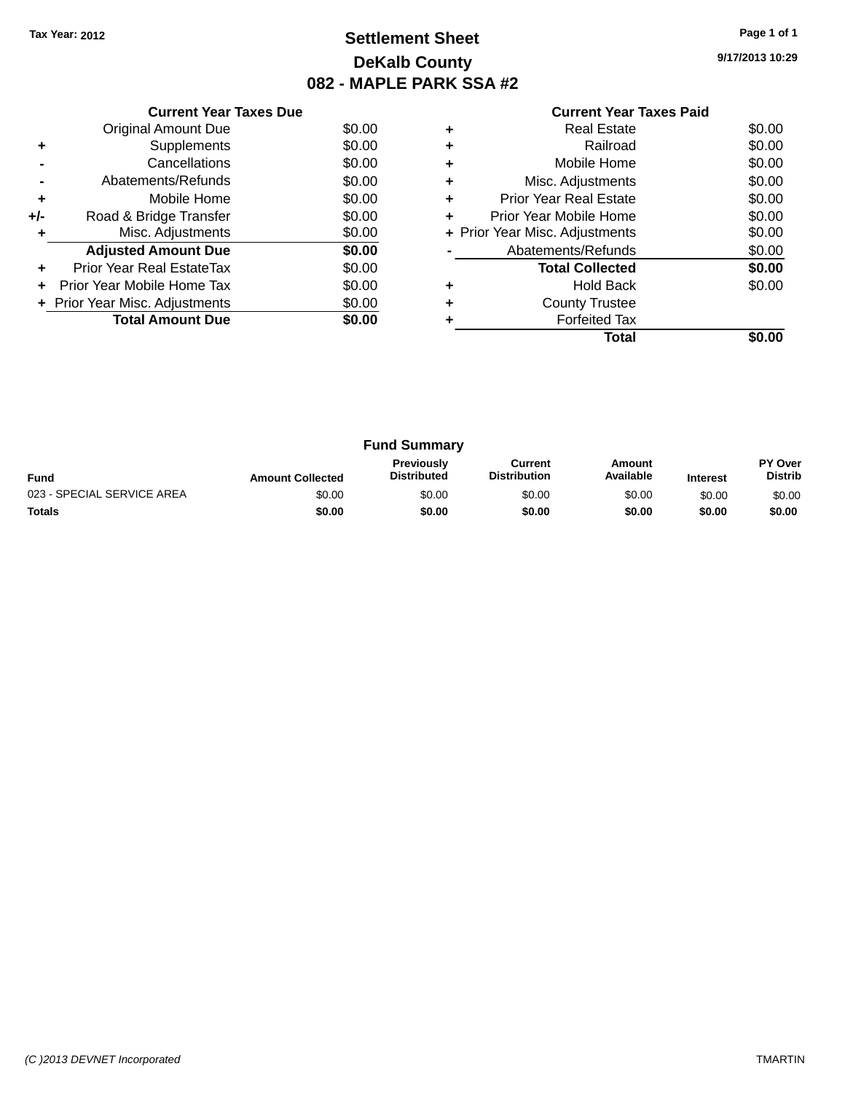### **Settlement Sheet Tax Year: 2012 Page 1 of 1 DeKalb County 082 - MAPLE PARK SSA #2**

**9/17/2013 10:29**

|     | <b>Current Year Taxes Due</b>  |        |
|-----|--------------------------------|--------|
|     | <b>Original Amount Due</b>     | \$0.00 |
| ٠   | Supplements                    | \$0.00 |
|     | Cancellations                  | \$0.00 |
|     | Abatements/Refunds             | \$0.00 |
| ٠   | Mobile Home                    | \$0.00 |
| +/- | Road & Bridge Transfer         | \$0.00 |
| ٠   | Misc. Adjustments              | \$0.00 |
|     | <b>Adjusted Amount Due</b>     | \$0.00 |
| ٠   | Prior Year Real EstateTax      | \$0.00 |
| ÷   | Prior Year Mobile Home Tax     | \$0.00 |
|     | + Prior Year Misc. Adjustments | \$0.00 |
|     | <b>Total Amount Due</b>        | \$0.00 |
|     |                                |        |

|   | Total                          |        |
|---|--------------------------------|--------|
|   | <b>Forfeited Tax</b>           |        |
|   | <b>County Trustee</b>          |        |
|   | <b>Hold Back</b>               | \$0.00 |
|   | <b>Total Collected</b>         | \$0.00 |
|   | Abatements/Refunds             | \$0.00 |
|   | + Prior Year Misc. Adjustments | \$0.00 |
|   | Prior Year Mobile Home         | \$0.00 |
| ٠ | Prior Year Real Estate         | \$0.00 |
| ٠ | Misc. Adjustments              | \$0.00 |
| ٠ | Mobile Home                    | \$0.00 |
|   | Railroad                       | \$0.00 |
|   | <b>Real Estate</b>             | \$0.00 |

| <b>Fund Summary</b>        |                         |                                         |                                |                     |                 |                           |
|----------------------------|-------------------------|-----------------------------------------|--------------------------------|---------------------|-----------------|---------------------------|
| <b>Fund</b>                | <b>Amount Collected</b> | <b>Previously</b><br><b>Distributed</b> | Current<br><b>Distribution</b> | Amount<br>Available | <b>Interest</b> | PY Over<br><b>Distrib</b> |
| 023 - SPECIAL SERVICE AREA | \$0.00                  | \$0.00                                  | \$0.00                         | \$0.00              | \$0.00          | \$0.00                    |
| <b>Totals</b>              | \$0.00                  | \$0.00                                  | \$0.00                         | \$0.00              | \$0.00          | \$0.00                    |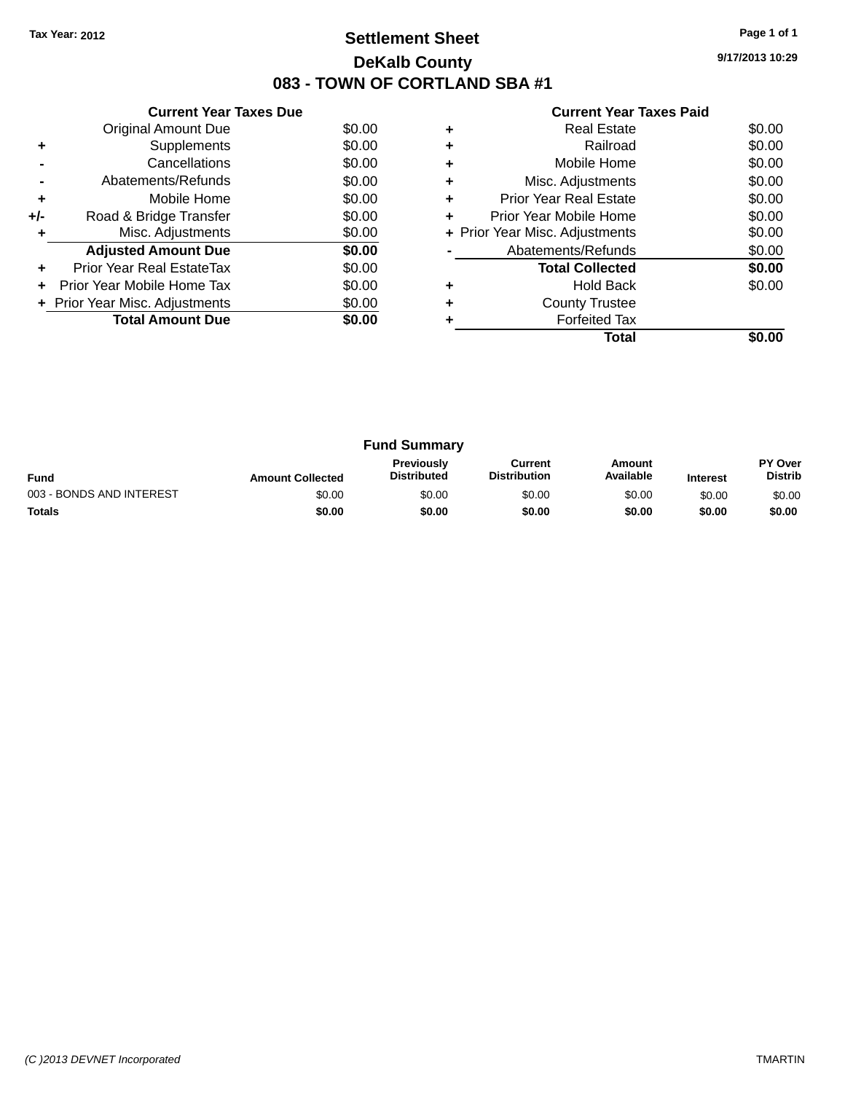### **Settlement Sheet Tax Year: 2012 Page 1 of 1 DeKalb County 083 - TOWN OF CORTLAND SBA #1**

**9/17/2013 10:29**

| <b>Current Year Taxes Paid</b> |  |  |
|--------------------------------|--|--|
|                                |  |  |

|     | <b>Current Year Taxes Due</b>  |        |  |  |  |  |  |
|-----|--------------------------------|--------|--|--|--|--|--|
|     | Original Amount Due            | \$0.00 |  |  |  |  |  |
| ٠   | Supplements                    | \$0.00 |  |  |  |  |  |
|     | Cancellations                  | \$0.00 |  |  |  |  |  |
|     | Abatements/Refunds             | \$0.00 |  |  |  |  |  |
| ÷   | Mobile Home                    | \$0.00 |  |  |  |  |  |
| +/- | Road & Bridge Transfer         | \$0.00 |  |  |  |  |  |
| ٠   | Misc. Adjustments              | \$0.00 |  |  |  |  |  |
|     | <b>Adjusted Amount Due</b>     | \$0.00 |  |  |  |  |  |
| ٠   | Prior Year Real EstateTax      | \$0.00 |  |  |  |  |  |
|     | Prior Year Mobile Home Tax     | \$0.00 |  |  |  |  |  |
|     | + Prior Year Misc. Adjustments | \$0.00 |  |  |  |  |  |
|     | <b>Total Amount Due</b>        | \$0.00 |  |  |  |  |  |
|     |                                |        |  |  |  |  |  |

|   | Real Estate                    | \$0.00 |
|---|--------------------------------|--------|
| ٠ | Railroad                       | \$0.00 |
| ٠ | Mobile Home                    | \$0.00 |
| ٠ | Misc. Adjustments              | \$0.00 |
| ٠ | <b>Prior Year Real Estate</b>  | \$0.00 |
| ÷ | Prior Year Mobile Home         | \$0.00 |
|   | + Prior Year Misc. Adjustments | \$0.00 |
|   | Abatements/Refunds             | \$0.00 |
|   | <b>Total Collected</b>         | \$0.00 |
|   | <b>Hold Back</b>               | \$0.00 |
| ÷ | <b>County Trustee</b>          |        |
|   | <b>Forfeited Tax</b>           |        |
|   | Total                          |        |

| <b>Fund Summary</b>      |                         |                                         |                                |                     |                 |                                  |
|--------------------------|-------------------------|-----------------------------------------|--------------------------------|---------------------|-----------------|----------------------------------|
| <b>Fund</b>              | <b>Amount Collected</b> | <b>Previously</b><br><b>Distributed</b> | Current<br><b>Distribution</b> | Amount<br>Available | <b>Interest</b> | <b>PY Over</b><br><b>Distrib</b> |
| 003 - BONDS AND INTEREST | \$0.00                  | \$0.00                                  | \$0.00                         | \$0.00              | \$0.00          | \$0.00                           |
| <b>Totals</b>            | \$0.00                  | \$0.00                                  | \$0.00                         | \$0.00              | \$0.00          | \$0.00                           |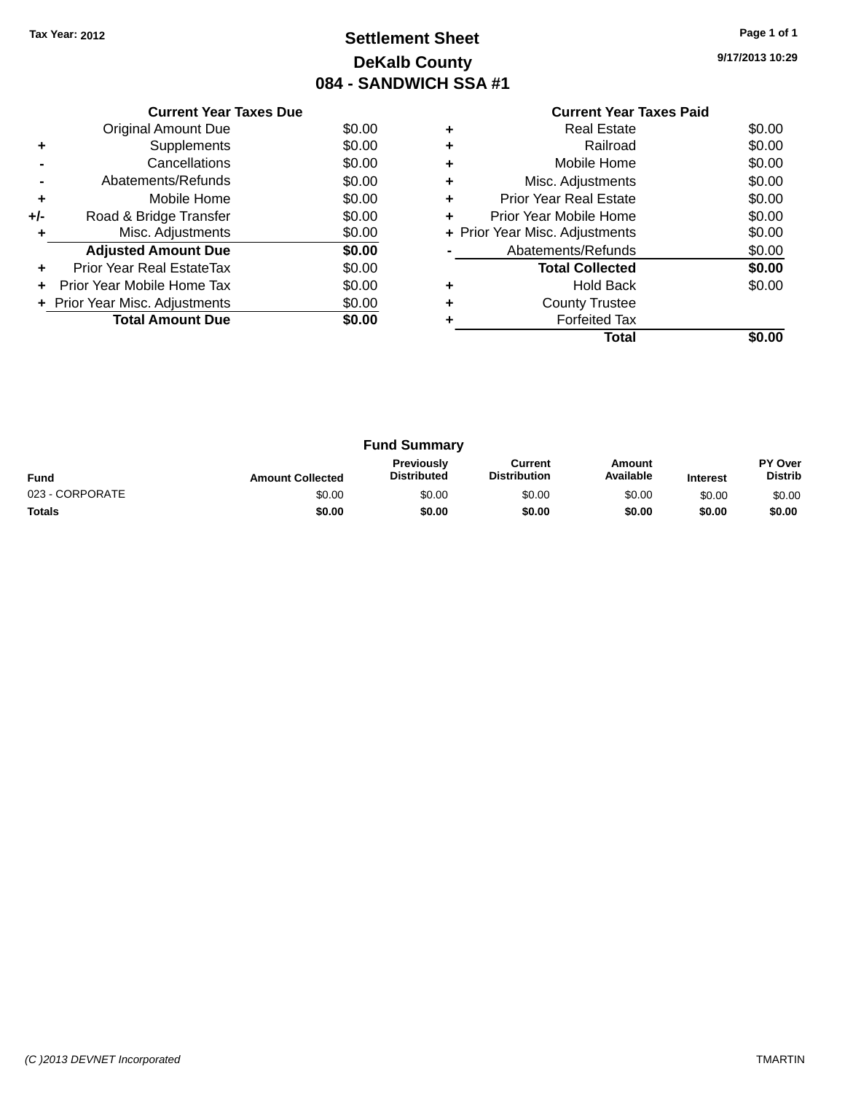### **Settlement Sheet Tax Year: 2012 Page 1 of 1 DeKalb County 084 - SANDWICH SSA #1**

**9/17/2013 10:29**

|     | <b>Current Year Taxes Due</b>  |        |
|-----|--------------------------------|--------|
|     | Original Amount Due            | \$0.00 |
|     | Supplements                    | \$0.00 |
|     | Cancellations                  | \$0.00 |
|     | Abatements/Refunds             | \$0.00 |
| ÷   | Mobile Home                    | \$0.00 |
| +/- | Road & Bridge Transfer         | \$0.00 |
|     | Misc. Adjustments              | \$0.00 |
|     | <b>Adjusted Amount Due</b>     | \$0.00 |
|     | Prior Year Real EstateTax      | \$0.00 |
|     | Prior Year Mobile Home Tax     | \$0.00 |
|     | + Prior Year Misc. Adjustments | \$0.00 |
|     | <b>Total Amount Due</b>        | \$0.00 |
|     |                                |        |

|   | Real Estate                    | \$0.00 |
|---|--------------------------------|--------|
|   | Railroad                       | \$0.00 |
| ٠ | Mobile Home                    | \$0.00 |
|   | Misc. Adjustments              | \$0.00 |
| ٠ | <b>Prior Year Real Estate</b>  | \$0.00 |
| ٠ | Prior Year Mobile Home         | \$0.00 |
|   | + Prior Year Misc. Adjustments | \$0.00 |
|   | Abatements/Refunds             | \$0.00 |
|   | <b>Total Collected</b>         | \$0.00 |
|   | <b>Hold Back</b>               | \$0.00 |
| ٠ | <b>County Trustee</b>          |        |
|   | <b>Forfeited Tax</b>           |        |
|   | Total                          |        |
|   |                                |        |

| <b>Fund Summary</b> |                         |                                  |                                |                     |                 |                           |
|---------------------|-------------------------|----------------------------------|--------------------------------|---------------------|-----------------|---------------------------|
| <b>Fund</b>         | <b>Amount Collected</b> | Previously<br><b>Distributed</b> | Current<br><b>Distribution</b> | Amount<br>Available | <b>Interest</b> | PY Over<br><b>Distrib</b> |
| 023 - CORPORATE     | \$0.00                  | \$0.00                           | \$0.00                         | \$0.00              | \$0.00          | \$0.00                    |
| Totals              | \$0.00                  | \$0.00                           | \$0.00                         | \$0.00              | \$0.00          | \$0.00                    |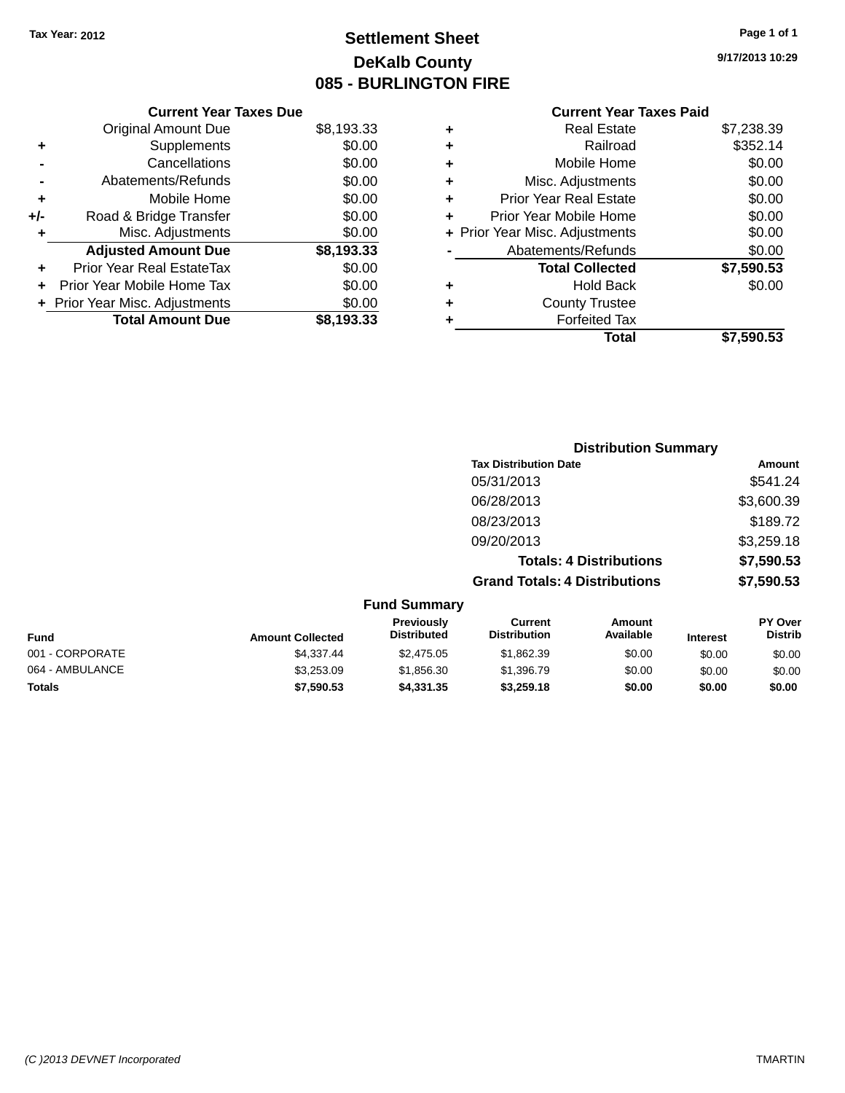### **Settlement Sheet Tax Year: 2012 Page 1 of 1 DeKalb County 085 - BURLINGTON FIRE**

**9/17/2013 10:29**

|     | <b>Current Year Taxes Due</b>  |            |
|-----|--------------------------------|------------|
|     | <b>Original Amount Due</b>     | \$8,193.33 |
| ٠   | Supplements                    | \$0.00     |
|     | Cancellations                  | \$0.00     |
|     | Abatements/Refunds             | \$0.00     |
| ٠   | Mobile Home                    | \$0.00     |
| +/- | Road & Bridge Transfer         | \$0.00     |
| ٠   | Misc. Adjustments              | \$0.00     |
|     | <b>Adjusted Amount Due</b>     | \$8,193.33 |
| ÷   | Prior Year Real EstateTax      | \$0.00     |
| ÷   | Prior Year Mobile Home Tax     | \$0.00     |
|     | + Prior Year Misc. Adjustments | \$0.00     |
|     | <b>Total Amount Due</b>        | \$8.193.33 |

| ٠ | <b>Real Estate</b>             | \$7,238.39 |
|---|--------------------------------|------------|
| ٠ | Railroad                       | \$352.14   |
| ٠ | Mobile Home                    | \$0.00     |
| ٠ | Misc. Adjustments              | \$0.00     |
| ٠ | <b>Prior Year Real Estate</b>  | \$0.00     |
| ÷ | Prior Year Mobile Home         | \$0.00     |
|   | + Prior Year Misc. Adjustments | \$0.00     |
|   | Abatements/Refunds             | \$0.00     |
|   | <b>Total Collected</b>         | \$7,590.53 |
| ٠ | Hold Back                      | \$0.00     |
|   | <b>County Trustee</b>          |            |
| ٠ | <b>Forfeited Tax</b>           |            |
|   | Total                          | \$7,590.53 |
|   |                                |            |

|                     | <b>Distribution Summary</b>          |            |
|---------------------|--------------------------------------|------------|
|                     | <b>Tax Distribution Date</b>         | Amount     |
|                     | 05/31/2013                           | \$541.24   |
|                     | 06/28/2013                           | \$3,600.39 |
|                     | 08/23/2013                           | \$189.72   |
|                     | 09/20/2013                           | \$3,259.18 |
|                     | <b>Totals: 4 Distributions</b>       | \$7,590.53 |
|                     | <b>Grand Totals: 4 Distributions</b> | \$7,590.53 |
| <b>Fund Summary</b> |                                      |            |

| <b>Amount Collected</b> | <b>Previously</b><br><b>Distributed</b> | Current<br><b>Distribution</b> | Amount<br>Available | <b>Interest</b> | <b>PY Over</b><br><b>Distrib</b> |
|-------------------------|-----------------------------------------|--------------------------------|---------------------|-----------------|----------------------------------|
| \$4.337.44              | \$2,475.05                              | \$1.862.39                     | \$0.00              | \$0.00          | \$0.00                           |
| \$3,253.09              | \$1,856.30                              | \$1,396.79                     | \$0.00              | \$0.00          | \$0.00                           |
| \$7,590.53              | \$4.331.35                              | \$3,259.18                     | \$0.00              | \$0.00          | \$0.00                           |
|                         |                                         |                                |                     |                 |                                  |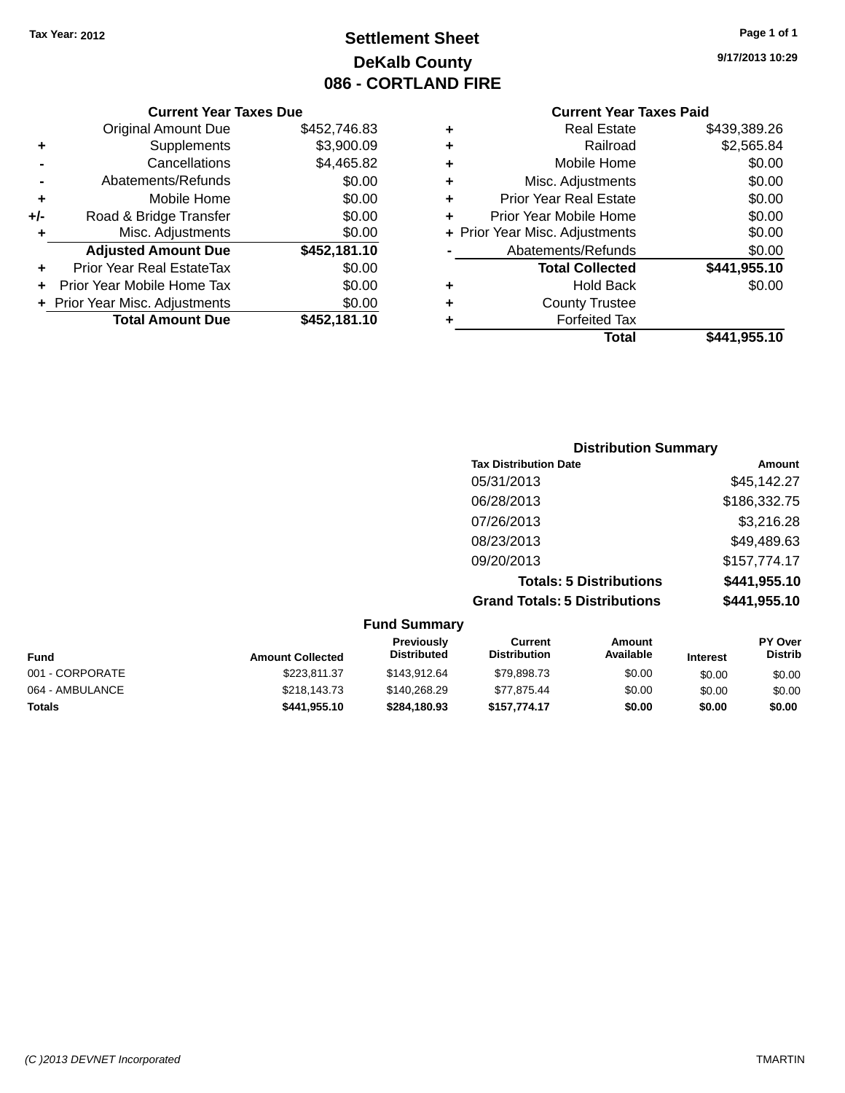### **Settlement Sheet Tax Year: 2012 Page 1 of 1 DeKalb County 086 - CORTLAND FIRE**

#### **9/17/2013 10:29**

|     | <b>Current Year Taxes Due</b> |              |  |
|-----|-------------------------------|--------------|--|
|     | <b>Original Amount Due</b>    | \$452,746.83 |  |
| ٠   | Supplements                   | \$3,900.09   |  |
|     | Cancellations                 | \$4,465.82   |  |
|     | Abatements/Refunds            | \$0.00       |  |
| ٠   | Mobile Home                   | \$0.00       |  |
| +/- | Road & Bridge Transfer        | \$0.00       |  |
| ٠   | Misc. Adjustments             | \$0.00       |  |
|     | <b>Adjusted Amount Due</b>    | \$452,181.10 |  |
| ٠   | Prior Year Real EstateTax     | \$0.00       |  |
| ÷   | Prior Year Mobile Home Tax    | \$0.00       |  |
|     | Prior Year Misc. Adjustments  | \$0.00       |  |
|     | <b>Total Amount Due</b>       | \$452,181.10 |  |
|     |                               |              |  |
|     |                               |              |  |

| ٠ | <b>Real Estate</b>             | \$439,389.26 |
|---|--------------------------------|--------------|
| ٠ | Railroad                       | \$2,565.84   |
| ٠ | Mobile Home                    | \$0.00       |
| ٠ | Misc. Adjustments              | \$0.00       |
| ٠ | <b>Prior Year Real Estate</b>  | \$0.00       |
| ÷ | Prior Year Mobile Home         | \$0.00       |
|   | + Prior Year Misc. Adjustments | \$0.00       |
|   | Abatements/Refunds             | \$0.00       |
|   | <b>Total Collected</b>         | \$441,955.10 |
| ٠ | <b>Hold Back</b>               | \$0.00       |
| ٠ | <b>County Trustee</b>          |              |
| ÷ | <b>Forfeited Tax</b>           |              |
|   | Total                          | \$441,955.10 |
|   |                                |              |

| <b>Distribution Summary</b>          |              |
|--------------------------------------|--------------|
| <b>Tax Distribution Date</b>         | Amount       |
| 05/31/2013                           | \$45,142.27  |
| 06/28/2013                           | \$186,332.75 |
| 07/26/2013                           | \$3,216.28   |
| 08/23/2013                           | \$49,489.63  |
| 09/20/2013                           | \$157,774.17 |
| <b>Totals: 5 Distributions</b>       | \$441,955.10 |
| <b>Grand Totals: 5 Distributions</b> | \$441,955.10 |

| <b>Fund Summary</b> |                         |                                         |                                |                     |                 |                           |
|---------------------|-------------------------|-----------------------------------------|--------------------------------|---------------------|-----------------|---------------------------|
| <b>Fund</b>         | <b>Amount Collected</b> | <b>Previously</b><br><b>Distributed</b> | Current<br><b>Distribution</b> | Amount<br>Available | <b>Interest</b> | PY Over<br><b>Distrib</b> |
| 001 - CORPORATE     | \$223.811.37            | \$143.912.64                            | \$79,898.73                    | \$0.00              | \$0.00          | \$0.00                    |
| 064 - AMBULANCE     | \$218,143.73            | \$140.268.29                            | \$77.875.44                    | \$0.00              | \$0.00          | \$0.00                    |
| <b>Totals</b>       | \$441,955.10            | \$284,180.93                            | \$157.774.17                   | \$0.00              | \$0.00          | \$0.00                    |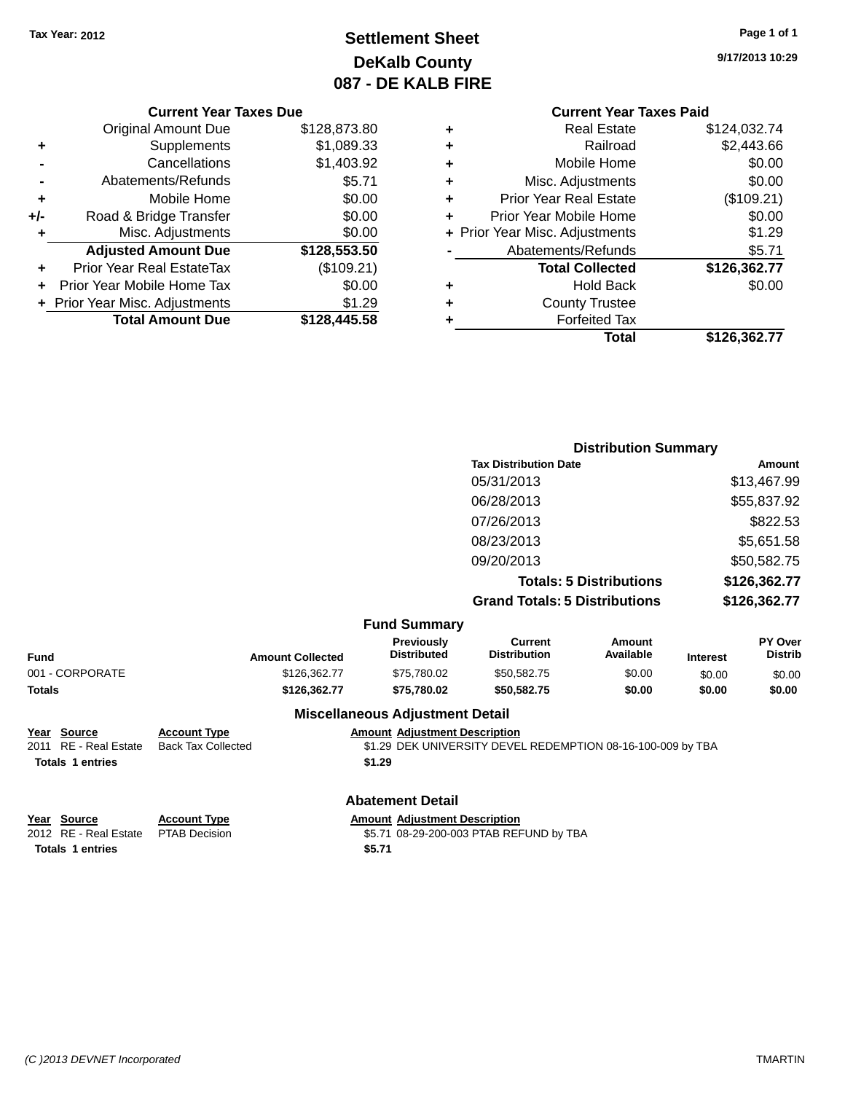### **Settlement Sheet Tax Year: 2012 Page 1 of 1 DeKalb County 087 - DE KALB FIRE**

**9/17/2013 10:29**

### **Current Year Taxes Paid**

|     | <b>Current Year Taxes Due</b>  |              |
|-----|--------------------------------|--------------|
|     | <b>Original Amount Due</b>     | \$128,873.80 |
| ٠   | Supplements                    | \$1,089.33   |
|     | Cancellations                  | \$1,403.92   |
|     | Abatements/Refunds             | \$5.71       |
| ٠   | Mobile Home                    | \$0.00       |
| +/- | Road & Bridge Transfer         | \$0.00       |
| ٠   | Misc. Adjustments              | \$0.00       |
|     | <b>Adjusted Amount Due</b>     | \$128,553.50 |
|     | Prior Year Real EstateTax      | (\$109.21)   |
|     | Prior Year Mobile Home Tax     | \$0.00       |
|     | + Prior Year Misc. Adjustments | \$1.29       |
|     | <b>Total Amount Due</b>        | \$128,445.58 |
|     |                                |              |

| ٠ | <b>Real Estate</b>             | \$124,032.74 |
|---|--------------------------------|--------------|
| ٠ | Railroad                       | \$2,443.66   |
| ٠ | Mobile Home                    | \$0.00       |
| ٠ | Misc. Adjustments              | \$0.00       |
| ٠ | <b>Prior Year Real Estate</b>  | (\$109.21)   |
|   | Prior Year Mobile Home         | \$0.00       |
|   | + Prior Year Misc. Adjustments | \$1.29       |
|   | Abatements/Refunds             | \$5.71       |
|   | <b>Total Collected</b>         | \$126,362.77 |
| ٠ | Hold Back                      | \$0.00       |
| ٠ | <b>County Trustee</b>          |              |
|   | <b>Forfeited Tax</b>           |              |
|   | Total                          | \$126,362.77 |
|   |                                |              |

|                                      | <b>Distribution Summary</b> |
|--------------------------------------|-----------------------------|
| <b>Tax Distribution Date</b>         | Amount                      |
| 05/31/2013                           | \$13,467.99                 |
| 06/28/2013                           | \$55,837.92                 |
| 07/26/2013                           | \$822.53                    |
| 08/23/2013                           | \$5,651.58                  |
| 09/20/2013                           | \$50,582.75                 |
| <b>Totals: 5 Distributions</b>       | \$126,362.77                |
| <b>Grand Totals: 5 Distributions</b> | \$126,362.77                |

|  | <b>Fund Summary</b> |
|--|---------------------|
|--|---------------------|

| Fund            | <b>Amount Collected</b> | <b>Previously</b><br><b>Distributed</b> | Current<br><b>Distribution</b> | Amount<br>Available | <b>Interest</b> | <b>PY Over</b><br><b>Distrib</b> |
|-----------------|-------------------------|-----------------------------------------|--------------------------------|---------------------|-----------------|----------------------------------|
| 001 - CORPORATE | \$126,362,77            | \$75.780.02                             | \$50.582.75                    | \$0.00              | \$0.00          | \$0.00                           |
| Totals          | \$126,362.77            | \$75.780.02                             | \$50.582.75                    | \$0.00              | \$0.00          | \$0.00                           |
|                 |                         | <b>Miscellaneous Adjustment Detail</b>  |                                |                     |                 |                                  |

## **Year Source Account Type Amount Adjustment Description**

\$1.29 DEK UNIVERSITY DEVEL REDEMPTION 08-16-100-009 by TBA **Totals 1 entries \$1.29**

#### **Abatement Detail**

**Totals 1 entries \$5.71**

**Year Source Account Type Amount Adjustment Description**<br>2012 RE - Real Estate PTAB Decision **Amount 1998-29-200-003 PTAB REF** \$5.71 08-29-200-003 PTAB REFUND by TBA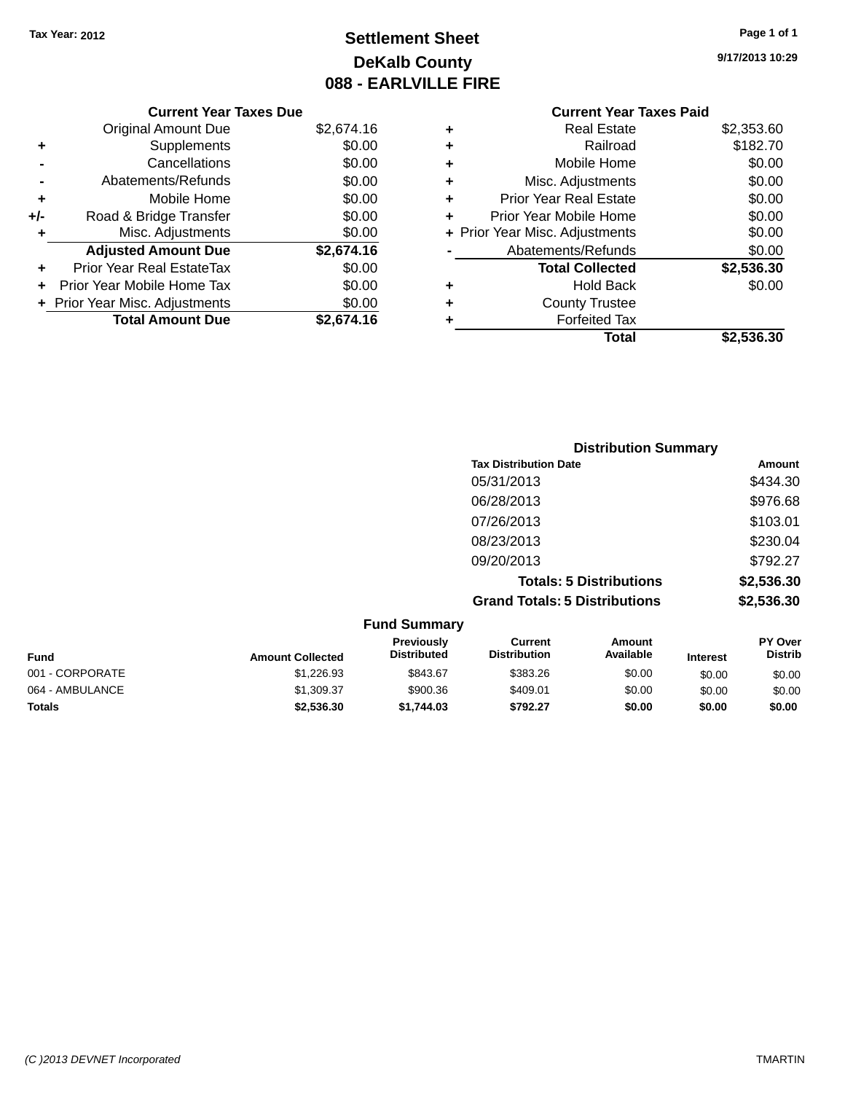### **Settlement Sheet Tax Year: 2012 Page 1 of 1 DeKalb County 088 - EARLVILLE FIRE**

**9/17/2013 10:29**

#### **Current Year Taxes Due** Original Amount Due \$2,674.16 **+** Supplements \$0.00 **-** Cancellations \$0.00 **-** Abatements/Refunds \$0.00 **+** Mobile Home \$0.00 **+/-** Road & Bridge Transfer \$0.00 **+** Misc. Adjustments \$0.00 **Adjusted Amount Due \$2,674.16 +** Prior Year Real EstateTax \$0.00 **+** Prior Year Mobile Home Tax \$0.00 **+** Prior Year Misc. Adjustments  $$0.00$ **Total Amount Due \$2,674.16 Current Year Taxes Paid +** Real Estate \$2,353.60 **+** Railroad \$182.70 **+** Mobile Home \$0.00 **+** Misc. Adjustments \$0.00 **+** Prior Year Real Estate \$0.00 **+** Prior Year Mobile Home \$0.00 **+** Prior Year Misc. Adjustments  $$0.00$ Abatements/Refunds \$0.00 **Total Collected \$2,536.30 +** Hold Back \$0.00 **+** County Trustee **+** Forfeited Tax **Total \$2,536.30**

|                 |                         |                                         |                                       | <b>Distribution Summary</b>    |                 |                                  |
|-----------------|-------------------------|-----------------------------------------|---------------------------------------|--------------------------------|-----------------|----------------------------------|
|                 |                         |                                         | <b>Tax Distribution Date</b>          |                                |                 | Amount                           |
|                 |                         |                                         | 05/31/2013                            |                                |                 | \$434.30                         |
|                 |                         |                                         | 06/28/2013                            |                                |                 | \$976.68                         |
|                 |                         |                                         | 07/26/2013                            |                                |                 | \$103.01                         |
|                 |                         |                                         | 08/23/2013                            |                                |                 | \$230.04                         |
|                 |                         |                                         | 09/20/2013                            |                                |                 | \$792.27                         |
|                 |                         |                                         |                                       | <b>Totals: 5 Distributions</b> |                 | \$2,536.30                       |
|                 |                         |                                         | <b>Grand Totals: 5 Distributions</b>  |                                |                 | \$2,536.30                       |
|                 |                         | <b>Fund Summary</b>                     |                                       |                                |                 |                                  |
| <b>Fund</b>     | <b>Amount Collected</b> | <b>Previously</b><br><b>Distributed</b> | <b>Current</b><br><b>Distribution</b> | <b>Amount</b><br>Available     | <b>Interest</b> | <b>PY Over</b><br><b>Distrib</b> |
| 001 - CORPORATE | \$1,226.93              | \$843.67                                | \$383.26                              | \$0.00                         | \$0.00          | \$0.00                           |

064 - AMBULANCE \$1,309.37 \$900.36 \$409.01 \$0.00 \$0.00 \$0.00 **Totals \$2,536.30 \$1,744.03 \$792.27 \$0.00 \$0.00 \$0.00**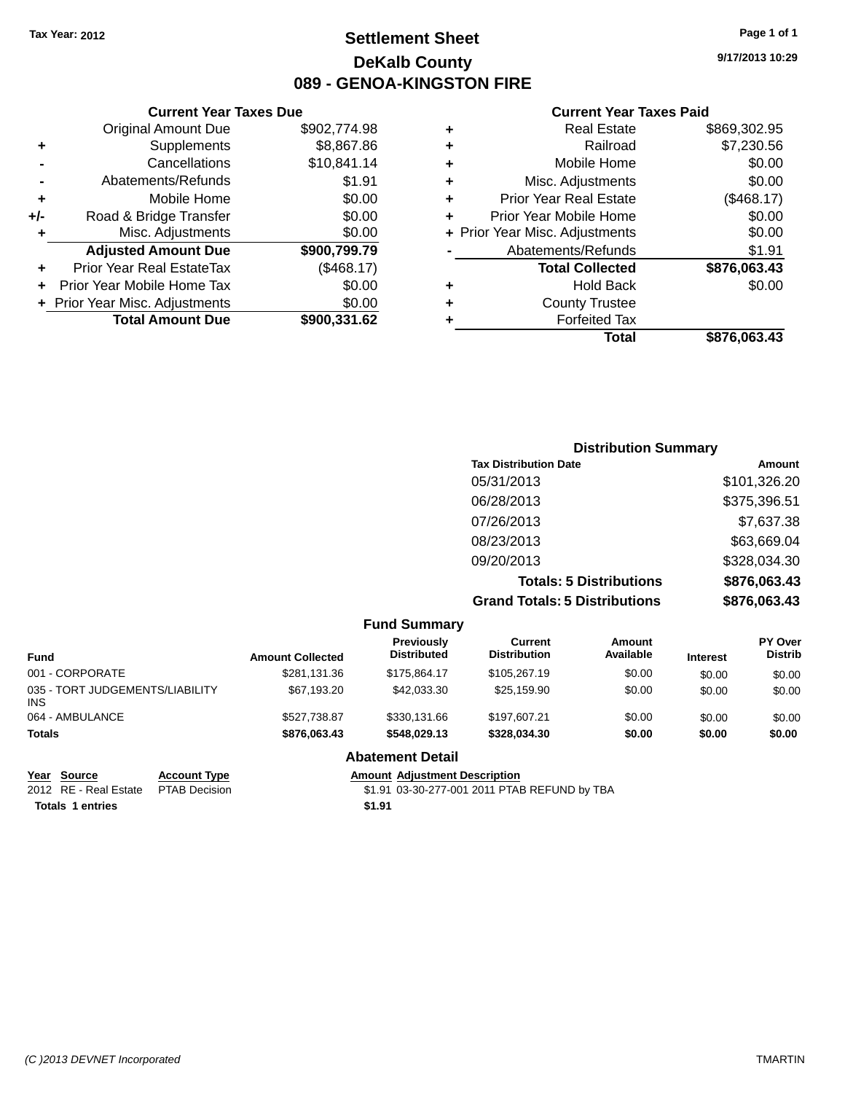### **Settlement Sheet Tax Year: 2012 Page 1 of 1 DeKalb County 089 - GENOA-KINGSTON FIRE**

**9/17/2013 10:29**

#### **Current Year Taxes Paid**

| <b>Real Estate</b>             | \$869,302.95 |
|--------------------------------|--------------|
| Railroad                       | \$7,230.56   |
| Mobile Home                    | \$0.00       |
| Misc. Adjustments              | \$0.00       |
| <b>Prior Year Real Estate</b>  | (\$468.17)   |
| Prior Year Mobile Home         | \$0.00       |
| + Prior Year Misc. Adjustments | \$0.00       |
| Abatements/Refunds             | \$1.91       |
| <b>Total Collected</b>         | \$876,063.43 |
| <b>Hold Back</b>               | \$0.00       |
| <b>County Trustee</b>          |              |
| <b>Forfeited Tax</b>           |              |
| Total                          | \$876.063.43 |
|                                |              |

| <b>Current Year Taxes Due</b>    |              |
|----------------------------------|--------------|
| <b>Original Amount Due</b>       | \$902,774.98 |
| Supplements                      | \$8,867.86   |
| Cancellations                    | \$10,841.14  |
| Abatements/Refunds               | \$1.91       |
| Mobile Home                      | \$0.00       |
| Road & Bridge Transfer           | \$0.00       |
| Misc. Adjustments                | \$0.00       |
| <b>Adjusted Amount Due</b>       | \$900,799.79 |
| <b>Prior Year Real EstateTax</b> | (\$468.17)   |
| Prior Year Mobile Home Tax       | \$0.00       |
| + Prior Year Misc. Adjustments   | \$0.00       |
| <b>Total Amount Due</b>          | \$900,331.62 |
|                                  |              |

| <b>Distribution Summary</b>          |              |
|--------------------------------------|--------------|
| <b>Tax Distribution Date</b>         | Amount       |
| 05/31/2013                           | \$101,326.20 |
| 06/28/2013                           | \$375,396.51 |
| 07/26/2013                           | \$7,637.38   |
| 08/23/2013                           | \$63,669.04  |
| 09/20/2013                           | \$328,034.30 |
| <b>Totals: 5 Distributions</b>       | \$876,063.43 |
| <b>Grand Totals: 5 Distributions</b> | \$876,063.43 |

|                                               |                         | <b>Fund Summary</b>              |                                       |                     |                 |                           |
|-----------------------------------------------|-------------------------|----------------------------------|---------------------------------------|---------------------|-----------------|---------------------------|
| <b>Fund</b>                                   | <b>Amount Collected</b> | Previously<br><b>Distributed</b> | <b>Current</b><br><b>Distribution</b> | Amount<br>Available | <b>Interest</b> | PY Over<br><b>Distrib</b> |
| 001 - CORPORATE                               | \$281,131.36            | \$175.864.17                     | \$105,267.19                          | \$0.00              | \$0.00          | \$0.00                    |
| 035 - TORT JUDGEMENTS/LIABILITY<br><b>INS</b> | \$67.193.20             | \$42,033,30                      | \$25.159.90                           | \$0.00              | \$0.00          | \$0.00                    |
| 064 - AMBULANCE                               | \$527.738.87            | \$330,131.66                     | \$197.607.21                          | \$0.00              | \$0.00          | \$0.00                    |
| <b>Totals</b>                                 | \$876,063.43            | \$548.029.13                     | \$328,034,30                          | \$0.00              | \$0.00          | \$0.00                    |
|                                               |                         | <b>Abatement Detail</b>          |                                       |                     |                 |                           |

**Year Source Account Type Amount Adjustment Description**<br>2012 RE - Real Estate PTAB Decision **Amount 1998** 1.91 03-30-277-001 2011 PTAE

**Totals 1 entries \$1.91**

\$1.91 03-30-277-001 2011 PTAB REFUND by TBA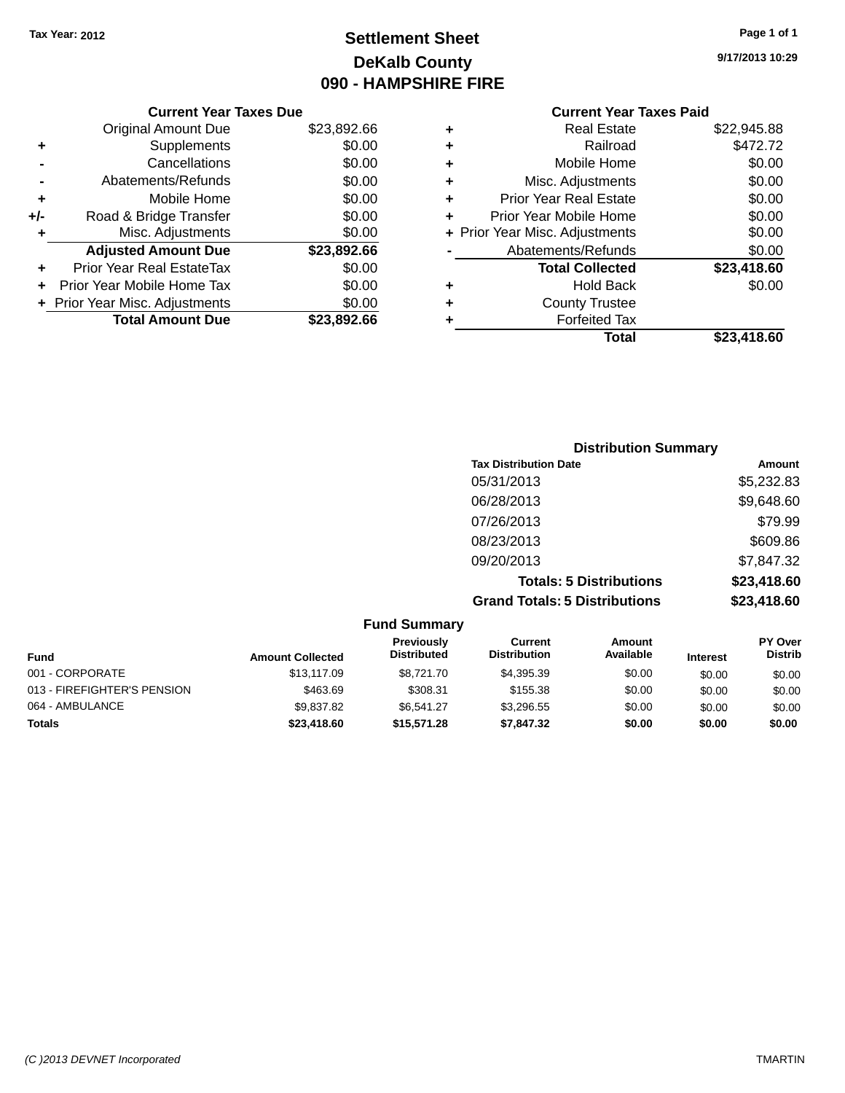### **Settlement Sheet Tax Year: 2012 Page 1 of 1 DeKalb County 090 - HAMPSHIRE FIRE**

**9/17/2013 10:29**

|     | <b>Current Year Taxes Due</b>  |             |
|-----|--------------------------------|-------------|
|     | <b>Original Amount Due</b>     | \$23,892.66 |
| ٠   | Supplements                    | \$0.00      |
|     | Cancellations                  | \$0.00      |
|     | Abatements/Refunds             | \$0.00      |
| ٠   | Mobile Home                    | \$0.00      |
| +/- | Road & Bridge Transfer         | \$0.00      |
| ٠   | Misc. Adjustments              | \$0.00      |
|     | <b>Adjusted Amount Due</b>     | \$23,892.66 |
| ÷   | Prior Year Real EstateTax      | \$0.00      |
|     | Prior Year Mobile Home Tax     | \$0.00      |
|     | + Prior Year Misc. Adjustments | \$0.00      |
|     | <b>Total Amount Due</b>        | \$23,892.66 |
|     |                                |             |

|   | Total                          | \$23,418.60 |
|---|--------------------------------|-------------|
| ٠ | <b>Forfeited Tax</b>           |             |
| ٠ | <b>County Trustee</b>          |             |
| ٠ | <b>Hold Back</b>               | \$0.00      |
|   | <b>Total Collected</b>         | \$23,418.60 |
|   | Abatements/Refunds             | \$0.00      |
|   | + Prior Year Misc. Adjustments | \$0.00      |
| ٠ | Prior Year Mobile Home         | \$0.00      |
| ÷ | <b>Prior Year Real Estate</b>  | \$0.00      |
| ٠ | Misc. Adjustments              | \$0.00      |
| ٠ | Mobile Home                    | \$0.00      |
| ٠ | Railroad                       | \$472.72    |
| ٠ | <b>Real Estate</b>             | \$22,945.88 |
|   |                                |             |

| <b>Distribution Summary</b>          |             |
|--------------------------------------|-------------|
| <b>Tax Distribution Date</b>         | Amount      |
| 05/31/2013                           | \$5,232.83  |
| 06/28/2013                           | \$9,648.60  |
| 07/26/2013                           | \$79.99     |
| 08/23/2013                           | \$609.86    |
| 09/20/2013                           | \$7,847.32  |
| <b>Totals: 5 Distributions</b>       | \$23,418.60 |
| <b>Grand Totals: 5 Distributions</b> | \$23,418.60 |

|                             |                         | <b>Fund Summary</b>              |                                |                     |                 |                                  |
|-----------------------------|-------------------------|----------------------------------|--------------------------------|---------------------|-----------------|----------------------------------|
| <b>Fund</b>                 | <b>Amount Collected</b> | Previously<br><b>Distributed</b> | Current<br><b>Distribution</b> | Amount<br>Available | <b>Interest</b> | <b>PY Over</b><br><b>Distrib</b> |
| 001 - CORPORATE             | \$13,117.09             | \$8.721.70                       | \$4,395.39                     | \$0.00              | \$0.00          | \$0.00                           |
| 013 - FIREFIGHTER'S PENSION | \$463.69                | \$308.31                         | \$155.38                       | \$0.00              | \$0.00          | \$0.00                           |
| 064 - AMBULANCE             | \$9.837.82              | \$6.541.27                       | \$3,296.55                     | \$0.00              | \$0.00          | \$0.00                           |
| <b>Totals</b>               | \$23,418.60             | \$15,571.28                      | \$7,847.32                     | \$0.00              | \$0.00          | \$0.00                           |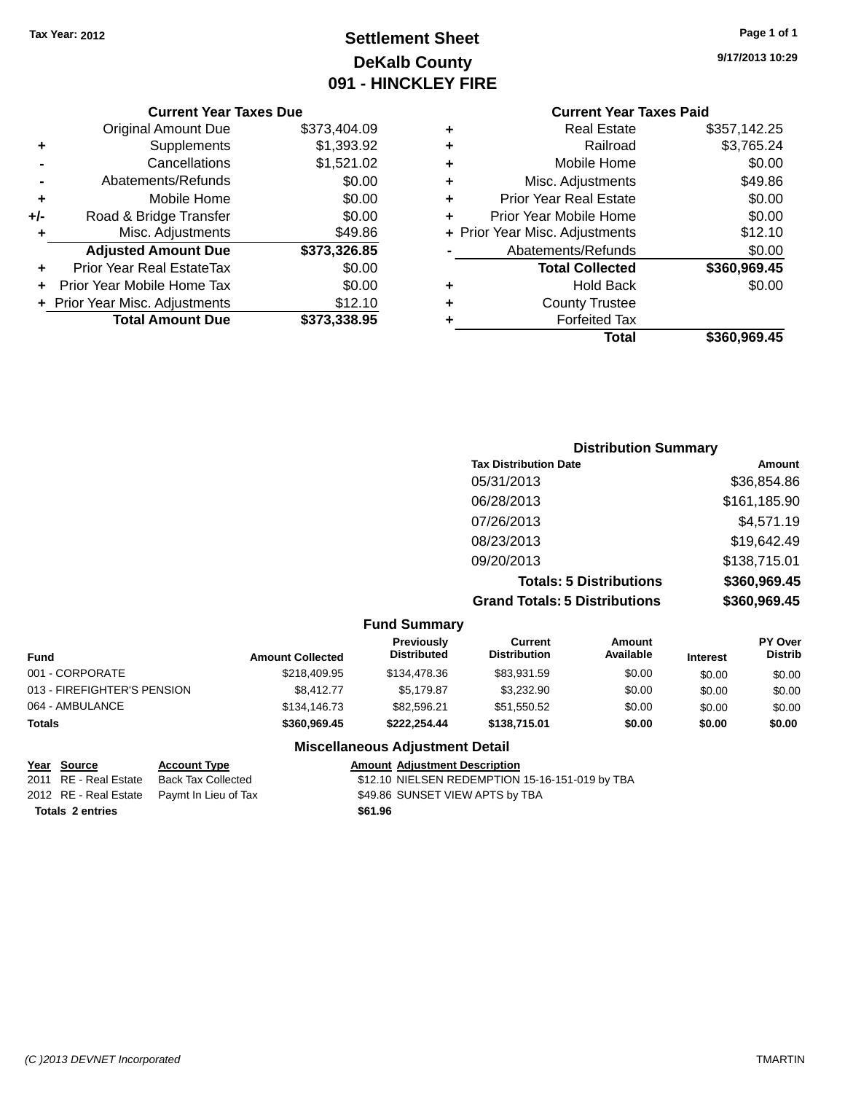### **Settlement Sheet Tax Year: 2012 Page 1 of 1 DeKalb County 091 - HINCKLEY FIRE**

**9/17/2013 10:29**

### **Current Year Taxes Paid**

|     | <b>Current Year Taxes Due</b>  |              |
|-----|--------------------------------|--------------|
|     | <b>Original Amount Due</b>     | \$373,404.09 |
| ٠   | Supplements                    | \$1,393.92   |
|     | Cancellations                  | \$1,521.02   |
|     | Abatements/Refunds             | \$0.00       |
| ٠   | Mobile Home                    | \$0.00       |
| +/- | Road & Bridge Transfer         | \$0.00       |
| ٠   | Misc. Adjustments              | \$49.86      |
|     | <b>Adjusted Amount Due</b>     | \$373,326.85 |
| ٠   | Prior Year Real EstateTax      | \$0.00       |
|     | Prior Year Mobile Home Tax     | \$0.00       |
|     | + Prior Year Misc. Adjustments | \$12.10      |
|     | <b>Total Amount Due</b>        | \$373,338.95 |
|     |                                |              |

|   | <b>Real Estate</b>             | \$357,142.25 |
|---|--------------------------------|--------------|
| ÷ | Railroad                       | \$3,765.24   |
| ÷ | Mobile Home                    | \$0.00       |
| ٠ | Misc. Adjustments              | \$49.86      |
| ٠ | <b>Prior Year Real Estate</b>  | \$0.00       |
| ÷ | Prior Year Mobile Home         | \$0.00       |
|   | + Prior Year Misc. Adjustments | \$12.10      |
|   | Abatements/Refunds             | \$0.00       |
|   | <b>Total Collected</b>         | \$360,969.45 |
| ٠ | <b>Hold Back</b>               | \$0.00       |
| ٠ | <b>County Trustee</b>          |              |
| ٠ | <b>Forfeited Tax</b>           |              |
|   | Total                          | \$360,969.45 |
|   |                                |              |

| <b>Distribution Summary</b>          |              |
|--------------------------------------|--------------|
| <b>Tax Distribution Date</b>         | Amount       |
| 05/31/2013                           | \$36,854.86  |
| 06/28/2013                           | \$161,185.90 |
| 07/26/2013                           | \$4,571.19   |
| 08/23/2013                           | \$19,642.49  |
| 09/20/2013                           | \$138,715.01 |
| <b>Totals: 5 Distributions</b>       | \$360,969.45 |
| <b>Grand Totals: 5 Distributions</b> | \$360,969.45 |

|                             |                         | <b>Fund Summary</b>              |                                |                     |                 |                                  |
|-----------------------------|-------------------------|----------------------------------|--------------------------------|---------------------|-----------------|----------------------------------|
| <b>Fund</b>                 | <b>Amount Collected</b> | Previously<br><b>Distributed</b> | Current<br><b>Distribution</b> | Amount<br>Available | <b>Interest</b> | <b>PY Over</b><br><b>Distrib</b> |
| 001 - CORPORATE             | \$218,409.95            | \$134,478.36                     | \$83.931.59                    | \$0.00              | \$0.00          | \$0.00                           |
| 013 - FIREFIGHTER'S PENSION | \$8.412.77              | \$5.179.87                       | \$3.232.90                     | \$0.00              | \$0.00          | \$0.00                           |
| 064 - AMBULANCE             | \$134,146.73            | \$82.596.21                      | \$51,550.52                    | \$0.00              | \$0.00          | \$0.00                           |
| <b>Totals</b>               | \$360,969,45            | \$222.254.44                     | \$138,715.01                   | \$0.00              | \$0.00          | \$0.00                           |

### **Miscellaneous Adjustment Detail**

| Year Source             | <b>Account Type</b>                        |         | <b>Amount Adiustment Description</b>            |
|-------------------------|--------------------------------------------|---------|-------------------------------------------------|
| 2011 RE - Real Estate   | Back Tax Collected                         |         | \$12.10 NIELSEN REDEMPTION 15-16-151-019 by TBA |
|                         | 2012 RE - Real Estate Paymt In Lieu of Tax |         | \$49.86 SUNSET VIEW APTS by TBA                 |
| <b>Totals 2 entries</b> |                                            | \$61.96 |                                                 |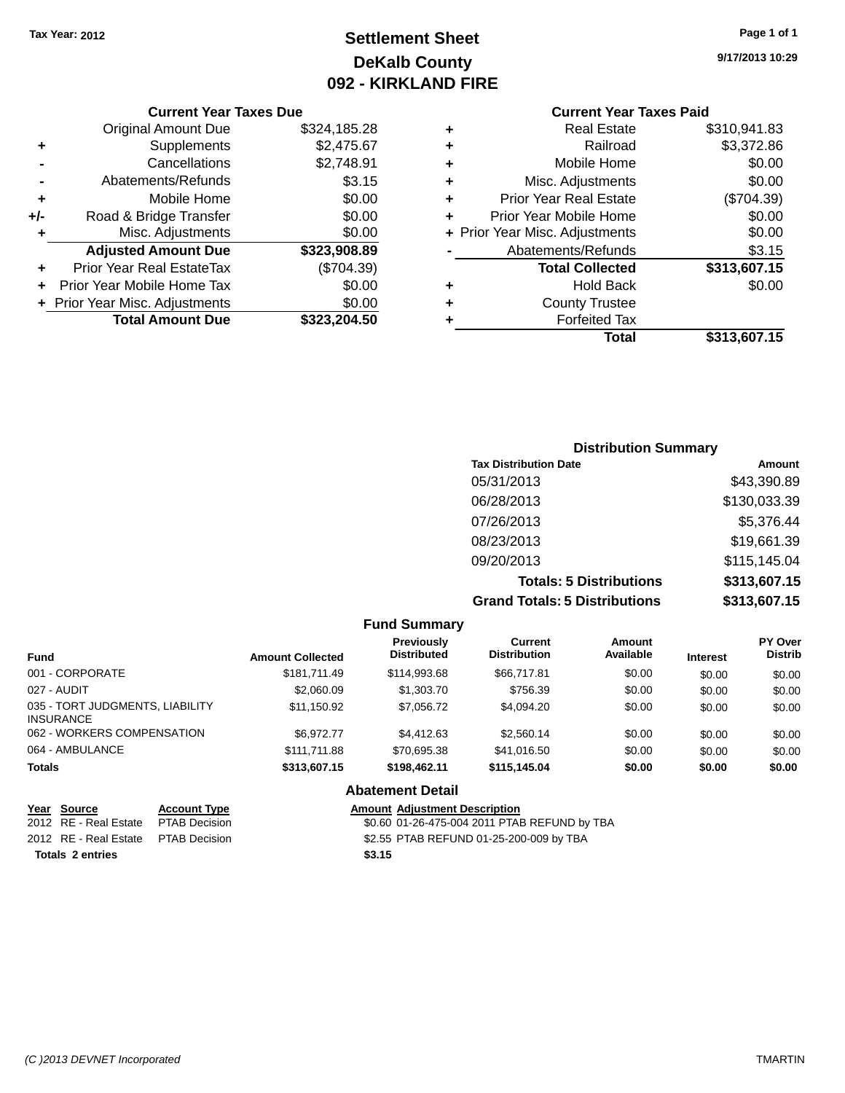### **Settlement Sheet Tax Year: 2012 Page 1 of 1 DeKalb County 092 - KIRKLAND FIRE**

**9/17/2013 10:29**

#### **Current Year Taxes Due**

|     | <b>Original Amount Due</b>     | \$324,185.28 |
|-----|--------------------------------|--------------|
| ٠   | Supplements                    | \$2,475.67   |
|     | Cancellations                  | \$2,748.91   |
|     | Abatements/Refunds             | \$3.15       |
| ٠   | Mobile Home                    | \$0.00       |
| +/- | Road & Bridge Transfer         | \$0.00       |
| ۰   | Misc. Adjustments              | \$0.00       |
|     | <b>Adjusted Amount Due</b>     | \$323,908.89 |
| ÷   | Prior Year Real EstateTax      | (\$704.39)   |
|     | Prior Year Mobile Home Tax     | \$0.00       |
|     | + Prior Year Misc. Adjustments | \$0.00       |
|     | <b>Total Amount Due</b>        | \$323,204.50 |

## **Current Year Taxes Paid**

| ٠ | <b>Real Estate</b>             | \$310,941.83 |
|---|--------------------------------|--------------|
| ٠ | Railroad                       | \$3,372.86   |
| ٠ | Mobile Home                    | \$0.00       |
| ٠ | Misc. Adjustments              | \$0.00       |
| ٠ | <b>Prior Year Real Estate</b>  | (\$704.39)   |
| ٠ | Prior Year Mobile Home         | \$0.00       |
|   | + Prior Year Misc. Adjustments | \$0.00       |
|   | Abatements/Refunds             | \$3.15       |
|   | <b>Total Collected</b>         | \$313,607.15 |
| ٠ | <b>Hold Back</b>               | \$0.00       |
| ٠ | <b>County Trustee</b>          |              |
| ٠ | <b>Forfeited Tax</b>           |              |
|   | Total                          | \$313,607.15 |
|   |                                |              |

### **Distribution Summary Tax Distribution Date Amount** 05/31/2013 \$43,390.89 06/28/2013 \$130,033.39 07/26/2013 \$5,376.44 08/23/2013 \$19,661.39 09/20/2013 \$115,145.04 **Totals: 5 Distributions \$313,607.15 Grand Totals: 5 Distributions \$313,607.15**

|                                                     |                     |                         | <b>Fund Summary</b>                     |                                       |                     |                 |                           |
|-----------------------------------------------------|---------------------|-------------------------|-----------------------------------------|---------------------------------------|---------------------|-----------------|---------------------------|
| <b>Fund</b>                                         |                     | <b>Amount Collected</b> | <b>Previously</b><br><b>Distributed</b> | <b>Current</b><br><b>Distribution</b> | Amount<br>Available | <b>Interest</b> | PY Over<br><b>Distrib</b> |
| 001 - CORPORATE                                     |                     | \$181.711.49            | \$114,993,68                            | \$66,717.81                           | \$0.00              | \$0.00          | \$0.00                    |
| 027 - AUDIT                                         |                     | \$2,060.09              | \$1,303.70                              | \$756.39                              | \$0.00              | \$0.00          | \$0.00                    |
| 035 - TORT JUDGMENTS, LIABILITY<br><b>INSURANCE</b> |                     | \$11,150.92             | \$7,056.72                              | \$4,094.20                            | \$0.00              | \$0.00          | \$0.00                    |
| 062 - WORKERS COMPENSATION                          |                     | \$6.972.77              | \$4,412.63                              | \$2,560.14                            | \$0.00              | \$0.00          | \$0.00                    |
| 064 - AMBULANCE                                     |                     | \$111,711.88            | \$70.695.38                             | \$41.016.50                           | \$0.00              | \$0.00          | \$0.00                    |
| <b>Totals</b>                                       |                     | \$313,607.15            | \$198,462.11                            | \$115.145.04                          | \$0.00              | \$0.00          | \$0.00                    |
|                                                     |                     |                         | <b>Abatement Detail</b>                 |                                       |                     |                 |                           |
| Year Source                                         | <b>Account Type</b> |                         | <b>Amount Adjustment Description</b>    |                                       |                     |                 |                           |

**Totals 2 entries \$3.15**

2012 RE - Real Estate PTAB Decision \$0.60 01-26-475-004 2011 PTAB REFUND by TBA 2012 RE - Real Estate PTAB Decision \$2.55 PTAB REFUND 01-25-200-009 by TBA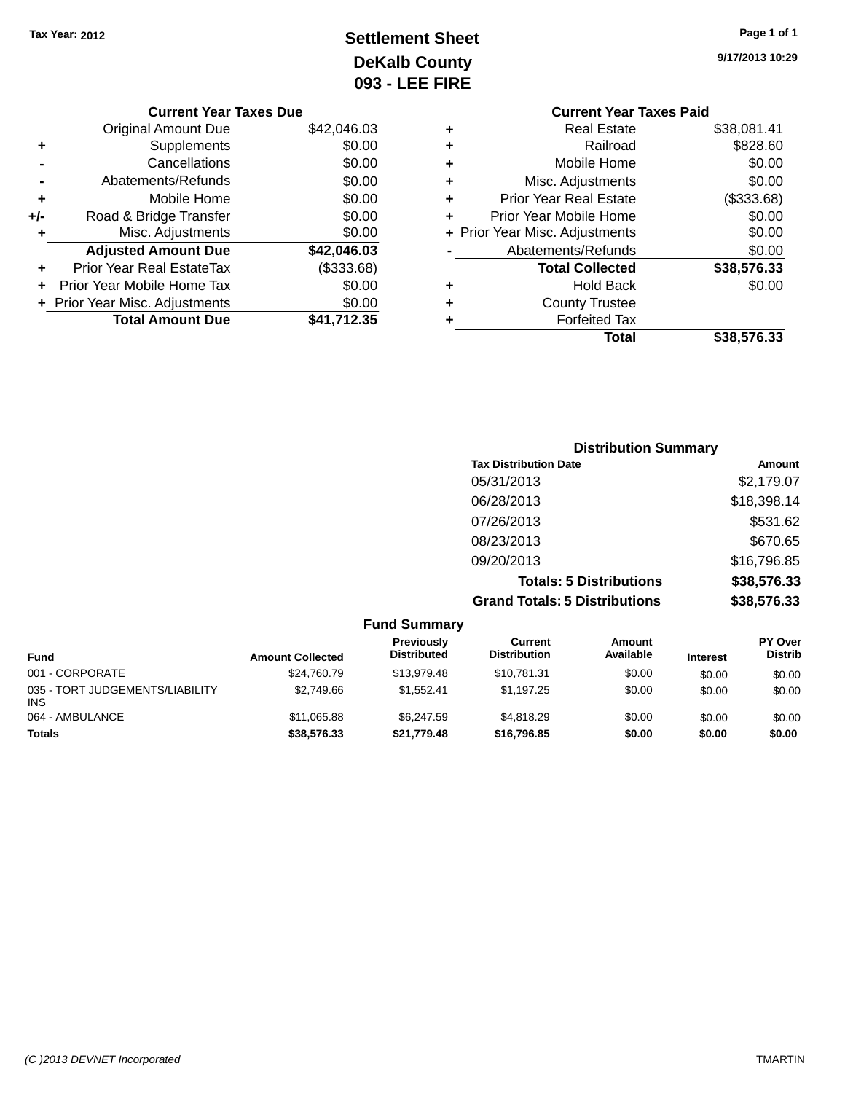### **Settlement Sheet Tax Year: 2012 Page 1 of 1 DeKalb County 093 - LEE FIRE**

| <b>Current Year Taxes Due</b> |                                |
|-------------------------------|--------------------------------|
| Original Amount Due           | \$42,046.03                    |
| Supplements                   | \$0.00                         |
| Cancellations                 | \$0.00                         |
| Abatements/Refunds            | \$0.00                         |
| Mobile Home                   | \$0.00                         |
| Road & Bridge Transfer        | \$0.00                         |
| Misc. Adjustments             | \$0.00                         |
| <b>Adjusted Amount Due</b>    | \$42,046.03                    |
| Prior Year Real EstateTax     | (\$333.68)                     |
| Prior Year Mobile Home Tax    | \$0.00                         |
|                               | \$0.00                         |
| <b>Total Amount Due</b>       | \$41.712.35                    |
|                               | + Prior Year Misc. Adjustments |

|   | <b>Current Year Taxes Paid</b> |             |
|---|--------------------------------|-------------|
| ٠ | <b>Real Estate</b>             | \$38,081.41 |
|   | Railroad                       | \$828.60    |
| ٠ | Mobile Home                    | \$0.00      |
| ٠ | Misc. Adjustments              | \$0.00      |
|   | <b>Prior Year Real Estate</b>  | (\$333.68)  |
| ٠ | Prior Year Mobile Home         | \$0.00      |
|   | + Prior Year Misc. Adjustments | \$0.00      |
|   | Abatements/Refunds             | \$0.00      |
|   | <b>Total Collected</b>         | \$38,576.33 |
| ٠ | <b>Hold Back</b>               | \$0.00      |
|   | <b>County Trustee</b>          |             |
|   | <b>Forfeited Tax</b>           |             |
|   | Total                          | \$38.576.33 |

| <b>Distribution Summary</b>          |             |
|--------------------------------------|-------------|
| <b>Tax Distribution Date</b>         | Amount      |
| 05/31/2013                           | \$2,179.07  |
| 06/28/2013                           | \$18,398.14 |
| 07/26/2013                           | \$531.62    |
| 08/23/2013                           | \$670.65    |
| 09/20/2013                           | \$16,796.85 |
| <b>Totals: 5 Distributions</b>       | \$38,576.33 |
| <b>Grand Totals: 5 Distributions</b> | \$38,576.33 |

|                                               |                         | <b>Fund Summary</b>              |                                |                     |                 |                                  |
|-----------------------------------------------|-------------------------|----------------------------------|--------------------------------|---------------------|-----------------|----------------------------------|
| <b>Fund</b>                                   | <b>Amount Collected</b> | Previously<br><b>Distributed</b> | Current<br><b>Distribution</b> | Amount<br>Available | <b>Interest</b> | <b>PY Over</b><br><b>Distrib</b> |
| 001 - CORPORATE                               | \$24.760.79             | \$13,979.48                      | \$10.781.31                    | \$0.00              | \$0.00          | \$0.00                           |
| 035 - TORT JUDGEMENTS/LIABILITY<br><b>INS</b> | \$2,749.66              | \$1.552.41                       | \$1.197.25                     | \$0.00              | \$0.00          | \$0.00                           |
| 064 - AMBULANCE                               | \$11,065.88             | \$6,247.59                       | \$4.818.29                     | \$0.00              | \$0.00          | \$0.00                           |
| <b>Totals</b>                                 | \$38,576,33             | \$21,779.48                      | \$16,796,85                    | \$0.00              | \$0.00          | \$0.00                           |

**9/17/2013 10:29**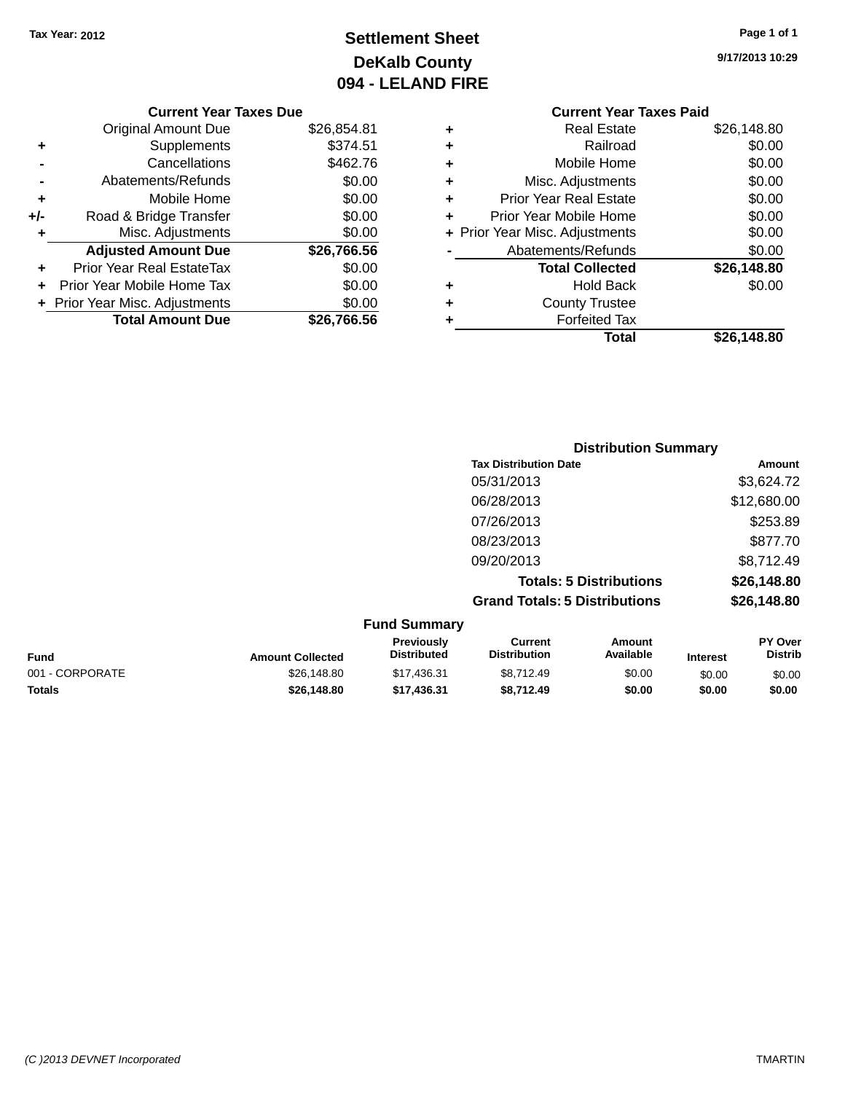### **Settlement Sheet Tax Year: 2012 Page 1 of 1 DeKalb County 094 - LELAND FIRE**

**9/17/2013 10:29**

#### **Current Year Taxes Due**

|     | <b>Original Amount Due</b>     | \$26,854.81 |
|-----|--------------------------------|-------------|
| ٠   | Supplements                    | \$374.51    |
|     | Cancellations                  | \$462.76    |
|     | Abatements/Refunds             | \$0.00      |
| ٠   | Mobile Home                    | \$0.00      |
| +/- | Road & Bridge Transfer         | \$0.00      |
| ÷   | Misc. Adjustments              | \$0.00      |
|     | <b>Adjusted Amount Due</b>     | \$26,766.56 |
| ÷   | Prior Year Real EstateTax      | \$0.00      |
|     | Prior Year Mobile Home Tax     | \$0.00      |
|     | + Prior Year Misc. Adjustments | \$0.00      |
|     | <b>Total Amount Due</b>        | \$26,766.56 |

#### **Current Year Taxes Paid +** Real Estate \$26,148.80 **+** Railroad \$0.00 **+** Mobile Home \$0.00 **+** Misc. Adjustments \$0.00 **+** Prior Year Real Estate \$0.00 **+** Prior Year Mobile Home \$0.00 **+ Prior Year Misc. Adjustments**  $$0.00$ **-** Abatements/Refunds \$0.00 **Total Collected \$26,148.80 +** Hold Back \$0.00 **+** County Trustee **+** Forfeited Tax **Total \$26,148.80**

| <b>Distribution Summary</b>          |             |
|--------------------------------------|-------------|
| <b>Tax Distribution Date</b>         | Amount      |
| 05/31/2013                           | \$3,624.72  |
| 06/28/2013                           | \$12,680.00 |
| 07/26/2013                           | \$253.89    |
| 08/23/2013                           | \$877.70    |
| 09/20/2013                           | \$8,712.49  |
| <b>Totals: 5 Distributions</b>       | \$26,148.80 |
| <b>Grand Totals: 5 Distributions</b> | \$26,148.80 |

|                 |                         | <b>Fund Summary</b>                     |                                |                     |                 |                           |
|-----------------|-------------------------|-----------------------------------------|--------------------------------|---------------------|-----------------|---------------------------|
| <b>Fund</b>     | <b>Amount Collected</b> | <b>Previously</b><br><b>Distributed</b> | Current<br><b>Distribution</b> | Amount<br>Available | <b>Interest</b> | PY Over<br><b>Distrib</b> |
| 001 - CORPORATE | \$26,148.80             | \$17,436.31                             | \$8,712.49                     | \$0.00              | \$0.00          | \$0.00                    |
| <b>Totals</b>   | \$26,148.80             | \$17,436,31                             | \$8.712.49                     | \$0.00              | \$0.00          | \$0.00                    |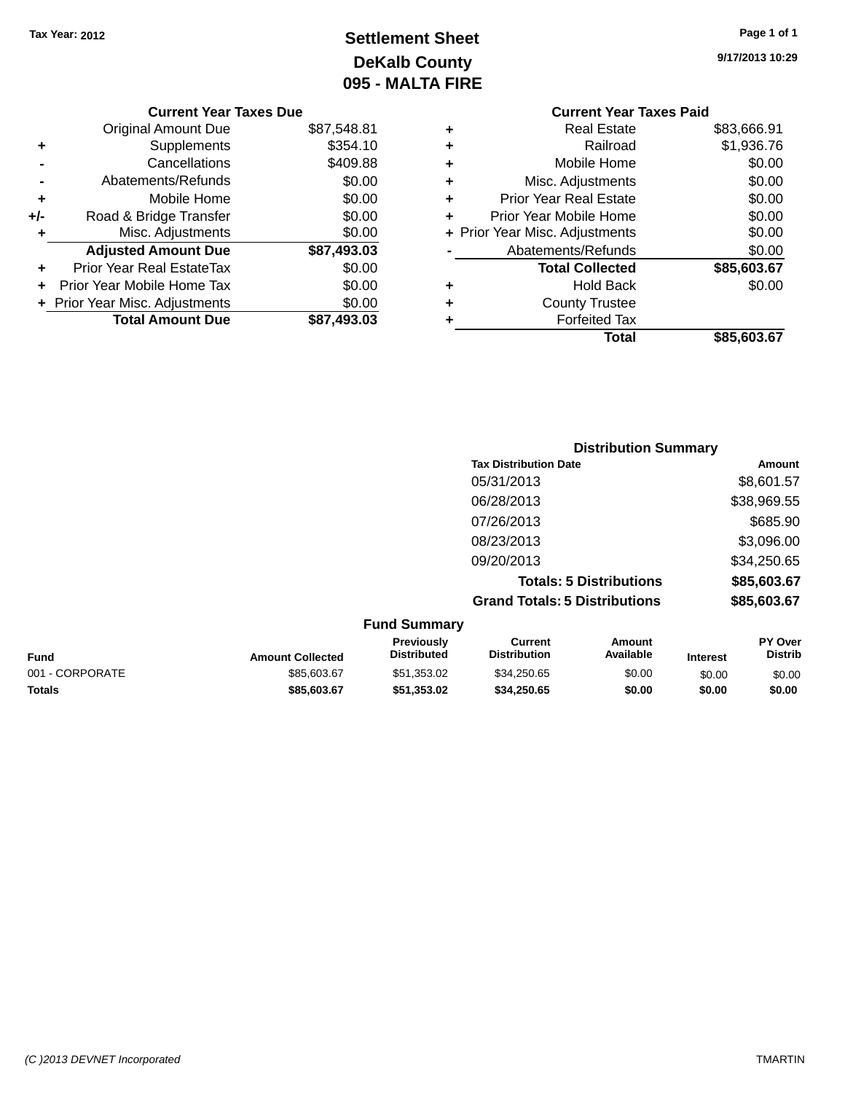### **Settlement Sheet Tax Year: 2012 Page 1 of 1 DeKalb County 095 - MALTA FIRE**

|     | <b>Current Year Taxes Due</b>  |             |
|-----|--------------------------------|-------------|
|     | <b>Original Amount Due</b>     | \$87,548.81 |
| ٠   | Supplements                    | \$354.10    |
|     | Cancellations                  | \$409.88    |
|     | Abatements/Refunds             | \$0.00      |
| ٠   | Mobile Home                    | \$0.00      |
| +/- | Road & Bridge Transfer         | \$0.00      |
| ٠   | Misc. Adjustments              | \$0.00      |
|     | <b>Adjusted Amount Due</b>     | \$87,493.03 |
|     | Prior Year Real EstateTax      | \$0.00      |
|     | Prior Year Mobile Home Tax     | \$0.00      |
|     | + Prior Year Misc. Adjustments | \$0.00      |
|     | <b>Total Amount Due</b>        | \$87,493.03 |

#### **Current Year Taxes Paid +** Real Estate \$83,666.91 **+** Railroad \$1,936.76 **+** Mobile Home \$0.00 **+** Misc. Adjustments \$0.00 **+** Prior Year Real Estate \$0.00 **+** Prior Year Mobile Home \$0.00<br> **+** Prior Year Misc. Adjustments \$0.00 **+ Prior Year Misc. Adjustments -** Abatements/Refunds \$0.00 **Total Collected \$85,603.67 +** Hold Back \$0.00 **+** County Trustee **+** Forfeited Tax **Total \$85,603.67**

|                     | <b>Distribution Summary</b>          |             |
|---------------------|--------------------------------------|-------------|
|                     | <b>Tax Distribution Date</b>         | Amount      |
|                     | 05/31/2013                           | \$8,601.57  |
|                     | 06/28/2013                           | \$38,969.55 |
|                     | 07/26/2013                           | \$685.90    |
|                     | 08/23/2013                           | \$3,096.00  |
|                     | 09/20/2013                           | \$34,250.65 |
|                     | <b>Totals: 5 Distributions</b>       | \$85,603.67 |
|                     | <b>Grand Totals: 5 Distributions</b> | \$85,603.67 |
| <b>Fund Summary</b> |                                      |             |

|                 |                         | י שווש טעווווועו ז                      |                                |                     |                 |                           |
|-----------------|-------------------------|-----------------------------------------|--------------------------------|---------------------|-----------------|---------------------------|
| <b>Fund</b>     | <b>Amount Collected</b> | <b>Previously</b><br><b>Distributed</b> | Current<br><b>Distribution</b> | Amount<br>Available | <b>Interest</b> | PY Over<br><b>Distrib</b> |
| 001 - CORPORATE | \$85,603.67             | \$51,353.02                             | \$34,250.65                    | \$0.00              | \$0.00          | \$0.00                    |
| Totals          | \$85,603,67             | \$51.353.02                             | \$34.250.65                    | \$0.00              | \$0.00          | \$0.00                    |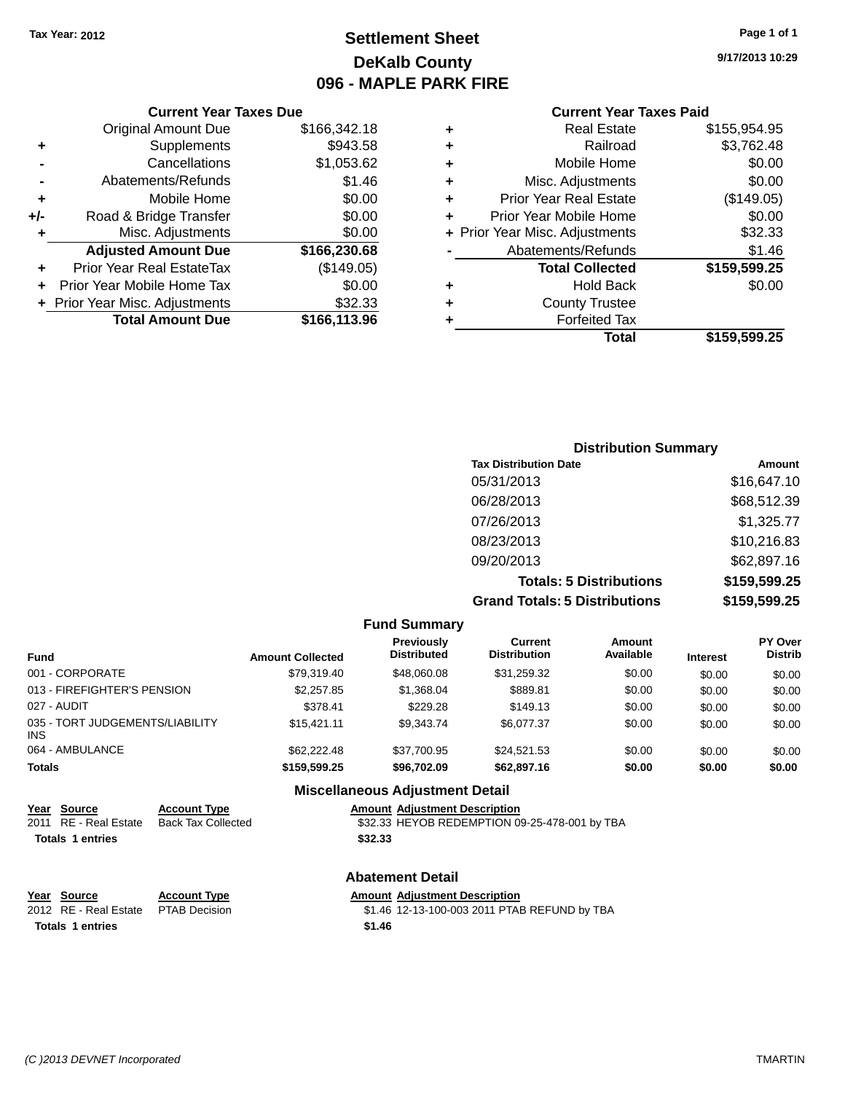### **Settlement Sheet Tax Year: 2012 Page 1 of 1 DeKalb County 096 - MAPLE PARK FIRE**

**9/17/2013 10:29**

#### **Current Year Taxes Paid**

|                            |              |   | Total                          | \$159,599.25 |
|----------------------------|--------------|---|--------------------------------|--------------|
| <b>Total Amount Due</b>    | \$166,113.96 |   | <b>Forfeited Tax</b>           |              |
| ar Misc. Adjustments       | \$32.33      | ٠ | <b>County Trustee</b>          |              |
| ear Mobile Home Tax        | \$0.00       | ٠ | <b>Hold Back</b>               | \$0.00       |
| Year Real EstateTax        | (\$149.05)   |   | <b>Total Collected</b>         | \$159,599.25 |
| <b>Ijusted Amount Due</b>  | \$166,230.68 |   | Abatements/Refunds             | \$1.46       |
| Misc. Adjustments          | \$0.00       |   | + Prior Year Misc. Adjustments | \$32.33      |
| ad & Bridge Transfer       | \$0.00       | ÷ | Prior Year Mobile Home         | \$0.00       |
| Mobile Home                | \$0.00       | ٠ | <b>Prior Year Real Estate</b>  | (\$149.05)   |
| Abatements/Refunds         | \$1.46       | ٠ | Misc. Adjustments              | \$0.00       |
| Cancellations              | \$1,053.62   | ٠ | Mobile Home                    | \$0.00       |
| Supplements                | \$943.58     | ٠ | Railroad                       | \$3,762.48   |
| <b>Original Amount Due</b> | \$166,342.18 | ٠ | <b>Real Estate</b>             | \$155,954.95 |
|                            |              |   |                                |              |

#### **+** Supplements \$9 **-** Cancellations \$1,053.62 **-** Abatements/Refunds **+** Mobile Home **+/-** Road & Bridge Transfer **+** Misc. Adjustments **Adjusted Amount Due** \$166,23 **+** Prior Year Real EstateTax (\$149.05) **+** Prior Year Mobile Home Tax **+** Prior Year Misc. Adjustments \$<br>**166,1** Total Amount Due \$166,1

**Current Year Taxes Due**

| <b>Distribution Summary</b>          |              |
|--------------------------------------|--------------|
| <b>Tax Distribution Date</b>         | Amount       |
| 05/31/2013                           | \$16,647.10  |
| 06/28/2013                           | \$68,512.39  |
| 07/26/2013                           | \$1,325.77   |
| 08/23/2013                           | \$10,216.83  |
| 09/20/2013                           | \$62,897.16  |
| <b>Totals: 5 Distributions</b>       | \$159,599.25 |
| <b>Grand Totals: 5 Distributions</b> | \$159,599.25 |

|                                               |                     |                         | <b>Fund Summary</b>                     |                                       |                     |                 |                           |
|-----------------------------------------------|---------------------|-------------------------|-----------------------------------------|---------------------------------------|---------------------|-----------------|---------------------------|
| <b>Fund</b>                                   |                     | <b>Amount Collected</b> | <b>Previously</b><br><b>Distributed</b> | <b>Current</b><br><b>Distribution</b> | Amount<br>Available | <b>Interest</b> | PY Over<br><b>Distrib</b> |
| 001 - CORPORATE                               |                     | \$79.319.40             | \$48,060,08                             | \$31.259.32                           | \$0.00              | \$0.00          | \$0.00                    |
| 013 - FIREFIGHTER'S PENSION                   |                     | \$2,257.85              | \$1,368,04                              | \$889.81                              | \$0.00              | \$0.00          | \$0.00                    |
| 027 - AUDIT                                   |                     | \$378.41                | \$229.28                                | \$149.13                              | \$0.00              | \$0.00          | \$0.00                    |
| 035 - TORT JUDGEMENTS/LIABILITY<br><b>INS</b> |                     | \$15.421.11             | \$9.343.74                              | \$6.077.37                            | \$0.00              | \$0.00          | \$0.00                    |
| 064 - AMBULANCE                               |                     | \$62,222.48             | \$37.700.95                             | \$24.521.53                           | \$0.00              | \$0.00          | \$0.00                    |
| <b>Totals</b>                                 |                     | \$159,599.25            | \$96.702.09                             | \$62,897.16                           | \$0.00              | \$0.00          | \$0.00                    |
|                                               |                     |                         | <b>Miscellaneous Adjustment Detail</b>  |                                       |                     |                 |                           |
| Year Source                                   | <b>Account Type</b> |                         | <b>Amount Adjustment Description</b>    |                                       |                     |                 |                           |

| <u>Year Source</u>    | <b>Account Type</b> | <b>Amount Adjustment Description</b>          |
|-----------------------|---------------------|-----------------------------------------------|
| 2011 RE - Real Estate | Back Tax Collected  | \$32.33 HEYOB REDEMPTION 09-25-478-001 by TBA |
| Totals 1 entries      |                     | \$32.33                                       |

|                                     |                     | .      |
|-------------------------------------|---------------------|--------|
| Year Source                         | <b>Account Type</b> | Amount |
| 2012 RE - Real Estate PTAB Decision |                     | \$1.46 |
| <b>Totals 1 entries</b>             |                     | \$1.46 |

#### **Abatement Detail**

#### **Year Source Account Type Amount Adjustment Description**

12-13-100-003 2011 PTAB REFUND by TBA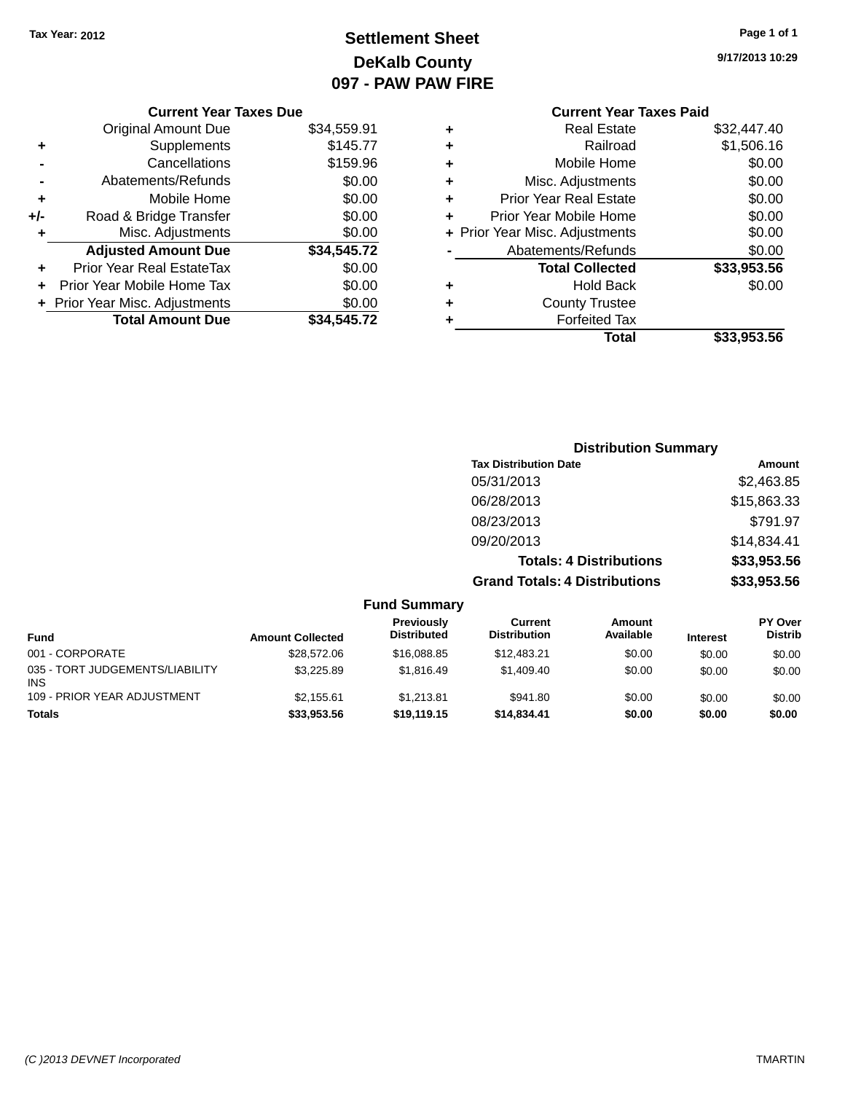### **Settlement Sheet Tax Year: 2012 Page 1 of 1 DeKalb County 097 - PAW PAW FIRE**

**9/17/2013 10:29**

|     | <b>Current Year Taxes Due</b>    |             |   |
|-----|----------------------------------|-------------|---|
|     | <b>Original Amount Due</b>       | \$34,559.91 | ٠ |
| ٠   | Supplements                      | \$145.77    | ٠ |
|     | Cancellations                    | \$159.96    | ٠ |
|     | Abatements/Refunds               | \$0.00      |   |
|     | Mobile Home                      | \$0.00      | ٠ |
| +/- | Road & Bridge Transfer           | \$0.00      | ٠ |
|     | Misc. Adjustments                | \$0.00      | ٠ |
|     | <b>Adjusted Amount Due</b>       | \$34,545.72 |   |
| ٠   | <b>Prior Year Real EstateTax</b> | \$0.00      |   |
|     | Prior Year Mobile Home Tax       | \$0.00      | ٠ |
|     | + Prior Year Misc. Adjustments   | \$0.00      |   |
|     | <b>Total Amount Due</b>          | \$34,545.72 |   |
|     |                                  |             |   |

#### **Current Year Taxes Paid Physical Estate 532,447.40<br><b>Railroad** \$1,506.16 **+** Railroad \$1,506.16 **+** Mobile Home \$0.00 **Misc. Adjustments** \$0.00

|   | Total                          | \$33,953.56 |
|---|--------------------------------|-------------|
| ÷ | <b>Forfeited Tax</b>           |             |
| ÷ | <b>County Trustee</b>          |             |
|   | <b>Hold Back</b>               | \$0.00      |
|   | <b>Total Collected</b>         | \$33,953.56 |
|   | Abatements/Refunds             | \$0.00      |
|   | + Prior Year Misc. Adjustments | \$0.00      |
| ÷ | Prior Year Mobile Home         | \$0.00      |
|   | <b>Prior Year Real Estate</b>  | \$0.00      |

### **Distribution Summary Tax Distribution Date Amount** 05/31/2013 \$2,463.85 06/28/2013 \$15,863.33 08/23/2013 \$791.97 09/20/2013 \$14,834.41 **Totals: 4 Distributions \$33,953.56 Grand Totals: 4 Distributions \$33,953.56 Fund Summary**

| <b>Fund</b>                                   | <b>Amount Collected</b> | Previously<br><b>Distributed</b> | Current<br><b>Distribution</b> | Amount<br>Available | <b>Interest</b> | <b>PY Over</b><br><b>Distrib</b> |
|-----------------------------------------------|-------------------------|----------------------------------|--------------------------------|---------------------|-----------------|----------------------------------|
| 001 - CORPORATE                               | \$28,572.06             | \$16,088.85                      | \$12.483.21                    | \$0.00              | \$0.00          | \$0.00                           |
| 035 - TORT JUDGEMENTS/LIABILITY<br><b>INS</b> | \$3,225.89              | \$1.816.49                       | \$1,409.40                     | \$0.00              | \$0.00          | \$0.00                           |
| 109 - PRIOR YEAR ADJUSTMENT                   | \$2.155.61              | \$1.213.81                       | \$941.80                       | \$0.00              | \$0.00          | \$0.00                           |
| <b>Totals</b>                                 | \$33,953.56             | \$19,119.15                      | \$14,834.41                    | \$0.00              | \$0.00          | \$0.00                           |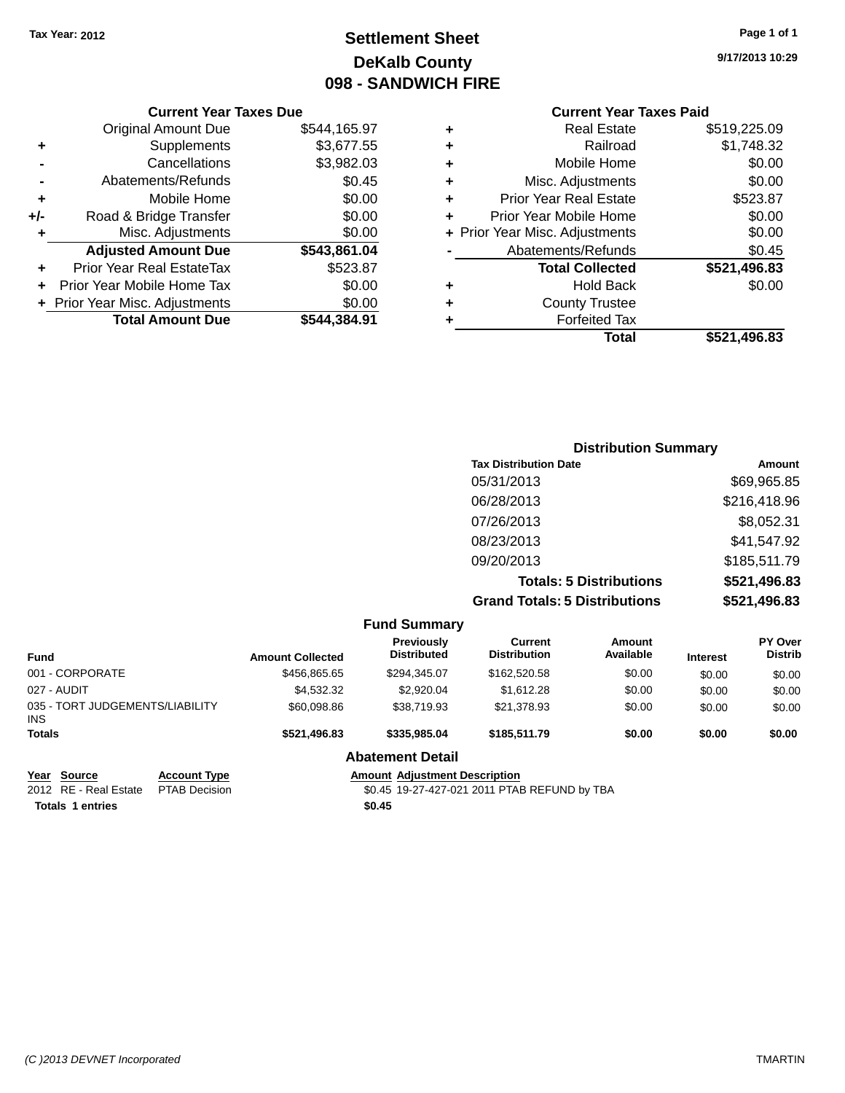### **Settlement Sheet Tax Year: 2012 Page 1 of 1 DeKalb County 098 - SANDWICH FIRE**

**9/17/2013 10:29**

#### **Current Year Taxes Due**

|       | <b>Original Amount Due</b>       | \$544,165.97 |
|-------|----------------------------------|--------------|
| ٠     | Supplements                      | \$3,677.55   |
|       | Cancellations                    | \$3,982.03   |
|       | Abatements/Refunds               | \$0.45       |
| ٠     | Mobile Home                      | \$0.00       |
| $+/-$ | Road & Bridge Transfer           | \$0.00       |
| ٠     | Misc. Adjustments                | \$0.00       |
|       | <b>Adjusted Amount Due</b>       | \$543,861.04 |
|       | <b>Prior Year Real EstateTax</b> | \$523.87     |
|       | Prior Year Mobile Home Tax       | \$0.00       |
|       | + Prior Year Misc. Adjustments   | \$0.00       |
|       | <b>Total Amount Due</b>          | \$544.384.91 |

### **Current Year Taxes Paid**

|   | Total                          | \$521,496.83 |
|---|--------------------------------|--------------|
| ٠ | <b>Forfeited Tax</b>           |              |
| ٠ | <b>County Trustee</b>          |              |
| ٠ | <b>Hold Back</b>               | \$0.00       |
|   | <b>Total Collected</b>         | \$521,496.83 |
|   | Abatements/Refunds             | \$0.45       |
|   | + Prior Year Misc. Adjustments | \$0.00       |
| ٠ | Prior Year Mobile Home         | \$0.00       |
| ٠ | <b>Prior Year Real Estate</b>  | \$523.87     |
| ٠ | Misc. Adjustments              | \$0.00       |
| ٠ | Mobile Home                    | \$0.00       |
| ٠ | Railroad                       | \$1,748.32   |
| ٠ | <b>Real Estate</b>             | \$519,225.09 |

### **Distribution Summary Tax Distribution Date Amount** 05/31/2013 \$69,965.85 06/28/2013 \$216,418.96 07/26/2013 \$8,052.31 08/23/2013 \$41,547.92 09/20/2013 \$185,511.79 **Totals: 5 Distributions \$521,496.83 Grand Totals: 5 Distributions \$521,496.83**

|                                         |                      |                         | <b>Fund Summary</b>                     |                                              |                     |                 |                                  |
|-----------------------------------------|----------------------|-------------------------|-----------------------------------------|----------------------------------------------|---------------------|-----------------|----------------------------------|
| <b>Fund</b>                             |                      | <b>Amount Collected</b> | <b>Previously</b><br><b>Distributed</b> | Current<br><b>Distribution</b>               | Amount<br>Available | <b>Interest</b> | <b>PY Over</b><br><b>Distrib</b> |
| 001 - CORPORATE                         |                      | \$456,865.65            | \$294.345.07                            | \$162,520,58                                 | \$0.00              | \$0.00          | \$0.00                           |
| 027 - AUDIT                             |                      | \$4,532,32              | \$2.920.04                              | \$1,612.28                                   | \$0.00              | \$0.00          | \$0.00                           |
| 035 - TORT JUDGEMENTS/LIABILITY<br>INS. |                      | \$60,098.86             | \$38,719.93                             | \$21,378.93                                  | \$0.00              | \$0.00          | \$0.00                           |
| <b>Totals</b>                           |                      | \$521.496.83            | \$335,985.04                            | \$185,511.79                                 | \$0.00              | \$0.00          | \$0.00                           |
|                                         |                      |                         | <b>Abatement Detail</b>                 |                                              |                     |                 |                                  |
| Year Source                             | <b>Account Type</b>  |                         | <b>Amount Adjustment Description</b>    |                                              |                     |                 |                                  |
| 2012 RE - Real Estate                   | <b>PTAB Decision</b> |                         |                                         | \$0.45 19-27-427-021 2011 PTAB REFUND by TBA |                     |                 |                                  |
| <b>Totals 1 entries</b>                 |                      |                         | \$0.45                                  |                                              |                     |                 |                                  |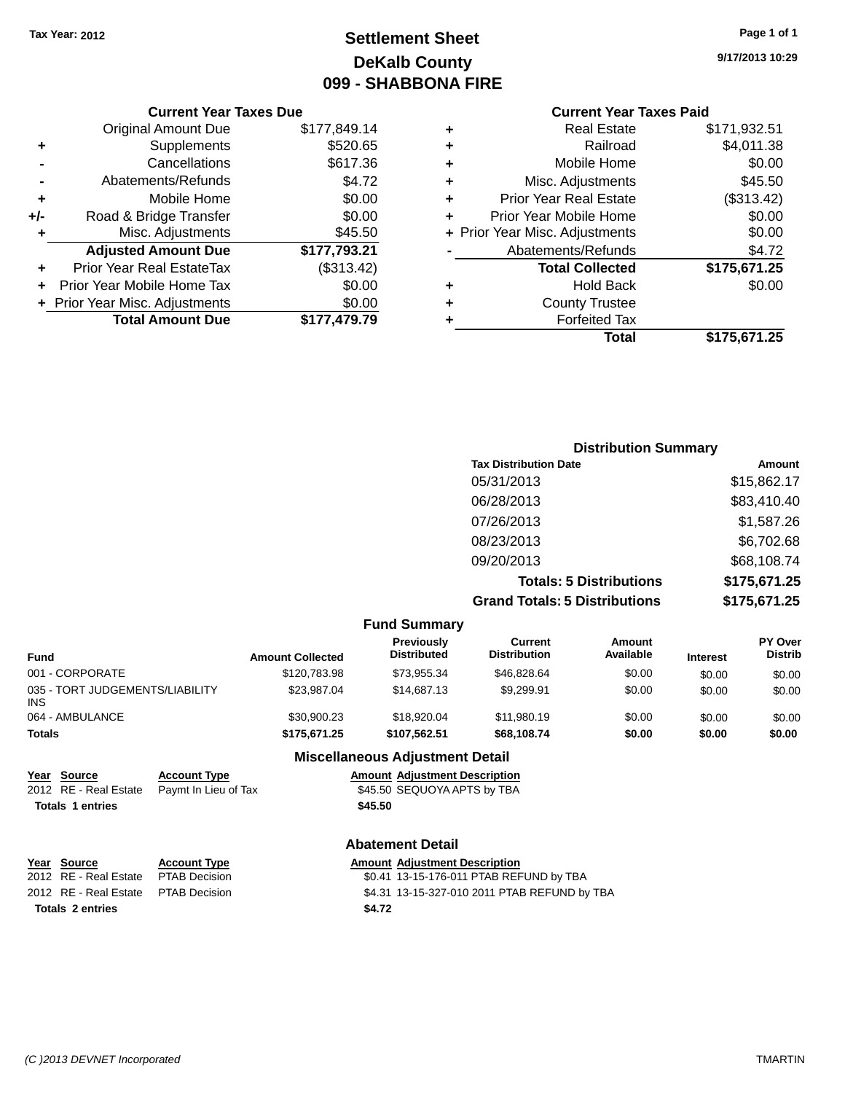### **Settlement Sheet Tax Year: 2012 Page 1 of 1 DeKalb County 099 - SHABBONA FIRE**

**9/17/2013 10:29**

### **Current Year Taxes Paid**

|     | <b>Current Year Taxes Due</b>  |              |
|-----|--------------------------------|--------------|
|     | <b>Original Amount Due</b>     | \$177,849.14 |
| ٠   | Supplements                    | \$520.65     |
|     | Cancellations                  | \$617.36     |
|     | Abatements/Refunds             | \$4.72       |
| ٠   | Mobile Home                    | \$0.00       |
| +/- | Road & Bridge Transfer         | \$0.00       |
|     | Misc. Adjustments              | \$45.50      |
|     | <b>Adjusted Amount Due</b>     | \$177,793.21 |
| ٠   | Prior Year Real EstateTax      | (\$313.42)   |
|     | Prior Year Mobile Home Tax     | \$0.00       |
|     | + Prior Year Misc. Adjustments | \$0.00       |
|     | <b>Total Amount Due</b>        | \$177,479.79 |
|     |                                |              |

|   | <b>Real Estate</b>             | \$171,932.51 |
|---|--------------------------------|--------------|
| ٠ | Railroad                       | \$4,011.38   |
| ٠ | Mobile Home                    | \$0.00       |
| ٠ | Misc. Adjustments              | \$45.50      |
| ٠ | <b>Prior Year Real Estate</b>  | (\$313.42)   |
| ٠ | Prior Year Mobile Home         | \$0.00       |
|   | + Prior Year Misc. Adjustments | \$0.00       |
|   | Abatements/Refunds             | \$4.72       |
|   | <b>Total Collected</b>         | \$175,671.25 |
| ٠ | Hold Back                      | \$0.00       |
| ٠ | <b>County Trustee</b>          |              |
| ٠ | <b>Forfeited Tax</b>           |              |
|   | Total                          | \$175,671.25 |
|   |                                |              |

| <b>Distribution Summary</b>          |              |
|--------------------------------------|--------------|
| <b>Tax Distribution Date</b>         | Amount       |
| 05/31/2013                           | \$15,862.17  |
| 06/28/2013                           | \$83,410.40  |
| 07/26/2013                           | \$1,587.26   |
| 08/23/2013                           | \$6,702.68   |
| 09/20/2013                           | \$68,108.74  |
| <b>Totals: 5 Distributions</b>       | \$175,671.25 |
| <b>Grand Totals: 5 Distributions</b> | \$175,671.25 |

|                                         |                      |                         | <b>Fund Summary</b>                    |                                |                     |                 |                                  |
|-----------------------------------------|----------------------|-------------------------|----------------------------------------|--------------------------------|---------------------|-----------------|----------------------------------|
| <b>Fund</b>                             |                      | <b>Amount Collected</b> | Previously<br><b>Distributed</b>       | Current<br><b>Distribution</b> | Amount<br>Available | <b>Interest</b> | <b>PY Over</b><br><b>Distrib</b> |
| 001 - CORPORATE                         |                      | \$120,783.98            | \$73,955.34                            | \$46,828.64                    | \$0.00              | \$0.00          | \$0.00                           |
| 035 - TORT JUDGEMENTS/LIABILITY<br>INS. |                      | \$23,987.04             | \$14,687.13                            | \$9,299.91                     | \$0.00              | \$0.00          | \$0.00                           |
| 064 - AMBULANCE                         |                      | \$30,900.23             | \$18,920.04                            | \$11,980.19                    | \$0.00              | \$0.00          | \$0.00                           |
| <b>Totals</b>                           |                      | \$175,671.25            | \$107,562.51                           | \$68,108.74                    | \$0.00              | \$0.00          | \$0.00                           |
|                                         |                      |                         | <b>Miscellaneous Adjustment Detail</b> |                                |                     |                 |                                  |
| Source<br>Year                          | <b>Account Type</b>  |                         | <b>Amount Adiustment Description</b>   |                                |                     |                 |                                  |
| RE - Real Estate<br>2012                | Paymt In Lieu of Tax |                         | \$45.50 SEQUOYA APTS by TBA            |                                |                     |                 |                                  |
| <b>Totals 1 entries</b>                 |                      |                         | \$45.50                                |                                |                     |                 |                                  |
|                                         |                      |                         | <b>Abatement Detail</b>                |                                |                     |                 |                                  |
| Year Source                             | <b>Account Type</b>  |                         | <b>Amount Adiustment Description</b>   |                                |                     |                 |                                  |

**<u>Year Source</u>**<br> **Account Adding Adding Adding Description** \$0.41 13-15-176-011 PTAB REFUND by TBA 2012 RE - Real Estate PTAB Decision \$4.31 13-15-327-010 2011 PTAB REFUND by TBA **Totals 2 entries \$4.72**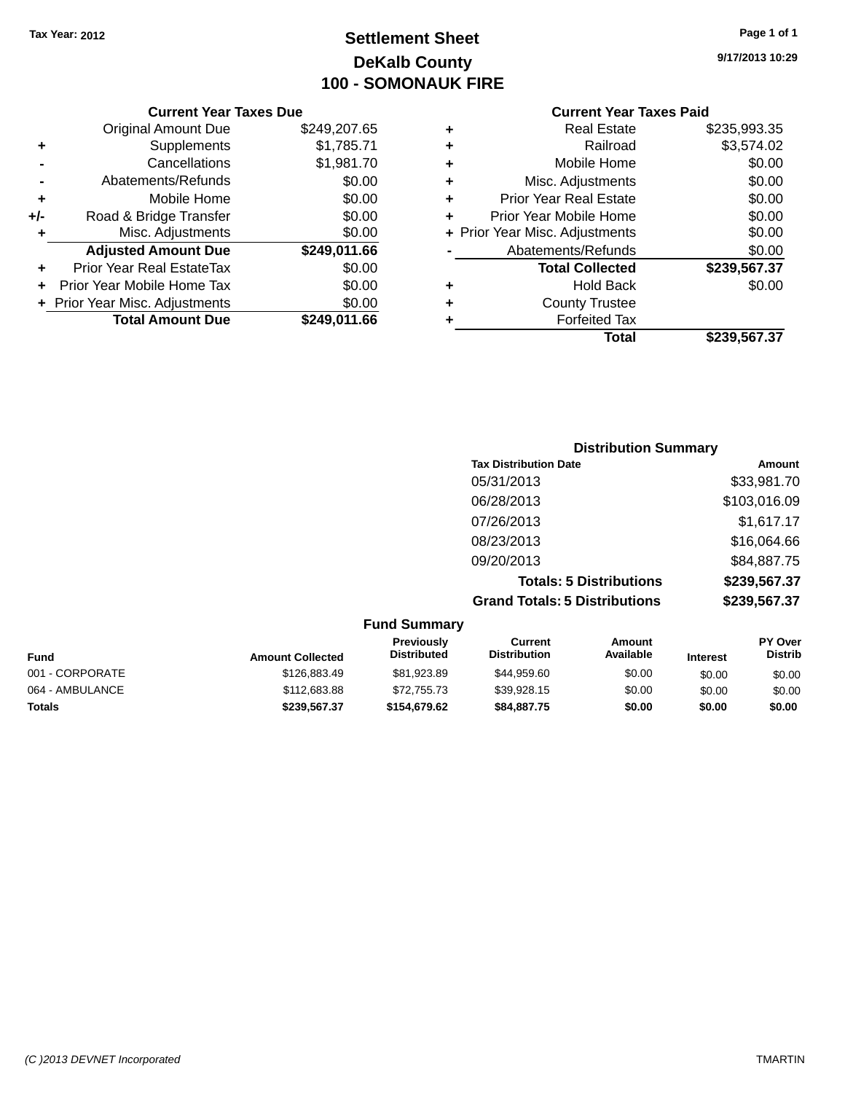### **Settlement Sheet Tax Year: 2012 Page 1 of 1 DeKalb County 100 - SOMONAUK FIRE**

**9/17/2013 10:29**

|     | <b>Current Year Taxes Due</b>  |              |  |  |  |
|-----|--------------------------------|--------------|--|--|--|
|     | <b>Original Amount Due</b>     | \$249,207.65 |  |  |  |
| ٠   | Supplements                    | \$1,785.71   |  |  |  |
|     | Cancellations                  | \$1,981.70   |  |  |  |
|     | Abatements/Refunds             | \$0.00       |  |  |  |
| ٠   | Mobile Home                    | \$0.00       |  |  |  |
| +/- | Road & Bridge Transfer         | \$0.00       |  |  |  |
| ٠   | Misc. Adjustments              | \$0.00       |  |  |  |
|     | <b>Adjusted Amount Due</b>     | \$249,011.66 |  |  |  |
| ٠   | Prior Year Real EstateTax      | \$0.00       |  |  |  |
| ÷   | Prior Year Mobile Home Tax     | \$0.00       |  |  |  |
|     | + Prior Year Misc. Adjustments | \$0.00       |  |  |  |
|     | <b>Total Amount Due</b>        | \$249,011.66 |  |  |  |
|     |                                |              |  |  |  |

| ٠ | <b>Real Estate</b>             | \$235,993.35 |
|---|--------------------------------|--------------|
| ٠ | Railroad                       | \$3,574.02   |
| ٠ | Mobile Home                    | \$0.00       |
| ٠ | Misc. Adjustments              | \$0.00       |
| ٠ | <b>Prior Year Real Estate</b>  | \$0.00       |
| ÷ | Prior Year Mobile Home         | \$0.00       |
|   | + Prior Year Misc. Adjustments | \$0.00       |
|   | Abatements/Refunds             | \$0.00       |
|   | <b>Total Collected</b>         | \$239,567.37 |
| ٠ | <b>Hold Back</b>               | \$0.00       |
| ٠ | <b>County Trustee</b>          |              |
| ÷ | <b>Forfeited Tax</b>           |              |
|   | Total                          | \$239,567.37 |

| <b>Distribution Summary</b>          |              |  |
|--------------------------------------|--------------|--|
| <b>Tax Distribution Date</b>         | Amount       |  |
| 05/31/2013                           | \$33,981.70  |  |
| 06/28/2013                           | \$103,016.09 |  |
| 07/26/2013                           | \$1,617.17   |  |
| 08/23/2013                           | \$16,064.66  |  |
| 09/20/2013                           | \$84,887.75  |  |
| <b>Totals: 5 Distributions</b>       | \$239,567.37 |  |
| <b>Grand Totals: 5 Distributions</b> | \$239,567.37 |  |

| <b>Fund Summary</b> |                         |                                  |                                |                     |                 |                           |
|---------------------|-------------------------|----------------------------------|--------------------------------|---------------------|-----------------|---------------------------|
| <b>Fund</b>         | <b>Amount Collected</b> | Previously<br><b>Distributed</b> | Current<br><b>Distribution</b> | Amount<br>Available | <b>Interest</b> | PY Over<br><b>Distrib</b> |
| 001 - CORPORATE     | \$126,883.49            | \$81,923.89                      | \$44,959.60                    | \$0.00              | \$0.00          | \$0.00                    |
| 064 - AMBULANCE     | \$112,683.88            | \$72,755.73                      | \$39,928.15                    | \$0.00              | \$0.00          | \$0.00                    |
| <b>Totals</b>       | \$239,567.37            | \$154,679.62                     | \$84,887.75                    | \$0.00              | \$0.00          | \$0.00                    |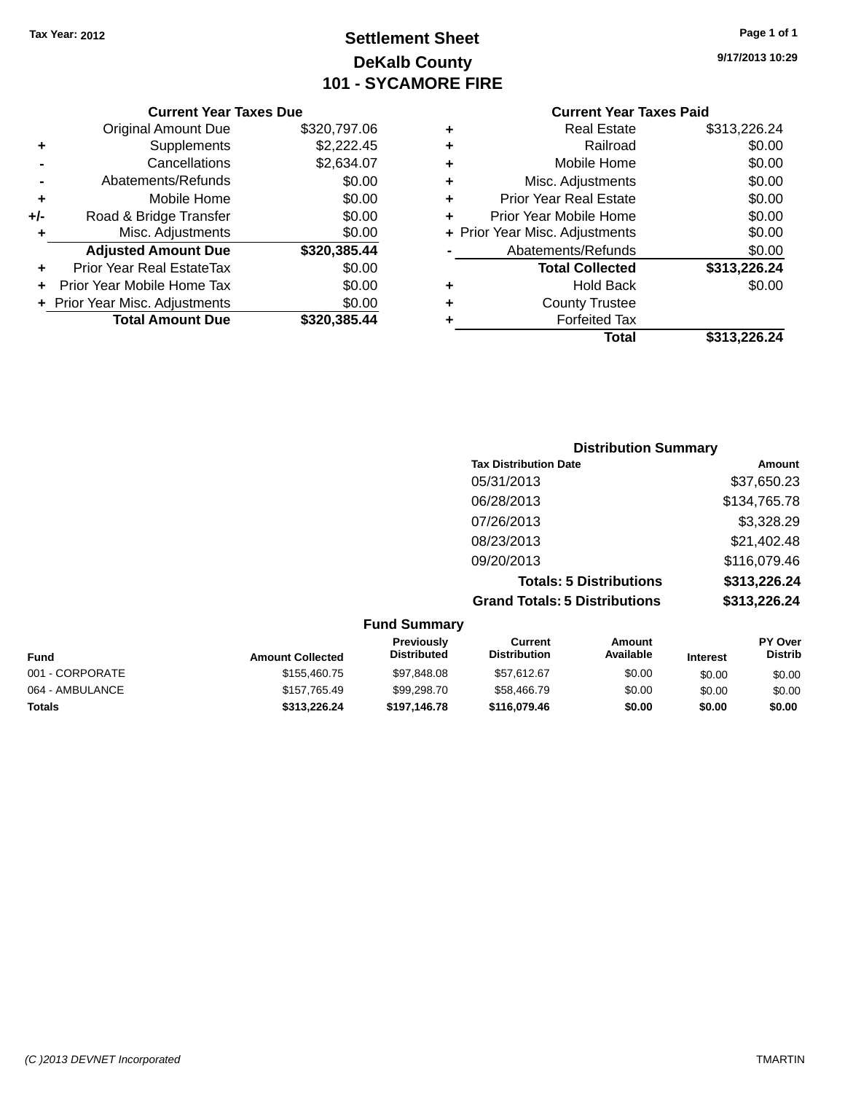### **Settlement Sheet Tax Year: 2012 Page 1 of 1 DeKalb County 101 - SYCAMORE FIRE**

**9/17/2013 10:29**

#### **Current Year Taxes Due**

|     | <b>Original Amount Due</b>       | \$320,797.06 |
|-----|----------------------------------|--------------|
| ٠   | Supplements                      | \$2,222.45   |
|     | Cancellations                    | \$2,634.07   |
|     | Abatements/Refunds               | \$0.00       |
| ٠   | Mobile Home                      | \$0.00       |
| +/- | Road & Bridge Transfer           | \$0.00       |
| ٠   | Misc. Adjustments                | \$0.00       |
|     | <b>Adjusted Amount Due</b>       | \$320,385.44 |
| ÷   | <b>Prior Year Real EstateTax</b> | \$0.00       |
|     | Prior Year Mobile Home Tax       | \$0.00       |
|     | + Prior Year Misc. Adjustments   | \$0.00       |
|     | <b>Total Amount Due</b>          | \$320,385.44 |

|   | Total                          | \$313,226.24 |
|---|--------------------------------|--------------|
| ٠ | <b>Forfeited Tax</b>           |              |
| ٠ | <b>County Trustee</b>          |              |
| ٠ | Hold Back                      | \$0.00       |
|   | <b>Total Collected</b>         | \$313,226.24 |
|   | Abatements/Refunds             | \$0.00       |
|   | + Prior Year Misc. Adjustments | \$0.00       |
| ٠ | Prior Year Mobile Home         | \$0.00       |
| ٠ | <b>Prior Year Real Estate</b>  | \$0.00       |
| ٠ | Misc. Adjustments              | \$0.00       |
| ٠ | Mobile Home                    | \$0.00       |
| ٠ | Railroad                       | \$0.00       |
|   | <b>Real Estate</b>             | \$313,226.24 |

| <b>Distribution Summary</b>          |              |  |
|--------------------------------------|--------------|--|
| <b>Tax Distribution Date</b>         | Amount       |  |
| 05/31/2013                           | \$37,650.23  |  |
| 06/28/2013                           | \$134,765.78 |  |
| 07/26/2013                           | \$3,328.29   |  |
| 08/23/2013                           | \$21,402.48  |  |
| 09/20/2013                           | \$116,079.46 |  |
| <b>Totals: 5 Distributions</b>       | \$313,226.24 |  |
| <b>Grand Totals: 5 Distributions</b> | \$313,226.24 |  |

| <b>Fund Summary</b> |                         |                                  |                                |                     |                 |                           |
|---------------------|-------------------------|----------------------------------|--------------------------------|---------------------|-----------------|---------------------------|
| Fund                | <b>Amount Collected</b> | Previously<br><b>Distributed</b> | Current<br><b>Distribution</b> | Amount<br>Available | <b>Interest</b> | PY Over<br><b>Distrib</b> |
| 001 - CORPORATE     | \$155,460.75            | \$97,848.08                      | \$57,612.67                    | \$0.00              | \$0.00          | \$0.00                    |
| 064 - AMBULANCE     | \$157,765.49            | \$99,298.70                      | \$58,466.79                    | \$0.00              | \$0.00          | \$0.00                    |
| <b>Totals</b>       | \$313,226.24            | \$197,146.78                     | \$116.079.46                   | \$0.00              | \$0.00          | \$0.00                    |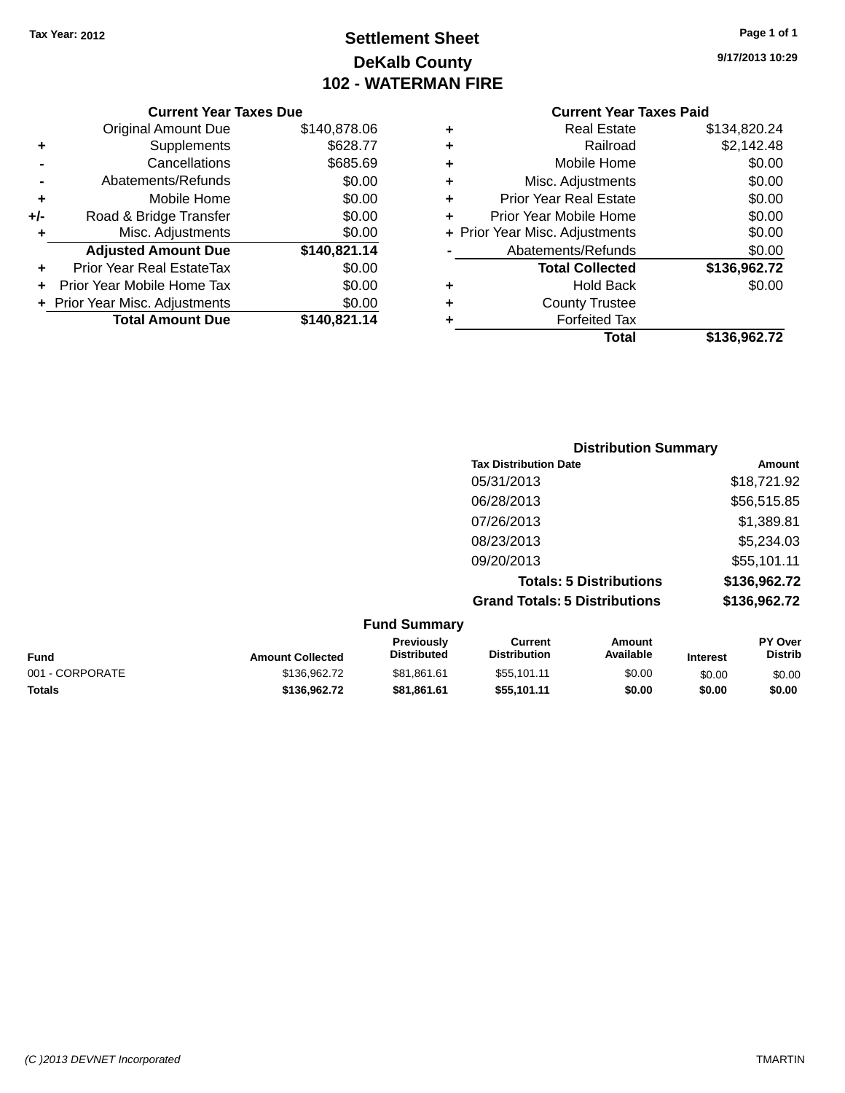### **Settlement Sheet Tax Year: 2012 Page 1 of 1 DeKalb County 102 - WATERMAN FIRE**

**9/17/2013 10:29**

| \$140,878.06<br><b>Original Amount Due</b><br>\$628.77<br>Supplements<br>Cancellations<br>\$685.69<br>\$0.00<br>Abatements/Refunds<br>\$0.00<br>Mobile Home<br>\$0.00<br>Road & Bridge Transfer<br>\$0.00<br>Misc. Adjustments |     |
|--------------------------------------------------------------------------------------------------------------------------------------------------------------------------------------------------------------------------------|-----|
|                                                                                                                                                                                                                                |     |
|                                                                                                                                                                                                                                | ٠   |
|                                                                                                                                                                                                                                |     |
|                                                                                                                                                                                                                                |     |
|                                                                                                                                                                                                                                | ٠   |
|                                                                                                                                                                                                                                | +/- |
|                                                                                                                                                                                                                                | ٠   |
| \$140,821.14<br><b>Adjusted Amount Due</b>                                                                                                                                                                                     |     |
| \$0.00<br>Prior Year Real EstateTax                                                                                                                                                                                            | ٠   |
| \$0.00<br>Prior Year Mobile Home Tax                                                                                                                                                                                           |     |
| \$0.00<br>+ Prior Year Misc. Adjustments                                                                                                                                                                                       |     |
| <b>Total Amount Due</b><br>\$140,821.14                                                                                                                                                                                        |     |
|                                                                                                                                                                                                                                |     |

| ٠ | <b>Real Estate</b>             | \$134,820.24 |
|---|--------------------------------|--------------|
| ٠ | Railroad                       | \$2,142.48   |
| ٠ | Mobile Home                    | \$0.00       |
| ٠ | Misc. Adjustments              | \$0.00       |
| ٠ | <b>Prior Year Real Estate</b>  | \$0.00       |
| ٠ | Prior Year Mobile Home         | \$0.00       |
|   | + Prior Year Misc. Adjustments | \$0.00       |
|   | Abatements/Refunds             | \$0.00       |
|   | <b>Total Collected</b>         | \$136,962.72 |
| ٠ | <b>Hold Back</b>               | \$0.00       |
| ٠ | <b>County Trustee</b>          |              |
| ٠ | <b>Forfeited Tax</b>           |              |
|   | Total                          | \$136,962.72 |
|   |                                |              |

| <b>Distribution Summary</b>          |              |
|--------------------------------------|--------------|
| <b>Tax Distribution Date</b>         | Amount       |
| 05/31/2013                           | \$18,721.92  |
| 06/28/2013                           | \$56,515.85  |
| 07/26/2013                           | \$1,389.81   |
| 08/23/2013                           | \$5,234.03   |
| 09/20/2013                           | \$55,101.11  |
| <b>Totals: 5 Distributions</b>       | \$136,962.72 |
| <b>Grand Totals: 5 Distributions</b> | \$136,962.72 |

|                 |                         | <b>Fund Summary</b>              |                                |                     |                 |                    |
|-----------------|-------------------------|----------------------------------|--------------------------------|---------------------|-----------------|--------------------|
| Fund            | <b>Amount Collected</b> | Previously<br><b>Distributed</b> | Current<br><b>Distribution</b> | Amount<br>Available | <b>Interest</b> | PY Over<br>Distrib |
| 001 - CORPORATE | \$136,962.72            | \$81,861.61                      | \$55,101.11                    | \$0.00              | \$0.00          | \$0.00             |
| <b>Totals</b>   | \$136,962.72            | \$81.861.61                      | \$55.101.11                    | \$0.00              | \$0.00          | \$0.00             |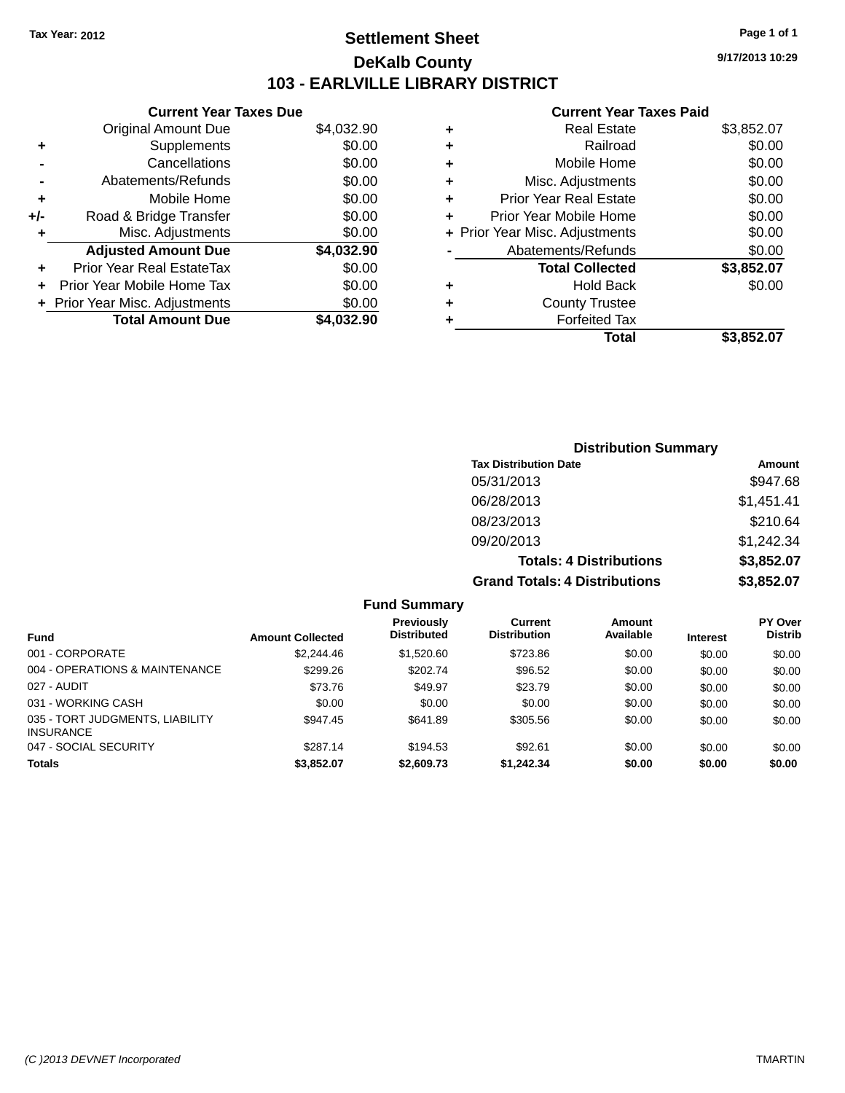### **Settlement Sheet Tax Year: 2012 Page 1 of 1 DeKalb County 103 - EARLVILLE LIBRARY DISTRICT**

**9/17/2013 10:29**

|     | <b>Current Year Taxes Due</b>  |            |
|-----|--------------------------------|------------|
|     | <b>Original Amount Due</b>     | \$4,032.90 |
| ٠   | Supplements                    | \$0.00     |
|     | Cancellations                  | \$0.00     |
|     | Abatements/Refunds             | \$0.00     |
| ٠   | Mobile Home                    | \$0.00     |
| +/- | Road & Bridge Transfer         | \$0.00     |
| ٠   | Misc. Adjustments              | \$0.00     |
|     | <b>Adjusted Amount Due</b>     | \$4,032.90 |
| ٠   | Prior Year Real EstateTax      | \$0.00     |
|     | Prior Year Mobile Home Tax     | \$0.00     |
|     | + Prior Year Misc. Adjustments | \$0.00     |
|     | <b>Total Amount Due</b>        | \$4.032.90 |
|     |                                |            |

| ٠ | <b>Real Estate</b>             | \$3,852.07 |
|---|--------------------------------|------------|
| ٠ | Railroad                       | \$0.00     |
| ٠ | Mobile Home                    | \$0.00     |
| ٠ | Misc. Adjustments              | \$0.00     |
| ٠ | <b>Prior Year Real Estate</b>  | \$0.00     |
|   | Prior Year Mobile Home         | \$0.00     |
|   | + Prior Year Misc. Adjustments | \$0.00     |
|   | Abatements/Refunds             | \$0.00     |
|   | <b>Total Collected</b>         | \$3,852.07 |
| ٠ | Hold Back                      | \$0.00     |
|   | <b>County Trustee</b>          |            |
| ٠ | <b>Forfeited Tax</b>           |            |
|   | Total                          | \$3,852.07 |
|   |                                |            |

| <b>Distribution Summary</b>          |            |
|--------------------------------------|------------|
| <b>Tax Distribution Date</b>         | Amount     |
| 05/31/2013                           | \$947.68   |
| 06/28/2013                           | \$1,451.41 |
| 08/23/2013                           | \$210.64   |
| 09/20/2013                           | \$1,242.34 |
| <b>Totals: 4 Distributions</b>       | \$3,852.07 |
| <b>Grand Totals: 4 Distributions</b> | \$3,852.07 |

| Fund Summary |  |
|--------------|--|
|--------------|--|

|                                                     |                         | <b>Previously</b>  | Current             | Amount    |                 | <b>PY Over</b> |
|-----------------------------------------------------|-------------------------|--------------------|---------------------|-----------|-----------------|----------------|
| <b>Fund</b>                                         | <b>Amount Collected</b> | <b>Distributed</b> | <b>Distribution</b> | Available | <b>Interest</b> | <b>Distrib</b> |
| 001 - CORPORATE                                     | \$2,244.46              | \$1,520.60         | \$723.86            | \$0.00    | \$0.00          | \$0.00         |
| 004 - OPERATIONS & MAINTENANCE                      | \$299.26                | \$202.74           | \$96.52             | \$0.00    | \$0.00          | \$0.00         |
| 027 - AUDIT                                         | \$73.76                 | \$49.97            | \$23.79             | \$0.00    | \$0.00          | \$0.00         |
| 031 - WORKING CASH                                  | \$0.00                  | \$0.00             | \$0.00              | \$0.00    | \$0.00          | \$0.00         |
| 035 - TORT JUDGMENTS, LIABILITY<br><b>INSURANCE</b> | \$947.45                | \$641.89           | \$305.56            | \$0.00    | \$0.00          | \$0.00         |
| 047 - SOCIAL SECURITY                               | \$287.14                | \$194.53           | \$92.61             | \$0.00    | \$0.00          | \$0.00         |
| Totals                                              | \$3,852.07              | \$2,609.73         | \$1,242.34          | \$0.00    | \$0.00          | \$0.00         |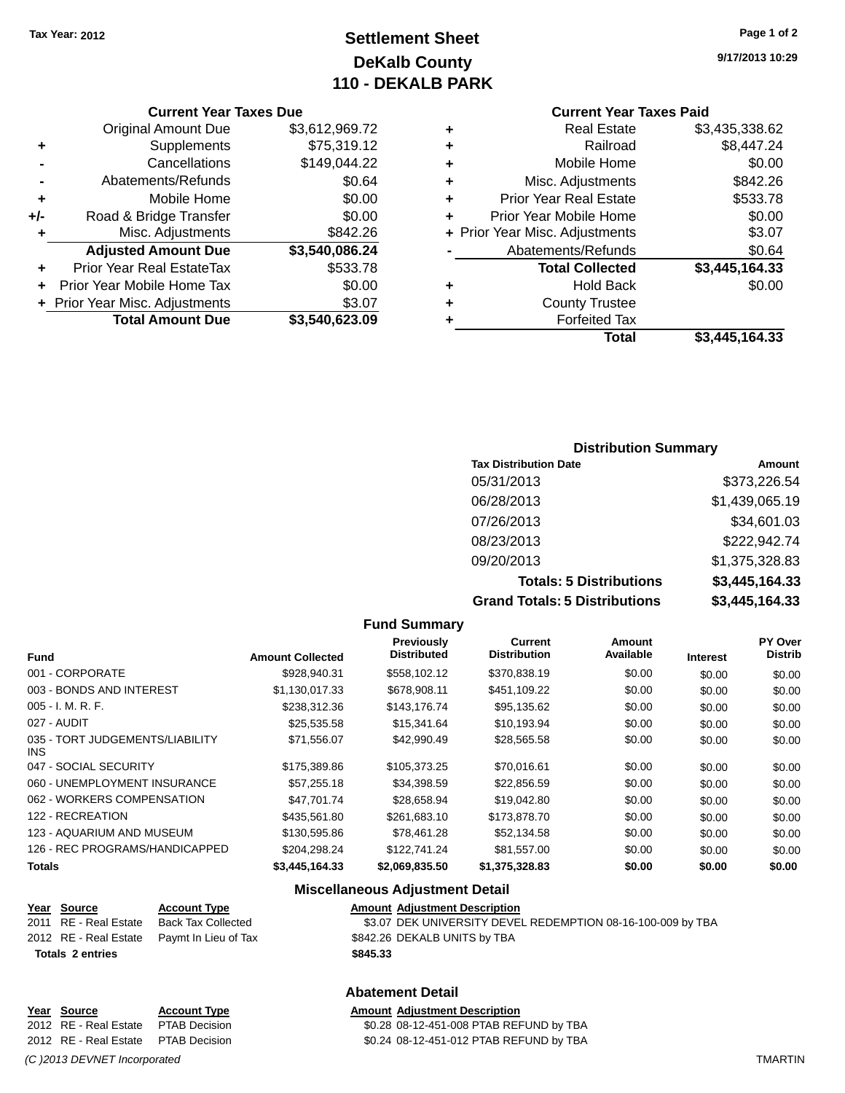### **Settlement Sheet Tax Year: 2012 Page 1 of 2 DeKalb County 110 - DEKALB PARK**

**Current Year Taxes Due**

|     | + Prior Year Misc. Adjustments | \$3.07         |
|-----|--------------------------------|----------------|
|     | Prior Year Mobile Home Tax     | \$0.00         |
|     | Prior Year Real EstateTax      | \$533.78       |
|     | <b>Adjusted Amount Due</b>     | \$3,540,086.24 |
| ٠   | Misc. Adjustments              | \$842.26       |
| +/- | Road & Bridge Transfer         | \$0.00         |
| ٠   | Mobile Home                    | \$0.00         |
|     | Abatements/Refunds             | \$0.64         |
|     | Cancellations                  | \$149,044.22   |
| ٠   | Supplements                    | \$75,319.12    |
|     | <b>Original Amount Due</b>     | \$3,612,969.72 |
|     |                                |                |

### **Current Year Taxes Paid**

| ٠ | <b>Real Estate</b>             | \$3,435,338.62 |
|---|--------------------------------|----------------|
| ٠ | Railroad                       | \$8,447.24     |
| ٠ | Mobile Home                    | \$0.00         |
| ٠ | Misc. Adjustments              | \$842.26       |
| ٠ | <b>Prior Year Real Estate</b>  | \$533.78       |
| ٠ | Prior Year Mobile Home         | \$0.00         |
|   | + Prior Year Misc. Adjustments | \$3.07         |
|   | Abatements/Refunds             | \$0.64         |
|   | <b>Total Collected</b>         | \$3,445,164.33 |
| ٠ | Hold Back                      | \$0.00         |
| ٠ | <b>County Trustee</b>          |                |
| ٠ | <b>Forfeited Tax</b>           |                |
|   | Total                          | \$3,445,164.33 |
|   |                                |                |

| <b>Distribution Summary</b>    |                |
|--------------------------------|----------------|
| <b>Tax Distribution Date</b>   | Amount         |
| 05/31/2013                     | \$373,226.54   |
| 06/28/2013                     | \$1,439,065.19 |
| 07/26/2013                     | \$34,601.03    |
| 08/23/2013                     | \$222,942.74   |
| 09/20/2013                     | \$1,375,328.83 |
| <b>Totals: 5 Distributions</b> | \$3,445,164.33 |
|                                |                |

**Grand Totals: 5 Distributions \$3,445,164.33**

| als: 5 Distributi |  |
|-------------------|--|
|-------------------|--|

|                                         |                         | <b>Fund Summary</b>              |                                       |                     |                 |                           |
|-----------------------------------------|-------------------------|----------------------------------|---------------------------------------|---------------------|-----------------|---------------------------|
| <b>Fund</b>                             | <b>Amount Collected</b> | Previously<br><b>Distributed</b> | <b>Current</b><br><b>Distribution</b> | Amount<br>Available | <b>Interest</b> | PY Over<br><b>Distrib</b> |
| 001 - CORPORATE                         | \$928,940.31            | \$558,102.12                     | \$370,838.19                          | \$0.00              | \$0.00          | \$0.00                    |
| 003 - BONDS AND INTEREST                | \$1,130,017.33          | \$678,908.11                     | \$451,109.22                          | \$0.00              | \$0.00          | \$0.00                    |
| 005 - I. M. R. F.                       | \$238,312.36            | \$143,176.74                     | \$95,135.62                           | \$0.00              | \$0.00          | \$0.00                    |
| 027 - AUDIT                             | \$25,535.58             | \$15,341.64                      | \$10,193.94                           | \$0.00              | \$0.00          | \$0.00                    |
| 035 - TORT JUDGEMENTS/LIABILITY<br>INS. | \$71,556.07             | \$42,990.49                      | \$28,565.58                           | \$0.00              | \$0.00          | \$0.00                    |
| 047 - SOCIAL SECURITY                   | \$175,389.86            | \$105,373.25                     | \$70,016.61                           | \$0.00              | \$0.00          | \$0.00                    |
| 060 - UNEMPLOYMENT INSURANCE            | \$57,255.18             | \$34,398.59                      | \$22,856.59                           | \$0.00              | \$0.00          | \$0.00                    |
| 062 - WORKERS COMPENSATION              | \$47.701.74             | \$28,658.94                      | \$19,042.80                           | \$0.00              | \$0.00          | \$0.00                    |
| 122 - RECREATION                        | \$435,561.80            | \$261,683.10                     | \$173,878.70                          | \$0.00              | \$0.00          | \$0.00                    |
| 123 - AQUARIUM AND MUSEUM               | \$130,595.86            | \$78,461.28                      | \$52,134.58                           | \$0.00              | \$0.00          | \$0.00                    |
| 126 - REC PROGRAMS/HANDICAPPED          | \$204,298.24            | \$122,741.24                     | \$81,557.00                           | \$0.00              | \$0.00          | \$0.00                    |
| Totals                                  | \$3,445,164.33          | \$2,069,835.50                   | \$1,375,328.83                        | \$0.00              | \$0.00          | \$0.00                    |

### **Miscellaneous Adjustment Detail**

**Abatement Detail**

| Year Source             | <b>Account Type</b>                        | <b>Amount Adjustment Description</b>                        |
|-------------------------|--------------------------------------------|-------------------------------------------------------------|
| 2011 RE - Real Estate   | Back Tax Collected                         | \$3.07 DEK UNIVERSITY DEVEL REDEMPTION 08-16-100-009 by TBA |
|                         | 2012 RE - Real Estate Paymt In Lieu of Tax | \$842.26 DEKALB UNITS by TBA                                |
| <b>Totals 2 entries</b> |                                            | \$845.33                                                    |

\$0.28 08-12-451-008 PTAB REFUND by TBA

**<u>Year Source</u> <b>Account Type Amount Adjustment Description**<br>2012 RE - Real Estate PTAB Decision **Amount 1998** 08-12-451-008 PTAB REF

2012 RE - Real Estate PTAB Decision \$0.24 08-12-451-012 PTAB REFUND by TBA

*(C )2013 DEVNET Incorporated* TMARTIN

**INS**<br>047

**9/17/2013 10:29**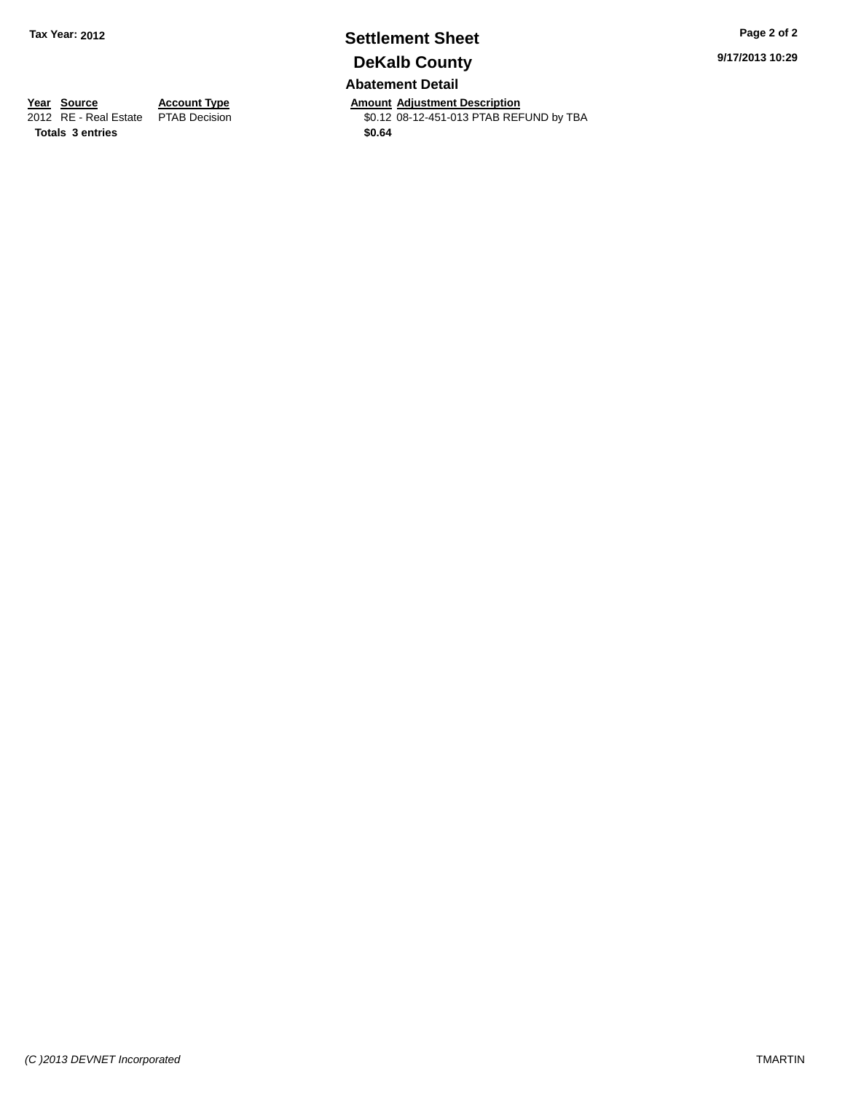## **Settlement Sheet Tax Year: 2012 Page 2 of 2 DeKalb County**

**Abatement Detail**

**Year Source Account Type Anneurs Amount Adjustment Description**<br>
2012 RE - Real Estate PTAB Decision **Amount 2012** 08-12-451-013 PTAB REF \$0.12 08-12-451-013 PTAB REFUND by TBA **9/17/2013 10:29**

**Totals 3 entries \$0.64**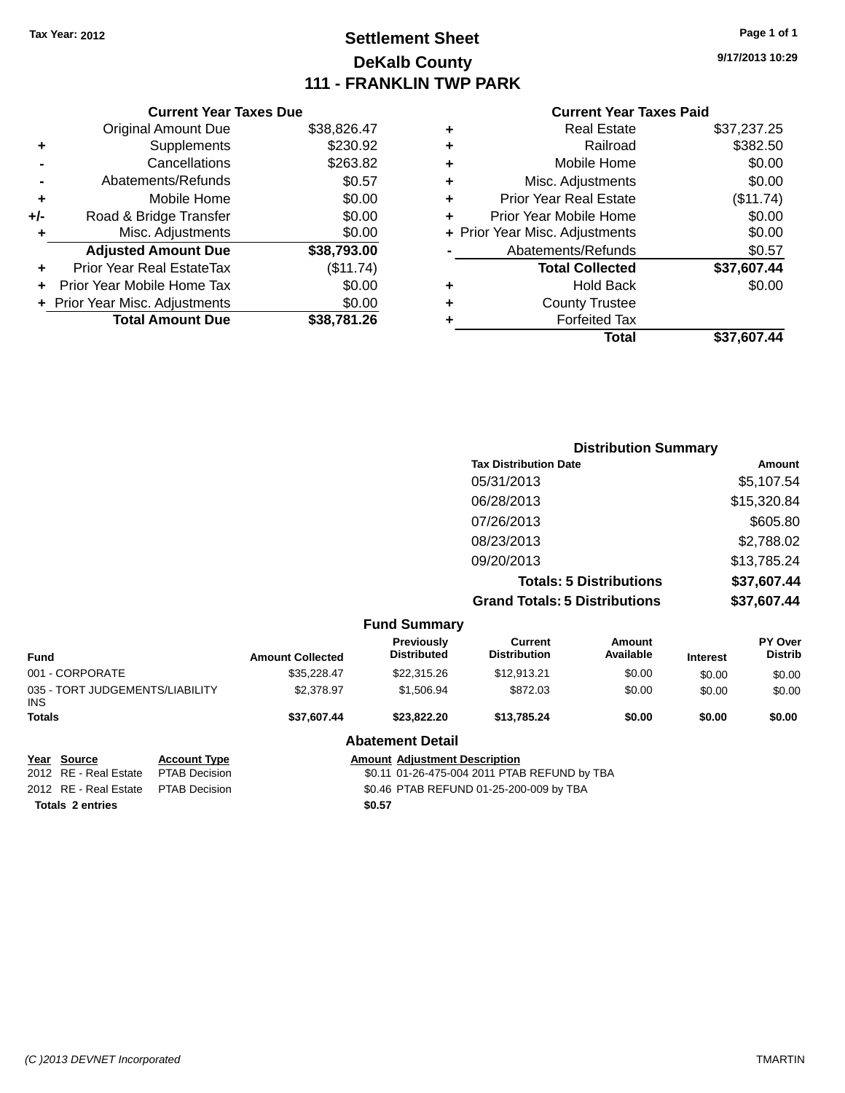### **Settlement Sheet Tax Year: 2012 Page 1 of 1 DeKalb County 111 - FRANKLIN TWP PARK**

**9/17/2013 10:29**

#### **Current Year Taxes Paid**

| <b>Current Year Taxes Due</b> |                                           |             |  |  |  |
|-------------------------------|-------------------------------------------|-------------|--|--|--|
|                               | <b>Original Amount Due</b><br>\$38,826.47 |             |  |  |  |
| ٠                             | Supplements                               | \$230.92    |  |  |  |
|                               | Cancellations                             | \$263.82    |  |  |  |
|                               | Abatements/Refunds                        | \$0.57      |  |  |  |
| ٠                             | Mobile Home                               | \$0.00      |  |  |  |
| +/-                           | Road & Bridge Transfer                    | \$0.00      |  |  |  |
| ٠                             | Misc. Adjustments                         | \$0.00      |  |  |  |
|                               | <b>Adjusted Amount Due</b>                | \$38,793.00 |  |  |  |
| ٠                             | Prior Year Real EstateTax                 | (\$11.74)   |  |  |  |
|                               | Prior Year Mobile Home Tax                | \$0.00      |  |  |  |
|                               | + Prior Year Misc. Adjustments            | \$0.00      |  |  |  |
|                               | <b>Total Amount Due</b>                   | \$38.781.26 |  |  |  |
|                               |                                           |             |  |  |  |

|   | Real Estate                    | \$37,237.25 |
|---|--------------------------------|-------------|
| ٠ | Railroad                       | \$382.50    |
| ٠ | Mobile Home                    | \$0.00      |
| ٠ | Misc. Adjustments              | \$0.00      |
| ٠ | <b>Prior Year Real Estate</b>  | (\$11.74)   |
| ٠ | Prior Year Mobile Home         | \$0.00      |
|   | + Prior Year Misc. Adjustments | \$0.00      |
|   | Abatements/Refunds             | \$0.57      |
|   | <b>Total Collected</b>         | \$37,607.44 |
| ٠ | <b>Hold Back</b>               | \$0.00      |
| ٠ | <b>County Trustee</b>          |             |
| ٠ | <b>Forfeited Tax</b>           |             |
|   | Total                          | \$37,607.44 |
|   |                                |             |

| <b>Distribution Summary</b>          |             |  |
|--------------------------------------|-------------|--|
| <b>Tax Distribution Date</b>         | Amount      |  |
| 05/31/2013                           | \$5,107.54  |  |
| 06/28/2013                           | \$15,320.84 |  |
| 07/26/2013                           | \$605.80    |  |
| 08/23/2013                           | \$2,788.02  |  |
| 09/20/2013                           | \$13,785.24 |  |
| <b>Totals: 5 Distributions</b>       | \$37,607.44 |  |
| <b>Grand Totals: 5 Distributions</b> | \$37,607.44 |  |

|                                               |                     |                         | <b>Fund Summary</b>                     |                                |                     |                 |                                  |
|-----------------------------------------------|---------------------|-------------------------|-----------------------------------------|--------------------------------|---------------------|-----------------|----------------------------------|
| <b>Fund</b>                                   |                     | <b>Amount Collected</b> | <b>Previously</b><br><b>Distributed</b> | Current<br><b>Distribution</b> | Amount<br>Available | <b>Interest</b> | <b>PY Over</b><br><b>Distrib</b> |
| 001 - CORPORATE                               |                     | \$35.228.47             | \$22,315.26                             | \$12.913.21                    | \$0.00              | \$0.00          | \$0.00                           |
| 035 - TORT JUDGEMENTS/LIABILITY<br><b>INS</b> |                     | \$2.378.97              | \$1,506.94                              | \$872.03                       | \$0.00              | \$0.00          | \$0.00                           |
| <b>Totals</b>                                 |                     | \$37.607.44             | \$23,822,20                             | \$13,785,24                    | \$0.00              | \$0.00          | \$0.00                           |
|                                               |                     |                         | <b>Abatement Detail</b>                 |                                |                     |                 |                                  |
| Year Source                                   | <b>Account Type</b> |                         | <b>Amount Adjustment Description</b>    |                                |                     |                 |                                  |

**<u>Year Source</u>**<br> **PTAB Decision Totals 2 entries \$0.57**

\$0.11 01-26-475-004 2011 PTAB REFUND by TBA 2012 RE - Real Estate PTAB Decision \$0.46 PTAB REFUND 01-25-200-009 by TBA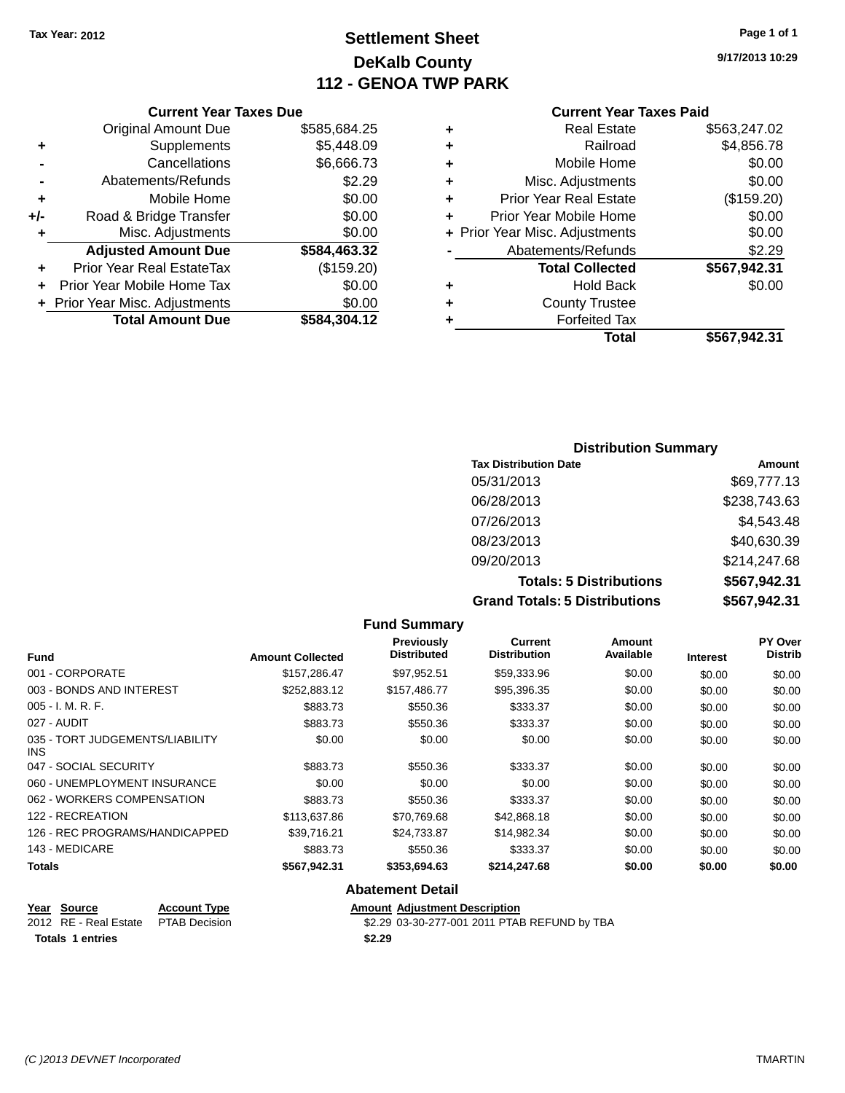### **Settlement Sheet Tax Year: 2012 Page 1 of 1 DeKalb County 112 - GENOA TWP PARK**

**9/17/2013 10:29**

#### **Current Year Taxes Paid**

| Current \                  |   |              | <b>Current Year Taxes Due</b>    |       |
|----------------------------|---|--------------|----------------------------------|-------|
| Real Es                    | ÷ | \$585,684.25 | Original Amount Due              |       |
| Rail                       | ٠ | \$5,448.09   | Supplements                      |       |
| Mobile H                   | ٠ | \$6,666.73   | Cancellations                    |       |
| Misc. Adjustm              | ٠ | \$2.29       | Abatements/Refunds               |       |
| <b>Prior Year Real Es</b>  | ٠ | \$0.00       | Mobile Home                      |       |
| Prior Year Mobile H        | ÷ | \$0.00       | Road & Bridge Transfer           | $+/-$ |
| + Prior Year Misc. Adjustm |   | \$0.00       | Misc. Adjustments                |       |
| Abatements/Refu            |   | \$584,463.32 | <b>Adjusted Amount Due</b>       |       |
| <b>Total Colle</b>         |   | (\$159.20)   | <b>Prior Year Real EstateTax</b> |       |
| Hold E                     | ٠ | \$0.00       | Prior Year Mobile Home Tax       |       |
| <b>County Tru</b>          | ٠ | \$0.00       | + Prior Year Misc. Adjustments   |       |
| Forfeited                  |   | \$584,304.12 | <b>Total Amount Due</b>          |       |
|                            |   |              |                                  |       |

| ٠ | <b>Real Estate</b>             | \$563,247.02 |
|---|--------------------------------|--------------|
|   | Railroad                       | \$4,856.78   |
|   | Mobile Home                    | \$0.00       |
| ٠ | Misc. Adjustments              | \$0.00       |
| ٠ | <b>Prior Year Real Estate</b>  | (\$159.20)   |
| ÷ | Prior Year Mobile Home         | \$0.00       |
|   | + Prior Year Misc. Adjustments | \$0.00       |
|   | Abatements/Refunds             | \$2.29       |
|   | <b>Total Collected</b>         | \$567,942.31 |
|   | <b>Hold Back</b>               | \$0.00       |
| ٠ | <b>County Trustee</b>          |              |
|   | <b>Forfeited Tax</b>           |              |
|   | <b>Total</b>                   | \$567,942.31 |
|   |                                |              |

#### **Distribution Summary Tax Distribution Date Amount** 05/31/2013 \$69,777.13 06/28/2013 \$238,743.63 07/26/2013 \$4,543.48 08/23/2013 \$40,630.39 09/20/2013 \$214,247.68 **Totals: 5 Distributions \$567,942.31 Grand Totals: 5 Distributions \$567,942.31**

|                                               |                         | <b>Fund Summary</b>                     |                                |                     |                 |                                  |
|-----------------------------------------------|-------------------------|-----------------------------------------|--------------------------------|---------------------|-----------------|----------------------------------|
| <b>Fund</b>                                   | <b>Amount Collected</b> | <b>Previously</b><br><b>Distributed</b> | Current<br><b>Distribution</b> | Amount<br>Available | <b>Interest</b> | <b>PY Over</b><br><b>Distrib</b> |
| 001 - CORPORATE                               | \$157,286.47            | \$97,952.51                             | \$59,333.96                    | \$0.00              | \$0.00          | \$0.00                           |
| 003 - BONDS AND INTEREST                      | \$252,883.12            | \$157.486.77                            | \$95,396.35                    | \$0.00              | \$0.00          | \$0.00                           |
| $005 - I. M. R. F.$                           | \$883.73                | \$550.36                                | \$333.37                       | \$0.00              | \$0.00          | \$0.00                           |
| 027 - AUDIT                                   | \$883.73                | \$550.36                                | \$333.37                       | \$0.00              | \$0.00          | \$0.00                           |
| 035 - TORT JUDGEMENTS/LIABILITY<br><b>INS</b> | \$0.00                  | \$0.00                                  | \$0.00                         | \$0.00              | \$0.00          | \$0.00                           |
| 047 - SOCIAL SECURITY                         | \$883.73                | \$550.36                                | \$333.37                       | \$0.00              | \$0.00          | \$0.00                           |
| 060 - UNEMPLOYMENT INSURANCE                  | \$0.00                  | \$0.00                                  | \$0.00                         | \$0.00              | \$0.00          | \$0.00                           |
| 062 - WORKERS COMPENSATION                    | \$883.73                | \$550.36                                | \$333.37                       | \$0.00              | \$0.00          | \$0.00                           |
| 122 - RECREATION                              | \$113,637.86            | \$70,769.68                             | \$42,868.18                    | \$0.00              | \$0.00          | \$0.00                           |
| 126 - REC PROGRAMS/HANDICAPPED                | \$39,716.21             | \$24,733.87                             | \$14,982.34                    | \$0.00              | \$0.00          | \$0.00                           |
| 143 - MEDICARE                                | \$883.73                | \$550.36                                | \$333.37                       | \$0.00              | \$0.00          | \$0.00                           |
| <b>Totals</b>                                 | \$567,942.31            | \$353,694.63                            | \$214,247.68                   | \$0.00              | \$0.00          | \$0.00                           |
|                                               |                         | <b>Abatement Detail</b>                 |                                |                     |                 |                                  |

#### **Year Source Account Type Amount Adjustment Description** 2012 RE - Real Estate PTAB Decision \$2.29 03-30-277-001 2011 PTAB REFUND by TBA **Totals 1 entries \$2.29**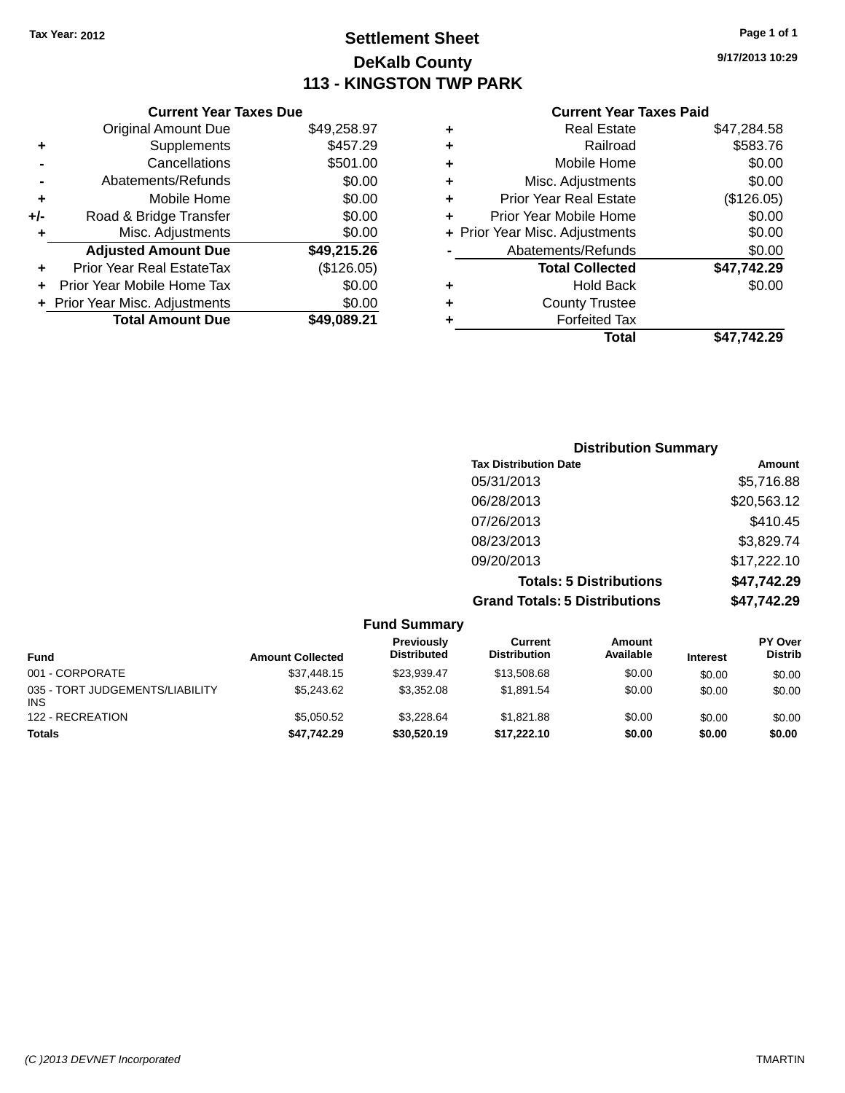### **Settlement Sheet Tax Year: 2012 Page 1 of 1 DeKalb County 113 - KINGSTON TWP PARK**

**9/17/2013 10:29**

|       | <b>Current Year Taxes Due</b>  |             |
|-------|--------------------------------|-------------|
|       | <b>Original Amount Due</b>     | \$49,258.97 |
| ٠     | Supplements                    | \$457.29    |
|       | Cancellations                  | \$501.00    |
|       | Abatements/Refunds             | \$0.00      |
| ٠     | Mobile Home                    | \$0.00      |
| $+/-$ | Road & Bridge Transfer         | \$0.00      |
|       | Misc. Adjustments              | \$0.00      |
|       | <b>Adjusted Amount Due</b>     | \$49,215.26 |
|       | Prior Year Real EstateTax      | (\$126.05)  |
|       | Prior Year Mobile Home Tax     | \$0.00      |
|       | + Prior Year Misc. Adjustments | \$0.00      |
|       | <b>Total Amount Due</b>        | \$49.089.21 |
|       |                                |             |

| ٠ | <b>Real Estate</b>             | \$47,284.58 |
|---|--------------------------------|-------------|
| ٠ | Railroad                       | \$583.76    |
| ٠ | Mobile Home                    | \$0.00      |
| ٠ | Misc. Adjustments              | \$0.00      |
| ٠ | <b>Prior Year Real Estate</b>  | (\$126.05)  |
| ٠ | Prior Year Mobile Home         | \$0.00      |
|   | + Prior Year Misc. Adjustments | \$0.00      |
|   | Abatements/Refunds             | \$0.00      |
|   | <b>Total Collected</b>         | \$47,742.29 |
| ٠ | <b>Hold Back</b>               | \$0.00      |
| ٠ | <b>County Trustee</b>          |             |
| ٠ | <b>Forfeited Tax</b>           |             |
|   | Total                          | \$47.742.29 |
|   |                                |             |

| <b>Distribution Summary</b>          |             |
|--------------------------------------|-------------|
| <b>Tax Distribution Date</b>         | Amount      |
| 05/31/2013                           | \$5,716.88  |
| 06/28/2013                           | \$20,563.12 |
| 07/26/2013                           | \$410.45    |
| 08/23/2013                           | \$3,829.74  |
| 09/20/2013                           | \$17,222.10 |
| <b>Totals: 5 Distributions</b>       | \$47,742.29 |
| <b>Grand Totals: 5 Distributions</b> | \$47,742.29 |

| <b>Fund Summary</b>                           |                         |                                  |                                |                     |                 |                                  |
|-----------------------------------------------|-------------------------|----------------------------------|--------------------------------|---------------------|-----------------|----------------------------------|
| <b>Fund</b>                                   | <b>Amount Collected</b> | Previously<br><b>Distributed</b> | Current<br><b>Distribution</b> | Amount<br>Available | <b>Interest</b> | <b>PY Over</b><br><b>Distrib</b> |
| 001 - CORPORATE                               | \$37.448.15             | \$23.939.47                      | \$13,508,68                    | \$0.00              | \$0.00          | \$0.00                           |
| 035 - TORT JUDGEMENTS/LIABILITY<br><b>INS</b> | \$5,243,62              | \$3.352.08                       | \$1.891.54                     | \$0.00              | \$0.00          | \$0.00                           |
| 122 - RECREATION                              | \$5.050.52              | \$3.228.64                       | \$1.821.88                     | \$0.00              | \$0.00          | \$0.00                           |
| <b>Totals</b>                                 | \$47.742.29             | \$30,520.19                      | \$17.222.10                    | \$0.00              | \$0.00          | \$0.00                           |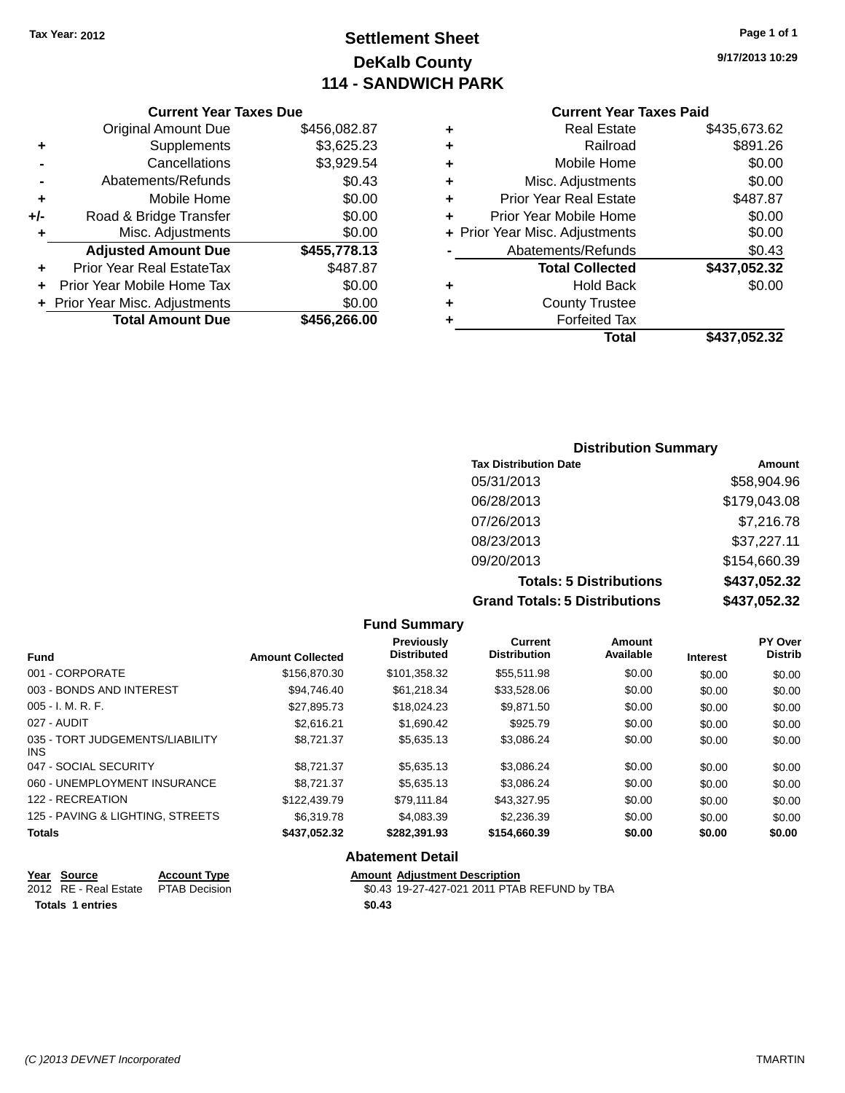# **Settlement Sheet Tax Year: 2012 Page 1 of 1 DeKalb County 114 - SANDWICH PARK**

**9/17/2013 10:29**

### **Current Year Taxes Paid**

| <b>Current Year Taxes Due</b> |                              |
|-------------------------------|------------------------------|
| <b>Original Amount Due</b>    | \$456,082.87                 |
| Supplements                   | \$3,625.23                   |
| Cancellations                 | \$3,929.54                   |
| Abatements/Refunds            | \$0.43                       |
| Mobile Home                   | \$0.00                       |
| Road & Bridge Transfer        | \$0.00                       |
| Misc. Adjustments             | \$0.00                       |
| <b>Adjusted Amount Due</b>    | \$455,778.13                 |
| Prior Year Real EstateTax     | \$487.87                     |
| Prior Year Mobile Home Tax    | \$0.00                       |
|                               | \$0.00                       |
|                               |                              |
|                               | Prior Year Misc. Adjustments |

|   | Total                          | \$437,052.32 |
|---|--------------------------------|--------------|
|   | <b>Forfeited Tax</b>           |              |
| ٠ | <b>County Trustee</b>          |              |
| ٠ | Hold Back                      | \$0.00       |
|   | <b>Total Collected</b>         | \$437,052.32 |
|   | Abatements/Refunds             | \$0.43       |
|   | + Prior Year Misc. Adjustments | \$0.00       |
| ٠ | Prior Year Mobile Home         | \$0.00       |
| ÷ | <b>Prior Year Real Estate</b>  | \$487.87     |
| ٠ | Misc. Adjustments              | \$0.00       |
| ٠ | Mobile Home                    | \$0.00       |
| ٠ | Railroad                       | \$891.26     |
| ٠ | <b>Real Estate</b>             | \$435,673.62 |
|   |                                |              |

| <b>Distribution Summary</b>          |              |  |  |  |
|--------------------------------------|--------------|--|--|--|
| <b>Tax Distribution Date</b>         | Amount       |  |  |  |
| 05/31/2013                           | \$58,904.96  |  |  |  |
| 06/28/2013                           | \$179,043.08 |  |  |  |
| 07/26/2013                           | \$7,216.78   |  |  |  |
| 08/23/2013                           | \$37,227.11  |  |  |  |
| 09/20/2013                           | \$154,660.39 |  |  |  |
| <b>Totals: 5 Distributions</b>       | \$437,052.32 |  |  |  |
| <b>Grand Totals: 5 Distributions</b> | \$437,052.32 |  |  |  |

|                                         |                         | <b>Fund Summary</b>                     |                                |                     |                 |                           |
|-----------------------------------------|-------------------------|-----------------------------------------|--------------------------------|---------------------|-----------------|---------------------------|
| <b>Fund</b>                             | <b>Amount Collected</b> | <b>Previously</b><br><b>Distributed</b> | Current<br><b>Distribution</b> | Amount<br>Available | <b>Interest</b> | PY Over<br><b>Distrib</b> |
| 001 - CORPORATE                         | \$156,870.30            | \$101,358.32                            | \$55,511.98                    | \$0.00              | \$0.00          | \$0.00                    |
| 003 - BONDS AND INTEREST                | \$94.746.40             | \$61,218.34                             | \$33,528.06                    | \$0.00              | \$0.00          | \$0.00                    |
| $005 - I. M. R. F.$                     | \$27.895.73             | \$18,024.23                             | \$9.871.50                     | \$0.00              | \$0.00          | \$0.00                    |
| 027 - AUDIT                             | \$2.616.21              | \$1,690.42                              | \$925.79                       | \$0.00              | \$0.00          | \$0.00                    |
| 035 - TORT JUDGEMENTS/LIABILITY<br>INS. | \$8,721.37              | \$5,635.13                              | \$3,086.24                     | \$0.00              | \$0.00          | \$0.00                    |
| 047 - SOCIAL SECURITY                   | \$8.721.37              | \$5,635.13                              | \$3,086.24                     | \$0.00              | \$0.00          | \$0.00                    |
| 060 - UNEMPLOYMENT INSURANCE            | \$8.721.37              | \$5,635.13                              | \$3,086.24                     | \$0.00              | \$0.00          | \$0.00                    |
| 122 - RECREATION                        | \$122,439.79            | \$79.111.84                             | \$43.327.95                    | \$0.00              | \$0.00          | \$0.00                    |
| 125 - PAVING & LIGHTING, STREETS        | \$6,319.78              | \$4,083.39                              | \$2,236.39                     | \$0.00              | \$0.00          | \$0.00                    |
| <b>Totals</b>                           | \$437,052.32            | \$282,391.93<br>.                       | \$154,660.39                   | \$0.00              | \$0.00          | \$0.00                    |

#### **Abatement Detail**

| <u>Year Source</u>                   | <b>Account Type</b> | <b>Amount Adiustment Description</b>         |
|--------------------------------------|---------------------|----------------------------------------------|
| 2012 RE - Real Estate  PTAB Decision |                     | \$0.43 19-27-427-021 2011 PTAB REFUND by TBA |
| Totals 1 entries                     |                     | \$0.43                                       |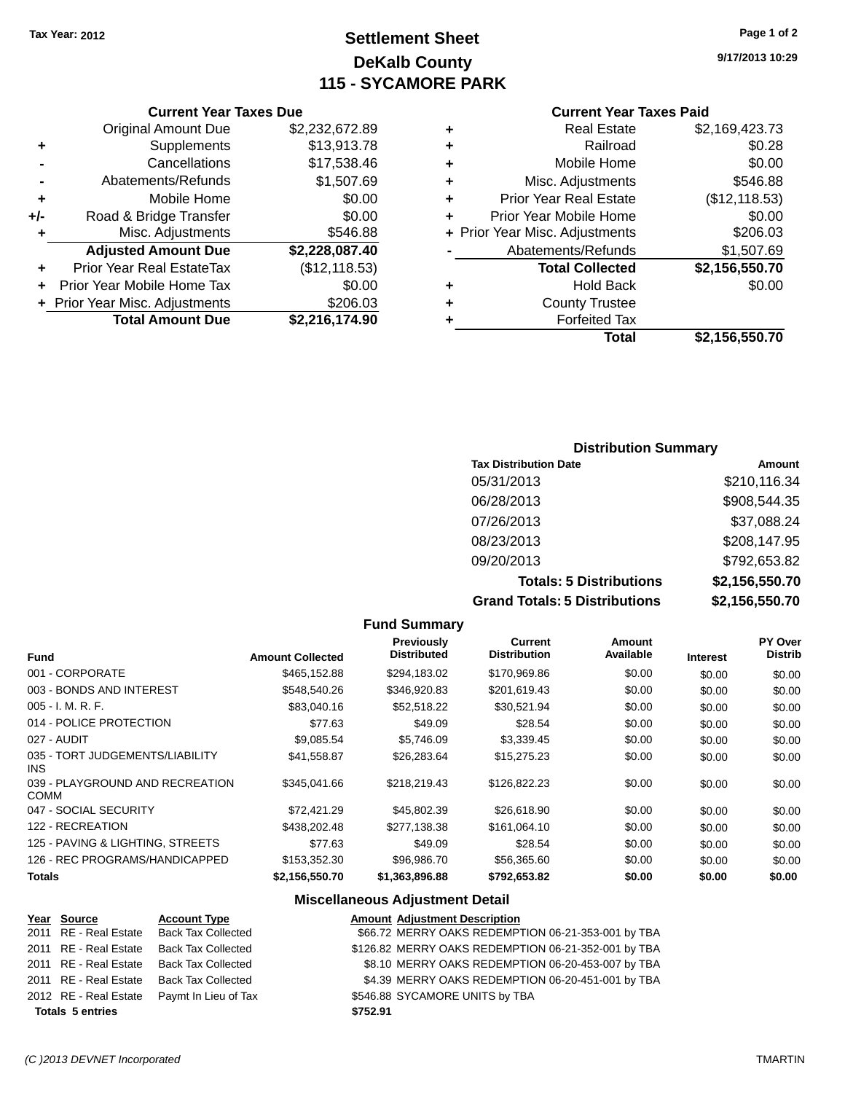# **Settlement Sheet Tax Year: 2012 Page 1 of 2 DeKalb County 115 - SYCAMORE PARK**

**9/17/2013 10:29**

#### **Current Year Taxes Paid**

|   | Real Estate                    | \$2,169,423.73 |
|---|--------------------------------|----------------|
| ٠ | Railroad                       | \$0.28         |
| ٠ | Mobile Home                    | \$0.00         |
| ٠ | Misc. Adjustments              | \$546.88       |
| ٠ | <b>Prior Year Real Estate</b>  | (\$12,118.53)  |
| ÷ | Prior Year Mobile Home         | \$0.00         |
|   | + Prior Year Misc. Adjustments | \$206.03       |
|   | Abatements/Refunds             | \$1,507.69     |
|   | <b>Total Collected</b>         | \$2,156,550.70 |
|   | <b>Hold Back</b>               | \$0.00         |
| ٠ | <b>County Trustee</b>          |                |
|   | <b>Forfeited Tax</b>           |                |
|   | Total                          | \$2,156,550.70 |

### **Current Year Taxes Due** Original Amount Due \$2,232,672.89 **+** Supplements \$13,913.78 **-** Cancellations \$17,538.46 **-** Abatements/Refunds \$1,507.69 **+** Mobile Home \$0.00 **+/-** Road & Bridge Transfer \$0.00 **+** Misc. Adjustments \$546.88 **Adjusted Amount Due \$2,228,087.40 +** Prior Year Real EstateTax (\$12,118.53) **+** Prior Year Mobile Home Tax \$0.00 **+** Prior Year Misc. Adjustments \$206.03

**Total Amount Due \$2,216,174.90**

## **Distribution Summary**

| <b>Tax Distribution Date</b>         | Amount         |
|--------------------------------------|----------------|
| 05/31/2013                           | \$210,116.34   |
| 06/28/2013                           | \$908,544.35   |
| 07/26/2013                           | \$37,088.24    |
| 08/23/2013                           | \$208,147.95   |
| 09/20/2013                           | \$792,653.82   |
| <b>Totals: 5 Distributions</b>       | \$2,156,550.70 |
| <b>Grand Totals: 5 Distributions</b> | \$2,156,550.70 |

| <b>Fund Summary</b>                            |                         |                                         |                                       |                     |                 |                           |
|------------------------------------------------|-------------------------|-----------------------------------------|---------------------------------------|---------------------|-----------------|---------------------------|
| <b>Fund</b>                                    | <b>Amount Collected</b> | <b>Previously</b><br><b>Distributed</b> | <b>Current</b><br><b>Distribution</b> | Amount<br>Available | <b>Interest</b> | PY Over<br><b>Distrib</b> |
| 001 - CORPORATE                                | \$465,152.88            | \$294,183.02                            | \$170,969.86                          | \$0.00              | \$0.00          | \$0.00                    |
| 003 - BONDS AND INTEREST                       | \$548,540.26            | \$346,920.83                            | \$201,619.43                          | \$0.00              | \$0.00          | \$0.00                    |
| 005 - I. M. R. F.                              | \$83,040.16             | \$52,518.22                             | \$30,521.94                           | \$0.00              | \$0.00          | \$0.00                    |
| 014 - POLICE PROTECTION                        | \$77.63                 | \$49.09                                 | \$28.54                               | \$0.00              | \$0.00          | \$0.00                    |
| 027 - AUDIT                                    | \$9,085.54              | \$5,746.09                              | \$3,339.45                            | \$0.00              | \$0.00          | \$0.00                    |
| 035 - TORT JUDGEMENTS/LIABILITY<br><b>INS</b>  | \$41,558.87             | \$26,283.64                             | \$15,275.23                           | \$0.00              | \$0.00          | \$0.00                    |
| 039 - PLAYGROUND AND RECREATION<br><b>COMM</b> | \$345,041.66            | \$218,219.43                            | \$126,822.23                          | \$0.00              | \$0.00          | \$0.00                    |
| 047 - SOCIAL SECURITY                          | \$72,421.29             | \$45,802.39                             | \$26,618.90                           | \$0.00              | \$0.00          | \$0.00                    |
| 122 - RECREATION                               | \$438,202.48            | \$277.138.38                            | \$161.064.10                          | \$0.00              | \$0.00          | \$0.00                    |
| 125 - PAVING & LIGHTING, STREETS               | \$77.63                 | \$49.09                                 | \$28.54                               | \$0.00              | \$0.00          | \$0.00                    |
| 126 - REC PROGRAMS/HANDICAPPED                 | \$153,352.30            | \$96,986.70                             | \$56,365.60                           | \$0.00              | \$0.00          | \$0.00                    |
| <b>Totals</b>                                  | \$2,156,550.70          | \$1,363,896.88                          | \$792,653.82                          | \$0.00              | \$0.00          | \$0.00                    |

### **Miscellaneous Adjustment Detail**

#### **Year** Source **Account Type Account Adjustment Description** 2011 RE - Real Estate Back Tax Collected \$66.72 MERRY OAKS REDEMPTION 06-21-353-001 by TBA 2011 RE - Real Estate Back Tax Collected \$126.82 MERRY OAKS REDEMPTION 06-21-352-001 by TBA 2011 RE - Real Estate Back Tax Collected \$8.10 MERRY OAKS REDEMPTION 06-20-453-007 by TBA 2011 RE - Real Estate Back Tax Collected \$4.39 MERRY OAKS REDEMPTION 06-20-451-001 by TBA 2012 RE - Real Estate Paymt In Lieu of Tax \$546.88 SYCAMORE UNITS by TBA **Totals 5 entries \$752.91**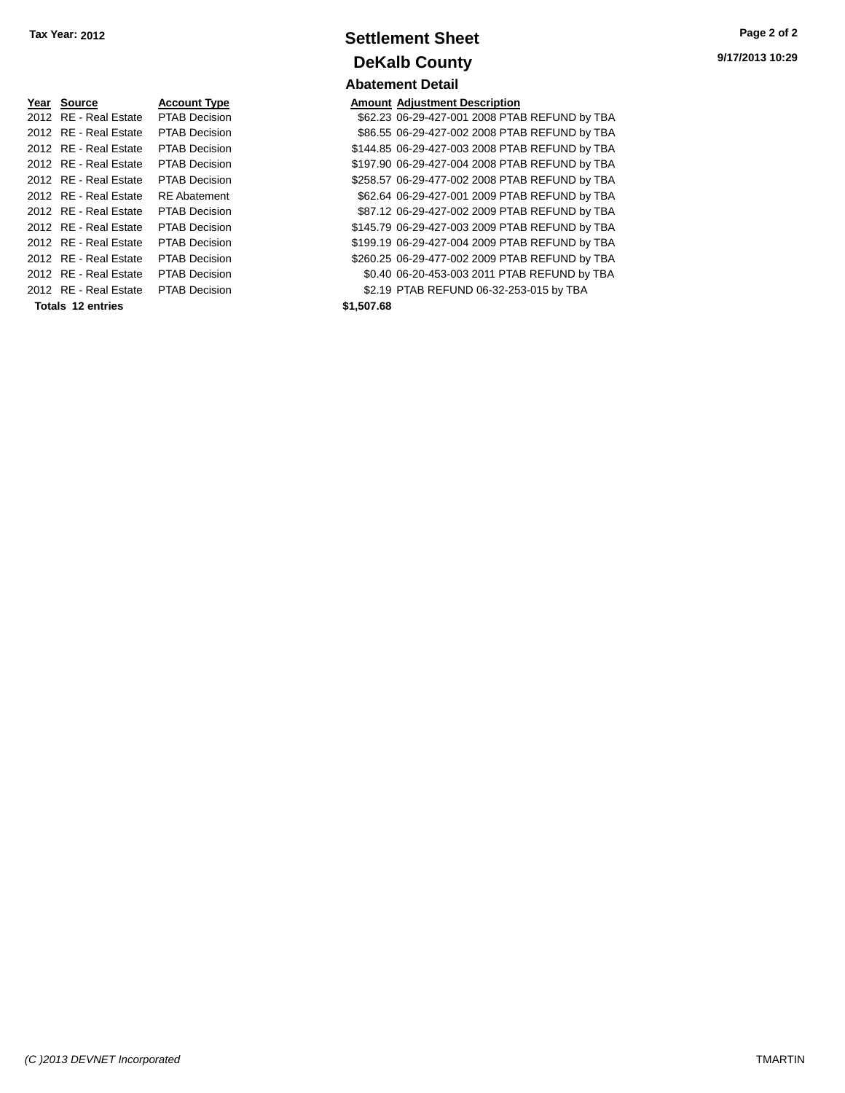| Year Source           | <b>Account Type</b>  | Amount     |
|-----------------------|----------------------|------------|
| 2012 RE - Real Estate | <b>PTAB Decision</b> | \$62.23    |
| 2012 RE - Real Estate | <b>PTAB Decision</b> | \$86.55    |
| 2012 RE - Real Estate | <b>PTAB Decision</b> | \$144.85   |
| 2012 RE - Real Estate | <b>PTAB Decision</b> | \$197.90   |
| 2012 RE - Real Estate | <b>PTAB Decision</b> | \$258.57   |
| 2012 RE - Real Estate | <b>RE</b> Abatement  | \$62.64    |
| 2012 RE - Real Estate | <b>PTAB Decision</b> | \$87.12    |
| 2012 RE - Real Estate | <b>PTAB Decision</b> | \$145.79   |
| 2012 RE - Real Estate | <b>PTAB Decision</b> | \$199.19   |
| 2012 RE - Real Estate | <b>PTAB Decision</b> | \$260.25   |
| 2012 RE - Real Estate | <b>PTAB Decision</b> | \$0.40     |
| 2012 RE - Real Estate | <b>PTAB Decision</b> | \$2.19     |
| Totals 12 entries     |                      | \$1,507.68 |

# **Settlement Sheet Tax Year: 2012 Page 2 of 2 DeKalb County Abatement Detail**

**Amount Adjustment Description** \$62.23 06-29-427-001 2008 PTAB REFUND by TBA \$86.55 06-29-427-002 2008 PTAB REFUND by TBA \$144.85 06-29-427-003 2008 PTAB REFUND by TBA \$197.90 06-29-427-004 2008 PTAB REFUND by TBA \$258.57 06-29-477-002 2008 PTAB REFUND by TBA \$62.64 06-29-427-001 2009 PTAB REFUND by TBA \$87.12 06-29-427-002 2009 PTAB REFUND by TBA \$145.79 06-29-427-003 2009 PTAB REFUND by TBA \$199.19 06-29-427-004 2009 PTAB REFUND by TBA \$260.25 06-29-477-002 2009 PTAB REFUND by TBA \$0.40 06-20-453-003 2011 PTAB REFUND by TBA \$2.19 PTAB REFUND 06-32-253-015 by TBA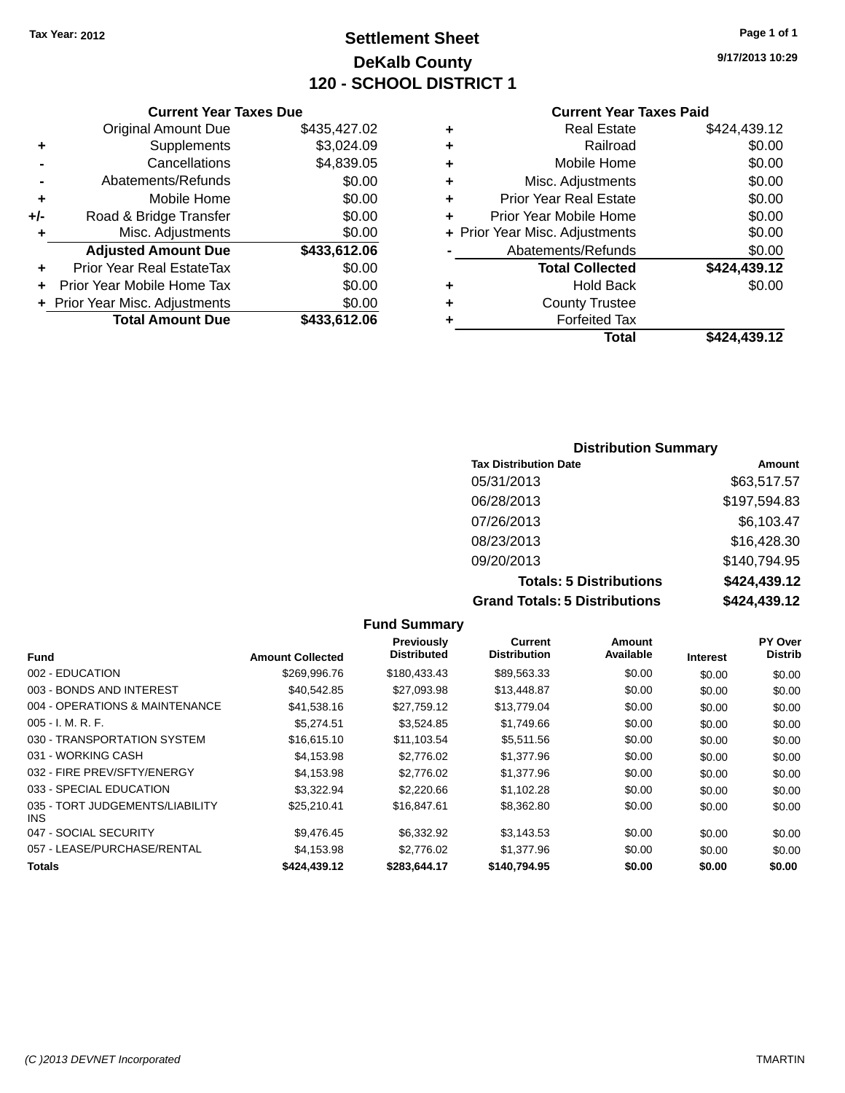**Original Amount Due** 

**Adjusted Amount Due** 

**Total Amount Due** 

**+** Supplements **-** Cancellations **-** Abatements/Refunds  $+$  Mobile Home **+/-** Road & Bridge Transfer **+** Misc. Adjustments

**+** Prior Year Real EstateTax \$0.00 **+** Prior Year Mobile Home Tax **+** Prior Year Misc. Adjustments

# **Settlement Sheet Tax Year: 2012 Page 1 of 1 DeKalb County 120 - SCHOOL DISTRICT 1**

**9/17/2013 10:29**

### **Current Year Taxes Paid**

| <b>Current Year Taxes Due</b> |              |   | <b>Current Year Ta:</b>        |
|-------------------------------|--------------|---|--------------------------------|
| ่<br>เl Amount Due            | \$435,427.02 | ÷ | <b>Real Estate</b>             |
| Supplements                   | \$3,024.09   | ÷ | Railroad                       |
| Cancellations                 | \$4,839.05   | ÷ | Mobile Home                    |
| าents/Refunds                 | \$0.00       | ÷ | Misc. Adjustments              |
| Mobile Home                   | \$0.00       | ÷ | <b>Prior Year Real Estate</b>  |
| ridge Transfer                | \$0.00       | ÷ | Prior Year Mobile Home         |
| . Adjustments                 | \$0.00       |   | + Prior Year Misc. Adjustments |
| <b>Amount Due</b>             | \$433,612.06 |   | Abatements/Refunds             |
| leal EstateTax≀               | \$0.00       |   | <b>Total Collected</b>         |
| bile Home Tax                 | \$0.00       | ٠ | <b>Hold Back</b>               |
| . Adjustments                 | \$0.00       | ٠ | <b>County Trustee</b>          |
| <b>Amount Due</b>             | \$433,612.06 | ٠ | Forfeited Tax                  |
|                               |              |   | Total                          |

|   | Total                          | \$424,439.12 |
|---|--------------------------------|--------------|
| ٠ | <b>Forfeited Tax</b>           |              |
| ÷ | <b>County Trustee</b>          |              |
| ٠ | <b>Hold Back</b>               | \$0.00       |
|   | <b>Total Collected</b>         | \$424,439.12 |
|   | Abatements/Refunds             | \$0.00       |
|   | + Prior Year Misc. Adjustments | \$0.00       |
| ٠ | Prior Year Mobile Home         | \$0.00       |
| ÷ | <b>Prior Year Real Estate</b>  | \$0.00       |
| ÷ | Misc. Adjustments              | \$0.00       |
| ÷ | Mobile Home                    | \$0.00       |
| ÷ | Railroad                       | \$0.00       |
| ÷ | <b>Real Estate</b>             | \$424,439.12 |

| lax |  |
|-----|--|
| tal |  |

| е  |  |  |
|----|--|--|
| ιX |  |  |
| al |  |  |

| <b>Distribution Summary</b>          |              |
|--------------------------------------|--------------|
| <b>Tax Distribution Date</b>         | Amount       |
| 05/31/2013                           | \$63,517.57  |
| 06/28/2013                           | \$197,594.83 |
| 07/26/2013                           | \$6,103.47   |
| 08/23/2013                           | \$16,428.30  |
| 09/20/2013                           | \$140,794.95 |
| <b>Totals: 5 Distributions</b>       | \$424,439.12 |
| <b>Grand Totals: 5 Distributions</b> | \$424,439.12 |

|                                         |                         | <b>Fund Summary</b>                     |                                       |                            |                 |                           |
|-----------------------------------------|-------------------------|-----------------------------------------|---------------------------------------|----------------------------|-----------------|---------------------------|
| <b>Fund</b>                             | <b>Amount Collected</b> | <b>Previously</b><br><b>Distributed</b> | <b>Current</b><br><b>Distribution</b> | <b>Amount</b><br>Available | <b>Interest</b> | PY Over<br><b>Distrib</b> |
| 002 - EDUCATION                         | \$269,996.76            | \$180,433.43                            | \$89,563.33                           | \$0.00                     | \$0.00          | \$0.00                    |
| 003 - BONDS AND INTEREST                | \$40,542.85             | \$27,093.98                             | \$13,448.87                           | \$0.00                     | \$0.00          | \$0.00                    |
| 004 - OPERATIONS & MAINTENANCE          | \$41,538.16             | \$27.759.12                             | \$13,779.04                           | \$0.00                     | \$0.00          | \$0.00                    |
| $005 - I. M. R. F.$                     | \$5,274.51              | \$3,524.85                              | \$1,749.66                            | \$0.00                     | \$0.00          | \$0.00                    |
| 030 - TRANSPORTATION SYSTEM             | \$16,615.10             | \$11,103.54                             | \$5,511.56                            | \$0.00                     | \$0.00          | \$0.00                    |
| 031 - WORKING CASH                      | \$4.153.98              | \$2,776.02                              | \$1,377.96                            | \$0.00                     | \$0.00          | \$0.00                    |
| 032 - FIRE PREV/SFTY/ENERGY             | \$4,153.98              | \$2,776.02                              | \$1,377.96                            | \$0.00                     | \$0.00          | \$0.00                    |
| 033 - SPECIAL EDUCATION                 | \$3,322.94              | \$2,220.66                              | \$1,102.28                            | \$0.00                     | \$0.00          | \$0.00                    |
| 035 - TORT JUDGEMENTS/LIABILITY<br>INS. | \$25.210.41             | \$16,847.61                             | \$8,362.80                            | \$0.00                     | \$0.00          | \$0.00                    |
| 047 - SOCIAL SECURITY                   | \$9,476.45              | \$6,332.92                              | \$3,143.53                            | \$0.00                     | \$0.00          | \$0.00                    |
| 057 - LEASE/PURCHASE/RENTAL             | \$4,153.98              | \$2,776.02                              | \$1,377.96                            | \$0.00                     | \$0.00          | \$0.00                    |
| <b>Totals</b>                           | \$424.439.12            | \$283.644.17                            | \$140.794.95                          | \$0.00                     | \$0.00          | \$0.00                    |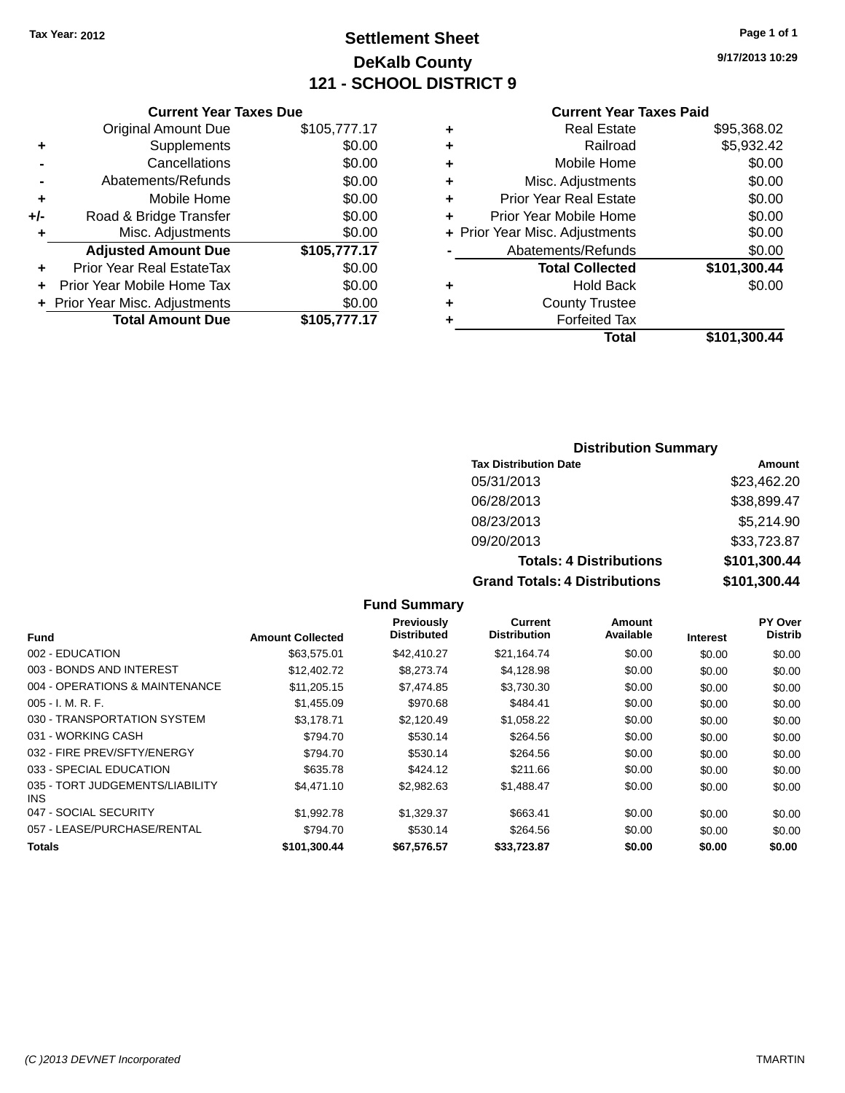# **Settlement Sheet Tax Year: 2012 Page 1 of 1 DeKalb County 121 - SCHOOL DISTRICT 9**

**9/17/2013 10:29**

### **Current Year Taxes Paid**

|     | <b>Current Year Taxes Due</b>  |              |  |
|-----|--------------------------------|--------------|--|
|     | <b>Original Amount Due</b>     | \$105,777.17 |  |
| ٠   | Supplements                    | \$0.00       |  |
|     | Cancellations                  | \$0.00       |  |
|     | Abatements/Refunds             | \$0.00       |  |
| ٠   | Mobile Home                    | \$0.00       |  |
| +/- | Road & Bridge Transfer         | \$0.00       |  |
| ٠   | Misc. Adjustments              | \$0.00       |  |
|     | <b>Adjusted Amount Due</b>     | \$105,777.17 |  |
| ٠   | Prior Year Real EstateTax      | \$0.00       |  |
|     | Prior Year Mobile Home Tax     | \$0.00       |  |
|     | + Prior Year Misc. Adjustments | \$0.00       |  |
|     | <b>Total Amount Due</b>        | \$105,777.17 |  |
|     |                                |              |  |

|   | <b>Real Estate</b>             | \$95,368.02  |
|---|--------------------------------|--------------|
| ٠ | Railroad                       | \$5,932.42   |
| ٠ | Mobile Home                    | \$0.00       |
| ٠ | Misc. Adjustments              | \$0.00       |
| ٠ | <b>Prior Year Real Estate</b>  | \$0.00       |
| ÷ | Prior Year Mobile Home         | \$0.00       |
|   | + Prior Year Misc. Adjustments | \$0.00       |
|   | Abatements/Refunds             | \$0.00       |
|   | <b>Total Collected</b>         | \$101,300.44 |
| ٠ | Hold Back                      | \$0.00       |
|   | <b>County Trustee</b>          |              |
| ٠ | <b>Forfeited Tax</b>           |              |
|   | Total                          | \$101,300.44 |
|   |                                |              |

# **Distribution Summary Tax Distribution Date Amount**

| <b>Grand Totals: 4 Distributions</b> | \$101,300.44 |
|--------------------------------------|--------------|
| <b>Totals: 4 Distributions</b>       | \$101,300.44 |
| 09/20/2013                           | \$33,723.87  |
| 08/23/2013                           | \$5,214.90   |
| 06/28/2013                           | \$38,899.47  |
| 05/31/2013                           | \$23,462.20  |
|                                      |              |

#### **Fund Summary Fund Interest Amount Collected Distributed PY Over Distrib Amount Available Current Distribution Previously** 002 - EDUCATION \$63,575.01 \$42,410.27 \$21,164.74 \$0.00 \$0.00 \$0.00 003 - BONDS AND INTEREST 60.00 \$12,402.72 \$8,273.74 \$4,128.98 \$0.00 \$0.00 \$0.00 \$0.00 004 - OPERATIONS & MAINTENANCE \$11,205.15 \$7,474.85 \$3,730.30 \$0.00 \$0.00 \$0.00 005 - I. M. R. F. \$1,455.09 \$970.68 \$484.41 \$0.00 \$0.00 \$0.00 030 - TRANSPORTATION SYSTEM \$3,178.71 \$2,120.49 \$1,058.22 \$0.00 \$0.00 \$0.00 031 - WORKING CASH \$794.70 \$530.14 \$264.56 \$0.00 \$0.00 \$0.00 032 - FIRE PREV/SFTY/ENERGY **\$794.70** \$530.14 \$264.56 \$0.00 \$0.00 \$0.00 \$0.00 033 - SPECIAL EDUCATION 6600 6635.78 \$424.12 \$211.66 \$0.00 \$0.00 \$0.00 \$0.00 035 - TORT JUDGEMENTS/LIABILITY INS \$4,471.10 \$2,982.63 \$1,488.47 \$0.00 \$0.00 \$0.00 047 - SOCIAL SECURITY \$1,992.78 \$1,329.37 \$663.41 \$0.00 \$0.00 \$0.00 057 - LEASE/PURCHASE/RENTAL \$794.70 \$530.14 \$264.56 \$0.00 \$0.00 \$0.00 \$0.00 **Totals \$101,300.44 \$67,576.57 \$33,723.87 \$0.00 \$0.00 \$0.00**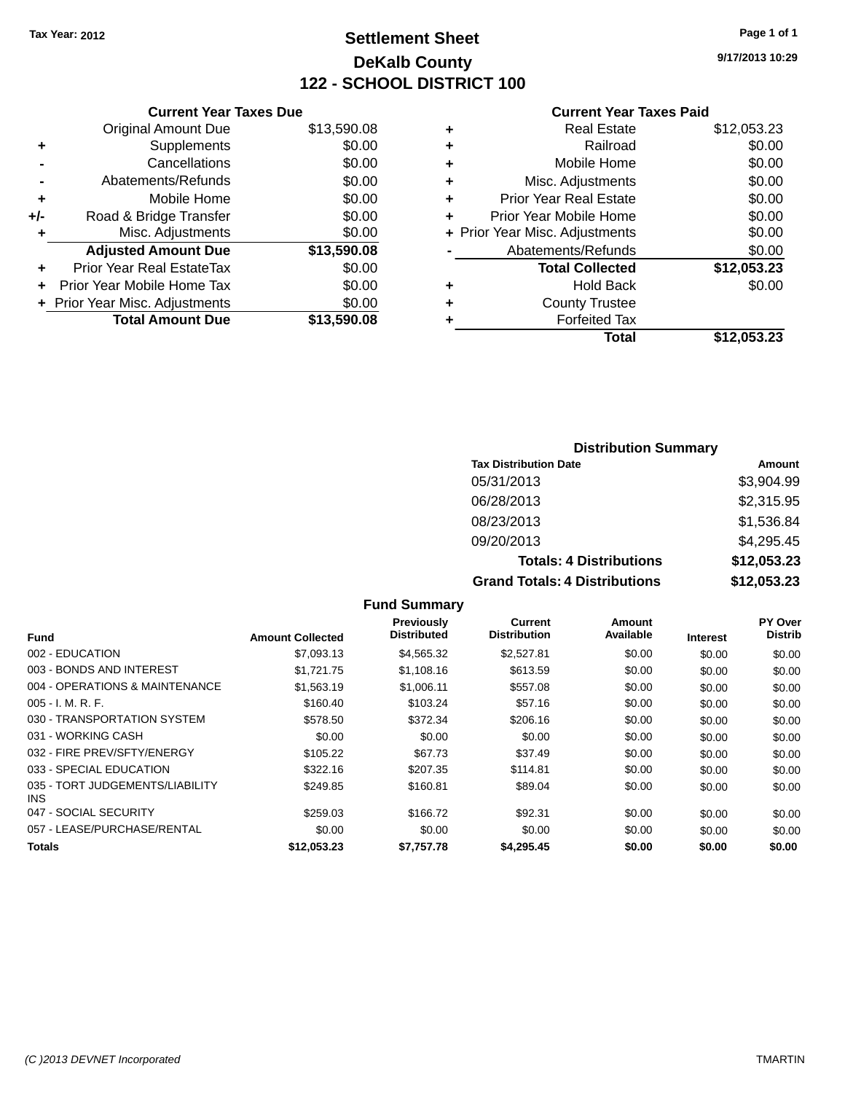# **Settlement Sheet Tax Year: 2012 Page 1 of 1 DeKalb County 122 - SCHOOL DISTRICT 100**

**9/17/2013 10:29**

#### **Current Year Taxes Paid**

|     | <b>Current Year Taxes Due</b>  |             |
|-----|--------------------------------|-------------|
|     | <b>Original Amount Due</b>     | \$13,590.08 |
| ٠   | Supplements                    | \$0.00      |
|     | Cancellations                  | \$0.00      |
|     | Abatements/Refunds             | \$0.00      |
| ٠   | Mobile Home                    | \$0.00      |
| +/- | Road & Bridge Transfer         | \$0.00      |
| ٠   | Misc. Adjustments              | \$0.00      |
|     | <b>Adjusted Amount Due</b>     | \$13,590.08 |
| ÷   | Prior Year Real EstateTax      | \$0.00      |
| ÷   | Prior Year Mobile Home Tax     | \$0.00      |
|     | + Prior Year Misc. Adjustments | \$0.00      |
|     | <b>Total Amount Due</b>        | \$13,590.08 |
|     |                                |             |

| ٠ | <b>Real Estate</b>             | \$12,053.23 |
|---|--------------------------------|-------------|
| ٠ | Railroad                       | \$0.00      |
| ٠ | Mobile Home                    | \$0.00      |
| ٠ | Misc. Adjustments              | \$0.00      |
| ٠ | <b>Prior Year Real Estate</b>  | \$0.00      |
| ٠ | Prior Year Mobile Home         | \$0.00      |
|   | + Prior Year Misc. Adjustments | \$0.00      |
|   | Abatements/Refunds             | \$0.00      |
|   | <b>Total Collected</b>         | \$12,053.23 |
| ٠ | <b>Hold Back</b>               | \$0.00      |
| ٠ | <b>County Trustee</b>          |             |
| ٠ | <b>Forfeited Tax</b>           |             |
|   | Total                          | \$12,053.23 |
|   |                                |             |

# **Distribution Summary**

| <b>Tax Distribution Date</b>         | Amount      |
|--------------------------------------|-------------|
| 05/31/2013                           | \$3,904.99  |
| 06/28/2013                           | \$2,315.95  |
| 08/23/2013                           | \$1,536.84  |
| 09/20/2013                           | \$4,295.45  |
| <b>Totals: 4 Distributions</b>       | \$12,053.23 |
| <b>Grand Totals: 4 Distributions</b> | \$12,053.23 |

#### **Fund Summary Fund Interest Amount Collected Distributed PY Over Distrib Amount Available Current Distribution Previously** 002 - EDUCATION \$7,093.13 \$4,565.32 \$2,527.81 \$0.00 \$0.00 \$0.00 003 - BONDS AND INTEREST 61,121.75 \$1,108.16 \$613.59 \$0.00 \$0.00 \$0.00 \$0.00 004 - OPERATIONS & MAINTENANCE  $$1,563.19$   $$1,006.11$   $$557.08$   $$0.00$   $$0.00$   $$0.00$ 005 - I. M. R. F. \$160.40 \$103.24 \$57.16 \$0.00 \$0.00 \$0.00 030 - TRANSPORTATION SYSTEM  $$578.50$   $$372.34$   $$206.16$   $$0.00$   $$0.00$   $$0.00$ 031 - WORKING CASH \$0.00 \$0.00 \$0.00 \$0.00 \$0.00 \$0.00 032 - FIRE PREV/SFTY/ENERGY \$105.22 \$67.73 \$37.49 \$0.00 \$0.00 \$0.00 \$0.00 033 - SPECIAL EDUCATION 6300 660.00 \$322.16 \$207.35 \$114.81 \$0.00 \$0.00 \$0.00 \$0.00 035 - TORT JUDGEMENTS/LIABILITY INS \$249.85 \$160.81 \$89.04 \$0.00 \$0.00 \$0.00 047 - SOCIAL SECURITY \$259.03 \$166.72 \$92.31 \$0.00 \$0.00 \$0.00 \$0.00 057 - LEASE/PURCHASE/RENTAL  $$0.00$   $$0.00$   $$0.00$   $$0.00$   $$0.00$   $$0.00$   $$0.00$   $$0.00$ **Totals \$12,053.23 \$7,757.78 \$4,295.45 \$0.00 \$0.00 \$0.00**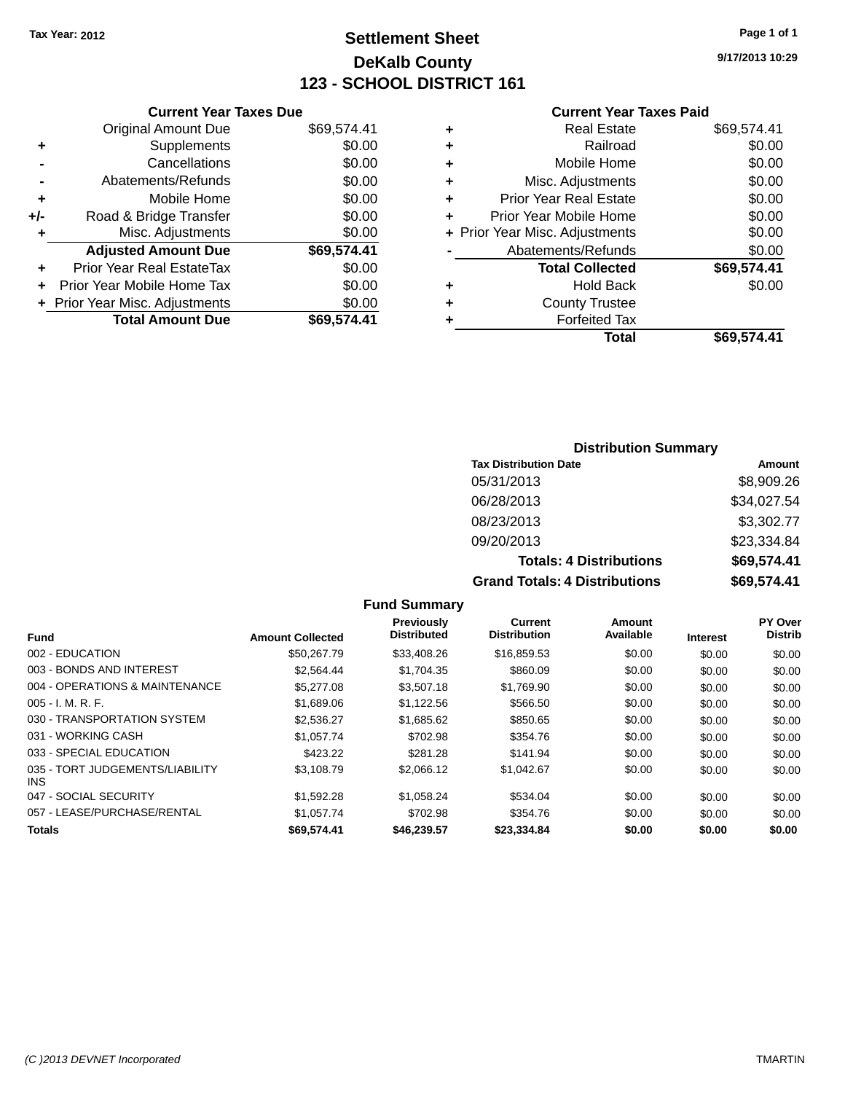# **Settlement Sheet Tax Year: 2012 Page 1 of 1 DeKalb County 123 - SCHOOL DISTRICT 161**

**9/17/2013 10:29**

#### **Current Year Taxes Paid**

|     | <b>Original Amount Due</b>     | \$69,574.41 |
|-----|--------------------------------|-------------|
| ٠   | Supplements                    | \$0.00      |
|     | Cancellations                  | \$0.00      |
|     | Abatements/Refunds             | \$0.00      |
| ÷   | Mobile Home                    | \$0.00      |
| +/- | Road & Bridge Transfer         | \$0.00      |
| ٠   | Misc. Adjustments              | \$0.00      |
|     | <b>Adjusted Amount Due</b>     | \$69,574.41 |
| ÷   | Prior Year Real EstateTax      | \$0.00      |
|     | Prior Year Mobile Home Tax     | \$0.00      |
|     | + Prior Year Misc. Adjustments | \$0.00      |
|     | <b>Total Amount Due</b>        | \$69,574.41 |
|     |                                |             |

**Current Year Taxes Due**

|   | <b>Real Estate</b>             | \$69,574.41 |
|---|--------------------------------|-------------|
| ٠ | Railroad                       | \$0.00      |
| ٠ | Mobile Home                    | \$0.00      |
| ٠ | Misc. Adjustments              | \$0.00      |
| ٠ | Prior Year Real Estate         | \$0.00      |
| ÷ | Prior Year Mobile Home         | \$0.00      |
|   | + Prior Year Misc. Adjustments | \$0.00      |
|   | Abatements/Refunds             | \$0.00      |
|   | <b>Total Collected</b>         | \$69,574.41 |
| ٠ | <b>Hold Back</b>               | \$0.00      |
| ٠ | <b>County Trustee</b>          |             |
| ٠ | <b>Forfeited Tax</b>           |             |
|   | Total                          | \$69.574.41 |
|   |                                |             |

# **Distribution Summary**

| <b>Tax Distribution Date</b>         | Amount      |
|--------------------------------------|-------------|
| 05/31/2013                           | \$8,909.26  |
| 06/28/2013                           | \$34,027.54 |
| 08/23/2013                           | \$3,302.77  |
| 09/20/2013                           | \$23,334.84 |
| <b>Totals: 4 Distributions</b>       | \$69,574.41 |
| <b>Grand Totals: 4 Distributions</b> | \$69,574.41 |

#### **Fund Summary Fund Interest Amount Collected Distributed PY Over Distrib Amount Available Current Distribution Previously** 002 - EDUCATION \$50,267.79 \$33,408.26 \$16,859.53 \$0.00 \$0.00 \$0.00 003 - BONDS AND INTEREST 62.564.44 \$1,704.35 \$860.09 \$0.00 \$0.00 \$0.00 \$0.00 004 - OPERATIONS & MAINTENANCE  $$5,277.08$   $$3,507.18$   $$1,769.90$  \$0.00 \$0.00 \$0.00 \$0.00 005 - I. M. R. F. \$1,689.06 \$1,122.56 \$566.50 \$0.00 \$0.00 \$0.00 030 - TRANSPORTATION SYSTEM  $$2,536.27$   $$1,685.62$   $$850.65$  \$0.00 \$0.00 \$0.00 \$0.00 031 - WORKING CASH \$1,057.74 \$1,057.74 \$702.98 \$354.76 \$0.00 \$0.00 \$0.00 \$0.00 033 - SPECIAL EDUCATION 6423.22 \$281.28 \$141.94 \$0.00 \$0.00 \$0.00 \$0.00 035 - TORT JUDGEMENTS/LIABILITY INS \$3,108.79 \$2,066.12 \$1,042.67 \$0.00 \$0.00 \$0.00 047 - SOCIAL SECURITY \$1,592.28 \$1,058.24 \$534.04 \$0.00 \$0.00 \$0.00 057 - LEASE/PURCHASE/RENTAL \$1,057.74 \$702.98 \$354.76 \$0.00 \$0.00 \$0.00 \$0.00 **Totals \$69,574.41 \$46,239.57 \$23,334.84 \$0.00 \$0.00 \$0.00**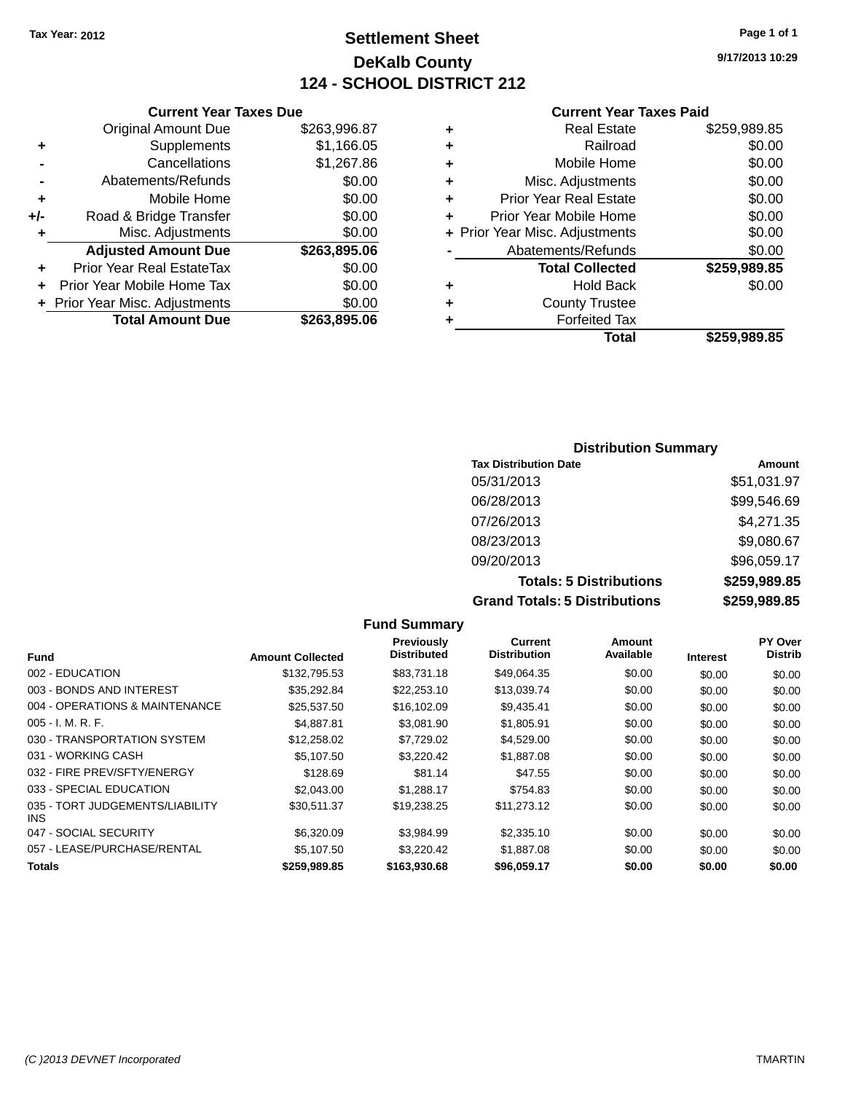# **Settlement Sheet Tax Year: 2012 Page 1 of 1 DeKalb County 124 - SCHOOL DISTRICT 212**

**9/17/2013 10:29**

# **Current Year Taxes Paid**

|       | <b>Current Year Taxes Due</b>    |              |   | <b>Current Year</b>            |
|-------|----------------------------------|--------------|---|--------------------------------|
|       | Original Amount Due              | \$263,996.87 | ٠ | <b>Real Estate</b>             |
|       | Supplements                      | \$1,166.05   | ٠ | Railroad                       |
|       | Cancellations                    | \$1,267.86   | ٠ | Mobile Home                    |
|       | Abatements/Refunds               | \$0.00       | ٠ | Misc. Adjustments              |
|       | Mobile Home                      | \$0.00       | ٠ | <b>Prior Year Real Estate</b>  |
| $+/-$ | Road & Bridge Transfer           | \$0.00       | ÷ | Prior Year Mobile Home         |
|       | Misc. Adjustments                | \$0.00       |   | + Prior Year Misc. Adjustments |
|       | <b>Adjusted Amount Due</b>       | \$263,895.06 |   | Abatements/Refunds             |
|       | <b>Prior Year Real EstateTax</b> | \$0.00       |   | <b>Total Collected</b>         |
|       | Prior Year Mobile Home Tax       | \$0.00       | ٠ | <b>Hold Back</b>               |
|       | + Prior Year Misc. Adjustments   | \$0.00       |   | <b>County Trustee</b>          |
|       | <b>Total Amount Due</b>          | \$263,895.06 |   | <b>Forfeited Tax</b>           |
|       |                                  |              |   | Total                          |

|   | Total                          | \$259.989.85 |
|---|--------------------------------|--------------|
| ٠ | <b>Forfeited Tax</b>           |              |
| ÷ | <b>County Trustee</b>          |              |
| ٠ | <b>Hold Back</b>               | \$0.00       |
|   | <b>Total Collected</b>         | \$259,989.85 |
|   | Abatements/Refunds             | \$0.00       |
|   | + Prior Year Misc. Adjustments | \$0.00       |
| ٠ | Prior Year Mobile Home         | \$0.00       |
| ٠ | <b>Prior Year Real Estate</b>  | \$0.00       |
| ÷ | Misc. Adjustments              | \$0.00       |
| ÷ | Mobile Home                    | \$0.00       |
| ÷ | Railroad                       | \$0.00       |
| ÷ | <b>Real Estate</b>             | \$259,989.85 |

### **Distribution Summary Tax Distribution Date Amount** 05/31/2013 \$51,031.97 06/28/2013 \$99,546.69 07/26/2013 \$4,271.35 08/23/2013 \$9,080.67 09/20/2013 \$96,059.17 **Totals: 5 Distributions \$259,989.85 Grand Totals: 5 Distributions \$259,989.85**

|                                         |                         | <b>Fund Summary</b>              |                                       |                     |                 |                                  |
|-----------------------------------------|-------------------------|----------------------------------|---------------------------------------|---------------------|-----------------|----------------------------------|
| <b>Fund</b>                             | <b>Amount Collected</b> | Previously<br><b>Distributed</b> | <b>Current</b><br><b>Distribution</b> | Amount<br>Available | <b>Interest</b> | <b>PY Over</b><br><b>Distrib</b> |
| 002 - EDUCATION                         | \$132,795.53            | \$83,731.18                      | \$49,064.35                           | \$0.00              | \$0.00          | \$0.00                           |
| 003 - BONDS AND INTEREST                | \$35,292.84             | \$22,253.10                      | \$13,039.74                           | \$0.00              | \$0.00          | \$0.00                           |
| 004 - OPERATIONS & MAINTENANCE          | \$25,537.50             | \$16,102.09                      | \$9,435.41                            | \$0.00              | \$0.00          | \$0.00                           |
| 005 - I. M. R. F.                       | \$4,887.81              | \$3,081.90                       | \$1,805.91                            | \$0.00              | \$0.00          | \$0.00                           |
| 030 - TRANSPORTATION SYSTEM             | \$12,258.02             | \$7,729.02                       | \$4,529.00                            | \$0.00              | \$0.00          | \$0.00                           |
| 031 - WORKING CASH                      | \$5,107.50              | \$3,220.42                       | \$1,887.08                            | \$0.00              | \$0.00          | \$0.00                           |
| 032 - FIRE PREV/SFTY/ENERGY             | \$128.69                | \$81.14                          | \$47.55                               | \$0.00              | \$0.00          | \$0.00                           |
| 033 - SPECIAL EDUCATION                 | \$2,043.00              | \$1,288.17                       | \$754.83                              | \$0.00              | \$0.00          | \$0.00                           |
| 035 - TORT JUDGEMENTS/LIABILITY<br>INS. | \$30.511.37             | \$19.238.25                      | \$11,273.12                           | \$0.00              | \$0.00          | \$0.00                           |
| 047 - SOCIAL SECURITY                   | \$6,320.09              | \$3,984.99                       | \$2,335.10                            | \$0.00              | \$0.00          | \$0.00                           |
| 057 - LEASE/PURCHASE/RENTAL             | \$5,107.50              | \$3,220.42                       | \$1,887.08                            | \$0.00              | \$0.00          | \$0.00                           |
| Totals                                  | \$259.989.85            | \$163,930.68                     | \$96,059.17                           | \$0.00              | \$0.00          | \$0.00                           |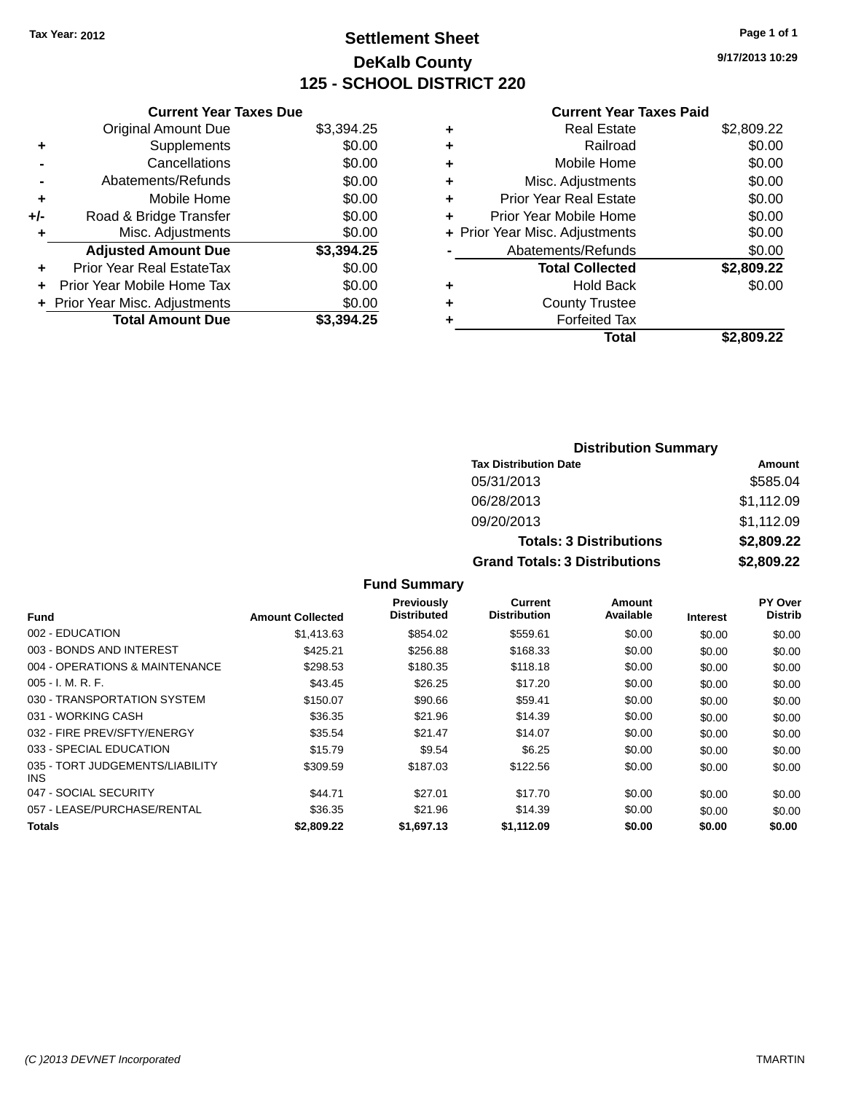# **Settlement Sheet Tax Year: 2012 Page 1 of 1 DeKalb County 125 - SCHOOL DISTRICT 220**

**9/17/2013 10:29**

### **Current Year Taxes Paid**

|     | <b>Current Year Taxes Due</b>  |            |
|-----|--------------------------------|------------|
|     | <b>Original Amount Due</b>     | \$3,394.25 |
| ٠   | Supplements                    | \$0.00     |
|     | Cancellations                  | \$0.00     |
|     | Abatements/Refunds             | \$0.00     |
| ٠   | Mobile Home                    | \$0.00     |
| +/- | Road & Bridge Transfer         | \$0.00     |
|     | Misc. Adjustments              | \$0.00     |
|     | <b>Adjusted Amount Due</b>     | \$3,394.25 |
| ٠   | Prior Year Real EstateTax      | \$0.00     |
|     | Prior Year Mobile Home Tax     | \$0.00     |
|     | + Prior Year Misc. Adjustments | \$0.00     |
|     | <b>Total Amount Due</b>        | \$3.394.25 |
|     |                                |            |

|   | <b>Real Estate</b>             | \$2,809.22 |
|---|--------------------------------|------------|
| ٠ | Railroad                       | \$0.00     |
| ٠ | Mobile Home                    | \$0.00     |
| ٠ | Misc. Adjustments              | \$0.00     |
| ٠ | Prior Year Real Estate         | \$0.00     |
|   | Prior Year Mobile Home         | \$0.00     |
|   | + Prior Year Misc. Adjustments | \$0.00     |
|   | Abatements/Refunds             | \$0.00     |
|   | <b>Total Collected</b>         | \$2,809.22 |
| ٠ | Hold Back                      | \$0.00     |
|   | <b>County Trustee</b>          |            |
| ٠ | <b>Forfeited Tax</b>           |            |
|   | Total                          | \$2,809.22 |
|   |                                |            |

| <b>Distribution Summary</b>          |            |  |  |  |
|--------------------------------------|------------|--|--|--|
| <b>Tax Distribution Date</b>         | Amount     |  |  |  |
| 05/31/2013                           | \$585.04   |  |  |  |
| 06/28/2013                           | \$1,112.09 |  |  |  |
| 09/20/2013                           | \$1,112.09 |  |  |  |
| <b>Totals: 3 Distributions</b>       | \$2,809.22 |  |  |  |
| <b>Grand Totals: 3 Distributions</b> | \$2,809.22 |  |  |  |

**Fund Summary**

|                                         |                         | <b>Previously</b>  | <b>Current</b>      | <b>Amount</b> |                 | PY Over        |
|-----------------------------------------|-------------------------|--------------------|---------------------|---------------|-----------------|----------------|
| Fund                                    | <b>Amount Collected</b> | <b>Distributed</b> | <b>Distribution</b> | Available     | <b>Interest</b> | <b>Distrib</b> |
| 002 - EDUCATION                         | \$1,413.63              | \$854.02           | \$559.61            | \$0.00        | \$0.00          | \$0.00         |
| 003 - BONDS AND INTEREST                | \$425.21                | \$256.88           | \$168.33            | \$0.00        | \$0.00          | \$0.00         |
| 004 - OPERATIONS & MAINTENANCE          | \$298.53                | \$180.35           | \$118.18            | \$0.00        | \$0.00          | \$0.00         |
| $005 - I. M. R. F.$                     | \$43.45                 | \$26.25            | \$17.20             | \$0.00        | \$0.00          | \$0.00         |
| 030 - TRANSPORTATION SYSTEM             | \$150.07                | \$90.66            | \$59.41             | \$0.00        | \$0.00          | \$0.00         |
| 031 - WORKING CASH                      | \$36.35                 | \$21.96            | \$14.39             | \$0.00        | \$0.00          | \$0.00         |
| 032 - FIRE PREV/SFTY/ENERGY             | \$35.54                 | \$21.47            | \$14.07             | \$0.00        | \$0.00          | \$0.00         |
| 033 - SPECIAL EDUCATION                 | \$15.79                 | \$9.54             | \$6.25              | \$0.00        | \$0.00          | \$0.00         |
| 035 - TORT JUDGEMENTS/LIABILITY<br>INS. | \$309.59                | \$187.03           | \$122.56            | \$0.00        | \$0.00          | \$0.00         |
| 047 - SOCIAL SECURITY                   | \$44.71                 | \$27.01            | \$17.70             | \$0.00        | \$0.00          | \$0.00         |
| 057 - LEASE/PURCHASE/RENTAL             | \$36.35                 | \$21.96            | \$14.39             | \$0.00        | \$0.00          | \$0.00         |
| Totals                                  | \$2,809.22              | \$1.697.13         | \$1.112.09          | \$0.00        | \$0.00          | \$0.00         |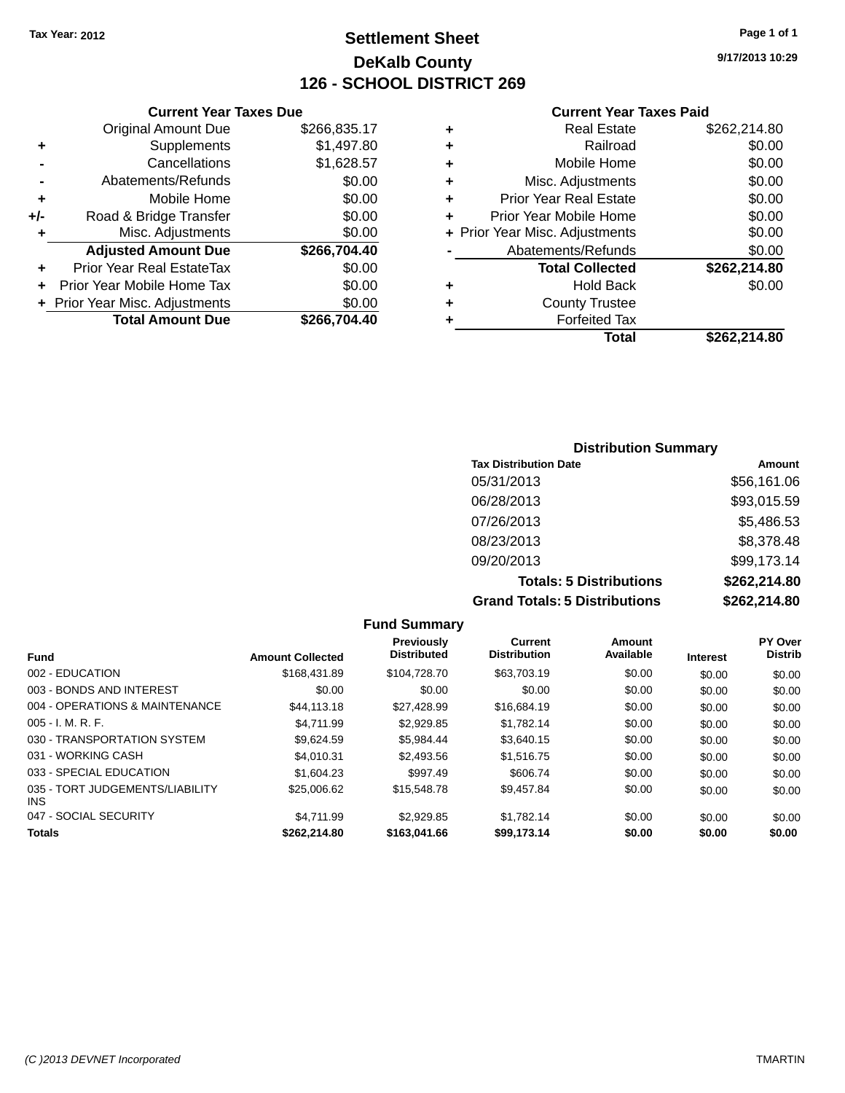# **Settlement Sheet Tax Year: 2012 Page 1 of 1 DeKalb County 126 - SCHOOL DISTRICT 269**

**9/17/2013 10:29**

#### **Current Year Taxes Paid**

|     | Original Amount Due              | \$266,835.17 |
|-----|----------------------------------|--------------|
| ٠   | Supplements                      | \$1,497.80   |
|     | Cancellations                    | \$1,628.57   |
|     | Abatements/Refunds               | \$0.00       |
| ٠   | Mobile Home                      | \$0.00       |
| +/- | Road & Bridge Transfer           | \$0.00       |
| ٠   | Misc. Adjustments                | \$0.00       |
|     | <b>Adjusted Amount Due</b>       | \$266,704.40 |
| ٠   | <b>Prior Year Real EstateTax</b> | \$0.00       |
| ٠   | Prior Year Mobile Home Tax       | \$0.00       |
|     | + Prior Year Misc. Adjustments   | \$0.00       |
|     | <b>Total Amount Due</b>          | \$266,704.40 |
|     |                                  |              |

**Current Year Taxes Due**

|   | <b>Real Estate</b>             | \$262,214.80 |
|---|--------------------------------|--------------|
| ٠ | Railroad                       | \$0.00       |
| ٠ | Mobile Home                    | \$0.00       |
| ٠ | Misc. Adjustments              | \$0.00       |
| ٠ | Prior Year Real Estate         | \$0.00       |
| ÷ | Prior Year Mobile Home         | \$0.00       |
|   | + Prior Year Misc. Adjustments | \$0.00       |
|   | Abatements/Refunds             | \$0.00       |
|   | <b>Total Collected</b>         | \$262,214.80 |
| ٠ | <b>Hold Back</b>               | \$0.00       |
| ٠ | <b>County Trustee</b>          |              |
| ٠ | <b>Forfeited Tax</b>           |              |
|   | Total                          | \$262.214.80 |
|   |                                |              |

### **Distribution Summary Tax Distribution Date Amount** 05/31/2013 \$56,161.06 06/28/2013 \$93,015.59 07/26/2013 \$5,486.53 08/23/2013 \$8,378.48 09/20/2013 \$99,173.14 **Totals: 5 Distributions \$262,214.80 Grand Totals: 5 Distributions \$262,214.80**

|                                               |                         | <b>Fund Summary</b>              |                                       |                     |                 |                           |
|-----------------------------------------------|-------------------------|----------------------------------|---------------------------------------|---------------------|-----------------|---------------------------|
| <b>Fund</b>                                   | <b>Amount Collected</b> | Previously<br><b>Distributed</b> | <b>Current</b><br><b>Distribution</b> | Amount<br>Available | <b>Interest</b> | PY Over<br><b>Distrib</b> |
| 002 - EDUCATION                               | \$168,431.89            | \$104,728.70                     | \$63,703.19                           | \$0.00              | \$0.00          | \$0.00                    |
| 003 - BONDS AND INTEREST                      | \$0.00                  | \$0.00                           | \$0.00                                | \$0.00              | \$0.00          | \$0.00                    |
| 004 - OPERATIONS & MAINTENANCE                | \$44,113,18             | \$27.428.99                      | \$16,684.19                           | \$0.00              | \$0.00          | \$0.00                    |
| $005 - I. M. R. F.$                           | \$4.711.99              | \$2,929.85                       | \$1.782.14                            | \$0.00              | \$0.00          | \$0.00                    |
| 030 - TRANSPORTATION SYSTEM                   | \$9.624.59              | \$5.984.44                       | \$3,640.15                            | \$0.00              | \$0.00          | \$0.00                    |
| 031 - WORKING CASH                            | \$4.010.31              | \$2,493.56                       | \$1,516.75                            | \$0.00              | \$0.00          | \$0.00                    |
| 033 - SPECIAL EDUCATION                       | \$1,604.23              | \$997.49                         | \$606.74                              | \$0.00              | \$0.00          | \$0.00                    |
| 035 - TORT JUDGEMENTS/LIABILITY<br><b>INS</b> | \$25,006.62             | \$15,548.78                      | \$9.457.84                            | \$0.00              | \$0.00          | \$0.00                    |
| 047 - SOCIAL SECURITY                         | \$4.711.99              | \$2,929.85                       | \$1.782.14                            | \$0.00              | \$0.00          | \$0.00                    |
| <b>Totals</b>                                 | \$262.214.80            | \$163,041,66                     | \$99.173.14                           | \$0.00              | \$0.00          | \$0.00                    |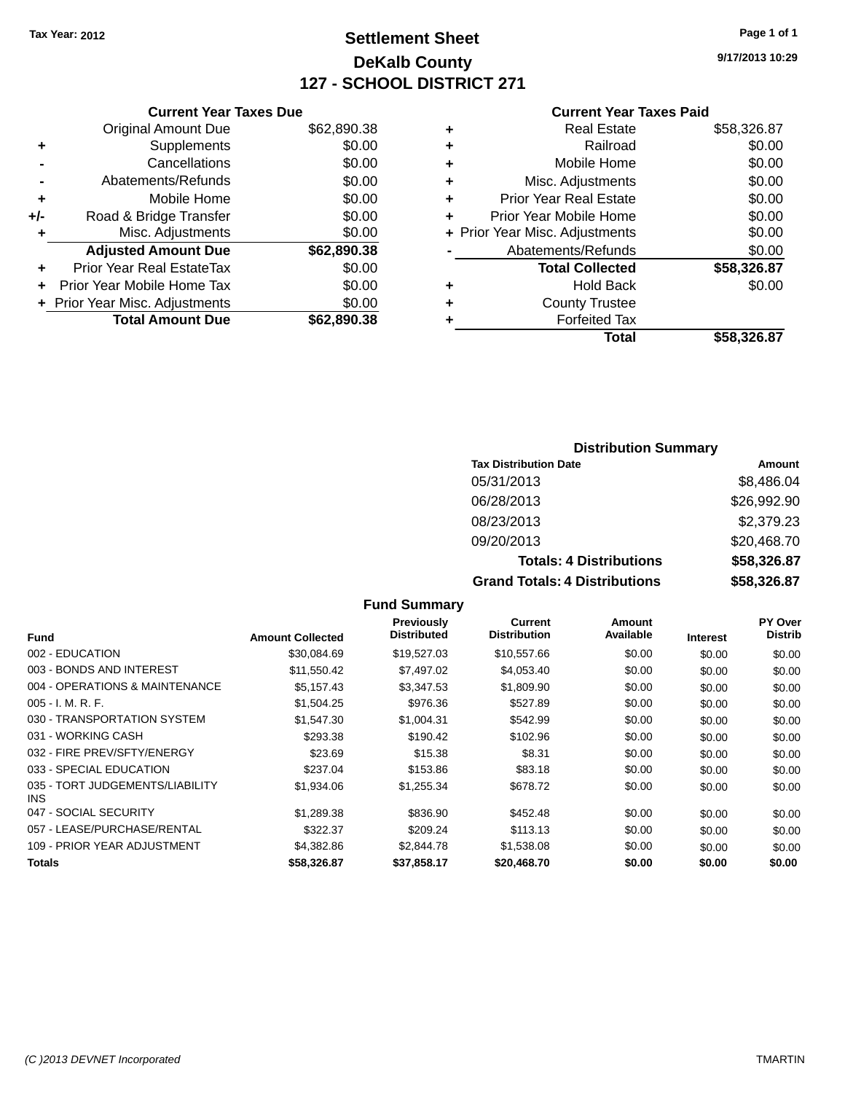# **Settlement Sheet Tax Year: 2012 Page 1 of 1 DeKalb County 127 - SCHOOL DISTRICT 271**

**9/17/2013 10:29**

#### **Current Year Taxes Paid**

|     | <b>Current Year Taxes Due</b>  |             |
|-----|--------------------------------|-------------|
|     | <b>Original Amount Due</b>     | \$62,890.38 |
| ٠   | Supplements                    | \$0.00      |
|     | Cancellations                  | \$0.00      |
|     | Abatements/Refunds             | \$0.00      |
| ٠   | Mobile Home                    | \$0.00      |
| +/- | Road & Bridge Transfer         | \$0.00      |
|     | Misc. Adjustments              | \$0.00      |
|     | <b>Adjusted Amount Due</b>     | \$62,890.38 |
| ٠   | Prior Year Real EstateTax      | \$0.00      |
|     | Prior Year Mobile Home Tax     | \$0.00      |
|     | + Prior Year Misc. Adjustments | \$0.00      |
|     | <b>Total Amount Due</b>        | \$62,890,38 |
|     |                                |             |

|   | <b>Real Estate</b>             | \$58,326.87 |
|---|--------------------------------|-------------|
| ٠ | Railroad                       | \$0.00      |
| ٠ | Mobile Home                    | \$0.00      |
| ٠ | Misc. Adjustments              | \$0.00      |
| ٠ | <b>Prior Year Real Estate</b>  | \$0.00      |
| ÷ | Prior Year Mobile Home         | \$0.00      |
|   | + Prior Year Misc. Adjustments | \$0.00      |
|   | Abatements/Refunds             | \$0.00      |
|   | <b>Total Collected</b>         | \$58,326.87 |
| ٠ | Hold Back                      | \$0.00      |
| ٠ | <b>County Trustee</b>          |             |
| ٠ | <b>Forfeited Tax</b>           |             |
|   | Total                          | \$58,326.87 |
|   |                                |             |

### **Distribution Summary Tax Distribution Date Amount** 05/31/2013 \$8,486.04 06/28/2013 \$26,992.90 08/23/2013 \$2,379.23 09/20/2013 \$20,468.70 **Totals: 4 Distributions \$58,326.87 Grand Totals: 4 Distributions \$58,326.87**

|                                               |                         | <b>Fund Summary</b>                     |                                       |                     |                 |                           |
|-----------------------------------------------|-------------------------|-----------------------------------------|---------------------------------------|---------------------|-----------------|---------------------------|
| <b>Fund</b>                                   | <b>Amount Collected</b> | <b>Previously</b><br><b>Distributed</b> | <b>Current</b><br><b>Distribution</b> | Amount<br>Available | <b>Interest</b> | PY Over<br><b>Distrib</b> |
| 002 - EDUCATION                               | \$30,084.69             | \$19,527.03                             | \$10,557.66                           | \$0.00              | \$0.00          | \$0.00                    |
| 003 - BONDS AND INTEREST                      | \$11,550.42             | \$7,497.02                              | \$4,053.40                            | \$0.00              | \$0.00          | \$0.00                    |
| 004 - OPERATIONS & MAINTENANCE                | \$5,157.43              | \$3,347.53                              | \$1,809.90                            | \$0.00              | \$0.00          | \$0.00                    |
| $005 - I. M. R. F.$                           | \$1,504.25              | \$976.36                                | \$527.89                              | \$0.00              | \$0.00          | \$0.00                    |
| 030 - TRANSPORTATION SYSTEM                   | \$1,547.30              | \$1,004.31                              | \$542.99                              | \$0.00              | \$0.00          | \$0.00                    |
| 031 - WORKING CASH                            | \$293.38                | \$190.42                                | \$102.96                              | \$0.00              | \$0.00          | \$0.00                    |
| 032 - FIRE PREV/SFTY/ENERGY                   | \$23.69                 | \$15.38                                 | \$8.31                                | \$0.00              | \$0.00          | \$0.00                    |
| 033 - SPECIAL EDUCATION                       | \$237.04                | \$153.86                                | \$83.18                               | \$0.00              | \$0.00          | \$0.00                    |
| 035 - TORT JUDGEMENTS/LIABILITY<br><b>INS</b> | \$1,934.06              | \$1,255.34                              | \$678.72                              | \$0.00              | \$0.00          | \$0.00                    |
| 047 - SOCIAL SECURITY                         | \$1,289.38              | \$836.90                                | \$452.48                              | \$0.00              | \$0.00          | \$0.00                    |
| 057 - LEASE/PURCHASE/RENTAL                   | \$322.37                | \$209.24                                | \$113.13                              | \$0.00              | \$0.00          | \$0.00                    |
| 109 - PRIOR YEAR ADJUSTMENT                   | \$4,382.86              | \$2,844.78                              | \$1,538.08                            | \$0.00              | \$0.00          | \$0.00                    |
| <b>Totals</b>                                 | \$58,326.87             | \$37,858.17                             | \$20,468.70                           | \$0.00              | \$0.00          | \$0.00                    |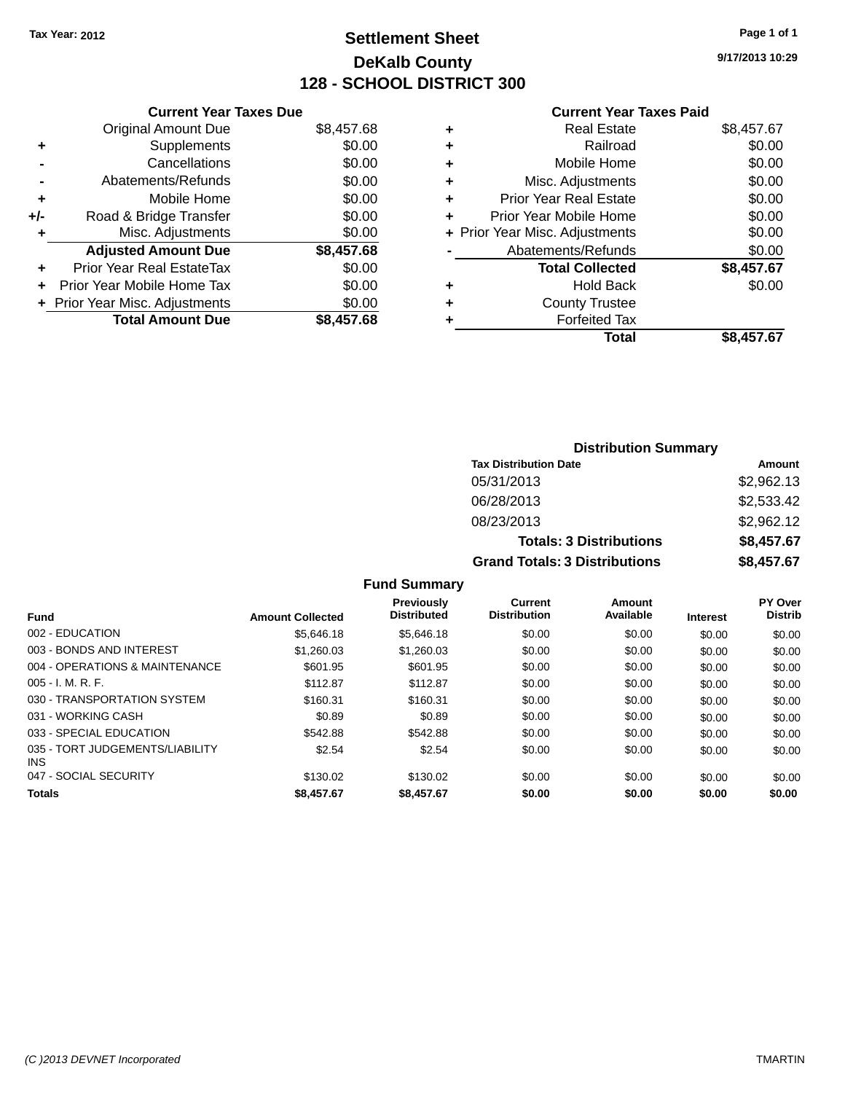# **Settlement Sheet Tax Year: 2012 Page 1 of 1 DeKalb County 128 - SCHOOL DISTRICT 300**

**9/17/2013 10:29**

|     | <b>Current Year Taxes Due</b>  |            |  |  |  |  |  |
|-----|--------------------------------|------------|--|--|--|--|--|
|     | <b>Original Amount Due</b>     | \$8,457.68 |  |  |  |  |  |
| ٠   | Supplements                    | \$0.00     |  |  |  |  |  |
|     | Cancellations                  | \$0.00     |  |  |  |  |  |
|     | Abatements/Refunds             | \$0.00     |  |  |  |  |  |
| ٠   | Mobile Home                    | \$0.00     |  |  |  |  |  |
| +/- | Road & Bridge Transfer         | \$0.00     |  |  |  |  |  |
| ٠   | Misc. Adjustments              | \$0.00     |  |  |  |  |  |
|     | <b>Adjusted Amount Due</b>     | \$8,457.68 |  |  |  |  |  |
|     | Prior Year Real EstateTax      | \$0.00     |  |  |  |  |  |
|     | Prior Year Mobile Home Tax     | \$0.00     |  |  |  |  |  |
|     | + Prior Year Misc. Adjustments | \$0.00     |  |  |  |  |  |
|     | <b>Total Amount Due</b>        | \$8,457.68 |  |  |  |  |  |
|     |                                |            |  |  |  |  |  |

### **Current Year Taxes Paid**

| <b>Real Estate</b>            | \$8,457.67                     |
|-------------------------------|--------------------------------|
| Railroad                      | \$0.00                         |
| Mobile Home                   | \$0.00                         |
| Misc. Adjustments             | \$0.00                         |
| <b>Prior Year Real Estate</b> | \$0.00                         |
| Prior Year Mobile Home        | \$0.00                         |
|                               | \$0.00                         |
| Abatements/Refunds            | \$0.00                         |
| <b>Total Collected</b>        | \$8,457.67                     |
| <b>Hold Back</b>              | \$0.00                         |
| <b>County Trustee</b>         |                                |
| <b>Forfeited Tax</b>          |                                |
| Total                         | \$8,457.67                     |
|                               | + Prior Year Misc. Adjustments |

|                                      | <b>Distribution Summary</b>    |            |
|--------------------------------------|--------------------------------|------------|
| <b>Tax Distribution Date</b>         |                                | Amount     |
| 05/31/2013                           |                                | \$2,962.13 |
| 06/28/2013                           |                                | \$2,533.42 |
| 08/23/2013                           |                                | \$2,962.12 |
|                                      | <b>Totals: 3 Distributions</b> | \$8,457.67 |
| <b>Grand Totals: 3 Distributions</b> |                                | \$8,457.67 |

### **Fund Summary**

| <b>Fund</b>                                   | <b>Amount Collected</b> | <b>Previously</b><br><b>Distributed</b> | Current<br><b>Distribution</b> | Amount<br>Available | <b>Interest</b> | PY Over<br><b>Distrib</b> |
|-----------------------------------------------|-------------------------|-----------------------------------------|--------------------------------|---------------------|-----------------|---------------------------|
| 002 - EDUCATION                               | \$5,646,18              | \$5,646.18                              | \$0.00                         | \$0.00              | \$0.00          | \$0.00                    |
| 003 - BONDS AND INTEREST                      | \$1,260.03              | \$1,260.03                              | \$0.00                         | \$0.00              | \$0.00          | \$0.00                    |
| 004 - OPERATIONS & MAINTENANCE                | \$601.95                | \$601.95                                | \$0.00                         | \$0.00              | \$0.00          | \$0.00                    |
| $005 - I. M. R. F.$                           | \$112.87                | \$112.87                                | \$0.00                         | \$0.00              | \$0.00          | \$0.00                    |
| 030 - TRANSPORTATION SYSTEM                   | \$160.31                | \$160.31                                | \$0.00                         | \$0.00              | \$0.00          | \$0.00                    |
| 031 - WORKING CASH                            | \$0.89                  | \$0.89                                  | \$0.00                         | \$0.00              | \$0.00          | \$0.00                    |
| 033 - SPECIAL EDUCATION                       | \$542.88                | \$542.88                                | \$0.00                         | \$0.00              | \$0.00          | \$0.00                    |
| 035 - TORT JUDGEMENTS/LIABILITY<br><b>INS</b> | \$2.54                  | \$2.54                                  | \$0.00                         | \$0.00              | \$0.00          | \$0.00                    |
| 047 - SOCIAL SECURITY                         | \$130.02                | \$130.02                                | \$0.00                         | \$0.00              | \$0.00          | \$0.00                    |
| <b>Totals</b>                                 | \$8.457.67              | \$8,457.67                              | \$0.00                         | \$0.00              | \$0.00          | \$0.00                    |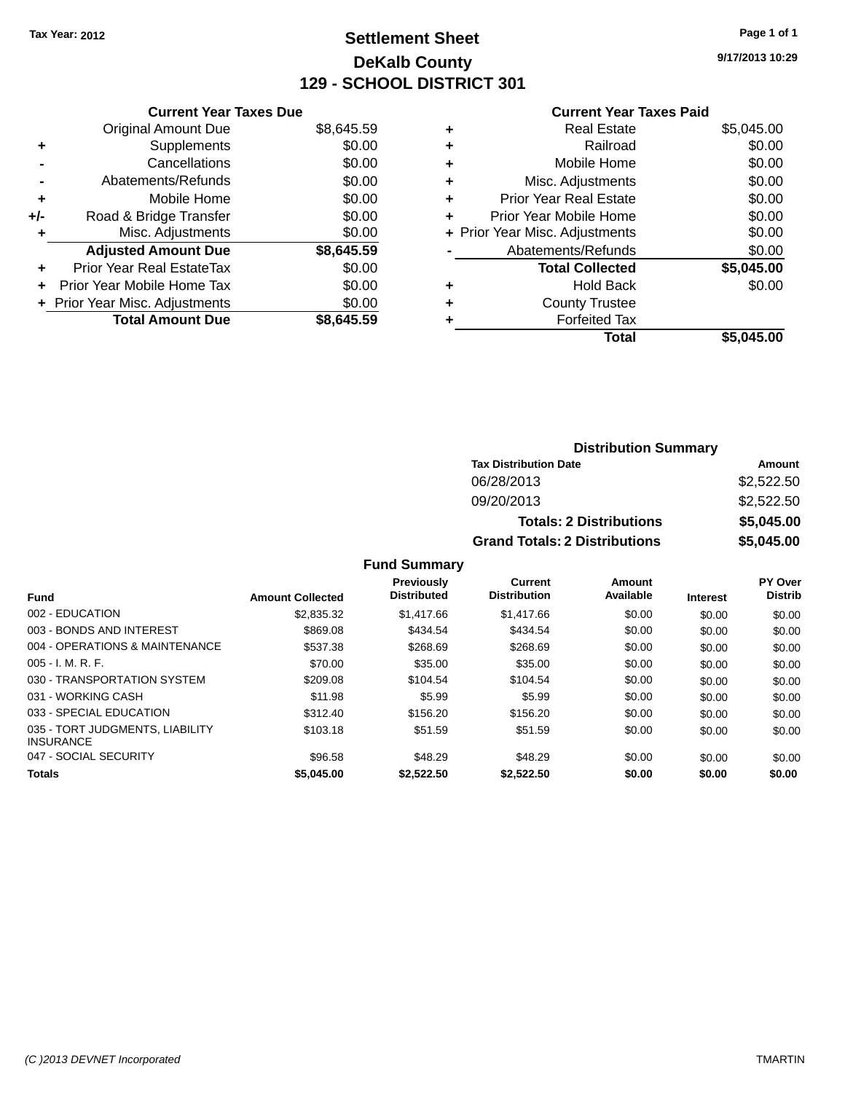# **Settlement Sheet Tax Year: 2012 Page 1 of 1 DeKalb County 129 - SCHOOL DISTRICT 301**

**9/17/2013 10:29**

#### **Current Year Taxes Paid**

|     | <b>Current Year Taxes Due</b>  |            |
|-----|--------------------------------|------------|
|     | <b>Original Amount Due</b>     | \$8,645.59 |
| ٠   | Supplements                    | \$0.00     |
|     | Cancellations                  | \$0.00     |
|     | Abatements/Refunds             | \$0.00     |
| ٠   | Mobile Home                    | \$0.00     |
| +/- | Road & Bridge Transfer         | \$0.00     |
| ٠   | Misc. Adjustments              | \$0.00     |
|     | <b>Adjusted Amount Due</b>     | \$8,645.59 |
| ÷   | Prior Year Real EstateTax      | \$0.00     |
| ÷   | Prior Year Mobile Home Tax     | \$0.00     |
|     | + Prior Year Misc. Adjustments | \$0.00     |
|     | <b>Total Amount Due</b>        | \$8.645.59 |

| Real Estate                    | \$5,045.00 |
|--------------------------------|------------|
| Railroad                       | \$0.00     |
| Mobile Home                    | \$0.00     |
| Misc. Adjustments              | \$0.00     |
| <b>Prior Year Real Estate</b>  | \$0.00     |
| Prior Year Mobile Home         | \$0.00     |
| + Prior Year Misc. Adjustments | \$0.00     |
| Abatements/Refunds             | \$0.00     |
| <b>Total Collected</b>         | \$5,045.00 |
| <b>Hold Back</b>               | \$0.00     |
| <b>County Trustee</b>          |            |
| <b>Forfeited Tax</b>           |            |
| Total                          | \$5,045.00 |
|                                |            |

### **Distribution Summary Tax Distribution Date Amount** 06/28/2013 \$2,522.50 09/20/2013 \$2,522.50 **Totals: 2 Distributions \$5,045.00 Grand Totals: 2 Distributions \$5,045.00**

### **Fund Summary**

| Fund                                                | <b>Amount Collected</b> | <b>Previously</b><br><b>Distributed</b> | Current<br><b>Distribution</b> | Amount<br>Available | <b>Interest</b> | PY Over<br><b>Distrib</b> |
|-----------------------------------------------------|-------------------------|-----------------------------------------|--------------------------------|---------------------|-----------------|---------------------------|
|                                                     |                         |                                         |                                |                     |                 |                           |
| 002 - EDUCATION                                     | \$2,835,32              | \$1,417.66                              | \$1,417.66                     | \$0.00              | \$0.00          | \$0.00                    |
| 003 - BONDS AND INTEREST                            | \$869.08                | \$434.54                                | \$434.54                       | \$0.00              | \$0.00          | \$0.00                    |
| 004 - OPERATIONS & MAINTENANCE                      | \$537.38                | \$268.69                                | \$268.69                       | \$0.00              | \$0.00          | \$0.00                    |
| $005 - I. M. R. F.$                                 | \$70.00                 | \$35.00                                 | \$35.00                        | \$0.00              | \$0.00          | \$0.00                    |
| 030 - TRANSPORTATION SYSTEM                         | \$209.08                | \$104.54                                | \$104.54                       | \$0.00              | \$0.00          | \$0.00                    |
| 031 - WORKING CASH                                  | \$11.98                 | \$5.99                                  | \$5.99                         | \$0.00              | \$0.00          | \$0.00                    |
| 033 - SPECIAL EDUCATION                             | \$312.40                | \$156.20                                | \$156.20                       | \$0.00              | \$0.00          | \$0.00                    |
| 035 - TORT JUDGMENTS, LIABILITY<br><b>INSURANCE</b> | \$103.18                | \$51.59                                 | \$51.59                        | \$0.00              | \$0.00          | \$0.00                    |
| 047 - SOCIAL SECURITY                               | \$96.58                 | \$48.29                                 | \$48.29                        | \$0.00              | \$0.00          | \$0.00                    |
| <b>Totals</b>                                       | \$5,045.00              | \$2,522.50                              | \$2.522.50                     | \$0.00              | \$0.00          | \$0.00                    |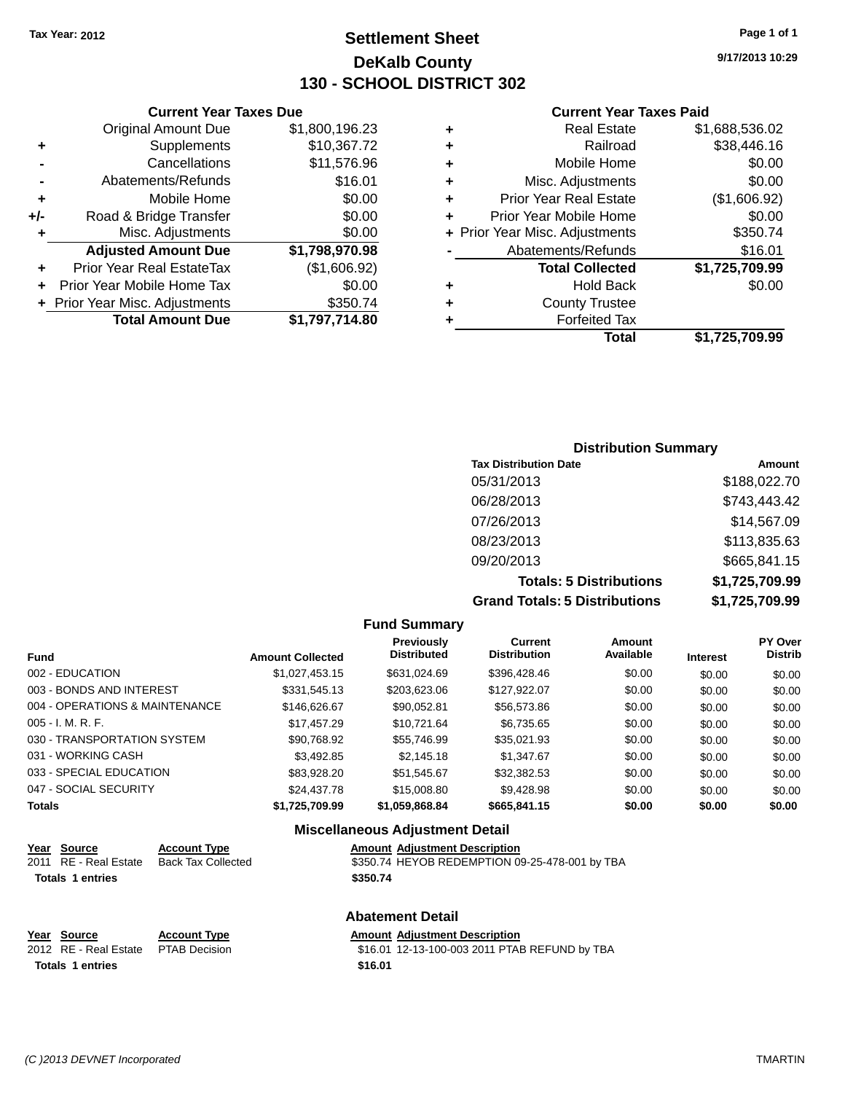# **Settlement Sheet Tax Year: 2012 Page 1 of 1 DeKalb County 130 - SCHOOL DISTRICT 302**

**9/17/2013 10:29**

#### **Current Year Taxes Paid**

|     | <b>Current Year Taxes Due</b>  |                |      |
|-----|--------------------------------|----------------|------|
|     | <b>Original Amount Due</b>     | \$1,800,196.23 |      |
|     | Supplements                    | \$10,367.72    | ٠    |
|     | Cancellations                  | \$11,576.96    | ٠    |
|     | Abatements/Refunds             | \$16.01        | ٠    |
|     | Mobile Home                    | \$0.00         |      |
| +/- | Road & Bridge Transfer         | \$0.00         |      |
|     | Misc. Adjustments              | \$0.00         | + Pi |
|     | <b>Adjusted Amount Due</b>     | \$1,798,970.98 |      |
|     | Prior Year Real EstateTax      | (\$1,606.92)   |      |
|     | Prior Year Mobile Home Tax     | \$0.00         |      |
|     | + Prior Year Misc. Adjustments | \$350.74       |      |
|     | <b>Total Amount Due</b>        | \$1,797,714.80 |      |
|     |                                |                |      |

|   | <b>Real Estate</b>             | \$1,688,536.02 |
|---|--------------------------------|----------------|
| ٠ | Railroad                       | \$38,446.16    |
| ٠ | Mobile Home                    | \$0.00         |
| ٠ | Misc. Adjustments              | \$0.00         |
| ٠ | <b>Prior Year Real Estate</b>  | (\$1,606.92)   |
| ÷ | Prior Year Mobile Home         | \$0.00         |
|   | + Prior Year Misc. Adjustments | \$350.74       |
|   | Abatements/Refunds             | \$16.01        |
|   | <b>Total Collected</b>         | \$1,725,709.99 |
| ٠ | <b>Hold Back</b>               | \$0.00         |
| ٠ | <b>County Trustee</b>          |                |
| ٠ | <b>Forfeited Tax</b>           |                |
|   | Total                          | \$1,725,709.99 |
|   |                                |                |

# **Distribution Summary Tax Distribution Date Amount** 05/31/2013 \$188,022.70 06/28/2013 \$743,443.42 07/26/2013 \$14,567.09 08/23/2013 \$113,835.63 09/20/2013 \$665,841.15 **Totals: 5 Distributions \$1,725,709.99 Grand Totals: 5 Distributions \$1,725,709.99**

|                                 |                           |                         | <b>Fund Summary</b>                    |                                                |                     |                 |                                  |
|---------------------------------|---------------------------|-------------------------|----------------------------------------|------------------------------------------------|---------------------|-----------------|----------------------------------|
| <b>Fund</b>                     |                           | <b>Amount Collected</b> | Previously<br><b>Distributed</b>       | <b>Current</b><br><b>Distribution</b>          | Amount<br>Available | <b>Interest</b> | <b>PY Over</b><br><b>Distrib</b> |
| 002 - EDUCATION                 |                           | \$1,027,453.15          | \$631,024.69                           | \$396,428.46                                   | \$0.00              | \$0.00          | \$0.00                           |
| 003 - BONDS AND INTEREST        |                           | \$331,545.13            | \$203,623.06                           | \$127,922.07                                   | \$0.00              | \$0.00          | \$0.00                           |
| 004 - OPERATIONS & MAINTENANCE  |                           | \$146,626.67            | \$90,052.81                            | \$56,573.86                                    | \$0.00              | \$0.00          | \$0.00                           |
| 005 - I. M. R. F.               |                           | \$17,457.29             | \$10,721.64                            | \$6,735.65                                     | \$0.00              | \$0.00          | \$0.00                           |
| 030 - TRANSPORTATION SYSTEM     |                           | \$90,768.92             | \$55.746.99                            | \$35,021.93                                    | \$0.00              | \$0.00          | \$0.00                           |
| 031 - WORKING CASH              |                           | \$3,492.85              | \$2,145.18                             | \$1,347.67                                     | \$0.00              | \$0.00          | \$0.00                           |
| 033 - SPECIAL EDUCATION         |                           | \$83,928.20             | \$51,545.67                            | \$32,382.53                                    | \$0.00              | \$0.00          | \$0.00                           |
| 047 - SOCIAL SECURITY           |                           | \$24,437.78             | \$15,008.80                            | \$9,428.98                                     | \$0.00              | \$0.00          | \$0.00                           |
| <b>Totals</b>                   |                           | \$1,725,709.99          | \$1,059,868.84                         | \$665,841.15                                   | \$0.00              | \$0.00          | \$0.00                           |
|                                 |                           |                         | <b>Miscellaneous Adjustment Detail</b> |                                                |                     |                 |                                  |
| Year<br><b>Source</b>           | <b>Account Type</b>       |                         | <b>Amount Adjustment Description</b>   |                                                |                     |                 |                                  |
| <b>RE</b> - Real Estate<br>2011 | <b>Back Tax Collected</b> |                         |                                        | \$350.74 HEYOB REDEMPTION 09-25-478-001 by TBA |                     |                 |                                  |

| 2011   RE - Real Estate     Back Tax Collected | \$350.74 HEYOB REDEMPTION 09-25-478-001 by TB. |  |
|------------------------------------------------|------------------------------------------------|--|
| <b>Totals 1 entries</b>                        | \$350.74                                       |  |
|                                                |                                                |  |
|                                                |                                                |  |
|                                                | <b>Abatement Detail</b>                        |  |
|                                                |                                                |  |

| Year Source                         | <b>Account Type</b> | <b>Amount Adiustment Description</b>          |
|-------------------------------------|---------------------|-----------------------------------------------|
| 2012 RE - Real Estate PTAB Decision |                     | \$16.01 12-13-100-003 2011 PTAB REFUND by TBA |
| <b>Totals 1 entries</b>             |                     | \$16.01                                       |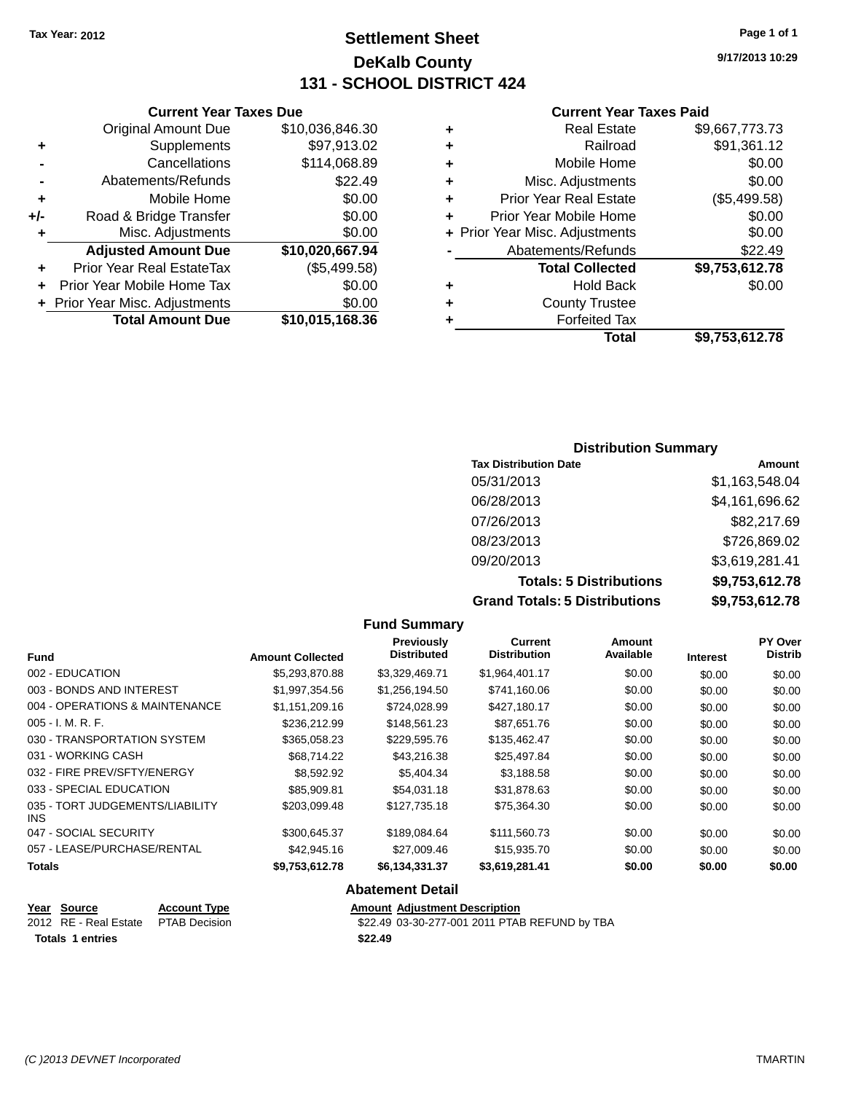# **Settlement Sheet Tax Year: 2012 Page 1 of 1 DeKalb County 131 - SCHOOL DISTRICT 424**

**9/17/2013 10:29**

### **Current Year Taxes Paid**

| ٠ | <b>Real Estate</b>             | \$9,667,773.73 |
|---|--------------------------------|----------------|
| ٠ | Railroad                       | \$91,361.12    |
| ٠ | Mobile Home                    | \$0.00         |
| ٠ | Misc. Adjustments              | \$0.00         |
| ٠ | <b>Prior Year Real Estate</b>  | (\$5,499.58)   |
| ٠ | Prior Year Mobile Home         | \$0.00         |
|   | + Prior Year Misc. Adjustments | \$0.00         |
|   | Abatements/Refunds             | \$22.49        |
|   | <b>Total Collected</b>         | \$9,753,612.78 |
| ٠ | <b>Hold Back</b>               | \$0.00         |
| ٠ | <b>County Trustee</b>          |                |
|   | <b>Forfeited Tax</b>           |                |
|   | Total                          | \$9,753,612.78 |
|   |                                |                |

|     | <b>Current Year Taxes Due</b>  |                 |
|-----|--------------------------------|-----------------|
|     | <b>Original Amount Due</b>     | \$10,036,846.30 |
| ٠   | Supplements                    | \$97,913.02     |
|     | Cancellations                  | \$114,068.89    |
|     | Abatements/Refunds             | \$22.49         |
| ٠   | Mobile Home                    | \$0.00          |
| +/- | Road & Bridge Transfer         | \$0.00          |
| ٠   | Misc. Adjustments              | \$0.00          |
|     | <b>Adjusted Amount Due</b>     | \$10,020,667.94 |
|     | Prior Year Real EstateTax      | (\$5,499.58)    |
|     | Prior Year Mobile Home Tax     | \$0.00          |
|     | + Prior Year Misc. Adjustments | \$0.00          |
|     | <b>Total Amount Due</b>        | \$10,015,168.36 |

| <b>Distribution Summary</b>    |                |  |
|--------------------------------|----------------|--|
| <b>Tax Distribution Date</b>   | Amount         |  |
| 05/31/2013                     | \$1,163,548.04 |  |
| 06/28/2013                     | \$4,161,696.62 |  |
| 07/26/2013                     | \$82,217.69    |  |
| 08/23/2013                     | \$726,869.02   |  |
| 09/20/2013                     | \$3,619,281.41 |  |
| <b>Totals: 5 Distributions</b> | \$9,753,612.78 |  |
|                                |                |  |

**Grand Totals: 5 Distributions \$9,753,612.78**

|                                         |                         | <b>Fund Summary</b>              |                                |                     |                 |                                  |
|-----------------------------------------|-------------------------|----------------------------------|--------------------------------|---------------------|-----------------|----------------------------------|
| <b>Fund</b>                             | <b>Amount Collected</b> | Previously<br><b>Distributed</b> | Current<br><b>Distribution</b> | Amount<br>Available | <b>Interest</b> | <b>PY Over</b><br><b>Distrib</b> |
| 002 - EDUCATION                         | \$5,293,870.88          | \$3,329,469.71                   | \$1,964,401.17                 | \$0.00              | \$0.00          | \$0.00                           |
| 003 - BONDS AND INTEREST                | \$1,997,354.56          | \$1,256,194.50                   | \$741,160.06                   | \$0.00              | \$0.00          | \$0.00                           |
| 004 - OPERATIONS & MAINTENANCE          | \$1,151,209.16          | \$724,028.99                     | \$427,180.17                   | \$0.00              | \$0.00          | \$0.00                           |
| $005 - I. M. R. F.$                     | \$236,212.99            | \$148,561.23                     | \$87,651.76                    | \$0.00              | \$0.00          | \$0.00                           |
| 030 - TRANSPORTATION SYSTEM             | \$365,058.23            | \$229,595.76                     | \$135,462.47                   | \$0.00              | \$0.00          | \$0.00                           |
| 031 - WORKING CASH                      | \$68,714.22             | \$43,216.38                      | \$25,497.84                    | \$0.00              | \$0.00          | \$0.00                           |
| 032 - FIRE PREV/SFTY/ENERGY             | \$8,592.92              | \$5,404.34                       | \$3,188.58                     | \$0.00              | \$0.00          | \$0.00                           |
| 033 - SPECIAL EDUCATION                 | \$85,909.81             | \$54,031.18                      | \$31,878.63                    | \$0.00              | \$0.00          | \$0.00                           |
| 035 - TORT JUDGEMENTS/LIABILITY<br>INS. | \$203,099.48            | \$127,735.18                     | \$75,364.30                    | \$0.00              | \$0.00          | \$0.00                           |
| 047 - SOCIAL SECURITY                   | \$300,645.37            | \$189,084.64                     | \$111,560.73                   | \$0.00              | \$0.00          | \$0.00                           |
| 057 - LEASE/PURCHASE/RENTAL             | \$42,945.16             | \$27,009.46                      | \$15,935.70                    | \$0.00              | \$0.00          | \$0.00                           |
| <b>Totals</b>                           | \$9,753,612.78          | \$6,134,331.37                   | \$3,619,281.41                 | \$0.00              | \$0.00          | \$0.00                           |
|                                         |                         | <b>Abatement Detail</b>          |                                |                     |                 |                                  |

| Year Source                         | <b>Account Type</b> | <b>Amount Adiustment Description</b>          |
|-------------------------------------|---------------------|-----------------------------------------------|
| 2012 RE - Real Estate PTAB Decision |                     | \$22.49 03-30-277-001 2011 PTAB REFUND by TBA |
| Totals 1 entries                    |                     | \$22.49                                       |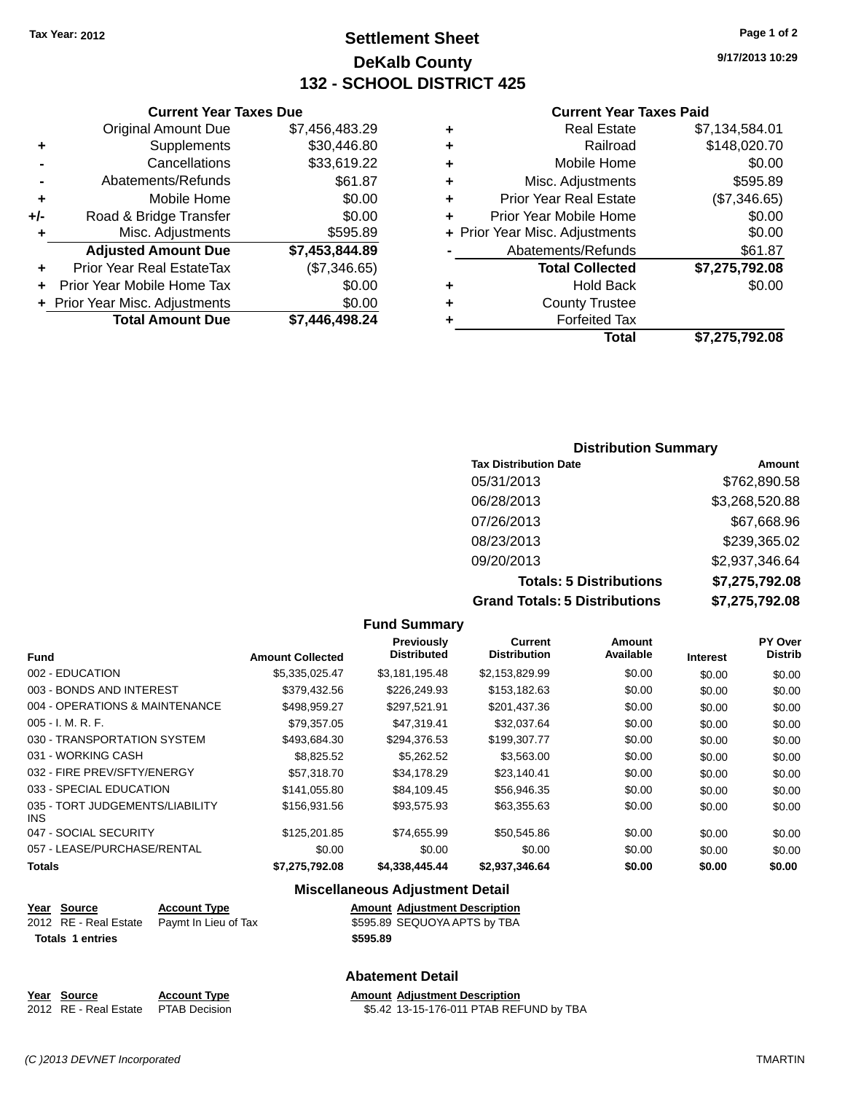# **Settlement Sheet Tax Year: 2012 Page 1 of 2 DeKalb County 132 - SCHOOL DISTRICT 425**

**9/17/2013 10:29**

#### **Current Year Taxes Paid**

| \$7,134,584.01 |
|----------------|
| \$148,020.70   |
| \$0.00         |
| \$595.89       |
| (\$7,346.65)   |
| \$0.00         |
| \$0.00         |
| \$61.87        |
| \$7,275,792.08 |
| \$0.00         |
|                |
|                |
| \$7.275.792.08 |
|                |

|     | <b>Total Amount Due</b>        | \$7,446,498.24 |
|-----|--------------------------------|----------------|
|     | + Prior Year Misc. Adjustments | \$0.00         |
| ٠   | Prior Year Mobile Home Tax     | \$0.00         |
| ٠   | Prior Year Real EstateTax      | (\$7,346.65)   |
|     | <b>Adjusted Amount Due</b>     | \$7,453,844.89 |
| ٠   | Misc. Adjustments              | \$595.89       |
| +/- | Road & Bridge Transfer         | \$0.00         |
| ٠   | Mobile Home                    | \$0.00         |
|     | Abatements/Refunds             | \$61.87        |
|     | Cancellations                  | \$33,619.22    |
| ٠   | Supplements                    | \$30,446.80    |
|     | <b>Original Amount Due</b>     | \$7,456,483.29 |
|     | <b>Current Year Taxes Due</b>  |                |

| <b>Distribution Summary</b>          |                |  |
|--------------------------------------|----------------|--|
| <b>Tax Distribution Date</b>         | Amount         |  |
| 05/31/2013                           | \$762,890.58   |  |
| 06/28/2013                           | \$3,268,520.88 |  |
| 07/26/2013                           | \$67,668.96    |  |
| 08/23/2013                           | \$239,365.02   |  |
| 09/20/2013                           | \$2,937,346.64 |  |
| <b>Totals: 5 Distributions</b>       | \$7,275,792.08 |  |
| <b>Grand Totals: 5 Distributions</b> | \$7,275,792.08 |  |

**Fund Summary Fund Interest Amount Collected Distributed PY Over Distrib Amount Available Current Distribution Previously** 002 - EDUCATION \$5,335,025.47 \$3,181,195.48 \$2,153,829.99 \$0.00 \$0.00 \$0.00 003 - BONDS AND INTEREST 6 \$379,432.56 \$226,249.93 \$153,182.63 \$0.00 \$0.00 \$0.00 \$0.00 004 - OPERATIONS & MAINTENANCE \$498,959.27 \$297,521.91 \$201,437.36 \$0.00 \$0.00 \$0.00 \$0.00 005 - I. M. R. F. \$79,357.05 \$47,319.41 \$32,037.64 \$0.00 \$0.00 \$0.00 030 - TRANSPORTATION SYSTEM \$493,684.30 \$294,376.53 \$199,307.77 \$0.00 \$0.00 \$0.00 \$0.00 031 - WORKING CASH \$8,000 \$8,825.52 \$5,262.52 \$3,563.00 \$0.00 \$0.00 \$0.00 \$0.00 032 - FIRE PREV/SFTY/ENERGY **\$57,318.70** \$34,178.29 \$23,140.41 \$0.00 \$0.00 \$0.00 033 - SPECIAL EDUCATION \$141,055.80 \$84,109.45 \$56,946.35 \$0.00 \$0.00 \$0.00 \$0.00 035 - TORT JUDGEMENTS/LIABILITY INS \$156,931.56 \$93,575.93 \$63,355.63 \$0.00 \$0.00 \$0.00 047 - SOCIAL SECURITY \$125,201.85 \$74,655.99 \$50,545.86 \$0.00 \$0.00 \$0.00 057 - LEASE/PURCHASE/RENTAL  $$0.00$   $$0.00$   $$0.00$   $$0.00$   $$0.00$   $$0.00$   $$0.00$   $$0.00$ **Totals \$7,275,792.08 \$4,338,445.44 \$2,937,346.64 \$0.00 \$0.00 \$0.00 Miscellaneous Adjustment Detail**

| <u>Year Source</u>      | <b>Account Type</b>                        |          | <b>Amount Adjustment Description</b> |
|-------------------------|--------------------------------------------|----------|--------------------------------------|
|                         | 2012 RE - Real Estate Paymt In Lieu of Tax |          | \$595.89 SEQUOYA APTS by TBA         |
| <b>Totals 1 entries</b> |                                            | \$595.89 |                                      |

### **Abatement Detail**

| Year Source                         | <b>Account Type</b> | <b>Amount Adiustment Description</b>    |
|-------------------------------------|---------------------|-----------------------------------------|
| 2012 RE - Real Estate PTAB Decision |                     | \$5.42 13-15-176-011 PTAB REFUND by TBA |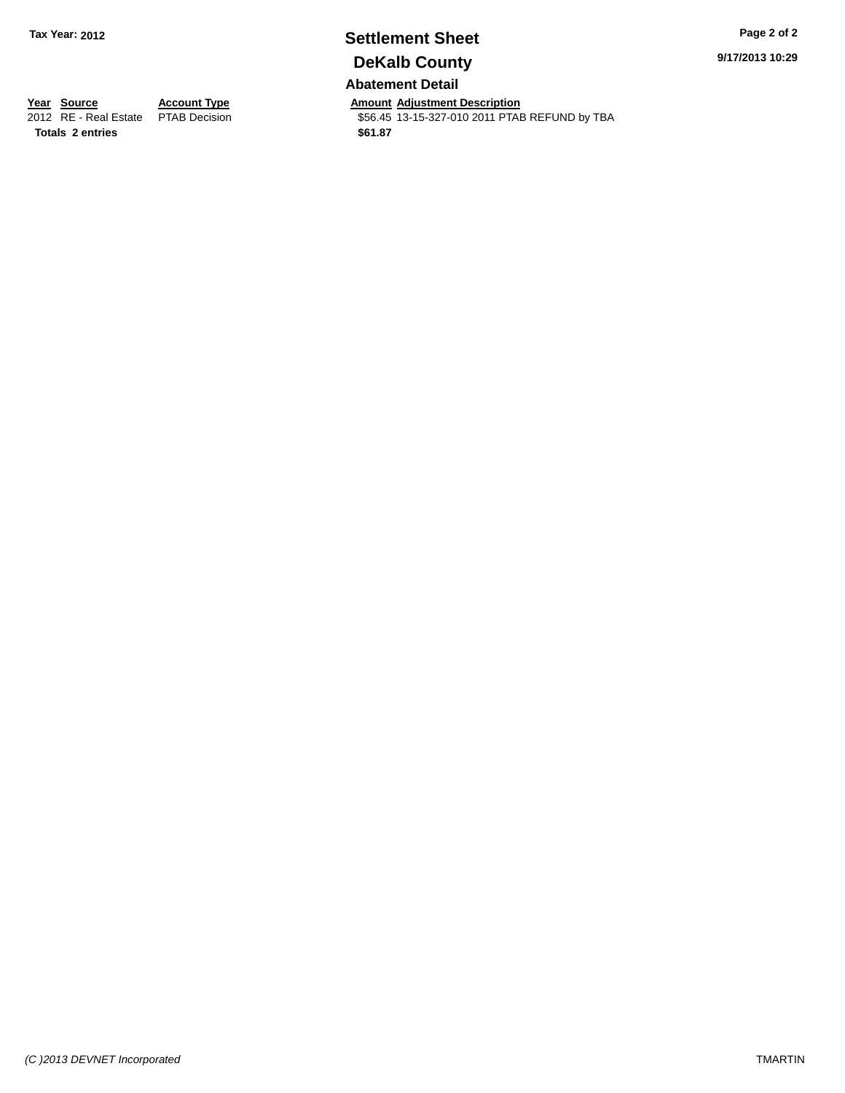# **Settlement Sheet Tax Year: 2012 Page 2 of 2 DeKalb County**

**Abatement Detail**

**Year Source Account Type Amount Adjustment Description**<br>2012 RE - Real Estate PTAB Decision **Amount 356.45** 13-15-327-010 2011 PTAE \$56.45 13-15-327-010 2011 PTAB REFUND by TBA

**9/17/2013 10:29**

**Totals 2 entries \$61.87**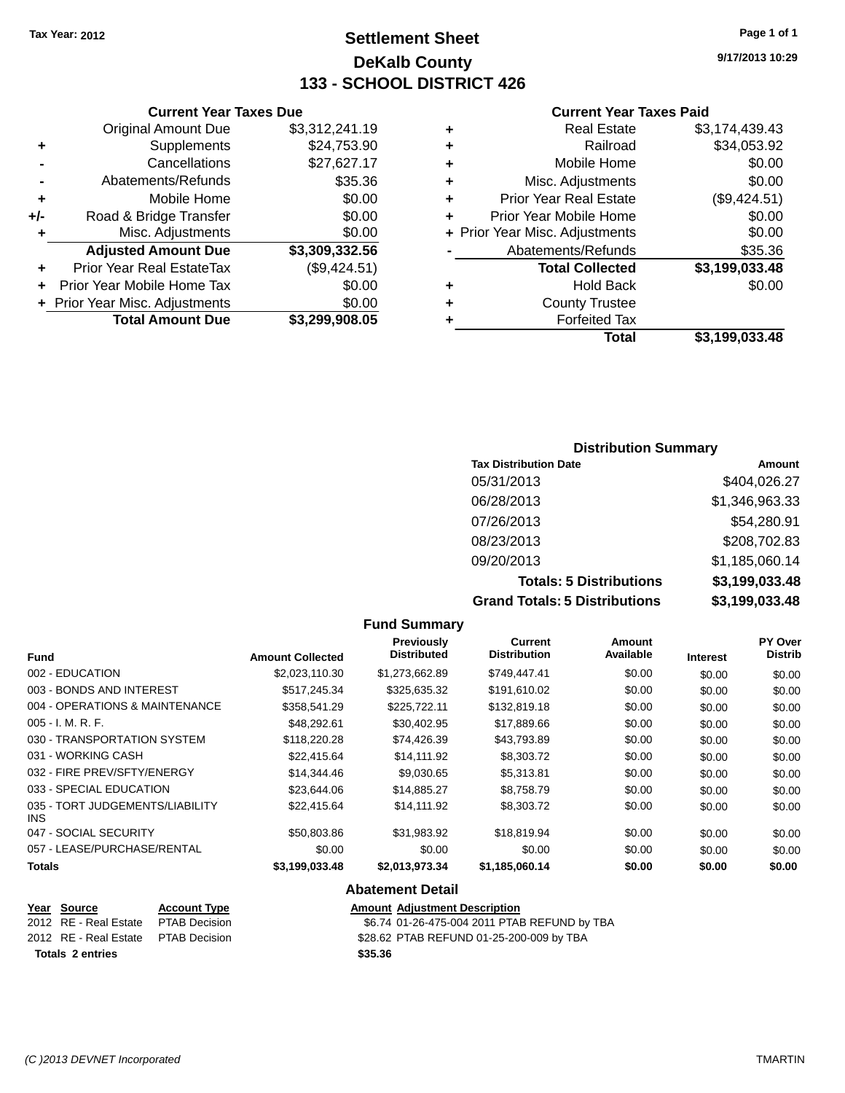# **Settlement Sheet Tax Year: 2012 Page 1 of 1 DeKalb County 133 - SCHOOL DISTRICT 426**

**9/17/2013 10:29**

#### **Current Year Taxes Paid**

|   | Total                          | \$3,199,033.48 |
|---|--------------------------------|----------------|
| ٠ | <b>Forfeited Tax</b>           |                |
| ٠ | <b>County Trustee</b>          |                |
| ٠ | <b>Hold Back</b>               | \$0.00         |
|   | <b>Total Collected</b>         | \$3,199,033.48 |
|   | Abatements/Refunds             | \$35.36        |
|   | + Prior Year Misc. Adjustments | \$0.00         |
| ÷ | Prior Year Mobile Home         | \$0.00         |
| ÷ | <b>Prior Year Real Estate</b>  | (\$9,424.51)   |
| ٠ | Misc. Adjustments              | \$0.00         |
| ÷ | Mobile Home                    | \$0.00         |
| ٠ | Railroad                       | \$34,053.92    |
| ٠ | <b>Real Estate</b>             | \$3,174,439.43 |
|   |                                |                |

|     | <b>Current Year Taxes Due</b>  |                |
|-----|--------------------------------|----------------|
|     | <b>Original Amount Due</b>     | \$3,312,241.19 |
| ٠   | Supplements                    | \$24,753.90    |
|     | Cancellations                  | \$27,627.17    |
|     | Abatements/Refunds             | \$35.36        |
| ٠   | Mobile Home                    | \$0.00         |
| +/- | Road & Bridge Transfer         | \$0.00         |
| ٠   | Misc. Adjustments              | \$0.00         |
|     | <b>Adjusted Amount Due</b>     | \$3,309,332.56 |
|     | Prior Year Real EstateTax      | (\$9,424.51)   |
|     | Prior Year Mobile Home Tax     | \$0.00         |
|     | + Prior Year Misc. Adjustments | \$0.00         |
|     | <b>Total Amount Due</b>        | \$3,299,908.05 |

# **Distribution Summary**

| <b>Tax Distribution Date</b>         | Amount         |
|--------------------------------------|----------------|
| 05/31/2013                           | \$404,026.27   |
| 06/28/2013                           | \$1,346,963.33 |
| 07/26/2013                           | \$54,280.91    |
| 08/23/2013                           | \$208,702.83   |
| 09/20/2013                           | \$1,185,060.14 |
| <b>Totals: 5 Distributions</b>       | \$3,199,033.48 |
| <b>Grand Totals: 5 Distributions</b> | \$3,199,033.48 |

|                                         |                     |                         | <b>Fund Summary</b>                     |                                |                     |                 |                                  |
|-----------------------------------------|---------------------|-------------------------|-----------------------------------------|--------------------------------|---------------------|-----------------|----------------------------------|
| <b>Fund</b>                             |                     | <b>Amount Collected</b> | <b>Previously</b><br><b>Distributed</b> | Current<br><b>Distribution</b> | Amount<br>Available | <b>Interest</b> | <b>PY Over</b><br><b>Distrib</b> |
| 002 - EDUCATION                         |                     | \$2,023,110.30          | \$1,273,662.89                          | \$749,447.41                   | \$0.00              | \$0.00          | \$0.00                           |
| 003 - BONDS AND INTEREST                |                     | \$517,245.34            | \$325,635.32                            | \$191,610.02                   | \$0.00              | \$0.00          | \$0.00                           |
| 004 - OPERATIONS & MAINTENANCE          |                     | \$358,541.29            | \$225,722.11                            | \$132,819.18                   | \$0.00              | \$0.00          | \$0.00                           |
| $005 - I. M. R. F.$                     |                     | \$48,292.61             | \$30,402.95                             | \$17,889.66                    | \$0.00              | \$0.00          | \$0.00                           |
| 030 - TRANSPORTATION SYSTEM             |                     | \$118,220.28            | \$74,426.39                             | \$43,793.89                    | \$0.00              | \$0.00          | \$0.00                           |
| 031 - WORKING CASH                      |                     | \$22.415.64             | \$14,111.92                             | \$8,303.72                     | \$0.00              | \$0.00          | \$0.00                           |
| 032 - FIRE PREV/SFTY/ENERGY             |                     | \$14,344.46             | \$9,030.65                              | \$5,313.81                     | \$0.00              | \$0.00          | \$0.00                           |
| 033 - SPECIAL EDUCATION                 |                     | \$23,644.06             | \$14,885.27                             | \$8,758.79                     | \$0.00              | \$0.00          | \$0.00                           |
| 035 - TORT JUDGEMENTS/LIABILITY<br>INS. |                     | \$22,415.64             | \$14,111.92                             | \$8,303.72                     | \$0.00              | \$0.00          | \$0.00                           |
| 047 - SOCIAL SECURITY                   |                     | \$50,803.86             | \$31,983.92                             | \$18,819.94                    | \$0.00              | \$0.00          | \$0.00                           |
| 057 - LEASE/PURCHASE/RENTAL             |                     | \$0.00                  | \$0.00                                  | \$0.00                         | \$0.00              | \$0.00          | \$0.00                           |
| <b>Totals</b>                           |                     | \$3,199,033.48          | \$2,013,973.34                          | \$1,185,060.14                 | \$0.00              | \$0.00          | \$0.00                           |
|                                         |                     |                         | <b>Abatement Detail</b>                 |                                |                     |                 |                                  |
| Year Source                             | <b>Account Type</b> |                         | <b>Amount Adjustment Description</b>    |                                |                     |                 |                                  |

**Totals 2 entries \$35.36**

2012 RE - Real Estate PTAB Decision \$6.74 01-26-475-004 2011 PTAB REFUND by TBA 2012 RE - Real Estate PTAB Decision \$28.62 PTAB REFUND 01-25-200-009 by TBA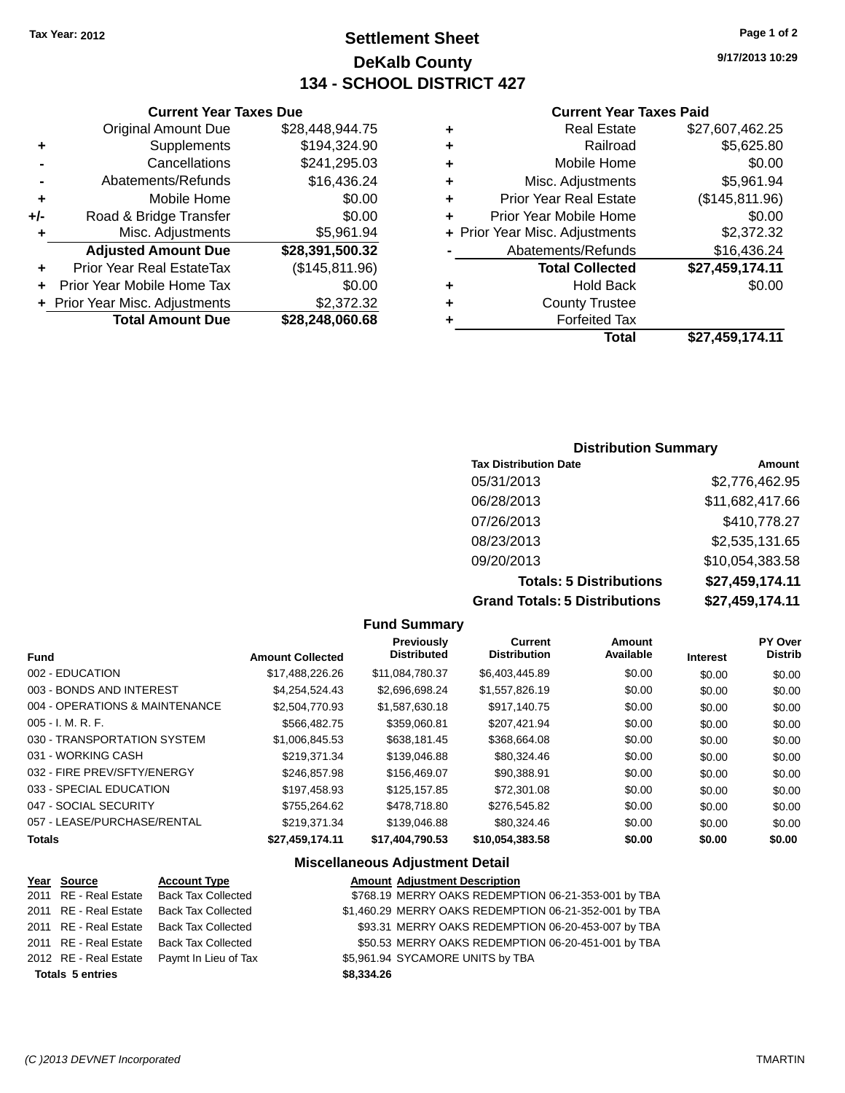# **Settlement Sheet Tax Year: 2012 Page 1 of 2 DeKalb County 134 - SCHOOL DISTRICT 427**

**9/17/2013 10:29**

### **Current Year Taxes Paid**

|   | Total                          | \$27,459,174.11 |
|---|--------------------------------|-----------------|
|   | <b>Forfeited Tax</b>           |                 |
| ٠ | <b>County Trustee</b>          |                 |
| ٠ | <b>Hold Back</b>               | \$0.00          |
|   | <b>Total Collected</b>         | \$27,459,174.11 |
|   | Abatements/Refunds             | \$16,436.24     |
|   | + Prior Year Misc. Adjustments | \$2,372.32      |
| ٠ | Prior Year Mobile Home         | \$0.00          |
| ٠ | <b>Prior Year Real Estate</b>  | (\$145,811.96)  |
| ٠ | Misc. Adjustments              | \$5,961.94      |
| ٠ | Mobile Home                    | \$0.00          |
| ٠ | Railroad                       | \$5,625.80      |
| ٠ | <b>Real Estate</b>             | \$27,607,462.25 |
|   |                                |                 |

|     | <b>Current Year Taxes Due</b>    |                 |
|-----|----------------------------------|-----------------|
|     | <b>Original Amount Due</b>       | \$28,448,944.75 |
| ٠   | Supplements                      | \$194,324.90    |
|     | Cancellations                    | \$241,295.03    |
|     | Abatements/Refunds               | \$16,436.24     |
| ٠   | Mobile Home                      | \$0.00          |
| +/- | Road & Bridge Transfer           | \$0.00          |
| ٠   | Misc. Adjustments                | \$5,961.94      |
|     | <b>Adjusted Amount Due</b>       | \$28,391,500.32 |
| ٠   | <b>Prior Year Real EstateTax</b> | (\$145,811.96)  |
| ÷   | Prior Year Mobile Home Tax       | \$0.00          |
|     | + Prior Year Misc. Adjustments   | \$2,372.32      |
|     | <b>Total Amount Due</b>          | \$28,248,060.68 |
|     |                                  |                 |

### **Distribution Summary**

| <b>Tax Distribution Date</b>         | Amount          |
|--------------------------------------|-----------------|
| 05/31/2013                           | \$2,776,462.95  |
| 06/28/2013                           | \$11,682,417.66 |
| 07/26/2013                           | \$410,778.27    |
| 08/23/2013                           | \$2,535,131.65  |
| 09/20/2013                           | \$10,054,383.58 |
| <b>Totals: 5 Distributions</b>       | \$27,459,174.11 |
| <b>Grand Totals: 5 Distributions</b> | \$27,459,174.11 |

|                                        |                         | <b>Fund Summary</b>              |                                       |                     |                 |                           |
|----------------------------------------|-------------------------|----------------------------------|---------------------------------------|---------------------|-----------------|---------------------------|
| <b>Fund</b>                            | <b>Amount Collected</b> | Previously<br><b>Distributed</b> | <b>Current</b><br><b>Distribution</b> | Amount<br>Available | <b>Interest</b> | PY Over<br><b>Distrib</b> |
| 002 - EDUCATION                        | \$17,488,226.26         | \$11,084,780.37                  | \$6,403,445.89                        | \$0.00              | \$0.00          | \$0.00                    |
| 003 - BONDS AND INTEREST               | \$4,254,524.43          | \$2,696,698.24                   | \$1,557,826.19                        | \$0.00              | \$0.00          | \$0.00                    |
| 004 - OPERATIONS & MAINTENANCE         | \$2,504,770.93          | \$1,587,630.18                   | \$917,140.75                          | \$0.00              | \$0.00          | \$0.00                    |
| $005 - I. M. R. F.$                    | \$566,482.75            | \$359,060.81                     | \$207,421.94                          | \$0.00              | \$0.00          | \$0.00                    |
| 030 - TRANSPORTATION SYSTEM            | \$1,006,845.53          | \$638.181.45                     | \$368,664.08                          | \$0.00              | \$0.00          | \$0.00                    |
| 031 - WORKING CASH                     | \$219,371.34            | \$139,046.88                     | \$80,324.46                           | \$0.00              | \$0.00          | \$0.00                    |
| 032 - FIRE PREV/SFTY/ENERGY            | \$246,857.98            | \$156,469.07                     | \$90,388.91                           | \$0.00              | \$0.00          | \$0.00                    |
| 033 - SPECIAL EDUCATION                | \$197,458.93            | \$125,157.85                     | \$72,301.08                           | \$0.00              | \$0.00          | \$0.00                    |
| 047 - SOCIAL SECURITY                  | \$755,264.62            | \$478,718.80                     | \$276,545.82                          | \$0.00              | \$0.00          | \$0.00                    |
| 057 - LEASE/PURCHASE/RENTAL            | \$219,371.34            | \$139,046.88                     | \$80,324.46                           | \$0.00              | \$0.00          | \$0.00                    |
| <b>Totals</b>                          | \$27,459,174.11         | \$17,404,790.53                  | \$10,054,383.58                       | \$0.00              | \$0.00          | \$0.00                    |
| <b>Miscellaneous Adjustment Detail</b> |                         |                                  |                                       |                     |                 |                           |

| Year Source             | <b>Account Type</b>                         |
|-------------------------|---------------------------------------------|
| 2011 RE - Real Estate   | <b>Back Tax Collected</b>                   |
| 2011 RE - Real Estate   | <b>Back Tax Collected</b>                   |
| 2011 RE - Real Estate   | <b>Back Tax Collected</b>                   |
|                         | 2011 RE - Real Estate Back Tax Collected    |
|                         | 2012 RE - Real Estate  Paymt In Lieu of Tax |
| <b>Totals 5 entries</b> |                                             |
|                         |                                             |

#### **Amount Adjustment Description** \$768.19 MERRY OAKS REDEMPTION 06-21-353-001 by TBA \$1,460.29 MERRY OAKS REDEMPTION 06-21-352-001 by TBA \$93.31 MERRY OAKS REDEMPTION 06-20-453-007 by TBA \$50.53 MERRY OAKS REDEMPTION 06-20-451-001 by TBA

\$5,961.94 SYCAMORE UNITS by TBA

**Totals 5 entries \$8,334.26**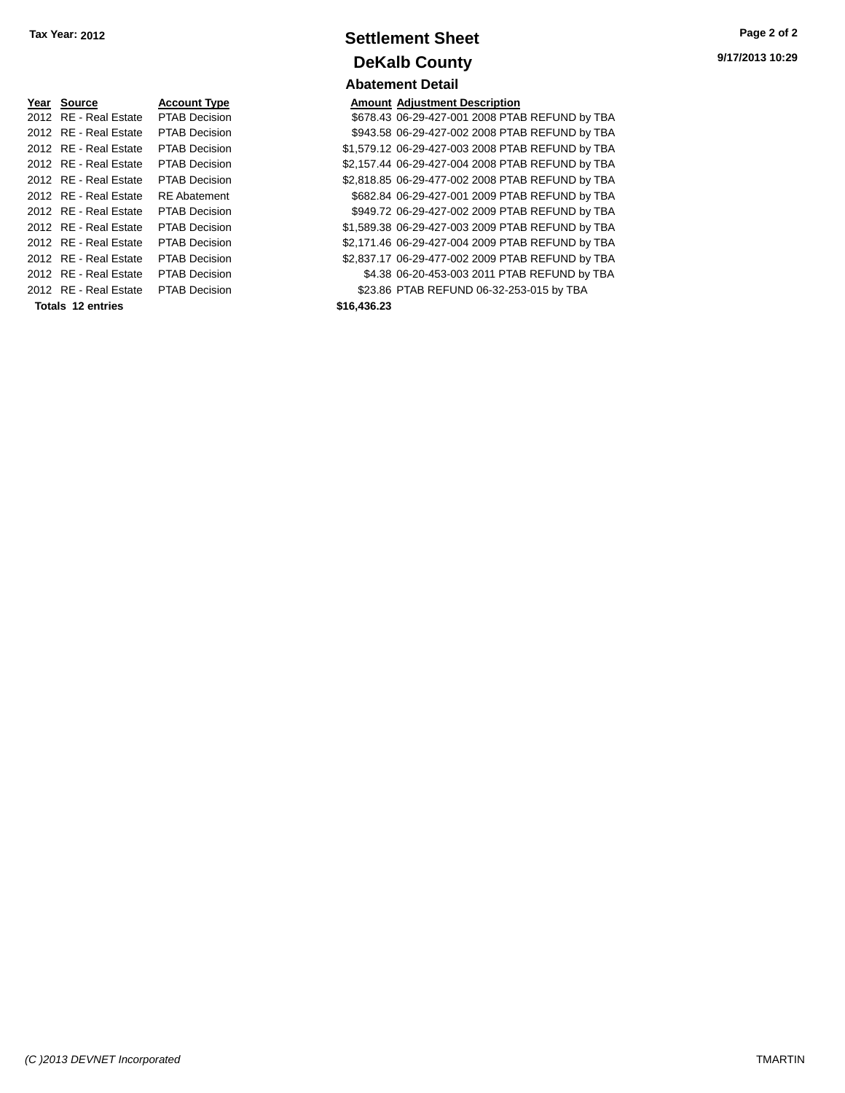| Year Source           | <b>Account Type</b>  | Amount      |
|-----------------------|----------------------|-------------|
| 2012 RE - Real Estate | <b>PTAB Decision</b> | \$678.43    |
| 2012 RE - Real Estate | <b>PTAB Decision</b> | \$943.58    |
| 2012 RE - Real Estate | <b>PTAB Decision</b> | \$1,579.12  |
| 2012 RE - Real Estate | <b>PTAB Decision</b> | \$2,157.44  |
| 2012 RE - Real Estate | <b>PTAB Decision</b> | \$2,818.85  |
| 2012 RE - Real Estate | <b>RE</b> Abatement  | \$682.84    |
| 2012 RE - Real Estate | <b>PTAB Decision</b> | \$949.72    |
| 2012 RE - Real Estate | <b>PTAB Decision</b> | \$1,589.38  |
| 2012 RE - Real Estate | <b>PTAB Decision</b> | \$2,171.46  |
| 2012 RE - Real Estate | <b>PTAB Decision</b> | \$2,837.17  |
| 2012 RE - Real Estate | <b>PTAB Decision</b> | \$4.38      |
| 2012 RE - Real Estate | <b>PTAB Decision</b> | \$23.86     |
| Totals 12 entries     |                      | \$16,436,23 |

# **Settlement Sheet Tax Year: 2012 Page 2 of 2 DeKalb County Abatement Detail**

**Amount Adjustment Description** \$678.43 06-29-427-001 2008 PTAB REFUND by TBA \$943.58 06-29-427-002 2008 PTAB REFUND by TBA \$1,579.12 06-29-427-003 2008 PTAB REFUND by TBA \$2,157.44 06-29-427-004 2008 PTAB REFUND by TBA \$2,818.85 06-29-477-002 2008 PTAB REFUND by TBA \$682.84 06-29-427-001 2009 PTAB REFUND by TBA \$949.72 06-29-427-002 2009 PTAB REFUND by TBA \$1,589.38 06-29-427-003 2009 PTAB REFUND by TBA \$2,171.46 06-29-427-004 2009 PTAB REFUND by TBA \$2,837.17 06-29-477-002 2009 PTAB REFUND by TBA \$4.38 06-20-453-003 2011 PTAB REFUND by TBA \$23.86 PTAB REFUND 06-32-253-015 by TBA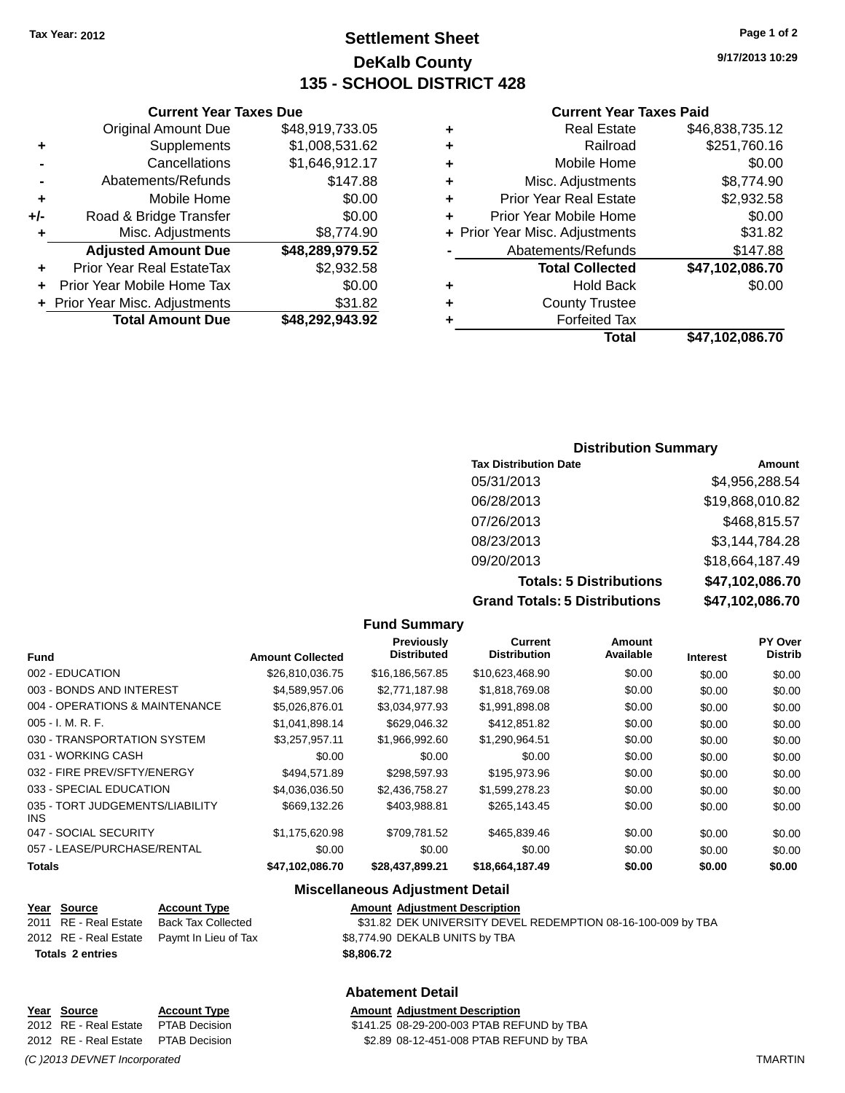# **Settlement Sheet Tax Year: 2012 Page 1 of 2 DeKalb County 135 - SCHOOL DISTRICT 428**

**9/17/2013 10:29**

#### **Current Year Taxes Paid**

| ٠ | Real Estate                    | \$46,838,735.12 |
|---|--------------------------------|-----------------|
| ٠ | Railroad                       | \$251,760.16    |
| ٠ | Mobile Home                    | \$0.00          |
| ٠ | Misc. Adjustments              | \$8,774.90      |
| ٠ | <b>Prior Year Real Estate</b>  | \$2,932.58      |
| ٠ | Prior Year Mobile Home         | \$0.00          |
|   | + Prior Year Misc. Adjustments | \$31.82         |
|   | Abatements/Refunds             | \$147.88        |
|   | <b>Total Collected</b>         | \$47,102,086.70 |
| ٠ | <b>Hold Back</b>               | \$0.00          |
| ٠ | <b>County Trustee</b>          |                 |
|   | <b>Forfeited Tax</b>           |                 |
|   | Total                          | \$47.102.086.70 |

|     | <b>Current Year Taxes Due</b>  |                 |
|-----|--------------------------------|-----------------|
|     | <b>Original Amount Due</b>     | \$48,919,733.05 |
| ٠   | Supplements                    | \$1,008,531.62  |
|     | Cancellations                  | \$1,646,912.17  |
|     | Abatements/Refunds             | \$147.88        |
| ٠   | Mobile Home                    | \$0.00          |
| +/- | Road & Bridge Transfer         | \$0.00          |
| ٠   | Misc. Adjustments              | \$8,774.90      |
|     | <b>Adjusted Amount Due</b>     | \$48,289,979.52 |
|     | Prior Year Real EstateTax      | \$2,932.58      |
|     | Prior Year Mobile Home Tax     | \$0.00          |
|     | + Prior Year Misc. Adjustments | \$31.82         |
|     | <b>Total Amount Due</b>        | \$48,292,943.92 |

### **Distribution Summary**

| <b>Tax Distribution Date</b>         | Amount          |
|--------------------------------------|-----------------|
| 05/31/2013                           | \$4,956,288.54  |
| 06/28/2013                           | \$19,868,010.82 |
| 07/26/2013                           | \$468,815.57    |
| 08/23/2013                           | \$3,144,784.28  |
| 09/20/2013                           | \$18,664,187.49 |
| <b>Totals: 5 Distributions</b>       | \$47,102,086.70 |
| <b>Grand Totals: 5 Distributions</b> | \$47,102,086.70 |

|                                         |                         | <b>Fund Summary</b>              |                                       |                     |                 |                                  |
|-----------------------------------------|-------------------------|----------------------------------|---------------------------------------|---------------------|-----------------|----------------------------------|
| <b>Fund</b>                             | <b>Amount Collected</b> | Previously<br><b>Distributed</b> | <b>Current</b><br><b>Distribution</b> | Amount<br>Available | <b>Interest</b> | <b>PY Over</b><br><b>Distrib</b> |
| 002 - EDUCATION                         | \$26,810,036.75         | \$16,186,567.85                  | \$10,623,468.90                       | \$0.00              | \$0.00          | \$0.00                           |
| 003 - BONDS AND INTEREST                | \$4,589,957.06          | \$2,771,187.98                   | \$1,818,769.08                        | \$0.00              | \$0.00          | \$0.00                           |
| 004 - OPERATIONS & MAINTENANCE          | \$5,026,876.01          | \$3,034,977.93                   | \$1,991,898.08                        | \$0.00              | \$0.00          | \$0.00                           |
| $005 - I. M. R. F.$                     | \$1,041,898.14          | \$629,046.32                     | \$412,851.82                          | \$0.00              | \$0.00          | \$0.00                           |
| 030 - TRANSPORTATION SYSTEM             | \$3,257,957.11          | \$1,966,992.60                   | \$1,290,964.51                        | \$0.00              | \$0.00          | \$0.00                           |
| 031 - WORKING CASH                      | \$0.00                  | \$0.00                           | \$0.00                                | \$0.00              | \$0.00          | \$0.00                           |
| 032 - FIRE PREV/SFTY/ENERGY             | \$494,571.89            | \$298,597.93                     | \$195,973.96                          | \$0.00              | \$0.00          | \$0.00                           |
| 033 - SPECIAL EDUCATION                 | \$4,036,036.50          | \$2,436,758,27                   | \$1,599,278.23                        | \$0.00              | \$0.00          | \$0.00                           |
| 035 - TORT JUDGEMENTS/LIABILITY<br>INS. | \$669,132.26            | \$403,988.81                     | \$265,143.45                          | \$0.00              | \$0.00          | \$0.00                           |
| 047 - SOCIAL SECURITY                   | \$1,175,620.98          | \$709,781.52                     | \$465,839.46                          | \$0.00              | \$0.00          | \$0.00                           |
| 057 - LEASE/PURCHASE/RENTAL             | \$0.00                  | \$0.00                           | \$0.00                                | \$0.00              | \$0.00          | \$0.00                           |
| <b>Totals</b>                           | \$47,102,086.70         | \$28,437,899.21                  | \$18,664,187.49                       | \$0.00              | \$0.00          | \$0.00                           |
|                                         |                         |                                  |                                       |                     |                 |                                  |

#### **Miscellaneous Adjustment Detail**

**Abatement Detail**

### **Year** Source **Account Type Account Adjustment Description**

2011 RE - Real Estate Back Tax Collected \$31.82 DEK UNIVERSITY DEVEL REDEMPTION 08-16-100-009 by TBA 2012 RE - Real Estate Paymt In Lieu of Tax \$8,774.90 DEKALB UNITS by TBA **Totals 2 entries \$8,806.72**

# **Year Source Account Type Amount Adjustment Description**<br>2012 RE - Real Estate PTAB Decision **Amount 1411.25** 08-29-200-003 PTAB REF

*(C )2013 DEVNET Incorporated* TMARTIN

\$141.25 08-29-200-003 PTAB REFUND by TBA 2012 RE - Real Estate PTAB Decision \$2.89 08-12-451-008 PTAB REFUND by TBA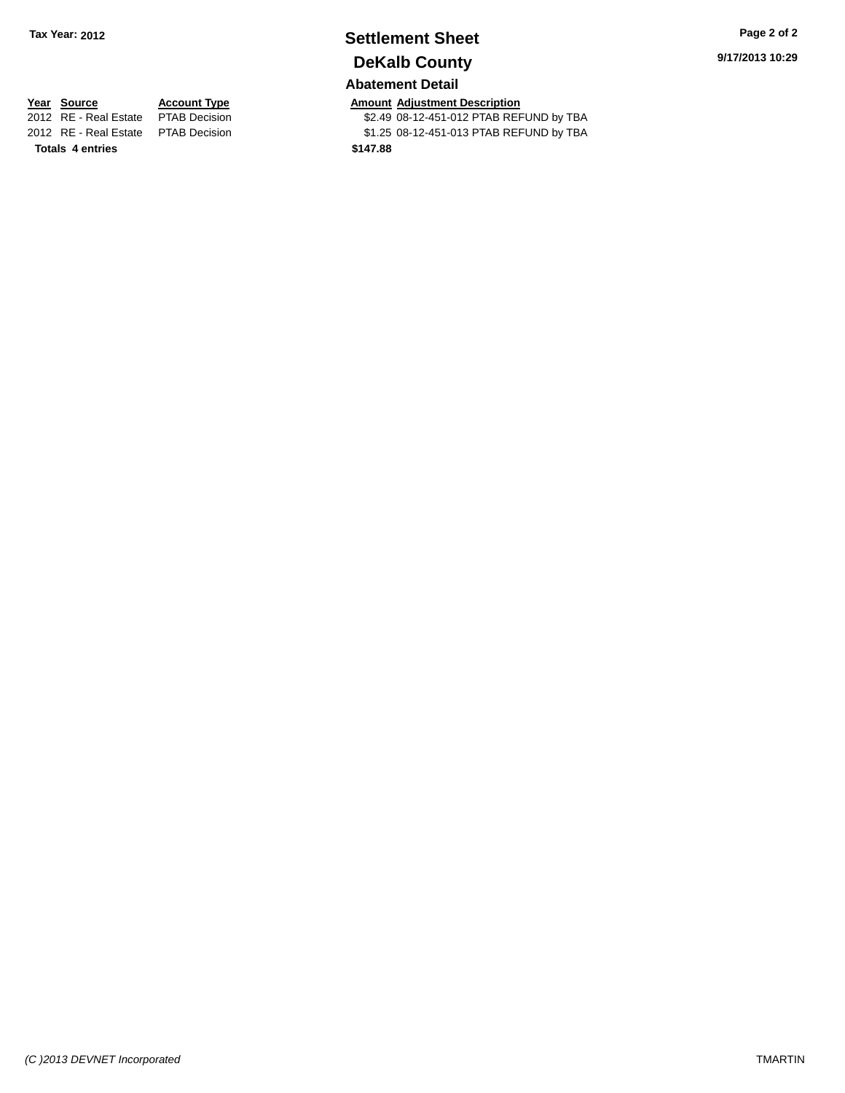# **Settlement Sheet Tax Year: 2012 Page 2 of 2 DeKalb County**

## **Abatement Detail**

**Year Source Account Type Account Type Amount Adjustment Description**<br>2012 RE - Real Estate PTAB Decision **1998 CALCE 1008-12-451-012 PTAB REF** \$2.49 08-12-451-012 PTAB REFUND by TBA 2012 RE - Real Estate PTAB Decision \$1.25 08-12-451-013 PTAB REFUND by TBA **Totals 4 entries \$147.88**

**9/17/2013 10:29**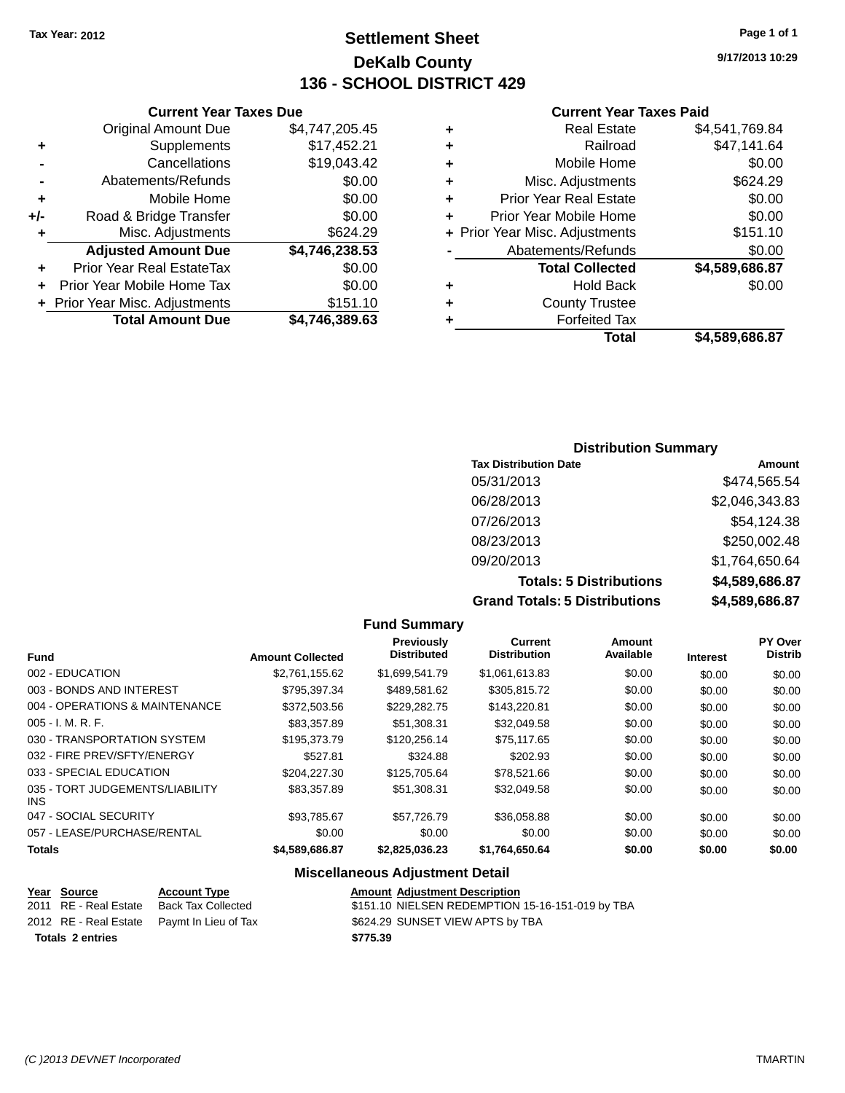# **Settlement Sheet Tax Year: 2012 Page 1 of 1 DeKalb County 136 - SCHOOL DISTRICT 429**

**9/17/2013 10:29**

#### **Current Year Taxes Paid**

|   | Total                          | \$4.589.686.87 |
|---|--------------------------------|----------------|
| ٠ | <b>Forfeited Tax</b>           |                |
| ٠ | <b>County Trustee</b>          |                |
| ٠ | <b>Hold Back</b>               | \$0.00         |
|   | <b>Total Collected</b>         | \$4,589,686.87 |
|   | Abatements/Refunds             | \$0.00         |
|   | + Prior Year Misc. Adjustments | \$151.10       |
| ÷ | Prior Year Mobile Home         | \$0.00         |
| ٠ | <b>Prior Year Real Estate</b>  | \$0.00         |
| ٠ | Misc. Adjustments              | \$624.29       |
| ٠ | Mobile Home                    | \$0.00         |
| ٠ | Railroad                       | \$47,141.64    |
| ٠ | <b>Real Estate</b>             | \$4,541,769.84 |
|   |                                |                |

## **Current Year Taxes Due** Original Amount Due \$4,747,205.45 **+** Supplements

|       | <b>Total Amount Due</b>          | \$4,746,389.63 |
|-------|----------------------------------|----------------|
|       | + Prior Year Misc. Adjustments   | \$151.10       |
|       | Prior Year Mobile Home Tax       | \$0.00         |
| ÷     | <b>Prior Year Real EstateTax</b> | \$0.00         |
|       | <b>Adjusted Amount Due</b>       | \$4,746,238.53 |
| ٠     | Misc. Adjustments                | \$624.29       |
| $+/-$ | Road & Bridge Transfer           | \$0.00         |
| ٠     | Mobile Home                      | \$0.00         |
|       | Abatements/Refunds               | \$0.00         |
|       | Cancellations                    | \$19,043.42    |
|       | $v_{\mu\nu}$                     | .              |

## **Distribution Summary**

| <b>Tax Distribution Date</b>         | Amount         |
|--------------------------------------|----------------|
| 05/31/2013                           | \$474,565.54   |
| 06/28/2013                           | \$2,046,343.83 |
| 07/26/2013                           | \$54,124.38    |
| 08/23/2013                           | \$250,002.48   |
| 09/20/2013                           | \$1,764,650.64 |
| <b>Totals: 5 Distributions</b>       | \$4,589,686.87 |
| <b>Grand Totals: 5 Distributions</b> | \$4,589,686.87 |

#### **Fund Summary Fund Interest Amount Collected Distributed PY Over Distrib Amount Available Current Distribution Previously** 002 - EDUCATION \$2,761,155.62 \$1,699,541.79 \$1,061,613.83 \$0.00 \$0.00 \$0.00 003 - BONDS AND INTEREST 6795,397.34 \$489,581.62 \$305,815.72 \$0.00 \$0.00 \$0.00 \$0.00 004 - OPERATIONS & MAINTENANCE \$372,503.56 \$229,282.75 \$143,220.81 \$0.00 \$0.00 \$0.00 005 - I. M. R. F. \$83,357.89 \$51,308.31 \$32,049.58 \$0.00 \$0.00 \$0.00 030 - TRANSPORTATION SYSTEM \$195,373.79 \$120,256.14 \$75,117.65 \$0.00 \$0.00 \$0.00 \$0.00 032 - FIRE PREV/SFTY/ENERGY \$527.81 \$324.88 \$202.93 \$0.00 \$0.00 \$0.00 033 - SPECIAL EDUCATION \$204,227.30 \$125,705.64 \$78,521.66 \$0.00 \$0.00 \$0.00 \$0.00 035 - TORT JUDGEMENTS/LIABILITY INS \$83,357.89 \$51,308.31 \$32,049.58 \$0.00 \$0.00 \$0.00 \$0.00 047 - SOCIAL SECURITY \$93,785.67 \$57,726.79 \$36,058.88 \$0.00 \$0.00 \$0.00 057 - LEASE/PURCHASE/RENTAL  $$0.00$   $$0.00$   $$0.00$   $$0.00$   $$0.00$   $$0.00$   $$0.00$   $$0.00$ **Totals \$4,589,686.87 \$2,825,036.23 \$1,764,650.64 \$0.00 \$0.00 \$0.00**

### **Miscellaneous Adjustment Detail**

| Year Source             | <b>Account Type</b>                        | <b>Amount Adjustment Description</b>             |
|-------------------------|--------------------------------------------|--------------------------------------------------|
| 2011 RE - Real Estate   | Back Tax Collected                         | \$151.10 NIELSEN REDEMPTION 15-16-151-019 by TBA |
|                         | 2012 RE - Real Estate Paymt In Lieu of Tax | \$624.29 SUNSET VIEW APTS by TBA                 |
| <b>Totals 2 entries</b> |                                            | \$775.39                                         |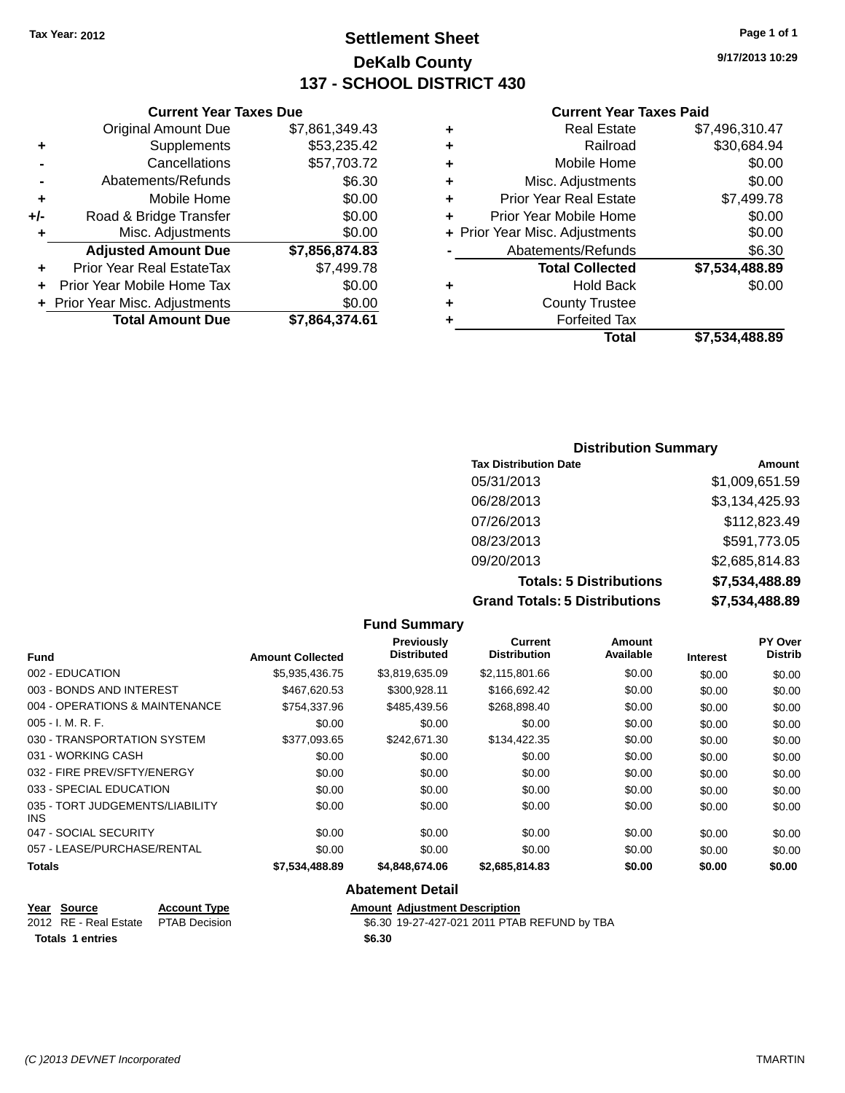# **Settlement Sheet Tax Year: 2012 Page 1 of 1 DeKalb County 137 - SCHOOL DISTRICT 430**

**9/17/2013 10:29**

#### **Current Year Taxes Paid**

|     | <b>Original Amount Due</b>       | \$7,861,349.43 | ٠       |
|-----|----------------------------------|----------------|---------|
|     | Supplements                      | \$53,235.42    | ٠       |
|     | Cancellations                    | \$57,703.72    | ٠       |
|     | Abatements/Refunds               | \$6.30         |         |
|     | Mobile Home                      | \$0.00         | ٠       |
| +/- | Road & Bridge Transfer           | \$0.00         | ٠       |
|     | Misc. Adjustments                | \$0.00         | + Prior |
|     | <b>Adjusted Amount Due</b>       | \$7,856,874.83 |         |
|     | <b>Prior Year Real EstateTax</b> | \$7,499.78     |         |
|     | Prior Year Mobile Home Tax       | \$0.00         | ٠       |
|     | + Prior Year Misc. Adjustments   | \$0.00         |         |
|     | <b>Total Amount Due</b>          | \$7,864,374.61 |         |
|     |                                  |                |         |

**Current Year Taxes Due**

| ٠ | <b>Real Estate</b>             | \$7,496,310.47 |
|---|--------------------------------|----------------|
| ٠ | Railroad                       | \$30,684.94    |
| ٠ | Mobile Home                    | \$0.00         |
| ٠ | Misc. Adjustments              | \$0.00         |
| ٠ | <b>Prior Year Real Estate</b>  | \$7,499.78     |
| ٠ | Prior Year Mobile Home         | \$0.00         |
|   | + Prior Year Misc. Adjustments | \$0.00         |
|   | Abatements/Refunds             | \$6.30         |
|   | <b>Total Collected</b>         | \$7,534,488.89 |
| ٠ | <b>Hold Back</b>               | \$0.00         |
| ٠ | <b>County Trustee</b>          |                |
| ٠ | <b>Forfeited Tax</b>           |                |
|   | Total                          | \$7.534.488.89 |
|   |                                |                |

### **Distribution Summary Tax Distribution Date Amount** 05/31/2013 \$1,009,651.59 06/28/2013 \$3,134,425.93 07/26/2013 \$112,823.49 08/23/2013 \$591,773.05 09/20/2013 \$2,685,814.83 **Totals: 5 Distributions \$7,534,488.89 Grand Totals: 5 Distributions \$7,534,488.89**

|                                         |                         | <b>Fund Summary</b>                     |                                       |                     |                 |                                  |
|-----------------------------------------|-------------------------|-----------------------------------------|---------------------------------------|---------------------|-----------------|----------------------------------|
| <b>Fund</b>                             | <b>Amount Collected</b> | <b>Previously</b><br><b>Distributed</b> | <b>Current</b><br><b>Distribution</b> | Amount<br>Available | <b>Interest</b> | <b>PY Over</b><br><b>Distrib</b> |
| 002 - EDUCATION                         | \$5,935,436.75          | \$3,819,635.09                          | \$2,115,801.66                        | \$0.00              | \$0.00          | \$0.00                           |
| 003 - BONDS AND INTEREST                | \$467,620.53            | \$300,928.11                            | \$166,692.42                          | \$0.00              | \$0.00          | \$0.00                           |
| 004 - OPERATIONS & MAINTENANCE          | \$754,337.96            | \$485,439.56                            | \$268,898.40                          | \$0.00              | \$0.00          | \$0.00                           |
| $005 - I. M. R. F.$                     | \$0.00                  | \$0.00                                  | \$0.00                                | \$0.00              | \$0.00          | \$0.00                           |
| 030 - TRANSPORTATION SYSTEM             | \$377.093.65            | \$242,671,30                            | \$134.422.35                          | \$0.00              | \$0.00          | \$0.00                           |
| 031 - WORKING CASH                      | \$0.00                  | \$0.00                                  | \$0.00                                | \$0.00              | \$0.00          | \$0.00                           |
| 032 - FIRE PREV/SFTY/ENERGY             | \$0.00                  | \$0.00                                  | \$0.00                                | \$0.00              | \$0.00          | \$0.00                           |
| 033 - SPECIAL EDUCATION                 | \$0.00                  | \$0.00                                  | \$0.00                                | \$0.00              | \$0.00          | \$0.00                           |
| 035 - TORT JUDGEMENTS/LIABILITY<br>INS. | \$0.00                  | \$0.00                                  | \$0.00                                | \$0.00              | \$0.00          | \$0.00                           |
| 047 - SOCIAL SECURITY                   | \$0.00                  | \$0.00                                  | \$0.00                                | \$0.00              | \$0.00          | \$0.00                           |
| 057 - LEASE/PURCHASE/RENTAL             | \$0.00                  | \$0.00                                  | \$0.00                                | \$0.00              | \$0.00          | \$0.00                           |
| <b>Totals</b>                           | \$7,534,488.89          | \$4,848,674.06                          | \$2,685,814.83                        | \$0.00              | \$0.00          | \$0.00                           |
|                                         |                         | <b>Abatement Detail</b>                 |                                       |                     |                 |                                  |

**Year** Source **Account Type Account Adjustment Description** 2012 RE - Real Estate PTAB Decision \$6.30 19-27-427-021 2011 PTAB REFUND by TBA **Totals 1 entries \$6.30**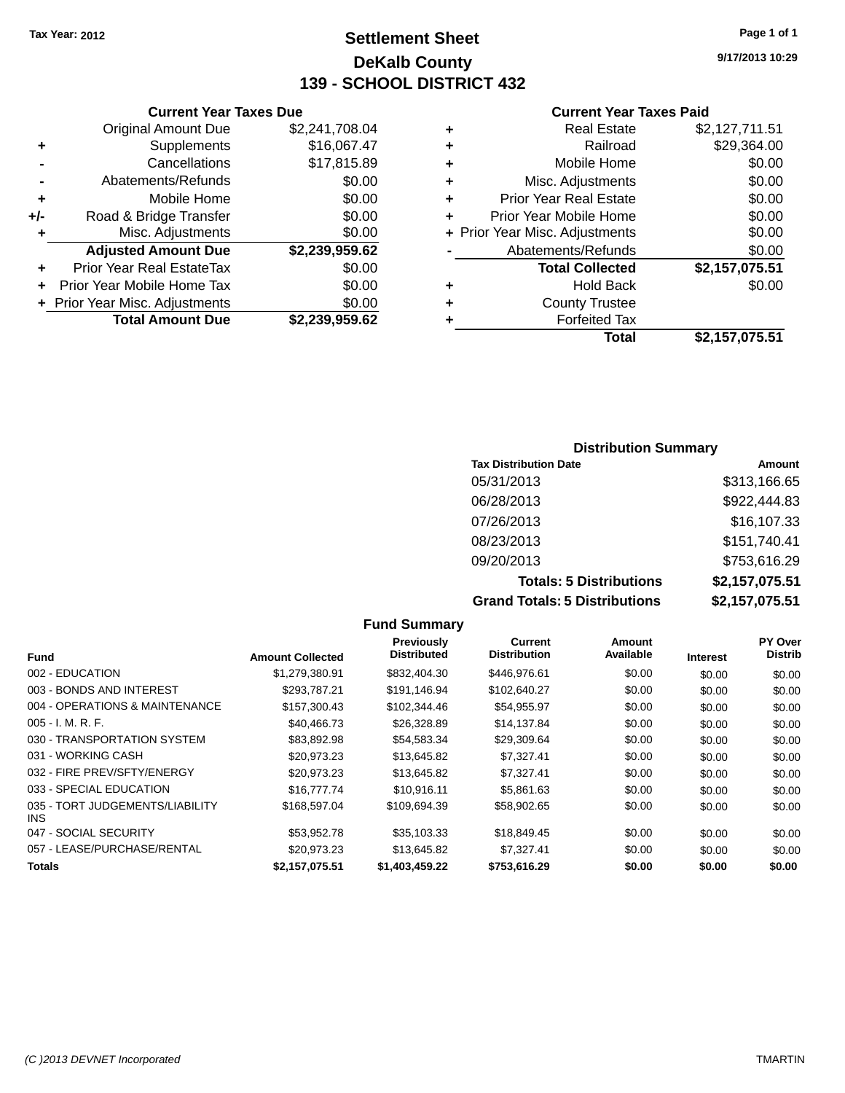# **Settlement Sheet Tax Year: 2012 Page 1 of 1 DeKalb County 139 - SCHOOL DISTRICT 432**

**9/17/2013 10:29**

#### **Current Year Taxes Paid**

|     | <b>Total Amount Due</b>          | \$2,239,959.62 |
|-----|----------------------------------|----------------|
|     | + Prior Year Misc. Adjustments   | \$0.00         |
| ٠   | Prior Year Mobile Home Tax       | \$0.00         |
|     | <b>Prior Year Real EstateTax</b> | \$0.00         |
|     | <b>Adjusted Amount Due</b>       | \$2,239,959.62 |
| ٠   | Misc. Adjustments                | \$0.00         |
| +/- | Road & Bridge Transfer           | \$0.00         |
| ÷   | Mobile Home                      | \$0.00         |
|     | Abatements/Refunds               | \$0.00         |
|     | Cancellations                    | \$17,815.89    |
| ٠   | Supplements                      | \$16,067.47    |
|     | <b>Original Amount Due</b>       | \$2,241,708.04 |
|     |                                  |                |

**Current Year Taxes Due**

| ٠ | <b>Real Estate</b>             | \$2,127,711.51 |
|---|--------------------------------|----------------|
| ٠ | Railroad                       | \$29,364.00    |
| ٠ | Mobile Home                    | \$0.00         |
| ٠ | Misc. Adjustments              | \$0.00         |
| ٠ | <b>Prior Year Real Estate</b>  | \$0.00         |
| ÷ | Prior Year Mobile Home         | \$0.00         |
|   | + Prior Year Misc. Adjustments | \$0.00         |
|   | Abatements/Refunds             | \$0.00         |
|   | <b>Total Collected</b>         | \$2,157,075.51 |
| ٠ | <b>Hold Back</b>               | \$0.00         |
| ٠ | <b>County Trustee</b>          |                |
| ٠ | <b>Forfeited Tax</b>           |                |
|   | Total                          | \$2,157,075.51 |
|   |                                |                |

### **Distribution Summary Tax Distribution Date Amount** 05/31/2013 \$313,166.65 06/28/2013 \$922,444.83 07/26/2013 \$16,107.33 08/23/2013 \$151,740.41 09/20/2013 \$753,616.29 **Totals: 5 Distributions \$2,157,075.51 Grand Totals: 5 Distributions \$2,157,075.51**

**Fund Summary Fund Interest Amount Collected Distributed PY Over Distrib Amount Available Current Distribution Previously** 002 - EDUCATION \$1,279,380.91 \$832,404.30 \$446,976.61 \$0.00 \$0.00 \$0.00 003 - BONDS AND INTEREST 60.00 \$293,787.21 \$191,146.94 \$102,640.27 \$0.00 \$0.00 \$0.00 \$0.00 004 - OPERATIONS & MAINTENANCE \$157,300.43 \$102,344.46 \$54,955.97 \$0.00 \$0.00 \$0.00 \$0.00 005 - I. M. R. F. \$40,466.73 \$26,328.89 \$14,137.84 \$0.00 \$0.00 \$0.00 030 - TRANSPORTATION SYSTEM \$83,892.98 \$54,583.34 \$29,309.64 \$0.00 \$0.00 \$0.00 \$0.00 031 - WORKING CASH \$20,973.23 \$13,645.82 \$7,327.41 \$0.00 \$0.00 \$0.00 032 - FIRE PREV/SFTY/ENERGY \$20,973.23 \$13,645.82 \$7,327.41 \$0.00 \$0.00 \$0.00 033 - SPECIAL EDUCATION \$10,777.74 \$10,916.11 \$5,861.63 \$0.00 \$0.00 \$0.00 \$0.00 035 - TORT JUDGEMENTS/LIABILITY INS  $$168,597.04$   $$109,694.39$   $$58,902.65$   $$0.00$   $$0.00$   $$0.00$ 047 - SOCIAL SECURITY \$53,952.78 \$35,103.33 \$18,849.45 \$0.00 \$0.00 \$0.00 057 - LEASE/PURCHASE/RENTAL  $$20,973.23$   $$13,645.82$   $$7,327.41$   $$0.00$   $$0.00$   $$0.00$ **Totals \$2,157,075.51 \$1,403,459.22 \$753,616.29 \$0.00 \$0.00 \$0.00**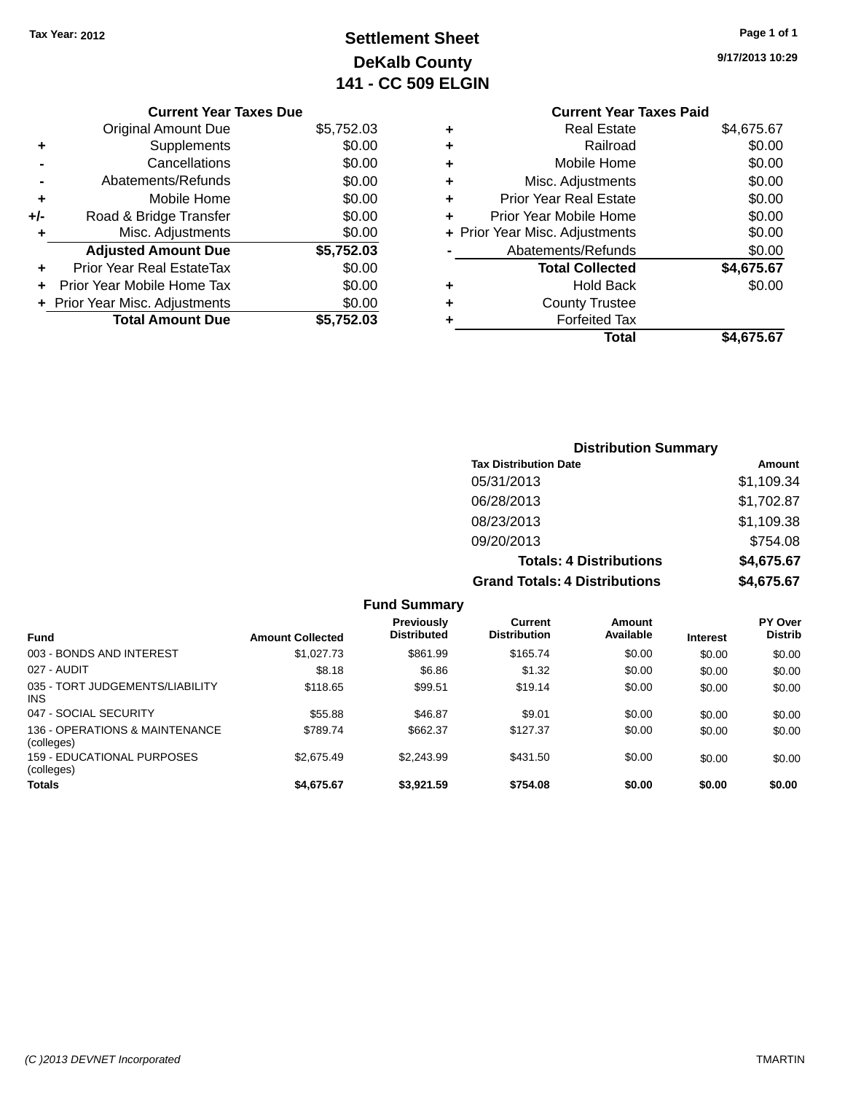# **Settlement Sheet Tax Year: 2012 Page 1 of 1 DeKalb County 141 - CC 509 ELGIN**

**9/17/2013 10:29**

|     | <b>Current Year Taxes Due</b> |            |
|-----|-------------------------------|------------|
|     | <b>Original Amount Due</b>    | \$5,752.03 |
| ٠   | Supplements                   | \$0.00     |
|     | Cancellations                 | \$0.00     |
|     | Abatements/Refunds            | \$0.00     |
| ٠   | Mobile Home                   | \$0.00     |
| +/- | Road & Bridge Transfer        | \$0.00     |
| ٠   | Misc. Adjustments             | \$0.00     |
|     | <b>Adjusted Amount Due</b>    | \$5,752.03 |
|     | Prior Year Real EstateTax     | \$0.00     |
| ÷   | Prior Year Mobile Home Tax    | \$0.00     |
|     | Prior Year Misc. Adjustments  | \$0.00     |
|     | <b>Total Amount Due</b>       | \$5,752.03 |
|     |                               |            |

# **Current Year Taxes Paid +** Real Estate \$4,675.67 **+** Railroad \$0.00 **+** Mobile Home \$0.00 **+** Misc. Adjustments \$0.00 **+** Prior Year Real Estate \$0.00 **+** Prior Year Mobile Home \$0.00 **+ Prior Year Misc. Adjustments**  $$0.00$ **-** Abatements/Refunds \$0.00 **Total Collected \$4,675.67 +** Hold Back \$0.00 **+** County Trustee **+** Forfeited Tax **Total \$4,675.67**

|                | <b>Distribution Summary</b>          |            |
|----------------|--------------------------------------|------------|
|                | <b>Tax Distribution Date</b>         | Amount     |
|                | 05/31/2013                           | \$1,109.34 |
|                | 06/28/2013                           | \$1,702.87 |
|                | 08/23/2013                           | \$1,109.38 |
|                | 09/20/2013                           | \$754.08   |
|                | <b>Totals: 4 Distributions</b>       | \$4,675.67 |
|                | <b>Grand Totals: 4 Distributions</b> | \$4,675.67 |
| <b>Summary</b> |                                      |            |

|                                               |                         | <b>Fund Summary</b>                     |                                       |                     |                 |                           |
|-----------------------------------------------|-------------------------|-----------------------------------------|---------------------------------------|---------------------|-----------------|---------------------------|
| <b>Fund</b>                                   | <b>Amount Collected</b> | <b>Previously</b><br><b>Distributed</b> | <b>Current</b><br><b>Distribution</b> | Amount<br>Available | <b>Interest</b> | PY Over<br><b>Distrib</b> |
| 003 - BONDS AND INTEREST                      | \$1,027.73              | \$861.99                                | \$165.74                              | \$0.00              | \$0.00          | \$0.00                    |
| 027 - AUDIT                                   | \$8.18                  | \$6.86                                  | \$1.32                                | \$0.00              | \$0.00          | \$0.00                    |
| 035 - TORT JUDGEMENTS/LIABILITY<br><b>INS</b> | \$118.65                | \$99.51                                 | \$19.14                               | \$0.00              | \$0.00          | \$0.00                    |
| 047 - SOCIAL SECURITY                         | \$55.88                 | \$46.87                                 | \$9.01                                | \$0.00              | \$0.00          | \$0.00                    |
| 136 - OPERATIONS & MAINTENANCE<br>(colleges)  | \$789.74                | \$662.37                                | \$127.37                              | \$0.00              | \$0.00          | \$0.00                    |
| 159 - EDUCATIONAL PURPOSES<br>(colleges)      | \$2.675.49              | \$2.243.99                              | \$431.50                              | \$0.00              | \$0.00          | \$0.00                    |
| <b>Totals</b>                                 | \$4,675.67              | \$3.921.59                              | \$754.08                              | \$0.00              | \$0.00          | \$0.00                    |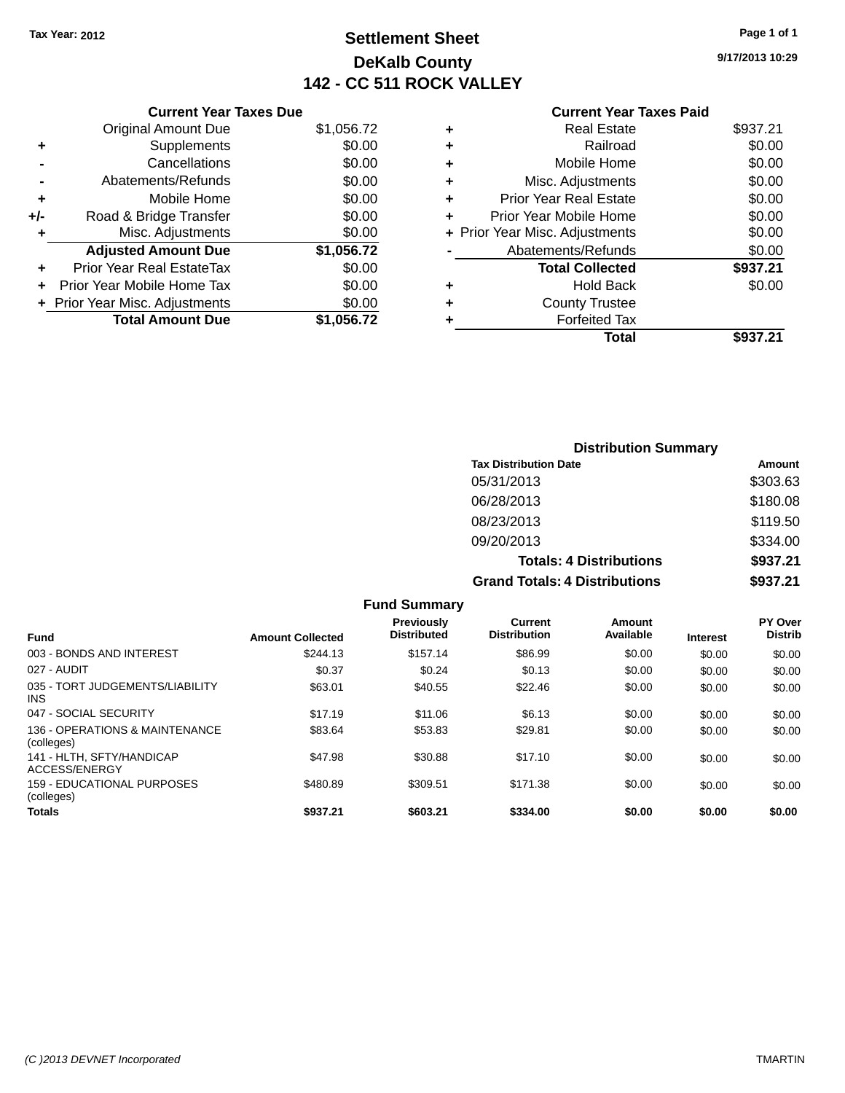# **Settlement Sheet Tax Year: 2012 Page 1 of 1 DeKalb County 142 - CC 511 ROCK VALLEY**

**9/17/2013 10:29**

### **Current Year Taxes Paid**

|     | <b>Current Year Taxes Due</b>  |            |
|-----|--------------------------------|------------|
|     | <b>Original Amount Due</b>     | \$1,056.72 |
| ٠   | Supplements                    | \$0.00     |
|     | Cancellations                  | \$0.00     |
|     | Abatements/Refunds             | \$0.00     |
| ٠   | Mobile Home                    | \$0.00     |
| +/- | Road & Bridge Transfer         | \$0.00     |
|     | Misc. Adjustments              | \$0.00     |
|     | <b>Adjusted Amount Due</b>     | \$1,056.72 |
| ÷   | Prior Year Real EstateTax      | \$0.00     |
|     | Prior Year Mobile Home Tax     | \$0.00     |
|     | + Prior Year Misc. Adjustments | \$0.00     |
|     | <b>Total Amount Due</b>        | \$1,056.72 |
|     |                                |            |

|   | Total                          | \$937.21 |
|---|--------------------------------|----------|
|   | <b>Forfeited Tax</b>           |          |
|   | <b>County Trustee</b>          |          |
| ٠ | Hold Back                      | \$0.00   |
|   | <b>Total Collected</b>         | \$937.21 |
|   | Abatements/Refunds             | \$0.00   |
|   | + Prior Year Misc. Adjustments | \$0.00   |
| ٠ | Prior Year Mobile Home         | \$0.00   |
| ÷ | Prior Year Real Estate         | \$0.00   |
| ٠ | Misc. Adjustments              | \$0.00   |
| ٠ | Mobile Home                    | \$0.00   |
| ٠ | Railroad                       | \$0.00   |
| ٠ | <b>Real Estate</b>             | \$937.21 |
|   |                                |          |

| <b>Distribution Summary</b>          |          |  |  |
|--------------------------------------|----------|--|--|
| <b>Tax Distribution Date</b>         | Amount   |  |  |
| 05/31/2013                           | \$303.63 |  |  |
| 06/28/2013                           | \$180.08 |  |  |
| 08/23/2013                           | \$119.50 |  |  |
| 09/20/2013                           | \$334.00 |  |  |
| <b>Totals: 4 Distributions</b>       | \$937.21 |  |  |
| <b>Grand Totals: 4 Distributions</b> | \$937.21 |  |  |

|                                                 |                         | <b>Fund Summary</b>              |                                |                     |                 |                                  |
|-------------------------------------------------|-------------------------|----------------------------------|--------------------------------|---------------------|-----------------|----------------------------------|
| <b>Fund</b>                                     | <b>Amount Collected</b> | Previously<br><b>Distributed</b> | Current<br><b>Distribution</b> | Amount<br>Available | <b>Interest</b> | <b>PY Over</b><br><b>Distrib</b> |
| 003 - BONDS AND INTEREST                        | \$244.13                | \$157.14                         | \$86.99                        | \$0.00              | \$0.00          | \$0.00                           |
| 027 - AUDIT                                     | \$0.37                  | \$0.24                           | \$0.13                         | \$0.00              | \$0.00          | \$0.00                           |
| 035 - TORT JUDGEMENTS/LIABILITY<br>INS.         | \$63.01                 | \$40.55                          | \$22.46                        | \$0.00              | \$0.00          | \$0.00                           |
| 047 - SOCIAL SECURITY                           | \$17.19                 | \$11.06                          | \$6.13                         | \$0.00              | \$0.00          | \$0.00                           |
| 136 - OPERATIONS & MAINTENANCE<br>(colleges)    | \$83.64                 | \$53.83                          | \$29.81                        | \$0.00              | \$0.00          | \$0.00                           |
| 141 - HLTH, SFTY/HANDICAP<br>ACCESS/ENERGY      | \$47.98                 | \$30.88                          | \$17.10                        | \$0.00              | \$0.00          | \$0.00                           |
| <b>159 - EDUCATIONAL PURPOSES</b><br>(colleges) | \$480.89                | \$309.51                         | \$171.38                       | \$0.00              | \$0.00          | \$0.00                           |
| <b>Totals</b>                                   | \$937.21                | \$603.21                         | \$334.00                       | \$0.00              | \$0.00          | \$0.00                           |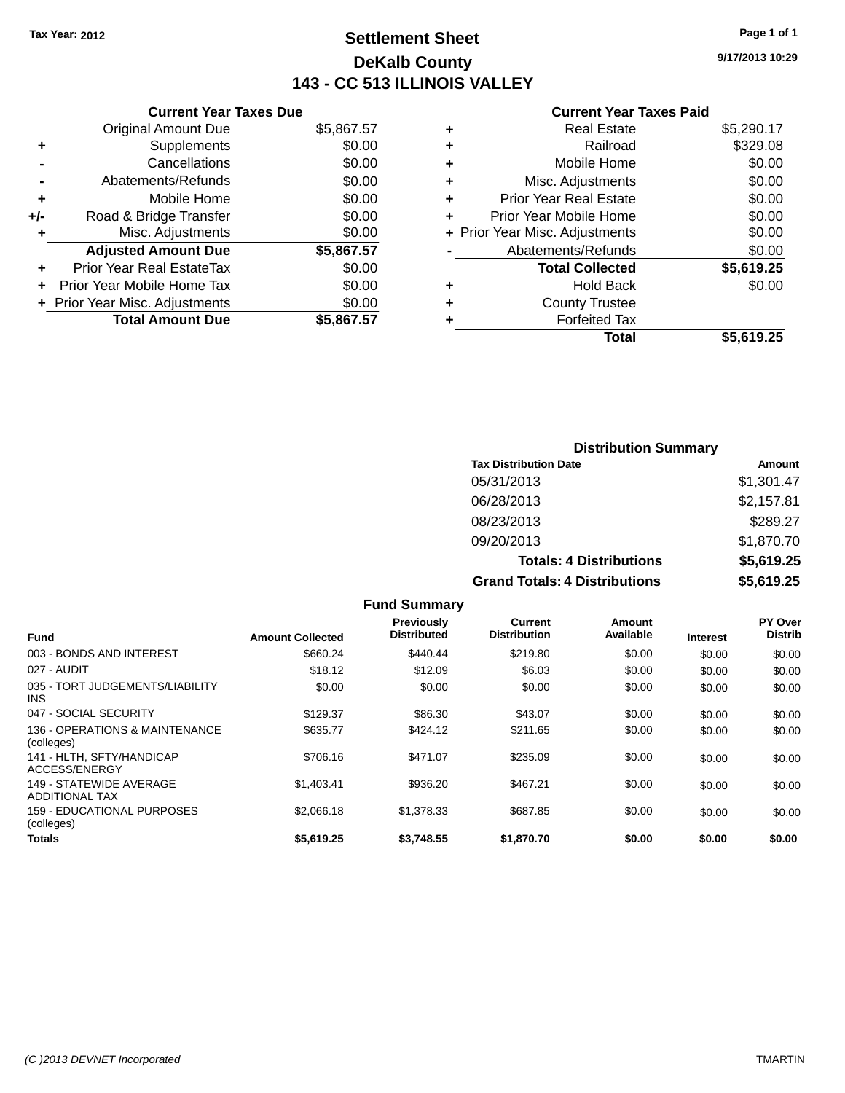# **Settlement Sheet Tax Year: 2012 Page 1 of 1 DeKalb County 143 - CC 513 ILLINOIS VALLEY**

**9/17/2013 10:29**

### **Current Year Taxes Paid**

|     | <b>Current Year Taxes Due</b>  |            |  |  |  |  |
|-----|--------------------------------|------------|--|--|--|--|
|     | <b>Original Amount Due</b>     | \$5,867.57 |  |  |  |  |
| ٠   | Supplements                    | \$0.00     |  |  |  |  |
|     | Cancellations                  | \$0.00     |  |  |  |  |
|     | Abatements/Refunds             | \$0.00     |  |  |  |  |
| ٠   | Mobile Home                    | \$0.00     |  |  |  |  |
| +/- | Road & Bridge Transfer         | \$0.00     |  |  |  |  |
| ٠   | Misc. Adjustments              | \$0.00     |  |  |  |  |
|     | <b>Adjusted Amount Due</b>     | \$5,867.57 |  |  |  |  |
| ٠   | Prior Year Real EstateTax      | \$0.00     |  |  |  |  |
|     | Prior Year Mobile Home Tax     | \$0.00     |  |  |  |  |
|     | + Prior Year Misc. Adjustments | \$0.00     |  |  |  |  |
|     | <b>Total Amount Due</b>        | \$5,867.57 |  |  |  |  |
|     |                                |            |  |  |  |  |

| ٠ | <b>Real Estate</b>             | \$5,290.17 |
|---|--------------------------------|------------|
| ٠ | Railroad                       | \$329.08   |
| ٠ | Mobile Home                    | \$0.00     |
| ٠ | Misc. Adjustments              | \$0.00     |
| ٠ | <b>Prior Year Real Estate</b>  | \$0.00     |
|   | Prior Year Mobile Home         | \$0.00     |
|   | + Prior Year Misc. Adjustments | \$0.00     |
|   | Abatements/Refunds             | \$0.00     |
|   | <b>Total Collected</b>         | \$5,619.25 |
| ٠ | Hold Back                      | \$0.00     |
| ٠ | <b>County Trustee</b>          |            |
| ٠ | <b>Forfeited Tax</b>           |            |
|   | Total                          | \$5,619.25 |
|   |                                |            |

| <b>Distribution Summary</b>          |            |  |  |  |
|--------------------------------------|------------|--|--|--|
| <b>Tax Distribution Date</b>         | Amount     |  |  |  |
| 05/31/2013                           | \$1,301.47 |  |  |  |
| 06/28/2013                           | \$2,157.81 |  |  |  |
| 08/23/2013                           | \$289.27   |  |  |  |
| 09/20/2013                           | \$1,870.70 |  |  |  |
| <b>Totals: 4 Distributions</b>       | \$5,619.25 |  |  |  |
| <b>Grand Totals: 4 Distributions</b> | \$5,619.25 |  |  |  |

|                                                  |                         | <b>Fund Summary</b>                     |                                |                     |                 |                                  |
|--------------------------------------------------|-------------------------|-----------------------------------------|--------------------------------|---------------------|-----------------|----------------------------------|
| <b>Fund</b>                                      | <b>Amount Collected</b> | <b>Previously</b><br><b>Distributed</b> | Current<br><b>Distribution</b> | Amount<br>Available | <b>Interest</b> | <b>PY Over</b><br><b>Distrib</b> |
| 003 - BONDS AND INTEREST                         | \$660.24                | \$440.44                                | \$219.80                       | \$0.00              | \$0.00          | \$0.00                           |
| 027 - AUDIT                                      | \$18.12                 | \$12.09                                 | \$6.03                         | \$0.00              | \$0.00          | \$0.00                           |
| 035 - TORT JUDGEMENTS/LIABILITY<br>INS.          | \$0.00                  | \$0.00                                  | \$0.00                         | \$0.00              | \$0.00          | \$0.00                           |
| 047 - SOCIAL SECURITY                            | \$129.37                | \$86.30                                 | \$43.07                        | \$0.00              | \$0.00          | \$0.00                           |
| 136 - OPERATIONS & MAINTENANCE<br>(colleges)     | \$635.77                | \$424.12                                | \$211.65                       | \$0.00              | \$0.00          | \$0.00                           |
| 141 - HLTH, SFTY/HANDICAP<br>ACCESS/ENERGY       | \$706.16                | \$471.07                                | \$235.09                       | \$0.00              | \$0.00          | \$0.00                           |
| 149 - STATEWIDE AVERAGE<br><b>ADDITIONAL TAX</b> | \$1,403.41              | \$936.20                                | \$467.21                       | \$0.00              | \$0.00          | \$0.00                           |
| 159 - EDUCATIONAL PURPOSES<br>(colleges)         | \$2,066.18              | \$1,378.33                              | \$687.85                       | \$0.00              | \$0.00          | \$0.00                           |
| <b>Totals</b>                                    | \$5,619.25              | \$3.748.55                              | \$1,870.70                     | \$0.00              | \$0.00          | \$0.00                           |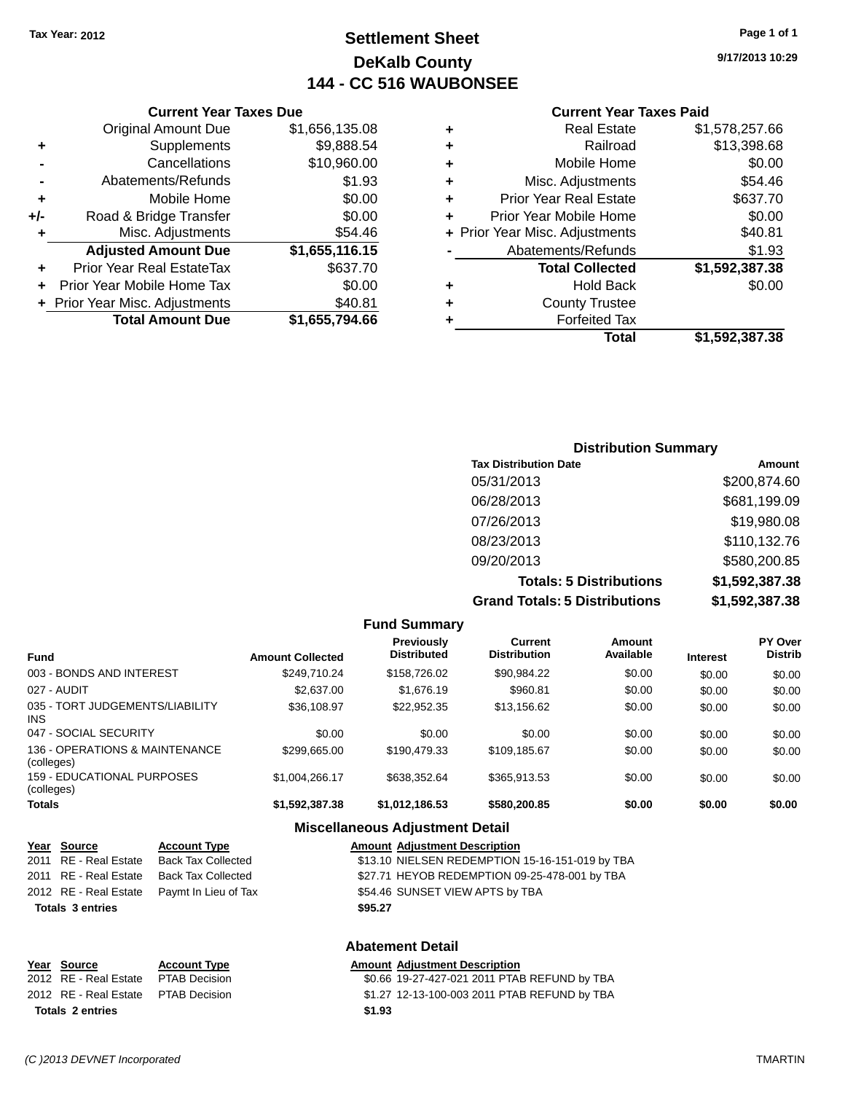# **Settlement Sheet Tax Year: 2012 Page 1 of 1 DeKalb County 144 - CC 516 WAUBONSEE**

#### **Current Year Taxes Paid**

|   | Total                          | \$1,592,387.38 |
|---|--------------------------------|----------------|
|   | <b>Forfeited Tax</b>           |                |
| ٠ | <b>County Trustee</b>          |                |
| ٠ | <b>Hold Back</b>               | \$0.00         |
|   | <b>Total Collected</b>         | \$1,592,387.38 |
|   | Abatements/Refunds             | \$1.93         |
|   | + Prior Year Misc. Adjustments | \$40.81        |
| ÷ | Prior Year Mobile Home         | \$0.00         |
| ٠ | <b>Prior Year Real Estate</b>  | \$637.70       |
| ÷ | Misc. Adjustments              | \$54.46        |
| ٠ | Mobile Home                    | \$0.00         |
| ٠ | Railroad                       | \$13,398.68    |
| ٠ | <b>Real Estate</b>             | \$1,578,257.66 |

### **+** Supplements \$9,888.54 **-** Cancellations \$10,960.00 **-** Abatements/Refunds \$1.93 **+** Mobile Home \$0.00 **+/-** Road & Bridge Transfer \$0.00 **+** Misc. Adjustments \$54.46 **Adjusted Amount Due \$1,655,116.15 +** Prior Year Real EstateTax \$637.70 **+** Prior Year Mobile Home Tax \$0.00

**Total Amount Due \$1,655,794.66**

**+** Prior Year Misc. Adjustments \$40.81

**Current Year Taxes Due** Original Amount Due \$1,656,135.08

### **Distribution Summary Tax Distribution Date Amount** 05/31/2013 \$200,874.60 06/28/2013 \$681,199.09 07/26/2013 \$19,980.08 08/23/2013 \$110,132.76 09/20/2013 \$580,200.85 **Totals: 5 Distributions \$1,592,387.38 Grand Totals: 5 Distributions \$1,592,387.38**

**Fund Summary Fund Interest Amount Collected Distributed PY Over Distrib Amount Available Current Distribution Previously** 003 - BONDS AND INTEREST  $$249,710.24$   $$158,726.02$   $$90,984.22$   $$0.00$   $$0.00$   $$0.00$ 027 - AUDIT \$2,637.00 \$1,676.19 \$960.81 \$0.00 \$0.00 \$0.00 035 - TORT JUDGEMENTS/LIABILITY INS \$36,108.97 \$22,952.35 \$13,156.62 \$0.00 \$0.00 \$0.00 047 - SOCIAL SECURITY \$0.00 \$0.00 \$0.00 \$0.00 \$0.00 \$0.00 136 - OPERATIONS & MAINTENANCE (colleges)  $$299,665.00$   $$190,479.33$   $$109,185.67$   $$0.00$   $$0.00$   $$0.00$ 159 - EDUCATIONAL PURPOSES (colleges) \$1,004,266.17 \$638,352.64 \$365,913.53 \$0.00 \$0.00 \$0.00 **Totals \$1,592,387.38 \$1,012,186.53 \$580,200.85 \$0.00 \$0.00 \$0.00**

### **Miscellaneous Adjustment Detail**

| <u>Year Source</u>      | <b>Account Type</b>                        |         | <b>Amount Adjustment Description</b>            |
|-------------------------|--------------------------------------------|---------|-------------------------------------------------|
| 2011 RE - Real Estate   | Back Tax Collected                         |         | \$13.10 NIELSEN REDEMPTION 15-16-151-019 by TBA |
| 2011 RE - Real Estate   | Back Tax Collected                         |         | \$27.71 HEYOB REDEMPTION 09-25-478-001 by TBA   |
|                         | 2012 RE - Real Estate Paymt In Lieu of Tax |         | \$54.46 SUNSET VIEW APTS by TBA                 |
| <b>Totals 3 entries</b> |                                            | \$95.27 |                                                 |
|                         |                                            |         |                                                 |

### **Abatement Detail**

#### **Year Source Account Type Amount Adjustment Description** 2012 RE - Real Estate PTAB Decision \$0.66 19-27-427-021 2011 PTAB REFUND by TBA 2012 RE - Real Estate PTAB Decision \$1.27 12-13-100-003 2011 PTAB REFUND by TBA **Totals 2 entries \$1.93**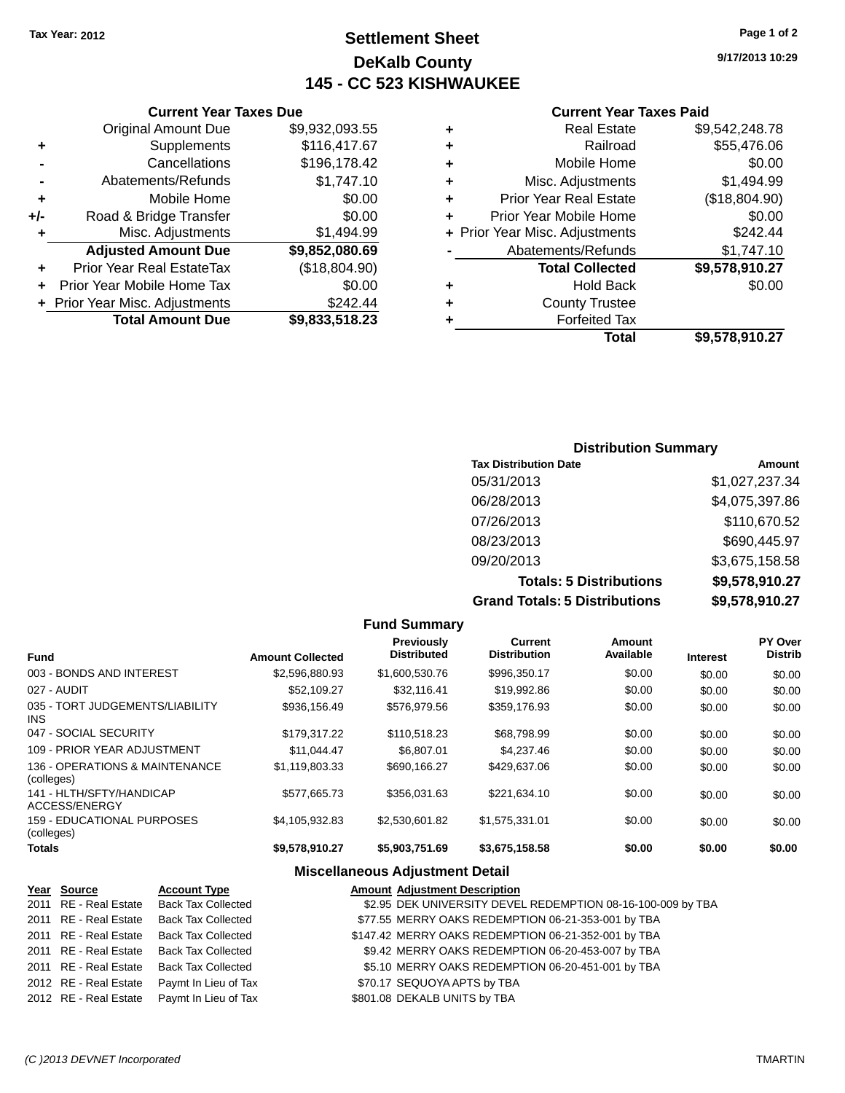# **Settlement Sheet Tax Year: 2012 Page 1 of 2 DeKalb County 145 - CC 523 KISHWAUKEE**

**9/17/2013 10:29**

### **Current Year Taxes Paid**

| ٠ | <b>Real Estate</b>             | \$9,542,248.78 |
|---|--------------------------------|----------------|
| ٠ | Railroad                       | \$55,476.06    |
| ٠ | Mobile Home                    | \$0.00         |
| ٠ | Misc. Adjustments              | \$1,494.99     |
| ٠ | <b>Prior Year Real Estate</b>  | (\$18,804.90)  |
| ٠ | Prior Year Mobile Home         | \$0.00         |
|   | + Prior Year Misc. Adjustments | \$242.44       |
|   | Abatements/Refunds             | \$1,747.10     |
|   | <b>Total Collected</b>         | \$9,578,910.27 |
| ٠ | Hold Back                      | \$0.00         |
| ٠ | <b>County Trustee</b>          |                |
| ٠ | <b>Forfeited Tax</b>           |                |
|   | Total                          | \$9,578,910.27 |

|     | <b>Current Year Taxes Due</b>  |                |  |  |  |
|-----|--------------------------------|----------------|--|--|--|
|     | <b>Original Amount Due</b>     | \$9,932,093.55 |  |  |  |
| ٠   | Supplements                    | \$116,417.67   |  |  |  |
|     | Cancellations                  | \$196,178.42   |  |  |  |
|     | Abatements/Refunds             | \$1,747.10     |  |  |  |
| ٠   | Mobile Home                    | \$0.00         |  |  |  |
| +/- | Road & Bridge Transfer         | \$0.00         |  |  |  |
| ٠   | Misc. Adjustments              | \$1,494.99     |  |  |  |
|     | <b>Adjusted Amount Due</b>     | \$9,852,080.69 |  |  |  |
|     | Prior Year Real EstateTax      | (\$18,804.90)  |  |  |  |
|     | Prior Year Mobile Home Tax     | \$0.00         |  |  |  |
|     | + Prior Year Misc. Adjustments | \$242.44       |  |  |  |
|     | <b>Total Amount Due</b>        | \$9,833,518.23 |  |  |  |
|     |                                |                |  |  |  |

| <b>Distribution Summary</b> |  |  |  |  |  |
|-----------------------------|--|--|--|--|--|
| Amount                      |  |  |  |  |  |
| \$1,027,237.34              |  |  |  |  |  |
| \$4,075,397.86              |  |  |  |  |  |
| \$110,670.52                |  |  |  |  |  |
| \$690,445.97                |  |  |  |  |  |
| \$3,675,158.58              |  |  |  |  |  |
| \$9,578,910.27              |  |  |  |  |  |
| \$9,578,910.27              |  |  |  |  |  |
|                             |  |  |  |  |  |

|                                              |                         | <b>Fund Summary</b>                     |                                |                     |                 |                           |
|----------------------------------------------|-------------------------|-----------------------------------------|--------------------------------|---------------------|-----------------|---------------------------|
| <b>Fund</b>                                  | <b>Amount Collected</b> | <b>Previously</b><br><b>Distributed</b> | Current<br><b>Distribution</b> | Amount<br>Available | <b>Interest</b> | PY Over<br><b>Distrib</b> |
| 003 - BONDS AND INTEREST                     | \$2,596,880,93          | \$1,600,530.76                          | \$996,350.17                   | \$0.00              | \$0.00          | \$0.00                    |
| 027 - AUDIT                                  | \$52.109.27             | \$32.116.41                             | \$19,992.86                    | \$0.00              | \$0.00          | \$0.00                    |
| 035 - TORT JUDGEMENTS/LIABILITY<br>INS       | \$936,156.49            | \$576,979.56                            | \$359,176.93                   | \$0.00              | \$0.00          | \$0.00                    |
| 047 - SOCIAL SECURITY                        | \$179.317.22            | \$110.518.23                            | \$68,798.99                    | \$0.00              | \$0.00          | \$0.00                    |
| 109 - PRIOR YEAR ADJUSTMENT                  | \$11.044.47             | \$6,807.01                              | \$4,237.46                     | \$0.00              | \$0.00          | \$0.00                    |
| 136 - OPERATIONS & MAINTENANCE<br>(colleges) | \$1.119.803.33          | \$690.166.27                            | \$429,637,06                   | \$0.00              | \$0.00          | \$0.00                    |
| 141 - HLTH/SFTY/HANDICAP<br>ACCESS/ENERGY    | \$577,665.73            | \$356.031.63                            | \$221.634.10                   | \$0.00              | \$0.00          | \$0.00                    |
| 159 - EDUCATIONAL PURPOSES<br>(colleges)     | \$4.105.932.83          | \$2,530,601.82                          | \$1.575.331.01                 | \$0.00              | \$0.00          | \$0.00                    |
| Totals                                       | \$9,578,910.27          | \$5,903,751.69                          | \$3,675,158.58                 | \$0.00              | \$0.00          | \$0.00                    |

### **Miscellaneous Adjustment Detail**

| Year Source           | <b>Account Type</b>                        | <b>Amount Adjustment Description</b>                        |  |
|-----------------------|--------------------------------------------|-------------------------------------------------------------|--|
| 2011 RE - Real Estate | <b>Back Tax Collected</b>                  | \$2.95 DEK UNIVERSITY DEVEL REDEMPTION 08-16-100-009 by TBA |  |
| 2011 RE - Real Estate | <b>Back Tax Collected</b>                  | \$77.55 MERRY OAKS REDEMPTION 06-21-353-001 by TBA          |  |
|                       | 2011 RE - Real Estate Back Tax Collected   | \$147.42 MERRY OAKS REDEMPTION 06-21-352-001 by TBA         |  |
|                       | 2011 RE - Real Estate Back Tax Collected   | \$9.42 MERRY OAKS REDEMPTION 06-20-453-007 by TBA           |  |
|                       | 2011 RE - Real Estate Back Tax Collected   | \$5.10 MERRY OAKS REDEMPTION 06-20-451-001 by TBA           |  |
| 2012 RE - Real Estate | Paymt In Lieu of Tax                       | \$70.17 SEQUOYA APTS by TBA                                 |  |
|                       | 2012 RE - Real Estate Paymt In Lieu of Tax | \$801.08 DEKALB UNITS by TBA                                |  |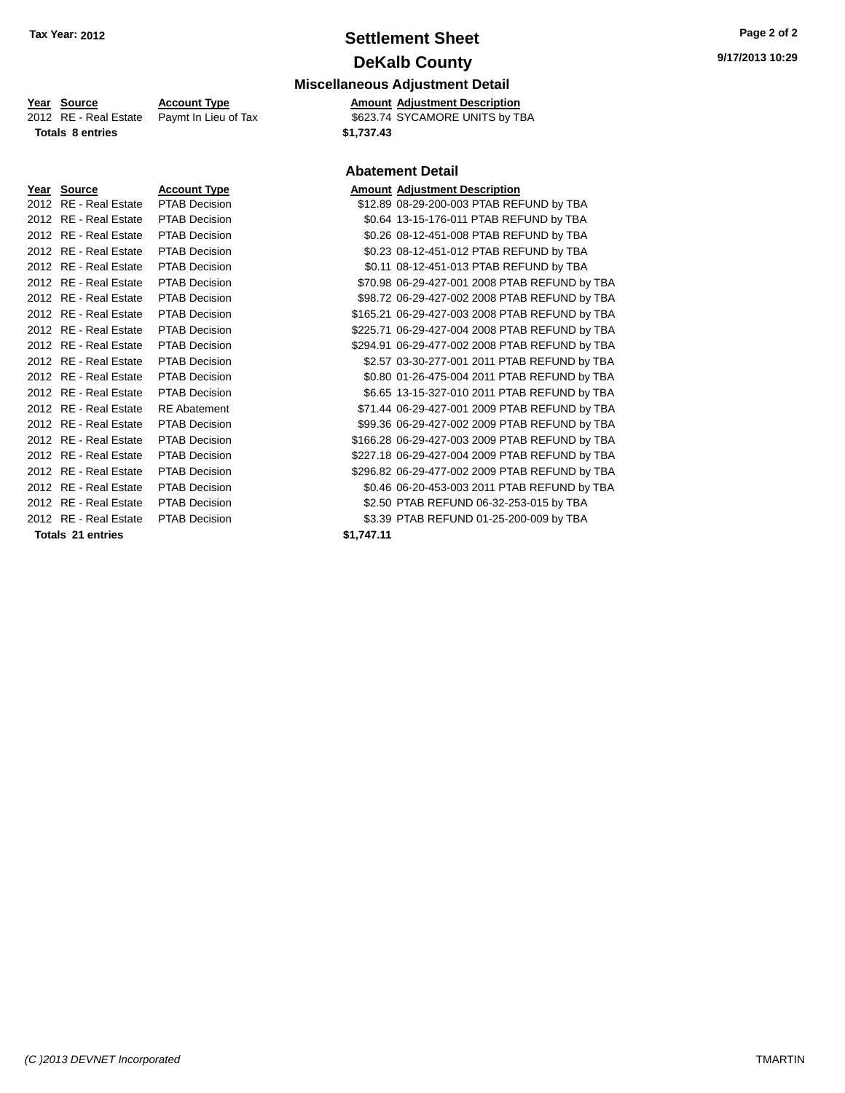# **Settlement Sheet Tax Year: 2012 Page 2 of 2 DeKalb County**

### **Miscellaneous Adjustment Detail**

\$623.74 SYCAMORE UNITS by TBA

#### **Abatement Detail**

| Amount Adiustment Descriptio |  |
|------------------------------|--|

| $\sim$                |                      |           |                                                |
|-----------------------|----------------------|-----------|------------------------------------------------|
| 2012 RE - Real Estate | PTAB Decision        |           | \$12.89 08-29-200-003 PTAB REFUND by TBA       |
| 2012 RE - Real Estate | <b>PTAB Decision</b> |           | \$0.64 13-15-176-011 PTAB REFUND by TBA        |
| 2012 RE - Real Estate | <b>PTAB Decision</b> |           | \$0.26 08-12-451-008 PTAB REFUND by TBA        |
| 2012 RE - Real Estate | <b>PTAB Decision</b> |           | \$0.23 08-12-451-012 PTAB REFUND by TBA        |
| 2012 RE - Real Estate | <b>PTAB Decision</b> |           | \$0.11 08-12-451-013 PTAB REFUND by TBA        |
| 2012 RE - Real Estate | PTAB Decision        |           | \$70.98 06-29-427-001 2008 PTAB REFUND by TBA  |
| 2012 RE - Real Estate | <b>PTAB Decision</b> |           | \$98.72 06-29-427-002 2008 PTAB REFUND by TBA  |
| 2012 RE - Real Estate | PTAB Decision        |           | \$165.21 06-29-427-003 2008 PTAB REFUND by TBA |
| 2012 RE - Real Estate | PTAB Decision        |           | \$225.71 06-29-427-004 2008 PTAB REFUND by TBA |
| 2012 RE - Real Estate | <b>PTAB Decision</b> |           | \$294.91 06-29-477-002 2008 PTAB REFUND by TBA |
| 2012 RE - Real Estate | <b>PTAB Decision</b> |           | \$2.57 03-30-277-001 2011 PTAB REFUND by TBA   |
| 2012 RE - Real Estate | <b>PTAB Decision</b> |           | \$0.80 01-26-475-004 2011 PTAB REFUND by TBA   |
| 2012 RE - Real Estate | <b>PTAB Decision</b> |           | \$6.65 13-15-327-010 2011 PTAB REFUND by TBA   |
| 2012 RE - Real Estate | <b>RE</b> Abatement  |           | \$71.44 06-29-427-001 2009 PTAB REFUND by TBA  |
| 2012 RE - Real Estate | PTAB Decision        |           | \$99.36 06-29-427-002 2009 PTAB REFUND by TBA  |
| 2012 RE - Real Estate | PTAB Decision        |           | \$166.28 06-29-427-003 2009 PTAB REFUND by TBA |
| 2012 RE - Real Estate | PTAB Decision        |           | \$227.18 06-29-427-004 2009 PTAB REFUND by TBA |
| 2012 RE - Real Estate | PTAB Decision        |           | \$296.82 06-29-477-002 2009 PTAB REFUND by TBA |
| 2012 RE - Real Estate | <b>PTAB Decision</b> |           | \$0.46 06-20-453-003 2011 PTAB REFUND by TBA   |
| 2012 RE - Real Estate | <b>PTAB Decision</b> |           | \$2.50 PTAB REFUND 06-32-253-015 by TBA        |
| 2012 RE - Real Estate | <b>PTAB Decision</b> |           | \$3.39 PTAB REFUND 01-25-200-009 by TBA        |
| Totale 21 antriae     |                      | C1 717 11 |                                                |

**Year Source Account Type Amount Adjustment Description**<br>2012 RE - Real Estate Paymt In Lieu of Tax \$623.74 SYCAMORE UNITS by TE **Totals 8 entries \$1,737.43**

|                                     |                      |            | ADURUM DURUM                         |
|-------------------------------------|----------------------|------------|--------------------------------------|
| Year Source                         | <b>Account Type</b>  |            | <b>Amount Adjustment Description</b> |
| 2012 RE - Real Estate               | <b>PTAB Decision</b> |            | \$12.89 08-29-200-003 PTAB REI       |
| 2012 RE - Real Estate               | PTAB Decision        |            | \$0.64 13-15-176-011 PTAB REF        |
| 2012 RE - Real Estate PTAB Decision |                      |            | \$0.26 08-12-451-008 PTAB REI        |
| 2012 RE - Real Estate PTAB Decision |                      |            | \$0.23 08-12-451-012 PTAB REI        |
| 2012 RE - Real Estate               | <b>PTAB Decision</b> |            | \$0.11 08-12-451-013 PTAB REI        |
| 2012 RE - Real Estate               | <b>PTAB Decision</b> |            | \$70.98 06-29-427-001 2008 PTA       |
| 2012 RE - Real Estate               | <b>PTAB Decision</b> |            | \$98.72 06-29-427-002 2008 PTA       |
| 2012 RE - Real Estate               | <b>PTAB Decision</b> |            | \$165.21 06-29-427-003 2008 PTA      |
| 2012 RE - Real Estate               | <b>PTAB Decision</b> |            | \$225.71 06-29-427-004 2008 PTA      |
| 2012 RE - Real Estate               | <b>PTAB Decision</b> |            | \$294.91 06-29-477-002 2008 PTA      |
| 2012 RE - Real Estate               | <b>PTAB Decision</b> |            | \$2.57 03-30-277-001 2011 PTA        |
| 2012 RE - Real Estate               | <b>PTAB Decision</b> |            | \$0.80 01-26-475-004 2011 PTA        |
| 2012 RE - Real Estate               | <b>PTAB Decision</b> |            | \$6.65 13-15-327-010 2011 PTA        |
| 2012 RE - Real Estate               | <b>RE</b> Abatement  |            | \$71.44 06-29-427-001 2009 PTA       |
| 2012 RE - Real Estate               | <b>PTAB Decision</b> |            | \$99.36 06-29-427-002 2009 PTA       |
| 2012 RE - Real Estate               | <b>PTAB Decision</b> |            | \$166.28 06-29-427-003 2009 PTA      |
| 2012 RE - Real Estate               | <b>PTAB Decision</b> |            | \$227.18 06-29-427-004 2009 PTA      |
| 2012 RE - Real Estate               | <b>PTAB Decision</b> |            | \$296.82 06-29-477-002 2009 PTA      |
| 2012 RE - Real Estate               | <b>PTAB Decision</b> |            | \$0.46 06-20-453-003 2011 PTA        |
| 2012 RE - Real Estate               | <b>PTAB Decision</b> |            | \$2.50 PTAB REFUND 06-32-25          |
| 2012 RE - Real Estate               | PTAB Decision        |            | \$3.39 PTAB REFUND 01-25-20          |
| Totals 21 entries                   |                      | \$1.747.11 |                                      |

*(C )2013 DEVNET Incorporated* TMARTIN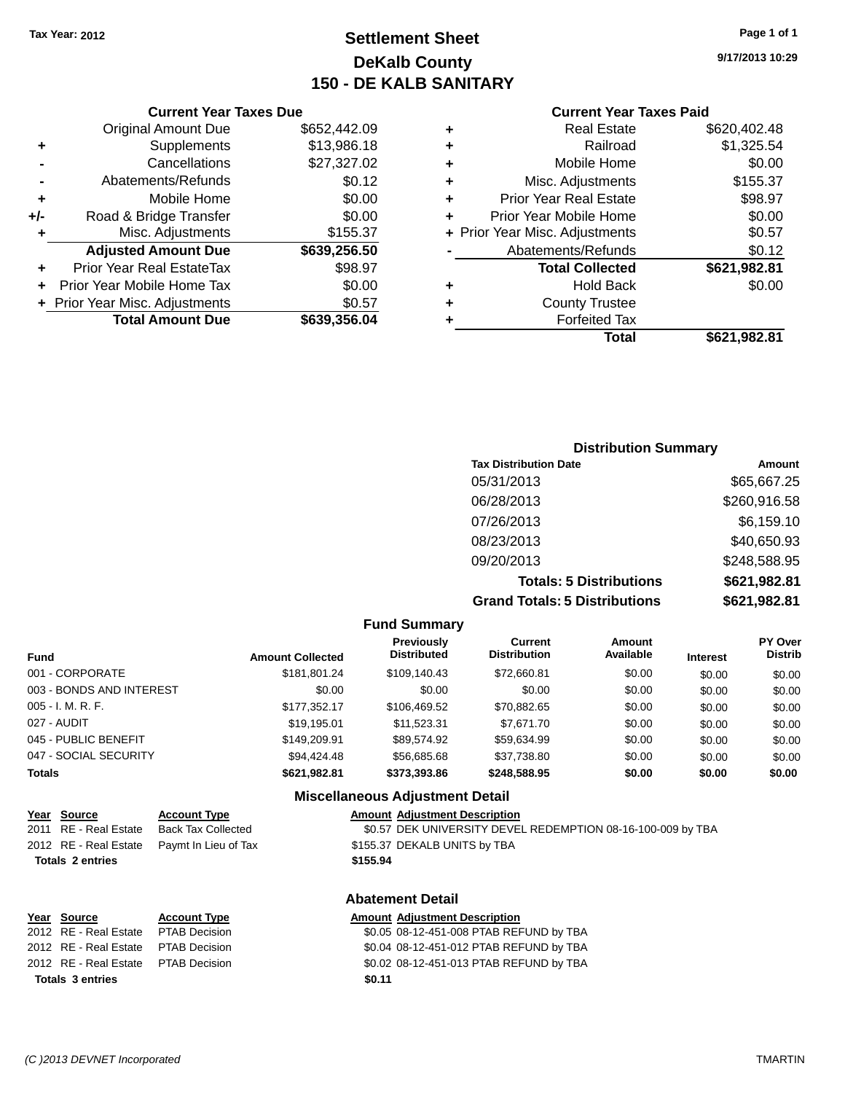# **Settlement Sheet Tax Year: 2012 Page 1 of 1 DeKalb County 150 - DE KALB SANITARY**

**9/17/2013 10:29**

### **Current Year Taxes Paid**

|     | <b>Original Amount Due</b>     | \$652,442.09 |
|-----|--------------------------------|--------------|
| ٠   | Supplements                    | \$13,986.18  |
|     | Cancellations                  | \$27,327.02  |
|     | Abatements/Refunds             | \$0.12       |
| ٠   | Mobile Home                    | \$0.00       |
| +/- | Road & Bridge Transfer         | \$0.00       |
| ٠   | Misc. Adjustments              | \$155.37     |
|     | <b>Adjusted Amount Due</b>     | \$639,256.50 |
| ٠   | Prior Year Real EstateTax      | \$98.97      |
| ÷   | Prior Year Mobile Home Tax     | \$0.00       |
|     | + Prior Year Misc. Adjustments | \$0.57       |
|     | <b>Total Amount Due</b>        | \$639,356.04 |
|     |                                |              |

**Current Year Taxes Due**

| ٠ | <b>Real Estate</b>             | \$620,402.48 |
|---|--------------------------------|--------------|
| ٠ | Railroad                       | \$1,325.54   |
| ٠ | Mobile Home                    | \$0.00       |
| ٠ | Misc. Adjustments              | \$155.37     |
| ٠ | <b>Prior Year Real Estate</b>  | \$98.97      |
| ٠ | Prior Year Mobile Home         | \$0.00       |
|   | + Prior Year Misc. Adjustments | \$0.57       |
|   | Abatements/Refunds             | \$0.12       |
|   | <b>Total Collected</b>         | \$621,982.81 |
| ٠ | <b>Hold Back</b>               | \$0.00       |
| ٠ | <b>County Trustee</b>          |              |
| ٠ | <b>Forfeited Tax</b>           |              |
|   | Total                          | \$621,982.81 |
|   |                                |              |

# **Distribution Summary Tax Distribution Date Amount** 05/31/2013 \$65,667.25 06/28/2013 \$260,916.58 07/26/2013 \$6,159.10 08/23/2013 \$40,650.93 09/20/2013 \$248,588.95 **Totals: 5 Distributions \$621,982.81 Grand Totals: 5 Distributions \$621,982.81**

|                          |                         | <b>Fund Summary</b>                     |                                       |                            |                 |                                  |
|--------------------------|-------------------------|-----------------------------------------|---------------------------------------|----------------------------|-----------------|----------------------------------|
| <b>Fund</b>              | <b>Amount Collected</b> | <b>Previously</b><br><b>Distributed</b> | <b>Current</b><br><b>Distribution</b> | <b>Amount</b><br>Available | <b>Interest</b> | <b>PY Over</b><br><b>Distrib</b> |
| 001 - CORPORATE          | \$181,801.24            | \$109,140.43                            | \$72,660.81                           | \$0.00                     | \$0.00          | \$0.00                           |
| 003 - BONDS AND INTEREST | \$0.00                  | \$0.00                                  | \$0.00                                | \$0.00                     | \$0.00          | \$0.00                           |
| $005 - I. M. R. F.$      | \$177,352.17            | \$106,469.52                            | \$70,882.65                           | \$0.00                     | \$0.00          | \$0.00                           |
| 027 - AUDIT              | \$19,195.01             | \$11,523.31                             | \$7,671.70                            | \$0.00                     | \$0.00          | \$0.00                           |
| 045 - PUBLIC BENEFIT     | \$149,209.91            | \$89.574.92                             | \$59,634.99                           | \$0.00                     | \$0.00          | \$0.00                           |
| 047 - SOCIAL SECURITY    | \$94,424.48             | \$56,685.68                             | \$37,738.80                           | \$0.00                     | \$0.00          | \$0.00                           |
| <b>Totals</b>            | \$621,982.81            | \$373,393.86                            | \$248,588.95                          | \$0.00                     | \$0.00          | \$0.00                           |
|                          |                         | <b>Miscellaneous Adiustment Detail</b>  |                                       |                            |                 |                                  |

| Year Source             | <b>Account Type</b>                        |          | <b>Amount Adjustment Description</b> |
|-------------------------|--------------------------------------------|----------|--------------------------------------|
| 2011 RE - Real Estate   | Back Tax Collected                         |          | \$0.57 DEK UNIVERSITY DEVE           |
|                         | 2012 RE - Real Estate Paymt In Lieu of Tax |          | \$155.37 DEKALB UNITS by TBA         |
| <b>Totals 2 entries</b> |                                            | \$155.94 |                                      |

|                         | Year Source                         | <b>Account Type</b> |        | <b>Amount Adjustment Description</b> |
|-------------------------|-------------------------------------|---------------------|--------|--------------------------------------|
|                         | 2012 RE - Real Estate PTAB Decision |                     |        | \$0.05 08-12-451-008 PTAB REF        |
|                         | 2012 RE - Real Estate PTAB Decision |                     |        | \$0.04 08-12-451-012 PTAB REF        |
|                         | 2012 RE - Real Estate PTAB Decision |                     |        | \$0.02 08-12-451-013 PTAB REF        |
| <b>Totals 3 entries</b> |                                     |                     | \$0.11 |                                      |

#### **Miscellaneous Adjustment Detail**

| Year Source             | <b>Account Type</b>                        |          | <b>Amount Adjustment Description</b>                        |
|-------------------------|--------------------------------------------|----------|-------------------------------------------------------------|
| 2011 RE - Real Estate   | Back Tax Collected                         |          | \$0.57 DEK UNIVERSITY DEVEL REDEMPTION 08-16-100-009 by TBA |
|                         | 2012 RE - Real Estate Paymt In Lieu of Tax |          | \$155.37 DEKALB UNITS by TBA                                |
| <b>Totals 2 entries</b> |                                            | \$155.94 |                                                             |

### **Abatement Detail**

ecision **2012 80.05 08-12-451-008 PTAB REFUND by TBA** 2012 RE - Real Estate PTAB Decision \$0.04 08-12-451-012 PTAB REFUND by TBA 2012 RE - Real Estate PTAB Decision \$0.02 08-12-451-013 PTAB REFUND by TBA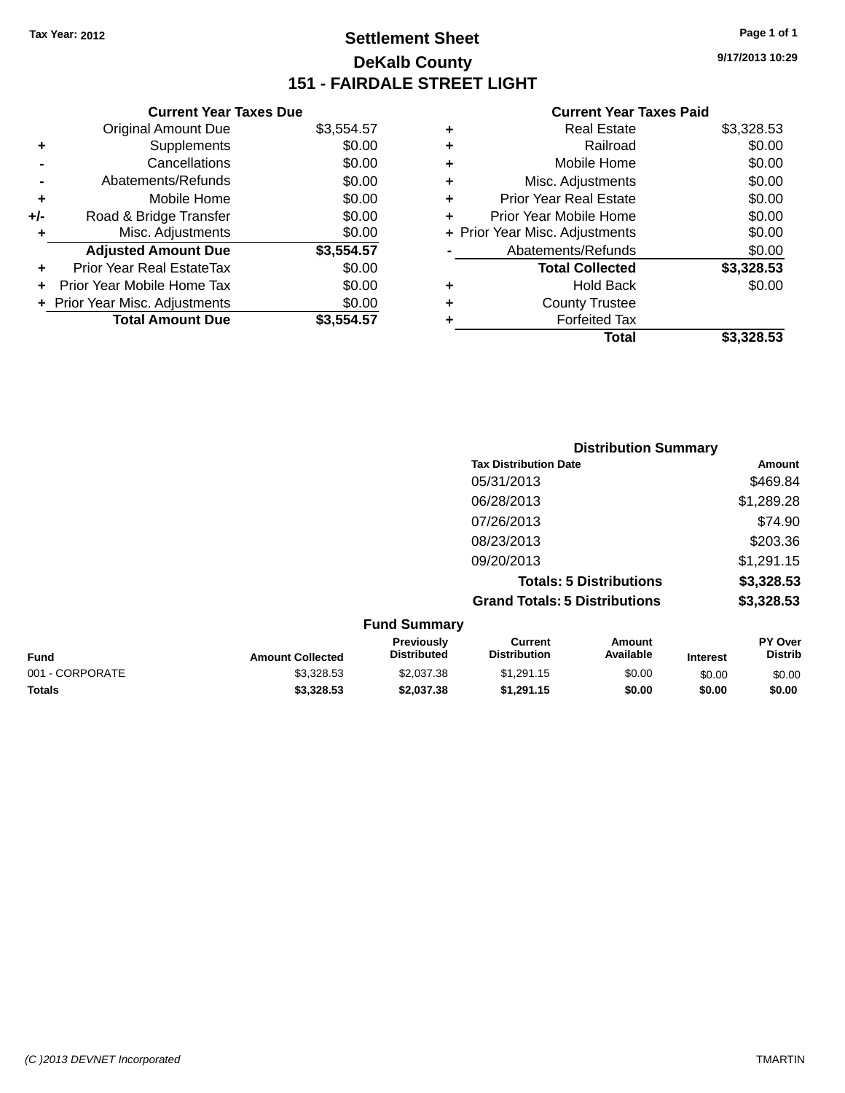# **Settlement Sheet Tax Year: 2012 Page 1 of 1 DeKalb County 151 - FAIRDALE STREET LIGHT**

**9/17/2013 10:29**

### **Current Year Taxes Paid**

| <b>Original Amount Due</b>     | \$3,554.57                    |
|--------------------------------|-------------------------------|
| Supplements                    | \$0.00                        |
| Cancellations                  | \$0.00                        |
| Abatements/Refunds             | \$0.00                        |
| Mobile Home                    | \$0.00                        |
| Road & Bridge Transfer         | \$0.00                        |
| Misc. Adjustments              | \$0.00                        |
| <b>Adjusted Amount Due</b>     | \$3,554.57                    |
| Prior Year Real EstateTax      | \$0.00                        |
| Prior Year Mobile Home Tax     | \$0.00                        |
| + Prior Year Misc. Adjustments | \$0.00                        |
| <b>Total Amount Due</b>        | \$3,554.57                    |
|                                | <b>Current Year Taxes Due</b> |

|   | <b>Real Estate</b>             | \$3,328.53 |
|---|--------------------------------|------------|
| ٠ | Railroad                       | \$0.00     |
| ٠ | Mobile Home                    | \$0.00     |
| ٠ | Misc. Adjustments              | \$0.00     |
| ٠ | <b>Prior Year Real Estate</b>  | \$0.00     |
| ÷ | Prior Year Mobile Home         | \$0.00     |
|   | + Prior Year Misc. Adjustments | \$0.00     |
|   | Abatements/Refunds             | \$0.00     |
|   | <b>Total Collected</b>         | \$3,328.53 |
| ٠ | <b>Hold Back</b>               | \$0.00     |
| ٠ | <b>County Trustee</b>          |            |
| ٠ | <b>Forfeited Tax</b>           |            |
|   | Total                          | \$3,328.53 |
|   |                                |            |

|                     | <b>Distribution Summary</b>          |            |  |
|---------------------|--------------------------------------|------------|--|
|                     | <b>Tax Distribution Date</b>         | Amount     |  |
|                     | 05/31/2013                           | \$469.84   |  |
|                     | 06/28/2013                           | \$1,289.28 |  |
|                     | 07/26/2013                           | \$74.90    |  |
|                     | 08/23/2013                           | \$203.36   |  |
|                     | 09/20/2013                           | \$1,291.15 |  |
|                     | <b>Totals: 5 Distributions</b>       | \$3,328.53 |  |
|                     | <b>Grand Totals: 5 Distributions</b> | \$3,328.53 |  |
| <b>Fund Summary</b> |                                      |            |  |

| <b>Amount Collected</b> | <b>Previously</b><br><b>Distributed</b> | Current<br><b>Distribution</b> | Amount<br>Available | <b>Interest</b> | <b>PY Over</b><br><b>Distrib</b> |
|-------------------------|-----------------------------------------|--------------------------------|---------------------|-----------------|----------------------------------|
| \$3,328,53              | \$2,037.38                              | \$1.291.15                     | \$0.00              | \$0.00          | \$0.00                           |
| \$3,328,53              | \$2,037.38                              | \$1.291.15                     | \$0.00              | \$0.00          | \$0.00                           |
|                         |                                         | <b>FUILD SUILLINGLY</b>        |                     |                 |                                  |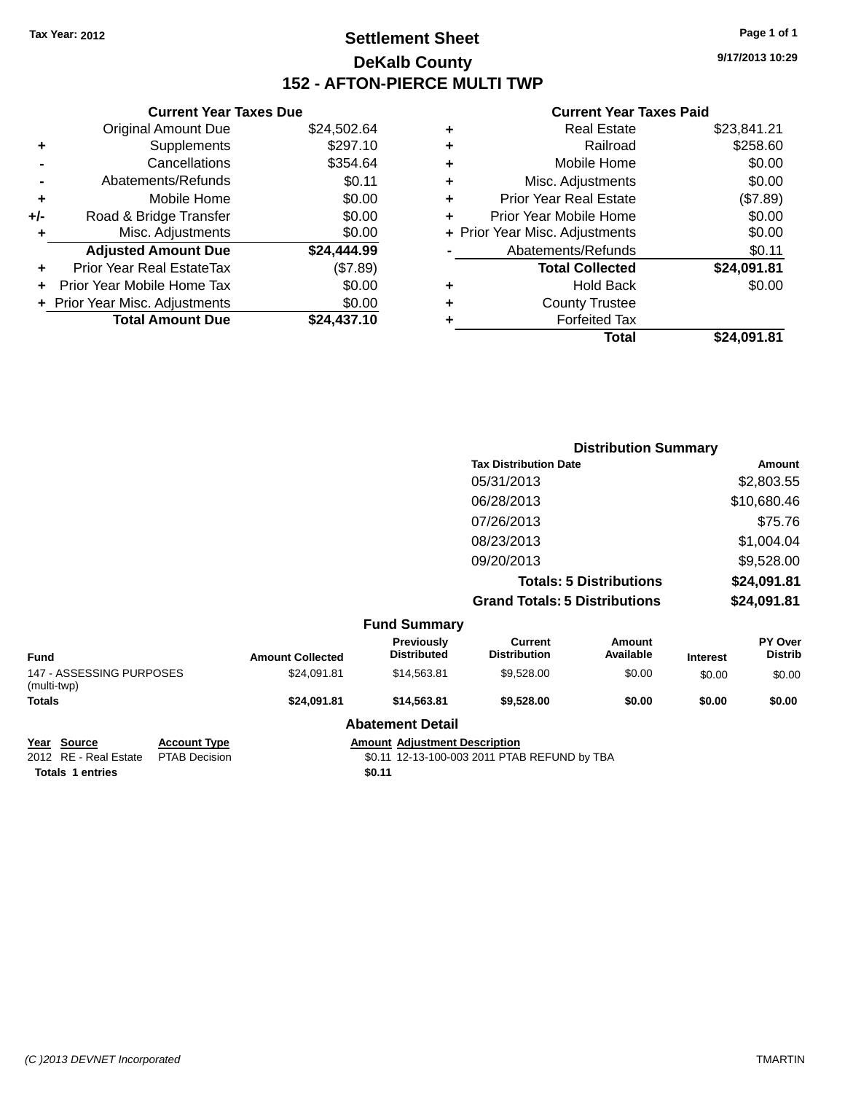# **Settlement Sheet Tax Year: 2012 Page 1 of 1 DeKalb County 152 - AFTON-PIERCE MULTI TWP**

**9/17/2013 10:29**

### **Current Year Taxes Paid**

|     | <b>Current Year Taxes Due</b>  |             |  |  |  |
|-----|--------------------------------|-------------|--|--|--|
|     | <b>Original Amount Due</b>     | \$24,502.64 |  |  |  |
| ٠   | Supplements                    | \$297.10    |  |  |  |
|     | Cancellations                  | \$354.64    |  |  |  |
|     | Abatements/Refunds             | \$0.11      |  |  |  |
| ٠   | Mobile Home                    | \$0.00      |  |  |  |
| +/- | Road & Bridge Transfer         | \$0.00      |  |  |  |
| ٠   | Misc. Adjustments              | \$0.00      |  |  |  |
|     | <b>Adjusted Amount Due</b>     | \$24,444.99 |  |  |  |
|     | Prior Year Real EstateTax      | (\$7.89)    |  |  |  |
|     | Prior Year Mobile Home Tax     | \$0.00      |  |  |  |
|     | + Prior Year Misc. Adjustments | \$0.00      |  |  |  |
|     | <b>Total Amount Due</b>        | \$24,437.10 |  |  |  |
|     |                                |             |  |  |  |

| ٠ | <b>Real Estate</b>             | \$23,841.21 |
|---|--------------------------------|-------------|
| ٠ | Railroad                       | \$258.60    |
| ٠ | Mobile Home                    | \$0.00      |
| ٠ | Misc. Adjustments              | \$0.00      |
| ٠ | <b>Prior Year Real Estate</b>  | (\$7.89)    |
| ÷ | Prior Year Mobile Home         | \$0.00      |
|   | + Prior Year Misc. Adjustments | \$0.00      |
|   | Abatements/Refunds             | \$0.11      |
|   | <b>Total Collected</b>         | \$24,091.81 |
| ٠ | Hold Back                      | \$0.00      |
| ٠ | <b>County Trustee</b>          |             |
| ٠ | <b>Forfeited Tax</b>           |             |
|   | Total                          | \$24,091.81 |
|   |                                |             |

|                     | <b>Distribution Summary</b>          |             |
|---------------------|--------------------------------------|-------------|
|                     | <b>Tax Distribution Date</b>         | Amount      |
|                     | 05/31/2013                           | \$2,803.55  |
|                     | 06/28/2013                           | \$10,680.46 |
|                     | 07/26/2013                           | \$75.76     |
|                     | 08/23/2013                           | \$1,004.04  |
|                     | 09/20/2013                           | \$9,528.00  |
|                     | <b>Totals: 5 Distributions</b>       | \$24,091.81 |
|                     | <b>Grand Totals: 5 Distributions</b> | \$24,091.81 |
| <b>Fund Summary</b> |                                      |             |

| <b>Fund</b>                             | <b>Amount Collected</b> | <b>Previously</b><br><b>Distributed</b> | Current<br><b>Distribution</b> | Amount<br>Available | <b>Interest</b> | <b>PY Over</b><br><b>Distrib</b> |
|-----------------------------------------|-------------------------|-----------------------------------------|--------------------------------|---------------------|-----------------|----------------------------------|
| 147 - ASSESSING PURPOSES<br>(multi-twp) | \$24,091.81             | \$14.563.81                             | \$9.528.00                     | \$0.00              | \$0.00          | \$0.00                           |
| Totals                                  | \$24,091.81             | \$14,563,81                             | \$9,528,00                     | \$0.00              | \$0.00          | \$0.00                           |
|                                         |                         | <b>Abatement Detail</b>                 |                                |                     |                 |                                  |

**Totals** 1 entries **\$0.11** 

**Year Source Account Type Account Type Amount Adjustment Description**<br>2012 RE - Real Estate PTAB Decision **12-13-100-003** 2011 PTAE \$0.11 12-13-100-003 2011 PTAB REFUND by TBA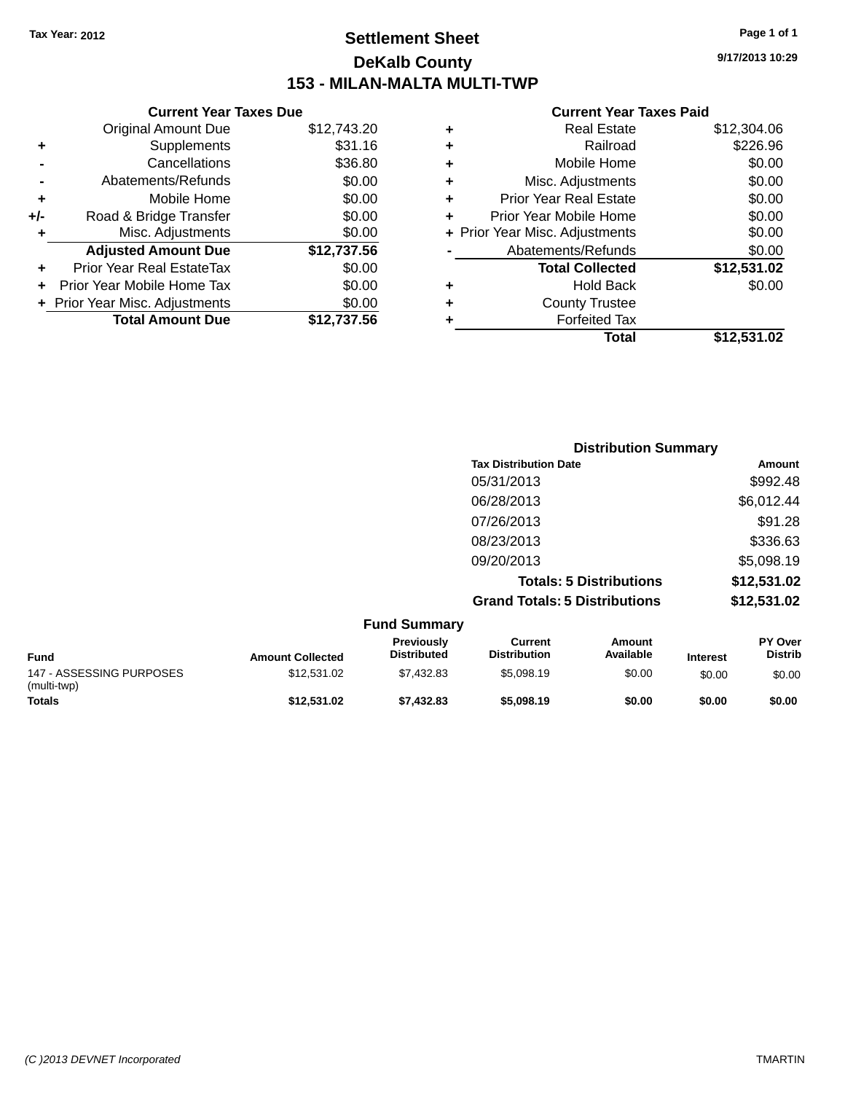# **Settlement Sheet Tax Year: 2012 Page 1 of 1 DeKalb County 153 - MILAN-MALTA MULTI-TWP**

**9/17/2013 10:29**

### **Current Year Taxes Paid**

|     | <b>Current Year Taxes Due</b>  |             |
|-----|--------------------------------|-------------|
|     | <b>Original Amount Due</b>     | \$12,743.20 |
| ٠   | Supplements                    | \$31.16     |
|     | Cancellations                  | \$36.80     |
|     | Abatements/Refunds             | \$0.00      |
| ٠   | Mobile Home                    | \$0.00      |
| +/- | Road & Bridge Transfer         | \$0.00      |
| ٠   | Misc. Adjustments              | \$0.00      |
|     | <b>Adjusted Amount Due</b>     | \$12,737.56 |
| ÷   | Prior Year Real EstateTax      | \$0.00      |
| ٠   | Prior Year Mobile Home Tax     | \$0.00      |
|     | + Prior Year Misc. Adjustments | \$0.00      |
|     | <b>Total Amount Due</b>        | \$12,737.56 |
|     |                                |             |

|   | <b>Real Estate</b>             | \$12,304.06 |
|---|--------------------------------|-------------|
| ٠ | Railroad                       | \$226.96    |
| ٠ | Mobile Home                    | \$0.00      |
| ٠ | Misc. Adjustments              | \$0.00      |
| ٠ | <b>Prior Year Real Estate</b>  | \$0.00      |
| ÷ | Prior Year Mobile Home         | \$0.00      |
|   | + Prior Year Misc. Adjustments | \$0.00      |
|   | Abatements/Refunds             | \$0.00      |
|   | <b>Total Collected</b>         | \$12,531.02 |
| ٠ | <b>Hold Back</b>               | \$0.00      |
| ٠ | <b>County Trustee</b>          |             |
| ٠ | <b>Forfeited Tax</b>           |             |
|   | Total                          | \$12,531.02 |
|   |                                |             |

| <b>Distribution Summary</b>          |             |
|--------------------------------------|-------------|
| <b>Tax Distribution Date</b>         | Amount      |
| 05/31/2013                           | \$992.48    |
| 06/28/2013                           | \$6,012.44  |
| 07/26/2013                           | \$91.28     |
| 08/23/2013                           | \$336.63    |
| 09/20/2013                           | \$5,098.19  |
| <b>Totals: 5 Distributions</b>       | \$12,531.02 |
| <b>Grand Totals: 5 Distributions</b> | \$12,531.02 |

|                                         |                         | <b>Fund Summary</b>                     |                                |                     |                 |                                  |
|-----------------------------------------|-------------------------|-----------------------------------------|--------------------------------|---------------------|-----------------|----------------------------------|
| <b>Fund</b>                             | <b>Amount Collected</b> | <b>Previously</b><br><b>Distributed</b> | Current<br><b>Distribution</b> | Amount<br>Available | <b>Interest</b> | <b>PY Over</b><br><b>Distrib</b> |
| 147 - ASSESSING PURPOSES<br>(multi-twp) | \$12.531.02             | \$7.432.83                              | \$5,098.19                     | \$0.00              | \$0.00          | \$0.00                           |
| <b>Totals</b>                           | \$12,531.02             | \$7.432.83                              | \$5,098.19                     | \$0.00              | \$0.00          | \$0.00                           |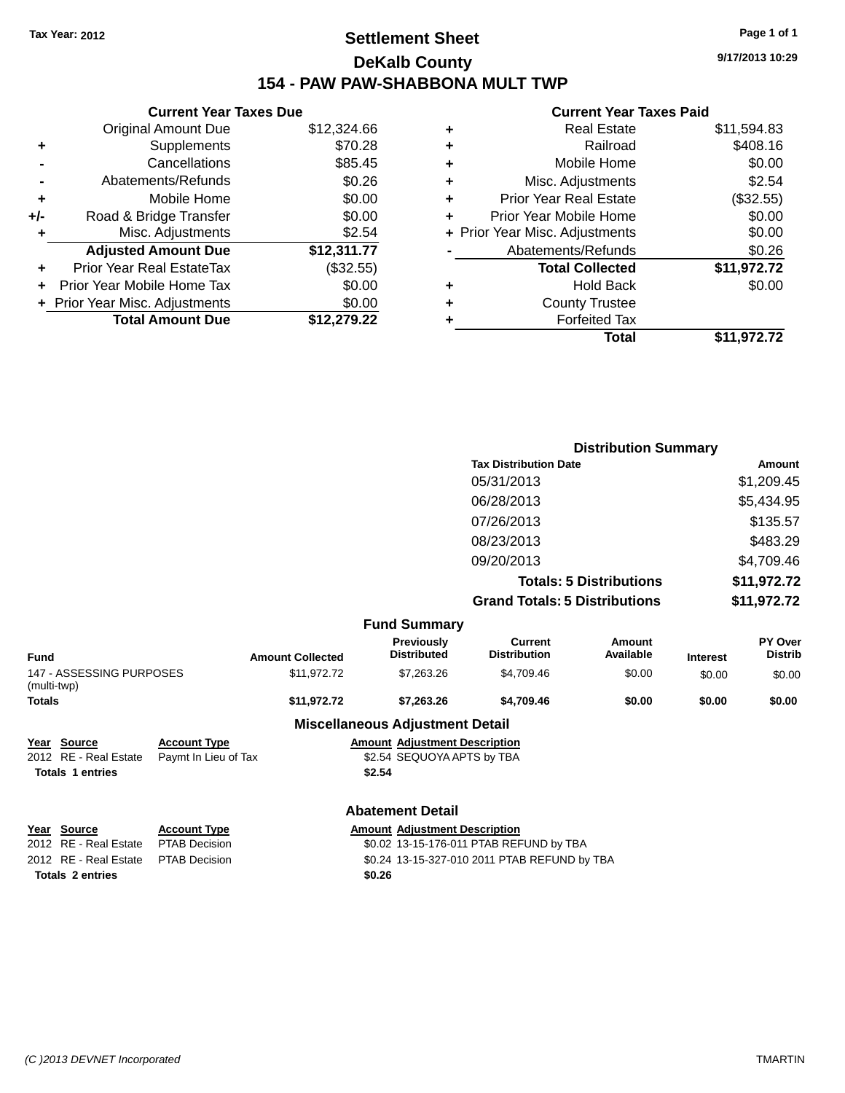# **Settlement Sheet Tax Year: 2012 Page 1 of 1 DeKalb County 154 - PAW PAW-SHABBONA MULT TWP**

**9/17/2013 10:29**

### **Current Year Taxes Paid**

| <b>Current Year Taxes Due</b>  |             |  |  |  |  |  |
|--------------------------------|-------------|--|--|--|--|--|
| <b>Original Amount Due</b>     | \$12,324.66 |  |  |  |  |  |
| Supplements                    | \$70.28     |  |  |  |  |  |
| Cancellations                  | \$85.45     |  |  |  |  |  |
| Abatements/Refunds             | \$0.26      |  |  |  |  |  |
| Mobile Home                    | \$0.00      |  |  |  |  |  |
| Road & Bridge Transfer         | \$0.00      |  |  |  |  |  |
| Misc. Adjustments              | \$2.54      |  |  |  |  |  |
| <b>Adjusted Amount Due</b>     | \$12,311.77 |  |  |  |  |  |
| Prior Year Real EstateTax      | (\$32.55)   |  |  |  |  |  |
| Prior Year Mobile Home Tax     | \$0.00      |  |  |  |  |  |
| + Prior Year Misc. Adjustments | \$0.00      |  |  |  |  |  |
| <b>Total Amount Due</b>        | \$12.279.22 |  |  |  |  |  |
|                                |             |  |  |  |  |  |

| ٠ | <b>Real Estate</b>             | \$11,594.83 |
|---|--------------------------------|-------------|
| ٠ | Railroad                       | \$408.16    |
| ٠ | Mobile Home                    | \$0.00      |
| ÷ | Misc. Adjustments              | \$2.54      |
| ٠ | <b>Prior Year Real Estate</b>  | (\$32.55)   |
|   | Prior Year Mobile Home         | \$0.00      |
|   | + Prior Year Misc. Adjustments | \$0.00      |
|   | Abatements/Refunds             | \$0.26      |
|   | <b>Total Collected</b>         | \$11,972.72 |
| ٠ | Hold Back                      | \$0.00      |
| ٠ | <b>County Trustee</b>          |             |
| ٠ | <b>Forfeited Tax</b>           |             |
|   | Total                          | \$11,972.72 |
|   |                                |             |

|                              | <b>Distribution Summary</b>          |                                |                                                                            |  |
|------------------------------|--------------------------------------|--------------------------------|----------------------------------------------------------------------------|--|
|                              | <b>Tax Distribution Date</b>         |                                | Amount                                                                     |  |
|                              | 05/31/2013                           |                                | \$1,209.45                                                                 |  |
|                              | 06/28/2013                           |                                | \$5,434.95                                                                 |  |
|                              | 07/26/2013                           |                                | \$135.57                                                                   |  |
|                              | 08/23/2013                           |                                | \$483.29                                                                   |  |
|                              | 09/20/2013                           |                                | \$4,709.46                                                                 |  |
|                              |                                      | <b>Totals: 5 Distributions</b> | \$11,972.72                                                                |  |
|                              | <b>Grand Totals: 5 Distributions</b> |                                | \$11,972.72                                                                |  |
| <b>Fund Summary</b>          |                                      |                                |                                                                            |  |
| Previously<br>Djetsik ota sl | <b>Current</b><br>Distribution       | Amount<br>Associated and       | <b>PY Over</b><br><b>Distributo</b><br>the contract of the contract of the |  |

|                                         |                         | .  vannua v                            |                                |                     |                 |                           |
|-----------------------------------------|-------------------------|----------------------------------------|--------------------------------|---------------------|-----------------|---------------------------|
| <b>Fund</b>                             | <b>Amount Collected</b> | Previously<br><b>Distributed</b>       | Current<br><b>Distribution</b> | Amount<br>Available | <b>Interest</b> | PY Over<br><b>Distrib</b> |
| 147 - ASSESSING PURPOSES<br>(multi-twp) | \$11.972.72             | \$7,263,26                             | \$4.709.46                     | \$0.00              | \$0.00          | \$0.00                    |
| Totals                                  | \$11,972.72             | \$7.263.26                             | \$4,709.46                     | \$0.00              | \$0.00          | \$0.00                    |
|                                         |                         | <b>Miscellaneous Adjustment Detail</b> |                                |                     |                 |                           |

**Year Source Account Type Amount Adjustment Description**<br>2012 RE - Real Estate Paymt In Lieu of Tax \$2.54 SEQUOYA APTS by TBA 2012 RE - Real Estate Paymt In Lieu of Tax **Totals 1 entries \$2.54**

### **Abatement Detail**

| Year Source                         | <b>Account Type</b> |        | <b>Amount Adjustment Description</b>         |
|-------------------------------------|---------------------|--------|----------------------------------------------|
| 2012 RE - Real Estate               | PTAB Decision       |        | \$0.02 13-15-176-011 PTAB REFUND by TBA      |
| 2012 RE - Real Estate PTAB Decision |                     |        | \$0.24 13-15-327-010 2011 PTAB REFUND by TBA |
| <b>Totals 2 entries</b>             |                     | \$0.26 |                                              |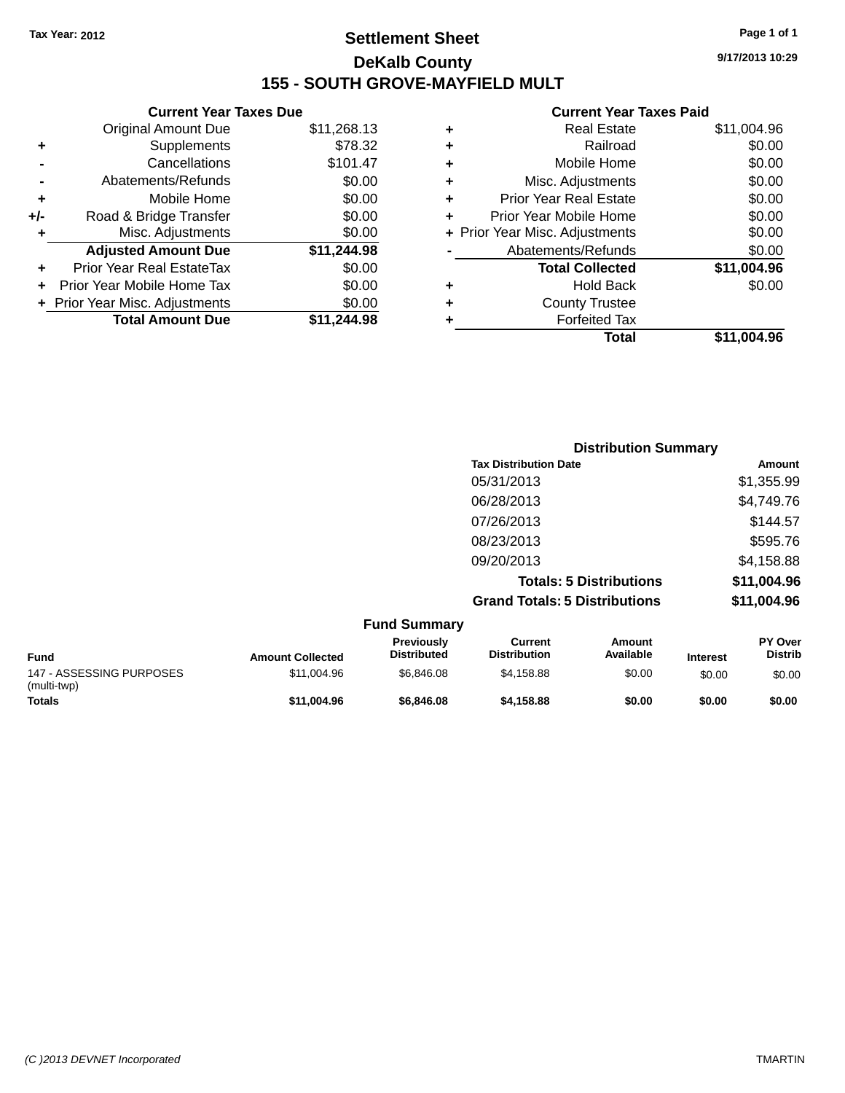# **Settlement Sheet Tax Year: 2012 Page 1 of 1 DeKalb County 155 - SOUTH GROVE-MAYFIELD MULT**

**9/17/2013 10:29**

|     | <b>Current Year Taxes Due</b>  |             |  |
|-----|--------------------------------|-------------|--|
|     | <b>Original Amount Due</b>     | \$11,268.13 |  |
| ٠   | Supplements                    | \$78.32     |  |
|     | Cancellations                  | \$101.47    |  |
|     | Abatements/Refunds             | \$0.00      |  |
| ٠   | Mobile Home                    | \$0.00      |  |
| +/- | Road & Bridge Transfer         | \$0.00      |  |
| ٠   | Misc. Adjustments              | \$0.00      |  |
|     | <b>Adjusted Amount Due</b>     | \$11,244.98 |  |
| ٠   | Prior Year Real EstateTax      | \$0.00      |  |
|     | Prior Year Mobile Home Tax     | \$0.00      |  |
|     | + Prior Year Misc. Adjustments | \$0.00      |  |
|     | <b>Total Amount Due</b>        | \$11,244.98 |  |
|     |                                |             |  |

| ٠ | <b>Real Estate</b>             | \$11,004.96 |
|---|--------------------------------|-------------|
| ٠ | Railroad                       | \$0.00      |
| ٠ | Mobile Home                    | \$0.00      |
| ٠ | Misc. Adjustments              | \$0.00      |
| ٠ | <b>Prior Year Real Estate</b>  | \$0.00      |
| ÷ | Prior Year Mobile Home         | \$0.00      |
|   | + Prior Year Misc. Adjustments | \$0.00      |
|   | Abatements/Refunds             | \$0.00      |
|   | <b>Total Collected</b>         | \$11,004.96 |
| ٠ | <b>Hold Back</b>               | \$0.00      |
| ٠ | <b>County Trustee</b>          |             |
| ٠ | <b>Forfeited Tax</b>           |             |
|   | Total                          | \$11,004.96 |
|   |                                |             |

| <b>Distribution Summary</b>          |             |
|--------------------------------------|-------------|
| <b>Tax Distribution Date</b>         | Amount      |
| 05/31/2013                           | \$1,355.99  |
| 06/28/2013                           | \$4,749.76  |
| 07/26/2013                           | \$144.57    |
| 08/23/2013                           | \$595.76    |
| 09/20/2013                           | \$4,158.88  |
| <b>Totals: 5 Distributions</b>       | \$11,004.96 |
| <b>Grand Totals: 5 Distributions</b> | \$11,004.96 |

|                                         |                         | <b>Fund Summary</b>                     |                                |                     |                 |                                  |
|-----------------------------------------|-------------------------|-----------------------------------------|--------------------------------|---------------------|-----------------|----------------------------------|
| <b>Fund</b>                             | <b>Amount Collected</b> | <b>Previously</b><br><b>Distributed</b> | Current<br><b>Distribution</b> | Amount<br>Available | <b>Interest</b> | <b>PY Over</b><br><b>Distrib</b> |
| 147 - ASSESSING PURPOSES<br>(multi-twp) | \$11,004.96             | \$6,846,08                              | \$4.158.88                     | \$0.00              | \$0.00          | \$0.00                           |
| <b>Totals</b>                           | \$11.004.96             | \$6,846,08                              | \$4,158,88                     | \$0.00              | \$0.00          | \$0.00                           |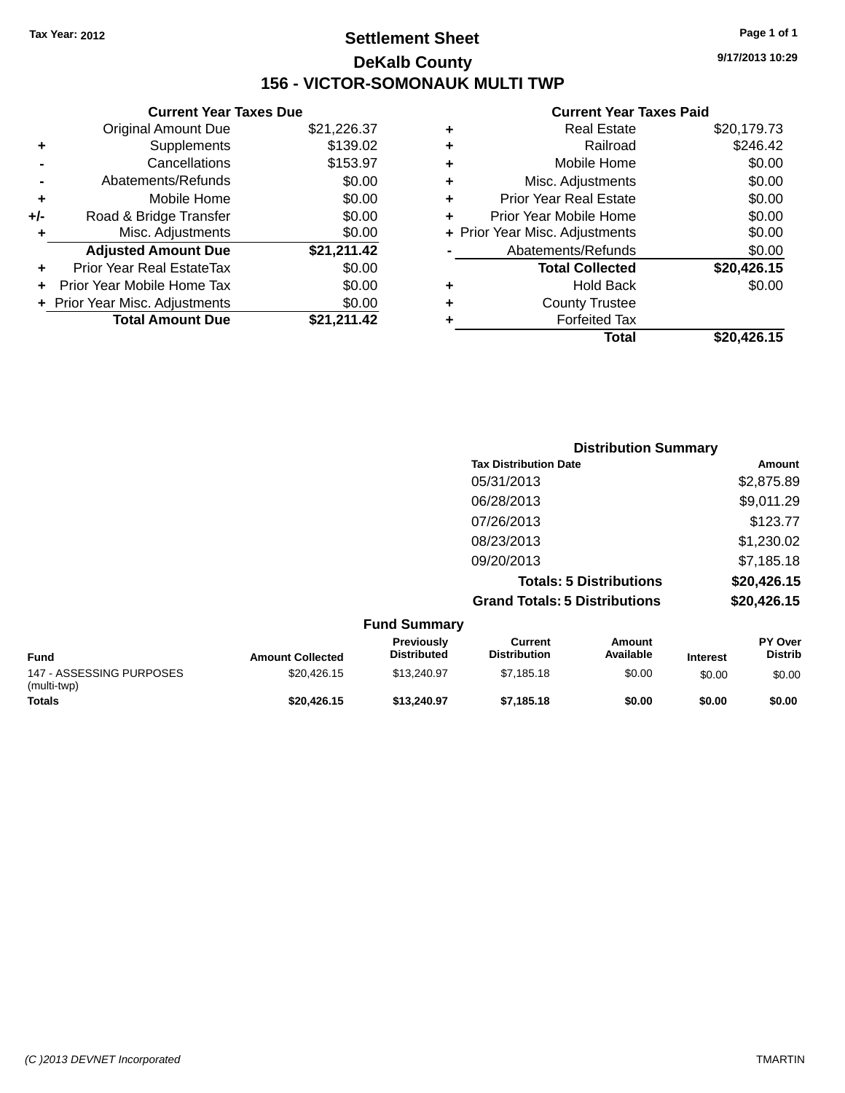# **Settlement Sheet Tax Year: 2012 Page 1 of 1 DeKalb County 156 - VICTOR-SOMONAUK MULTI TWP**

**9/17/2013 10:29**

|     | <b>Current Year Taxes Due</b>  |             |  |  |  |
|-----|--------------------------------|-------------|--|--|--|
|     | <b>Original Amount Due</b>     | \$21,226.37 |  |  |  |
| ٠   | Supplements                    | \$139.02    |  |  |  |
|     | Cancellations                  | \$153.97    |  |  |  |
|     | Abatements/Refunds             | \$0.00      |  |  |  |
| ٠   | \$0.00<br>Mobile Home          |             |  |  |  |
| +/- | Road & Bridge Transfer         | \$0.00      |  |  |  |
| ٠   | Misc. Adjustments              | \$0.00      |  |  |  |
|     | <b>Adjusted Amount Due</b>     | \$21,211.42 |  |  |  |
| ÷   | Prior Year Real EstateTax      | \$0.00      |  |  |  |
|     | Prior Year Mobile Home Tax     | \$0.00      |  |  |  |
|     | + Prior Year Misc. Adjustments | \$0.00      |  |  |  |
|     | <b>Total Amount Due</b>        | \$21,211.42 |  |  |  |
|     |                                |             |  |  |  |

|   | <b>Real Estate</b>             | \$20,179.73 |
|---|--------------------------------|-------------|
| ٠ | Railroad                       | \$246.42    |
| ٠ | Mobile Home                    | \$0.00      |
| ٠ | Misc. Adjustments              | \$0.00      |
| ٠ | <b>Prior Year Real Estate</b>  | \$0.00      |
| ÷ | Prior Year Mobile Home         | \$0.00      |
|   | + Prior Year Misc. Adjustments | \$0.00      |
|   | Abatements/Refunds             | \$0.00      |
|   | <b>Total Collected</b>         | \$20,426.15 |
| ٠ | <b>Hold Back</b>               | \$0.00      |
| ٠ | <b>County Trustee</b>          |             |
| ٠ | <b>Forfeited Tax</b>           |             |
|   | Total                          | \$20,426.15 |
|   |                                |             |

| <b>Distribution Summary</b>          |             |
|--------------------------------------|-------------|
| <b>Tax Distribution Date</b>         | Amount      |
| 05/31/2013                           | \$2,875.89  |
| 06/28/2013                           | \$9,011.29  |
| 07/26/2013                           | \$123.77    |
| 08/23/2013                           | \$1,230.02  |
| 09/20/2013                           | \$7,185.18  |
| <b>Totals: 5 Distributions</b>       | \$20,426.15 |
| <b>Grand Totals: 5 Distributions</b> | \$20,426.15 |

|                                         |                         | <b>Fund Summary</b>                     |                                |                     |                 |                           |
|-----------------------------------------|-------------------------|-----------------------------------------|--------------------------------|---------------------|-----------------|---------------------------|
| <b>Fund</b>                             | <b>Amount Collected</b> | <b>Previously</b><br><b>Distributed</b> | Current<br><b>Distribution</b> | Amount<br>Available | <b>Interest</b> | PY Over<br><b>Distrib</b> |
| 147 - ASSESSING PURPOSES<br>(multi-twp) | \$20,426.15             | \$13,240.97                             | \$7,185,18                     | \$0.00              | \$0.00          | \$0.00                    |
| Totals                                  | \$20,426.15             | \$13,240.97                             | \$7.185.18                     | \$0.00              | \$0.00          | \$0.00                    |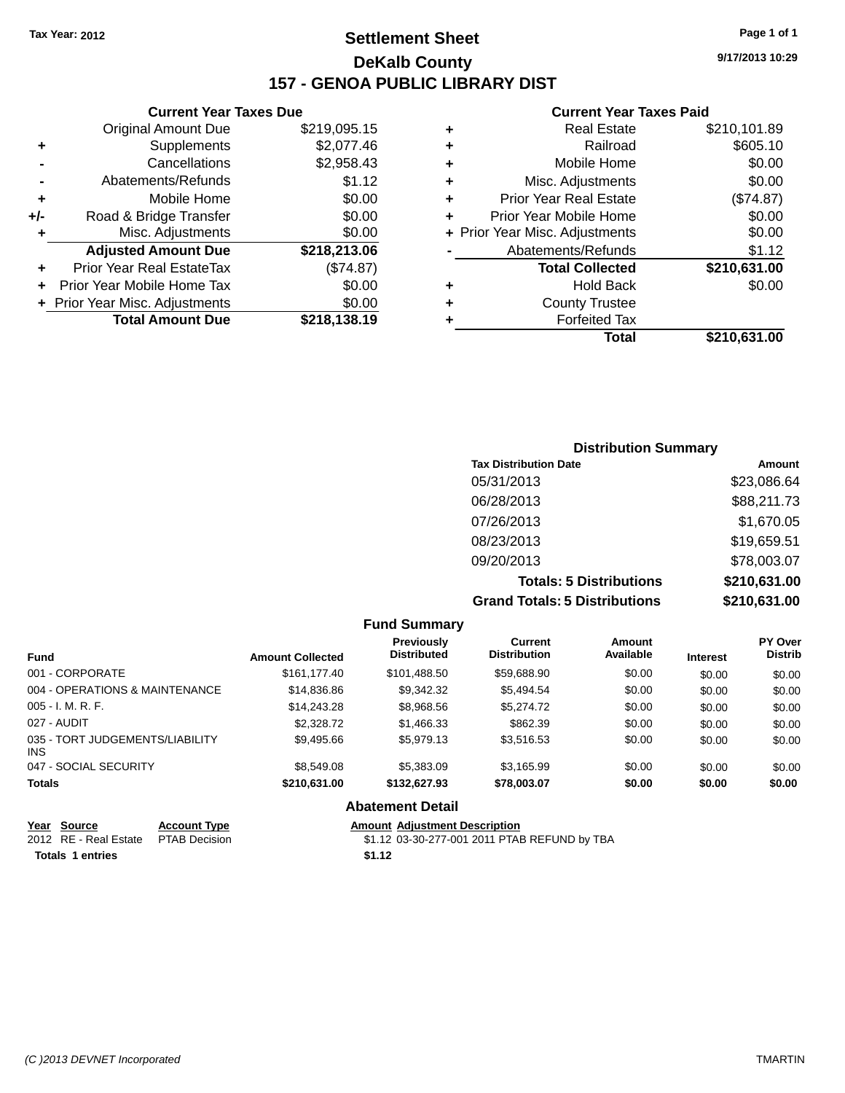# **Settlement Sheet Tax Year: 2012 Page 1 of 1 DeKalb County 157 - GENOA PUBLIC LIBRARY DIST**

### **Current Year Taxes Due**

| <b>Original Amount Due</b> | \$219,095.15                   |
|----------------------------|--------------------------------|
| Supplements                | \$2,077.46                     |
| Cancellations              | \$2,958.43                     |
| Abatements/Refunds         | \$1.12                         |
| Mobile Home                | \$0.00                         |
| Road & Bridge Transfer     | \$0.00                         |
| Misc. Adjustments          | \$0.00                         |
| <b>Adjusted Amount Due</b> | \$218,213.06                   |
| Prior Year Real EstateTax  | (\$74.87)                      |
| Prior Year Mobile Home Tax | \$0.00                         |
|                            | \$0.00                         |
| <b>Total Amount Due</b>    | \$218,138.19                   |
|                            |                                |
|                            | + Prior Year Misc. Adjustments |

#### **Current Year Taxes Paid**

| ٠ | <b>Real Estate</b>             | \$210,101.89 |
|---|--------------------------------|--------------|
| ٠ | Railroad                       | \$605.10     |
| ٠ | Mobile Home                    | \$0.00       |
| ٠ | Misc. Adjustments              | \$0.00       |
| ٠ | <b>Prior Year Real Estate</b>  | (\$74.87)    |
| ٠ | Prior Year Mobile Home         | \$0.00       |
|   | + Prior Year Misc. Adjustments | \$0.00       |
|   | Abatements/Refunds             | \$1.12       |
|   | <b>Total Collected</b>         | \$210,631.00 |
| ٠ | <b>Hold Back</b>               | \$0.00       |
| ٠ | <b>County Trustee</b>          |              |
| ٠ | <b>Forfeited Tax</b>           |              |
|   | Total                          | \$210,631.00 |
|   |                                |              |

### **Distribution Summary Tax Distribution Date Amount** 05/31/2013 \$23,086.64 06/28/2013 \$88,211.73 07/26/2013 \$1,670.05 08/23/2013 \$19,659.51 09/20/2013 \$78,003.07 **Totals: 5 Distributions \$210,631.00 Grand Totals: 5 Distributions \$210,631.00**

|                                         |                         | <b>Fund Summary</b>                     |                                       |                            |                 |                                  |
|-----------------------------------------|-------------------------|-----------------------------------------|---------------------------------------|----------------------------|-----------------|----------------------------------|
| <b>Fund</b>                             | <b>Amount Collected</b> | <b>Previously</b><br><b>Distributed</b> | <b>Current</b><br><b>Distribution</b> | <b>Amount</b><br>Available | <b>Interest</b> | <b>PY Over</b><br><b>Distrib</b> |
| 001 - CORPORATE                         | \$161.177.40            | \$101,488.50                            | \$59,688.90                           | \$0.00                     | \$0.00          | \$0.00                           |
| 004 - OPERATIONS & MAINTENANCE          | \$14,836.86             | \$9,342.32                              | \$5,494.54                            | \$0.00                     | \$0.00          | \$0.00                           |
| $005 - I. M. R. F.$                     | \$14.243.28             | \$8,968.56                              | \$5,274.72                            | \$0.00                     | \$0.00          | \$0.00                           |
| 027 - AUDIT                             | \$2,328,72              | \$1,466.33                              | \$862.39                              | \$0.00                     | \$0.00          | \$0.00                           |
| 035 - TORT JUDGEMENTS/LIABILITY<br>INS. | \$9,495.66              | \$5,979.13                              | \$3,516.53                            | \$0.00                     | \$0.00          | \$0.00                           |
| 047 - SOCIAL SECURITY                   | \$8,549.08              | \$5,383,09                              | \$3.165.99                            | \$0.00                     | \$0.00          | \$0.00                           |
| <b>Totals</b>                           | \$210.631.00            | \$132,627.93                            | \$78,003.07                           | \$0.00                     | \$0.00          | \$0.00                           |
|                                         |                         | <b>Abatement Detail</b>                 |                                       |                            |                 |                                  |

| Year Source                         | <b>Account Type</b> |        | <b>Amount Adiustment Description</b>         |
|-------------------------------------|---------------------|--------|----------------------------------------------|
| 2012 RE - Real Estate PTAB Decision |                     |        | \$1.12 03-30-277-001 2011 PTAB REFUND by TBA |
| <b>Totals 1 entries</b>             |                     | \$1.12 |                                              |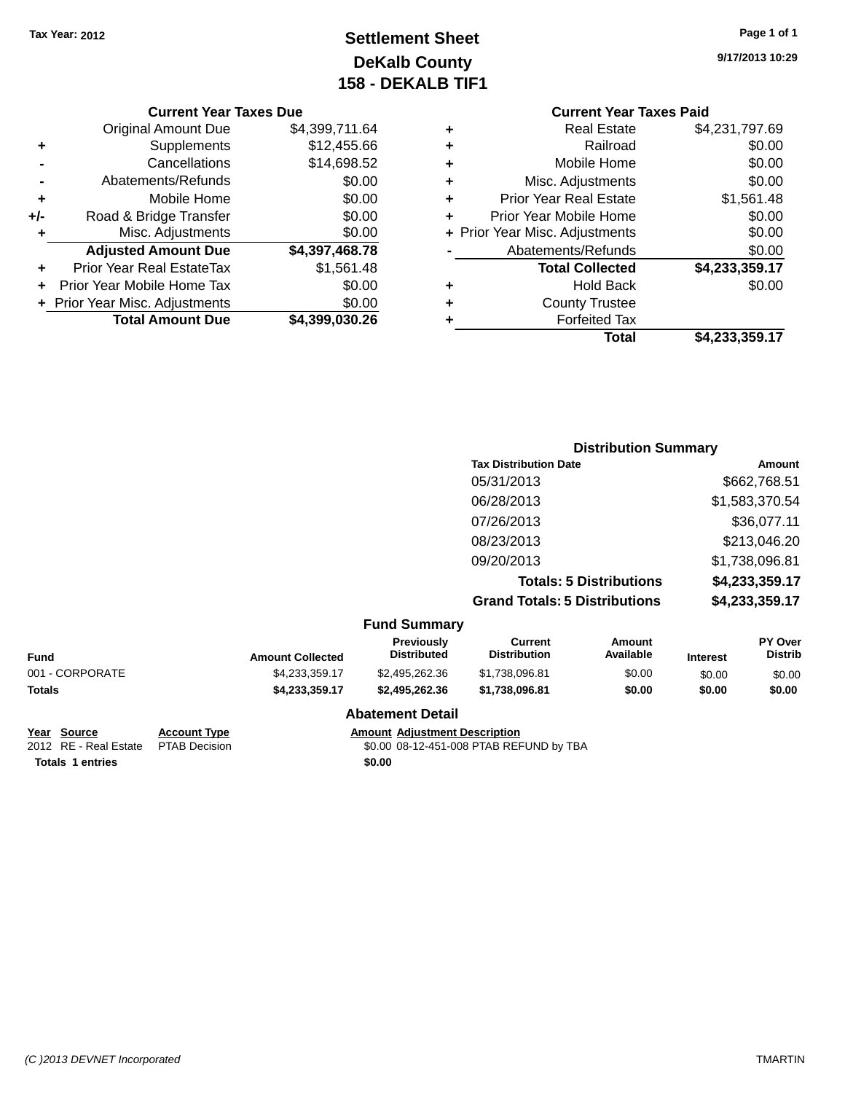# **Settlement Sheet Tax Year: 2012 Page 1 of 1 DeKalb County 158 - DEKALB TIF1**

**9/17/2013 10:29**

### **Current Year Taxes Due**

|       | <b>Original Amount Due</b>       | \$4,399,711.64 |
|-------|----------------------------------|----------------|
| ٠     | Supplements                      | \$12,455.66    |
|       | Cancellations                    | \$14,698.52    |
|       | Abatements/Refunds               | \$0.00         |
| ٠     | Mobile Home                      | \$0.00         |
| $+/-$ | Road & Bridge Transfer           | \$0.00         |
| ٠     | Misc. Adjustments                | \$0.00         |
|       | <b>Adjusted Amount Due</b>       | \$4,397,468.78 |
|       | <b>Prior Year Real EstateTax</b> | \$1,561.48     |
|       | Prior Year Mobile Home Tax       | \$0.00         |
|       | + Prior Year Misc. Adjustments   | \$0.00         |
|       | <b>Total Amount Due</b>          | \$4.399.030.26 |

### **Current Year Taxes Paid +** Real Estate \$4,231,797.69 **+** Railroad \$0.00 **+** Mobile Home \$0.00

|   | Total                          | \$4,233,359.17 |
|---|--------------------------------|----------------|
| ٠ | <b>Forfeited Tax</b>           |                |
| ÷ | <b>County Trustee</b>          |                |
|   | <b>Hold Back</b>               | \$0.00         |
|   | <b>Total Collected</b>         | \$4,233,359.17 |
|   | Abatements/Refunds             | \$0.00         |
|   | + Prior Year Misc. Adjustments | \$0.00         |
| ÷ | Prior Year Mobile Home         | \$0.00         |
| ÷ | <b>Prior Year Real Estate</b>  | \$1,561.48     |
|   | Misc. Adjustments              | \$0.00         |

### **Distribution Summary Tax Distribution Date Amount** 05/31/2013 \$662,768.51 06/28/2013 \$1,583,370.54 07/26/2013 \$36,077.11 08/23/2013 \$213,046.20 09/20/2013 \$1,738,096.81 **Totals: 5 Distributions \$4,233,359.17 Grand Totals: 5 Distributions \$4,233,359.17**

| <b>Fund Summary</b> |
|---------------------|
|---------------------|

| Fund            | <b>Amount Collected</b> | <b>Previously</b><br><b>Distributed</b> | Current<br><b>Distribution</b> | Amount<br>Available | <b>Interest</b> | <b>PY Over</b><br><b>Distrib</b> |
|-----------------|-------------------------|-----------------------------------------|--------------------------------|---------------------|-----------------|----------------------------------|
| 001 - CORPORATE | \$4.233.359.17          | \$2,495,262.36                          | \$1,738,096.81                 | \$0.00              | \$0.00          | \$0.00                           |
| Totals          | \$4.233.359.17          | \$2.495.262.36                          | \$1.738.096.81                 | \$0.00              | \$0.00          | \$0.00                           |
|                 |                         | <b>Abatement Detail</b>                 |                                |                     |                 |                                  |

### **Year Source Account Type Amount Adjustment Description Totals 1 entries \$0.00**

2012 RE - Real Estate PTAB Decision \$0.00 08-12-451-008 PTAB REFUND by TBA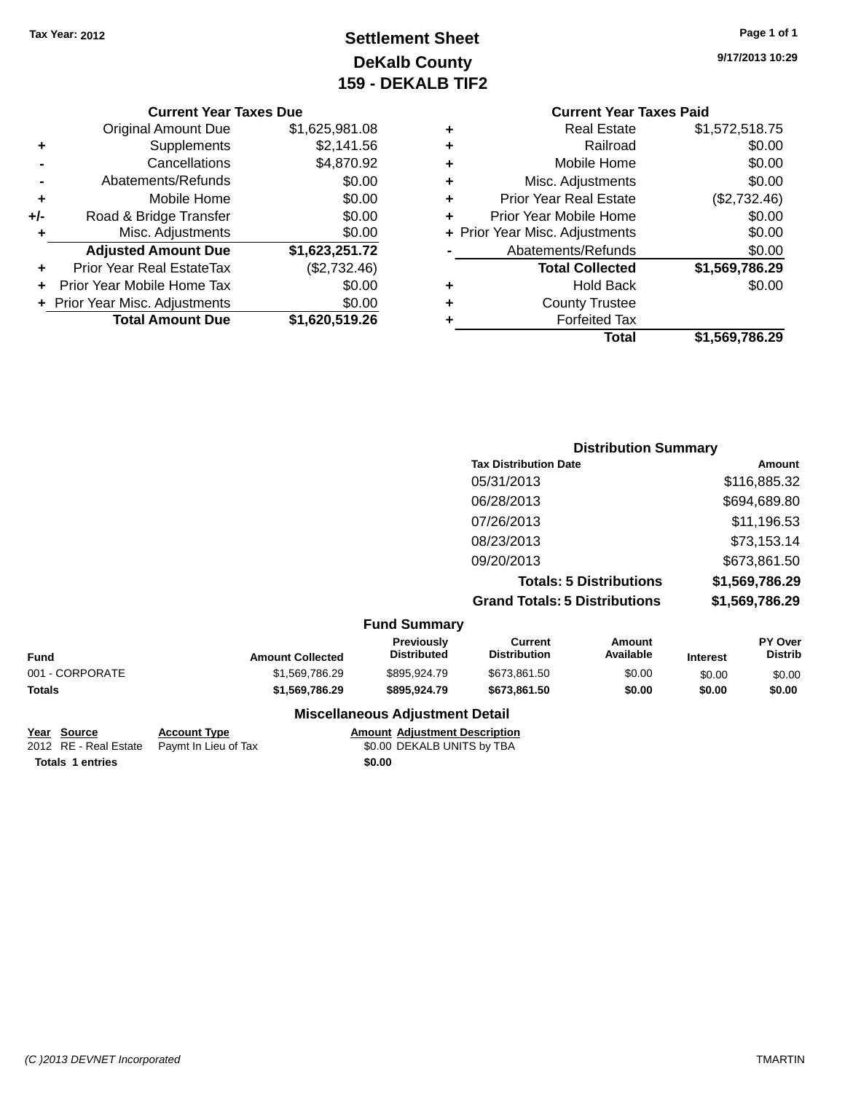# **Settlement Sheet Tax Year: 2012 Page 1 of 1 DeKalb County 159 - DEKALB TIF2**

**9/17/2013 10:29**

|       | <b>Current Year Taxes Due</b>  |                |
|-------|--------------------------------|----------------|
|       | <b>Original Amount Due</b>     | \$1,625,981.08 |
| ٠     | Supplements                    | \$2,141.56     |
|       | Cancellations                  | \$4,870.92     |
|       | Abatements/Refunds             | \$0.00         |
| ÷     | Mobile Home                    | \$0.00         |
| $+/-$ | Road & Bridge Transfer         | \$0.00         |
|       | Misc. Adjustments              | \$0.00         |
|       | <b>Adjusted Amount Due</b>     | \$1,623,251.72 |
| ÷     | Prior Year Real EstateTax      | (\$2,732.46)   |
| ÷     | Prior Year Mobile Home Tax     | \$0.00         |
|       | + Prior Year Misc. Adjustments | \$0.00         |
|       | <b>Total Amount Due</b>        | \$1,620,519.26 |
|       |                                |                |

|   | <b>Current Year Taxes Paid</b> |                |
|---|--------------------------------|----------------|
| ٠ | <b>Real Estate</b>             | \$1,572,518.75 |
| ÷ | Railroad                       | \$0.00         |
| ٠ | Mobile Home                    | \$0.00         |
| ٠ | Misc. Adjustments              | \$0.00         |
| ٠ | <b>Prior Year Real Estate</b>  | (\$2,732.46)   |
| ٠ | Prior Year Mobile Home         | \$0.00         |
|   | + Prior Year Misc. Adjustments | \$0.00         |
|   | Abatements/Refunds             | \$0.00         |
|   | <b>Total Collected</b>         | \$1,569,786.29 |
| ٠ | Hold Back                      | \$0.00         |
|   | <b>County Trustee</b>          |                |
|   | <b>Forfeited Tax</b>           |                |
|   | Total                          | \$1,569,786.29 |
|   |                                |                |

| <b>Distribution Summary</b>          |                |
|--------------------------------------|----------------|
| <b>Tax Distribution Date</b>         | Amount         |
| 05/31/2013                           | \$116,885.32   |
| 06/28/2013                           | \$694,689.80   |
| 07/26/2013                           | \$11,196.53    |
| 08/23/2013                           | \$73,153.14    |
| 09/20/2013                           | \$673,861.50   |
| <b>Totals: 5 Distributions</b>       | \$1,569,786.29 |
| <b>Grand Totals: 5 Distributions</b> | \$1,569,786.29 |

| <b>Fund Summary</b> |
|---------------------|
|---------------------|

| <b>Amount Collected</b> | <b>Previously</b><br><b>Distributed</b> | Current<br><b>Distribution</b> | Amount<br>Available | <b>Interest</b> | <b>PY Over</b><br><b>Distrib</b> |
|-------------------------|-----------------------------------------|--------------------------------|---------------------|-----------------|----------------------------------|
| \$1.569.786.29          | \$895,924.79                            | \$673.861.50                   | \$0.00              | \$0.00          | \$0.00                           |
| \$1,569,786.29          | \$895.924.79                            | \$673.861.50                   | \$0.00              | \$0.00          | \$0.00                           |
|                         |                                         |                                |                     |                 |                                  |

### **Miscellaneous Adjustment Detail**

| Year Source             | <b>Account Type</b>                        |        | <b>Amount Adiustment Description</b> |
|-------------------------|--------------------------------------------|--------|--------------------------------------|
|                         | 2012 RE - Real Estate Paymt In Lieu of Tax |        | \$0.00 DEKALB UNITS by TBA           |
| <b>Totals 1 entries</b> |                                            | \$0.00 |                                      |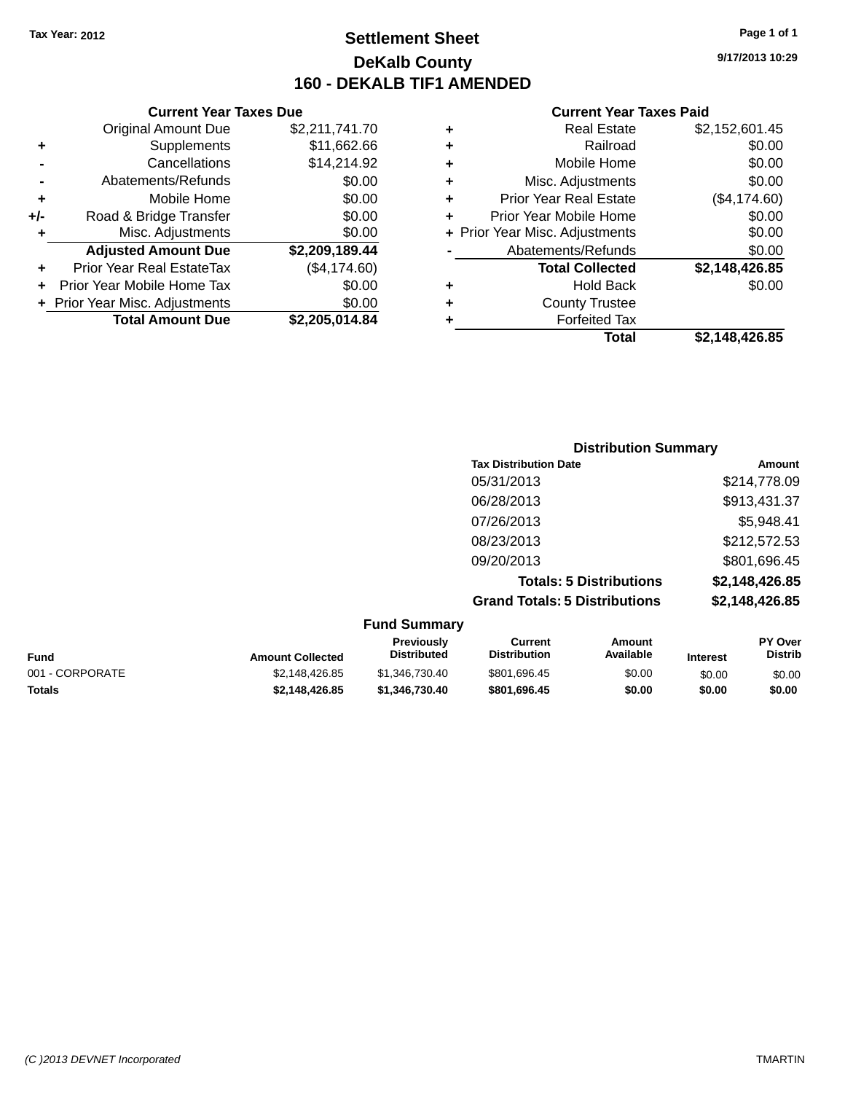**Current Year Taxes Due**

# **Settlement Sheet Tax Year: 2012 Page 1 of 1 DeKalb County 160 - DEKALB TIF1 AMENDED**

**9/17/2013 10:29**

#### **Current Year Taxes Paid**

| \$2,148,426.85 | Total                          |   |                |                                  |     |
|----------------|--------------------------------|---|----------------|----------------------------------|-----|
|                | <b>Forfeited Tax</b>           |   | \$2,205,014.84 | <b>Total Amount Due</b>          |     |
|                | <b>County Trustee</b>          | ٠ | \$0.00         | + Prior Year Misc. Adjustments   |     |
| \$0.00         | <b>Hold Back</b>               | ٠ | \$0.00         | Prior Year Mobile Home Tax       |     |
| \$2,148,426.85 | <b>Total Collected</b>         |   | (\$4,174.60)   | <b>Prior Year Real EstateTax</b> | ÷.  |
| \$0.00         | Abatements/Refunds             |   | \$2,209,189.44 | <b>Adjusted Amount Due</b>       |     |
| \$0.00         | + Prior Year Misc. Adjustments |   | \$0.00         | Misc. Adjustments                |     |
| \$0.00         | Prior Year Mobile Home         | ٠ | \$0.00         | Road & Bridge Transfer           | +/- |
| (\$4,174.60)   | <b>Prior Year Real Estate</b>  | ٠ | \$0.00         | Mobile Home                      | ٠   |
| \$0.00         | Misc. Adjustments              | ٠ | \$0.00         | Abatements/Refunds               |     |
| \$0.00         | Mobile Home                    | ٠ | \$14,214.92    | Cancellations                    |     |
| \$0.00         | Railroad                       | ٠ | \$11,662.66    | Supplements                      | ٠   |
| \$2,152,601.45 | <b>Real Estate</b>             | ٠ | \$2,211,741.70 | Original Amount Due              |     |
|                |                                |   |                |                                  |     |

### **Distribution Summary Tax Distribution Date Amount** 05/31/2013 \$214,778.09 06/28/2013 \$913,431.37 07/26/2013 \$5,948.41 08/23/2013 \$212,572.53 09/20/2013 \$801,696.45 **Totals: 5 Distributions \$2,148,426.85 Grand Totals: 5 Distributions \$2,148,426.85**

|                 |                         | <b>Fund Summary</b>                     |                                |                     |                 |                                  |
|-----------------|-------------------------|-----------------------------------------|--------------------------------|---------------------|-----------------|----------------------------------|
| <b>Fund</b>     | <b>Amount Collected</b> | <b>Previously</b><br><b>Distributed</b> | Current<br><b>Distribution</b> | Amount<br>Available | <b>Interest</b> | <b>PY Over</b><br><b>Distrib</b> |
| 001 - CORPORATE | \$2.148.426.85          | \$1,346,730,40                          | \$801,696.45                   | \$0.00              | \$0.00          | \$0.00                           |
| <b>Totals</b>   | \$2.148.426.85          | \$1.346.730.40                          | \$801.696.45                   | \$0.00              | \$0.00          | \$0.00                           |
|                 |                         |                                         |                                |                     |                 |                                  |

**Fund Summary**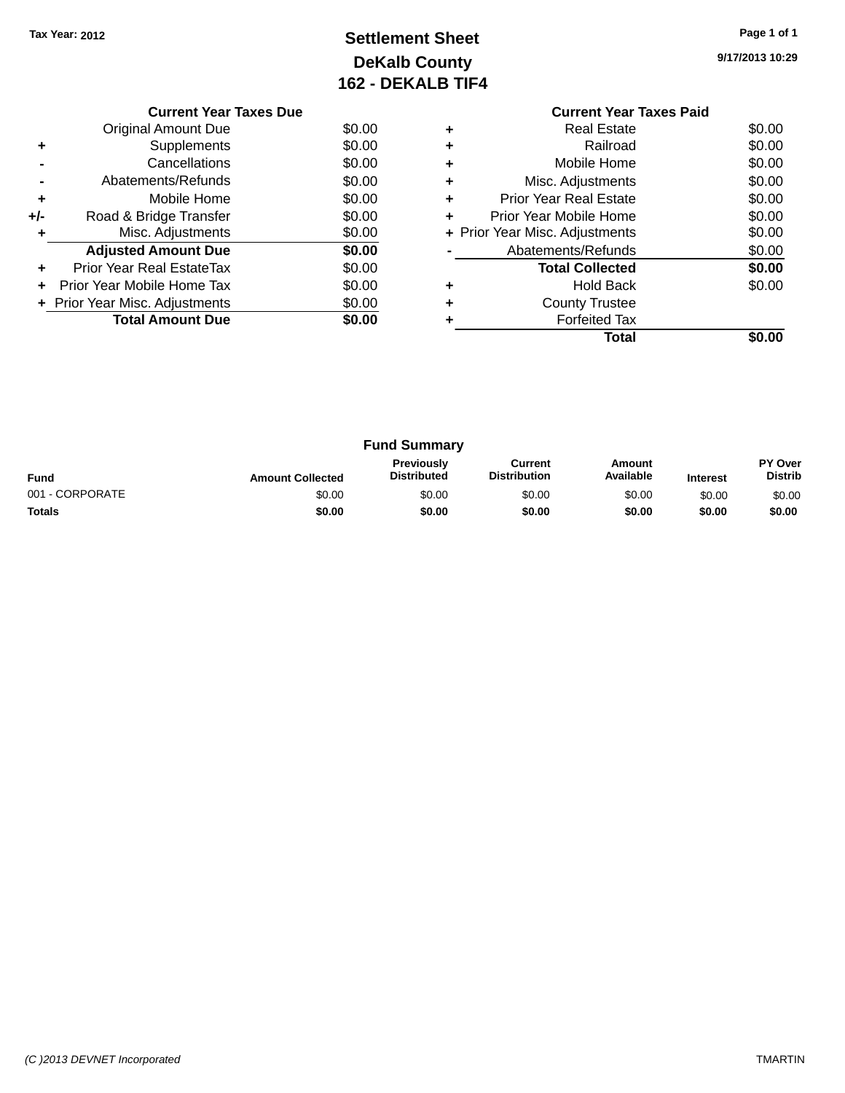# **Settlement Sheet Tax Year: 2012 Page 1 of 1 DeKalb County 162 - DEKALB TIF4**

**9/17/2013 10:29**

|     | <b>Current Year Taxes Due</b>  |        |
|-----|--------------------------------|--------|
|     | Original Amount Due            | \$0.00 |
| ٠   | Supplements                    | \$0.00 |
|     | Cancellations                  | \$0.00 |
|     | Abatements/Refunds             | \$0.00 |
| ٠   | Mobile Home                    | \$0.00 |
| +/- | Road & Bridge Transfer         | \$0.00 |
| ٠   | Misc. Adjustments              | \$0.00 |
|     | <b>Adjusted Amount Due</b>     | \$0.00 |
| ÷   | Prior Year Real EstateTax      | \$0.00 |
|     | Prior Year Mobile Home Tax     | \$0.00 |
|     | + Prior Year Misc. Adjustments | \$0.00 |
|     | <b>Total Amount Due</b>        | \$0.00 |
|     |                                |        |

### **Current Year Taxes Paid +** Real Estate \$0.00 **+** Railroad \$0.00 **+** Mobile Home \$0.00

|   | Total                          | \$0.00 |
|---|--------------------------------|--------|
|   | <b>Forfeited Tax</b>           |        |
| ÷ | <b>County Trustee</b>          |        |
|   | Hold Back                      | \$0.00 |
|   | <b>Total Collected</b>         | \$0.00 |
|   | Abatements/Refunds             | \$0.00 |
|   | + Prior Year Misc. Adjustments | \$0.00 |
|   | Prior Year Mobile Home         | \$0.00 |
| ÷ | <b>Prior Year Real Estate</b>  | \$0.00 |
|   | Misc. Adjustments              | \$0.00 |

| <b>Fund Summary</b> |                         |                                         |                                |                     |                 |                           |
|---------------------|-------------------------|-----------------------------------------|--------------------------------|---------------------|-----------------|---------------------------|
| <b>Fund</b>         | <b>Amount Collected</b> | <b>Previously</b><br><b>Distributed</b> | Current<br><b>Distribution</b> | Amount<br>Available | <b>Interest</b> | PY Over<br><b>Distrib</b> |
| 001 - CORPORATE     | \$0.00                  | \$0.00                                  | \$0.00                         | \$0.00              | \$0.00          | \$0.00                    |
| <b>Totals</b>       | \$0.00                  | \$0.00                                  | \$0.00                         | \$0.00              | \$0.00          | \$0.00                    |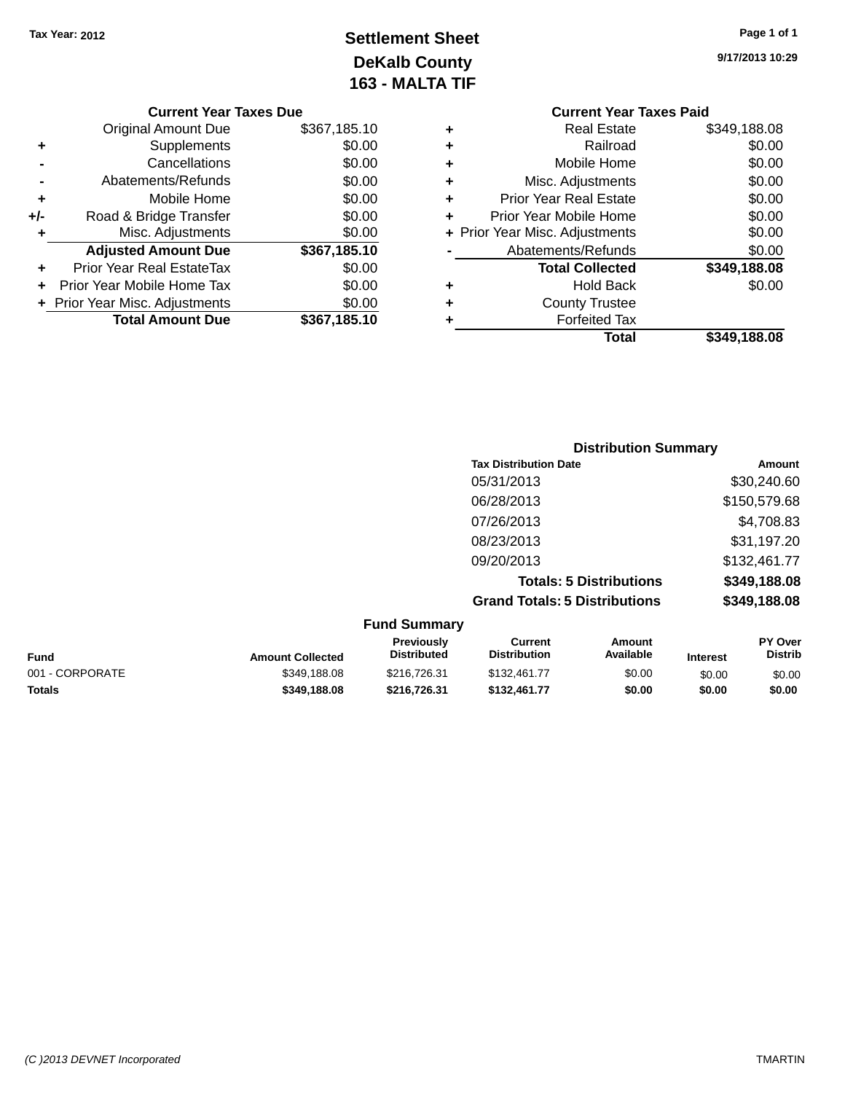# **Settlement Sheet Tax Year: 2012 Page 1 of 1 DeKalb County 163 - MALTA TIF**

| <b>Current Year Taxes Due</b>  |              |
|--------------------------------|--------------|
| <b>Original Amount Due</b>     | \$367,185.10 |
| Supplements                    | \$0.00       |
| Cancellations                  | \$0.00       |
| Abatements/Refunds             | \$0.00       |
| Mobile Home                    | \$0.00       |
| Road & Bridge Transfer         | \$0.00       |
| Misc. Adjustments              | \$0.00       |
| <b>Adjusted Amount Due</b>     | \$367,185.10 |
| Prior Year Real EstateTax      | \$0.00       |
| Prior Year Mobile Home Tax     | \$0.00       |
| + Prior Year Misc. Adjustments | \$0.00       |
| <b>Total Amount Due</b>        | \$367,185.10 |
|                                |              |

### **Current Year Taxes Paid +** Real Estate \$349,188.08 **+** Railroad \$0.00 **+** Mobile Home \$0.00 **+** Misc. Adjustments \$0.00 **+** Prior Year Real Estate \$0.00 **+** Prior Year Mobile Home \$0.00 **+ Prior Year Misc. Adjustments \$0.00 -** Abatements/Refunds \$0.00 **Total Collected \$349,188.08 +** Hold Back \$0.00

**+** County Trustee

**+** Forfeited Tax

| 9/17/2013 10:29 |  |
|-----------------|--|
|-----------------|--|

**Total \$349,188.08**

| <b>Distribution Summary</b>          |              |
|--------------------------------------|--------------|
| <b>Tax Distribution Date</b>         | Amount       |
| 05/31/2013                           | \$30,240.60  |
| 06/28/2013                           | \$150,579.68 |
| 07/26/2013                           | \$4,708.83   |
| 08/23/2013                           | \$31,197.20  |
| 09/20/2013                           | \$132,461.77 |
| <b>Totals: 5 Distributions</b>       | \$349,188.08 |
| <b>Grand Totals: 5 Distributions</b> | \$349,188.08 |
|                                      |              |

| <b>Fund Summary</b> |
|---------------------|
|---------------------|

|                         | .  va                                   |                                |                     |                 |                                  |
|-------------------------|-----------------------------------------|--------------------------------|---------------------|-----------------|----------------------------------|
| <b>Amount Collected</b> | <b>Previously</b><br><b>Distributed</b> | Current<br><b>Distribution</b> | Amount<br>Available | <b>Interest</b> | <b>PY Over</b><br><b>Distrib</b> |
| \$349,188.08            | \$216,726.31                            | \$132,461.77                   | \$0.00              | \$0.00          | \$0.00                           |
| \$349,188,08            | \$216,726.31                            | \$132,461.77                   | \$0.00              | \$0.00          | \$0.00                           |
|                         |                                         |                                |                     |                 |                                  |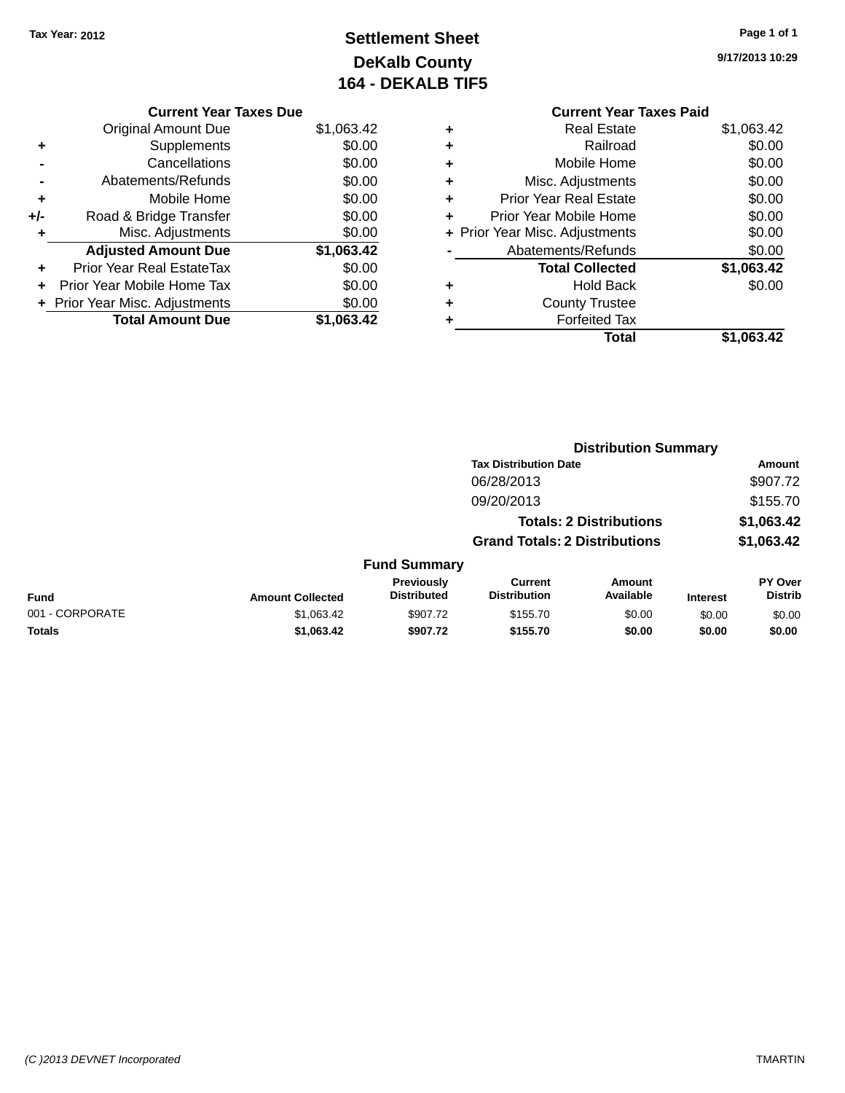# **Settlement Sheet Tax Year: 2012 Page 1 of 1 DeKalb County 164 - DEKALB TIF5**

**9/17/2013 10:29**

|     | <b>Current Year Taxes Due</b> |            |  |  |  |  |
|-----|-------------------------------|------------|--|--|--|--|
|     | <b>Original Amount Due</b>    | \$1,063.42 |  |  |  |  |
| ٠   | Supplements                   | \$0.00     |  |  |  |  |
|     | Cancellations                 | \$0.00     |  |  |  |  |
|     | Abatements/Refunds            | \$0.00     |  |  |  |  |
| ٠   | Mobile Home                   | \$0.00     |  |  |  |  |
| +/- | Road & Bridge Transfer        | \$0.00     |  |  |  |  |
| ٠   | Misc. Adjustments             | \$0.00     |  |  |  |  |
|     | <b>Adjusted Amount Due</b>    | \$1,063.42 |  |  |  |  |
| ٠   | Prior Year Real EstateTax     | \$0.00     |  |  |  |  |
|     | Prior Year Mobile Home Tax    | \$0.00     |  |  |  |  |
|     | Prior Year Misc. Adjustments  | \$0.00     |  |  |  |  |
|     | <b>Total Amount Due</b>       | \$1.063.42 |  |  |  |  |
|     |                               |            |  |  |  |  |

### **Current Year Taxes Paid +** Real Estate \$1,063.42 **+** Railroad \$0.00 **+** Mobile Home \$0.00 **+** Misc. Adjustments \$0.00 **+** Prior Year Real Estate \$0.00 **+** Prior Year Mobile Home \$0.00

|           | Total                          | \$1,063.42 |
|-----------|--------------------------------|------------|
| $\ddot{}$ | <b>Forfeited Tax</b>           |            |
| $\ddot{}$ | <b>County Trustee</b>          |            |
| ÷         | <b>Hold Back</b>               | \$0.00     |
|           | <b>Total Collected</b>         | \$1,063.42 |
|           | Abatements/Refunds             | \$0.00     |
|           | + Prior Year Misc. Adjustments | \$0.00     |
|           |                                |            |

|                 |                         |                                         |                                       | <b>Distribution Summary</b>    |                 |                           |
|-----------------|-------------------------|-----------------------------------------|---------------------------------------|--------------------------------|-----------------|---------------------------|
|                 |                         |                                         | <b>Tax Distribution Date</b>          |                                |                 | Amount                    |
|                 |                         |                                         | 06/28/2013                            |                                |                 | \$907.72                  |
|                 |                         |                                         | 09/20/2013                            |                                |                 | \$155.70                  |
|                 |                         |                                         |                                       | <b>Totals: 2 Distributions</b> |                 | \$1,063.42                |
|                 |                         |                                         | <b>Grand Totals: 2 Distributions</b>  |                                |                 | \$1,063.42                |
|                 |                         | <b>Fund Summary</b>                     |                                       |                                |                 |                           |
| <b>Fund</b>     | <b>Amount Collected</b> | <b>Previously</b><br><b>Distributed</b> | <b>Current</b><br><b>Distribution</b> | Amount<br>Available            | <b>Interest</b> | PY Over<br><b>Distrib</b> |
| 001 - CORPORATE | \$1,063.42              | \$907.72                                | \$155.70                              | \$0.00                         | \$0.00          | \$0.00                    |
| <b>Totals</b>   | \$1,063.42              | \$907.72                                | \$155.70                              | \$0.00                         | \$0.00          | \$0.00                    |
|                 |                         |                                         |                                       |                                |                 |                           |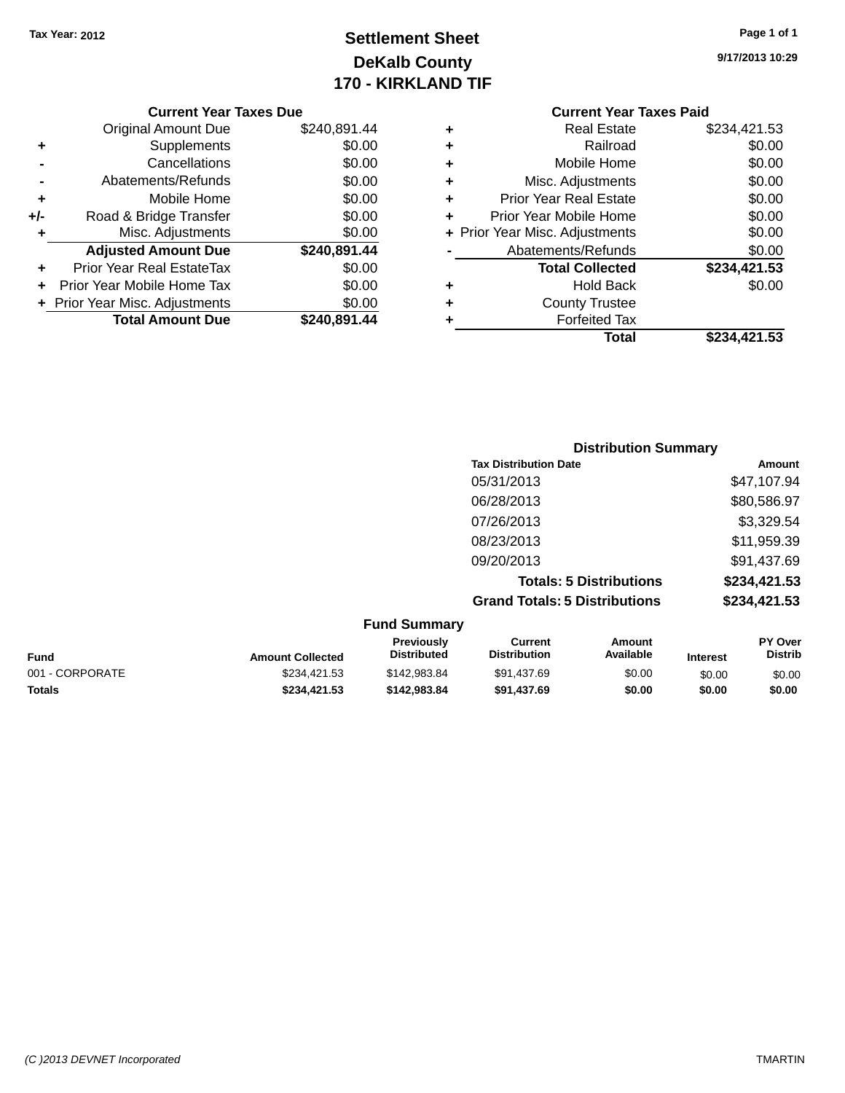# **Settlement Sheet Tax Year: 2012 Page 1 of 1 DeKalb County 170 - KIRKLAND TIF**

**9/17/2013 10:29**

| <b>Original Amount Due</b>     | \$240,891.44 |
|--------------------------------|--------------|
| Supplements                    | \$0.00       |
| Cancellations                  | \$0.00       |
| Abatements/Refunds             | \$0.00       |
| Mobile Home                    | \$0.00       |
| Road & Bridge Transfer         | \$0.00       |
| Misc. Adjustments              | \$0.00       |
| <b>Adjusted Amount Due</b>     | \$240,891.44 |
| Prior Year Real EstateTax      | \$0.00       |
| Prior Year Mobile Home Tax     | \$0.00       |
| + Prior Year Misc. Adjustments | \$0.00       |
| <b>Total Amount Due</b>        | \$240,891.44 |
|                                |              |

| ٠ | <b>Real Estate</b>             | \$234,421.53 |
|---|--------------------------------|--------------|
| ٠ | Railroad                       | \$0.00       |
| ٠ | Mobile Home                    | \$0.00       |
| ٠ | Misc. Adjustments              | \$0.00       |
| ٠ | <b>Prior Year Real Estate</b>  | \$0.00       |
| ٠ | Prior Year Mobile Home         | \$0.00       |
|   | + Prior Year Misc. Adjustments | \$0.00       |
|   | Abatements/Refunds             | \$0.00       |
|   | <b>Total Collected</b>         | \$234,421.53 |
| ٠ | <b>Hold Back</b>               | \$0.00       |
| ٠ | <b>County Trustee</b>          |              |
| ٠ | <b>Forfeited Tax</b>           |              |
|   | Total                          | \$234,421.53 |
|   |                                |              |

| <b>Distribution Summary</b>          |              |
|--------------------------------------|--------------|
| <b>Tax Distribution Date</b>         | Amount       |
| 05/31/2013                           | \$47,107.94  |
| 06/28/2013                           | \$80,586.97  |
| 07/26/2013                           | \$3,329.54   |
| 08/23/2013                           | \$11,959.39  |
| 09/20/2013                           | \$91,437.69  |
| <b>Totals: 5 Distributions</b>       | \$234,421.53 |
| <b>Grand Totals: 5 Distributions</b> | \$234,421.53 |

| <b>Fund Summary</b> |                         |                                         |                                |                     |                 |                                  |
|---------------------|-------------------------|-----------------------------------------|--------------------------------|---------------------|-----------------|----------------------------------|
| <b>Fund</b>         | <b>Amount Collected</b> | <b>Previously</b><br><b>Distributed</b> | Current<br><b>Distribution</b> | Amount<br>Available | <b>Interest</b> | <b>PY Over</b><br><b>Distrib</b> |
| 001 - CORPORATE     | \$234.421.53            | \$142,983,84                            | \$91.437.69                    | \$0.00              | \$0.00          | \$0.00                           |
| <b>Totals</b>       | \$234.421.53            | \$142,983,84                            | \$91.437.69                    | \$0.00              | \$0.00          | \$0.00                           |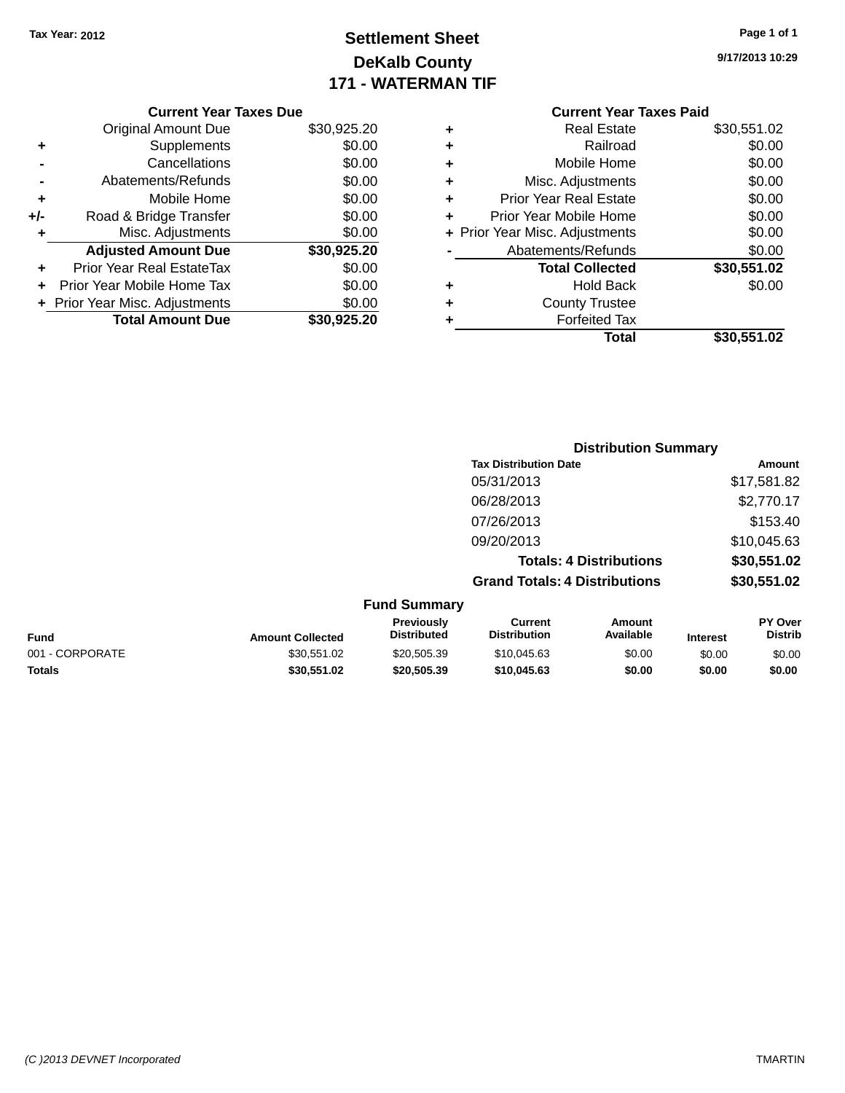# **Settlement Sheet Tax Year: 2012 Page 1 of 1 DeKalb County 171 - WATERMAN TIF**

**9/17/2013 10:29**

|     | <b>Current Year Taxes Due</b>  |             |
|-----|--------------------------------|-------------|
|     | <b>Original Amount Due</b>     | \$30,925.20 |
|     | Supplements                    | \$0.00      |
|     | Cancellations                  | \$0.00      |
|     | Abatements/Refunds             | \$0.00      |
| ٠   | Mobile Home                    | \$0.00      |
| +/- | Road & Bridge Transfer         | \$0.00      |
|     | Misc. Adjustments              | \$0.00      |
|     | <b>Adjusted Amount Due</b>     | \$30,925.20 |
| ٠   | Prior Year Real EstateTax      | \$0.00      |
|     | Prior Year Mobile Home Tax     | \$0.00      |
|     | + Prior Year Misc. Adjustments | \$0.00      |
|     | <b>Total Amount Due</b>        | \$30,925,20 |
|     |                                |             |

# **Current Year Taxes Paid**

| ٠ | <b>Real Estate</b>             | \$30,551.02 |
|---|--------------------------------|-------------|
| ٠ | Railroad                       | \$0.00      |
| ٠ | Mobile Home                    | \$0.00      |
| ٠ | Misc. Adjustments              | \$0.00      |
| ٠ | <b>Prior Year Real Estate</b>  | \$0.00      |
| ٠ | Prior Year Mobile Home         | \$0.00      |
|   | + Prior Year Misc. Adjustments | \$0.00      |
|   | Abatements/Refunds             | \$0.00      |
|   | <b>Total Collected</b>         | \$30,551.02 |
| ٠ | <b>Hold Back</b>               | \$0.00      |
| ٠ | <b>County Trustee</b>          |             |
| ٠ | <b>Forfeited Tax</b>           |             |
|   | Total                          | \$30,551.02 |
|   |                                |             |

|                 |                         |                                  | <b>Distribution Summary</b>           |                                |                 |                           |
|-----------------|-------------------------|----------------------------------|---------------------------------------|--------------------------------|-----------------|---------------------------|
|                 |                         |                                  | <b>Tax Distribution Date</b>          |                                |                 | Amount                    |
|                 |                         |                                  | 05/31/2013                            |                                |                 | \$17,581.82               |
|                 |                         |                                  | 06/28/2013                            |                                |                 | \$2,770.17                |
|                 |                         |                                  | 07/26/2013                            |                                |                 | \$153.40                  |
|                 |                         |                                  | 09/20/2013                            |                                |                 | \$10,045.63               |
|                 |                         |                                  |                                       | <b>Totals: 4 Distributions</b> |                 | \$30,551.02               |
|                 |                         |                                  | <b>Grand Totals: 4 Distributions</b>  |                                |                 | \$30,551.02               |
|                 |                         | <b>Fund Summary</b>              |                                       |                                |                 |                           |
| <b>Fund</b>     | <b>Amount Collected</b> | Previously<br><b>Distributed</b> | <b>Current</b><br><b>Distribution</b> | Amount<br>Available            | <b>Interest</b> | PY Over<br><b>Distrib</b> |
| 001 - CORPORATE | \$30.551.02             | \$20.505.39                      | \$10.045.63                           | \$0.00                         | \$0.00          | \$0.00                    |

**Totals \$30,551.02 \$20,505.39 \$10,045.63 \$0.00 \$0.00 \$0.00**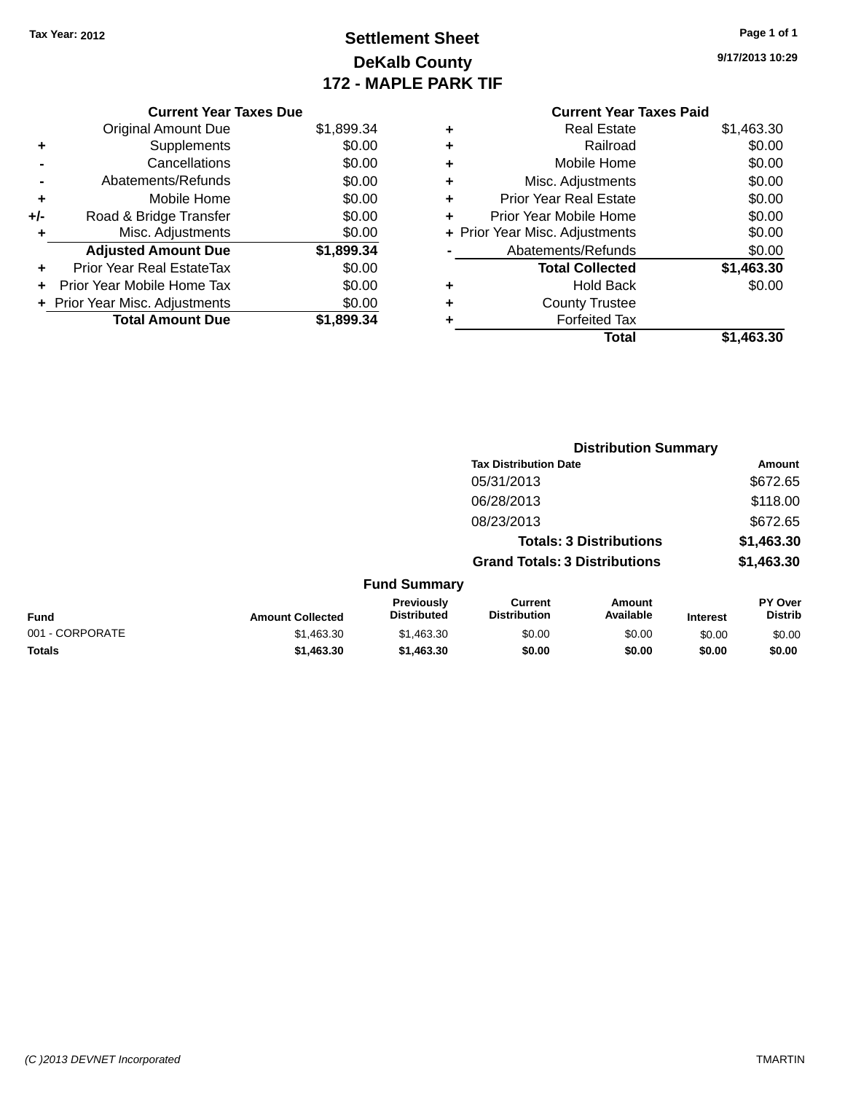# **Settlement Sheet Tax Year: 2012 Page 1 of 1 DeKalb County 172 - MAPLE PARK TIF**

**9/17/2013 10:29**

### **Current Year Taxes Paid +** Real Estate \$1,463.30 **+** Railroad \$0.00 **+** Mobile Home \$0.00 **+** Misc. Adjustments \$0.00 **+** Prior Year Real Estate \$0.00 **+** Prior Year Mobile Home \$0.00 **+ Prior Year Misc. Adjustments**  $$0.00$ **-** Abatements/Refunds \$0.00 **Total Collected \$1,463.30 +** Hold Back \$0.00 **+** County Trustee **+** Forfeited Tax **Total \$1,463.30**

**Distribution Summary**

|     | <b>Current Year Taxes Due</b>    |            |
|-----|----------------------------------|------------|
|     | <b>Original Amount Due</b>       | \$1,899.34 |
| ٠   | Supplements                      | \$0.00     |
|     | Cancellations                    | \$0.00     |
|     | Abatements/Refunds               | \$0.00     |
| ٠   | Mobile Home                      | \$0.00     |
| +/- | Road & Bridge Transfer           | \$0.00     |
| ٠   | Misc. Adjustments                | \$0.00     |
|     | <b>Adjusted Amount Due</b>       | \$1,899.34 |
| ٠   | <b>Prior Year Real EstateTax</b> | \$0.00     |
| ÷   | Prior Year Mobile Home Tax       | \$0.00     |
|     | + Prior Year Misc. Adjustments   | \$0.00     |
|     | <b>Total Amount Due</b>          | \$1.899.34 |

|                 |                         |                                  | <b>Tax Distribution Date</b>          |                                |                 | Amount                    |
|-----------------|-------------------------|----------------------------------|---------------------------------------|--------------------------------|-----------------|---------------------------|
|                 |                         |                                  | 05/31/2013                            |                                |                 | \$672.65                  |
|                 |                         |                                  | 06/28/2013                            |                                |                 | \$118.00                  |
|                 |                         |                                  | 08/23/2013                            |                                |                 | \$672.65                  |
|                 |                         |                                  |                                       | <b>Totals: 3 Distributions</b> |                 | \$1,463.30                |
|                 |                         |                                  | <b>Grand Totals: 3 Distributions</b>  |                                |                 | \$1,463.30                |
|                 |                         | <b>Fund Summary</b>              |                                       |                                |                 |                           |
| <b>Fund</b>     | <b>Amount Collected</b> | Previously<br><b>Distributed</b> | <b>Current</b><br><b>Distribution</b> | Amount<br>Available            | <b>Interest</b> | PY Over<br><b>Distrib</b> |
| 001 - CORPORATE | \$1,463.30              | \$1,463.30                       | \$0.00                                | \$0.00                         | \$0.00          | \$0.00                    |
|                 |                         |                                  |                                       |                                |                 |                           |

**Totals \$1,463.30 \$1,463.30 \$0.00 \$0.00 \$0.00 \$0.00**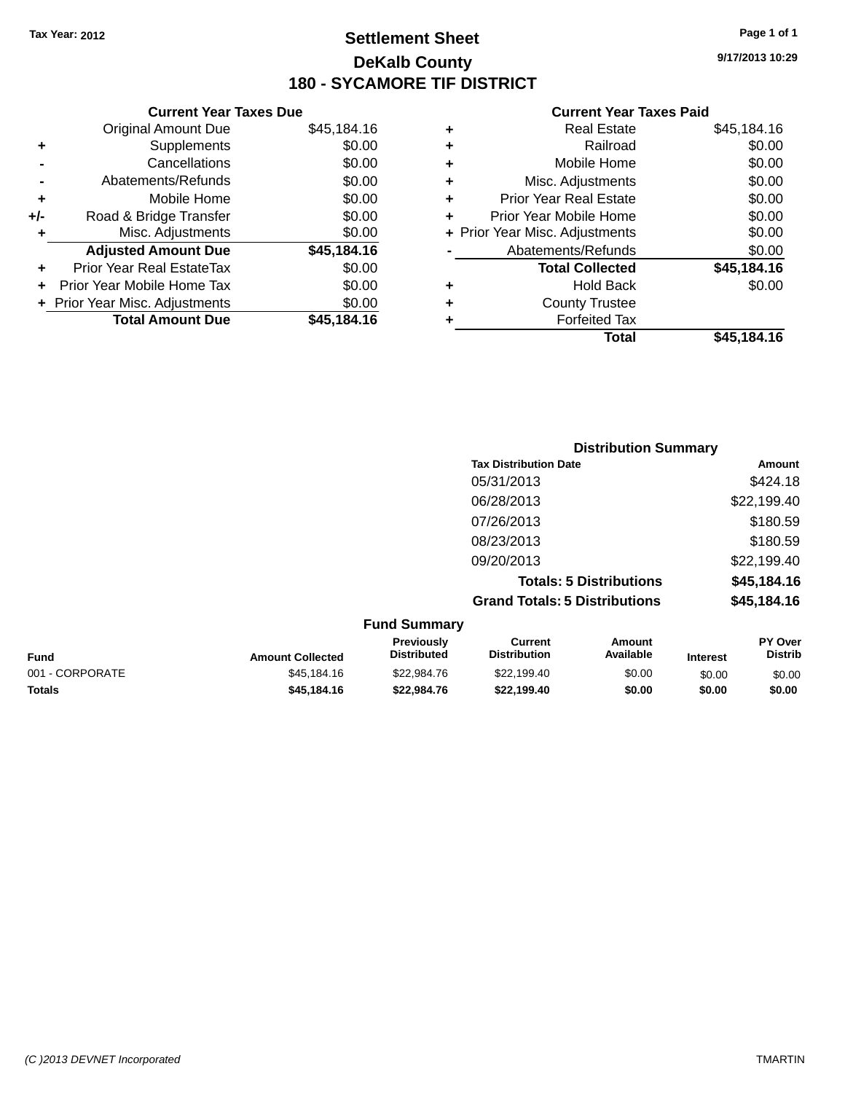# **Settlement Sheet Tax Year: 2012 Page 1 of 1 DeKalb County 180 - SYCAMORE TIF DISTRICT**

**9/17/2013 10:29**

|     | <b>Current Year Taxes Due</b>  |             |
|-----|--------------------------------|-------------|
|     | <b>Original Amount Due</b>     | \$45,184.16 |
| ٠   | Supplements                    | \$0.00      |
|     | Cancellations                  | \$0.00      |
|     | Abatements/Refunds             | \$0.00      |
| ٠   | Mobile Home                    | \$0.00      |
| +/- | Road & Bridge Transfer         | \$0.00      |
| ٠   | Misc. Adjustments              | \$0.00      |
|     | <b>Adjusted Amount Due</b>     | \$45,184.16 |
| ٠   | Prior Year Real EstateTax      | \$0.00      |
|     | Prior Year Mobile Home Tax     | \$0.00      |
|     | + Prior Year Misc. Adjustments | \$0.00      |
|     | <b>Total Amount Due</b>        | \$45,184.16 |
|     |                                |             |

| ٠ | <b>Real Estate</b>             | \$45,184.16 |
|---|--------------------------------|-------------|
| ٠ | Railroad                       | \$0.00      |
| ٠ | Mobile Home                    | \$0.00      |
| ٠ | Misc. Adjustments              | \$0.00      |
| ٠ | <b>Prior Year Real Estate</b>  | \$0.00      |
| ÷ | Prior Year Mobile Home         | \$0.00      |
|   | + Prior Year Misc. Adjustments | \$0.00      |
|   | Abatements/Refunds             | \$0.00      |
|   | <b>Total Collected</b>         | \$45,184.16 |
| ٠ | <b>Hold Back</b>               | \$0.00      |
| ٠ | <b>County Trustee</b>          |             |
| ٠ | <b>Forfeited Tax</b>           |             |
|   | Total                          | \$45.184.16 |
|   |                                |             |

|                                         | <b>Distribution Summary</b>          |             |
|-----------------------------------------|--------------------------------------|-------------|
|                                         | <b>Tax Distribution Date</b>         | Amount      |
|                                         | 05/31/2013                           | \$424.18    |
|                                         | 06/28/2013                           | \$22,199.40 |
|                                         | 07/26/2013                           | \$180.59    |
|                                         | 08/23/2013                           | \$180.59    |
|                                         | 09/20/2013                           | \$22,199.40 |
|                                         | <b>Totals: 5 Distributions</b>       | \$45,184.16 |
|                                         | <b>Grand Totals: 5 Distributions</b> | \$45,184.16 |
| $E_{t}$ and $C_{t}$ in $\mathbb{R}^{n}$ |                                      |             |

|                 |                         | <b>Fund Summary</b>                     |                                |                     |                 |                                  |
|-----------------|-------------------------|-----------------------------------------|--------------------------------|---------------------|-----------------|----------------------------------|
| <b>Fund</b>     | <b>Amount Collected</b> | <b>Previously</b><br><b>Distributed</b> | Current<br><b>Distribution</b> | Amount<br>Available | <b>Interest</b> | <b>PY Over</b><br><b>Distrib</b> |
| 001 - CORPORATE | \$45,184,16             | \$22,984.76                             | \$22,199.40                    | \$0.00              | \$0.00          | \$0.00                           |
| <b>Totals</b>   | \$45,184,16             | \$22,984.76                             | \$22.199.40                    | \$0.00              | \$0.00          | \$0.00                           |
|                 |                         |                                         |                                |                     |                 |                                  |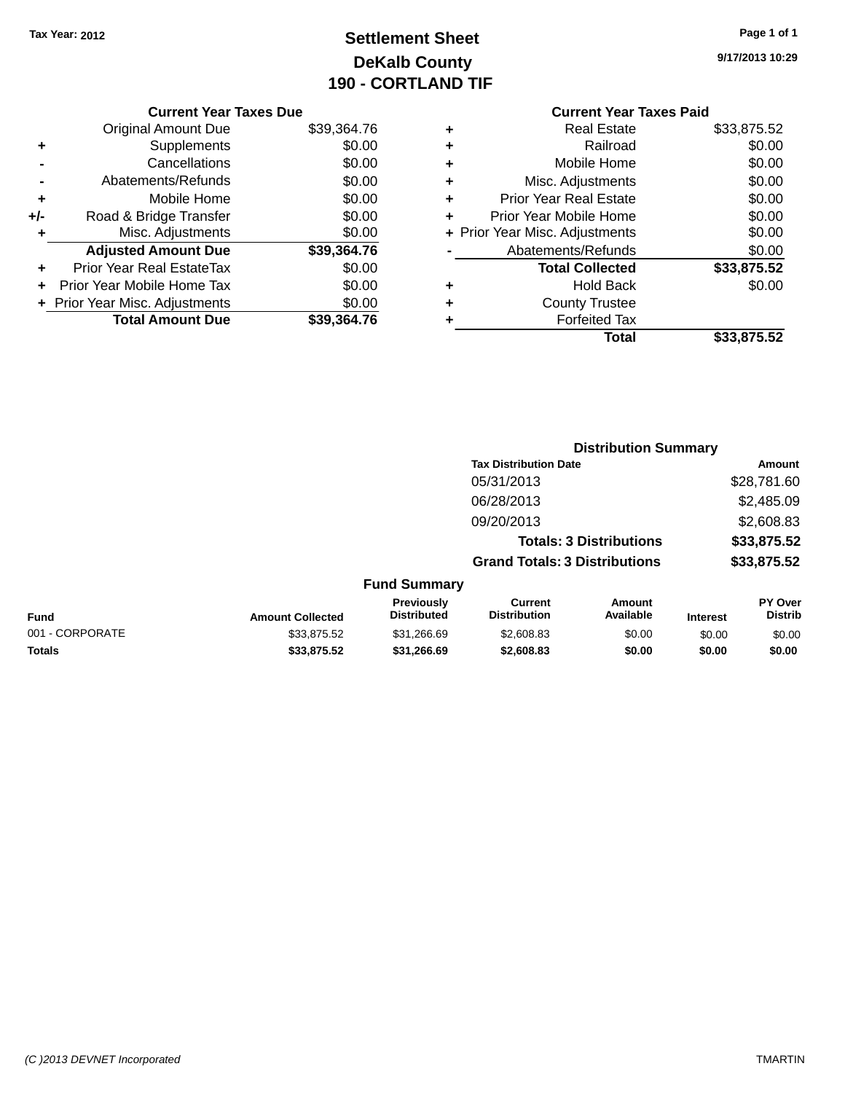# **Settlement Sheet Tax Year: 2012 Page 1 of 1 DeKalb County 190 - CORTLAND TIF**

**9/17/2013 10:29**

|     | <b>Current Year Taxes Due</b>  |             |
|-----|--------------------------------|-------------|
|     | <b>Original Amount Due</b>     | \$39,364.76 |
| ٠   | Supplements                    | \$0.00      |
|     | Cancellations                  | \$0.00      |
|     | Abatements/Refunds             | \$0.00      |
| ٠   | Mobile Home                    | \$0.00      |
| +/- | Road & Bridge Transfer         | \$0.00      |
| ٠   | Misc. Adjustments              | \$0.00      |
|     | <b>Adjusted Amount Due</b>     | \$39,364.76 |
|     | Prior Year Real EstateTax      | \$0.00      |
|     | Prior Year Mobile Home Tax     | \$0.00      |
|     | + Prior Year Misc. Adjustments | \$0.00      |
|     | <b>Total Amount Due</b>        | \$39,364.76 |
|     |                                |             |

|   | Total                          | \$33,875.52 |
|---|--------------------------------|-------------|
|   | <b>Forfeited Tax</b>           |             |
| ٠ | <b>County Trustee</b>          |             |
| ٠ | Hold Back                      | \$0.00      |
|   | <b>Total Collected</b>         | \$33,875.52 |
|   | Abatements/Refunds             | \$0.00      |
|   | + Prior Year Misc. Adjustments | \$0.00      |
| ٠ | Prior Year Mobile Home         | \$0.00      |
| ÷ | <b>Prior Year Real Estate</b>  | \$0.00      |
| ٠ | Misc. Adjustments              | \$0.00      |
| ٠ | Mobile Home                    | \$0.00      |
| ٠ | Railroad                       | \$0.00      |
|   | <b>Real Estate</b>             | \$33,875.52 |

|                 |                         |                                  | <b>Distribution Summary</b>           |                                |                 |                           |
|-----------------|-------------------------|----------------------------------|---------------------------------------|--------------------------------|-----------------|---------------------------|
|                 |                         |                                  | <b>Tax Distribution Date</b>          |                                |                 | Amount                    |
|                 |                         |                                  | 05/31/2013                            |                                |                 | \$28,781.60               |
|                 |                         |                                  | 06/28/2013                            |                                |                 | \$2,485.09                |
|                 |                         |                                  | 09/20/2013                            |                                |                 | \$2,608.83                |
|                 |                         |                                  |                                       | <b>Totals: 3 Distributions</b> |                 | \$33,875.52               |
|                 |                         |                                  | <b>Grand Totals: 3 Distributions</b>  |                                |                 | \$33,875.52               |
|                 |                         | <b>Fund Summary</b>              |                                       |                                |                 |                           |
| Fund            | <b>Amount Collected</b> | Previously<br><b>Distributed</b> | <b>Current</b><br><b>Distribution</b> | Amount<br>Available            | <b>Interest</b> | PY Over<br><b>Distrib</b> |
| 001 - CORPORATE | \$33,875.52             | \$31,266.69                      | \$2,608.83                            | \$0.00                         | \$0.00          | \$0.00                    |
| <b>Totals</b>   | \$33,875.52             | \$31,266.69                      | \$2,608.83                            | \$0.00                         | \$0.00          | \$0.00                    |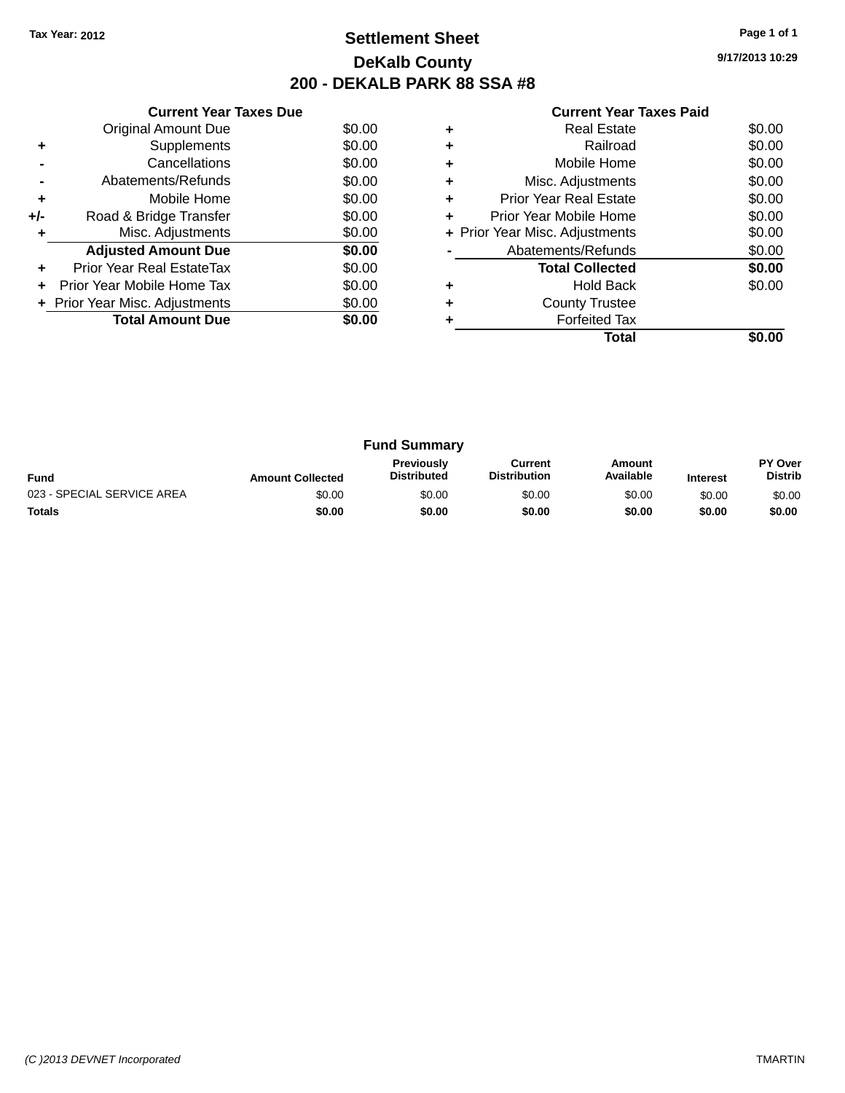# **Settlement Sheet Tax Year: 2012 Page 1 of 1 DeKalb County 200 - DEKALB PARK 88 SSA #8**

**9/17/2013 10:29**

| <b>Current Year Taxes Paid</b> |  |
|--------------------------------|--|
| <b>Dool Ectoto</b>             |  |

|     | <b>Current Year Taxes Due</b>  |        |
|-----|--------------------------------|--------|
|     | <b>Original Amount Due</b>     | \$0.00 |
| ٠   | Supplements                    | \$0.00 |
|     | Cancellations                  | \$0.00 |
|     | Abatements/Refunds             | \$0.00 |
| ٠   | Mobile Home                    | \$0.00 |
| +/- | Road & Bridge Transfer         | \$0.00 |
|     | Misc. Adjustments              | \$0.00 |
|     | <b>Adjusted Amount Due</b>     | \$0.00 |
|     | Prior Year Real EstateTax      | \$0.00 |
|     | Prior Year Mobile Home Tax     | \$0.00 |
|     | + Prior Year Misc. Adjustments | \$0.00 |
|     | <b>Total Amount Due</b>        | \$0.00 |
|     |                                |        |

|   | <b>Real Estate</b>             | \$0.00 |
|---|--------------------------------|--------|
| ٠ | Railroad                       | \$0.00 |
| ٠ | Mobile Home                    | \$0.00 |
| ٠ | Misc. Adjustments              | \$0.00 |
| ٠ | <b>Prior Year Real Estate</b>  | \$0.00 |
| ٠ | Prior Year Mobile Home         | \$0.00 |
|   | + Prior Year Misc. Adjustments | \$0.00 |
|   | Abatements/Refunds             | \$0.00 |
|   | <b>Total Collected</b>         | \$0.00 |
| ٠ | <b>Hold Back</b>               | \$0.00 |
| ٠ | <b>County Trustee</b>          |        |
|   | <b>Forfeited Tax</b>           |        |
|   | Total                          |        |

| <b>Fund Summary</b>        |                         |                                         |                                |                     |                 |                           |
|----------------------------|-------------------------|-----------------------------------------|--------------------------------|---------------------|-----------------|---------------------------|
| <b>Fund</b>                | <b>Amount Collected</b> | <b>Previously</b><br><b>Distributed</b> | Current<br><b>Distribution</b> | Amount<br>Available | <b>Interest</b> | PY Over<br><b>Distrib</b> |
| 023 - SPECIAL SERVICE AREA | \$0.00                  | \$0.00                                  | \$0.00                         | \$0.00              | \$0.00          | \$0.00                    |
| <b>Totals</b>              | \$0.00                  | \$0.00                                  | \$0.00                         | \$0.00              | \$0.00          | \$0.00                    |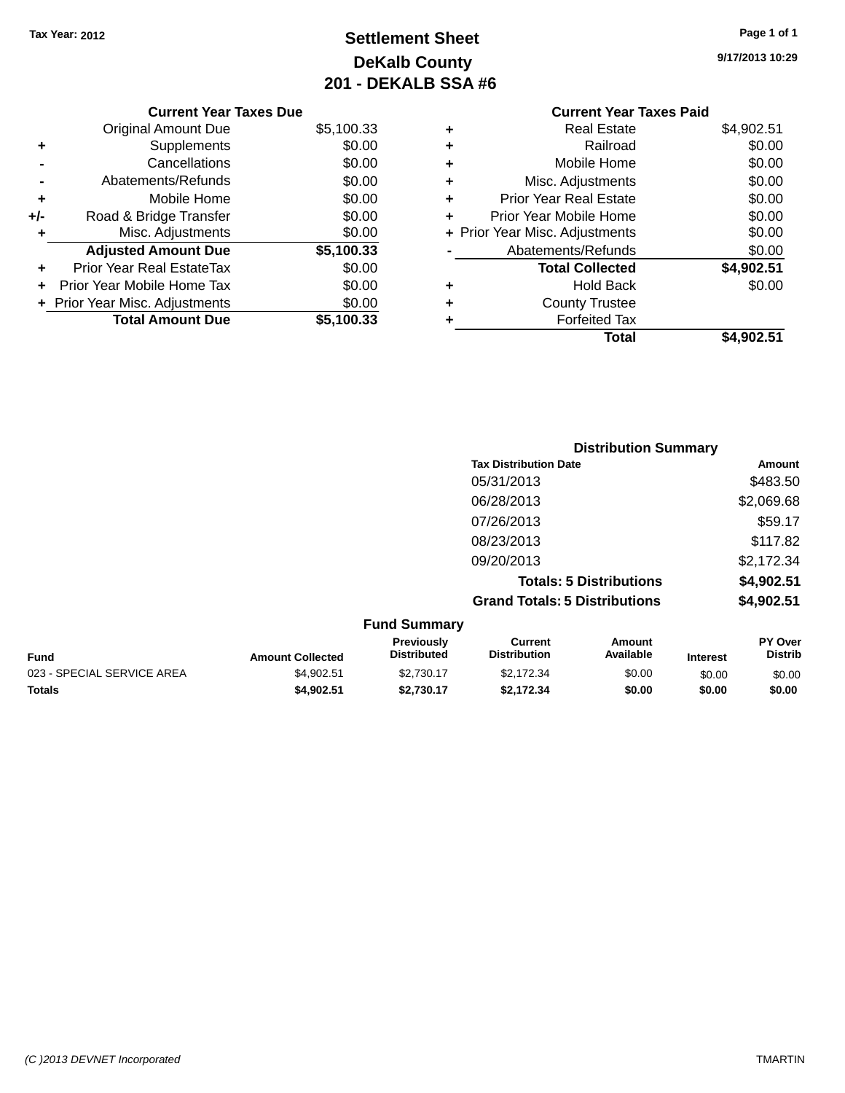# **Settlement Sheet Tax Year: 2012 Page 1 of 1 DeKalb County 201 - DEKALB SSA #6**

|     | <b>Current Year Taxes Due</b>    |            |  |  |  |  |
|-----|----------------------------------|------------|--|--|--|--|
|     | <b>Original Amount Due</b>       | \$5,100.33 |  |  |  |  |
| ٠   | Supplements                      | \$0.00     |  |  |  |  |
|     | Cancellations                    | \$0.00     |  |  |  |  |
|     | Abatements/Refunds               | \$0.00     |  |  |  |  |
| ٠   | Mobile Home                      | \$0.00     |  |  |  |  |
| +/- | Road & Bridge Transfer           | \$0.00     |  |  |  |  |
| ٠   | Misc. Adjustments                | \$0.00     |  |  |  |  |
|     | <b>Adjusted Amount Due</b>       | \$5,100.33 |  |  |  |  |
|     | <b>Prior Year Real EstateTax</b> | \$0.00     |  |  |  |  |
|     | Prior Year Mobile Home Tax       | \$0.00     |  |  |  |  |
|     | + Prior Year Misc. Adjustments   | \$0.00     |  |  |  |  |
|     | <b>Total Amount Due</b>          | \$5,100,33 |  |  |  |  |

### **Current Year Taxes Paid +** Real Estate \$4,902.51 **+** Railroad \$0.00 **+** Mobile Home \$0.00 **+** Misc. Adjustments \$0.00 **+** Prior Year Real Estate \$0.00 **+** Prior Year Mobile Home \$0.00<br> **+** Prior Year Misc. Adjustments \$0.00 **+ Prior Year Misc. Adjustments -** Abatements/Refunds \$0.00 **Total Collected \$4,902.51 +** Hold Back \$0.00 **+** County Trustee **+** Forfeited Tax **Total \$4,902.51**

|                  |                                  | <b>Distribution Summary</b>           |                                |          |                                  |
|------------------|----------------------------------|---------------------------------------|--------------------------------|----------|----------------------------------|
|                  |                                  | <b>Tax Distribution Date</b>          |                                |          | Amount                           |
|                  |                                  | 05/31/2013                            |                                |          | \$483.50                         |
|                  |                                  | 06/28/2013                            |                                |          | \$2,069.68                       |
|                  |                                  | 07/26/2013                            |                                |          | \$59.17                          |
|                  |                                  | 08/23/2013                            |                                |          | \$117.82                         |
|                  |                                  | 09/20/2013                            |                                |          | \$2,172.34                       |
|                  |                                  |                                       | <b>Totals: 5 Distributions</b> |          | \$4,902.51                       |
|                  |                                  | <b>Grand Totals: 5 Distributions</b>  |                                |          | \$4,902.51                       |
|                  | <b>Fund Summary</b>              |                                       |                                |          |                                  |
| Amount Collected | Previously<br><b>Distributed</b> | <b>Current</b><br><b>Distribution</b> | Amount<br>Available            | Interest | <b>PY Over</b><br><b>Distrib</b> |

|                            |                         | <b>Previously</b>  | Current             | Amount    |                 | <b>PY Over</b> |
|----------------------------|-------------------------|--------------------|---------------------|-----------|-----------------|----------------|
| <b>Fund</b>                | <b>Amount Collected</b> | <b>Distributed</b> | <b>Distribution</b> | Available | <b>Interest</b> | <b>Distrib</b> |
| 023 - SPECIAL SERVICE AREA | \$4.902.51              | \$2.730.17         | \$2.172.34          | \$0.00    | \$0.00          | \$0.00         |
| <b>Totals</b>              | \$4,902.51              | \$2.730.17         | \$2.172.34          | \$0.00    | \$0.00          | \$0.00         |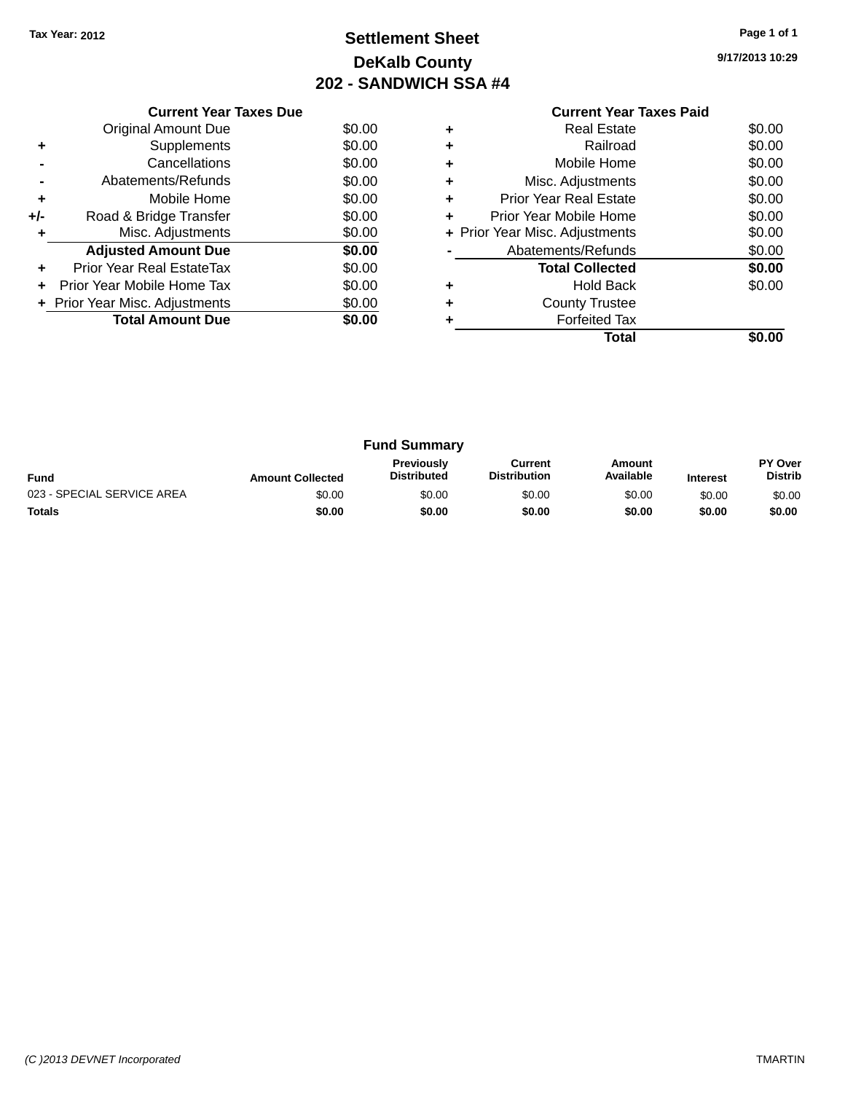# **Settlement Sheet Tax Year: 2012 Page 1 of 1 DeKalb County 202 - SANDWICH SSA #4**

**9/17/2013 10:29**

|     | <b>Current Year Taxes Due</b>  |        |
|-----|--------------------------------|--------|
|     | <b>Original Amount Due</b>     | \$0.00 |
| ٠   | Supplements                    | \$0.00 |
|     | Cancellations                  | \$0.00 |
|     | Abatements/Refunds             | \$0.00 |
| ٠   | Mobile Home                    | \$0.00 |
| +/- | Road & Bridge Transfer         | \$0.00 |
|     | Misc. Adjustments              | \$0.00 |
|     | <b>Adjusted Amount Due</b>     | \$0.00 |
|     | Prior Year Real EstateTax      | \$0.00 |
|     | Prior Year Mobile Home Tax     | \$0.00 |
|     | + Prior Year Misc. Adjustments | \$0.00 |
|     | <b>Total Amount Due</b>        | \$0.00 |
|     |                                |        |

|   | <b>Real Estate</b>             | \$0.00 |
|---|--------------------------------|--------|
|   | Railroad                       | \$0.00 |
| ٠ | Mobile Home                    | \$0.00 |
| ٠ | Misc. Adjustments              | \$0.00 |
| ٠ | <b>Prior Year Real Estate</b>  | \$0.00 |
| ٠ | Prior Year Mobile Home         | \$0.00 |
|   | + Prior Year Misc. Adjustments | \$0.00 |
|   | Abatements/Refunds             | \$0.00 |
|   | <b>Total Collected</b>         | \$0.00 |
| ٠ | <b>Hold Back</b>               | \$0.00 |
|   | <b>County Trustee</b>          |        |
|   | <b>Forfeited Tax</b>           |        |
|   | Total                          |        |

|                            |                         | <b>Fund Summary</b>                     |                                |                     |                 |                           |
|----------------------------|-------------------------|-----------------------------------------|--------------------------------|---------------------|-----------------|---------------------------|
| <b>Fund</b>                | <b>Amount Collected</b> | <b>Previously</b><br><b>Distributed</b> | Current<br><b>Distribution</b> | Amount<br>Available | <b>Interest</b> | PY Over<br><b>Distrib</b> |
| 023 - SPECIAL SERVICE AREA | \$0.00                  | \$0.00                                  | \$0.00                         | \$0.00              | \$0.00          | \$0.00                    |
| <b>Totals</b>              | \$0.00                  | \$0.00                                  | \$0.00                         | \$0.00              | \$0.00          | \$0.00                    |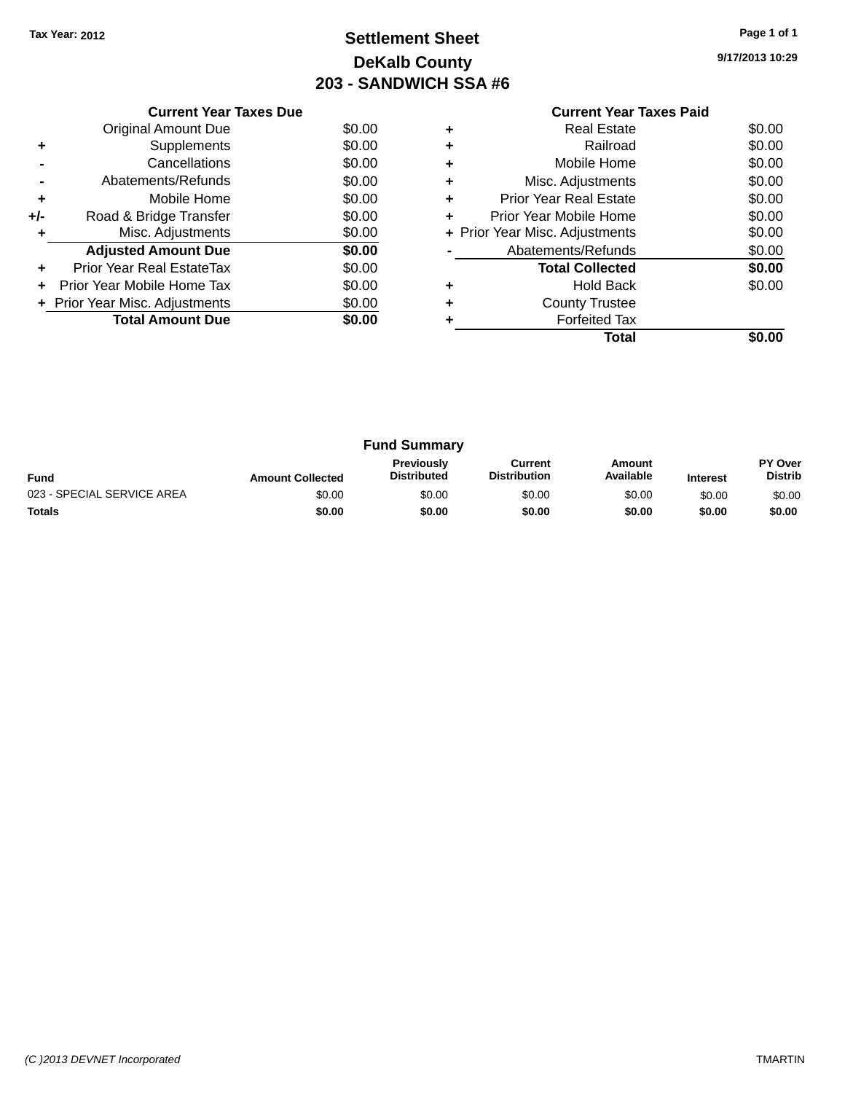# **Settlement Sheet Tax Year: 2012 Page 1 of 1 DeKalb County 203 - SANDWICH SSA #6**

**9/17/2013 10:29**

|       | <b>Current Year Taxes Due</b>  |        |
|-------|--------------------------------|--------|
|       | <b>Original Amount Due</b>     | \$0.00 |
| ٠     | Supplements                    | \$0.00 |
|       | Cancellations                  | \$0.00 |
|       | Abatements/Refunds             | \$0.00 |
| ٠     | Mobile Home                    | \$0.00 |
| $+/-$ | Road & Bridge Transfer         | \$0.00 |
|       | Misc. Adjustments              | \$0.00 |
|       | <b>Adjusted Amount Due</b>     | \$0.00 |
|       | Prior Year Real EstateTax      | \$0.00 |
|       | Prior Year Mobile Home Tax     | \$0.00 |
|       | + Prior Year Misc. Adjustments | \$0.00 |
|       | <b>Total Amount Due</b>        | \$0.00 |
|       |                                |        |

|   | <b>Real Estate</b>             | \$0.00 |
|---|--------------------------------|--------|
| ٠ | Railroad                       | \$0.00 |
| ٠ | Mobile Home                    | \$0.00 |
| ٠ | Misc. Adjustments              | \$0.00 |
| ٠ | <b>Prior Year Real Estate</b>  | \$0.00 |
| ٠ | Prior Year Mobile Home         | \$0.00 |
|   | + Prior Year Misc. Adjustments | \$0.00 |
|   | Abatements/Refunds             | \$0.00 |
|   | <b>Total Collected</b>         | \$0.00 |
|   |                                |        |
|   | <b>Hold Back</b>               | \$0.00 |
| ٠ | <b>County Trustee</b>          |        |
|   | <b>Forfeited Tax</b>           |        |

|                            |                         | <b>Fund Summary</b>                     |                                |                     |                 |                           |
|----------------------------|-------------------------|-----------------------------------------|--------------------------------|---------------------|-----------------|---------------------------|
| <b>Fund</b>                | <b>Amount Collected</b> | <b>Previously</b><br><b>Distributed</b> | Current<br><b>Distribution</b> | Amount<br>Available | <b>Interest</b> | PY Over<br><b>Distrib</b> |
| 023 - SPECIAL SERVICE AREA | \$0.00                  | \$0.00                                  | \$0.00                         | \$0.00              | \$0.00          | \$0.00                    |
| <b>Totals</b>              | \$0.00                  | \$0.00                                  | \$0.00                         | \$0.00              | \$0.00          | \$0.00                    |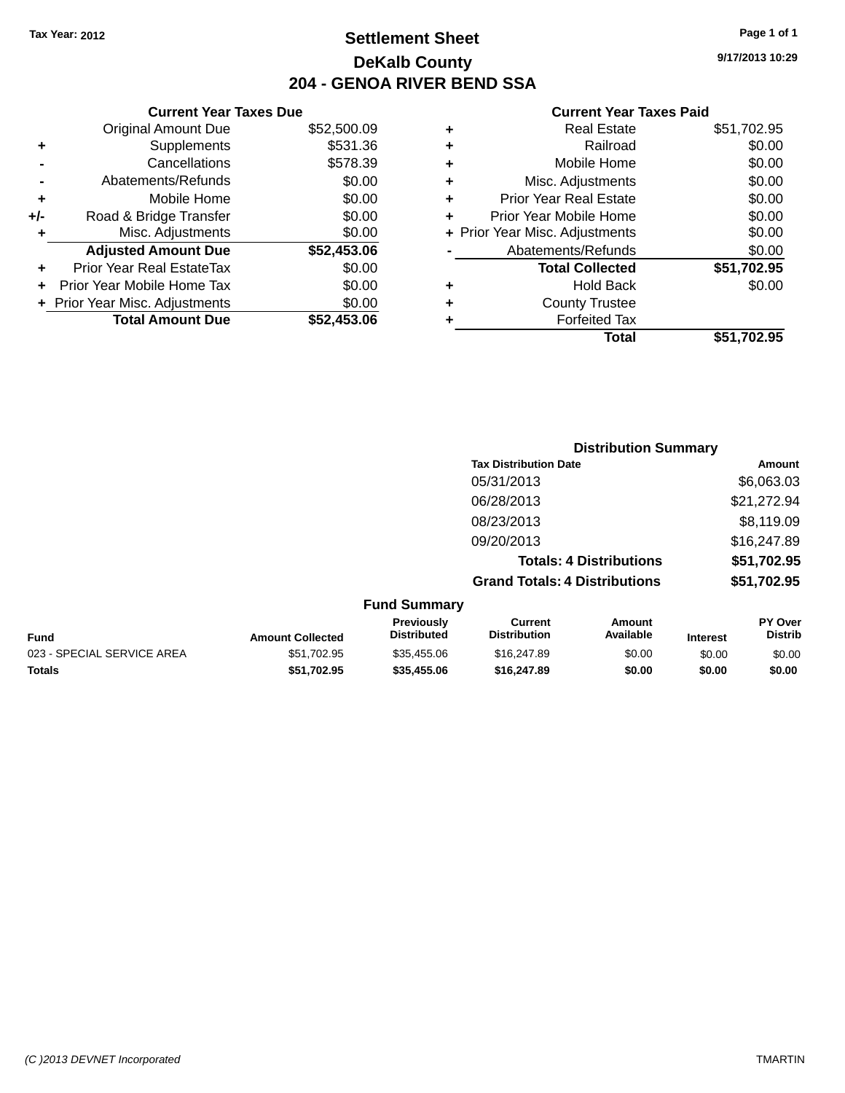# **Settlement Sheet Tax Year: 2012 Page 1 of 1 DeKalb County 204 - GENOA RIVER BEND SSA**

**9/17/2013 10:29**

| <b>Current Ye</b>            |   |             | <b>Current Year Taxes Due</b>    |       |
|------------------------------|---|-------------|----------------------------------|-------|
| <b>Real Esta</b>             | ٠ | \$52,500.09 | <b>Original Amount Due</b>       |       |
| Railro                       | ٠ | \$531.36    | Supplements                      | ٠     |
| Mobile Hor                   | ٠ | \$578.39    | Cancellations                    |       |
| Misc. Adjustmer              | ٠ | \$0.00      | Abatements/Refunds               |       |
| <b>Prior Year Real Esta</b>  | ٠ | \$0.00      | Mobile Home                      | ٠     |
| Prior Year Mobile Hor        | ÷ | \$0.00      | Road & Bridge Transfer           | $+/-$ |
| + Prior Year Misc. Adjustmer |   | \$0.00      | Misc. Adjustments                |       |
| Abatements/Refun             |   | \$52,453.06 | <b>Adjusted Amount Due</b>       |       |
| <b>Total Collect</b>         |   | \$0.00      | <b>Prior Year Real EstateTax</b> |       |
| Hold Ba                      | ٠ | \$0.00      | Prior Year Mobile Home Tax       |       |
| <b>County Trust</b>          | ٠ | \$0.00      | + Prior Year Misc. Adjustments   |       |
| <b>Forfeited T</b>           |   | \$52,453.06 | <b>Total Amount Due</b>          |       |
| Tο.                          |   |             |                                  |       |

|   | <b>Real Estate</b>             | \$51,702.95 |
|---|--------------------------------|-------------|
| ٠ | Railroad                       | \$0.00      |
| ٠ | Mobile Home                    | \$0.00      |
| ٠ | Misc. Adjustments              | \$0.00      |
| ٠ | <b>Prior Year Real Estate</b>  | \$0.00      |
| ٠ | Prior Year Mobile Home         | \$0.00      |
|   | + Prior Year Misc. Adjustments | \$0.00      |
|   | Abatements/Refunds             | \$0.00      |
|   | <b>Total Collected</b>         | \$51,702.95 |
| ٠ | <b>Hold Back</b>               | \$0.00      |
| ٠ | <b>County Trustee</b>          |             |
|   | <b>Forfeited Tax</b>           |             |
|   | Total                          | \$51,702.95 |
|   |                                |             |

|                            |                         |                                  | <b>Distribution Summary</b>           |                                |                 |                                  |
|----------------------------|-------------------------|----------------------------------|---------------------------------------|--------------------------------|-----------------|----------------------------------|
|                            |                         |                                  | <b>Tax Distribution Date</b>          |                                |                 | Amount                           |
|                            |                         |                                  | 05/31/2013                            |                                |                 | \$6,063.03                       |
|                            |                         |                                  | 06/28/2013                            |                                |                 | \$21,272.94                      |
|                            |                         |                                  | 08/23/2013                            |                                |                 | \$8,119.09                       |
|                            |                         |                                  | 09/20/2013                            |                                |                 | \$16,247.89                      |
|                            |                         |                                  |                                       | <b>Totals: 4 Distributions</b> |                 | \$51,702.95                      |
|                            |                         |                                  | <b>Grand Totals: 4 Distributions</b>  |                                |                 | \$51,702.95                      |
|                            |                         | <b>Fund Summary</b>              |                                       |                                |                 |                                  |
| <b>Fund</b>                | <b>Amount Collected</b> | Previously<br><b>Distributed</b> | <b>Current</b><br><b>Distribution</b> | Amount<br>Available            | <b>Interest</b> | <b>PY Over</b><br><b>Distrib</b> |
| 023 - SPECIAL SERVICE AREA | \$51,702.95             | \$35,455.06                      | \$16,247.89                           | \$0.00                         | \$0.00          | \$0.00                           |
| <b>Totals</b>              | \$51,702.95             | \$35,455.06                      | \$16,247.89                           | \$0.00                         | \$0.00          | \$0.00                           |
|                            |                         |                                  |                                       |                                |                 |                                  |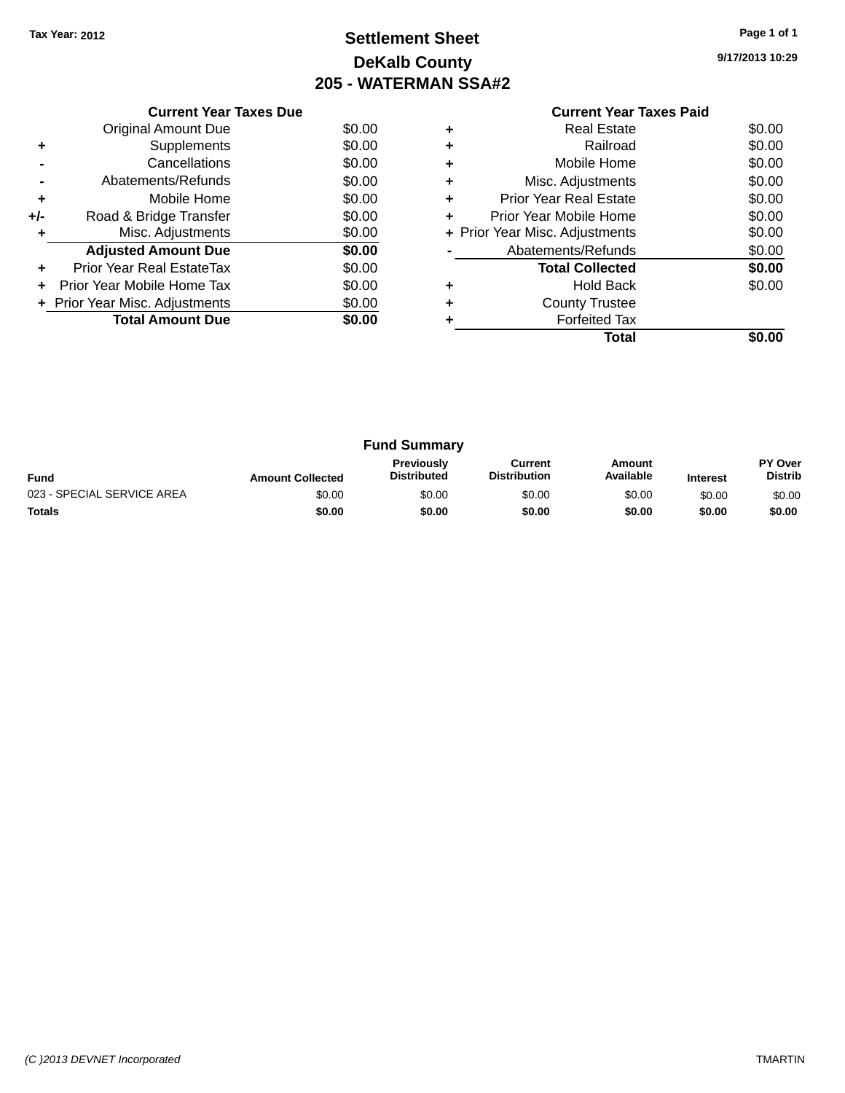# **Settlement Sheet Tax Year: 2012 Page 1 of 1 DeKalb County 205 - WATERMAN SSA#2**

**9/17/2013 10:29**

| <b>Current Year Taxes Paid</b> |  |  |
|--------------------------------|--|--|

|     | <b>Current Year Taxes Due</b>  |        |
|-----|--------------------------------|--------|
|     | Original Amount Due            | \$0.00 |
| ٠   | Supplements                    | \$0.00 |
|     | Cancellations                  | \$0.00 |
|     | Abatements/Refunds             | \$0.00 |
| ٠   | Mobile Home                    | \$0.00 |
| +/- | Road & Bridge Transfer         | \$0.00 |
| ٠   | Misc. Adjustments              | \$0.00 |
|     | <b>Adjusted Amount Due</b>     | \$0.00 |
| ٠   | Prior Year Real EstateTax      | \$0.00 |
|     | Prior Year Mobile Home Tax     | \$0.00 |
|     | + Prior Year Misc. Adjustments | \$0.00 |
|     | <b>Total Amount Due</b>        | \$0.00 |
|     |                                |        |

|   | <b>Real Estate</b>             | \$0.00 |
|---|--------------------------------|--------|
| ٠ | Railroad                       | \$0.00 |
| ٠ | Mobile Home                    | \$0.00 |
| ٠ | Misc. Adjustments              | \$0.00 |
| ٠ | <b>Prior Year Real Estate</b>  | \$0.00 |
| ٠ | Prior Year Mobile Home         | \$0.00 |
|   | + Prior Year Misc. Adjustments | \$0.00 |
|   | Abatements/Refunds             | \$0.00 |
|   | <b>Total Collected</b>         | \$0.00 |
| ٠ | <b>Hold Back</b>               | \$0.00 |
| ÷ | <b>County Trustee</b>          |        |
|   | <b>Forfeited Tax</b>           |        |
|   | Total                          |        |

| <b>Fund Summary</b>        |                         |                                         |                                |                     |                 |                                  |
|----------------------------|-------------------------|-----------------------------------------|--------------------------------|---------------------|-----------------|----------------------------------|
| <b>Fund</b>                | <b>Amount Collected</b> | <b>Previously</b><br><b>Distributed</b> | Current<br><b>Distribution</b> | Amount<br>Available | <b>Interest</b> | <b>PY Over</b><br><b>Distrib</b> |
| 023 - SPECIAL SERVICE AREA | \$0.00                  | \$0.00                                  | \$0.00                         | \$0.00              | \$0.00          | \$0.00                           |
| <b>Totals</b>              | \$0.00                  | \$0.00                                  | \$0.00                         | \$0.00              | \$0.00          | \$0.00                           |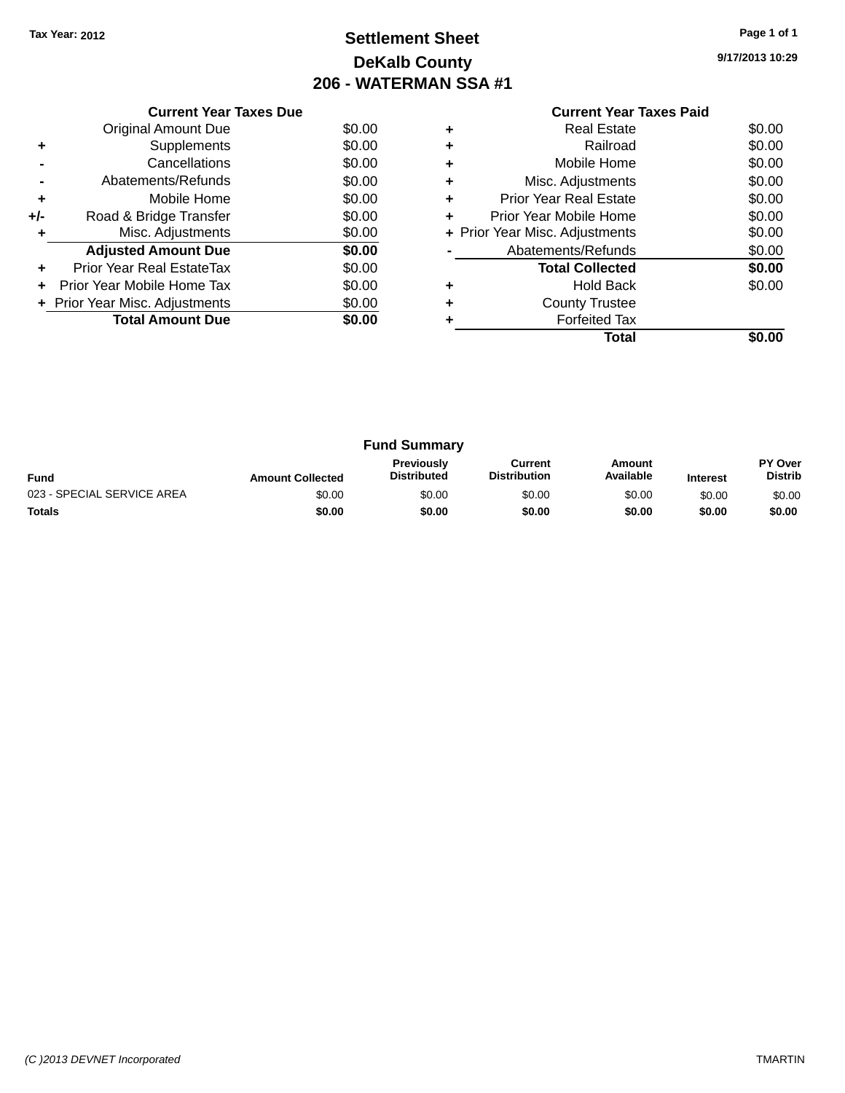# **Settlement Sheet Tax Year: 2012 Page 1 of 1 DeKalb County 206 - WATERMAN SSA #1**

**9/17/2013 10:29**

|     | <b>Current Year Taxes Due</b>  |        |  |  |  |  |
|-----|--------------------------------|--------|--|--|--|--|
|     | <b>Original Amount Due</b>     | \$0.00 |  |  |  |  |
| ٠   | Supplements                    | \$0.00 |  |  |  |  |
|     | Cancellations                  | \$0.00 |  |  |  |  |
|     | Abatements/Refunds             | \$0.00 |  |  |  |  |
| ٠   | Mobile Home                    | \$0.00 |  |  |  |  |
| +/- | Road & Bridge Transfer         | \$0.00 |  |  |  |  |
|     | Misc. Adjustments              | \$0.00 |  |  |  |  |
|     | <b>Adjusted Amount Due</b>     | \$0.00 |  |  |  |  |
|     | Prior Year Real EstateTax      | \$0.00 |  |  |  |  |
|     | Prior Year Mobile Home Tax     | \$0.00 |  |  |  |  |
|     | + Prior Year Misc. Adjustments | \$0.00 |  |  |  |  |
|     | <b>Total Amount Due</b>        | \$0.00 |  |  |  |  |
|     |                                |        |  |  |  |  |

### **Current Year Taxes Paid +** Real Estate \$0.00 **+** Railroad \$0.00 **+** Mobile Home \$0.00 **+** Misc. Adjustments \$0.00 **+** Prior Year Real Estate \$0.00 **+** Prior Year Mobile Home \$0.00<br> **+** Prior Year Misc. Adjustments \$0.00 **+ Prior Year Misc. Adjustments -** Abatements/Refunds \$0.00 **Total Collected \$0.00 +** Hold Back \$0.00 **+** County Trustee **+** Forfeited Tax **Total \$0.00**

| <b>Fund Summary</b>        |                         |                                         |                                |                     |                 |                           |
|----------------------------|-------------------------|-----------------------------------------|--------------------------------|---------------------|-----------------|---------------------------|
| <b>Fund</b>                | <b>Amount Collected</b> | <b>Previously</b><br><b>Distributed</b> | Current<br><b>Distribution</b> | Amount<br>Available | <b>Interest</b> | PY Over<br><b>Distrib</b> |
| 023 - SPECIAL SERVICE AREA | \$0.00                  | \$0.00                                  | \$0.00                         | \$0.00              | \$0.00          | \$0.00                    |
| <b>Totals</b>              | \$0.00                  | \$0.00                                  | \$0.00                         | \$0.00              | \$0.00          | \$0.00                    |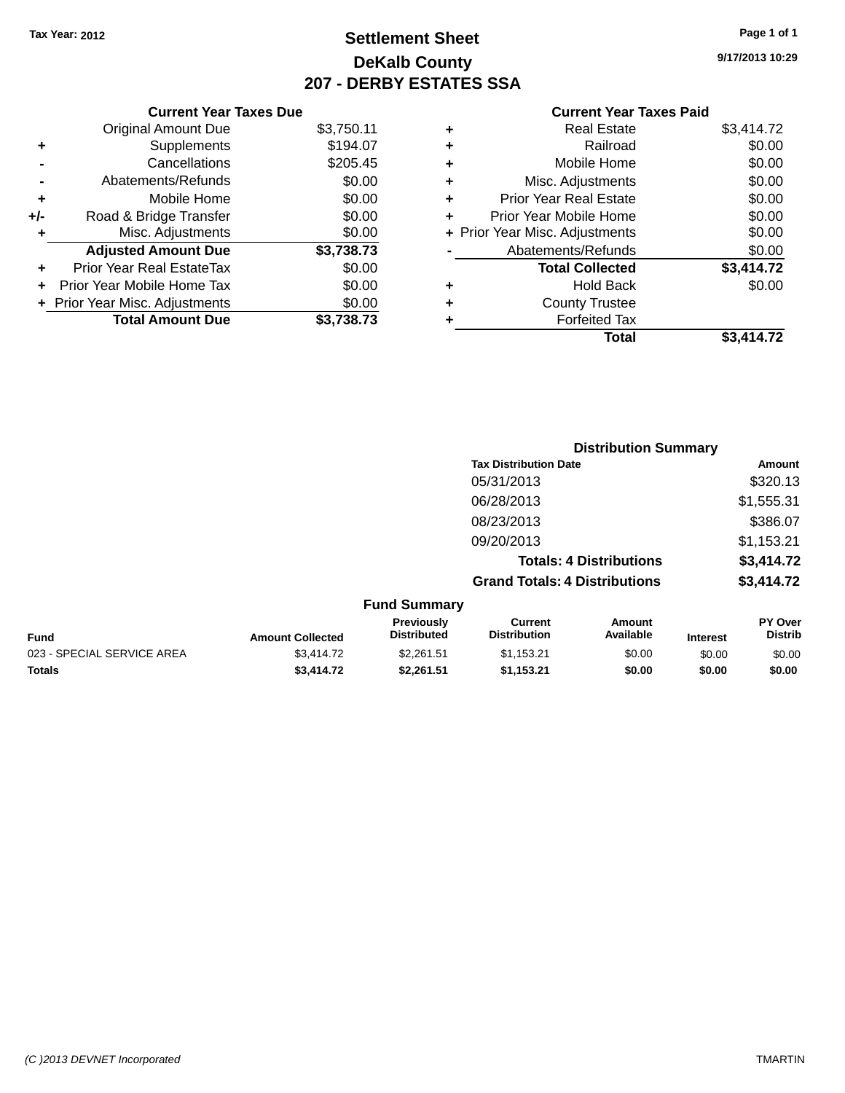# **Settlement Sheet Tax Year: 2012 Page 1 of 1 DeKalb County 207 - DERBY ESTATES SSA**

**9/17/2013 10:29**

| <b>Current Year Taxes Paid</b> |  |  |  |
|--------------------------------|--|--|--|
|--------------------------------|--|--|--|

|     | <b>Current Year Taxes Due</b>  |            |  |  |  |  |  |
|-----|--------------------------------|------------|--|--|--|--|--|
|     | <b>Original Amount Due</b>     | \$3,750.11 |  |  |  |  |  |
| ٠   | Supplements                    | \$194.07   |  |  |  |  |  |
|     | Cancellations                  | \$205.45   |  |  |  |  |  |
|     | Abatements/Refunds             | \$0.00     |  |  |  |  |  |
| ٠   | Mobile Home                    | \$0.00     |  |  |  |  |  |
| +/- | Road & Bridge Transfer         | \$0.00     |  |  |  |  |  |
| ٠   | Misc. Adjustments              | \$0.00     |  |  |  |  |  |
|     | <b>Adjusted Amount Due</b>     | \$3,738.73 |  |  |  |  |  |
|     | Prior Year Real EstateTax      | \$0.00     |  |  |  |  |  |
|     | Prior Year Mobile Home Tax     | \$0.00     |  |  |  |  |  |
|     | + Prior Year Misc. Adjustments | \$0.00     |  |  |  |  |  |
|     | <b>Total Amount Due</b>        | \$3.738.73 |  |  |  |  |  |

| \$0.00     |
|------------|
| \$0.00     |
| \$0.00     |
| \$0.00     |
| \$0.00     |
| \$0.00     |
| \$0.00     |
| \$3,414.72 |
| \$0.00     |
|            |
|            |
| \$3,414.72 |
|            |

|                            |                         |                                  | <b>Distribution Summary</b>           |                                |                 |                                  |
|----------------------------|-------------------------|----------------------------------|---------------------------------------|--------------------------------|-----------------|----------------------------------|
|                            |                         |                                  | <b>Tax Distribution Date</b>          |                                |                 | Amount                           |
|                            |                         |                                  | 05/31/2013                            |                                |                 | \$320.13                         |
|                            |                         |                                  | 06/28/2013                            |                                |                 | \$1,555.31                       |
|                            |                         |                                  | 08/23/2013                            |                                |                 | \$386.07                         |
|                            |                         |                                  | 09/20/2013                            |                                |                 | \$1,153.21                       |
|                            |                         |                                  |                                       | <b>Totals: 4 Distributions</b> |                 | \$3,414.72                       |
|                            |                         |                                  | <b>Grand Totals: 4 Distributions</b>  |                                |                 | \$3,414.72                       |
|                            |                         | <b>Fund Summary</b>              |                                       |                                |                 |                                  |
| <b>Fund</b>                | <b>Amount Collected</b> | Previously<br><b>Distributed</b> | <b>Current</b><br><b>Distribution</b> | Amount<br>Available            | <b>Interest</b> | <b>PY Over</b><br><b>Distrib</b> |
| 023 - SPECIAL SERVICE AREA | \$3,414.72              | \$2,261.51                       | \$1,153.21                            | \$0.00                         | \$0.00          | \$0.00                           |
| <b>Totals</b>              | \$3,414.72              | \$2.261.51                       | \$1,153.21                            | \$0.00                         | \$0.00          | \$0.00                           |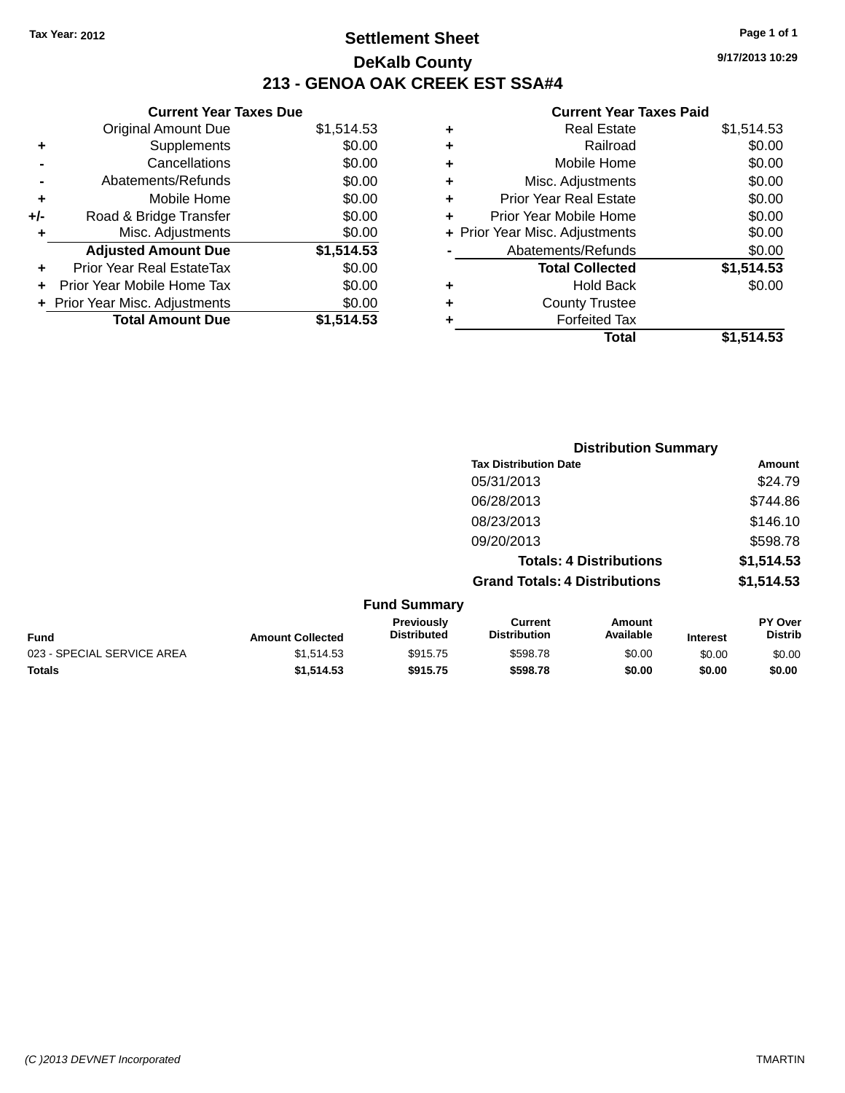# **Settlement Sheet Tax Year: 2012 Page 1 of 1 DeKalb County 213 - GENOA OAK CREEK EST SSA#4**

|       | <b>Current Year Taxes Due</b>    |            |
|-------|----------------------------------|------------|
|       | <b>Original Amount Due</b>       | \$1,514.53 |
| ٠     | Supplements                      | \$0.00     |
|       | Cancellations                    | \$0.00     |
|       | Abatements/Refunds               | \$0.00     |
| ٠     | Mobile Home                      | \$0.00     |
| $+/-$ | Road & Bridge Transfer           | \$0.00     |
| ÷     | Misc. Adjustments                | \$0.00     |
|       | <b>Adjusted Amount Due</b>       | \$1,514.53 |
| ÷     | <b>Prior Year Real EstateTax</b> | \$0.00     |
|       | Prior Year Mobile Home Tax       | \$0.00     |
|       | + Prior Year Misc. Adjustments   | \$0.00     |
|       | <b>Total Amount Due</b>          | \$1.514.53 |

|   | <b>Real Estate</b>             | \$1,514.53 |
|---|--------------------------------|------------|
| ٠ | Railroad                       | \$0.00     |
| ٠ | Mobile Home                    | \$0.00     |
| ٠ | Misc. Adjustments              | \$0.00     |
| ٠ | <b>Prior Year Real Estate</b>  | \$0.00     |
| ٠ | Prior Year Mobile Home         | \$0.00     |
|   | + Prior Year Misc. Adjustments | \$0.00     |
|   | Abatements/Refunds             | \$0.00     |
|   | <b>Total Collected</b>         | \$1,514.53 |
| ٠ | Hold Back                      | \$0.00     |
| ٠ | <b>County Trustee</b>          |            |
| ٠ | <b>Forfeited Tax</b>           |            |
|   | Total                          | \$1,514.53 |
|   |                                |            |

|                            |                         |                                  | <b>Distribution Summary</b>           |                                |                 |                           |
|----------------------------|-------------------------|----------------------------------|---------------------------------------|--------------------------------|-----------------|---------------------------|
|                            |                         |                                  | <b>Tax Distribution Date</b>          |                                |                 | Amount                    |
|                            |                         |                                  | 05/31/2013                            |                                |                 | \$24.79                   |
|                            |                         |                                  | 06/28/2013                            |                                |                 | \$744.86                  |
|                            |                         |                                  | 08/23/2013                            |                                |                 | \$146.10                  |
|                            |                         |                                  | 09/20/2013                            |                                |                 | \$598.78                  |
|                            |                         |                                  |                                       | <b>Totals: 4 Distributions</b> |                 | \$1,514.53                |
|                            |                         |                                  | <b>Grand Totals: 4 Distributions</b>  |                                |                 | \$1,514.53                |
|                            |                         | <b>Fund Summary</b>              |                                       |                                |                 |                           |
| <b>Fund</b>                | <b>Amount Collected</b> | Previously<br><b>Distributed</b> | <b>Current</b><br><b>Distribution</b> | Amount<br>Available            | <b>Interest</b> | PY Over<br><b>Distrib</b> |
| 023 - SPECIAL SERVICE AREA | \$1,514.53              | \$915.75                         | \$598.78                              | \$0.00                         | \$0.00          | \$0.00                    |
| <b>Totals</b>              | \$1,514.53              | \$915.75                         | \$598.78                              | \$0.00                         | \$0.00          | \$0.00                    |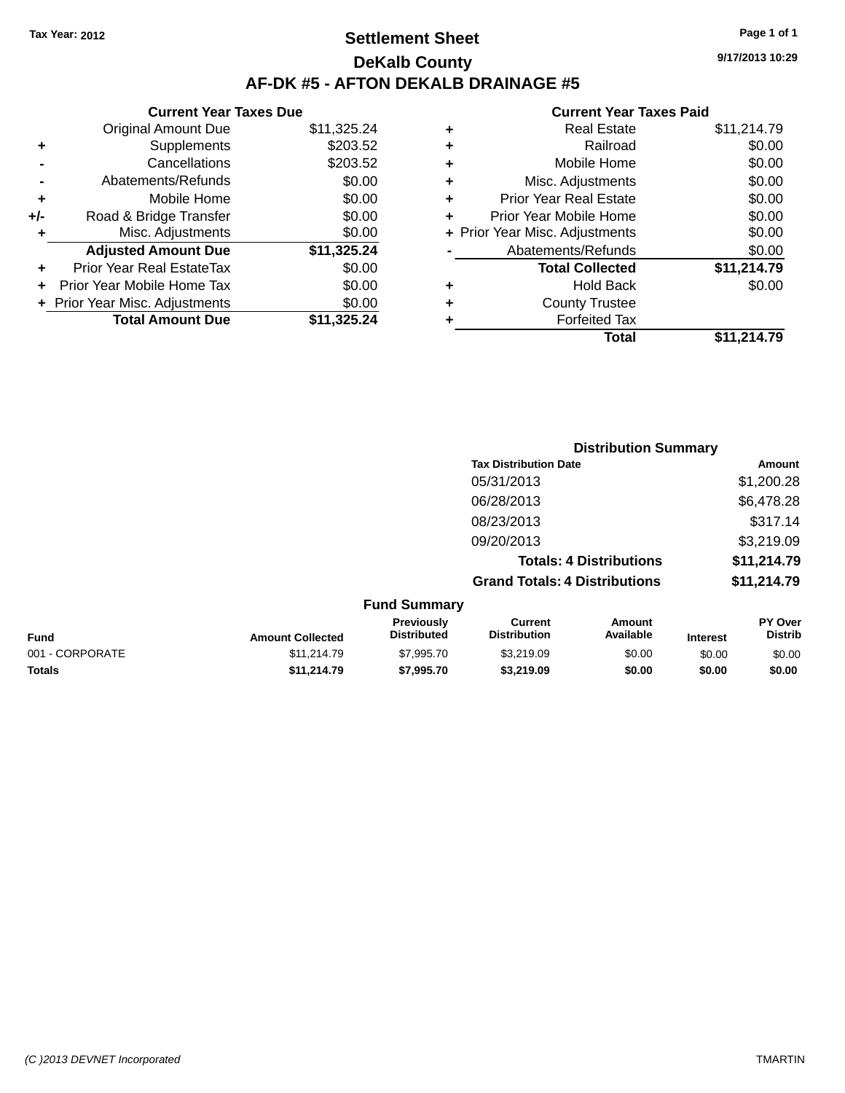# **Settlement Sheet Tax Year: 2012 Page 1 of 1 DeKalb County AF-DK #5 - AFTON DEKALB DRAINAGE #5**

**9/17/2013 10:29**

|     | <b>Current Year Taxes Due</b>  |             |
|-----|--------------------------------|-------------|
|     | <b>Original Amount Due</b>     | \$11,325.24 |
| ٠   | Supplements                    | \$203.52    |
|     | Cancellations                  | \$203.52    |
|     | Abatements/Refunds             | \$0.00      |
| ٠   | Mobile Home                    | \$0.00      |
| +/- | Road & Bridge Transfer         | \$0.00      |
|     | Misc. Adjustments              | \$0.00      |
|     | <b>Adjusted Amount Due</b>     | \$11,325.24 |
| ÷   | Prior Year Real EstateTax      | \$0.00      |
|     | Prior Year Mobile Home Tax     | \$0.00      |
|     | + Prior Year Misc. Adjustments | \$0.00      |
|     | <b>Total Amount Due</b>        | \$11,325,24 |
|     |                                |             |

| ٠ | <b>Real Estate</b>             | \$11,214.79 |
|---|--------------------------------|-------------|
| ٠ | Railroad                       | \$0.00      |
| ٠ | Mobile Home                    | \$0.00      |
| ٠ | Misc. Adjustments              | \$0.00      |
| ٠ | <b>Prior Year Real Estate</b>  | \$0.00      |
| ÷ | Prior Year Mobile Home         | \$0.00      |
|   | + Prior Year Misc. Adjustments | \$0.00      |
|   | Abatements/Refunds             | \$0.00      |
|   | <b>Total Collected</b>         | \$11,214.79 |
| ٠ | Hold Back                      | \$0.00      |
| ٠ | <b>County Trustee</b>          |             |
| ٠ | <b>Forfeited Tax</b>           |             |
|   | Total                          | \$11,214.79 |
|   |                                |             |

|                         |                                         |                                       | <b>Distribution Summary</b>    |                 |                                  |
|-------------------------|-----------------------------------------|---------------------------------------|--------------------------------|-----------------|----------------------------------|
|                         |                                         | <b>Tax Distribution Date</b>          |                                |                 | Amount                           |
|                         |                                         | 05/31/2013                            |                                |                 | \$1,200.28                       |
|                         |                                         | 06/28/2013                            |                                |                 | \$6,478.28                       |
|                         |                                         | 08/23/2013                            |                                |                 | \$317.14                         |
|                         |                                         | 09/20/2013                            |                                |                 | \$3,219.09                       |
|                         |                                         |                                       | <b>Totals: 4 Distributions</b> |                 | \$11,214.79                      |
|                         |                                         | <b>Grand Totals: 4 Distributions</b>  |                                |                 | \$11,214.79                      |
|                         | <b>Fund Summary</b>                     |                                       |                                |                 |                                  |
| <b>Amount Collected</b> | <b>Previously</b><br><b>Distributed</b> | <b>Current</b><br><b>Distribution</b> | Amount<br>Available            | <b>Interest</b> | <b>PY Over</b><br><b>Distrib</b> |
|                         |                                         |                                       |                                |                 |                                  |

| <b>Fund</b>     | <b>Amount Collected</b> | <b>Distributed</b> | <b>Distribution</b> | Available | <b>Interest</b> | Distrib |
|-----------------|-------------------------|--------------------|---------------------|-----------|-----------------|---------|
| 001 - CORPORATE | \$11,214.79             | \$7.995.70         | \$3.219.09          | \$0.00    | \$0.00          | \$0.00  |
| Totals          | \$11.214.79             | \$7,995.70         | \$3.219.09          | \$0.00    | \$0.00          | \$0.00  |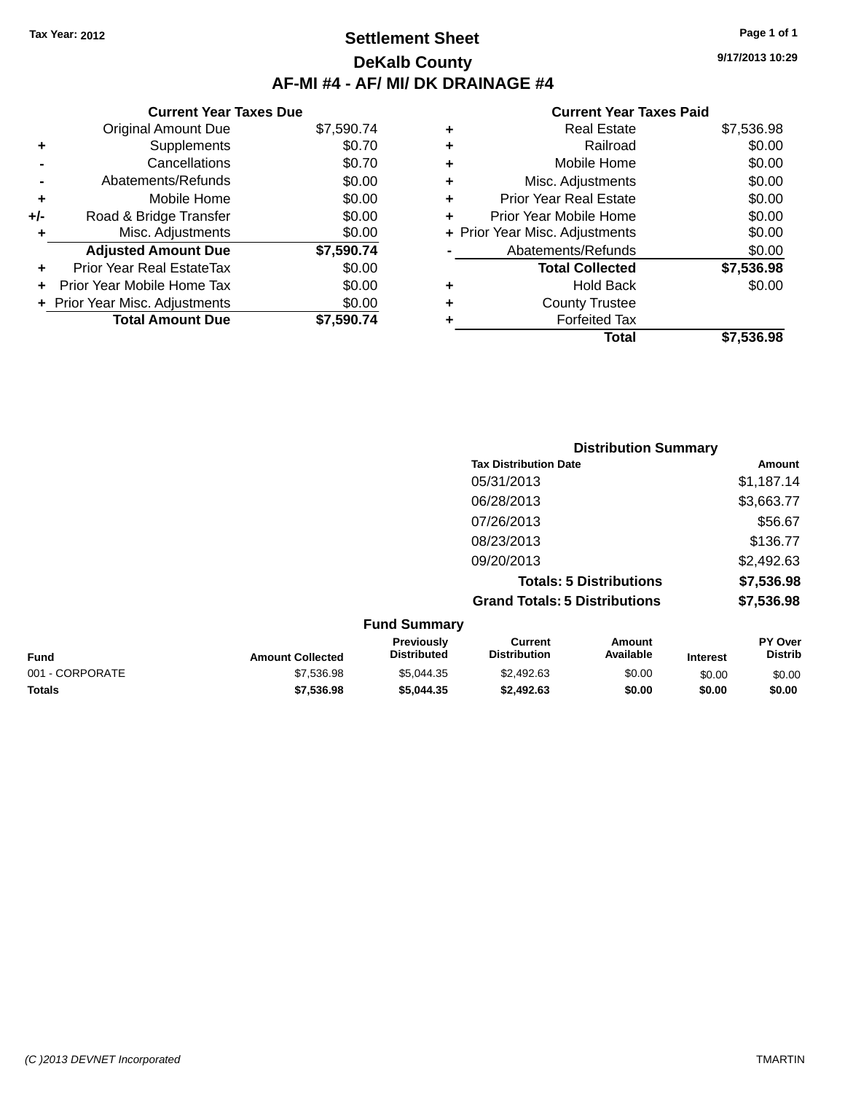# **Settlement Sheet Tax Year: 2012 Page 1 of 1 DeKalb County AF-MI #4 - AF/ MI/ DK DRAINAGE #4**

**9/17/2013 10:29**

|     | <b>Current Year Taxes Due</b>    |            |
|-----|----------------------------------|------------|
|     | <b>Original Amount Due</b>       | \$7,590.74 |
| ٠   | Supplements                      | \$0.70     |
|     | Cancellations                    | \$0.70     |
|     | Abatements/Refunds               | \$0.00     |
| ٠   | Mobile Home                      | \$0.00     |
| +/- | Road & Bridge Transfer           | \$0.00     |
|     | Misc. Adjustments                | \$0.00     |
|     | <b>Adjusted Amount Due</b>       | \$7,590.74 |
| ÷   | <b>Prior Year Real EstateTax</b> | \$0.00     |
| ÷   | Prior Year Mobile Home Tax       | \$0.00     |
|     | + Prior Year Misc. Adjustments   | \$0.00     |
|     | <b>Total Amount Due</b>          | \$7.590.74 |

|   | <b>Real Estate</b>             | \$7,536.98 |
|---|--------------------------------|------------|
| ٠ | Railroad                       | \$0.00     |
| ٠ | Mobile Home                    | \$0.00     |
| ٠ | Misc. Adjustments              | \$0.00     |
| ٠ | <b>Prior Year Real Estate</b>  | \$0.00     |
| ÷ | Prior Year Mobile Home         | \$0.00     |
|   | + Prior Year Misc. Adjustments | \$0.00     |
|   | Abatements/Refunds             | \$0.00     |
|   | <b>Total Collected</b>         | \$7,536.98 |
| ٠ | Hold Back                      | \$0.00     |
| ٠ | <b>County Trustee</b>          |            |
| ٠ | <b>Forfeited Tax</b>           |            |
|   | Total                          | \$7.536.98 |
|   |                                |            |

|                     | <b>Distribution Summary</b>          |            |  |
|---------------------|--------------------------------------|------------|--|
|                     | <b>Tax Distribution Date</b>         | Amount     |  |
|                     | 05/31/2013                           | \$1,187.14 |  |
|                     | 06/28/2013                           | \$3,663.77 |  |
|                     | 07/26/2013                           | \$56.67    |  |
|                     | 08/23/2013                           | \$136.77   |  |
|                     | 09/20/2013                           | \$2,492.63 |  |
|                     | <b>Totals: 5 Distributions</b>       | \$7,536.98 |  |
|                     | <b>Grand Totals: 5 Distributions</b> | \$7,536.98 |  |
| <b>Fund Summary</b> |                                      |            |  |

|                         | <b>URIU VURILIU Y</b>                   |                                |                     |                 |                                  |
|-------------------------|-----------------------------------------|--------------------------------|---------------------|-----------------|----------------------------------|
| <b>Amount Collected</b> | <b>Previously</b><br><b>Distributed</b> | Current<br><b>Distribution</b> | Amount<br>Available | <b>Interest</b> | <b>PY Over</b><br><b>Distrib</b> |
| \$7,536.98              | \$5.044.35                              | \$2,492.63                     | \$0.00              | \$0.00          | \$0.00                           |
| \$7,536.98              | \$5,044,35                              | \$2,492.63                     | \$0.00              | \$0.00          | \$0.00                           |
|                         |                                         |                                |                     |                 |                                  |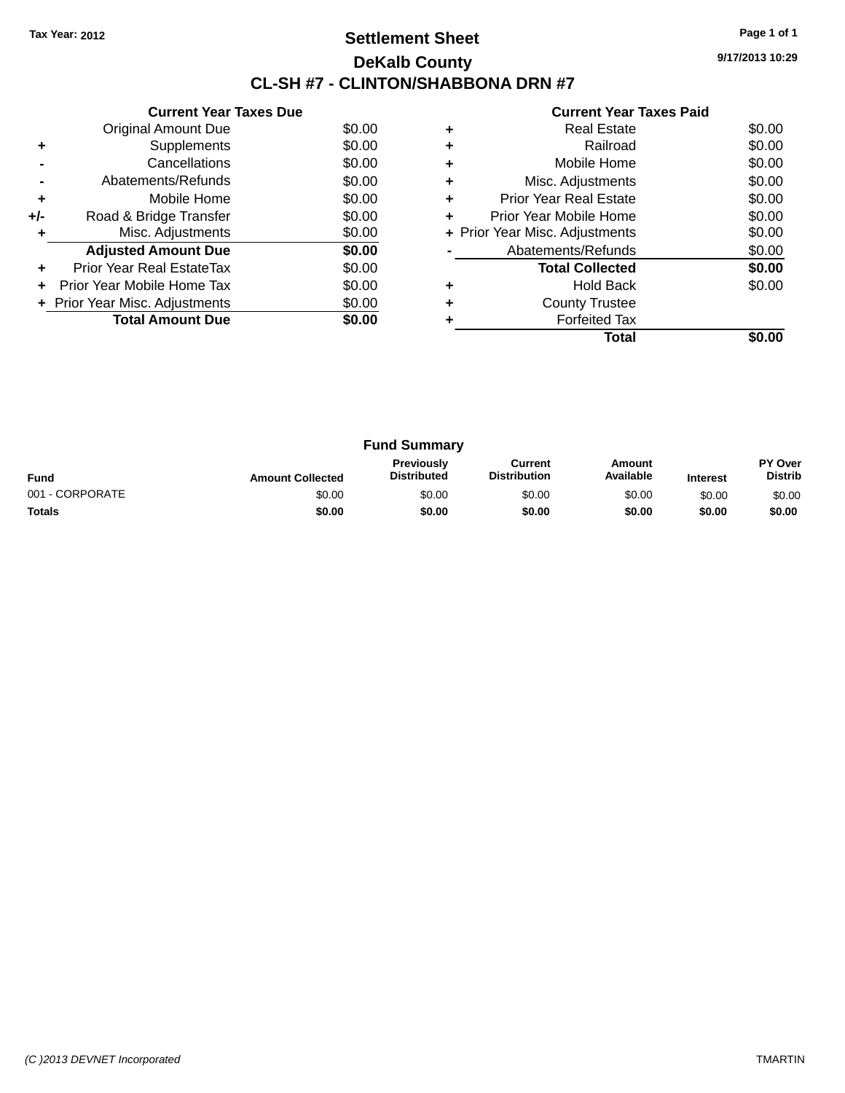# **Settlement Sheet Tax Year: 2012 Page 1 of 1 DeKalb County CL-SH #7 - CLINTON/SHABBONA DRN #7**

**9/17/2013 10:29**

|     | <b>Current Year Taxes Due</b>  |        |
|-----|--------------------------------|--------|
|     | Original Amount Due            | \$0.00 |
| ٠   | Supplements                    | \$0.00 |
|     | Cancellations                  | \$0.00 |
|     | Abatements/Refunds             | \$0.00 |
| ÷   | Mobile Home                    | \$0.00 |
| +/- | Road & Bridge Transfer         | \$0.00 |
|     | Misc. Adjustments              | \$0.00 |
|     | <b>Adjusted Amount Due</b>     | \$0.00 |
| ٠   | Prior Year Real EstateTax      | \$0.00 |
|     | Prior Year Mobile Home Tax     | \$0.00 |
|     | + Prior Year Misc. Adjustments | \$0.00 |
|     | <b>Total Amount Due</b>        | SO.OO  |
|     |                                |        |

|   | <b>Forfeited Tax</b><br>Total  |        |
|---|--------------------------------|--------|
|   | <b>County Trustee</b>          |        |
| ٠ | <b>Hold Back</b>               | \$0.00 |
|   | <b>Total Collected</b>         | \$0.00 |
|   | Abatements/Refunds             | \$0.00 |
|   | + Prior Year Misc. Adjustments | \$0.00 |
| ٠ | Prior Year Mobile Home         | \$0.00 |
| ٠ | <b>Prior Year Real Estate</b>  | \$0.00 |
| ٠ | Misc. Adjustments              | \$0.00 |
| ٠ | Mobile Home                    | \$0.00 |
| ٠ | Railroad                       | \$0.00 |
|   | <b>Real Estate</b>             | \$0.00 |

| <b>Fund Summary</b> |                         |                                         |                                |                     |                 |                                  |
|---------------------|-------------------------|-----------------------------------------|--------------------------------|---------------------|-----------------|----------------------------------|
| <b>Fund</b>         | <b>Amount Collected</b> | <b>Previously</b><br><b>Distributed</b> | Current<br><b>Distribution</b> | Amount<br>Available | <b>Interest</b> | <b>PY Over</b><br><b>Distrib</b> |
| 001 - CORPORATE     | \$0.00                  | \$0.00                                  | \$0.00                         | \$0.00              | \$0.00          | \$0.00                           |
| <b>Totals</b>       | \$0.00                  | \$0.00                                  | \$0.00                         | \$0.00              | \$0.00          | \$0.00                           |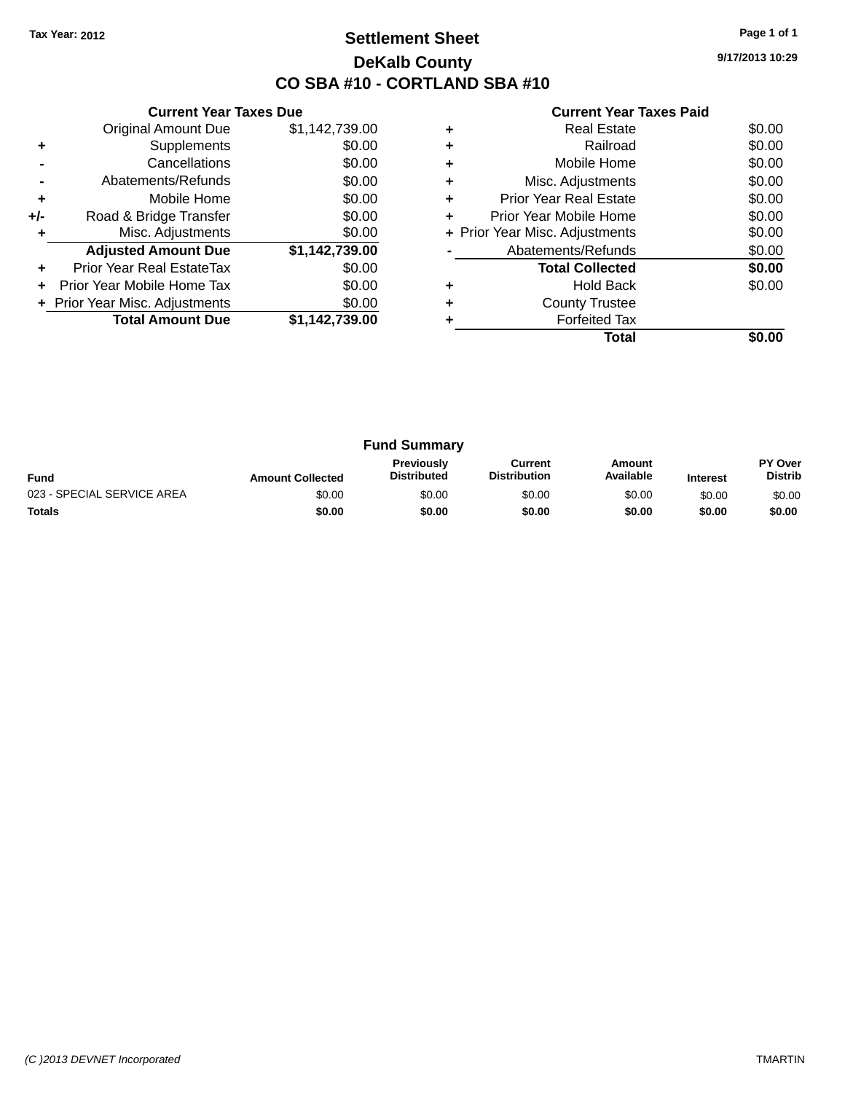# **Settlement Sheet Tax Year: 2012 Page 1 of 1 DeKalb County CO SBA #10 - CORTLAND SBA #10**

**9/17/2013 10:29**

|     | <b>Current Year Taxes Due</b>  |                |
|-----|--------------------------------|----------------|
|     | <b>Original Amount Due</b>     | \$1,142,739.00 |
| ٠   | Supplements                    | \$0.00         |
|     | Cancellations                  | \$0.00         |
|     | Abatements/Refunds             | \$0.00         |
| ÷   | Mobile Home                    | \$0.00         |
| +/- | Road & Bridge Transfer         | \$0.00         |
| ٠   | Misc. Adjustments              | \$0.00         |
|     | <b>Adjusted Amount Due</b>     | \$1,142,739.00 |
| ٠   | Prior Year Real EstateTax      | \$0.00         |
| ÷   | Prior Year Mobile Home Tax     | \$0.00         |
|     | + Prior Year Misc. Adjustments | \$0.00         |
|     | <b>Total Amount Due</b>        | \$1,142,739.00 |
|     |                                |                |

|   | Real Estate                    | \$0.00 |
|---|--------------------------------|--------|
| ٠ | Railroad                       | \$0.00 |
| ٠ | Mobile Home                    | \$0.00 |
| ٠ | Misc. Adjustments              | \$0.00 |
| ٠ | <b>Prior Year Real Estate</b>  | \$0.00 |
| ٠ | Prior Year Mobile Home         | \$0.00 |
|   | + Prior Year Misc. Adjustments | \$0.00 |
|   | Abatements/Refunds             | \$0.00 |
|   | <b>Total Collected</b>         | \$0.00 |
|   | Hold Back                      | \$0.00 |
|   | <b>County Trustee</b>          |        |
|   | <b>Forfeited Tax</b>           |        |
|   | Total                          |        |

| <b>Fund Summary</b>        |                         |                                  |                                |                     |                 |                                  |
|----------------------------|-------------------------|----------------------------------|--------------------------------|---------------------|-----------------|----------------------------------|
| <b>Fund</b>                | <b>Amount Collected</b> | Previously<br><b>Distributed</b> | Current<br><b>Distribution</b> | Amount<br>Available | <b>Interest</b> | <b>PY Over</b><br><b>Distrib</b> |
| 023 - SPECIAL SERVICE AREA | \$0.00                  | \$0.00                           | \$0.00                         | \$0.00              | \$0.00          | \$0.00                           |
| <b>Totals</b>              | \$0.00                  | \$0.00                           | \$0.00                         | \$0.00              | \$0.00          | \$0.00                           |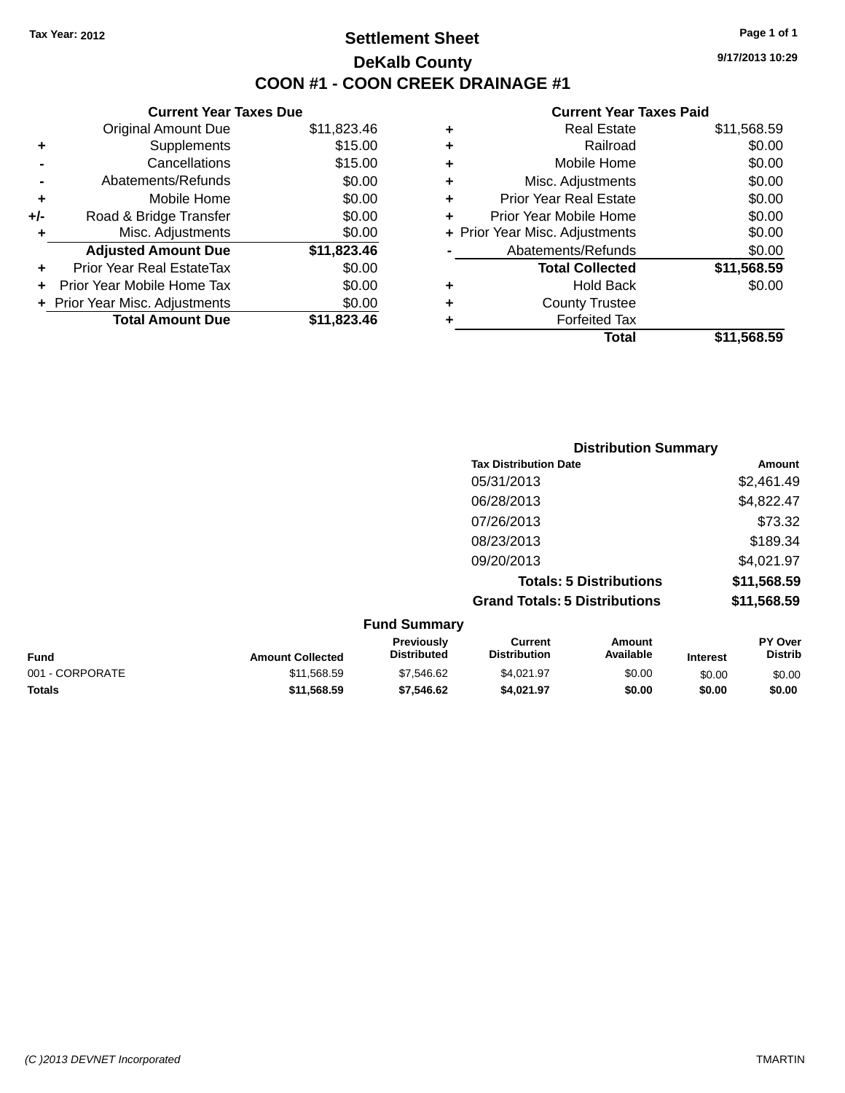# **Settlement Sheet Tax Year: 2012 Page 1 of 1 DeKalb County COON #1 - COON CREEK DRAINAGE #1**

**9/17/2013 10:29**

|     | <b>Current Year Taxes Due</b>  |             |  |  |  |  |  |
|-----|--------------------------------|-------------|--|--|--|--|--|
|     | <b>Original Amount Due</b>     | \$11,823.46 |  |  |  |  |  |
| ٠   | Supplements                    | \$15.00     |  |  |  |  |  |
|     | Cancellations                  | \$15.00     |  |  |  |  |  |
|     | Abatements/Refunds             | \$0.00      |  |  |  |  |  |
| ٠   | Mobile Home                    | \$0.00      |  |  |  |  |  |
| +/- | Road & Bridge Transfer         | \$0.00      |  |  |  |  |  |
|     | Misc. Adjustments              | \$0.00      |  |  |  |  |  |
|     | <b>Adjusted Amount Due</b>     | \$11,823.46 |  |  |  |  |  |
| ÷   | Prior Year Real EstateTax      | \$0.00      |  |  |  |  |  |
|     | Prior Year Mobile Home Tax     | \$0.00      |  |  |  |  |  |
|     | + Prior Year Misc. Adjustments | \$0.00      |  |  |  |  |  |
|     | <b>Total Amount Due</b>        | \$11.823.46 |  |  |  |  |  |

|   | <b>Real Estate</b>             | \$11,568.59 |
|---|--------------------------------|-------------|
| ٠ | Railroad                       | \$0.00      |
| ٠ | Mobile Home                    | \$0.00      |
| ٠ | Misc. Adjustments              | \$0.00      |
| ٠ | <b>Prior Year Real Estate</b>  | \$0.00      |
| ÷ | Prior Year Mobile Home         | \$0.00      |
|   | + Prior Year Misc. Adjustments | \$0.00      |
|   | Abatements/Refunds             | \$0.00      |
|   | <b>Total Collected</b>         | \$11,568.59 |
| ٠ | Hold Back                      | \$0.00      |
| ٠ | <b>County Trustee</b>          |             |
| ٠ | <b>Forfeited Tax</b>           |             |
|   | Total                          | \$11.568.59 |
|   |                                |             |

| <b>Distribution Summary</b>          |             |
|--------------------------------------|-------------|
| <b>Tax Distribution Date</b>         | Amount      |
| 05/31/2013                           | \$2,461.49  |
| 06/28/2013                           | \$4,822.47  |
| 07/26/2013                           | \$73.32     |
| 08/23/2013                           | \$189.34    |
| 09/20/2013                           | \$4,021.97  |
| <b>Totals: 5 Distributions</b>       | \$11,568.59 |
| <b>Grand Totals: 5 Distributions</b> | \$11,568.59 |

| <b>Fund Summary</b> |                         |                                         |                                |                     |                 |                           |
|---------------------|-------------------------|-----------------------------------------|--------------------------------|---------------------|-----------------|---------------------------|
| <b>Fund</b>         | <b>Amount Collected</b> | <b>Previously</b><br><b>Distributed</b> | Current<br><b>Distribution</b> | Amount<br>Available | <b>Interest</b> | PY Over<br><b>Distrib</b> |
| 001 - CORPORATE     | \$11,568.59             | \$7,546.62                              | \$4.021.97                     | \$0.00              | \$0.00          | \$0.00                    |
| <b>Totals</b>       | \$11.568.59             | \$7.546.62                              | \$4.021.97                     | \$0.00              | \$0.00          | \$0.00                    |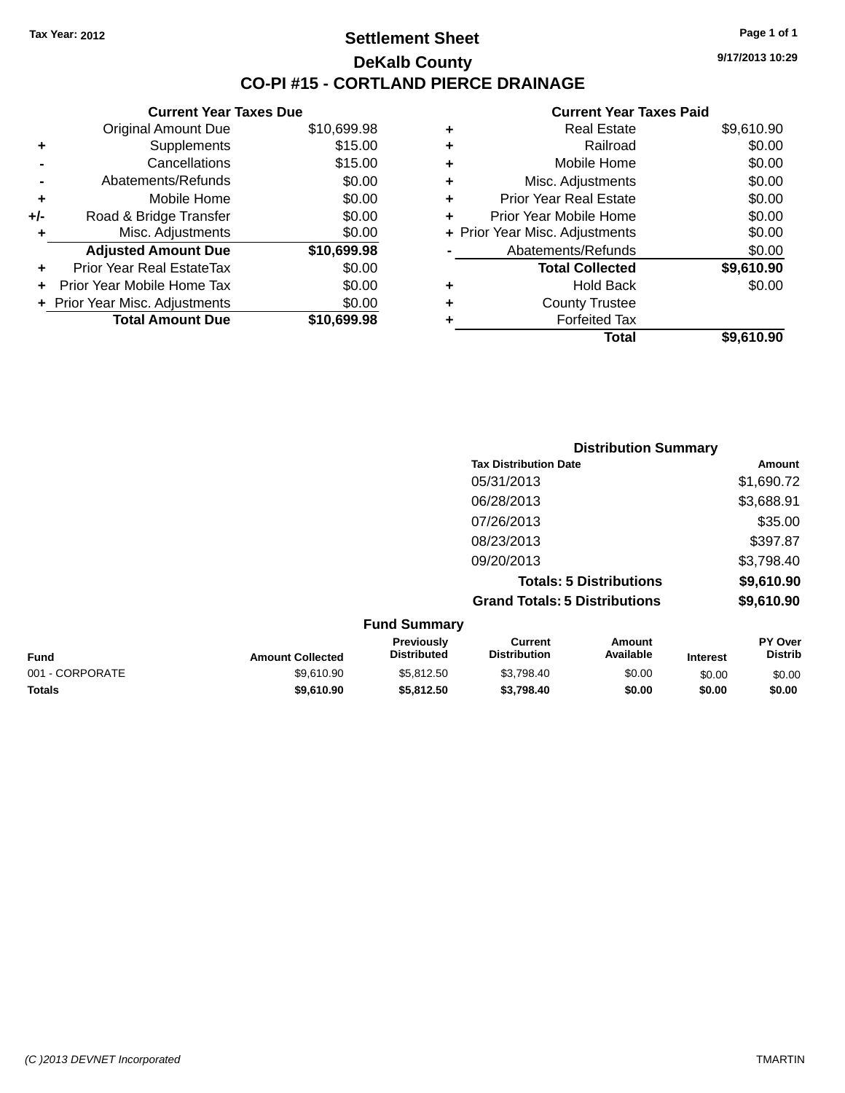**Current Year Taxes Due**

Original Amount Due

**Adjusted Amount Due** 

**Total Amount Due** 

**+** Supplements **-** Cancellations **-** Abatements/Refunds **+** Mobile Home **+/-** Road & Bridge Transfer **+** Misc. Adjustments

**+** Prior Year Real EstateTax \$0.00 **+** Prior Year Mobile Home Tax **+** Prior Year Misc. Adjustments

### **Settlement Sheet Tax Year: 2012 Page 1 of 1 DeKalb County CO-PI #15 - CORTLAND PIERCE DRAINAGE**

**9/17/2013 10:29**

**Total \$9,610.90**

|             |   | Gurient Tear Taxes Falu        |            |
|-------------|---|--------------------------------|------------|
| \$10,699.98 | ٠ | <b>Real Estate</b>             | \$9,610.90 |
| \$15.00     | ٠ | Railroad                       | \$0.00     |
| \$15.00     | ÷ | Mobile Home                    | \$0.00     |
| \$0.00      | ٠ | Misc. Adjustments              | \$0.00     |
| \$0.00      | ٠ | <b>Prior Year Real Estate</b>  | \$0.00     |
| \$0.00      | ٠ | Prior Year Mobile Home         | \$0.00     |
| \$0.00      |   | + Prior Year Misc. Adjustments | \$0.00     |
| \$10,699.98 |   | Abatements/Refunds             | \$0.00     |
| \$0.00      |   | <b>Total Collected</b>         | \$9,610.90 |
| \$0.00      | ٠ | <b>Hold Back</b>               | \$0.00     |
| \$0.00      | ٠ | <b>County Trustee</b>          |            |
| \$10,699.98 | ٠ | <b>Forfeited Tax</b>           |            |
|             |   | Total                          | \$9,610.90 |

|                     |                                      | <b>Distribution Summary</b>    |                |
|---------------------|--------------------------------------|--------------------------------|----------------|
|                     | <b>Tax Distribution Date</b>         |                                | Amount         |
|                     | 05/31/2013                           |                                | \$1,690.72     |
|                     | 06/28/2013                           |                                | \$3,688.91     |
|                     | 07/26/2013                           |                                | \$35.00        |
|                     | 08/23/2013                           |                                | \$397.87       |
|                     | 09/20/2013                           |                                | \$3,798.40     |
|                     |                                      | <b>Totals: 5 Distributions</b> | \$9,610.90     |
|                     | <b>Grand Totals: 5 Distributions</b> |                                | \$9,610.90     |
| <b>Fund Summary</b> |                                      |                                |                |
| <b>Previously</b>   | <b>Current</b>                       | Amount                         | <b>PY Over</b> |

| <b>Fund</b>     | <b>Amount Collected</b> | <b>Previously</b><br><b>Distributed</b> | Current<br><b>Distribution</b> | Amount<br>Available | <b>Interest</b> | <b>PY Over</b><br><b>Distrib</b> |
|-----------------|-------------------------|-----------------------------------------|--------------------------------|---------------------|-----------------|----------------------------------|
| 001 - CORPORATE | \$9.610.90              | \$5.812.50                              | \$3.798.40                     | \$0.00              | \$0.00          | \$0.00                           |
| <b>Totals</b>   | \$9,610.90              | \$5,812.50                              | \$3.798.40                     | \$0.00              | \$0.00          | \$0.00                           |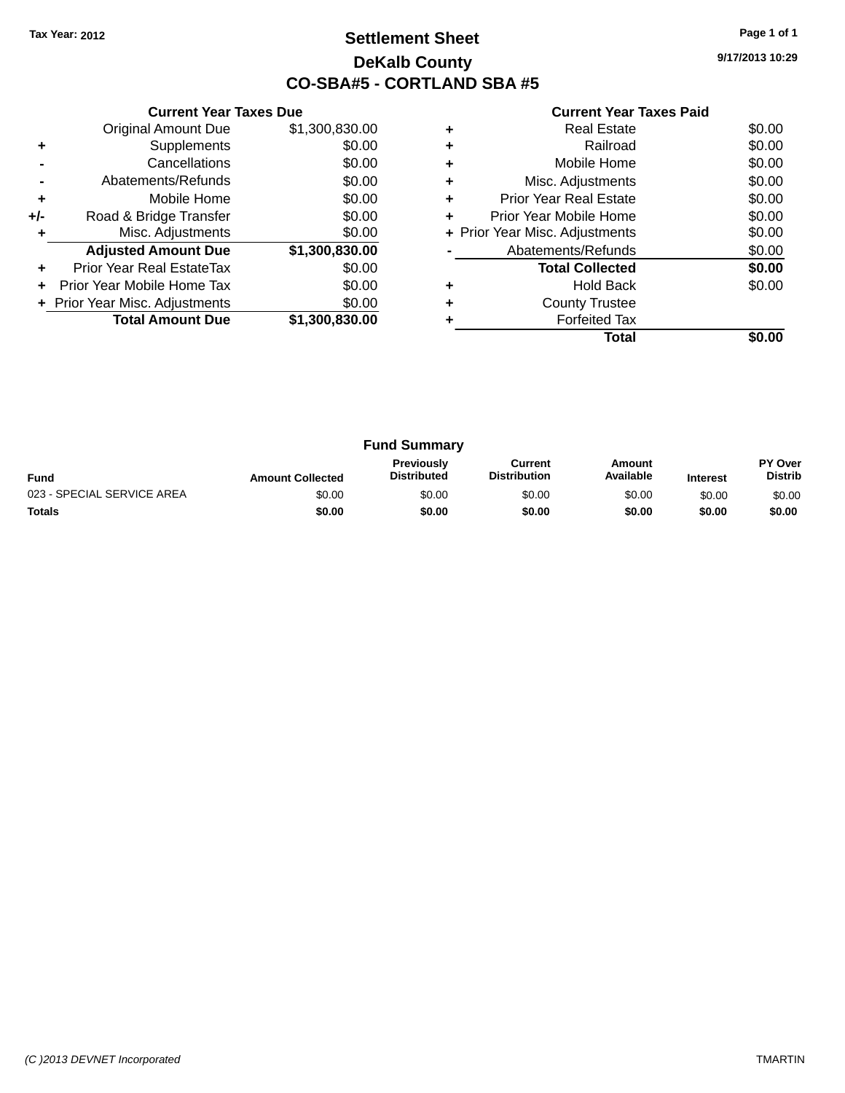# **Settlement Sheet Tax Year: 2012 Page 1 of 1 DeKalb County CO-SBA#5 - CORTLAND SBA #5**

**9/17/2013 10:29**

| <b>Current Year Taxes Paid</b> |  |  |  |
|--------------------------------|--|--|--|
|--------------------------------|--|--|--|

|       | <b>Current Year Taxes Due</b> |                |  |  |  |  |
|-------|-------------------------------|----------------|--|--|--|--|
|       | <b>Original Amount Due</b>    | \$1,300,830.00 |  |  |  |  |
| ٠     | Supplements                   | \$0.00         |  |  |  |  |
|       | Cancellations                 | \$0.00         |  |  |  |  |
|       | Abatements/Refunds            | \$0.00         |  |  |  |  |
| ٠     | Mobile Home                   | \$0.00         |  |  |  |  |
| $+/-$ | Road & Bridge Transfer        | \$0.00         |  |  |  |  |
|       | Misc. Adjustments             | \$0.00         |  |  |  |  |
|       | <b>Adjusted Amount Due</b>    | \$1,300,830.00 |  |  |  |  |
| ٠     | Prior Year Real EstateTax     | \$0.00         |  |  |  |  |
|       | Prior Year Mobile Home Tax    | \$0.00         |  |  |  |  |
|       | Prior Year Misc. Adjustments  | \$0.00         |  |  |  |  |
|       | <b>Total Amount Due</b>       | \$1,300,830.00 |  |  |  |  |
|       |                               |                |  |  |  |  |

|   | <b>Real Estate</b>             | \$0.00 |
|---|--------------------------------|--------|
|   | Railroad                       | \$0.00 |
|   | Mobile Home                    | \$0.00 |
| ٠ | Misc. Adjustments              | \$0.00 |
| ٠ | <b>Prior Year Real Estate</b>  | \$0.00 |
| ÷ | Prior Year Mobile Home         | \$0.00 |
|   | + Prior Year Misc. Adjustments | \$0.00 |
|   | Abatements/Refunds             | \$0.00 |
|   | <b>Total Collected</b>         | \$0.00 |
|   | <b>Hold Back</b>               | \$0.00 |
|   | <b>County Trustee</b>          |        |
|   | <b>Forfeited Tax</b>           |        |
|   | Total                          |        |

| <b>Fund Summary</b>        |                         |                                         |                                |                     |                 |                                  |
|----------------------------|-------------------------|-----------------------------------------|--------------------------------|---------------------|-----------------|----------------------------------|
| <b>Fund</b>                | <b>Amount Collected</b> | <b>Previously</b><br><b>Distributed</b> | Current<br><b>Distribution</b> | Amount<br>Available | <b>Interest</b> | <b>PY Over</b><br><b>Distrib</b> |
| 023 - SPECIAL SERVICE AREA | \$0.00                  | \$0.00                                  | \$0.00                         | \$0.00              | \$0.00          | \$0.00                           |
| <b>Totals</b>              | \$0.00                  | \$0.00                                  | \$0.00                         | \$0.00              | \$0.00          | \$0.00                           |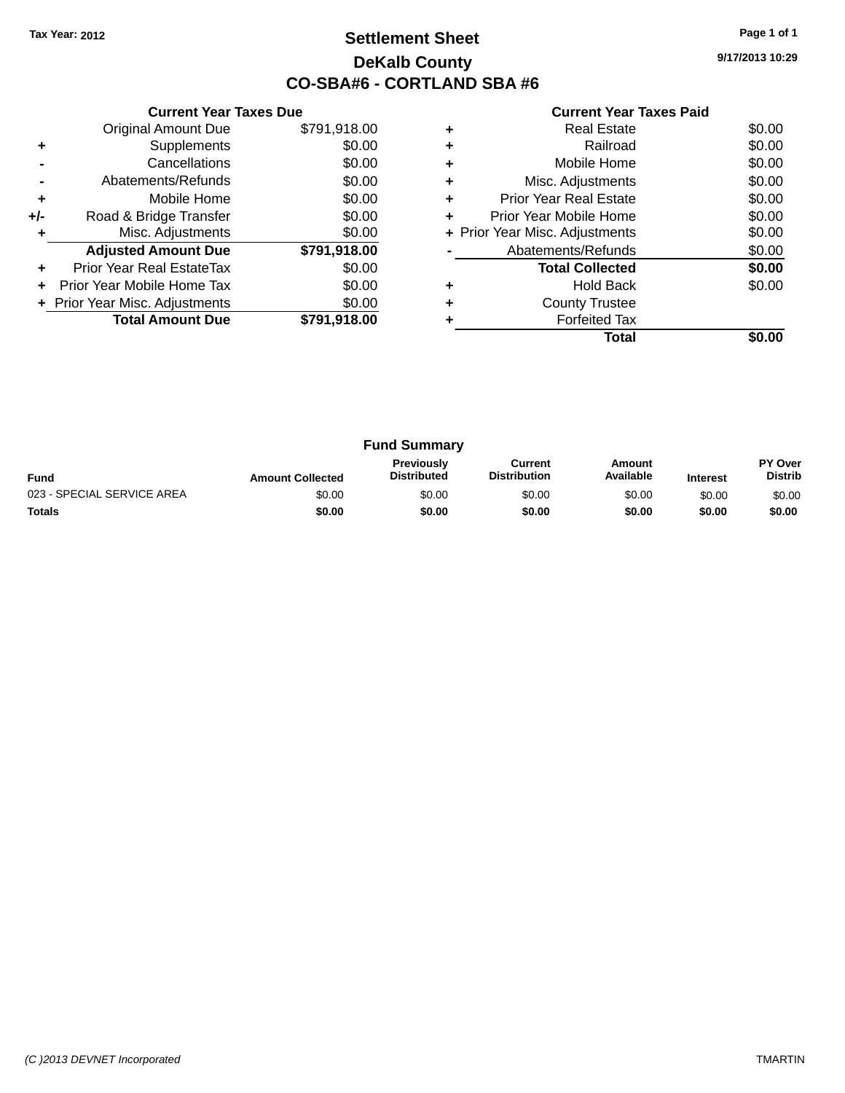# **Settlement Sheet Tax Year: 2012 Page 1 of 1 DeKalb County CO-SBA#6 - CORTLAND SBA #6**

**9/17/2013 10:29**

|     | <b>Current Year Taxes Due</b>  |              |  |  |  |
|-----|--------------------------------|--------------|--|--|--|
|     | <b>Original Amount Due</b>     | \$791,918.00 |  |  |  |
| ٠   | Supplements                    | \$0.00       |  |  |  |
|     | Cancellations                  | \$0.00       |  |  |  |
|     | Abatements/Refunds             | \$0.00       |  |  |  |
| ٠   | Mobile Home                    | \$0.00       |  |  |  |
| +/- | Road & Bridge Transfer         | \$0.00       |  |  |  |
|     | Misc. Adjustments              | \$0.00       |  |  |  |
|     | <b>Adjusted Amount Due</b>     | \$791,918.00 |  |  |  |
|     | Prior Year Real EstateTax      | \$0.00       |  |  |  |
|     | Prior Year Mobile Home Tax     | \$0.00       |  |  |  |
|     | + Prior Year Misc. Adjustments | \$0.00       |  |  |  |
|     | <b>Total Amount Due</b>        | \$791,918.00 |  |  |  |
|     |                                |              |  |  |  |

|   | Total                          |        |
|---|--------------------------------|--------|
|   | <b>Forfeited Tax</b>           |        |
|   | <b>County Trustee</b>          |        |
|   | <b>Hold Back</b>               | \$0.00 |
|   | <b>Total Collected</b>         | \$0.00 |
|   | Abatements/Refunds             | \$0.00 |
|   | + Prior Year Misc. Adjustments | \$0.00 |
| ÷ | Prior Year Mobile Home         | \$0.00 |
| ÷ | Prior Year Real Estate         | \$0.00 |
|   | Misc. Adjustments              | \$0.00 |
|   | Mobile Home                    | \$0.00 |
|   | Railroad                       | \$0.00 |
|   | <b>Real Estate</b>             | \$0.00 |

| <b>Fund Summary</b>        |                         |                                         |                                |                     |                 |                                  |
|----------------------------|-------------------------|-----------------------------------------|--------------------------------|---------------------|-----------------|----------------------------------|
| <b>Fund</b>                | <b>Amount Collected</b> | <b>Previously</b><br><b>Distributed</b> | Current<br><b>Distribution</b> | Amount<br>Available | <b>Interest</b> | <b>PY Over</b><br><b>Distrib</b> |
| 023 - SPECIAL SERVICE AREA | \$0.00                  | \$0.00                                  | \$0.00                         | \$0.00              | \$0.00          | \$0.00                           |
| <b>Totals</b>              | \$0.00                  | \$0.00                                  | \$0.00                         | \$0.00              | \$0.00          | \$0.00                           |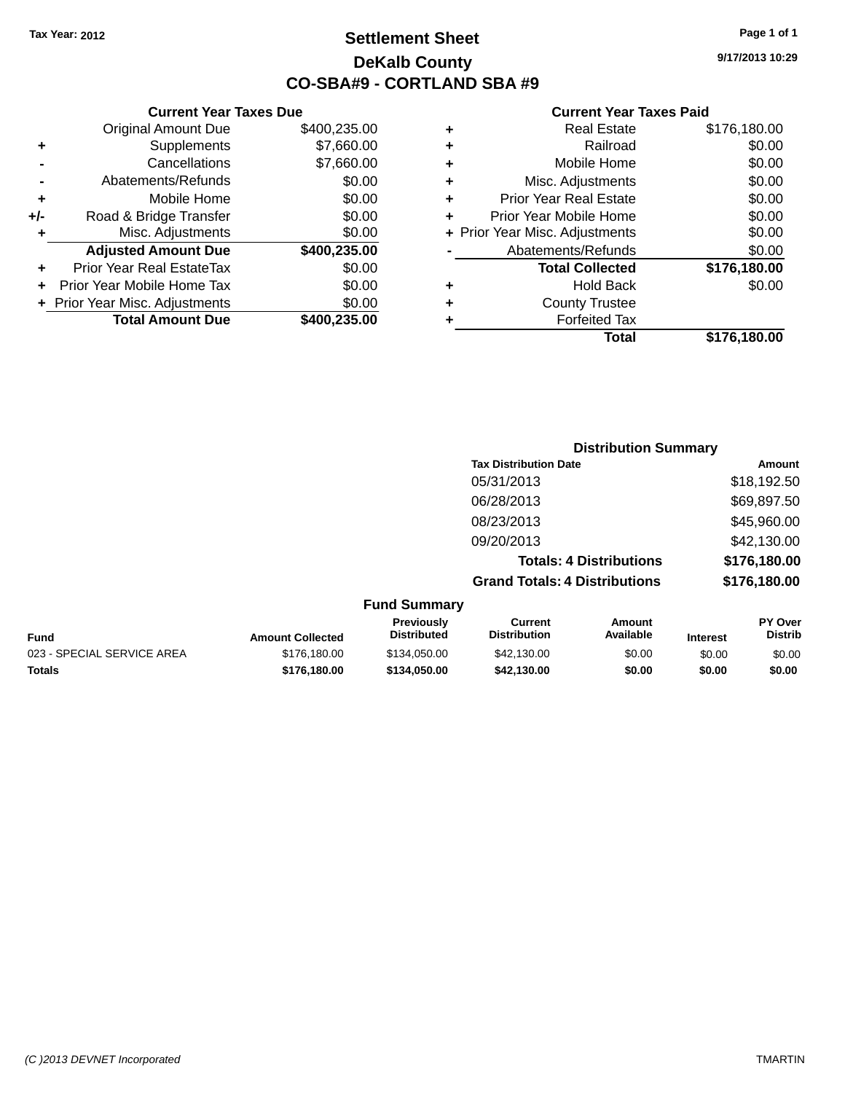# **Settlement Sheet Tax Year: 2012 Page 1 of 1 DeKalb County CO-SBA#9 - CORTLAND SBA #9**

**9/17/2013 10:29**

### **Current Year Taxes Paid**

|   | Total                          | \$176,180.00 |
|---|--------------------------------|--------------|
|   | <b>Forfeited Tax</b>           |              |
| ٠ | <b>County Trustee</b>          |              |
| ٠ | <b>Hold Back</b>               | \$0.00       |
|   | <b>Total Collected</b>         | \$176,180.00 |
|   | Abatements/Refunds             | \$0.00       |
|   | + Prior Year Misc. Adjustments | \$0.00       |
| ٠ | Prior Year Mobile Home         | \$0.00       |
| ٠ | <b>Prior Year Real Estate</b>  | \$0.00       |
| ٠ | Misc. Adjustments              | \$0.00       |
| ٠ | Mobile Home                    | \$0.00       |
| ٠ | Railroad                       | \$0.00       |
| ٠ | <b>Real Estate</b>             | \$176,180.00 |

|     | <b>Current Year Taxes Due</b><br><b>Original Amount Due</b> | \$400,235.00 |
|-----|-------------------------------------------------------------|--------------|
|     |                                                             |              |
| ٠   | Supplements                                                 | \$7,660.00   |
|     | Cancellations                                               | \$7,660.00   |
|     | Abatements/Refunds                                          | \$0.00       |
| ٠   | Mobile Home                                                 | \$0.00       |
| +/- | Road & Bridge Transfer                                      | \$0.00       |
| ٠   | Misc. Adjustments                                           | \$0.00       |
|     | <b>Adjusted Amount Due</b>                                  | \$400,235.00 |
| ٠   | Prior Year Real EstateTax                                   | \$0.00       |
|     | Prior Year Mobile Home Tax                                  | \$0.00       |
|     | + Prior Year Misc. Adjustments                              | \$0.00       |
|     | <b>Total Amount Due</b>                                     | \$400,235.00 |

| <b>Distribution Summary</b>          |              |
|--------------------------------------|--------------|
| <b>Tax Distribution Date</b>         | Amount       |
| 05/31/2013                           | \$18,192.50  |
| 06/28/2013                           | \$69,897.50  |
| 08/23/2013                           | \$45,960.00  |
| 09/20/2013                           | \$42,130.00  |
| <b>Totals: 4 Distributions</b>       | \$176,180.00 |
| <b>Grand Totals: 4 Distributions</b> | \$176,180.00 |

### **Fund Summary**

| Fund                       | <b>Amount Collected</b> | <b>Previously</b><br>Distributed | Current<br><b>Distribution</b> | Amount<br>Available | <b>Interest</b> | <b>PY Over</b><br><b>Distrib</b> |
|----------------------------|-------------------------|----------------------------------|--------------------------------|---------------------|-----------------|----------------------------------|
| 023 - SPECIAL SERVICE AREA | \$176,180,00            | \$134,050,00                     | \$42,130,00                    | \$0.00              | \$0.00          | \$0.00                           |
| Totals                     | \$176,180,00            | \$134,050,00                     | \$42.130.00                    | \$0.00              | \$0.00          | \$0.00                           |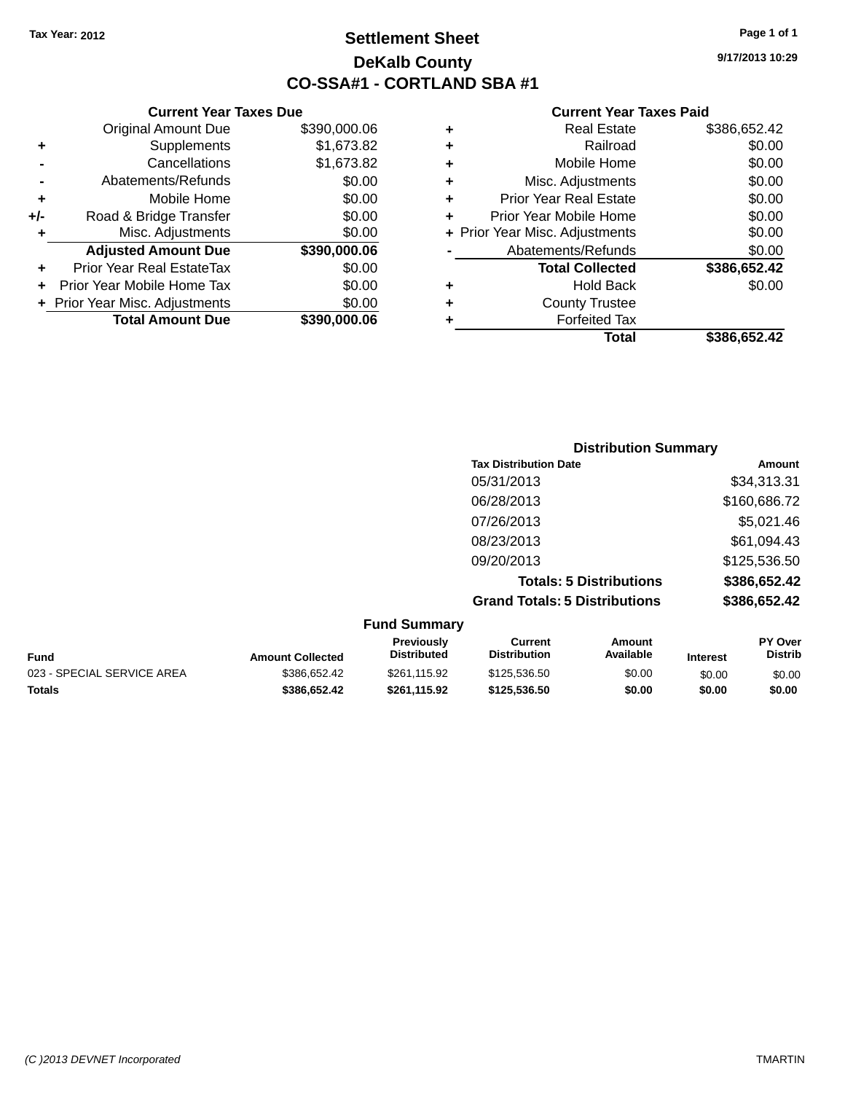# **Settlement Sheet Tax Year: 2012 Page 1 of 1 DeKalb County CO-SSA#1 - CORTLAND SBA #1**

**9/17/2013 10:29**

### **Current Year Taxes Paid**

|   | <b>Real Estate</b>             | \$386,652.42 |
|---|--------------------------------|--------------|
| ٠ | Railroad                       | \$0.00       |
| ٠ | Mobile Home                    | \$0.00       |
| ٠ | Misc. Adjustments              | \$0.00       |
| ٠ | <b>Prior Year Real Estate</b>  | \$0.00       |
| ٠ | Prior Year Mobile Home         | \$0.00       |
|   | + Prior Year Misc. Adjustments | \$0.00       |
|   | Abatements/Refunds             | \$0.00       |
|   | <b>Total Collected</b>         | \$386,652.42 |
| ٠ | <b>Hold Back</b>               | \$0.00       |
| ÷ | <b>County Trustee</b>          |              |
|   | <b>Forfeited Tax</b>           |              |
|   | Total                          | \$386.652.42 |

|                | <b>Total Amount Due</b>        | \$390,000.06 |
|----------------|--------------------------------|--------------|
|                | + Prior Year Misc. Adjustments | \$0.00       |
| ÷              | Prior Year Mobile Home Tax     | \$0.00       |
| ٠              | Prior Year Real EstateTax      | \$0.00       |
|                | <b>Adjusted Amount Due</b>     | \$390,000.06 |
| ÷              | Misc. Adjustments              | \$0.00       |
| +/-            | Road & Bridge Transfer         | \$0.00       |
| ٠              | Mobile Home                    | \$0.00       |
| $\blacksquare$ | Abatements/Refunds             | \$0.00       |
|                | Cancellations                  | \$1,673.82   |
| ٠              | Supplements                    | \$1,673.82   |
|                | <b>Original Amount Due</b>     | \$390,000.06 |

**Current Year Taxes Due**

| <b>Distribution Summary</b>          |              |
|--------------------------------------|--------------|
| <b>Tax Distribution Date</b>         | Amount       |
| 05/31/2013                           | \$34,313.31  |
| 06/28/2013                           | \$160,686.72 |
| 07/26/2013                           | \$5,021.46   |
| 08/23/2013                           | \$61,094.43  |
| 09/20/2013                           | \$125,536.50 |
| <b>Totals: 5 Distributions</b>       | \$386,652.42 |
| <b>Grand Totals: 5 Distributions</b> | \$386,652.42 |

| <b>Fund Summary</b>        |                         |                                  |                                |                     |                 |                                  |
|----------------------------|-------------------------|----------------------------------|--------------------------------|---------------------|-----------------|----------------------------------|
| Fund                       | <b>Amount Collected</b> | Previously<br><b>Distributed</b> | Current<br><b>Distribution</b> | Amount<br>Available | <b>Interest</b> | <b>PY Over</b><br><b>Distrib</b> |
| 023 - SPECIAL SERVICE AREA | \$386,652.42            | \$261.115.92                     | \$125,536,50                   | \$0.00              | \$0.00          | \$0.00                           |
| Totals                     | \$386,652.42            | \$261.115.92                     | \$125,536,50                   | \$0.00              | \$0.00          | \$0.00                           |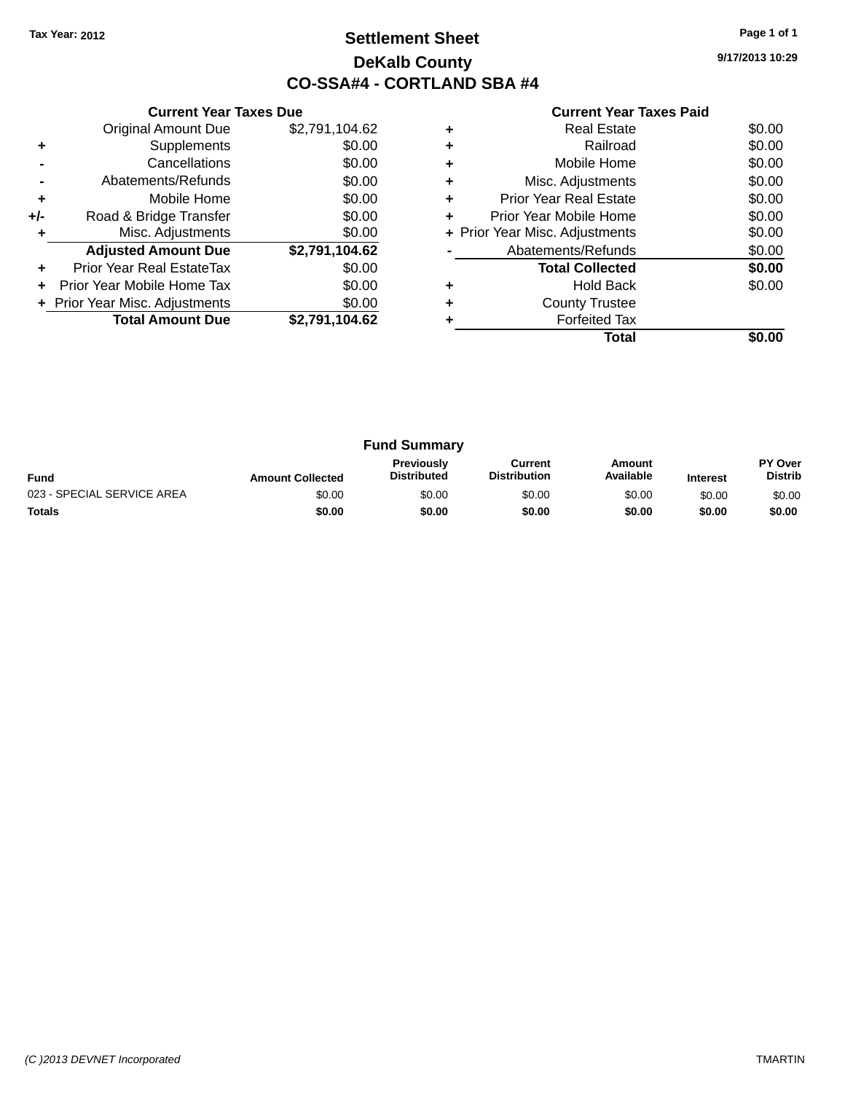# **Settlement Sheet Tax Year: 2012 Page 1 of 1 DeKalb County CO-SSA#4 - CORTLAND SBA #4**

**9/17/2013 10:29**

|     | <b>Current Year Taxes Due</b>  |                |  |  |  |
|-----|--------------------------------|----------------|--|--|--|
|     | <b>Original Amount Due</b>     | \$2,791,104.62 |  |  |  |
| ٠   | Supplements                    | \$0.00         |  |  |  |
|     | Cancellations                  | \$0.00         |  |  |  |
|     | Abatements/Refunds             | \$0.00         |  |  |  |
| ٠   | Mobile Home                    | \$0.00         |  |  |  |
| +/- | Road & Bridge Transfer         | \$0.00         |  |  |  |
| ٠   | Misc. Adjustments              | \$0.00         |  |  |  |
|     | <b>Adjusted Amount Due</b>     | \$2,791,104.62 |  |  |  |
| ٠   | Prior Year Real EstateTax      | \$0.00         |  |  |  |
| ÷   | Prior Year Mobile Home Tax     | \$0.00         |  |  |  |
|     | + Prior Year Misc. Adjustments | \$0.00         |  |  |  |
|     | <b>Total Amount Due</b>        | \$2,791,104.62 |  |  |  |
|     |                                |                |  |  |  |

|   | Real Estate                    | \$0.00 |
|---|--------------------------------|--------|
| ٠ | Railroad                       | \$0.00 |
| ٠ | Mobile Home                    | \$0.00 |
| ٠ | Misc. Adjustments              | \$0.00 |
| ٠ | <b>Prior Year Real Estate</b>  | \$0.00 |
| ٠ | Prior Year Mobile Home         | \$0.00 |
|   | + Prior Year Misc. Adjustments | \$0.00 |
|   | Abatements/Refunds             | \$0.00 |
|   | <b>Total Collected</b>         | \$0.00 |
|   | Hold Back                      | \$0.00 |
| ٠ | <b>County Trustee</b>          |        |
|   | <b>Forfeited Tax</b>           |        |
|   | Total                          |        |

| <b>Fund Summary</b>        |                         |                                         |                                |                     |                 |                           |
|----------------------------|-------------------------|-----------------------------------------|--------------------------------|---------------------|-----------------|---------------------------|
| <b>Fund</b>                | <b>Amount Collected</b> | <b>Previously</b><br><b>Distributed</b> | Current<br><b>Distribution</b> | Amount<br>Available | <b>Interest</b> | PY Over<br><b>Distrib</b> |
| 023 - SPECIAL SERVICE AREA | \$0.00                  | \$0.00                                  | \$0.00                         | \$0.00              | \$0.00          | \$0.00                    |
| <b>Totals</b>              | \$0.00                  | \$0.00                                  | \$0.00                         | \$0.00              | \$0.00          | \$0.00                    |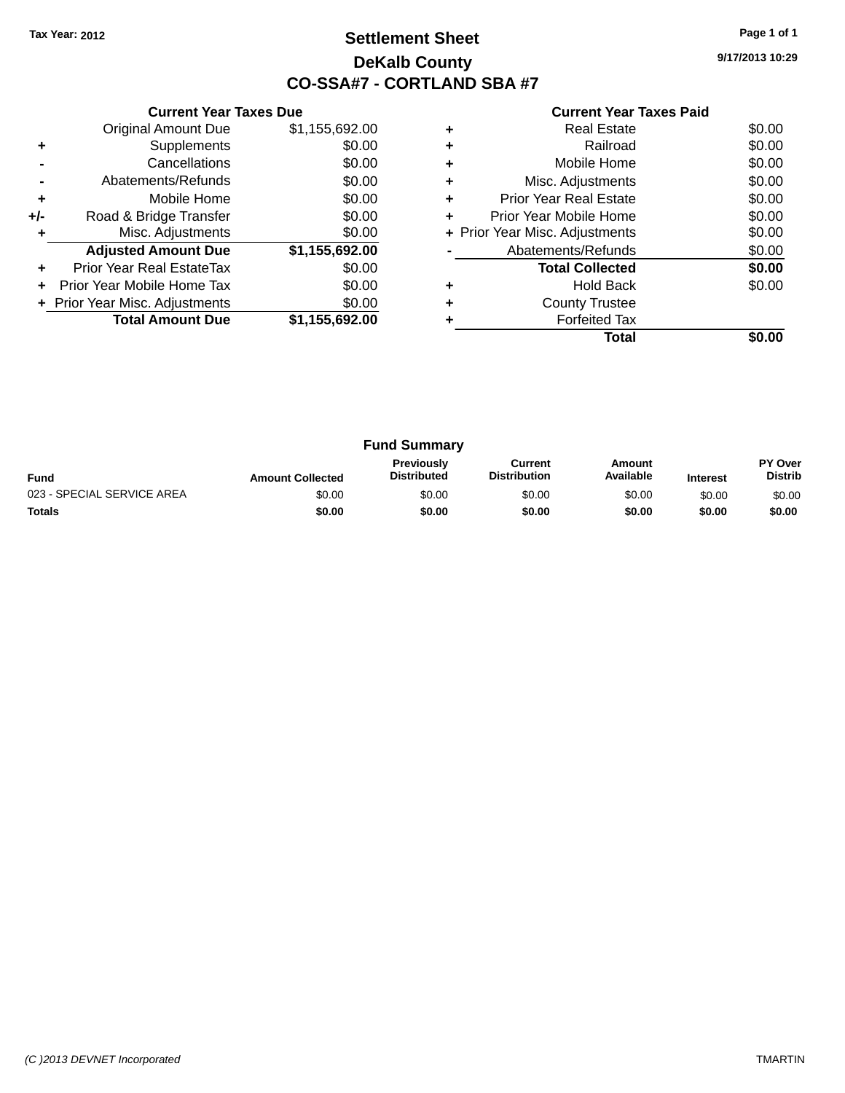# **Settlement Sheet Tax Year: 2012 Page 1 of 1 DeKalb County CO-SSA#7 - CORTLAND SBA #7**

**9/17/2013 10:29**

|     | <b>Current Year Taxes Due</b>  |                |
|-----|--------------------------------|----------------|
|     | <b>Original Amount Due</b>     | \$1,155,692.00 |
| ٠   | Supplements                    | \$0.00         |
|     | Cancellations                  | \$0.00         |
|     | Abatements/Refunds             | \$0.00         |
| ÷   | Mobile Home                    | \$0.00         |
| +/- | Road & Bridge Transfer         | \$0.00         |
| ٠   | Misc. Adjustments              | \$0.00         |
|     | <b>Adjusted Amount Due</b>     | \$1,155,692.00 |
| ٠   | Prior Year Real EstateTax      | \$0.00         |
| ÷   | Prior Year Mobile Home Tax     | \$0.00         |
|     | + Prior Year Misc. Adjustments | \$0.00         |
|     | <b>Total Amount Due</b>        | \$1,155,692.00 |
|     |                                |                |

|   | <b>Real Estate</b>             | \$0.00 |
|---|--------------------------------|--------|
|   | Railroad                       | \$0.00 |
|   | Mobile Home                    | \$0.00 |
|   | Misc. Adjustments              | \$0.00 |
|   | <b>Prior Year Real Estate</b>  | \$0.00 |
| ÷ | Prior Year Mobile Home         | \$0.00 |
|   | + Prior Year Misc. Adjustments | \$0.00 |
|   | Abatements/Refunds             | \$0.00 |
|   | <b>Total Collected</b>         | \$0.00 |
|   | <b>Hold Back</b>               | \$0.00 |
|   | <b>County Trustee</b>          |        |
|   | <b>Forfeited Tax</b>           |        |
|   | Total                          |        |

| <b>Fund Summary</b>        |                         |                                         |                                |                     |                 |                           |
|----------------------------|-------------------------|-----------------------------------------|--------------------------------|---------------------|-----------------|---------------------------|
| <b>Fund</b>                | <b>Amount Collected</b> | <b>Previously</b><br><b>Distributed</b> | Current<br><b>Distribution</b> | Amount<br>Available | <b>Interest</b> | PY Over<br><b>Distrib</b> |
| 023 - SPECIAL SERVICE AREA | \$0.00                  | \$0.00                                  | \$0.00                         | \$0.00              | \$0.00          | \$0.00                    |
| <b>Totals</b>              | \$0.00                  | \$0.00                                  | \$0.00                         | \$0.00              | \$0.00          | \$0.00                    |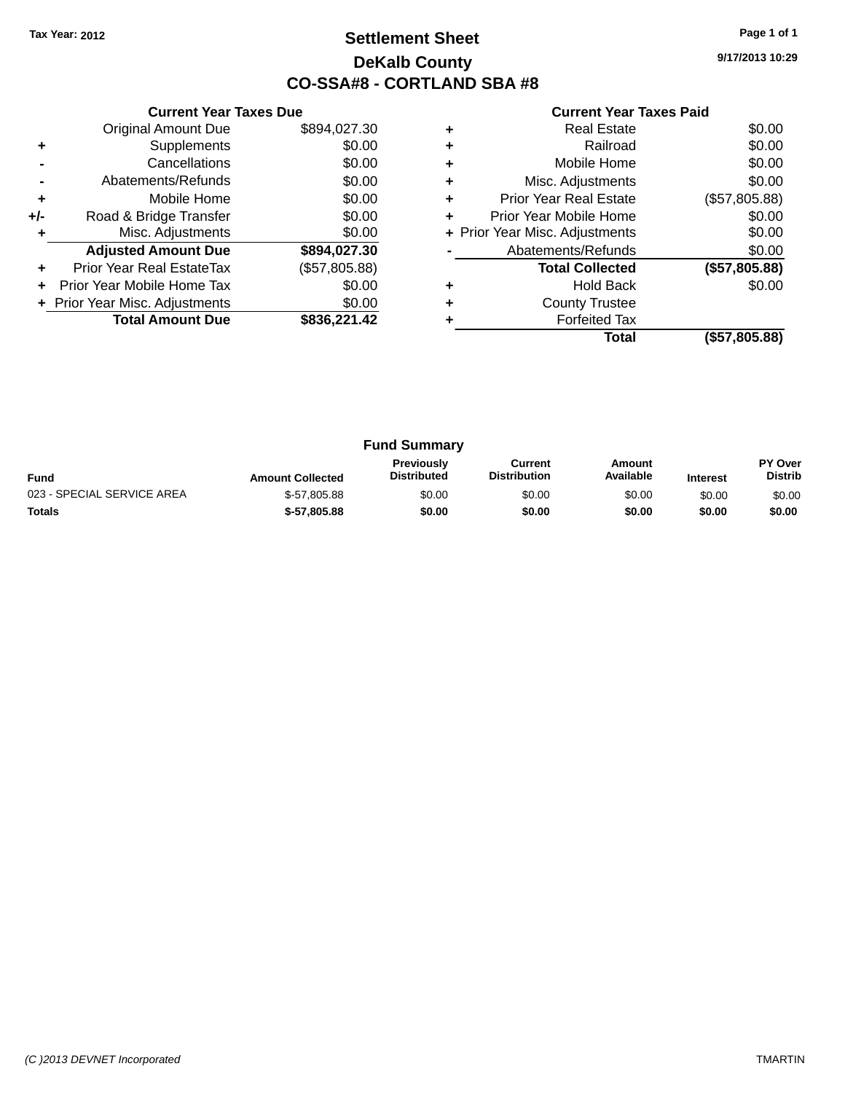# **Settlement Sheet Tax Year: 2012 Page 1 of 1 DeKalb County CO-SSA#8 - CORTLAND SBA #8**

**9/17/2013 10:29**

|     | <b>Current Year Taxes Due</b>  |               |
|-----|--------------------------------|---------------|
|     | <b>Original Amount Due</b>     | \$894,027.30  |
| ٠   | Supplements                    | \$0.00        |
|     | Cancellations                  | \$0.00        |
|     | Abatements/Refunds             | \$0.00        |
| ÷   | Mobile Home                    | \$0.00        |
| +/- | Road & Bridge Transfer         | \$0.00        |
|     | Misc. Adjustments              | \$0.00        |
|     | <b>Adjusted Amount Due</b>     | \$894,027.30  |
|     | Prior Year Real EstateTax      | (\$57,805.88) |
|     | Prior Year Mobile Home Tax     | \$0.00        |
|     | + Prior Year Misc. Adjustments | \$0.00        |
|     | <b>Total Amount Due</b>        | \$836,221.42  |
|     |                                |               |

|   | <b>Real Estate</b>             | \$0.00        |
|---|--------------------------------|---------------|
|   | Railroad                       | \$0.00        |
| ٠ | Mobile Home                    | \$0.00        |
| ٠ | Misc. Adjustments              | \$0.00        |
| ٠ | <b>Prior Year Real Estate</b>  | (\$57,805.88) |
| ٠ | Prior Year Mobile Home         | \$0.00        |
|   | + Prior Year Misc. Adjustments | \$0.00        |
|   | Abatements/Refunds             | \$0.00        |
|   | <b>Total Collected</b>         | (\$57,805.88) |
| ٠ | <b>Hold Back</b>               | \$0.00        |
|   | <b>County Trustee</b>          |               |
|   | <b>Forfeited Tax</b>           |               |
|   | Total                          | (\$57,805.88) |

| <b>Fund Summary</b>        |                         |                                         |                                |                     |                 |                           |
|----------------------------|-------------------------|-----------------------------------------|--------------------------------|---------------------|-----------------|---------------------------|
| <b>Fund</b>                | <b>Amount Collected</b> | <b>Previously</b><br><b>Distributed</b> | Current<br><b>Distribution</b> | Amount<br>Available | <b>Interest</b> | PY Over<br><b>Distrib</b> |
| 023 - SPECIAL SERVICE AREA | \$-57,805.88            | \$0.00                                  | \$0.00                         | \$0.00              | \$0.00          | \$0.00                    |
| <b>Totals</b>              | $$-57,805.88$           | \$0.00                                  | \$0.00                         | \$0.00              | \$0.00          | \$0.00                    |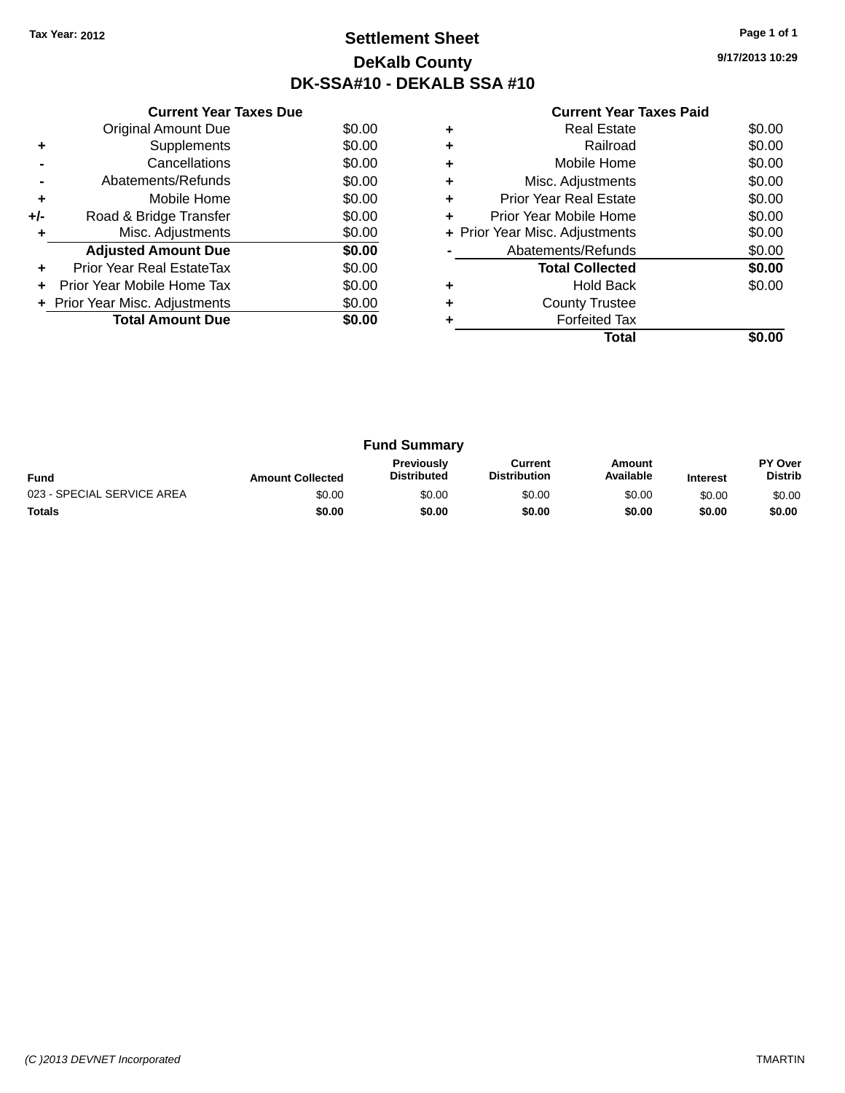# **Settlement Sheet Tax Year: 2012 Page 1 of 1 DeKalb County DK-SSA#10 - DEKALB SSA #10**

| <b>Current Year Taxes Paid</b> |  |  |  |
|--------------------------------|--|--|--|
|--------------------------------|--|--|--|

|     | <b>Current Year Taxes Due</b>  |        |
|-----|--------------------------------|--------|
|     | <b>Original Amount Due</b>     | \$0.00 |
| ٠   | Supplements                    | \$0.00 |
|     | Cancellations                  | \$0.00 |
|     | Abatements/Refunds             | \$0.00 |
| ٠   | Mobile Home                    | \$0.00 |
| +/- | Road & Bridge Transfer         | \$0.00 |
| ٠   | Misc. Adjustments              | \$0.00 |
|     | <b>Adjusted Amount Due</b>     | \$0.00 |
| ÷   | Prior Year Real EstateTax      | \$0.00 |
| ÷   | Prior Year Mobile Home Tax     | \$0.00 |
|     | + Prior Year Misc. Adjustments | \$0.00 |
|     | <b>Total Amount Due</b>        | \$0.00 |
|     |                                |        |

|   | Total                          |        |
|---|--------------------------------|--------|
|   | <b>Forfeited Tax</b>           |        |
|   | <b>County Trustee</b>          |        |
|   | <b>Hold Back</b>               | \$0.00 |
|   | <b>Total Collected</b>         | \$0.00 |
|   | Abatements/Refunds             | \$0.00 |
|   | + Prior Year Misc. Adjustments | \$0.00 |
| ٠ | Prior Year Mobile Home         | \$0.00 |
| ٠ | Prior Year Real Estate         | \$0.00 |
| ٠ | Misc. Adjustments              | \$0.00 |
| ٠ | Mobile Home                    | \$0.00 |
|   | Railroad                       | \$0.00 |
|   | <b>Real Estate</b>             | \$0.00 |

| <b>Fund Summary</b>        |                         |                                         |                                |                     |                 |                                  |
|----------------------------|-------------------------|-----------------------------------------|--------------------------------|---------------------|-----------------|----------------------------------|
| <b>Fund</b>                | <b>Amount Collected</b> | <b>Previously</b><br><b>Distributed</b> | Current<br><b>Distribution</b> | Amount<br>Available | <b>Interest</b> | <b>PY Over</b><br><b>Distrib</b> |
| 023 - SPECIAL SERVICE AREA | \$0.00                  | \$0.00                                  | \$0.00                         | \$0.00              | \$0.00          | \$0.00                           |
| <b>Totals</b>              | \$0.00                  | \$0.00                                  | \$0.00                         | \$0.00              | \$0.00          | \$0.00                           |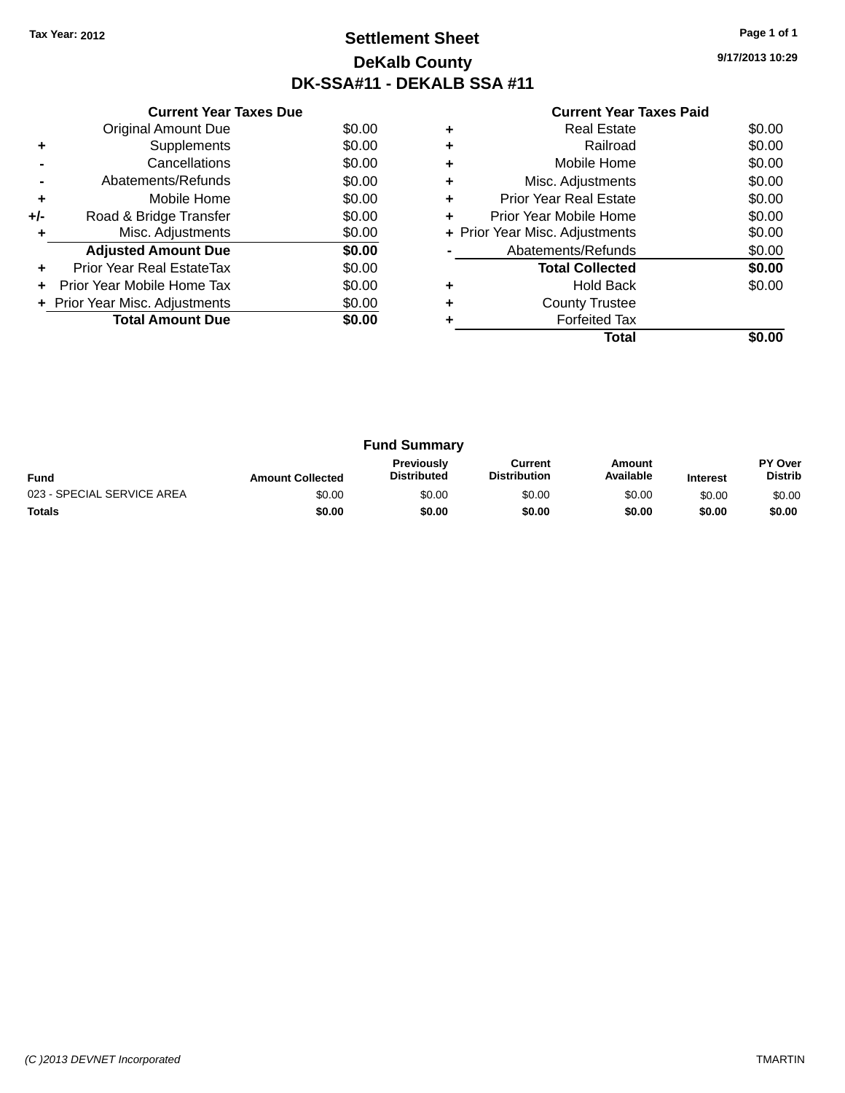# **Settlement Sheet Tax Year: 2012 Page 1 of 1 DeKalb County DK-SSA#11 - DEKALB SSA #11**

**9/17/2013 10:29**

|     | <b>Current Year Taxes Due</b>  |        |
|-----|--------------------------------|--------|
|     | <b>Original Amount Due</b>     | \$0.00 |
| ٠   | Supplements                    | \$0.00 |
|     | Cancellations                  | \$0.00 |
|     | Abatements/Refunds             | \$0.00 |
| ٠   | Mobile Home                    | \$0.00 |
| +/- | Road & Bridge Transfer         | \$0.00 |
| ٠   | Misc. Adjustments              | \$0.00 |
|     | <b>Adjusted Amount Due</b>     | \$0.00 |
| ÷   | Prior Year Real EstateTax      | \$0.00 |
|     | Prior Year Mobile Home Tax     | \$0.00 |
|     | + Prior Year Misc. Adjustments | \$0.00 |
|     | <b>Total Amount Due</b>        | \$0.00 |
|     |                                |        |

|   | Total                          |        |
|---|--------------------------------|--------|
|   | <b>Forfeited Tax</b>           |        |
|   | <b>County Trustee</b>          |        |
|   | Hold Back                      | \$0.00 |
|   | <b>Total Collected</b>         | \$0.00 |
|   | Abatements/Refunds             | \$0.00 |
|   | + Prior Year Misc. Adjustments | \$0.00 |
|   | Prior Year Mobile Home         | \$0.00 |
| ٠ | Prior Year Real Estate         | \$0.00 |
| ٠ | Misc. Adjustments              | \$0.00 |
| ٠ | Mobile Home                    | \$0.00 |
|   | Railroad                       | \$0.00 |
|   | Real Estate                    | \$0.00 |

| <b>Fund Summary</b>        |                         |                                         |                                |                     |                 |                                  |
|----------------------------|-------------------------|-----------------------------------------|--------------------------------|---------------------|-----------------|----------------------------------|
| <b>Fund</b>                | <b>Amount Collected</b> | <b>Previously</b><br><b>Distributed</b> | Current<br><b>Distribution</b> | Amount<br>Available | <b>Interest</b> | <b>PY Over</b><br><b>Distrib</b> |
| 023 - SPECIAL SERVICE AREA | \$0.00                  | \$0.00                                  | \$0.00                         | \$0.00              | \$0.00          | \$0.00                           |
| <b>Totals</b>              | \$0.00                  | \$0.00                                  | \$0.00                         | \$0.00              | \$0.00          | \$0.00                           |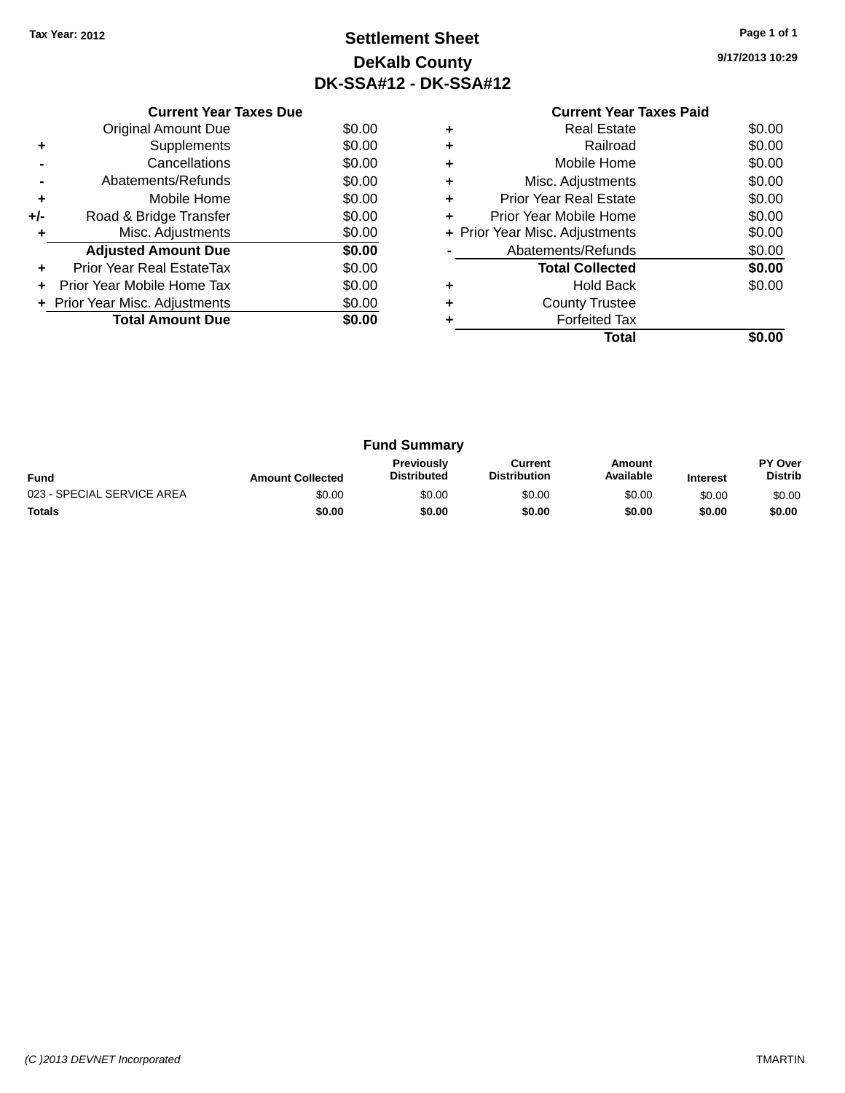# **Settlement Sheet Tax Year: 2012 Page 1 of 1 DeKalb County DK-SSA#12 - DK-SSA#12**

**9/17/2013 10:29**

|     | <b>Current Year Taxes Due</b>     |        |
|-----|-----------------------------------|--------|
|     | Original Amount Due               | \$0.00 |
| ٠   | Supplements                       | \$0.00 |
|     | Cancellations                     | \$0.00 |
|     | Abatements/Refunds                | \$0.00 |
| ٠   | Mobile Home                       | \$0.00 |
| +/- | Road & Bridge Transfer            | \$0.00 |
| ٠   | Misc. Adjustments                 | \$0.00 |
|     | <b>Adjusted Amount Due</b>        | \$0.00 |
| ÷   | Prior Year Real EstateTax         | \$0.00 |
| ÷   | <b>Prior Year Mobile Home Tax</b> | \$0.00 |
|     | + Prior Year Misc. Adjustments    | \$0.00 |
|     | <b>Total Amount Due</b>           | \$0.00 |
|     |                                   |        |

#### **Current Year Taxes Paid +** Real Estate \$0.00 **+** Railroad \$0.00 **+** Mobile Home \$0.00 **+** Misc. Adjustments \$0.00

| ÷ | <b>Prior Year Real Estate</b>  | \$0.00 |
|---|--------------------------------|--------|
| ÷ | Prior Year Mobile Home         | \$0.00 |
|   | + Prior Year Misc. Adjustments | \$0.00 |
|   | Abatements/Refunds             | \$0.00 |
|   | <b>Total Collected</b>         | \$0.00 |
| ٠ | <b>Hold Back</b>               | \$0.00 |
| ÷ | <b>County Trustee</b>          |        |
|   | <b>Forfeited Tax</b>           |        |
|   | Total                          |        |

| <b>Fund Summary</b>        |                         |                                         |                                |                     |                 |                                  |
|----------------------------|-------------------------|-----------------------------------------|--------------------------------|---------------------|-----------------|----------------------------------|
| <b>Fund</b>                | <b>Amount Collected</b> | <b>Previously</b><br><b>Distributed</b> | Current<br><b>Distribution</b> | Amount<br>Available | <b>Interest</b> | <b>PY Over</b><br><b>Distrib</b> |
| 023 - SPECIAL SERVICE AREA | \$0.00                  | \$0.00                                  | \$0.00                         | \$0.00              | \$0.00          | \$0.00                           |
| <b>Totals</b>              | \$0.00                  | \$0.00                                  | \$0.00                         | \$0.00              | \$0.00          | \$0.00                           |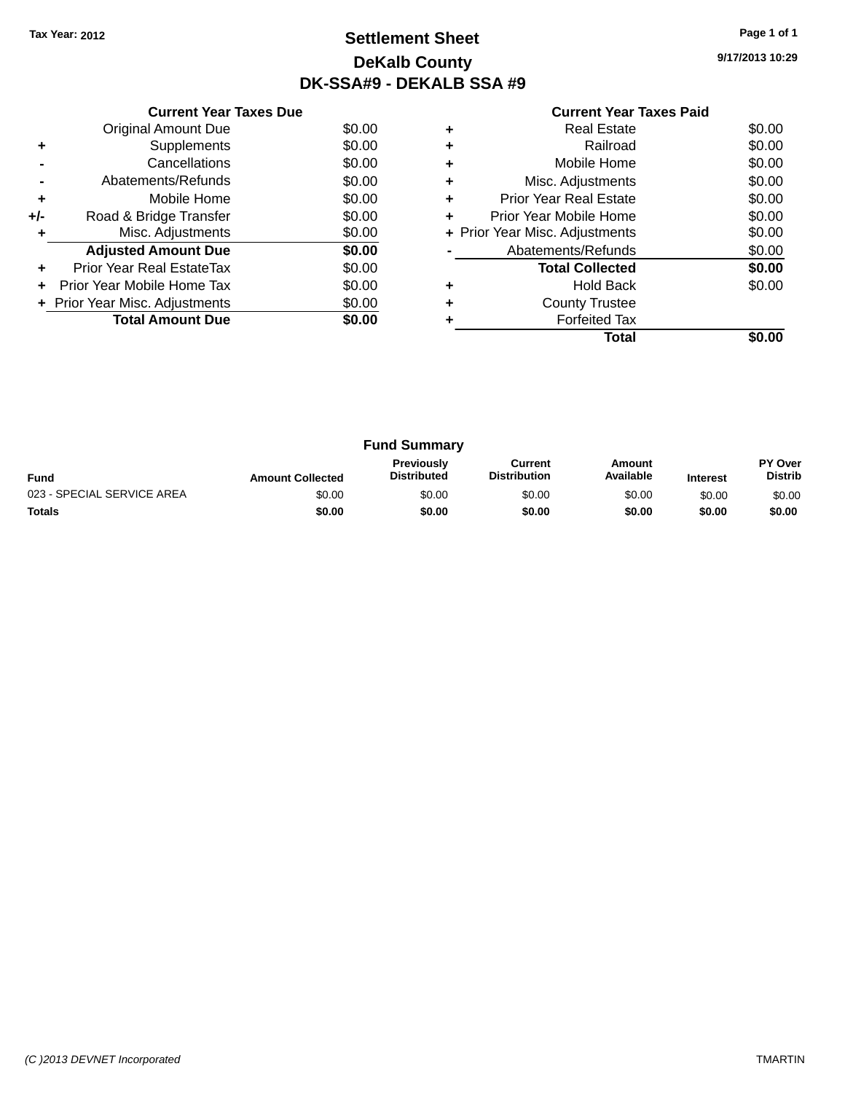# **Settlement Sheet Tax Year: 2012 Page 1 of 1 DeKalb County DK-SSA#9 - DEKALB SSA #9**

| <b>Current Year Taxes Paid</b> |  |  |  |
|--------------------------------|--|--|--|
|--------------------------------|--|--|--|

|     | <b>Current Year Taxes Due</b>  |        |
|-----|--------------------------------|--------|
|     | <b>Original Amount Due</b>     | \$0.00 |
| ٠   | Supplements                    | \$0.00 |
|     | Cancellations                  | \$0.00 |
|     | Abatements/Refunds             | \$0.00 |
| ٠   | Mobile Home                    | \$0.00 |
| +/- | Road & Bridge Transfer         | \$0.00 |
|     | Misc. Adjustments              | \$0.00 |
|     | <b>Adjusted Amount Due</b>     | \$0.00 |
|     | Prior Year Real EstateTax      | \$0.00 |
|     | Prior Year Mobile Home Tax     | \$0.00 |
|     | + Prior Year Misc. Adjustments | \$0.00 |
|     | <b>Total Amount Due</b>        | \$0.00 |
|     |                                |        |

|   | <b>Forfeited Tax</b><br>Total  |        |
|---|--------------------------------|--------|
|   | <b>County Trustee</b>          |        |
| ٠ | <b>Hold Back</b>               | \$0.00 |
|   | <b>Total Collected</b>         | \$0.00 |
|   | Abatements/Refunds             | \$0.00 |
|   | + Prior Year Misc. Adjustments | \$0.00 |
| ٠ | Prior Year Mobile Home         | \$0.00 |
| ٠ | <b>Prior Year Real Estate</b>  | \$0.00 |
| ٠ | Misc. Adjustments              | \$0.00 |
| ٠ | Mobile Home                    | \$0.00 |
| ٠ | Railroad                       | \$0.00 |
|   | <b>Real Estate</b>             | \$0.00 |

| <b>Fund Summary</b>        |                         |                                         |                                |                     |                 |                                  |
|----------------------------|-------------------------|-----------------------------------------|--------------------------------|---------------------|-----------------|----------------------------------|
| <b>Fund</b>                | <b>Amount Collected</b> | <b>Previously</b><br><b>Distributed</b> | Current<br><b>Distribution</b> | Amount<br>Available | <b>Interest</b> | <b>PY Over</b><br><b>Distrib</b> |
| 023 - SPECIAL SERVICE AREA | \$0.00                  | \$0.00                                  | \$0.00                         | \$0.00              | \$0.00          | \$0.00                           |
| <b>Totals</b>              | \$0.00                  | \$0.00                                  | \$0.00                         | \$0.00              | \$0.00          | \$0.00                           |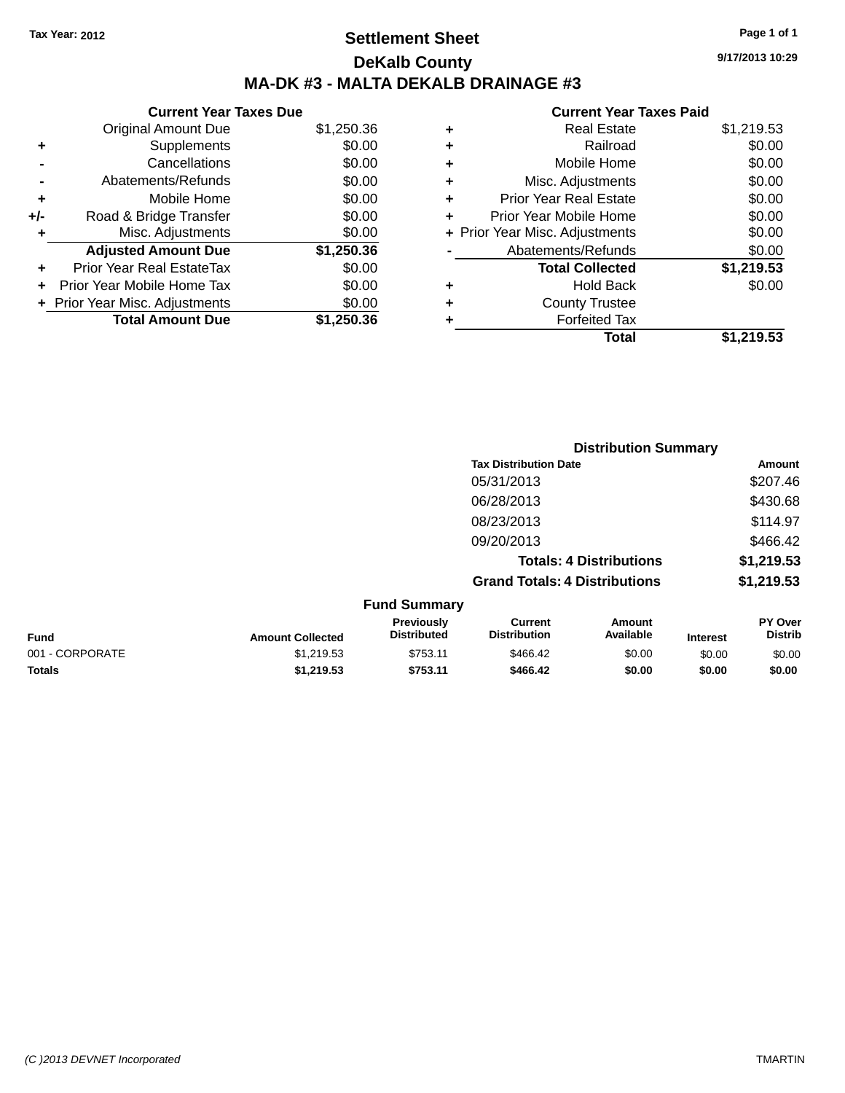# **Settlement Sheet Tax Year: 2012 Page 1 of 1 DeKalb County MA-DK #3 - MALTA DEKALB DRAINAGE #3**

#### **Current Year Taxes Due** Original Amount Due \$1,250.36 **+** Supplements \$0.00 **-** Cancellations \$0.00 **-** Abatements/Refunds \$0.00 **+** Mobile Home \$0.00 **+/-** Road & Bridge Transfer \$0.00 **+** Misc. Adjustments \$0.00 **Adjusted Amount Due \$1,250.36 +** Prior Year Real EstateTax \$0.00 **+** Prior Year Mobile Home Tax \$0.00 **+ Prior Year Misc. Adjustments**  $$0.00$ **Total Amount Due \$1,250.36**

#### **Current Year Taxes Paid**

| <b>Real Estate</b>             | \$1,219.53 |
|--------------------------------|------------|
| Railroad                       | \$0.00     |
| Mobile Home                    | \$0.00     |
| Misc. Adjustments              | \$0.00     |
| <b>Prior Year Real Estate</b>  | \$0.00     |
| Prior Year Mobile Home         | \$0.00     |
| + Prior Year Misc. Adjustments | \$0.00     |
| Abatements/Refunds             | \$0.00     |
| <b>Total Collected</b>         | \$1,219.53 |
| Hold Back                      | \$0.00     |
| <b>County Trustee</b>          |            |
| <b>Forfeited Tax</b>           |            |
| Total                          | \$1,219.53 |
|                                |            |

**Distribution Summary**

|                 |                         | <b>PISUINGUOII SUIIIIIIGI 1</b>  |                                       |                                |                 |                           |
|-----------------|-------------------------|----------------------------------|---------------------------------------|--------------------------------|-----------------|---------------------------|
|                 |                         |                                  | <b>Tax Distribution Date</b>          |                                |                 | <b>Amount</b>             |
|                 |                         |                                  | 05/31/2013                            |                                |                 | \$207.46                  |
|                 |                         |                                  | 06/28/2013                            |                                |                 | \$430.68                  |
|                 |                         |                                  | 08/23/2013                            |                                |                 | \$114.97                  |
|                 |                         |                                  | 09/20/2013                            |                                |                 | \$466.42                  |
|                 |                         |                                  |                                       | <b>Totals: 4 Distributions</b> |                 | \$1,219.53                |
|                 |                         |                                  | <b>Grand Totals: 4 Distributions</b>  |                                |                 | \$1,219.53                |
|                 |                         | <b>Fund Summary</b>              |                                       |                                |                 |                           |
| <b>Fund</b>     | <b>Amount Collected</b> | Previously<br><b>Distributed</b> | <b>Current</b><br><b>Distribution</b> | <b>Amount</b><br>Available     | <b>Interest</b> | PY Over<br><b>Distrib</b> |
| 001 - CORPORATE | \$1,219.53              | \$753.11                         | \$466.42                              | \$0.00                         | \$0.00          | \$0.00                    |
|                 |                         |                                  |                                       |                                |                 |                           |

**Totals \$1,219.53 \$753.11 \$466.42 \$0.00 \$0.00 \$0.00**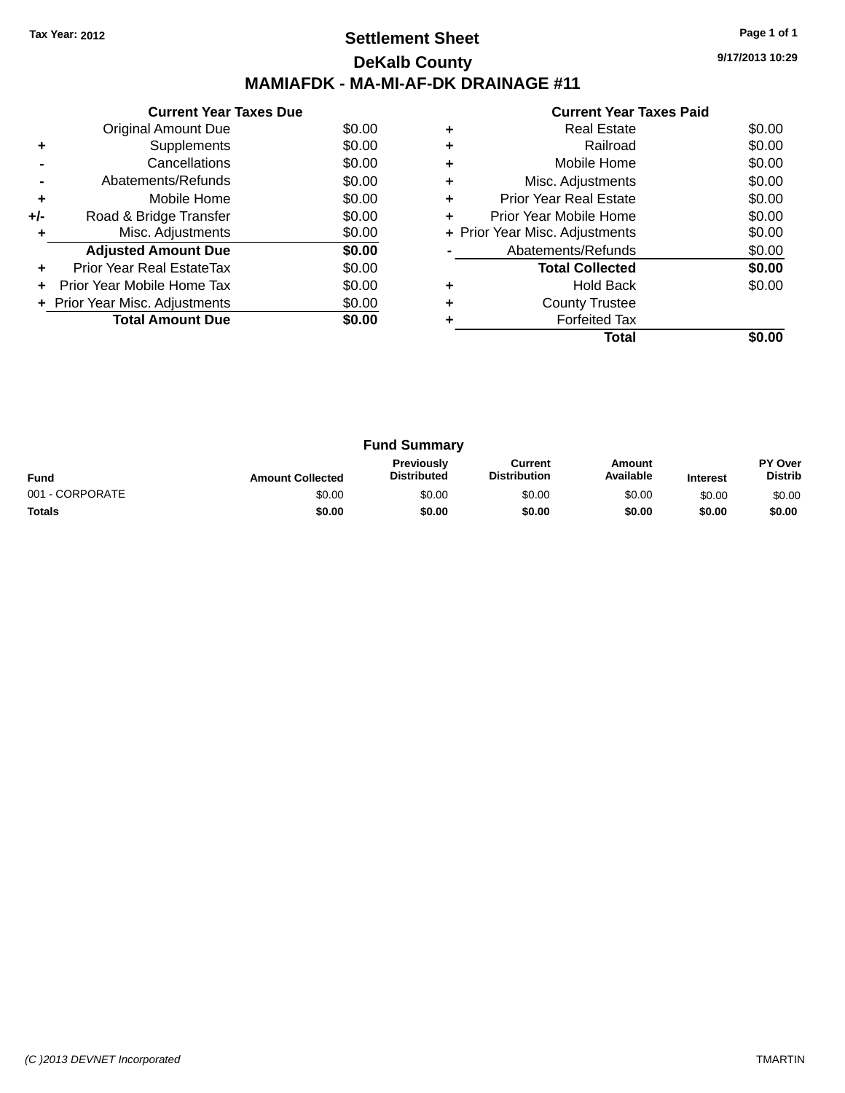# **Settlement Sheet Tax Year: 2012 Page 1 of 1 DeKalb County MAMIAFDK - MA-MI-AF-DK DRAINAGE #11**

**9/17/2013 10:29**

|     | <b>Current Year Taxes Due</b>  |        |
|-----|--------------------------------|--------|
|     | Original Amount Due            | \$0.00 |
| ٠   | Supplements                    | \$0.00 |
|     | Cancellations                  | \$0.00 |
|     | Abatements/Refunds             | \$0.00 |
| ٠   | Mobile Home                    | \$0.00 |
| +/- | Road & Bridge Transfer         | \$0.00 |
|     | Misc. Adjustments              | \$0.00 |
|     | <b>Adjusted Amount Due</b>     | \$0.00 |
| ٠   | Prior Year Real EstateTax      | \$0.00 |
|     | Prior Year Mobile Home Tax     | \$0.00 |
|     | + Prior Year Misc. Adjustments | \$0.00 |
|     | <b>Total Amount Due</b>        | \$0.00 |
|     |                                |        |

|   | <b>Real Estate</b>             | \$0.00 |
|---|--------------------------------|--------|
|   | Railroad                       | \$0.00 |
|   | Mobile Home                    | \$0.00 |
| ٠ | Misc. Adjustments              | \$0.00 |
| ٠ | Prior Year Real Estate         | \$0.00 |
| ٠ | Prior Year Mobile Home         | \$0.00 |
|   | + Prior Year Misc. Adjustments | \$0.00 |
|   | Abatements/Refunds             | \$0.00 |
|   | <b>Total Collected</b>         | \$0.00 |
|   | Hold Back                      | \$0.00 |
|   | <b>County Trustee</b>          |        |
|   | <b>Forfeited Tax</b>           |        |
|   | Total                          |        |

| <b>Fund Summary</b>                                                                                                                                    |        |        |        |        |        |                                  |
|--------------------------------------------------------------------------------------------------------------------------------------------------------|--------|--------|--------|--------|--------|----------------------------------|
| Previously<br>Amount<br>Current<br>Available<br><b>Distribution</b><br><b>Distributed</b><br><b>Fund</b><br><b>Amount Collected</b><br><b>Interest</b> |        |        |        |        |        | <b>PY Over</b><br><b>Distrib</b> |
| 001 - CORPORATE                                                                                                                                        | \$0.00 | \$0.00 | \$0.00 | \$0.00 | \$0.00 | \$0.00                           |
| <b>Totals</b>                                                                                                                                          | \$0.00 | \$0.00 | \$0.00 | \$0.00 | \$0.00 | \$0.00                           |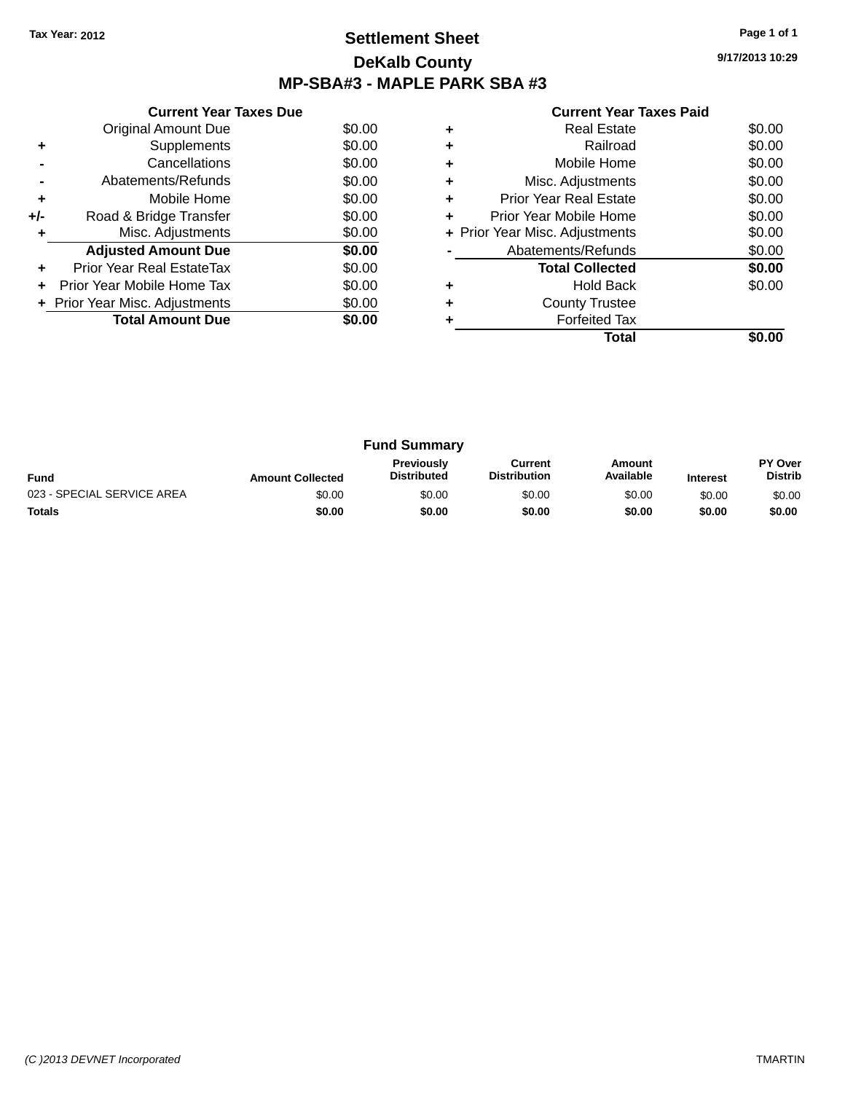## **Settlement Sheet Tax Year: 2012 Page 1 of 1 DeKalb County MP-SBA#3 - MAPLE PARK SBA #3**

|     | <b>Current Year Taxes Due</b>  |        |
|-----|--------------------------------|--------|
|     | <b>Original Amount Due</b>     | \$0.00 |
| ٠   | Supplements                    | \$0.00 |
|     | Cancellations                  | \$0.00 |
|     | Abatements/Refunds             | \$0.00 |
| ٠   | Mobile Home                    | \$0.00 |
| +/- | Road & Bridge Transfer         | \$0.00 |
| ٠   | Misc. Adjustments              | \$0.00 |
|     | <b>Adjusted Amount Due</b>     | \$0.00 |
| ÷   | Prior Year Real EstateTax      | \$0.00 |
| ÷   | Prior Year Mobile Home Tax     | \$0.00 |
|     | + Prior Year Misc. Adjustments | \$0.00 |
|     | <b>Total Amount Due</b>        | \$0.00 |
|     |                                |        |

|   | Total                          |        |
|---|--------------------------------|--------|
|   | <b>Forfeited Tax</b>           |        |
|   | <b>County Trustee</b>          |        |
|   | Hold Back                      | \$0.00 |
|   | <b>Total Collected</b>         | \$0.00 |
|   | Abatements/Refunds             | \$0.00 |
|   | + Prior Year Misc. Adjustments | \$0.00 |
|   | Prior Year Mobile Home         | \$0.00 |
| ٠ | Prior Year Real Estate         | \$0.00 |
| ٠ | Misc. Adjustments              | \$0.00 |
| ٠ | Mobile Home                    | \$0.00 |
|   | Railroad                       | \$0.00 |
|   | <b>Real Estate</b>             | \$0.00 |

| <b>Fund Summary</b>        |                         |                                         |                                |                     |                 |                           |
|----------------------------|-------------------------|-----------------------------------------|--------------------------------|---------------------|-----------------|---------------------------|
| <b>Fund</b>                | <b>Amount Collected</b> | <b>Previously</b><br><b>Distributed</b> | Current<br><b>Distribution</b> | Amount<br>Available | <b>Interest</b> | PY Over<br><b>Distrib</b> |
| 023 - SPECIAL SERVICE AREA | \$0.00                  | \$0.00                                  | \$0.00                         | \$0.00              | \$0.00          | \$0.00                    |
| <b>Totals</b>              | \$0.00                  | \$0.00                                  | \$0.00                         | \$0.00              | \$0.00          | \$0.00                    |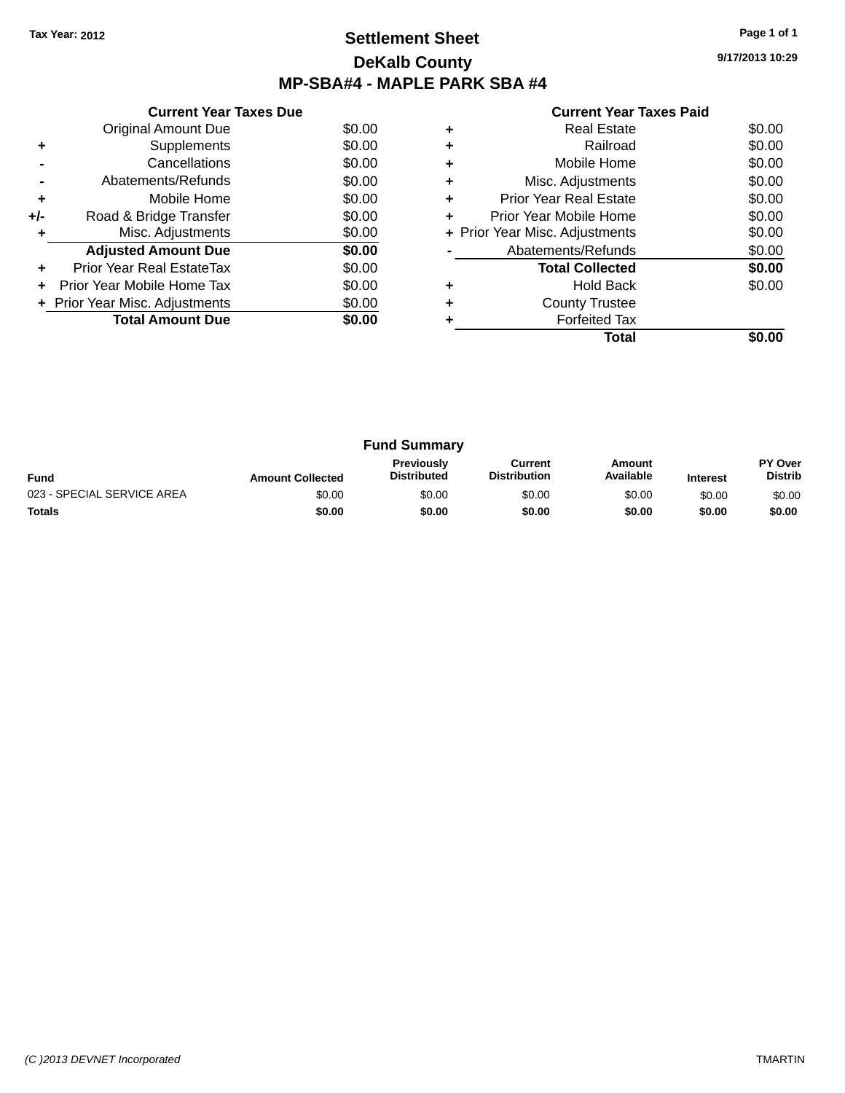## **Settlement Sheet Tax Year: 2012 Page 1 of 1 DeKalb County MP-SBA#4 - MAPLE PARK SBA #4**

**9/17/2013 10:29**

|       | <b>Current Year Taxes Due</b>  |        |
|-------|--------------------------------|--------|
|       | <b>Original Amount Due</b>     | \$0.00 |
| ٠     | Supplements                    | \$0.00 |
|       | Cancellations                  | \$0.00 |
|       | Abatements/Refunds             | \$0.00 |
| ٠     | Mobile Home                    | \$0.00 |
| $+/-$ | Road & Bridge Transfer         | \$0.00 |
|       | Misc. Adjustments              | \$0.00 |
|       | <b>Adjusted Amount Due</b>     | \$0.00 |
|       | Prior Year Real EstateTax      | \$0.00 |
|       | Prior Year Mobile Home Tax     | \$0.00 |
|       | + Prior Year Misc. Adjustments | \$0.00 |
|       | <b>Total Amount Due</b>        | \$0.00 |
|       |                                |        |

|   | Total                          |        |
|---|--------------------------------|--------|
|   | <b>Forfeited Tax</b>           |        |
|   | <b>County Trustee</b>          |        |
|   | <b>Hold Back</b>               | \$0.00 |
|   | <b>Total Collected</b>         | \$0.00 |
|   | Abatements/Refunds             | \$0.00 |
|   | + Prior Year Misc. Adjustments | \$0.00 |
|   | Prior Year Mobile Home         | \$0.00 |
| ٠ | Prior Year Real Estate         | \$0.00 |
| ٠ | Misc. Adjustments              | \$0.00 |
| ٠ | Mobile Home                    | \$0.00 |
|   | Railroad                       | \$0.00 |
|   | Real Estate                    | \$0.00 |

|                            | <b>Fund Summary</b>     |                                         |                                |                     |                 |                                  |
|----------------------------|-------------------------|-----------------------------------------|--------------------------------|---------------------|-----------------|----------------------------------|
| <b>Fund</b>                | <b>Amount Collected</b> | <b>Previously</b><br><b>Distributed</b> | Current<br><b>Distribution</b> | Amount<br>Available | <b>Interest</b> | <b>PY Over</b><br><b>Distrib</b> |
| 023 - SPECIAL SERVICE AREA | \$0.00                  | \$0.00                                  | \$0.00                         | \$0.00              | \$0.00          | \$0.00                           |
| <b>Totals</b>              | \$0.00                  | \$0.00                                  | \$0.00                         | \$0.00              | \$0.00          | \$0.00                           |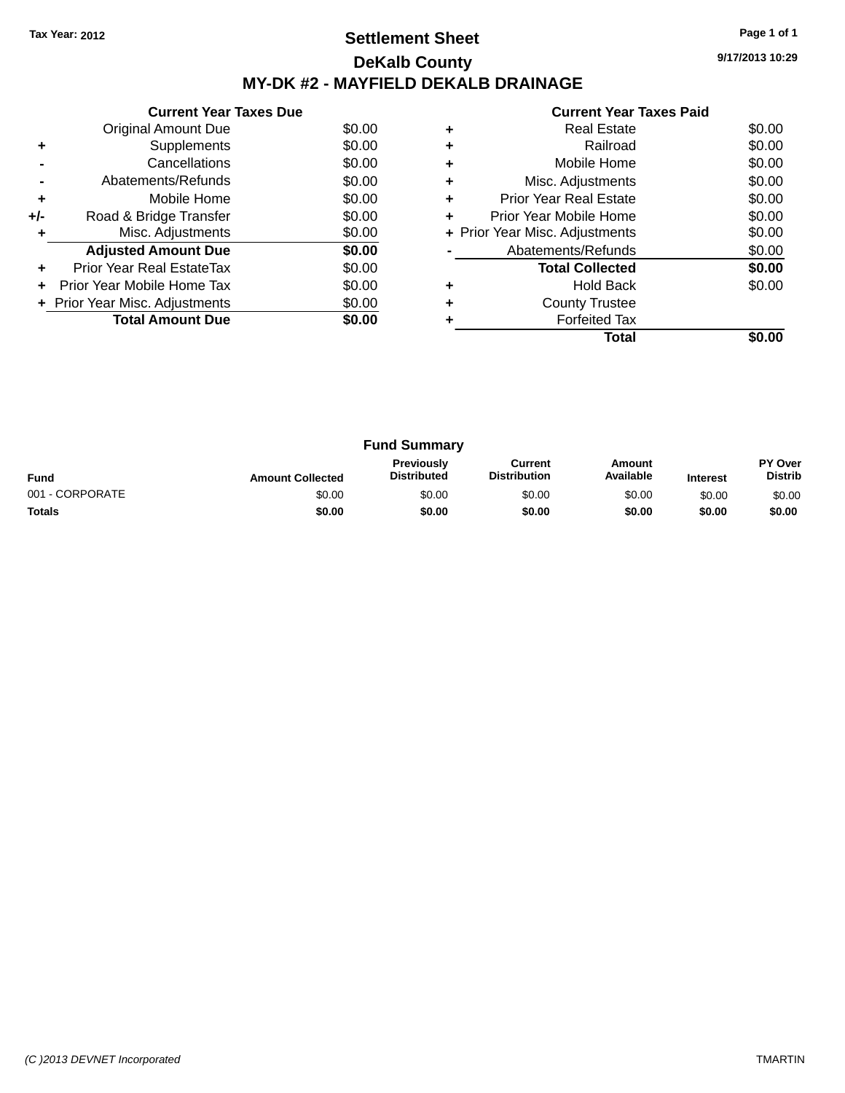# **Settlement Sheet Tax Year: 2012 Page 1 of 1 DeKalb County MY-DK #2 - MAYFIELD DEKALB DRAINAGE**

| <b>Current Year Taxes Paid</b> |  |  |
|--------------------------------|--|--|

|     | <b>Current Year Taxes Due</b>  |        |  |  |  |  |
|-----|--------------------------------|--------|--|--|--|--|
|     | Original Amount Due            | \$0.00 |  |  |  |  |
|     | Supplements                    | \$0.00 |  |  |  |  |
|     | Cancellations                  | \$0.00 |  |  |  |  |
|     | Abatements/Refunds             | \$0.00 |  |  |  |  |
| ÷   | Mobile Home                    | \$0.00 |  |  |  |  |
| +/- | Road & Bridge Transfer         | \$0.00 |  |  |  |  |
|     | Misc. Adjustments              | \$0.00 |  |  |  |  |
|     | <b>Adjusted Amount Due</b>     | \$0.00 |  |  |  |  |
|     | Prior Year Real EstateTax      | \$0.00 |  |  |  |  |
|     | Prior Year Mobile Home Tax     | \$0.00 |  |  |  |  |
|     | + Prior Year Misc. Adjustments | \$0.00 |  |  |  |  |
|     | <b>Total Amount Due</b>        | \$0.00 |  |  |  |  |
|     |                                |        |  |  |  |  |

|   | <b>Real Estate</b>             | \$0.00 |
|---|--------------------------------|--------|
|   | Railroad                       | \$0.00 |
| ٠ | Mobile Home                    | \$0.00 |
| ٠ | Misc. Adjustments              | \$0.00 |
| ٠ | <b>Prior Year Real Estate</b>  | \$0.00 |
| ٠ | Prior Year Mobile Home         | \$0.00 |
|   | + Prior Year Misc. Adjustments | \$0.00 |
|   | Abatements/Refunds             | \$0.00 |
|   | <b>Total Collected</b>         | \$0.00 |
|   | <b>Hold Back</b>               | \$0.00 |
| ٠ | <b>County Trustee</b>          |        |
|   | <b>Forfeited Tax</b>           |        |
|   | Total                          |        |

| <b>Fund Summary</b> |                         |                                  |                                |                     |                 |                                  |
|---------------------|-------------------------|----------------------------------|--------------------------------|---------------------|-----------------|----------------------------------|
| <b>Fund</b>         | <b>Amount Collected</b> | Previously<br><b>Distributed</b> | Current<br><b>Distribution</b> | Amount<br>Available | <b>Interest</b> | <b>PY Over</b><br><b>Distrib</b> |
| 001 - CORPORATE     | \$0.00                  | \$0.00                           | \$0.00                         | \$0.00              | \$0.00          | \$0.00                           |
| <b>Totals</b>       | \$0.00                  | \$0.00                           | \$0.00                         | \$0.00              | \$0.00          | \$0.00                           |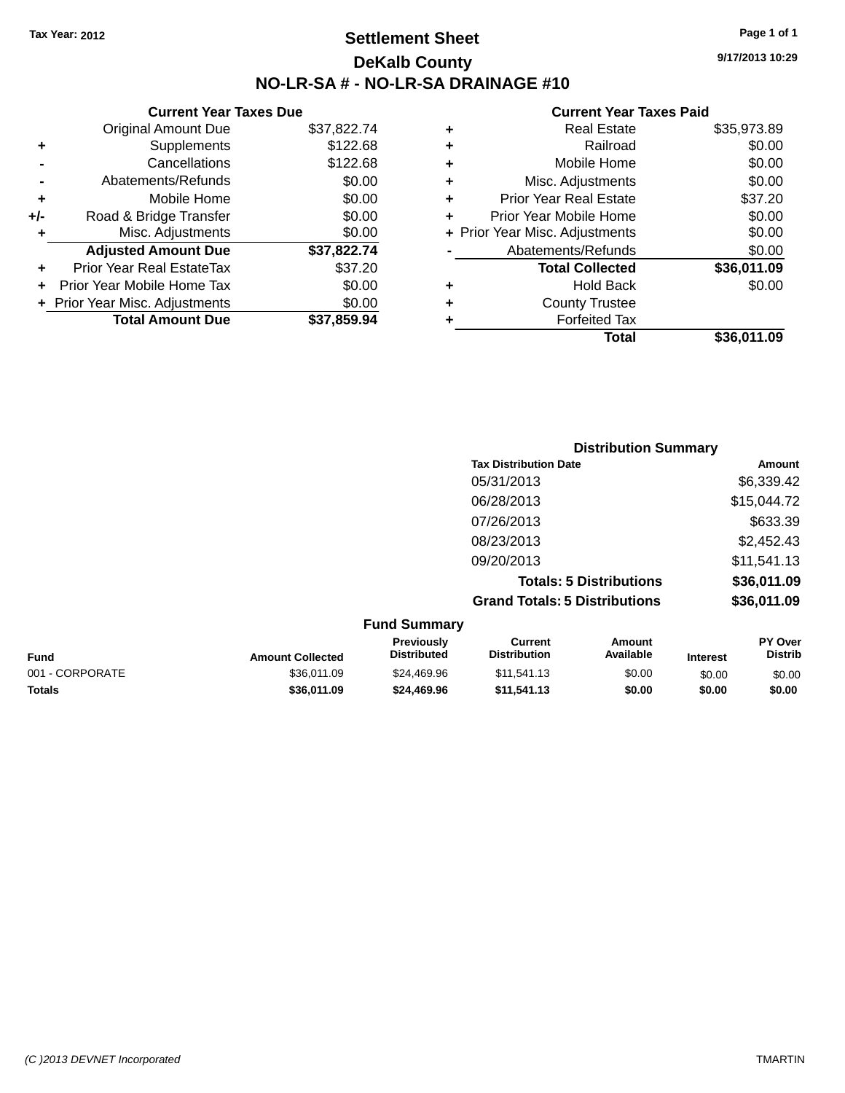**Current Year Taxes Due** Original Amount Due \$37,822.74

**Adjusted Amount Due \$37,822.74**

**Total Amount Due \$37,859.94**

**+** Supplements \$122.68 **-** Cancellations \$122.68 **-** Abatements/Refunds \$0.00 **+** Mobile Home \$0.00 **+/-** Road & Bridge Transfer \$0.00<br> **+** Misc. Adjustments \$0.00

**+** Prior Year Real EstateTax \$37.20 **+** Prior Year Mobile Home Tax \$0.00 **+ Prior Year Misc. Adjustments**  $$0.00$ 

**+** Misc. Adjustments

## **Settlement Sheet Tax Year: 2012 Page 1 of 1 DeKalb County NO-LR-SA # - NO-LR-SA DRAINAGE #10**

**9/17/2013 10:29**

|   | Total                          | \$36.011.09 |
|---|--------------------------------|-------------|
| ٠ | <b>Forfeited Tax</b>           |             |
| ٠ | <b>County Trustee</b>          |             |
| ٠ | <b>Hold Back</b>               | \$0.00      |
|   | <b>Total Collected</b>         | \$36,011.09 |
|   | Abatements/Refunds             | \$0.00      |
|   | + Prior Year Misc. Adjustments | \$0.00      |
| ÷ | Prior Year Mobile Home         | \$0.00      |
| ٠ | <b>Prior Year Real Estate</b>  | \$37.20     |
| ٠ | Misc. Adjustments              | \$0.00      |
| ٠ | Mobile Home                    | \$0.00      |
| ٠ | Railroad                       | \$0.00      |
| ٠ | <b>Real Estate</b>             | \$35,973.89 |
|   |                                |             |

|                  |                                         |                                       | <b>Distribution Summary</b>    |          |                                  |
|------------------|-----------------------------------------|---------------------------------------|--------------------------------|----------|----------------------------------|
|                  |                                         | <b>Tax Distribution Date</b>          |                                |          | <b>Amount</b>                    |
|                  |                                         | 05/31/2013                            |                                |          | \$6,339.42                       |
|                  |                                         | 06/28/2013                            |                                |          | \$15,044.72                      |
|                  |                                         | 07/26/2013                            |                                |          | \$633.39                         |
|                  |                                         | 08/23/2013                            |                                |          | \$2,452.43                       |
|                  |                                         | 09/20/2013                            |                                |          | \$11,541.13                      |
|                  |                                         |                                       | <b>Totals: 5 Distributions</b> |          | \$36,011.09                      |
|                  |                                         | <b>Grand Totals: 5 Distributions</b>  |                                |          | \$36,011.09                      |
|                  | <b>Fund Summary</b>                     |                                       |                                |          |                                  |
| Amount Collected | <b>Previously</b><br><b>Distributed</b> | <b>Current</b><br><b>Distribution</b> | <b>Amount</b><br>Available     | Interest | <b>PY Over</b><br><b>Distrib</b> |

| <b>Fund</b>     | <b>Amount Collected</b> | <b>Previously</b><br><b>Distributed</b> | Current<br><b>Distribution</b> | Amount<br>Available | <b>Interest</b> | <b>PY Over</b><br><b>Distrib</b> |
|-----------------|-------------------------|-----------------------------------------|--------------------------------|---------------------|-----------------|----------------------------------|
| 001 - CORPORATE | \$36.011.09             | \$24.469.96                             | \$11.541.13                    | \$0.00              | \$0.00          | \$0.00                           |
| <b>Totals</b>   | \$36.011.09             | \$24,469.96                             | \$11.541.13                    | \$0.00              | \$0.00          | \$0.00                           |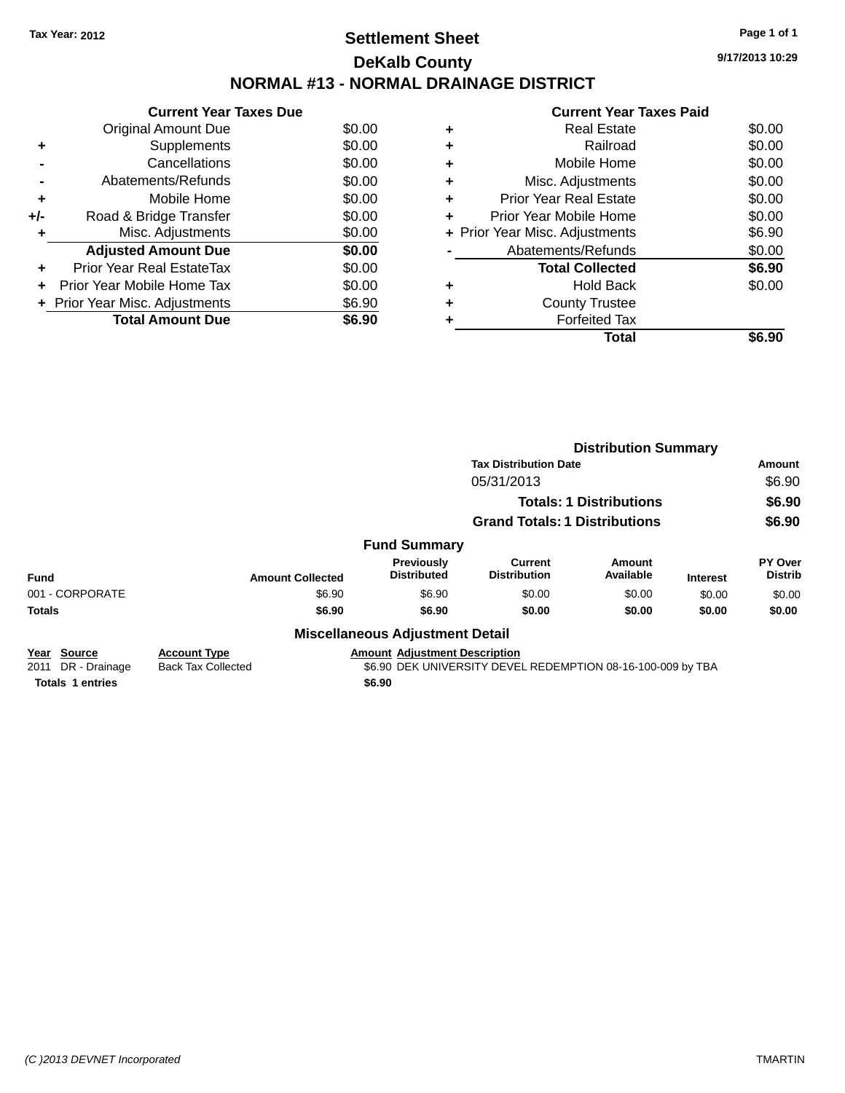# **Settlement Sheet Tax Year: 2012 Page 1 of 1 DeKalb County NORMAL #13 - NORMAL DRAINAGE DISTRICT**

**Current Year Taxes Due** Original Amount Due \$0.00<br>Supplements \$0.00 **+** Supplements **-** Cancellations \$0.00 **-** Abatements/Refunds \$0.00 **+** Mobile Home \$0.00 **+/-** Road & Bridge Transfer \$0.00<br> **+** Misc. Adjustments \$0.00 **+** Misc. Adjustments **Adjusted Amount Due \$0.00 +** Prior Year Real EstateTax \$0.00 **+** Prior Year Mobile Home Tax \$0.00 **+ Prior Year Misc. Adjustments**  $$6.90$ **Total Amount Due** \$6.90

|   | <b>Real Estate</b>             | \$0.00 |
|---|--------------------------------|--------|
| ٠ | Railroad                       | \$0.00 |
| ٠ | Mobile Home                    | \$0.00 |
| ÷ | Misc. Adjustments              | \$0.00 |
| ٠ | <b>Prior Year Real Estate</b>  | \$0.00 |
| ٠ | Prior Year Mobile Home         | \$0.00 |
|   | + Prior Year Misc. Adjustments | \$6.90 |
|   | Abatements/Refunds             | \$0.00 |
|   | <b>Total Collected</b>         | \$6.90 |
| ٠ | <b>Hold Back</b>               | \$0.00 |
| ٠ | <b>County Trustee</b>          |        |
|   | <b>Forfeited Tax</b>           |        |
|   | Total                          | \$6.90 |
|   |                                |        |

|                                                |                                                  |                                        | <b>Distribution Summary</b>                                 |                     |                 |                           |
|------------------------------------------------|--------------------------------------------------|----------------------------------------|-------------------------------------------------------------|---------------------|-----------------|---------------------------|
|                                                |                                                  |                                        | <b>Tax Distribution Date</b>                                |                     |                 | Amount                    |
|                                                |                                                  |                                        | 05/31/2013                                                  |                     |                 | \$6.90                    |
|                                                |                                                  |                                        | <b>Totals: 1 Distributions</b>                              |                     |                 | \$6.90                    |
|                                                |                                                  |                                        | <b>Grand Totals: 1 Distributions</b>                        |                     |                 | \$6.90                    |
|                                                |                                                  | <b>Fund Summary</b>                    |                                                             |                     |                 |                           |
| <b>Fund</b>                                    | <b>Amount Collected</b>                          | Previously<br><b>Distributed</b>       | <b>Current</b><br><b>Distribution</b>                       | Amount<br>Available | <b>Interest</b> | PY Over<br><b>Distrib</b> |
| 001 - CORPORATE                                | \$6.90                                           | \$6.90                                 | \$0.00                                                      | \$0.00              | \$0.00          | \$0.00                    |
| <b>Totals</b>                                  | \$6.90                                           | \$6.90                                 | \$0.00                                                      | \$0.00              | \$0.00          | \$0.00                    |
|                                                |                                                  | <b>Miscellaneous Adjustment Detail</b> |                                                             |                     |                 |                           |
| <b>Source</b><br>Year<br>DR - Drainage<br>2011 | <b>Account Type</b><br><b>Back Tax Collected</b> | <b>Amount Adjustment Description</b>   | \$6.90 DEK UNIVERSITY DEVEL REDEMPTION 08-16-100-009 by TBA |                     |                 |                           |
| <b>Totals 1 entries</b>                        |                                                  | \$6.90                                 |                                                             |                     |                 |                           |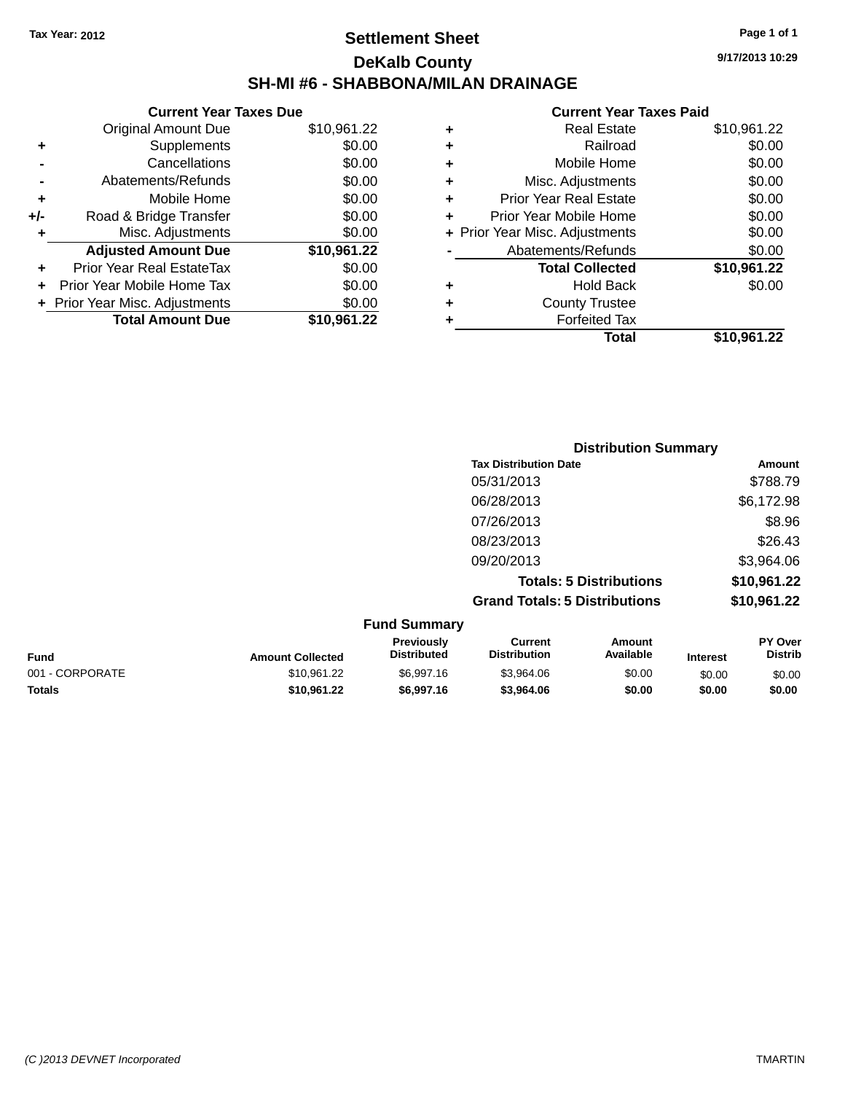# **Settlement Sheet Tax Year: 2012 Page 1 of 1 DeKalb County SH-MI #6 - SHABBONA/MILAN DRAINAGE**

**9/17/2013 10:29**

| <b>Current Year Taxes Due</b> |                                |  |  |  |  |
|-------------------------------|--------------------------------|--|--|--|--|
| <b>Original Amount Due</b>    | \$10,961.22                    |  |  |  |  |
| Supplements                   | \$0.00                         |  |  |  |  |
| Cancellations                 | \$0.00                         |  |  |  |  |
| Abatements/Refunds            | \$0.00                         |  |  |  |  |
| Mobile Home                   | \$0.00                         |  |  |  |  |
| Road & Bridge Transfer        | \$0.00                         |  |  |  |  |
| Misc. Adjustments             | \$0.00                         |  |  |  |  |
| <b>Adjusted Amount Due</b>    | \$10,961.22                    |  |  |  |  |
| Prior Year Real EstateTax     | \$0.00                         |  |  |  |  |
| Prior Year Mobile Home Tax    | \$0.00                         |  |  |  |  |
|                               | \$0.00                         |  |  |  |  |
| <b>Total Amount Due</b>       | \$10.961.22                    |  |  |  |  |
|                               | + Prior Year Misc. Adjustments |  |  |  |  |

| ٠ | <b>Real Estate</b>             | \$10,961.22 |
|---|--------------------------------|-------------|
| ٠ | Railroad                       | \$0.00      |
| ٠ | Mobile Home                    | \$0.00      |
| ٠ | Misc. Adjustments              | \$0.00      |
| ٠ | <b>Prior Year Real Estate</b>  | \$0.00      |
| ÷ | Prior Year Mobile Home         | \$0.00      |
|   | + Prior Year Misc. Adjustments | \$0.00      |
|   | Abatements/Refunds             | \$0.00      |
|   | <b>Total Collected</b>         | \$10,961.22 |
| ٠ | <b>Hold Back</b>               | \$0.00      |
| ÷ | <b>County Trustee</b>          |             |
| ÷ | <b>Forfeited Tax</b>           |             |
|   | Total                          | \$10,961.22 |
|   |                                |             |

| <b>Distribution Summary</b>          |             |
|--------------------------------------|-------------|
| <b>Tax Distribution Date</b>         | Amount      |
| 05/31/2013                           | \$788.79    |
| 06/28/2013                           | \$6,172.98  |
| 07/26/2013                           | \$8.96      |
| 08/23/2013                           | \$26.43     |
| 09/20/2013                           | \$3,964.06  |
| <b>Totals: 5 Distributions</b>       | \$10,961.22 |
| <b>Grand Totals: 5 Distributions</b> | \$10,961.22 |

|                 |                         | <b>Fund Summary</b>                     |                                |                     |                 |                           |
|-----------------|-------------------------|-----------------------------------------|--------------------------------|---------------------|-----------------|---------------------------|
| <b>Fund</b>     | <b>Amount Collected</b> | <b>Previously</b><br><b>Distributed</b> | Current<br><b>Distribution</b> | Amount<br>Available | <b>Interest</b> | PY Over<br><b>Distrib</b> |
| 001 - CORPORATE | \$10.961.22             | \$6,997.16                              | \$3.964.06                     | \$0.00              | \$0.00          | \$0.00                    |
| <b>Totals</b>   | \$10.961.22             | \$6,997.16                              | \$3,964.06                     | \$0.00              | \$0.00          | \$0.00                    |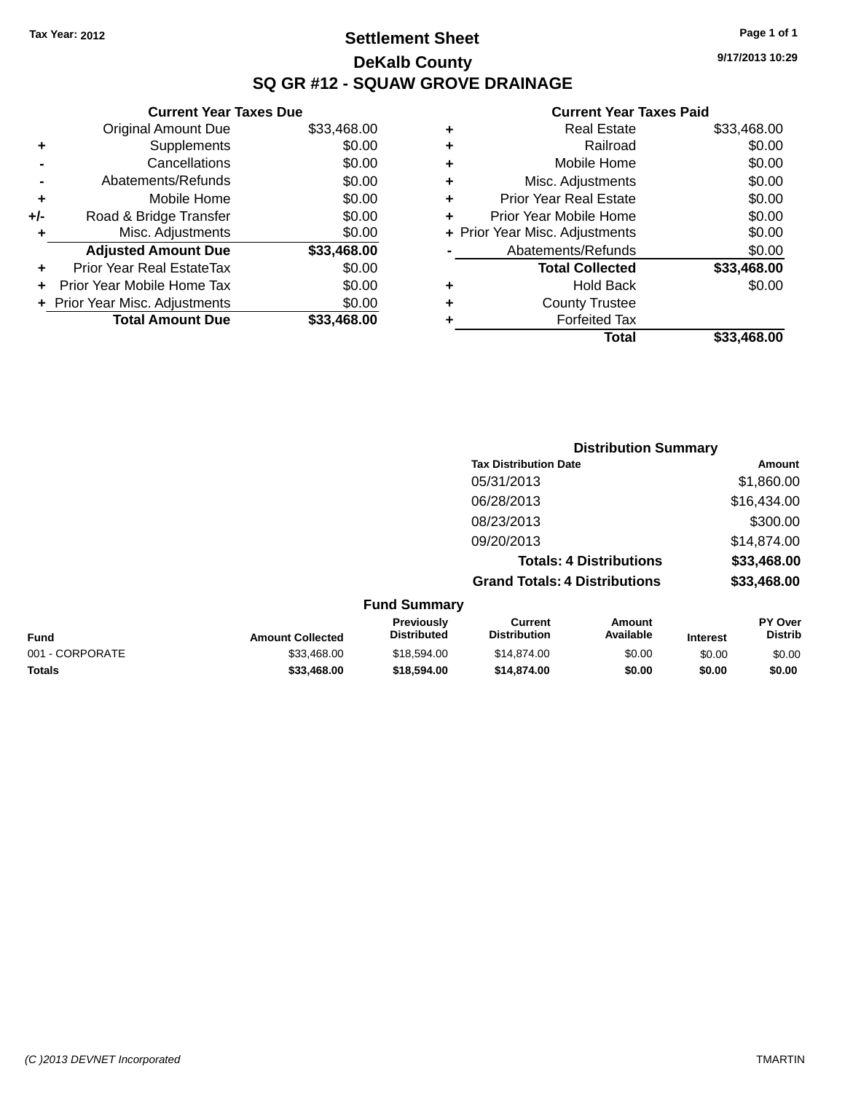# **Settlement Sheet Tax Year: 2012 Page 1 of 1 DeKalb County SQ GR #12 - SQUAW GROVE DRAINAGE**

**9/17/2013 10:29**

| Cuı                   |   |             | <b>Current Year Taxes Due</b>    |       |
|-----------------------|---|-------------|----------------------------------|-------|
| R                     | ٠ | \$33,468.00 | <b>Original Amount Due</b>       |       |
|                       | ٠ | \$0.00      | Supplements                      | ٠     |
| Mo                    | ٠ | \$0.00      | Cancellations                    |       |
| Misc. Ao              | ٠ | \$0.00      | Abatements/Refunds               |       |
| Prior Year R          | ٠ | \$0.00      | Mobile Home                      | ٠     |
| Prior Year Mo         |   | \$0.00      | Road & Bridge Transfer           | $+/-$ |
| + Prior Year Misc. Ao |   | \$0.00      | Misc. Adjustments                |       |
| Abatement             |   | \$33,468.00 | <b>Adjusted Amount Due</b>       |       |
| Total                 |   | \$0.00      | <b>Prior Year Real EstateTax</b> |       |
|                       | ٠ | \$0.00      | Prior Year Mobile Home Tax       |       |
| Cour                  |   | \$0.00      | + Prior Year Misc. Adjustments   |       |
| Fo                    |   | \$33,468.00 | <b>Total Amount Due</b>          |       |
|                       |   |             |                                  |       |

| ٠ | <b>Real Estate</b>             | \$33,468.00 |
|---|--------------------------------|-------------|
| ÷ | Railroad                       | \$0.00      |
| ٠ | Mobile Home                    | \$0.00      |
| ٠ | Misc. Adjustments              | \$0.00      |
| ٠ | <b>Prior Year Real Estate</b>  | \$0.00      |
| ٠ | Prior Year Mobile Home         | \$0.00      |
|   | + Prior Year Misc. Adjustments | \$0.00      |
|   | Abatements/Refunds             | \$0.00      |
|   | <b>Total Collected</b>         | \$33,468.00 |
| ٠ | <b>Hold Back</b>               | \$0.00      |
| ٠ | <b>County Trustee</b>          |             |
| ٠ | <b>Forfeited Tax</b>           |             |
|   | Total                          | \$33,468.00 |
|   |                                |             |

|                         |                                                                                     |                                       | <b>Distribution Summary</b>    |                 |                                               |
|-------------------------|-------------------------------------------------------------------------------------|---------------------------------------|--------------------------------|-----------------|-----------------------------------------------|
|                         |                                                                                     | <b>Tax Distribution Date</b>          |                                |                 | Amount                                        |
|                         |                                                                                     | 05/31/2013                            |                                |                 | \$1,860.00                                    |
|                         |                                                                                     | 06/28/2013                            |                                |                 | \$16,434.00                                   |
|                         |                                                                                     | 08/23/2013                            |                                |                 | \$300.00                                      |
|                         |                                                                                     | 09/20/2013                            |                                |                 | \$14,874.00                                   |
|                         |                                                                                     |                                       | <b>Totals: 4 Distributions</b> |                 | \$33,468.00                                   |
|                         |                                                                                     | <b>Grand Totals: 4 Distributions</b>  |                                |                 | \$33,468.00                                   |
|                         | <b>Fund Summary</b>                                                                 |                                       |                                |                 |                                               |
| <b>Amount Collected</b> | Previously<br><b>Distributed</b>                                                    | <b>Current</b><br><b>Distribution</b> | Amount<br>Available            | <b>Interest</b> | PY Over<br><b>Distrib</b>                     |
| 0.0010000               | $\mathcal{L}$ $\mathcal{L}$ $\mathcal{L}$ $\mathcal{L}$ $\mathcal{L}$ $\mathcal{L}$ | 0.1107100                             | $\sim$ $\sim$                  | $\sim$ $\sim$   | $\mathbf{A} \mathbf{A} \mathbf{A} \mathbf{A}$ |

| <b>Fund</b>     | <b>Amount Collected</b> | ---------<br><b>Distributed</b> | <b>Distribution</b> | <b>Available</b> | Interest | Distrib |
|-----------------|-------------------------|---------------------------------|---------------------|------------------|----------|---------|
| 001 - CORPORATE | \$33,468,00             | \$18.594.00                     | \$14,874.00         | \$0.00           | \$0.00   | \$0.00  |
| Totals          | \$33.468.00             | \$18,594.00                     | \$14,874.00         | \$0.00           | \$0.00   | \$0.00  |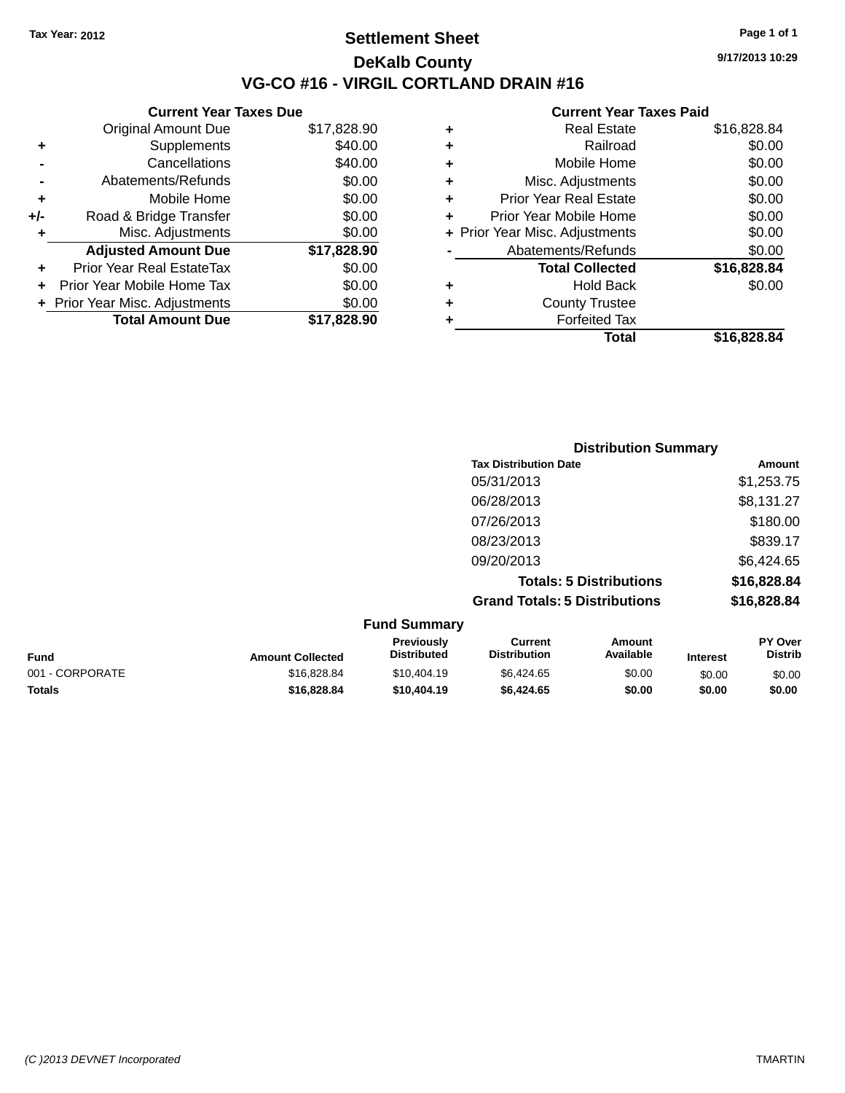## **Settlement Sheet Tax Year: 2012 Page 1 of 1 DeKalb County VG-CO #16 - VIRGIL CORTLAND DRAIN #16**

**9/17/2013 10:29**

|     | <b>Current Year Taxes Due</b>  |             |
|-----|--------------------------------|-------------|
|     | <b>Original Amount Due</b>     | \$17,828.90 |
| ٠   | Supplements                    | \$40.00     |
|     | Cancellations                  | \$40.00     |
|     | Abatements/Refunds             | \$0.00      |
| ٠   | Mobile Home                    | \$0.00      |
| +/- | Road & Bridge Transfer         | \$0.00      |
|     | Misc. Adjustments              | \$0.00      |
|     | <b>Adjusted Amount Due</b>     | \$17,828.90 |
| ٠   | Prior Year Real EstateTax      | \$0.00      |
|     | Prior Year Mobile Home Tax     | \$0.00      |
|     | + Prior Year Misc. Adjustments | \$0.00      |
|     | <b>Total Amount Due</b>        | \$17,828.90 |
|     |                                |             |

| ٠ | <b>Real Estate</b>             | \$16,828.84 |
|---|--------------------------------|-------------|
| ٠ | Railroad                       | \$0.00      |
| ٠ | Mobile Home                    | \$0.00      |
| ٠ | Misc. Adjustments              | \$0.00      |
| ٠ | <b>Prior Year Real Estate</b>  | \$0.00      |
| ÷ | Prior Year Mobile Home         | \$0.00      |
|   | + Prior Year Misc. Adjustments | \$0.00      |
|   | Abatements/Refunds             | \$0.00      |
|   | <b>Total Collected</b>         | \$16,828.84 |
| ٠ | <b>Hold Back</b>               | \$0.00      |
| ÷ | <b>County Trustee</b>          |             |
| ٠ | <b>Forfeited Tax</b>           |             |
|   | Total                          | \$16,828.84 |
|   |                                |             |

| <b>Distribution Summary</b>          |             |
|--------------------------------------|-------------|
| <b>Tax Distribution Date</b>         | Amount      |
| 05/31/2013                           | \$1,253.75  |
| 06/28/2013                           | \$8,131.27  |
| 07/26/2013                           | \$180.00    |
| 08/23/2013                           | \$839.17    |
| 09/20/2013                           | \$6,424.65  |
| <b>Totals: 5 Distributions</b>       | \$16,828.84 |
| <b>Grand Totals: 5 Distributions</b> | \$16,828.84 |

|                 |                         | <b>Fund Summary</b>                     |                                |                     |                 |                           |
|-----------------|-------------------------|-----------------------------------------|--------------------------------|---------------------|-----------------|---------------------------|
| <b>Fund</b>     | <b>Amount Collected</b> | <b>Previously</b><br><b>Distributed</b> | Current<br><b>Distribution</b> | Amount<br>Available | <b>Interest</b> | PY Over<br><b>Distrib</b> |
| 001 - CORPORATE | \$16,828,84             | \$10,404.19                             | \$6,424.65                     | \$0.00              | \$0.00          | \$0.00                    |
| <b>Totals</b>   | \$16,828.84             | \$10,404.19                             | \$6,424.65                     | \$0.00              | \$0.00          | \$0.00                    |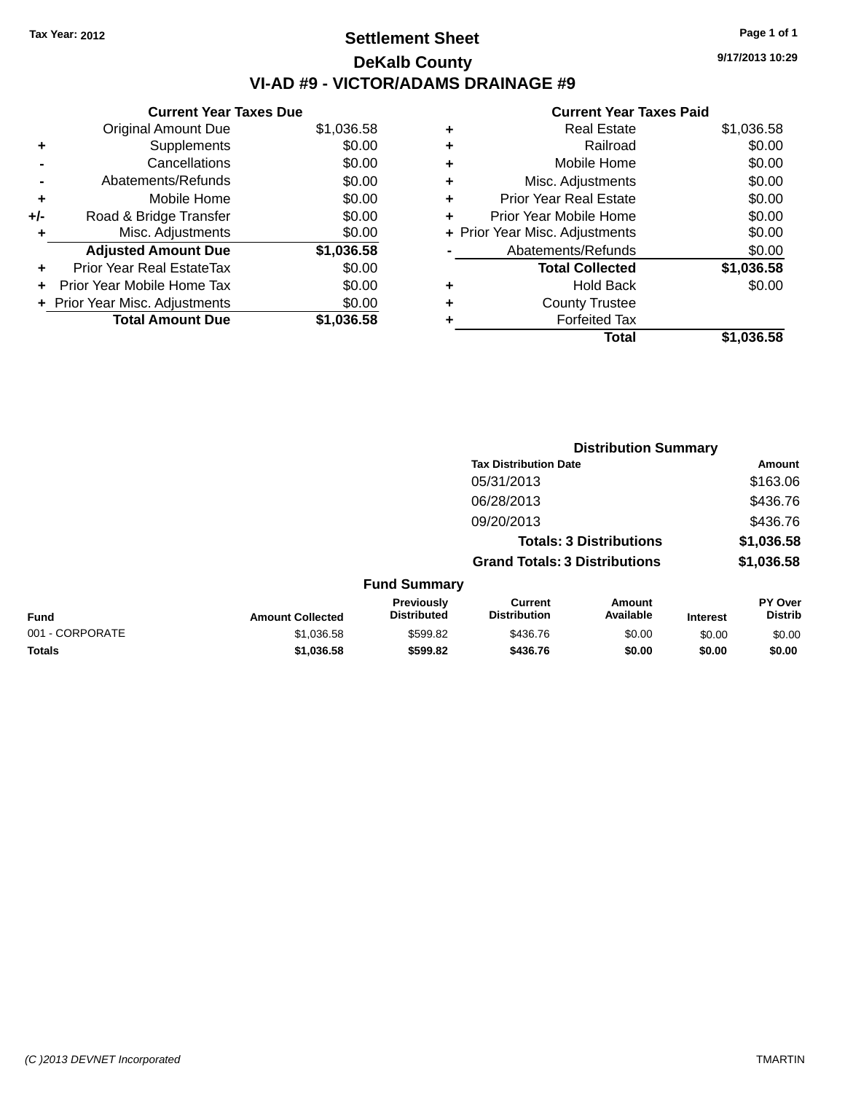# **Settlement Sheet Tax Year: 2012 Page 1 of 1 DeKalb County VI-AD #9 - VICTOR/ADAMS DRAINAGE #9**

**Current Year Taxes Due** Original Amount Due \$1,036.58 **+** Supplements \$0.00 **-** Cancellations \$0.00 **-** Abatements/Refunds \$0.00 **+** Mobile Home \$0.00 **+/-** Road & Bridge Transfer \$0.00 **+** Misc. Adjustments \$0.00 **Adjusted Amount Due \$1,036.58 +** Prior Year Real EstateTax \$0.00 **+** Prior Year Mobile Home Tax \$0.00 **+ Prior Year Misc. Adjustments**  $$0.00$ **Total Amount Due \$1,036.58**

| ٠ | <b>Real Estate</b>             | \$1,036.58 |
|---|--------------------------------|------------|
| ٠ | Railroad                       | \$0.00     |
| ٠ | Mobile Home                    | \$0.00     |
| ٠ | Misc. Adjustments              | \$0.00     |
| ٠ | <b>Prior Year Real Estate</b>  | \$0.00     |
| ٠ | Prior Year Mobile Home         | \$0.00     |
|   | + Prior Year Misc. Adjustments | \$0.00     |
|   | Abatements/Refunds             | \$0.00     |
|   | <b>Total Collected</b>         | \$1,036.58 |
| ٠ | Hold Back                      | \$0.00     |
| ٠ | <b>County Trustee</b>          |            |
| ٠ | <b>Forfeited Tax</b>           |            |
|   | Total                          | \$1,036.58 |
|   |                                |            |

|                 |                         | <b>Distribution Summary</b>      |                                       |                                |                 |                                  |  |
|-----------------|-------------------------|----------------------------------|---------------------------------------|--------------------------------|-----------------|----------------------------------|--|
|                 |                         |                                  | <b>Tax Distribution Date</b>          |                                |                 | <b>Amount</b>                    |  |
|                 |                         |                                  | 05/31/2013                            |                                |                 | \$163.06                         |  |
|                 |                         |                                  | 06/28/2013                            |                                |                 | \$436.76                         |  |
|                 |                         |                                  | 09/20/2013                            |                                |                 | \$436.76                         |  |
|                 |                         |                                  |                                       | <b>Totals: 3 Distributions</b> |                 | \$1,036.58                       |  |
|                 |                         |                                  | <b>Grand Totals: 3 Distributions</b>  |                                |                 | \$1,036.58                       |  |
|                 |                         | <b>Fund Summary</b>              |                                       |                                |                 |                                  |  |
| <b>Fund</b>     | <b>Amount Collected</b> | Previously<br><b>Distributed</b> | <b>Current</b><br><b>Distribution</b> | Amount<br>Available            | <b>Interest</b> | <b>PY Over</b><br><b>Distrib</b> |  |
| 001 - CORPORATE | \$1,036.58              | \$599.82                         | \$436.76                              | \$0.00                         | \$0.00          | \$0.00                           |  |
| <b>Totals</b>   | \$1,036.58              | \$599.82                         | \$436.76                              | \$0.00                         | \$0.00          | \$0.00                           |  |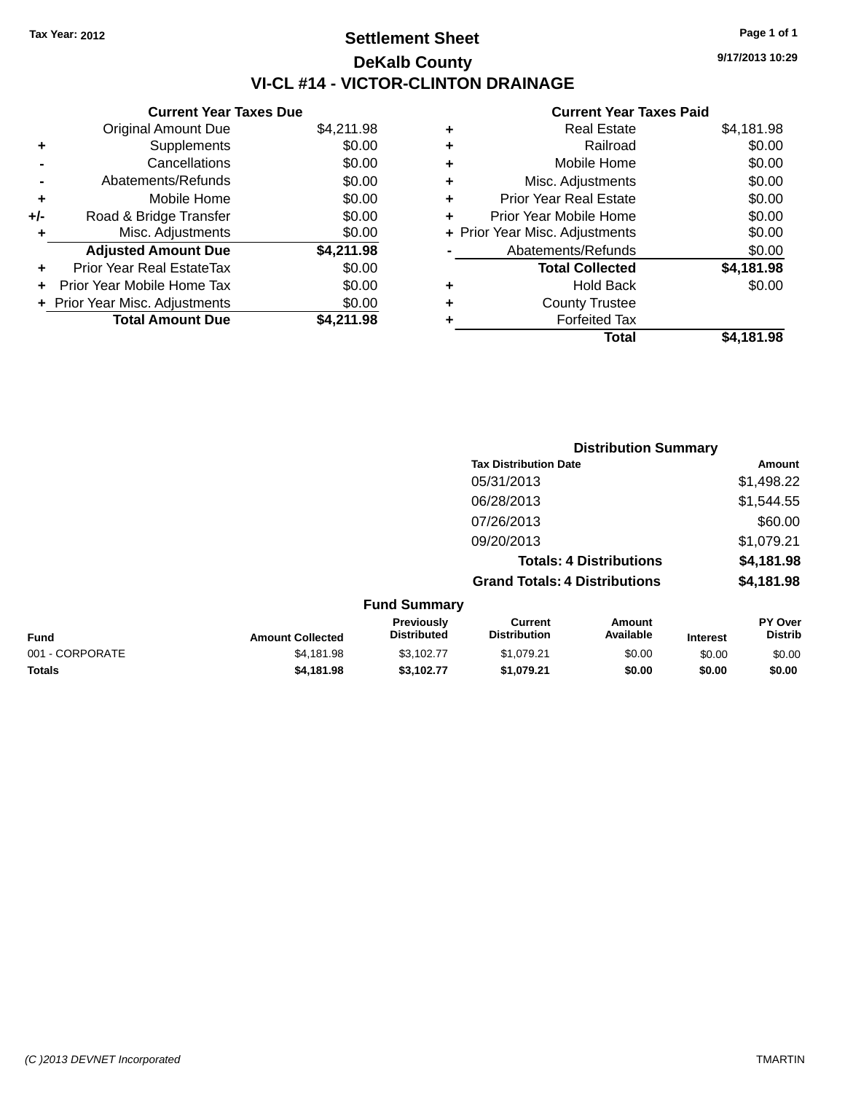# **Settlement Sheet Tax Year: 2012 Page 1 of 1 DeKalb County VI-CL #14 - VICTOR-CLINTON DRAINAGE**

|     | <b>Current Year Taxes Due</b>  |            |  |  |  |
|-----|--------------------------------|------------|--|--|--|
|     | <b>Original Amount Due</b>     | \$4,211.98 |  |  |  |
| ٠   | Supplements                    | \$0.00     |  |  |  |
|     | Cancellations                  | \$0.00     |  |  |  |
|     | Abatements/Refunds             | \$0.00     |  |  |  |
| ٠   | Mobile Home                    | \$0.00     |  |  |  |
| +/- | Road & Bridge Transfer         | \$0.00     |  |  |  |
| ٠   | Misc. Adjustments              | \$0.00     |  |  |  |
|     | <b>Adjusted Amount Due</b>     | \$4,211.98 |  |  |  |
|     | Prior Year Real EstateTax      | \$0.00     |  |  |  |
|     | Prior Year Mobile Home Tax     | \$0.00     |  |  |  |
|     | + Prior Year Misc. Adjustments | \$0.00     |  |  |  |
|     | <b>Total Amount Due</b>        | \$4,211.98 |  |  |  |
|     |                                |            |  |  |  |

#### **Current Year Taxes Paid**

|   | <b>Real Estate</b>             | \$4,181.98 |
|---|--------------------------------|------------|
| ٠ | Railroad                       | \$0.00     |
| ٠ | Mobile Home                    | \$0.00     |
| ٠ | Misc. Adjustments              | \$0.00     |
| ٠ | <b>Prior Year Real Estate</b>  | \$0.00     |
| ٠ | Prior Year Mobile Home         | \$0.00     |
|   | + Prior Year Misc. Adjustments | \$0.00     |
|   | Abatements/Refunds             | \$0.00     |
|   | <b>Total Collected</b>         | \$4,181.98 |
| ٠ | Hold Back                      | \$0.00     |
| ٠ | <b>County Trustee</b>          |            |
| ٠ | <b>Forfeited Tax</b>           |            |
|   | Total                          | \$4,181.98 |
|   |                                |            |

|                 |                         | <b>Distribution Summary</b>      |                                       |                                |                 |                           |
|-----------------|-------------------------|----------------------------------|---------------------------------------|--------------------------------|-----------------|---------------------------|
|                 |                         |                                  | <b>Tax Distribution Date</b>          |                                |                 | <b>Amount</b>             |
|                 |                         |                                  | 05/31/2013                            |                                |                 | \$1,498.22                |
|                 |                         |                                  | 06/28/2013                            |                                |                 | \$1,544.55                |
|                 |                         |                                  | 07/26/2013                            |                                |                 | \$60.00                   |
|                 |                         |                                  | 09/20/2013                            |                                |                 | \$1,079.21                |
|                 |                         |                                  |                                       | <b>Totals: 4 Distributions</b> |                 | \$4,181.98                |
|                 |                         |                                  | <b>Grand Totals: 4 Distributions</b>  |                                |                 | \$4,181.98                |
|                 |                         | <b>Fund Summary</b>              |                                       |                                |                 |                           |
| <b>Fund</b>     | <b>Amount Collected</b> | Previously<br><b>Distributed</b> | <b>Current</b><br><b>Distribution</b> | <b>Amount</b><br>Available     | <b>Interest</b> | PY Over<br><b>Distrib</b> |
| 001 - CORPORATE | \$4,181.98              | \$3,102.77                       | \$1,079.21                            | \$0.00                         | \$0.00          | \$0.00                    |

**Totals \$4,181.98 \$3,102.77 \$1,079.21 \$0.00 \$0.00 \$0.00**